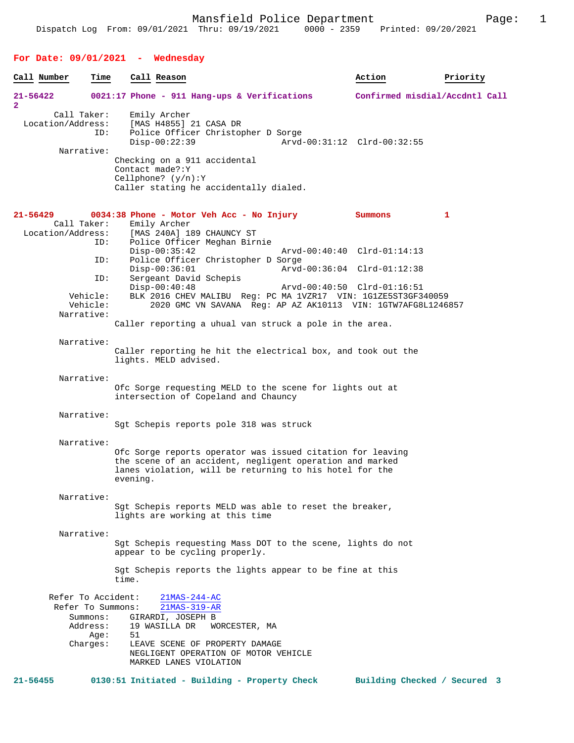| Call Number                      | Time                                    | Call Reason                                                                                                                                                                                               | Action                         | Priority |
|----------------------------------|-----------------------------------------|-----------------------------------------------------------------------------------------------------------------------------------------------------------------------------------------------------------|--------------------------------|----------|
| $21 - 56422$<br>$\overline{a}$   |                                         | $0021:17$ Phone - 911 Hang-ups & Verifications                                                                                                                                                            | Confirmed misdial/Accdntl Call |          |
| Call Taker:<br>Location/Address: | ID:                                     | Emily Archer<br>[MAS H4855] 21 CASA DR<br>Police Officer Christopher D Sorge<br>Arvd-00:31:12 Clrd-00:32:55<br>$Disp-00:22:39$                                                                            |                                |          |
| Narrative:                       |                                         | Checking on a 911 accidental<br>Contact made?: Y<br>Cellphone? $(y/n):Y$<br>Caller stating he accidentally dialed.                                                                                        |                                |          |
| 21-56429<br>Call Taker:          |                                         | 0034:38 Phone - Motor Veh Acc - No Injury<br>Emily Archer                                                                                                                                                 | Summons                        | 1        |
| Location/Address:                | ID:                                     | [MAS 240A] 189 CHAUNCY ST<br>Police Officer Meghan Birnie<br>$Disp-00:35:42$<br>Arvd-00:40:40 Clrd-01:14:13                                                                                               |                                |          |
|                                  | ID:                                     | Police Officer Christopher D Sorge<br>$Disp-00:36:01$<br>Arvd-00:36:04 Clrd-01:12:38                                                                                                                      |                                |          |
| Narrative:                       | ID:<br>Vehicle:<br>Vehicle:             | Sergeant David Schepis<br>$Disp-00:40:48$<br>Arvd-00:40:50 Clrd-01:16:51<br>BLK 2016 CHEV MALIBU Req: PC MA 1VZR17 VIN: 1G1ZE5ST3GF340059<br>2020 GMC VN SAVANA Req: AP AZ AK10113 VIN: 1GTW7AFG8L1246857 |                                |          |
|                                  |                                         | Caller reporting a uhual van struck a pole in the area.                                                                                                                                                   |                                |          |
| Narrative:                       |                                         | Caller reporting he hit the electrical box, and took out the<br>lights. MELD advised.                                                                                                                     |                                |          |
| Narrative:                       |                                         | Ofc Sorge requesting MELD to the scene for lights out at<br>intersection of Copeland and Chauncy                                                                                                          |                                |          |
| Narrative:                       |                                         | Sgt Schepis reports pole 318 was struck                                                                                                                                                                   |                                |          |
| Narrative:                       |                                         | Ofc Sorge reports operator was issued citation for leaving<br>the scene of an accident, negligent operation and marked<br>lanes violation, will be returning to his hotel for the<br>evening.             |                                |          |
| Narrative:                       |                                         | Sgt Schepis reports MELD was able to reset the breaker,<br>lights are working at this time                                                                                                                |                                |          |
| Narrative:                       |                                         | Sqt Schepis requesting Mass DOT to the scene, lights do not<br>appear to be cycling properly.                                                                                                             |                                |          |
|                                  |                                         | Sqt Schepis reports the lights appear to be fine at this<br>time.                                                                                                                                         |                                |          |
|                                  | Refer To Accident:<br>Refer To Summons: | $21MAS - 244 - AC$<br>21MAS-319-AR                                                                                                                                                                        |                                |          |
|                                  | Address:<br>Age:                        | Summons: GIRARDI, JOSEPH B<br>19 WASILLA DR<br>WORCESTER, MA<br>51                                                                                                                                        |                                |          |
|                                  | Charges:                                | LEAVE SCENE OF PROPERTY DAMAGE<br>NEGLIGENT OPERATION OF MOTOR VEHICLE<br>MARKED LANES VIOLATION                                                                                                          |                                |          |
| $21 - 56455$                     |                                         | 0130:51 Initiated - Building - Property Check                                                                                                                                                             | Building Checked / Secured 3   |          |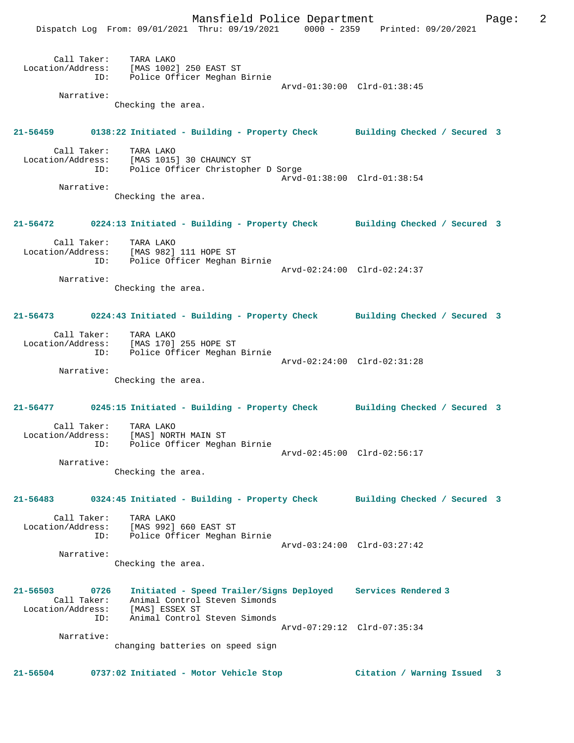

**21-56504 0737:02 Initiated - Motor Vehicle Stop Citation / Warning Issued 3**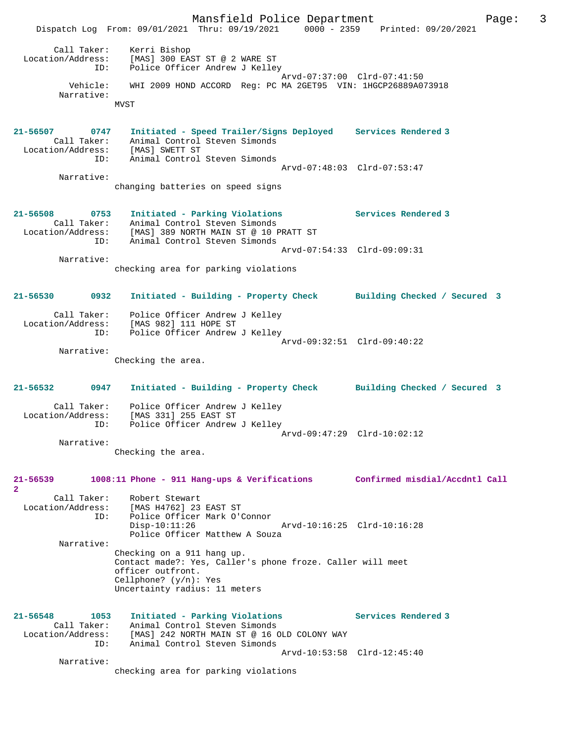Mansfield Police Department The Page: 3 Dispatch Log From: 09/01/2021 Thru: 09/19/2021 0000 - 2359 Printed: 09/20/2021 Call Taker: Kerri Bishop Location/Address: [MAS] 300 EAST ST @ 2 WARE ST ID: Police Officer Andrew J Kelley Arvd-07:37:00 Clrd-07:41:50 Vehicle: WHI 2009 HOND ACCORD Reg: PC MA 2GET95 VIN: 1HGCP26889A073918 Narrative: MVST **21-56507 0747 Initiated - Speed Trailer/Signs Deployed Services Rendered 3**  Call Taker: Animal Control Steven Simonds Location/Address: [MAS] SWETT ST ID: Animal Control Steven Simonds Arvd-07:48:03 Clrd-07:53:47 Narrative: changing batteries on speed signs **21-56508 0753 Initiated - Parking Violations Services Rendered 3**  Call Taker: Animal Control Steven Simonds Location/Address: [MAS] 389 NORTH MAIN ST @ 10 PRATT ST ID: Animal Control Steven Simonds Arvd-07:54:33 Clrd-09:09:31 Narrative: checking area for parking violations **21-56530 0932 Initiated - Building - Property Check Building Checked / Secured 3** Call Taker: Police Officer Andrew J Kelley Location/Address: [MAS 982] 111 HOPE ST ID: Police Officer Andrew J Kelley Arvd-09:32:51 Clrd-09:40:22 Narrative: Checking the area. **21-56532 0947 Initiated - Building - Property Check Building Checked / Secured 3** Call Taker: Police Officer Andrew J Kelley Location/Address: [MAS 331] 255 EAST ST ID: Police Officer Andrew J Kelley Arvd-09:47:29 Clrd-10:02:12 Narrative: Checking the area. **21-56539 1008:11 Phone - 911 Hang-ups & Verifications Confirmed misdial/Accdntl Call 2**  Call Taker: Robert Stewart Location/Address: [MAS H4762] 23 EAST ST ID: Police Officer Mark O'Connor Disp-10:11:26 Arvd-10:16:25 Clrd-10:16:28 Police Officer Matthew A Souza Narrative: Checking on a 911 hang up. Contact made?: Yes, Caller's phone froze. Caller will meet officer outfront. Cellphone? (y/n): Yes Uncertainty radius: 11 meters **21-56548 1053 Initiated - Parking Violations Services Rendered 3**  Call Taker: Animal Control Steven Simonds Location/Address: [MAS] 242 NORTH MAIN ST @ 16 OLD COLONY WAY ID: Animal Control Steven Simonds Arvd-10:53:58 Clrd-12:45:40 Narrative: checking area for parking violations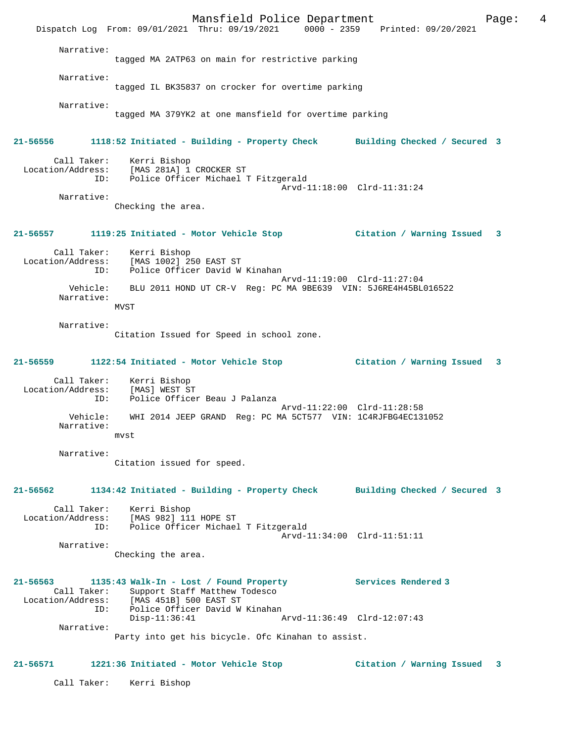Mansfield Police Department Page: 4 Dispatch Log From: 09/01/2021 Thru: 09/19/2021 0000 - 2359 Printed: 09/20/2021 Narrative: tagged MA 2ATP63 on main for restrictive parking Narrative: tagged IL BK35837 on crocker for overtime parking Narrative: tagged MA 379YK2 at one mansfield for overtime parking **21-56556 1118:52 Initiated - Building - Property Check Building Checked / Secured 3** Call Taker: Kerri Bishop Location/Address: [MAS 281A] 1 CROCKER ST Police Officer Michael T Fitzgerald Arvd-11:18:00 Clrd-11:31:24 Narrative: Checking the area. **21-56557 1119:25 Initiated - Motor Vehicle Stop Citation / Warning Issued 3** Call Taker: Kerri Bishop Location/Address: [MAS 1002] 250 EAST ST ID: Police Officer David W Kinahan Arvd-11:19:00 Clrd-11:27:04 Vehicle: BLU 2011 HOND UT CR-V Reg: PC MA 9BE639 VIN: 5J6RE4H45BL016522 Narrative: MVST Narrative: Citation Issued for Speed in school zone. **21-56559 1122:54 Initiated - Motor Vehicle Stop Citation / Warning Issued 3** Call Taker: Kerri Bishop Location/Address: [MAS] WEST ST ID: Police Officer Beau J Palanza Arvd-11:22:00 Clrd-11:28:58<br>2014 Vehicle: WHI 2014 JEEP GRAND Reg: PC MA 5CT577 VIN: 1C4RJERG4EC13 WHI 2014 JEEP GRAND Reg: PC MA 5CT577 VIN: 1C4RJFBG4EC131052 Narrative: mvst Narrative: Citation issued for speed. **21-56562 1134:42 Initiated - Building - Property Check Building Checked / Secured 3** Call Taker: Kerri Bishop Location/Address: [MAS 982] 111 HOPE ST ID: Police Officer Michael T Fitzgerald Arvd-11:34:00 Clrd-11:51:11 Narrative: Checking the area. **21-56563 1135:43 Walk-In - Lost / Found Property Services Rendered 3**  Call Taker: Support Staff Matthew Todesco<br>Location/Address: [MAS 451B] 500 EAST ST ess: [MAS 451B] 500 EAST ST<br>ID: Police Officer David W Police Officer David W Kinahan<br>Disp-11:36:41 A Disp-11:36:41 Arvd-11:36:49 Clrd-12:07:43 Narrative: Party into get his bicycle. Ofc Kinahan to assist. **21-56571 1221:36 Initiated - Motor Vehicle Stop Citation / Warning Issued 3** Call Taker: Kerri Bishop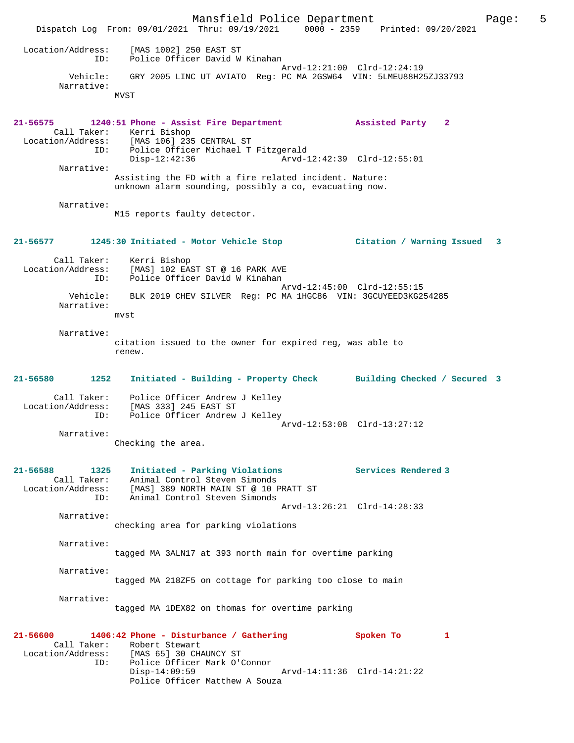Mansfield Police Department Fage: 5 Dispatch Log From: 09/01/2021 Thru: 09/19/2021 0000 - 2359 Printed: 09/20/2021 Location/Address: [MAS 1002] 250 EAST ST ID: Police Officer David W Kinahan Arvd-12:21:00 Clrd-12:24:19 Vehicle: GRY 2005 LINC UT AVIATO Reg: PC MA 2GSW64 VIN: 5LMEU88H25ZJ33793 Narrative: MVST **21-56575 1240:51 Phone - Assist Fire Department Assisted Party 2**  Call Taker: Kerri Bishop Location/Address: [MAS 106] 235 CENTRAL ST ID: Police Officer Michael T Fitzgerald Disp-12:42:36 Arvd-12:42:39 Clrd-12:55:01 Narrative: Assisting the FD with a fire related incident. Nature: unknown alarm sounding, possibly a co, evacuating now. Narrative: M15 reports faulty detector. **21-56577 1245:30 Initiated - Motor Vehicle Stop Citation / Warning Issued 3** Call Taker: Kerri Bishop Location/Address: [MAS] 102 EAST ST @ 16 PARK AVE ID: Police Officer David W Kinahan Arvd-12:45:00 Clrd-12:55:15 Vehicle: BLK 2019 CHEV SILVER Reg: PC MA 1HGC86 VIN: 3GCUYEED3KG254285 Narrative: mvst Narrative: citation issued to the owner for expired reg, was able to renew. **21-56580 1252 Initiated - Building - Property Check Building Checked / Secured 3** Call Taker: Police Officer Andrew J Kelley Location/Address: [MAS 333] 245 EAST ST ID: Police Officer Andrew J Kelley Arvd-12:53:08 Clrd-13:27:12 Narrative: Checking the area. **21-56588 1325 Initiated - Parking Violations Services Rendered 3**  Call Taker: Animal Control Steven Simonds Location/Address: [MAS] 389 NORTH MAIN ST @ 10 PRATT ST ID: Animal Control Steven Simonds Arvd-13:26:21 Clrd-14:28:33 Narrative: checking area for parking violations Narrative: tagged MA 3ALN17 at 393 north main for overtime parking Narrative: tagged MA 218ZF5 on cottage for parking too close to main Narrative: tagged MA 1DEX82 on thomas for overtime parking **21-56600 1406:42 Phone - Disturbance / Gathering Spoken To 1**  Call Taker: Robert Stewart<br>Location/Address: [MAS 65] 30 CHA Location/Address: [MAS 65] 30 CHAUNCY ST ID: Police Officer Mark O'Connor Disp-14:09:59 Arvd-14:11:36 Clrd-14:21:22 Police Officer Matthew A Souza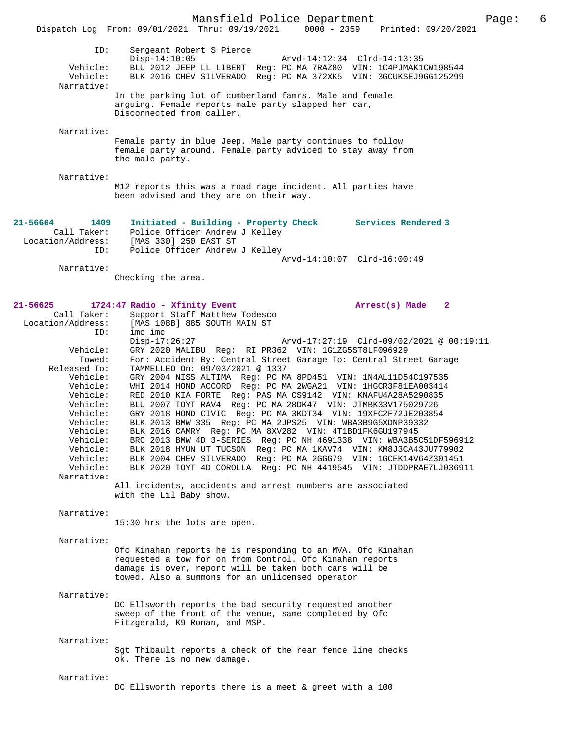Narrative:

Female party in blue Jeep. Male party continues to follow female party around. Female party adviced to stay away from the male party.

Narrative:

M12 reports this was a road rage incident. All parties have been advised and they are on their way.

| 21-56604          | 1409        | Initiated - Building - Property Check | Services Rendered 3         |
|-------------------|-------------|---------------------------------------|-----------------------------|
|                   | Call Taker: | Police Officer Andrew J Kelley        |                             |
| Location/Address: |             | [MAS 330] 250 EAST ST                 |                             |
|                   | ID:         | Police Officer Andrew J Kelley        |                             |
|                   |             |                                       | Arvd-14:10:07 Clrd-16:00:49 |

Narrative:

Checking the area.

# **21-56625 1724:47 Radio - Xfinity Event Arrest(s) Made 2**  Call Taker: Support Staff Matthew Todesco Location/Address: [MAS 108B] 885 SOUTH MAIN ST imc imc<br>Disp-17:26:27 Disp-17:26:27 Arvd-17:27:19 Clrd-09/02/2021 @ 00:19:11 Vehicle: GRY 2020 MALIBU Reg: RI PR362 VIN: 1G1ZG5ST8LF096929 Towed: For: Accident By: Central Street Garage To: Central Street Garage Released To: TAMMELLEO On: 09/03/2021 @ 1337 Vehicle: GRY 2004 NISS ALTIMA Reg: PC MA 8PD451 VIN: 1N4AL11D54C197535 Vehicle: WHI 2014 HOND ACCORD Reg: PC MA 2WGA21 VIN: 1HGCR3F81EA003414 Vehicle: RED 2010 KIA FORTE Reg: PAS MA CS9142 VIN: KNAFU4A28A5290835 Vehicle: BLU 2007 TOYT RAV4 Reg: PC MA 28DK47 VIN: JTMBK33V175029726 Vehicle: GRY 2018 HOND CIVIC Reg: PC MA 3KDT34 VIN: 19XFC2F72JE203854 Vehicle: BLK 2013 BMW 335 Reg: PC MA 2JPS25 VIN: WBA3B9G5XDNP39332 Vehicle: BLK 2016 CAMRY Reg: PC MA 8XV282 VIN: 4T1BD1FK6GU197945 Vehicle: BRO 2013 BMW 4D 3-SERIES Reg: PC NH 4691338 VIN: WBA3B5C51DF596912 Vehicle: BLK 2018 HYUN UT TUCSON Reg: PC MA 1KAV74 VIN: KM8J3CA43JU779902 Vehicle: BLK 2004 CHEV SILVERADO Reg: PC MA 2GGG79 VIN: 1GCEK14V64Z301451 Vehicle: BLK 2020 TOYT 4D COROLLA Reg: PC NH 4419545 VIN: JTDDPRAE7LJ036911 Narrative: All incidents, accidents and arrest numbers are associated with the Lil Baby show. Narrative: 15:30 hrs the lots are open. Narrative: Ofc Kinahan reports he is responding to an MVA. Ofc Kinahan requested a tow for on from Control. Ofc Kinahan reports damage is over, report will be taken both cars will be towed. Also a summons for an unlicensed operator Narrative: DC Ellsworth reports the bad security requested another sweep of the front of the venue, same completed by Ofc Fitzgerald, K9 Ronan, and MSP. Narrative: Sgt Thibault reports a check of the rear fence line checks ok. There is no new damage. Narrative: DC Ellsworth reports there is a meet & greet with a 100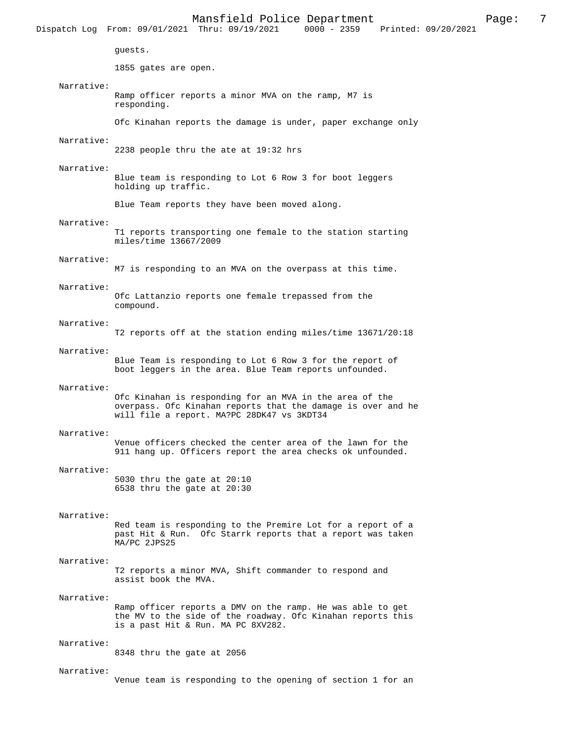|            | Dispatch Log From: 09/01/2021 Thru: 09/19/2021 0000 - 2359 Printed: 09/20/2021                                                                                        |
|------------|-----------------------------------------------------------------------------------------------------------------------------------------------------------------------|
|            | guests.                                                                                                                                                               |
|            | 1855 gates are open.                                                                                                                                                  |
| Narrative: | Ramp officer reports a minor MVA on the ramp, M7 is<br>responding.                                                                                                    |
|            | Ofc Kinahan reports the damage is under, paper exchange only                                                                                                          |
| Narrative: | 2238 people thru the ate at 19:32 hrs                                                                                                                                 |
| Narrative: | Blue team is responding to Lot 6 Row 3 for boot leggers<br>holding up traffic.                                                                                        |
|            | Blue Team reports they have been moved along.                                                                                                                         |
| Narrative: | T1 reports transporting one female to the station starting<br>miles/time 13667/2009                                                                                   |
| Narrative: | M7 is responding to an MVA on the overpass at this time.                                                                                                              |
| Narrative: | Ofc Lattanzio reports one female trepassed from the<br>compound.                                                                                                      |
| Narrative: | T2 reports off at the station ending miles/time 13671/20:18                                                                                                           |
| Narrative: | Blue Team is responding to Lot 6 Row 3 for the report of<br>boot leggers in the area. Blue Team reports unfounded.                                                    |
| Narrative: | Ofc Kinahan is responding for an MVA in the area of the<br>overpass. Ofc Kinahan reports that the damage is over and he<br>will file a report. MA?PC 28DK47 vs 3KDT34 |
| Narrative: | Venue officers checked the center area of the lawn for the<br>911 hang up. Officers report the area checks ok unfounded.                                              |
| Narrative: | 5030 thru the gate at $20:10$<br>6538 thru the gate at 20:30                                                                                                          |
| Narrative: | Red team is responding to the Premire Lot for a report of a<br>past Hit & Run. Ofc Starrk reports that a report was taken<br>MA/PC 2JPS25                             |
| Narrative: | T2 reports a minor MVA, Shift commander to respond and<br>assist book the MVA.                                                                                        |
| Narrative: | Ramp officer reports a DMV on the ramp. He was able to get<br>the MV to the side of the roadway. Ofc Kinahan reports this<br>is a past Hit & Run. MA PC 8XV282.       |
| Narrative: | 8348 thru the gate at 2056                                                                                                                                            |
| Narrative: |                                                                                                                                                                       |

Venue team is responding to the opening of section 1 for an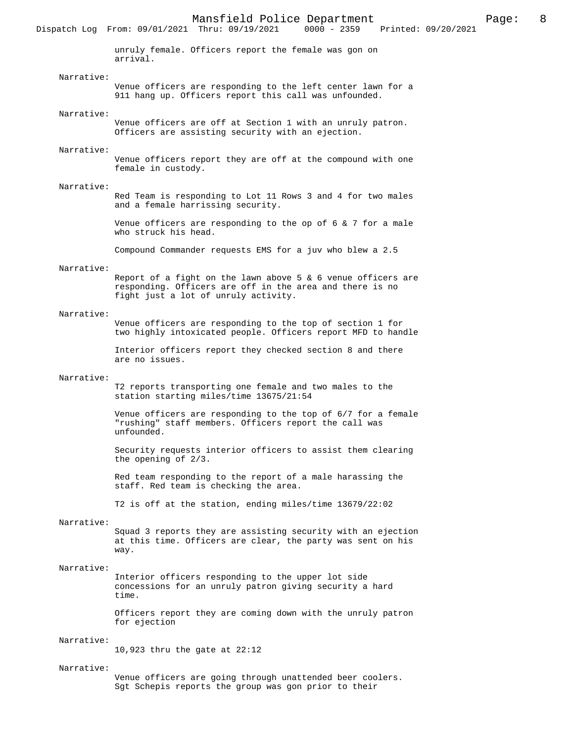unruly female. Officers report the female was gon on arrival.

## Narrative:

Dispatch Log From: 09/01/2021 Thru: 09/19/2021

Venue officers are responding to the left center lawn for a 911 hang up. Officers report this call was unfounded.

## Narrative:

Venue officers are off at Section 1 with an unruly patron. Officers are assisting security with an ejection.

### Narrative:

Venue officers report they are off at the compound with one female in custody.

#### Narrative:

Red Team is responding to Lot 11 Rows 3 and 4 for two males and a female harrissing security.

Venue officers are responding to the op of  $6 \times 7$  for a male who struck his head.

Compound Commander requests EMS for a juv who blew a 2.5

#### Narrative:

Report of a fight on the lawn above 5  $\&$  6 venue officers are responding. Officers are off in the area and there is no fight just a lot of unruly activity.

## Narrative:

Venue officers are responding to the top of section 1 for two highly intoxicated people. Officers report MFD to handle

Interior officers report they checked section 8 and there are no issues.

#### Narrative:

T2 reports transporting one female and two males to the station starting miles/time 13675/21:54

Venue officers are responding to the top of 6/7 for a female "rushing" staff members. Officers report the call was unfounded.

Security requests interior officers to assist them clearing the opening of 2/3.

Red team responding to the report of a male harassing the staff. Red team is checking the area.

T2 is off at the station, ending miles/time 13679/22:02

## Narrative:

Squad 3 reports they are assisting security with an ejection at this time. Officers are clear, the party was sent on his way.

## Narrative:

Interior officers responding to the upper lot side concessions for an unruly patron giving security a hard time.

Officers report they are coming down with the unruly patron for ejection

### Narrative:

10,923 thru the gate at 22:12

## Narrative:

Venue officers are going through unattended beer coolers. Sgt Schepis reports the group was gon prior to their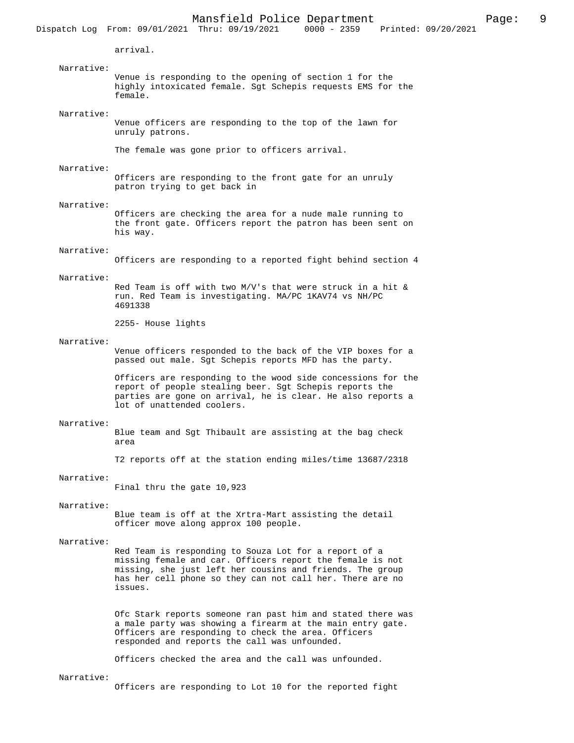arrival. Narrative: Venue is responding to the opening of section 1 for the highly intoxicated female. Sgt Schepis requests EMS for the female. Narrative: Venue officers are responding to the top of the lawn for unruly patrons. The female was gone prior to officers arrival. Narrative: Officers are responding to the front gate for an unruly patron trying to get back in Narrative: Officers are checking the area for a nude male running to the front gate. Officers report the patron has been sent on his way. Narrative: Officers are responding to a reported fight behind section 4 Narrative: Red Team is off with two M/V's that were struck in a hit & run. Red Team is investigating. MA/PC 1KAV74 vs NH/PC 4691338 2255- House lights Narrative: Venue officers responded to the back of the VIP boxes for a passed out male. Sgt Schepis reports MFD has the party. Officers are responding to the wood side concessions for the report of people stealing beer. Sgt Schepis reports the parties are gone on arrival, he is clear. He also reports a lot of unattended coolers. Narrative: Blue team and Sgt Thibault are assisting at the bag check area T2 reports off at the station ending miles/time 13687/2318 Narrative: Final thru the gate 10,923 Narrative: Blue team is off at the Xrtra-Mart assisting the detail officer move along approx 100 people. Narrative: Red Team is responding to Souza Lot for a report of a missing female and car. Officers report the female is not missing, she just left her cousins and friends. The group has her cell phone so they can not call her. There are no issues. Ofc Stark reports someone ran past him and stated there was a male party was showing a firearm at the main entry gate. Officers are responding to check the area. Officers responded and reports the call was unfounded. Officers checked the area and the call was unfounded. Narrative: Officers are responding to Lot 10 for the reported fight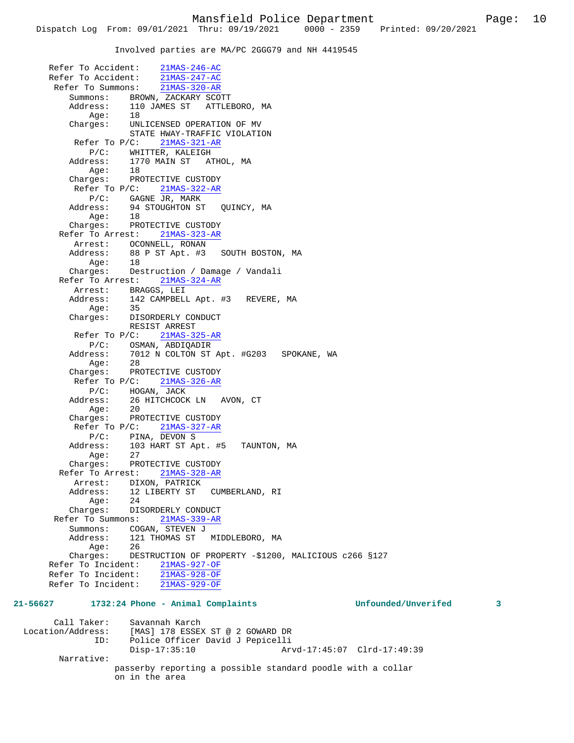Involved parties are MA/PC 2GGG79 and NH 4419545

 Refer To Accident: 21MAS-246-AC Refer To Accident: 21MAS-247-AC Refer To Summons: 21MAS-320-AR Summons: BROWN, ZACKARY SCOTT<br>Address: 110 JAMES ST ATTLE 110 JAMES ST ATTLEBORO, MA<br>18 Age: Charges: UNLICENSED OPERATION OF MV STATE HWAY-TRAFFIC VIOLATION Refer To P/C: 21MAS-321-AR P/C: WHITTER, KALEIGH Address: 1770 MAIN ST ATHOL, MA Age: 18 Charges: PROTECTIVE CUSTODY Refer To P/C: 21MAS-322-AR P/C: GAGNE JR, MARK<br>Address: 94 STOUGHTON ST 94 STOUGHTON ST QUINCY, MA Age: 18 Charges: PROTECTIVE CUSTODY Refer To Arrest: 21MAS-323-AR Arrest: OCONNELL, RONAN<br>Address: 88 P ST Apt. #3 88 P ST Apt. #3 SOUTH BOSTON, MA Age: 18 Charges: Destruction / Damage / Vandali Refer To Arrest: 21MAS-324-AR Arrest: BRAGGS, LEI Address: 142 CAMPBELL Apt. #3 REVERE, MA Age: 35 Charges: DISORDERLY CONDUCT RESIST ARREST Refer To P/C: 21MAS-325-AR P/C: OSMAN, ABDIQADIR<br>Address: 7012 N COLTON ST 7012 N COLTON ST Apt. #G203 SPOKANE, WA Age: 28 Charges: PROTECTIVE CUSTODY Refer To P/C:  $21$ MAS-326-AR P/C: HOGAN, JACK Address: 26 HITCHCOCK LN AVON, CT Age: 20 Charges: PROTECTIVE CUSTODY Refer To P/C: 21MAS-327-AR P/C: PINA, DEVON S<br>Address: 103 HART ST Ap Address: 103 HART ST Apt. #5 TAUNTON, MA Age: 27 Charges: PROTECTIVE CUSTODY Refer To Arrest: 21MAS-328-AR Arrest: DIXON, PATRICK<br>Address: 12 LIBERTY ST 12 LIBERTY ST CUMBERLAND, RI Age: 24 Charges: DISORDERLY CONDUCT Refer To Summons: 21MAS-339-AR Summons: COGAN, STEVEN J Address: 121 THOMAS ST MIDDLEBORO, MA<br>Age: 26 Age: Charges: DESTRUCTION OF PROPERTY -\$1200, MALICIOUS c266 §127 Refer To Incident: 21MAS-927-OF Refer To Incident: 21MAS-928-OF Refer To Incident: 21MAS-929-OF **21-56627 1732:24 Phone - Animal Complaints Unfounded/Unverifed 3** Call Taker: Savannah Karch<br>Location/Address: [MAS] 178 ESSE) [MAS] 178 ESSEX ST @ 2 GOWARD DR ID: Police Officer David J Pepicelli Disp-17:35:10 Arvd-17:45:07 Clrd-17:49:39 Narrative: passerby reporting a possible standard poodle with a collar

on in the area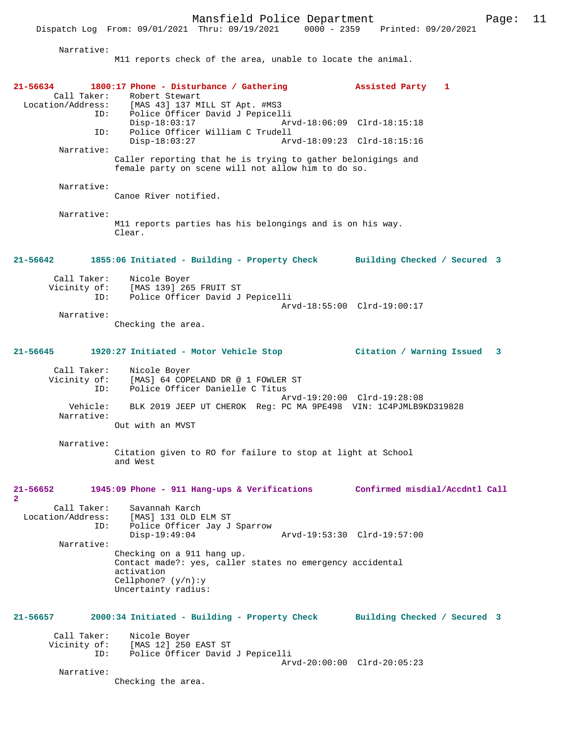Narrative:

M11 reports check of the area, unable to locate the animal.

| 21-56634<br>Call Taker:                               | 1800:17 Phone - Disturbance / Gathering<br>Robert Stewart<br>Location/Address: [MAS 43] 137 MILL ST Apt. #MS3                                        | Assisted Party 1               |
|-------------------------------------------------------|------------------------------------------------------------------------------------------------------------------------------------------------------|--------------------------------|
| ID:                                                   | Police Officer David J Pepicelli<br>$Disp-18:03:17$                                                                                                  | Arvd-18:06:09 Clrd-18:15:18    |
| ID:<br>Narrative:                                     | Police Officer William C Trudell<br>$Disp-18:03:27$                                                                                                  | Arvd-18:09:23 Clrd-18:15:16    |
|                                                       | Caller reporting that he is trying to gather belonigings and<br>female party on scene will not allow him to do so.                                   |                                |
| Narrative:                                            | Canoe River notified.                                                                                                                                |                                |
| Narrative:                                            | M11 reports parties has his belongings and is on his way.<br>Clear.                                                                                  |                                |
| $21 - 56642$                                          | 1855:06 Initiated - Building - Property Check                                                                                                        | Building Checked / Secured 3   |
| Call Taker:<br>ID:                                    | Nicole Boyer<br>Vicinity of: [MAS 139] 265 FRUIT ST<br>Police Officer David J Pepicelli                                                              |                                |
| Narrative:                                            | Checking the area.                                                                                                                                   | Arvd-18:55:00 Clrd-19:00:17    |
| 21-56645                                              | 1920:27 Initiated - Motor Vehicle Stop                                                                                                               | Citation / Warning Issued 3    |
| Call Taker:<br>Vicinity of:<br>ID:                    | Nicole Boyer<br>[MAS] 64 COPELAND DR @ 1 FOWLER ST<br>Police Officer Danielle C Titus                                                                | Arvd-19:20:00 Clrd-19:28:08    |
| Vehicle:<br>Narrative:                                | BLK 2019 JEEP UT CHEROK Reg: PC MA 9PE498 VIN: 1C4PJMLB9KD319828<br>Out with an MVST                                                                 |                                |
| Narrative:                                            |                                                                                                                                                      |                                |
|                                                       | Citation given to RO for failure to stop at light at School<br>and West                                                                              |                                |
| $21 - 56652$<br>$\overline{\mathbf{2}}$               | 1945:09 Phone - 911 Hang-ups & Verifications                                                                                                         | Confirmed misdial/Accdntl Call |
| Call Taker:<br>Location/Address:<br>ID:<br>Narrative: | Savannah Karch<br>[MAS] 131 OLD ELM ST<br>Police Officer Jay J Sparrow<br>$Disp-19:49:04$                                                            | Arvd-19:53:30 Clrd-19:57:00    |
|                                                       | Checking on a 911 hang up.<br>Contact made?: yes, caller states no emergency accidental<br>activation<br>Cellphone? $(y/n):y$<br>Uncertainty radius: |                                |
| 21-56657                                              | 2000:34 Initiated - Building - Property Check                                                                                                        | Building Checked / Secured 3   |
| Call Taker:<br>ID:                                    | Nicole Boyer<br>Vicinity of: [MAS 12] 250 EAST ST<br>Police Officer David J Pepicelli                                                                | Arvd-20:00:00 Clrd-20:05:23    |
| Narrative:                                            | Checking the area.                                                                                                                                   |                                |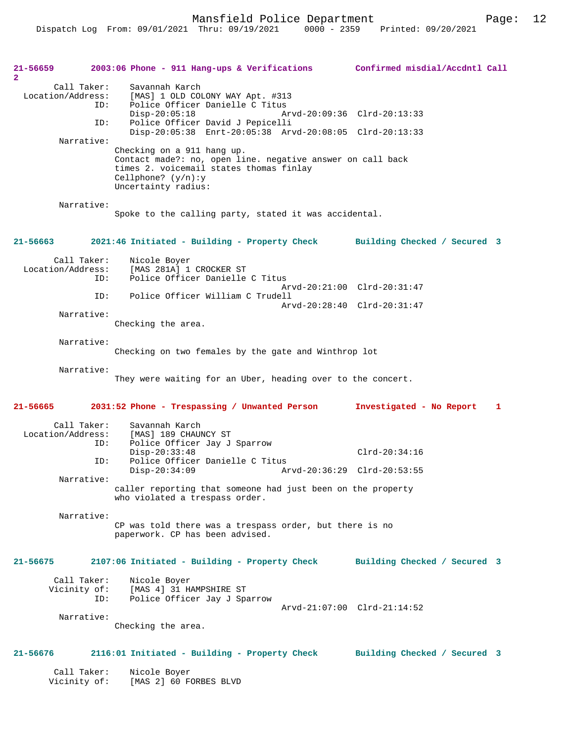Mansfield Police Department Fage: 12

| 21-56659                            |                    | 2003:06 Phone - 911 Hang-ups & Verifications                                                                                                                                       | Confirmed misdial/Accdntl Call           |
|-------------------------------------|--------------------|------------------------------------------------------------------------------------------------------------------------------------------------------------------------------------|------------------------------------------|
| $\overline{2}$<br>Location/Address: | Call Taker:<br>ID: | Savannah Karch<br>[MAS] 1 OLD COLONY WAY Apt. #313<br>Police Officer Danielle C Titus                                                                                              |                                          |
|                                     | ID:                | $Disp-20:05:18$<br>Police Officer David J Pepicelli                                                                                                                                | Arvd-20:09:36 Clrd-20:13:33              |
|                                     | Narrative:         | Disp-20:05:38 Enrt-20:05:38 Arvd-20:08:05 Clrd-20:13:33                                                                                                                            |                                          |
|                                     |                    | Checking on a 911 hang up.<br>Contact made?: no, open line. negative answer on call back<br>times 2. voicemail states thomas finlay<br>Cellphone? $(y/n):y$<br>Uncertainty radius: |                                          |
|                                     | Narrative:         | Spoke to the calling party, stated it was accidental.                                                                                                                              |                                          |
| 21-56663                            |                    | 2021:46 Initiated - Building - Property Check                                                                                                                                      | Building Checked / Secured 3             |
| Location/Address:                   | Call Taker:<br>ID: | Nicole Boyer<br>[MAS 281A] 1 CROCKER ST<br>Police Officer Danielle C Titus                                                                                                         |                                          |
|                                     | ID:                | Police Officer William C Trudell                                                                                                                                                   | Arvd-20:21:00 Clrd-20:31:47              |
|                                     | Narrative:         |                                                                                                                                                                                    | Arvd-20:28:40 Clrd-20:31:47              |
|                                     |                    | Checking the area.                                                                                                                                                                 |                                          |
|                                     | Narrative:         | Checking on two females by the gate and Winthrop lot                                                                                                                               |                                          |
|                                     | Narrative:         | They were waiting for an Uber, heading over to the concert.                                                                                                                        |                                          |
| 21-56665                            |                    | 2031:52 Phone - Trespassing / Unwanted Person                                                                                                                                      | Investigated - No Report<br>$\mathbf{1}$ |
| Location/Address:                   | Call Taker:<br>ID: | Savannah Karch<br>[MAS] 189 CHAUNCY ST<br>Police Officer Jay J Sparrow                                                                                                             |                                          |
|                                     | ID:                | $Disp-20:33:48$<br>Police Officer Danielle C Titus                                                                                                                                 | $Clrd-20:34:16$                          |
|                                     | Narrative:         | $Disp-20:34:09$                                                                                                                                                                    | Arvd-20:36:29 Clrd-20:53:55              |
|                                     |                    | caller reporting that someone had just been on the property<br>who violated a trespass order.                                                                                      |                                          |
|                                     | Narrative:         | CP was told there was a trespass order, but there is no<br>paperwork. CP has been advised.                                                                                         |                                          |
| 21-56675                            |                    | 2107:06 Initiated - Building - Property Check                                                                                                                                      | Building Checked / Secured 3             |
| Vicinity of:                        | Call Taker:<br>ID: | Nicole Boyer<br>[MAS 4] 31 HAMPSHIRE ST<br>Police Officer Jay J Sparrow                                                                                                            | Arvd-21:07:00 Clrd-21:14:52              |
|                                     | Narrative:         | Checking the area.                                                                                                                                                                 |                                          |
| 21-56676                            |                    | 2116:01 Initiated - Building - Property Check                                                                                                                                      | Building Checked / Secured 3             |
| Vicinity of:                        | Call Taker:        | Nicole Boyer<br>[MAS 2] 60 FORBES BLVD                                                                                                                                             |                                          |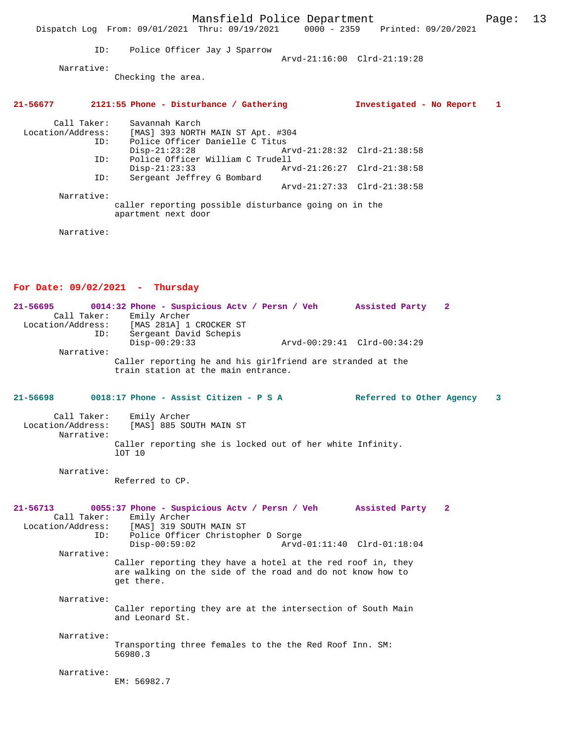|                                                  |     | Dispatch Log From: 09/01/2021 Thru: 09/19/2021 0000 - 2359 Printed: 09/20/2021                                                                                      | Mansfield Police Department |                             |  |                          | Page: | 13 |
|--------------------------------------------------|-----|---------------------------------------------------------------------------------------------------------------------------------------------------------------------|-----------------------------|-----------------------------|--|--------------------------|-------|----|
|                                                  | ID: | Police Officer Jay J Sparrow                                                                                                                                        |                             |                             |  |                          |       |    |
|                                                  |     |                                                                                                                                                                     |                             | Arvd-21:16:00 Clrd-21:19:28 |  |                          |       |    |
| Narrative:                                       |     | Checking the area.                                                                                                                                                  |                             |                             |  |                          |       |    |
| 21-56677                                         |     | 2121:55 Phone - Disturbance / Gathering                                                                                                                             |                             |                             |  | Investigated - No Report | 1     |    |
| Call Taker:<br>Location/Address:                 | ID: | Savannah Karch<br>[MAS] 393 NORTH MAIN ST Apt. #304<br>Police Officer Danielle C Titus                                                                              |                             |                             |  |                          |       |    |
|                                                  | ID: | $Disp-21:23:28$<br>Police Officer William C Trudell                                                                                                                 |                             | Arvd-21:28:32 Clrd-21:38:58 |  |                          |       |    |
|                                                  | ID: | $Disp-21:23:33$<br>Sergeant Jeffrey G Bombard                                                                                                                       |                             | Arvd-21:26:27 Clrd-21:38:58 |  |                          |       |    |
| Narrative:                                       |     |                                                                                                                                                                     |                             | Arvd-21:27:33 Clrd-21:38:58 |  |                          |       |    |
|                                                  |     | caller reporting possible disturbance going on in the<br>apartment next door                                                                                        |                             |                             |  |                          |       |    |
| Narrative:                                       |     |                                                                                                                                                                     |                             |                             |  |                          |       |    |
|                                                  |     |                                                                                                                                                                     |                             |                             |  |                          |       |    |
|                                                  |     | For Date: $09/02/2021$ - Thursday                                                                                                                                   |                             |                             |  |                          |       |    |
| $21 - 56695$                                     |     | 0014:32 Phone - Suspicious Actv / Persn / Veh Assisted Party                                                                                                        |                             |                             |  | $\mathbf{2}$             |       |    |
| Call Taker:                                      |     | Emily Archer                                                                                                                                                        |                             |                             |  |                          |       |    |
| Location/Address:                                | ID: | [MAS 281A] 1 CROCKER ST<br>Sergeant David Schepis                                                                                                                   |                             |                             |  |                          |       |    |
|                                                  |     | $Disp-00:29:33$                                                                                                                                                     |                             | Arvd-00:29:41 Clrd-00:34:29 |  |                          |       |    |
| Narrative:                                       |     | Caller reporting he and his girlfriend are stranded at the<br>train station at the main entrance.                                                                   |                             |                             |  |                          |       |    |
| 21-56698                                         |     | 0018:17 Phone - Assist Citizen - P S A                                                                                                                              |                             |                             |  | Referred to Other Agency | 3     |    |
| Call Taker:<br>Location/Address:<br>Narrative:   |     | Emily Archer<br>[MAS] 885 SOUTH MAIN ST                                                                                                                             |                             |                             |  |                          |       |    |
|                                                  |     | Caller reporting she is locked out of her white Infinity.<br>10T 10                                                                                                 |                             |                             |  |                          |       |    |
| Narrative:                                       |     | Referred to CP.                                                                                                                                                     |                             |                             |  |                          |       |    |
| $21 - 56713$<br>Call Taker:<br>Location/Address: | ID: | 0055:37 Phone - Suspicious Actv / Persn / Veh Massisted Party 2<br>Emily Archer<br>[MAS] 319 SOUTH MAIN ST<br>Police Officer Christopher D Sorge<br>$Disp-00:59:02$ |                             | Arvd-01:11:40 Clrd-01:18:04 |  |                          |       |    |
| Narrative:                                       |     |                                                                                                                                                                     |                             |                             |  |                          |       |    |
|                                                  |     | Caller reporting they have a hotel at the red roof in, they<br>are walking on the side of the road and do not know how to<br>get there.                             |                             |                             |  |                          |       |    |
| Narrative:                                       |     | Caller reporting they are at the intersection of South Main<br>and Leonard St.                                                                                      |                             |                             |  |                          |       |    |
| Narrative:                                       |     | Transporting three females to the the Red Roof Inn. SM:<br>56980.3                                                                                                  |                             |                             |  |                          |       |    |
| Narrative:                                       |     | EM: 56982.7                                                                                                                                                         |                             |                             |  |                          |       |    |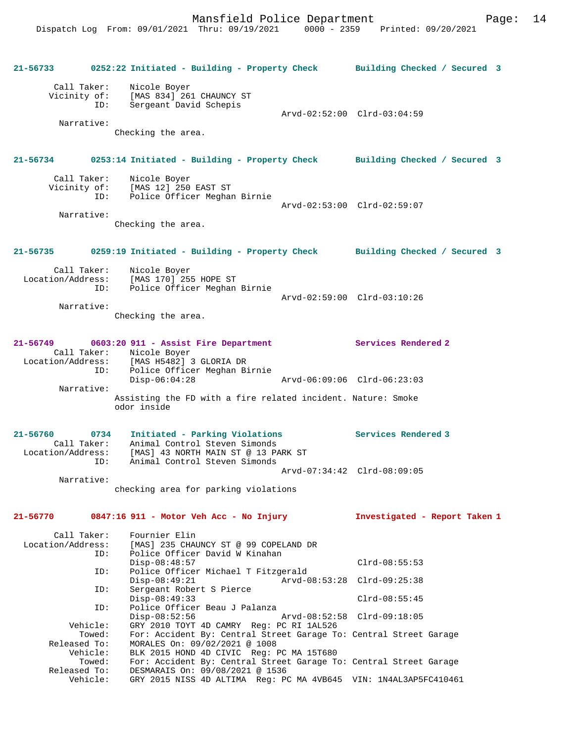**21-56733 0252:22 Initiated - Building - Property Check Building Checked / Secured 3** Call Taker: Nicole Boyer Vicinity of: [MAS 834] 261 CHAUNCY ST ID: Sergeant David Schepis Arvd-02:52:00 Clrd-03:04:59 Narrative: Checking the area. **21-56734 0253:14 Initiated - Building - Property Check Building Checked / Secured 3** Call Taker: Nicole Boyer<br>Vicinity of: [MAS 12] 250 of: [MAS 12] 250 EAST ST<br>ID: Police Officer Meaham .<br>Police Officer Meghan Birnie Arvd-02:53:00 Clrd-02:59:07 Narrative: Checking the area. **21-56735 0259:19 Initiated - Building - Property Check Building Checked / Secured 3** Call Taker: Nicole Boyer Location/Address: [MAS 170] 255 HOPE ST ID: Police Officer Meghan Birnie Arvd-02:59:00 Clrd-03:10:26 Narrative: Checking the area. **21-56749 0603:20 911 - Assist Fire Department Services Rendered 2**  Call Taker: Nicole Boyer<br>Location/Address: [MAS H5482] Location/Address: [MAS H5482] 3 GLORIA DR ID: Police Officer Meghan Birnie Disp-06:04:28 Arvd-06:09:06 Clrd-06:23:03 Narrative: Assisting the FD with a fire related incident. Nature: Smoke odor inside **21-56760 0734 Initiated - Parking Violations Services Rendered 3**  Call Taker: Animal Control Steven Simonds Location/Address: [MAS] 43 NORTH MAIN ST @ 13 PARK ST ID: Animal Control Steven Simonds Arvd-07:34:42 Clrd-08:09:05 Narrative: checking area for parking violations **21-56770 0847:16 911 - Motor Veh Acc - No Injury Investigated - Report Taken 1** Call Taker: Fournier Elin<br>Location/Address: [MAS] 235 CHAU [MAS] 235 CHAUNCY ST @ 99 COPELAND DR ID: Police Officer David W Kinahan Disp-08:48:57 Clrd-08:55:53 ID: Police Officer Michael T Fitzgerald Disp-08:49:21 Arvd-08:53:28 Clrd-09:25:38 ID: Sergeant Robert S Pierce Disp-08:49:33 Clrd-08:55:45 ID: Police Officer Beau J Palanza Disp-08:52:56 Arvd-08:52:58 Clrd-09:18:05 Vehicle: GRY 2010 TOYT 4D CAMRY Reg: PC RI 1AL526 Towed: For: Accident By: Central Street Garage To: Central Street Garage Released To: MORALES On: 09/02/2021 @ 1008 Vehicle: BLK 2015 HOND 4D CIVIC Reg: PC MA 15T680 Towed: For: Accident By: Central Street Garage To: Central Street Garage Released To: DESMARAIS On: 09/08/2021 @ 1536 Vehicle: GRY 2015 NISS 4D ALTIMA Reg: PC MA 4VB645 VIN: 1N4AL3AP5FC410461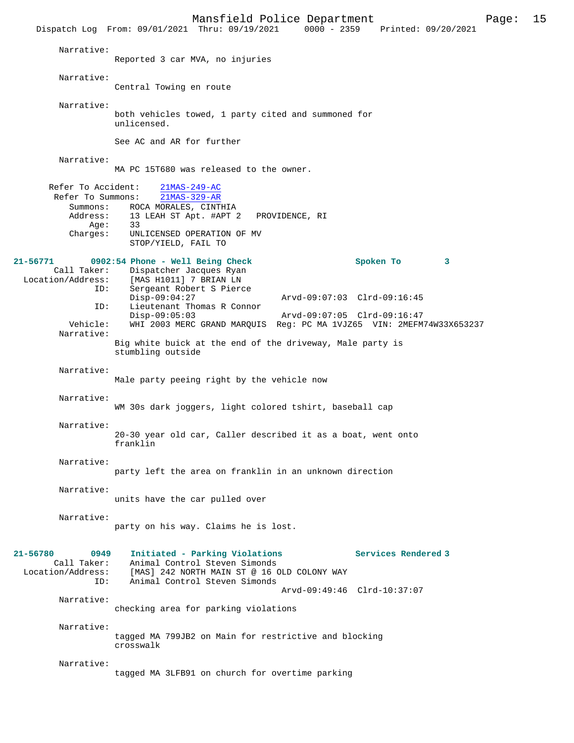Mansfield Police Department Page: 15 Dispatch Log From: 09/01/2021 Thru: 09/19/2021 Narrative: Reported 3 car MVA, no injuries Narrative: Central Towing en route Narrative: both vehicles towed, 1 party cited and summoned for unlicensed. See AC and AR for further Narrative: MA PC 15T680 was released to the owner. Refer To Accident:  $\frac{21\text{MAS}-249-\text{AC}}{21\text{MAS}-329-\text{AR}}$ Refer To Summons: Summons: ROCA MORALES, CINTHIA<br>Address: 13 LEAH ST Apt. #APT : 13 LEAH ST Apt. #APT 2 PROVIDENCE, RI<br>33 Age:<br>:Charges UNLICENSED OPERATION OF MV STOP/YIELD, FAIL TO **21-56771 0902:54 Phone - Well Being Check Spoken To 3**  Call Taker: Dispatcher Jacques Ryan<br>Location/Address: [MAS H1011] 7 BRIAN LN [MAS H1011] 7 BRIAN LN ID: Sergeant Robert S Pierce Disp-09:04:27 Arvd-09:07:03 Clrd-09:16:45 ID: Lieutenant Thomas R Connor Disp-09:05:03 Arvd-09:07:05 Clrd-09:16:47<br>Vehicle: WHI 2003 MERC GRAND MAROUIS Req: PC MA 1VJZ65 VIN: 2MEFM Vehicle: WHI 2003 MERC GRAND MARQUIS Reg: PC MA 1VJZ65 VIN: 2MEFM74W33X653237 Narrative: Big white buick at the end of the driveway, Male party is stumbling outside Narrative: Male party peeing right by the vehicle now Narrative: WM 30s dark joggers, light colored tshirt, baseball cap Narrative: 20-30 year old car, Caller described it as a boat, went onto franklin Narrative: party left the area on franklin in an unknown direction Narrative: units have the car pulled over Narrative: party on his way. Claims he is lost. **21-56780 0949 Initiated - Parking Violations Services Rendered 3**  Call Taker: Animal Control Steven Simonds<br>Location/Address: [MAS] 242 NORTH MAIN ST @ 16 0 ess: [MAS] 242 NORTH MAIN ST @ 16 OLD COLONY WAY<br>ID: Animal Control Steven Simonds Animal Control Steven Simonds Arvd-09:49:46 Clrd-10:37:07 Narrative: checking area for parking violations Narrative: tagged MA 799JB2 on Main for restrictive and blocking crosswalk Narrative: tagged MA 3LFB91 on church for overtime parking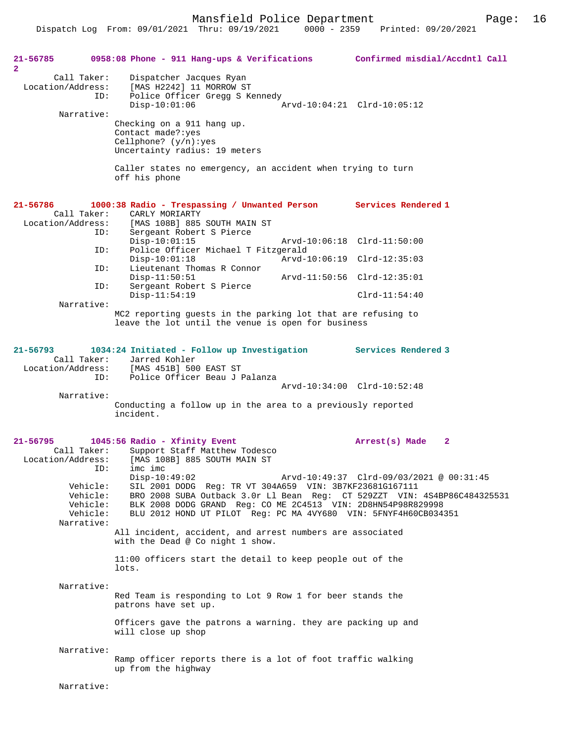Mansfield Police Department Fage: 16

| 21-56785<br>$\mathbf{2}$         |                                                     | 0958:08 Phone - 911 Hang-ups & Verifications Confirmed misdial/Accdntl Call                                                                                                                                                                                                                                                                                                             |                                          |
|----------------------------------|-----------------------------------------------------|-----------------------------------------------------------------------------------------------------------------------------------------------------------------------------------------------------------------------------------------------------------------------------------------------------------------------------------------------------------------------------------------|------------------------------------------|
| Call Taker:<br>Location/Address: | ID:                                                 | Dispatcher Jacques Ryan<br>[MAS H2242] 11 MORROW ST<br>Police Officer Gregg S Kennedy<br>$Disp-10:01:06$                                                                                                                                                                                                                                                                                | Arvd-10:04:21 Clrd-10:05:12              |
| Narrative:                       |                                                     | Checking on a 911 hang up.<br>Contact made?: yes<br>Cellphone? $(y/n):yes$<br>Uncertainty radius: 19 meters                                                                                                                                                                                                                                                                             |                                          |
|                                  |                                                     | Caller states no emergency, an accident when trying to turn<br>off his phone                                                                                                                                                                                                                                                                                                            |                                          |
| 21-56786<br>Call Taker:          |                                                     | 1000:38 Radio - Trespassing / Unwanted Person Services Rendered 1<br>CARLY MORIARTY<br>Location/Address: [MAS 108B] 885 SOUTH MAIN ST                                                                                                                                                                                                                                                   |                                          |
|                                  | ID:<br>ID:                                          | Sergeant Robert S Pierce<br>$Disp-10:01:15$<br>Police Officer Michael T Fitzgerald                                                                                                                                                                                                                                                                                                      | Arvd-10:06:18 Clrd-11:50:00              |
|                                  | ID:                                                 | $Disp-10:01:18$<br>Lieutenant Thomas R Connor                                                                                                                                                                                                                                                                                                                                           | Arvd-10:06:19 Clrd-12:35:03              |
|                                  | ID:                                                 | $Disp-11:50:51$                                                                                                                                                                                                                                                                                                                                                                         | Arvd-11:50:56 Clrd-12:35:01              |
|                                  |                                                     | Sergeant Robert S Pierce<br>$Disp-11:54:19$                                                                                                                                                                                                                                                                                                                                             | $Clrd-11:54:40$                          |
| Narrative:                       |                                                     | MC2 reporting guests in the parking lot that are refusing to<br>leave the lot until the venue is open for business                                                                                                                                                                                                                                                                      |                                          |
| 21-56793                         | ID:                                                 | 1034:24 Initiated - Follow up Investigation<br>Call Taker: Jarred Kohler<br>Location/Address: [MAS 451B] 500 EAST ST<br>Police Officer Beau J Palanza                                                                                                                                                                                                                                   | <b>Services Rendered 3</b>               |
| Narrative:                       |                                                     |                                                                                                                                                                                                                                                                                                                                                                                         | Arvd-10:34:00 Clrd-10:52:48              |
|                                  |                                                     | Conducting a follow up in the area to a previously reported<br>incident.                                                                                                                                                                                                                                                                                                                |                                          |
| 21-56795                         |                                                     | 1045:56 Radio - Xfinity Event                                                                                                                                                                                                                                                                                                                                                           | Arrest(s) Made<br>2                      |
| Call Taker:<br>Narrative:        | ID:<br>Vehicle:<br>Vehicle:<br>Vehicle:<br>Vehicle: | Support Staff Matthew Todesco<br>Location/Address: [MAS 108B] 885 SOUTH MAIN ST<br>imc imc<br>$Disp-10:49:02$<br>SIL 2001 DODG Reg: TR VT 304A659 VIN: 3B7KF23681G167111<br>BRO 2008 SUBA Outback 3.0r Ll Bean Req: CT 529ZZT VIN: 4S4BP86C484325531<br>BLK 2008 DODG GRAND Req: CO ME 2C4513 VIN: 2D8HN54P98R829998<br>BLU 2012 HOND UT PILOT Reg: PC MA 4VY680 VIN: 5FNYF4H60CB034351 | Arvd-10:49:37 Clrd-09/03/2021 @ 00:31:45 |
|                                  |                                                     | All incident, accident, and arrest numbers are associated<br>with the Dead @ Co night 1 show.                                                                                                                                                                                                                                                                                           |                                          |
|                                  |                                                     | 11:00 officers start the detail to keep people out of the<br>lots.                                                                                                                                                                                                                                                                                                                      |                                          |
| Narrative:                       |                                                     | Red Team is responding to Lot 9 Row 1 for beer stands the<br>patrons have set up.                                                                                                                                                                                                                                                                                                       |                                          |
|                                  |                                                     | Officers gave the patrons a warning. they are packing up and<br>will close up shop                                                                                                                                                                                                                                                                                                      |                                          |
| Narrative:                       |                                                     | Ramp officer reports there is a lot of foot traffic walking<br>up from the highway                                                                                                                                                                                                                                                                                                      |                                          |
| Narrative:                       |                                                     |                                                                                                                                                                                                                                                                                                                                                                                         |                                          |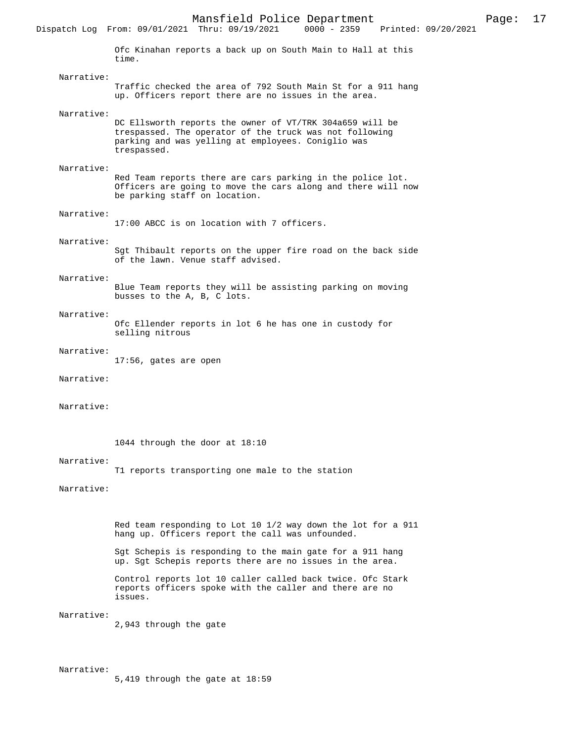Mansfield Police Department Page: 17 Dispatch Log From: 09/01/2021 Thru: 09/19/2021 Ofc Kinahan reports a back up on South Main to Hall at this time. Narrative: Traffic checked the area of 792 South Main St for a 911 hang up. Officers report there are no issues in the area. Narrative: DC Ellsworth reports the owner of VT/TRK 304a659 will be trespassed. The operator of the truck was not following parking and was yelling at employees. Coniglio was trespassed. Narrative: Red Team reports there are cars parking in the police lot. Officers are going to move the cars along and there will now be parking staff on location. Narrative: 17:00 ABCC is on location with 7 officers. Narrative: Sgt Thibault reports on the upper fire road on the back side of the lawn. Venue staff advised. Narrative: Blue Team reports they will be assisting parking on moving busses to the A, B, C lots. Narrative: Ofc Ellender reports in lot 6 he has one in custody for selling nitrous Narrative: 17:56, gates are open Narrative: Narrative: 1044 through the door at 18:10 Narrative: T1 reports transporting one male to the station Narrative: Red team responding to Lot 10 1/2 way down the lot for a 911 hang up. Officers report the call was unfounded. Sgt Schepis is responding to the main gate for a 911 hang up. Sgt Schepis reports there are no issues in the area. Control reports lot 10 caller called back twice. Ofc Stark reports officers spoke with the caller and there are no issues. Narrative: 2,943 through the gate

Narrative:

5,419 through the gate at 18:59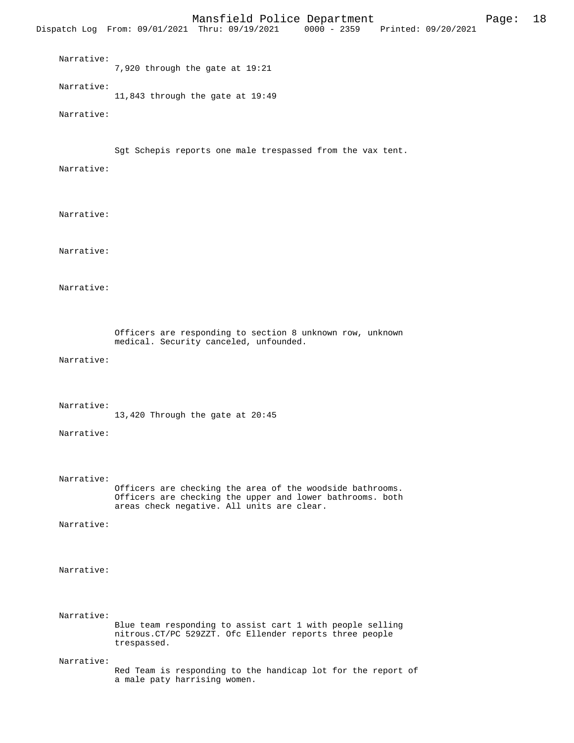Mansfield Police Department Page: 18 Dispatch Log From: 09/01/2021 Thru: 09/19/2021 Narrative: 7,920 through the gate at 19:21 Narrative: 11,843 through the gate at 19:49 Narrative: Sgt Schepis reports one male trespassed from the vax tent. Narrative: Narrative: Narrative: Narrative: Officers are responding to section 8 unknown row, unknown medical. Security canceled, unfounded. Narrative: Narrative: 13,420 Through the gate at 20:45 Narrative: Narrative: Officers are checking the area of the woodside bathrooms. Officers are checking the upper and lower bathrooms. both areas check negative. All units are clear. Narrative: Narrative: Narrative: Blue team responding to assist cart 1 with people selling nitrous.CT/PC 529ZZT. Ofc Ellender reports three people trespassed. Narrative: Red Team is responding to the handicap lot for the report of a male paty harrising women.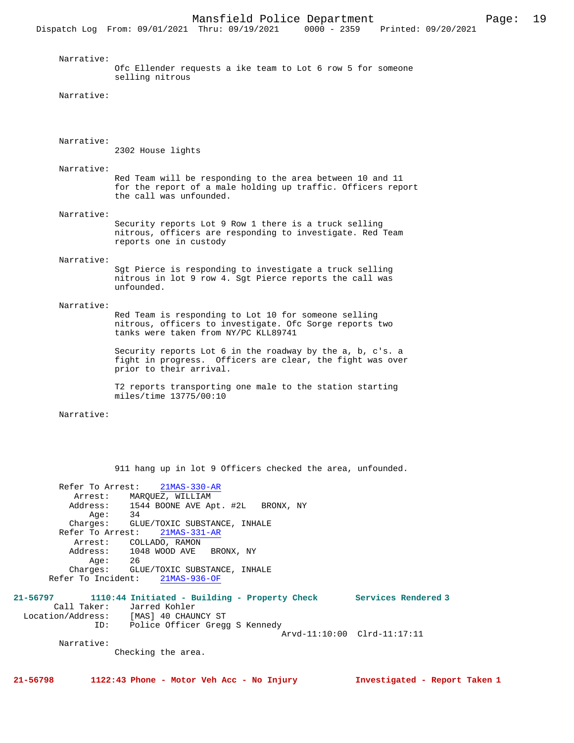Narrative: Ofc Ellender requests a ike team to Lot 6 row 5 for someone selling nitrous Narrative: Narrative: 2302 House lights Narrative: Red Team will be responding to the area between 10 and 11 for the report of a male holding up traffic. Officers report the call was unfounded. Narrative: Security reports Lot 9 Row 1 there is a truck selling nitrous, officers are responding to investigate. Red Team reports one in custody Narrative: Sgt Pierce is responding to investigate a truck selling nitrous in lot 9 row 4. Sgt Pierce reports the call was unfounded. Narrative: Red Team is responding to Lot 10 for someone selling nitrous, officers to investigate. Ofc Sorge reports two tanks were taken from NY/PC KLL89741 Security reports Lot 6 in the roadway by the a, b, c's. a fight in progress. Officers are clear, the fight was over prior to their arrival. T2 reports transporting one male to the station starting miles/time 13775/00:10 Narrative: 911 hang up in lot 9 Officers checked the area, unfounded. Refer To Arrest: 21MAS-330-AR Arrest: MARQUEZ, WILLIAM<br>Address: 1544 BOONE AVE Ap 1544 BOONE AVE Apt. #2L BRONX, NY 34 Age:<br>:Charges GLUE/TOXIC SUBSTANCE, INHALE Refer To Arrest: 21MAS-331-AR Arrest: COLLADO, RAMON<br>Address: 1048 WOOD AVE 1048 WOOD AVE BRONX, NY<br>26 Age: 26 Charges: GLUE/TOXIC SUBSTANCE, INHALE Refer To Incident: 21MAS-936-OF **21-56797 1110:44 Initiated - Building - Property Check Services Rendered 3**  Call Taker: Jarred Kohler Location/Address: [MAS] 40 CHAUNCY ST<br>ID: Police Officer Grego Police Officer Gregg S Kennedy Arvd-11:10:00 Clrd-11:17:11 Narrative: Checking the area. **21-56798 1122:43 Phone - Motor Veh Acc - No Injury Investigated - Report Taken 1**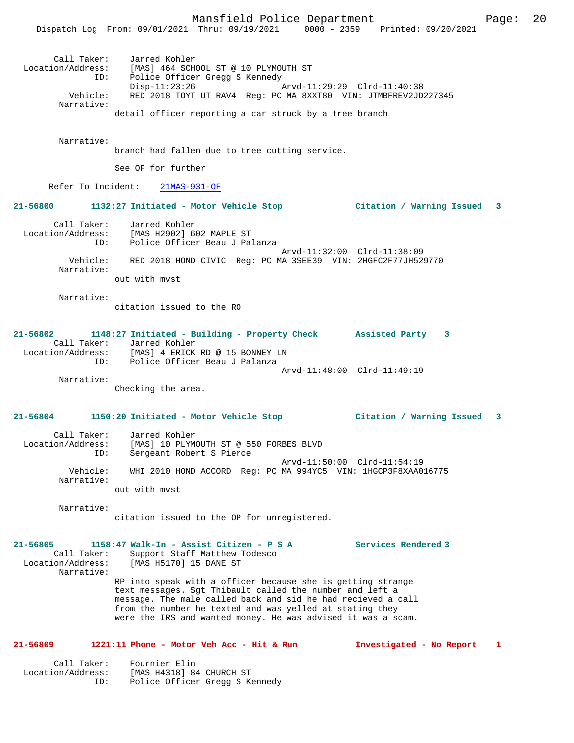| Call Taker:            | Jarred Kohler                                                                                                  |
|------------------------|----------------------------------------------------------------------------------------------------------------|
| Location/Address:      | [MAS] 464 SCHOOL ST @ 10 PLYMOUTH ST                                                                           |
| ID:                    | Police Officer Gregg S Kennedy                                                                                 |
| Vehicle:<br>Narrative: | Arvd-11:29:29 Clrd-11:40:38<br>Disp-11:23:26<br>RED 2018 TOYT UT RAV4 Req: PC MA 8XXT80 VIN: JTMBFREV2JD227345 |

detail officer reporting a car struck by a tree branch

# Narrative:

branch had fallen due to tree cutting service.

See OF for further

Refer To Incident: 21MAS-931-OF

# **21-56800 1132:27 Initiated - Motor Vehicle Stop Citation / Warning Issued 3**

| Call Taker:       | Jarred Kohler                                                |
|-------------------|--------------------------------------------------------------|
| Location/Address: | [MAS H2902] 602 MAPLE ST                                     |
| TD:               | Police Officer Beau J Palanza                                |
|                   | Arvd-11:32:00 Clrd-11:38:09                                  |
| Vehicle:          | RED 2018 HOND CIVIC Req: PC MA 3SEE39 VIN: 2HGFC2F77JH529770 |
| Narrative:        |                                                              |
|                   | out with myst                                                |

Narrative:

citation issued to the RO

## **21-56802 1148:27 Initiated - Building - Property Check Assisted Party 3**  Call Taker: Jarred Kohler Location/Address: [MAS] 4 ERICK RD @ 15 BONNEY LN ID: Police Officer Beau J Palanza Arvd-11:48:00 Clrd-11:49:19

Narrative:

Checking the area.

# **21-56804 1150:20 Initiated - Motor Vehicle Stop Citation / Warning Issued 3**

 Call Taker: Jarred Kohler Location/Address: [MAS] 10 PLYMOUTH ST @ 550 FORBES BLVD ID: Sergeant Robert S Pierce Arvd-11:50:00 Clrd-11:54:19 Vehicle: WHI 2010 HOND ACCORD Reg: PC MA 994YC5 VIN: 1HGCP3F8XAA016775 Narrative: out with mvst

Narrative:

citation issued to the OP for unregistered.

# **21-56805 1158:47 Walk-In - Assist Citizen - P S A Services Rendered 3**

 Call Taker: Support Staff Matthew Todesco Location/Address: [MAS H5170] 15 DANE ST Narrative:

RP into speak with a officer because she is getting strange text messages. Sgt Thibault called the number and left a message. The male called back and sid he had recieved a call from the number he texted and was yelled at stating they were the IRS and wanted money. He was advised it was a scam.

# **21-56809 1221:11 Phone - Motor Veh Acc - Hit & Run Investigated - No Report 1**

 Call Taker: Fournier Elin Location/Address: [MAS H4318] 84 CHURCH ST ID: Police Officer Gregg S Kennedy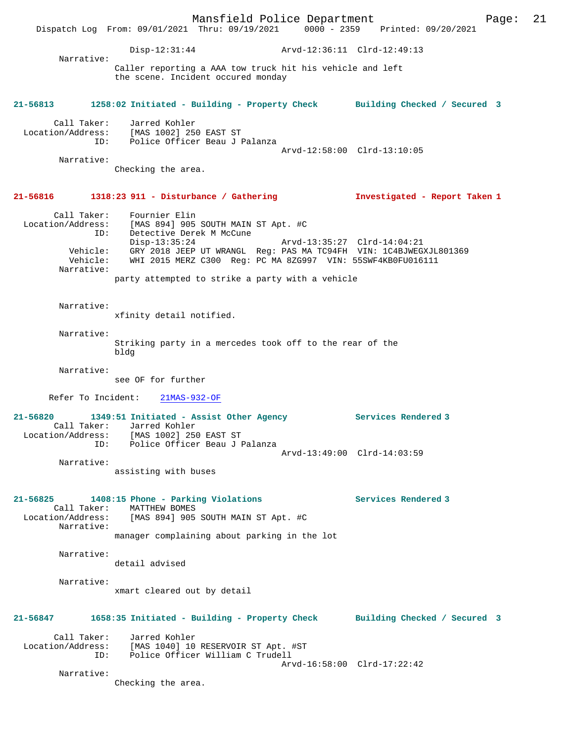Mansfield Police Department Page: 21 Dispatch Log From: 09/01/2021 Thru: 09/19/2021 0000 - 2359 Printed: 09/20/2021 Disp-12:31:44 Arvd-12:36:11 Clrd-12:49:13 Narrative: Caller reporting a AAA tow truck hit his vehicle and left the scene. Incident occured monday **21-56813 1258:02 Initiated - Building - Property Check Building Checked / Secured 3** Call Taker: Jarred Kohler Location/Address: [MAS 1002] 250 EAST ST ID: Police Officer Beau J Palanza Arvd-12:58:00 Clrd-13:10:05 Narrative: Checking the area. **21-56816 1318:23 911 - Disturbance / Gathering Investigated - Report Taken 1** Call Taker: Fournier Elin Location/Address: [MAS 894] 905 SOUTH MAIN ST Apt. #C ID: Detective Derek M McCune Disp-13:35:24 Arvd-13:35:27 Clrd-14:04:21 Vehicle: GRY 2018 JEEP UT WRANGL Reg: PAS MA TC94FH VIN: 1C4BJWEGXJL801369 Vehicle: WHI 2015 MERZ C300 Reg: PC MA 8ZG997 VIN: 55SWF4KB0FU016111 Narrative: party attempted to strike a party with a vehicle Narrative: xfinity detail notified. Narrative: Striking party in a mercedes took off to the rear of the bldg Narrative: see OF for further Refer To Incident: 21MAS-932-OF **21-56820 1349:51 Initiated - Assist Other Agency Services Rendered 3**  Call Taker: Jarred Kohler Location/Address: [MAS 1002] 250 EAST ST ID: Police Officer Beau J Palanza Arvd-13:49:00 Clrd-14:03:59 Narrative: assisting with buses **21-56825 1408:15 Phone - Parking Violations Services Rendered 3**  Call Taker: MATTHEW BOMES<br>Location/Address: [MAS 894] 905 [MAS 894] 905 SOUTH MAIN ST Apt. #C Narrative: manager complaining about parking in the lot Narrative: detail advised Narrative: xmart cleared out by detail **21-56847 1658:35 Initiated - Building - Property Check Building Checked / Secured 3** Call Taker: Jarred Kohler Location/Address: [MAS 1040] 10 RESERVOIR ST Apt. #ST ID: Police Officer William C Trudell Arvd-16:58:00 Clrd-17:22:42 Narrative: Checking the area.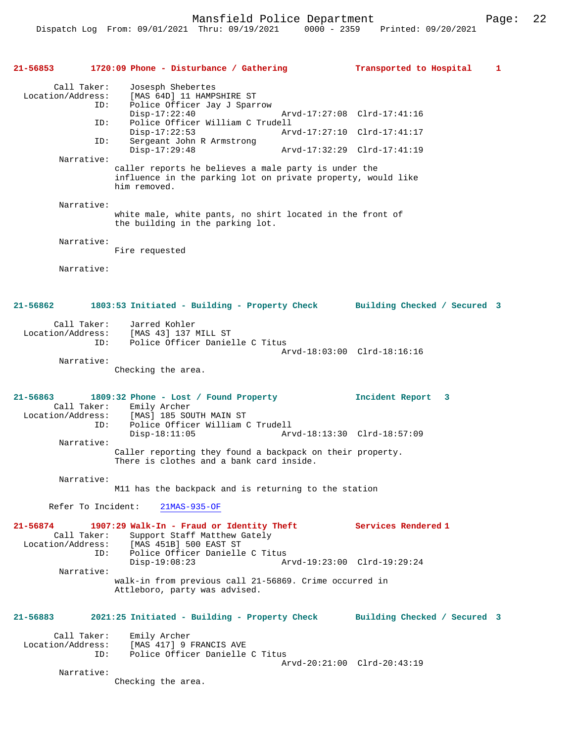**21-56853 1720:09 Phone - Disturbance / Gathering Transported to Hospital 1** Call Taker: Josesph Shebertes Location/Address: [MAS 64D] 11 HAMPSHIRE ST Police Officer Jay J Sparrow<br>Disp-17:22:40 Disp-17:22:40 Arvd-17:27:08 Clrd-17:41:16<br>ID: Police Officer William C Trudell Police Officer William C Trudell<br>Disp-17:22:53 Arv Disp-17:22:53 Arvd-17:27:10 Clrd-17:41:17<br>ID: Sergeant John R Armstrong Sergeant John R Armstrong<br>Disp-17:29:48 Disp-17:29:48 Arvd-17:32:29 Clrd-17:41:19 Narrative: caller reports he believes a male party is under the influence in the parking lot on private property, would like him removed. Narrative: white male, white pants, no shirt located in the front of the building in the parking lot. Narrative: Fire requested Narrative: **21-56862 1803:53 Initiated - Building - Property Check Building Checked / Secured 3** Call Taker: Jarred Kohler Location/Address: [MAS 43] 137 MILL ST Police Officer Danielle C Titus Arvd-18:03:00 Clrd-18:16:16 Narrative: Checking the area. **21-56863 1809:32 Phone - Lost / Found Property Incident Report 3**  Call Taker: Emily Archer<br>Location/Address: [MAS] 185 SOU [MAS] 185 SOUTH MAIN ST ID: Police Officer William C Trudell<br>Disp-18:11:05 Ary Disp-18:11:05 Arvd-18:13:30 Clrd-18:57:09 Narrative: Caller reporting they found a backpack on their property. There is clothes and a bank card inside. Narrative: M11 has the backpack and is returning to the station Refer To Incident: 21MAS-935-OF **21-56874 1907:29 Walk-In - Fraud or Identity Theft Services Rendered 1**  Call Taker: Support Staff Matthew Gately Location/Address: [MAS 451B] 500 EAST ST ID: Police Officer Danielle C Titus Disp-19:08:23 Arvd-19:23:00 Clrd-19:29:24 Narrative: walk-in from previous call 21-56869. Crime occurred in Attleboro, party was advised. **21-56883 2021:25 Initiated - Building - Property Check Building Checked / Secured 3** Call Taker: Emily Archer<br>Location/Address: [MAS 417] 9 ess: [MAS 417] 9 FRANCIS AVE<br>ID: Police Officer Danielle Police Officer Danielle C Titus Arvd-20:21:00 Clrd-20:43:19 Narrative: Checking the area.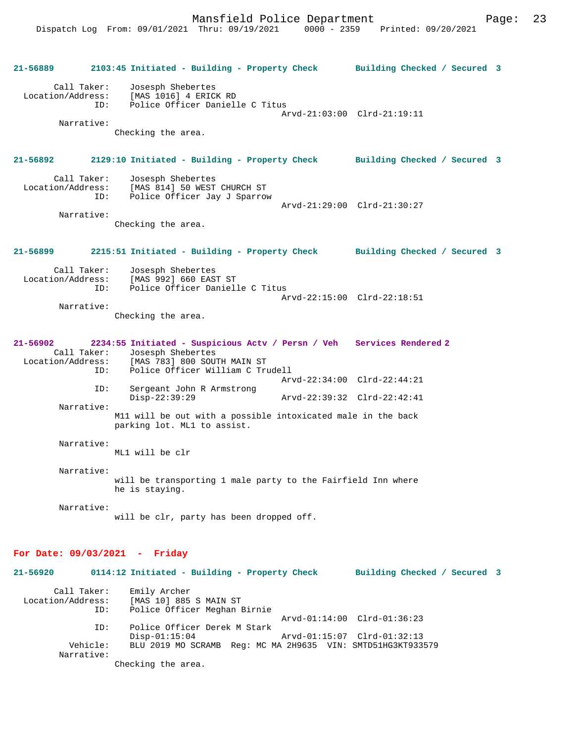Dispatch Log From: 09/01/2021 Thru: 09/19/2021

**21-56889 2103:45 Initiated - Building - Property Check Building Checked / Secured 3** Call Taker: Josesph Shebertes Location/Address: [MAS 1016] 4 ERICK RD Police Officer Danielle C Titus Arvd-21:03:00 Clrd-21:19:11 Narrative: Checking the area. **21-56892 2129:10 Initiated - Building - Property Check Building Checked / Secured 3** Call Taker: Josesph Shebertes<br>Location/Address: [MAS 814] 50 WEST [MAS 814] 50 WEST CHURCH ST ID: Police Officer Jay J Sparrow Arvd-21:29:00 Clrd-21:30:27 Narrative: Checking the area. **21-56899 2215:51 Initiated - Building - Property Check Building Checked / Secured 3** Call Taker: Josesph Shebertes<br>Location/Address: [MAS 992] 660 EAS ess: [MAS 992] 660 EAST ST<br>ID: Police Officer Daniell Police Officer Danielle C Titus Arvd-22:15:00 Clrd-22:18:51 Narrative: Checking the area. **21-56902 2234:55 Initiated - Suspicious Actv / Persn / Veh Services Rendered 2**  Call Taker: Josesph Shebertes<br>Location/Address: [MAS 783] 800 SOU ess: [MAS 783] 800 SOUTH MAIN ST<br>ID: Police Officer William C Tr Police Officer William C Trudell Arvd-22:34:00 Clrd-22:44:21<br>ID: Sergeant John R Armstrong Sergeant John R Armstrong<br>Disp-22:39:29 Disp-22:39:29 Arvd-22:39:32 Clrd-22:42:41 Narrative: M11 will be out with a possible intoxicated male in the back parking lot. ML1 to assist. Narrative: ML1 will be clr Narrative: will be transporting 1 male party to the Fairfield Inn where he is staying. Narrative: will be clr, party has been dropped off. **For Date: 09/03/2021 - Friday 21-56920 0114:12 Initiated - Building - Property Check Building Checked / Secured 3** Call Taker: Emily Archer Location/Address: [MAS 10] 885 S MAIN ST Police Officer Meghan Birnie  $Arvd-01:14:00$   $Clrd-01:36:23$ <br>TD: Police Officer Derek M Stark Police Officer Derek M Stark<br>Disp-01:15:04 Arvd-01:15:07 Clrd-01:32:13 Vehicle: BLU 2019 MO SCRAMB Reg: MC MA 2H9635 VIN: SMTD51HG3KT933579 Narrative: Checking the area.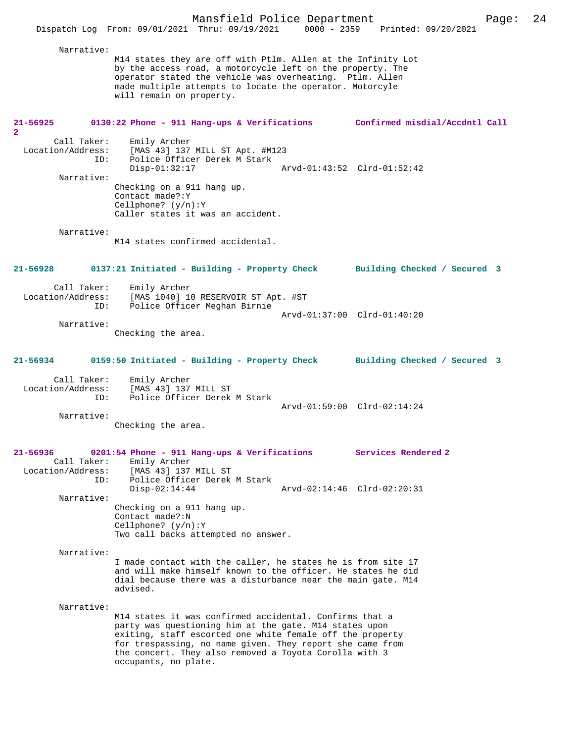|                                                         | Mansfield Police Department<br>Dispatch Log From: 09/01/2021 Thru: 09/19/2021                                                                                                                                                                                                                                                 | 0000 - 2359 Printed: 09/20/2021 | -24<br>Page: |
|---------------------------------------------------------|-------------------------------------------------------------------------------------------------------------------------------------------------------------------------------------------------------------------------------------------------------------------------------------------------------------------------------|---------------------------------|--------------|
| Narrative:                                              |                                                                                                                                                                                                                                                                                                                               |                                 |              |
|                                                         | M14 states they are off with Ptlm. Allen at the Infinity Lot<br>by the access road, a motorcycle left on the property. The<br>operator stated the vehicle was overheating. Ptlm. Allen<br>made multiple attempts to locate the operator. Motorcyle<br>will remain on property.                                                |                                 |              |
| 21-56925<br>2                                           | 0130:22 Phone - 911 Hang-ups & Verifications Confirmed misdial/Accdntl Call                                                                                                                                                                                                                                                   |                                 |              |
| Call Taker:<br>ID:                                      | Emily Archer<br>Location/Address: [MAS 43] 137 MILL ST Apt. #M123<br>Police Officer Derek M Stark                                                                                                                                                                                                                             |                                 |              |
| Narrative:                                              | $Disp-01:32:17$<br>Checking on a 911 hang up.<br>Contact made?: Y<br>Cellphone? $(y/n):Y$                                                                                                                                                                                                                                     | Arvd-01:43:52 Clrd-01:52:42     |              |
|                                                         | Caller states it was an accident.                                                                                                                                                                                                                                                                                             |                                 |              |
| Narrative:                                              | M14 states confirmed accidental.                                                                                                                                                                                                                                                                                              |                                 |              |
| 21-56928                                                | 0137:21 Initiated - Building - Property Check Building Checked / Secured 3                                                                                                                                                                                                                                                    |                                 |              |
| Call Taker:<br>ID:                                      | Emily Archer<br>Location/Address: [MAS 1040] 10 RESERVOIR ST Apt. #ST<br>Police Officer Meghan Birnie                                                                                                                                                                                                                         |                                 |              |
| Narrative:                                              |                                                                                                                                                                                                                                                                                                                               | Arvd-01:37:00 Clrd-01:40:20     |              |
|                                                         | Checking the area.                                                                                                                                                                                                                                                                                                            |                                 |              |
| 21-56934                                                | 0159:50 Initiated - Building - Property Check Building Checked / Secured 3                                                                                                                                                                                                                                                    |                                 |              |
| Call Taker:<br>Location/Address:<br>ID:                 | Emily Archer<br>[MAS 43] 137 MILL ST<br>Police Officer Derek M Stark                                                                                                                                                                                                                                                          |                                 |              |
| Narrative:                                              |                                                                                                                                                                                                                                                                                                                               | Arvd-01:59:00 Clrd-02:14:24     |              |
|                                                         | Checking the area.                                                                                                                                                                                                                                                                                                            |                                 |              |
| $21 - 56936$<br>Call Taker:<br>Location/Address:<br>ID: | 0201:54 Phone - 911 Hang-ups & Verifications<br>Emily Archer<br>[MAS 43] 137 MILL ST<br>Police Officer Derek M Stark                                                                                                                                                                                                          | Services Rendered 2             |              |
| Narrative:                                              | $Disp-02:14:44$                                                                                                                                                                                                                                                                                                               | Arvd-02:14:46 Clrd-02:20:31     |              |
|                                                         | Checking on a 911 hang up.<br>Contact made?: N<br>Cellphone? $(y/n):Y$<br>Two call backs attempted no answer.                                                                                                                                                                                                                 |                                 |              |
| Narrative:                                              | I made contact with the caller, he states he is from site 17<br>and will make himself known to the officer. He states he did<br>dial because there was a disturbance near the main gate. M14<br>advised.                                                                                                                      |                                 |              |
| Narrative:                                              | M14 states it was confirmed accidental. Confirms that a<br>party was questioning him at the gate. M14 states upon<br>exiting, staff escorted one white female off the property<br>for trespassing, no name given. They report she came from<br>the concert. They also removed a Toyota Corolla with 3<br>occupants, no plate. |                                 |              |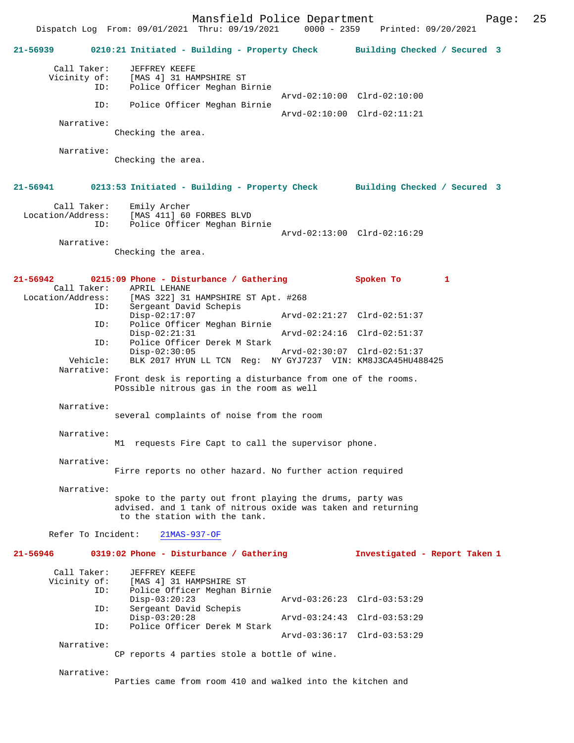Mansfield Police Department Page: 25 Dispatch Log From: 09/01/2021 Thru: 09/19/2021 **21-56939 0210:21 Initiated - Building - Property Check Building Checked / Secured 3** Call Taker: JEFFREY KEEFE<br>Vicinity of: [MAS 4] 31 HAI of: [MAS 4] 31 HAMPSHIRE ST<br>ID: Police Officer Meghan B: Police Officer Meghan Birnie Arvd-02:10:00 Clrd-02:10:00<br>FD: Police Officer Meghan Birnie Police Officer Meghan Birnie Arvd-02:10:00 Clrd-02:11:21 Narrative: Checking the area. Narrative: Checking the area. **21-56941 0213:53 Initiated - Building - Property Check Building Checked / Secured 3** Call Taker: Emily Archer<br>Location/Address: [MAS 411] 60 [MAS 411] 60 FORBES BLVD ID: Police Officer Meghan Birnie Arvd-02:13:00 Clrd-02:16:29 Narrative: Checking the area. **21-56942 0215:09 Phone - Disturbance / Gathering Spoken To 1**  Call Taker: APRIL LEHANE<br>Location/Address: [MAS 322] 31 [MAS 322] 31 HAMPSHIRE ST Apt. #268 ID: Sergeant David Schepis<br>Disp-02:17:07 Disp-02:17:07 <br>Disp-02:17:07 Arvd-02:21:27 Clrd-02:51:37<br>Dice Officer Meghan Birnie Police Officer Meghan Birnie<br>Disp-02:21:31 Disp-02:21:31 Arvd-02:24:16 Clrd-02:51:37 ID: Police Officer Derek M Stark Disp-02:30:05 Arvd-02:30:07 Clrd-02:51:37 Vehicle: BLK 2017 HYUN LL TCN Reg: NY GYJ7237 VIN: KM8J3CA45HU488425 Narrative: Front desk is reporting a disturbance from one of the rooms. POssible nitrous gas in the room as well Narrative: several complaints of noise from the room Narrative: M1 requests Fire Capt to call the supervisor phone. Narrative: Firre reports no other hazard. No further action required Narrative: spoke to the party out front playing the drums, party was advised. and 1 tank of nitrous oxide was taken and returning to the station with the tank. Refer To Incident: 21MAS-937-OF **21-56946 0319:02 Phone - Disturbance / Gathering Investigated - Report Taken 1** Call Taker: JEFFREY KEEFE<br>Vicinity of: [MAS 4] 31 HAN of: [MAS 4] 31 HAMPSHIRE ST<br>ID: Police Officer Meghan B Police Officer Meghan Birnie<br>Disp-03:20:23 Disp-03:20:23 Arvd-03:26:23 Clrd-03:53:29<br>ID: Sergeant David Schepis Sergeant David Schepis<br>Disp-03:20:28 Disp-03:20:28 Arvd-03:24:43 Clrd-03:53:29<br>ID: Police Officer Derek M Stark Police Officer Derek M Stark Arvd-03:36:17 Clrd-03:53:29 Narrative: CP reports 4 parties stole a bottle of wine. Narrative:

Parties came from room 410 and walked into the kitchen and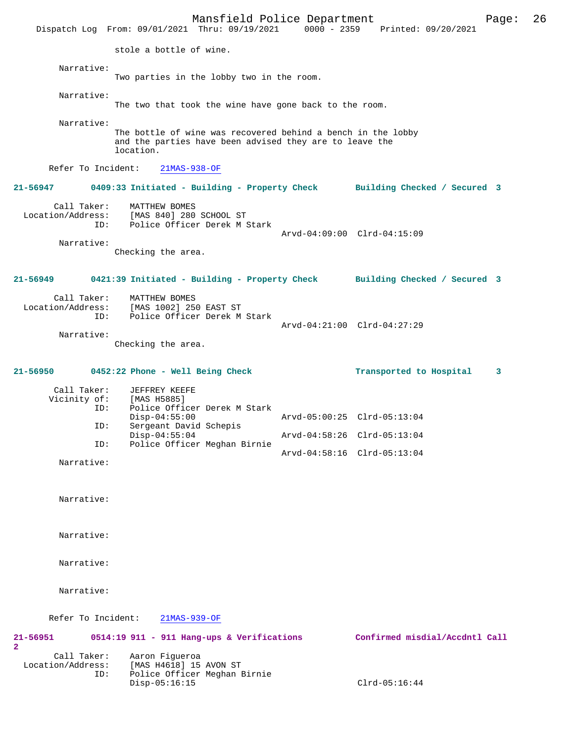Mansfield Police Department Form Page: 26 Dispatch Log From: 09/01/2021 Thru: 09/19/2021 0000 - 2359 Printed: 09/20/2021 stole a bottle of wine. Narrative: Two parties in the lobby two in the room. Narrative: The two that took the wine have gone back to the room. Narrative: The bottle of wine was recovered behind a bench in the lobby and the parties have been advised they are to leave the location. Refer To Incident: 21MAS-938-OF **21-56947 0409:33 Initiated - Building - Property Check Building Checked / Secured 3** Call Taker: MATTHEW BOMES Location/Address: [MAS 840] 280 SCHOOL ST ID: Police Officer Derek M Stark Arvd-04:09:00 Clrd-04:15:09 Narrative: Checking the area. **21-56949 0421:39 Initiated - Building - Property Check Building Checked / Secured 3** Call Taker: MATTHEW BOMES<br>Location/Address: [MAS 1002] 250 Location/Address: [MAS 1002] 250 EAST ST ID: Police Officer Derek M Stark Arvd-04:21:00 Clrd-04:27:29 Narrative: Checking the area. **21-56950 0452:22 Phone - Well Being Check Transported to Hospital 3** Call Taker: JEFFREY KEEFE<br>Vicinity of: [MAS H5885] Vicinity of:<br>ID: Police Officer Derek M Stark<br>Disp-04:55:00 Disp-04:55:00 Arvd-05:00:25 Clrd-05:13:04 ID: Sergeant David Schepis Disp-04:55:04 Arvd-04:58:26 Clrd-05:13:04<br>TD: Police Officer Meghan Birnie Police Officer Meghan Birnie Arvd-04:58:16 Clrd-05:13:04 Narrative: Narrative: Narrative: Narrative: Narrative: Refer To Incident: 21MAS-939-OF **21-56951 0514:19 911 - 911 Hang-ups & Verifications Confirmed misdial/Accdntl Call 2**  Call Taker: Aaron Figueroa<br>Location/Address: [MAS H4618] 15 ess: [MAS H4618] 15 AVON ST<br>ID: Police Officer Meghan I Police Officer Meghan Birnie Disp-05:16:15 Clrd-05:16:44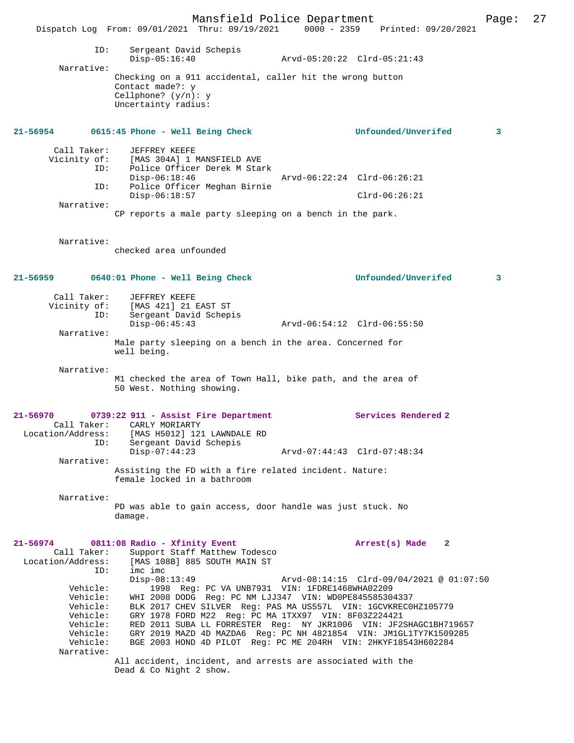Mansfield Police Department Page: 27 Dispatch Log From: 09/01/2021 Thru: 09/19/2021 0000 - 2359 Printed: 09/20/2021 ID: Sergeant David Schepis Disp-05:16:40 Arvd-05:20:22 Clrd-05:21:43 Narrative: Checking on a 911 accidental, caller hit the wrong button Contact made?: y Cellphone? (y/n): y Uncertainty radius: **21-56954 0615:45 Phone - Well Being Check Unfounded/Unverifed 3** Call Taker: JEFFREY KEEFE<br>Vicinity of: [MAS 304A] 1 1 of: [MAS 304A] 1 MANSFIELD AVE<br>ID: Police Officer Derek M Stai Police Officer Derek M Stark Disp-06:18:46 Arvd-06:22:24 Clrd-06:26:21<br>TD: Police Officer Meghan Birnie Police Officer Meghan Birnie Disp-06:18:57 Clrd-06:26:21 Narrative: CP reports a male party sleeping on a bench in the park. Narrative: checked area unfounded **21-56959 0640:01 Phone - Well Being Check Unfounded/Unverifed 3** Call Taker: JEFFREY KEEFE Vicinity of: [MAS 421] 21 EAST ST ID: Sergeant David Schepis Disp-06:45:43 Arvd-06:54:12 Clrd-06:55:50 Narrative: Male party sleeping on a bench in the area. Concerned for well being. Narrative: M1 checked the area of Town Hall, bike path, and the area of 50 West. Nothing showing. **21-56970 0739:22 911 - Assist Fire Department Services Rendered 2**  Call Taker: CARLY MORIARTY<br>Location/Address: [MAS H5012] 121 ess: [MAS H5012] 121 LAWNDALE RD<br>ID: Sergeant David Schepis Sergeant David Schepis<br>Disp-07:44:23 Disp-07:44:23 Arvd-07:44:43 Clrd-07:48:34 Narrative: Assisting the FD with a fire related incident. Nature: female locked in a bathroom Narrative: PD was able to gain access, door handle was just stuck. No damage. **21-56974 0811:08 Radio - Xfinity Event Arrest(s) Made 2**  Call Taker: Support Staff Matthew Todesco<br>Location/Address: [MAS 108B] 885 SOUTH MAIN ST ess: [MAS 108B] 885 SOUTH MAIN ST<br>ID: imc imc imc imc<br>Disp-08:13:49 Disp-08:13:49 Arvd-08:14:15 Clrd-09/04/2021 @ 01:07:50 Vehicle: 1998 Reg: PC VA UNB7931 VIN: 1FDRE1468WHA02209 Vehicle: WHI 2008 DODG Reg: PC NM LJJ347 VIN: WD0PE845585304337 Vehicle: BLK 2017 CHEV SILVER Reg: PAS MA US557L VIN: 1GCVKREC0HZ105779 Vehicle: GRY 1978 FORD M22 Reg: PC MA 1TXX97 VIN: 8F03Z224421 Vehicle: RED 2011 SUBA LL FORRESTER Reg: NY JKR1006 VIN: JF2SHAGC1BH719657 Vehicle: GRY 2019 MAZD 4D MAZDA6 Reg: PC NH 4821854 VIN: JM1GL1TY7K1509285 Vehicle: BGE 2003 HOND 4D PILOT Reg: PC ME 204RH VIN: 2HKYF18543H602284 Narrative: All accident, incident, and arrests are associated with the

Dead & Co Night 2 show.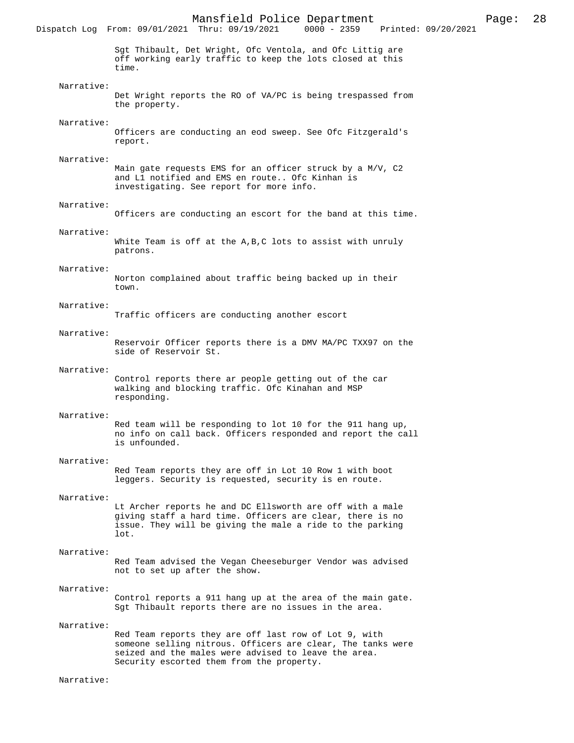Mansfield Police Department Page: 28 Dispatch Log From: 09/01/2021 Thru: 09/19/2021 Sgt Thibault, Det Wright, Ofc Ventola, and Ofc Littig are off working early traffic to keep the lots closed at this time. Narrative: Det Wright reports the RO of VA/PC is being trespassed from the property. Narrative: Officers are conducting an eod sweep. See Ofc Fitzgerald's report. Narrative: Main gate requests EMS for an officer struck by a M/V, C2 and L1 notified and EMS en route.. Ofc Kinhan is investigating. See report for more info. Narrative: Officers are conducting an escort for the band at this time. Narrative: White Team is off at the A,B,C lots to assist with unruly patrons. Narrative: Norton complained about traffic being backed up in their town. Narrative: Traffic officers are conducting another escort Narrative: Reservoir Officer reports there is a DMV MA/PC TXX97 on the side of Reservoir St. Narrative: Control reports there ar people getting out of the car walking and blocking traffic. Ofc Kinahan and MSP responding. Narrative: Red team will be responding to lot 10 for the 911 hang up, no info on call back. Officers responded and report the call is unfounded. Narrative: Red Team reports they are off in Lot 10 Row 1 with boot leggers. Security is requested, security is en route. Narrative: Lt Archer reports he and DC Ellsworth are off with a male giving staff a hard time. Officers are clear, there is no issue. They will be giving the male a ride to the parking lot. Narrative: Red Team advised the Vegan Cheeseburger Vendor was advised not to set up after the show. Narrative: Control reports a 911 hang up at the area of the main gate. Sgt Thibault reports there are no issues in the area. Narrative: Red Team reports they are off last row of Lot 9, with someone selling nitrous. Officers are clear, The tanks were seized and the males were advised to leave the area. Security escorted them from the property.

Narrative: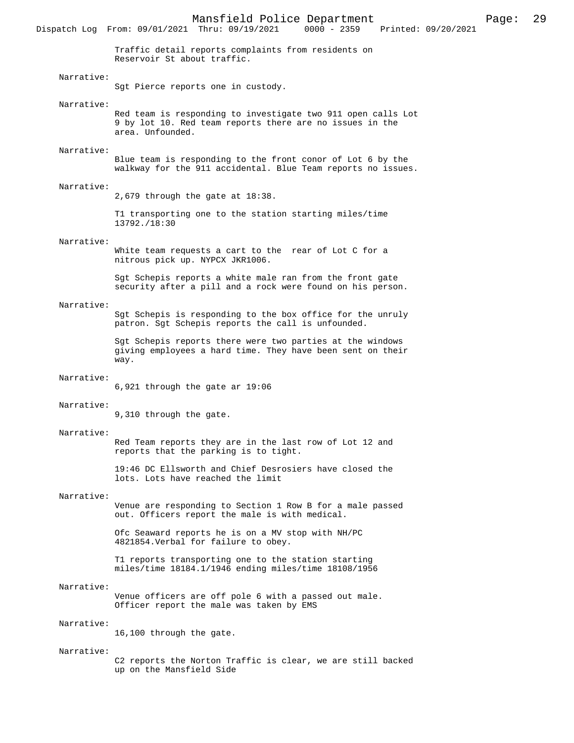Dispatch Log From: 09/01/2021 Thru: 09/19/2021

Traffic detail reports complaints from residents on Reservoir St about traffic.

## Narrative:

Sgt Pierce reports one in custody.

#### Narrative:

Red team is responding to investigate two 911 open calls Lot 9 by lot 10. Red team reports there are no issues in the area. Unfounded.

## Narrative:

Blue team is responding to the front conor of Lot 6 by the walkway for the 911 accidental. Blue Team reports no issues.

#### Narrative:

2,679 through the gate at 18:38.

T1 transporting one to the station starting miles/time 13792./18:30

## Narrative:

White team requests a cart to the rear of Lot C for a nitrous pick up. NYPCX JKR1006.

Sgt Schepis reports a white male ran from the front gate security after a pill and a rock were found on his person.

#### Narrative:

Sgt Schepis is responding to the box office for the unruly patron. Sgt Schepis reports the call is unfounded.

Sgt Schepis reports there were two parties at the windows giving employees a hard time. They have been sent on their way.

#### Narrative:

6,921 through the gate ar 19:06

## Narrative:

9,310 through the gate.

#### Narrative:

Red Team reports they are in the last row of Lot 12 and reports that the parking is to tight.

19:46 DC Ellsworth and Chief Desrosiers have closed the lots. Lots have reached the limit

#### Narrative:

Venue are responding to Section 1 Row B for a male passed out. Officers report the male is with medical.

Ofc Seaward reports he is on a MV stop with NH/PC 4821854.Verbal for failure to obey.

T1 reports transporting one to the station starting miles/time 18184.1/1946 ending miles/time 18108/1956

#### Narrative:

Venue officers are off pole 6 with a passed out male. Officer report the male was taken by EMS

## Narrative:

16,100 through the gate.

### Narrative:

C2 reports the Norton Traffic is clear, we are still backed up on the Mansfield Side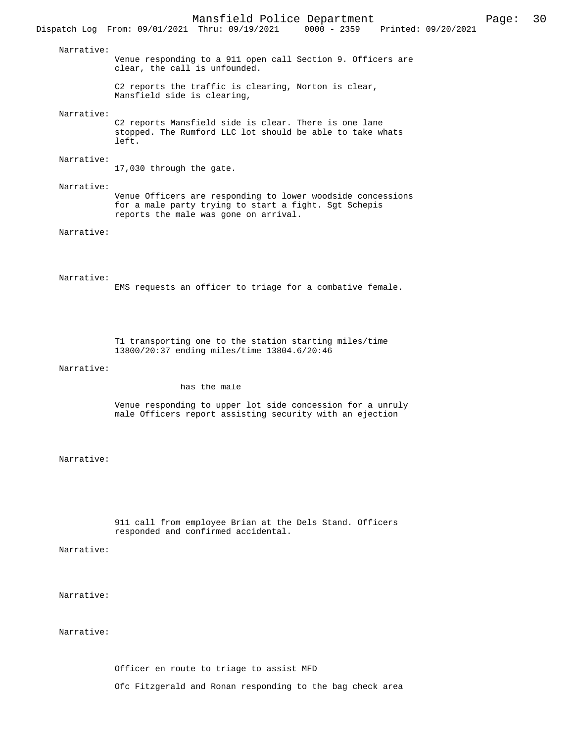Narrative:

Venue responding to a 911 open call Section 9. Officers are clear, the call is unfounded.

C2 reports the traffic is clearing, Norton is clear, Mansfield side is clearing,

Narrative:

C2 reports Mansfield side is clear. There is one lane stopped. The Rumford LLC lot should be able to take whats left.

Narrative:

17,030 through the gate.

 Narrative: Venue Officers are responding to lower woodside concessions for a male party trying to start a fight. Sgt Schepis reports the male was gone on arrival.

Narrative:

Narrative:

EMS requests an officer to triage for a combative female.

T1 transporting one to the station starting miles/time 13800/20:37 ending miles/time 13804.6/20:46

Narrative:

has the male

Venue responding to upper lot side concession for a unruly male Officers report assisting security with an ejection

Narrative:

911 call from employee Brian at the Dels Stand. Officers responded and confirmed accidental.

Narrative:

Narrative:

Narrative:

Officer en route to triage to assist MFD

Ofc Fitzgerald and Ronan responding to the bag check area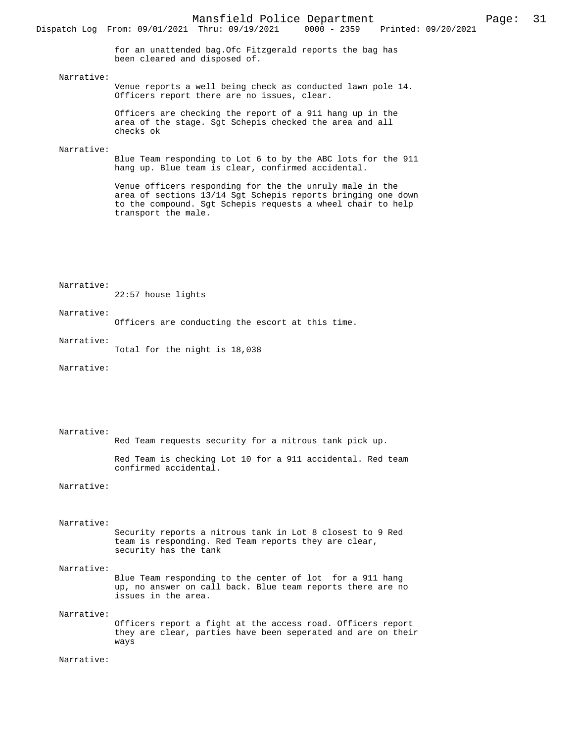for an unattended bag.Ofc Fitzgerald reports the bag has been cleared and disposed of.

## Narrative:

Venue reports a well being check as conducted lawn pole 14. Officers report there are no issues, clear.

Officers are checking the report of a 911 hang up in the area of the stage. Sgt Schepis checked the area and all checks ok

## Narrative:

Blue Team responding to Lot 6 to by the ABC lots for the 911 hang up. Blue team is clear, confirmed accidental.

Venue officers responding for the the unruly male in the area of sections 13/14 Sgt Schepis reports bringing one down to the compound. Sgt Schepis requests a wheel chair to help transport the male.

Narrative:

22:57 house lights

#### Narrative:

Officers are conducting the escort at this time.

#### Narrative:

Total for the night is 18,038

Narrative:

 Narrative: Red Team requests security for a nitrous tank pick up.

> Red Team is checking Lot 10 for a 911 accidental. Red team confirmed accidental.

Narrative:

 Narrative: Security reports a nitrous tank in Lot 8 closest to 9 Red team is responding. Red Team reports they are clear, security has the tank

### Narrative:

Blue Team responding to the center of lot for a 911 hang up, no answer on call back. Blue team reports there are no issues in the area.

## Narrative:

Officers report a fight at the access road. Officers report they are clear, parties have been seperated and are on their ways

Narrative: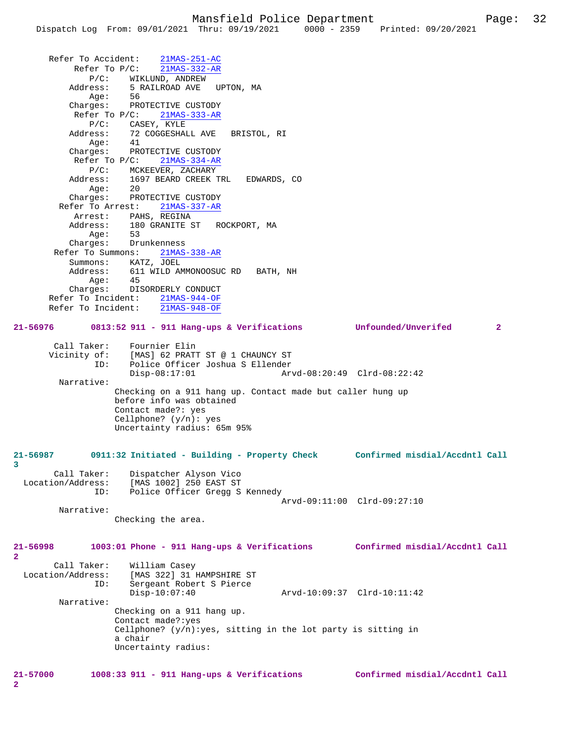Refer To Accident: 21MAS-251-AC Refer To P/C: 21MAS-332-AR P/C: WIKLUND, ANDREW Address: 5 RAILROAD AVE UPTON, MA Age: 56 Charges: PROTECTIVE CUSTODY Refer To P/C:  $\frac{21MAS-333-AR}{21MAS-333-AR}$ P/C: CASEY, KYLE<br>Address: 72 COGGESHAI 72 COGGESHALL AVE BRISTOL, RI<br>41 Age: Charges: PROTECTIVE CUSTODY Refer To P/C: 21MAS-334-AR P/C: MCKEEVER, ZACHARY Address: 1697 BEARD CREEK TRL EDWARDS, CO Age: 20 Charges: PROTECTIVE CUSTODY Refer To Arrest: 21MAS-337-AR Arrest: PAHS, REGINA Address: 180 GRANITE ST ROCKPORT, MA Age: 53 Charges: Drunkenness Refer To Summons: 21MAS-338-AR Summons: KATZ, JOEL 611 WILD AMMONOOSUC RD BATH, NH<br>45  $Age:$  Charges: DISORDERLY CONDUCT Refer To Incident:  $\frac{21\text{MAS}-944-\text{OF}}{21\text{MAS}-948-\text{OF}}$ Refer To Incident: **21-56976 0813:52 911 - 911 Hang-ups & Verifications Unfounded/Unverifed 2** Call Taker: Fournier Elin Vicinity of: [MAS] 62 PRATT ST @ 1 CHAUNCY ST ID: Police Officer Joshua S Ellender Disp-08:17:01 Arvd-08:20:49 Clrd-08:22:42 Narrative: Checking on a 911 hang up. Contact made but caller hung up before info was obtained Contact made?: yes Cellphone? (y/n): yes Uncertainty radius: 65m 95% **21-56987 0911:32 Initiated - Building - Property Check Confirmed misdial/Accdntl Call 3**  Call Taker: Dispatcher Alyson Vico Location/Address: [MAS 1002] 250 EAST ST ID: Police Officer Gregg S Kennedy Arvd-09:11:00 Clrd-09:27:10 Narrative: Checking the area. **21-56998 1003:01 Phone - 911 Hang-ups & Verifications Confirmed misdial/Accdntl Call 2**  Call Taker: William Casey<br>Location/Address: [MAS 322] 31 B ess: [MAS 322] 31 HAMPSHIRE ST<br>ID: Sergeant Robert S Pierce Sergeant Robert S Pierce<br>Disp-10:07:40 Disp-10:07:40 Arvd-10:09:37 Clrd-10:11:42 Narrative: Checking on a 911 hang up. Contact made?:yes Cellphone?  $(y/n):yes$ , sitting in the lot party is sitting in a chair Uncertainty radius:

**2**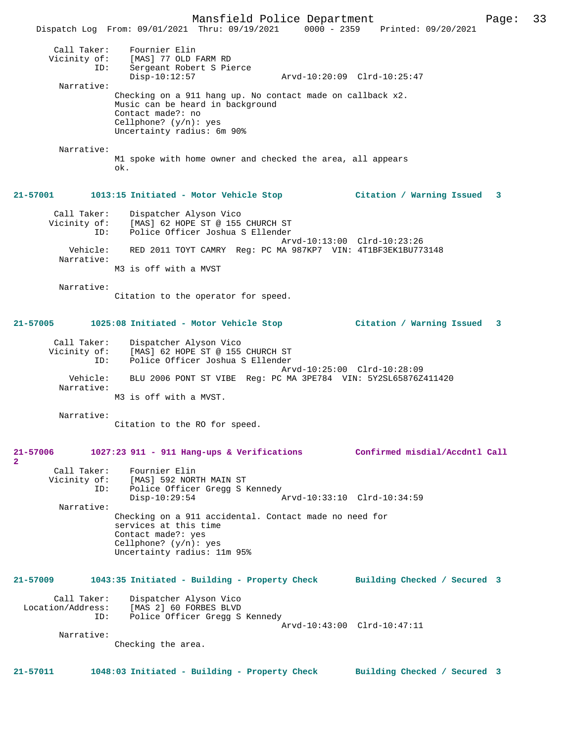Mansfield Police Department Page: 33 Dispatch Log From: 09/01/2021 Thru: 09/19/2021 0000 - 2359 Printed: 09/20/2021 Call Taker: Fournier Elin<br>Vicinity of: [MAS] 77 OLD F of: [MAS] 77 OLD FARM RD<br>ID: Sergeant Robert S Pie Sergeant Robert S Pierce<br>Disp-10:12:57 Disp-10:12:57 Arvd-10:20:09 Clrd-10:25:47 Narrative: Checking on a 911 hang up. No contact made on callback x2. Music can be heard in background Contact made?: no Cellphone? (y/n): yes Uncertainty radius: 6m 90% Narrative: M1 spoke with home owner and checked the area, all appears ok. **21-57001 1013:15 Initiated - Motor Vehicle Stop Citation / Warning Issued 3** Call Taker: Dispatcher Alyson Vico Vicinity of: [MAS] 62 HOPE ST @ 155 CHURCH ST ID: Police Officer Joshua S Ellender Arvd-10:13:00 Clrd-10:23:26 Vehicle: RED 2011 TOYT CAMRY Reg: PC MA 987KP7 VIN: 4T1BF3EK1BU773148 Narrative: M3 is off with a MVST Narrative: Citation to the operator for speed. **21-57005 1025:08 Initiated - Motor Vehicle Stop Citation / Warning Issued 3** Call Taker: Dispatcher Alyson Vico Vicinity of: [MAS] 62 HOPE ST @ 155 CHURCH ST ID: Police Officer Joshua S Ellender Arvd-10:25:00 Clrd-10:28:09 Vehicle: BLU 2006 PONT ST VIBE Reg: PC MA 3PE784 VIN: 5Y2SL65876Z411420 Narrative: M3 is off with a MVST. Narrative: Citation to the RO for speed. **21-57006 1027:23 911 - 911 Hang-ups & Verifications Confirmed misdial/Accdntl Call** Call Taker: Fournier Elin<br>Vicinity of: [MAS] 592 NORT of: [MAS] 592 NORTH MAIN ST<br>ID: Police Officer Gread S Police Officer Gregg S Kennedy Disp-10:29:54 Arvd-10:33:10 Clrd-10:34:59 Narrative: Checking on a 911 accidental. Contact made no need for services at this time Contact made?: yes Cellphone? (y/n): yes Uncertainty radius: 11m 95% **21-57009 1043:35 Initiated - Building - Property Check Building Checked / Secured 3** Call Taker: Dispatcher Alyson Vico Location/Address: [MAS 2] 60 FORBES BLVD ID: Police Officer Gregg S Kennedy Arvd-10:43:00 Clrd-10:47:11 Narrative: Checking the area. **21-57011 1048:03 Initiated - Building - Property Check Building Checked / Secured 3**

**2**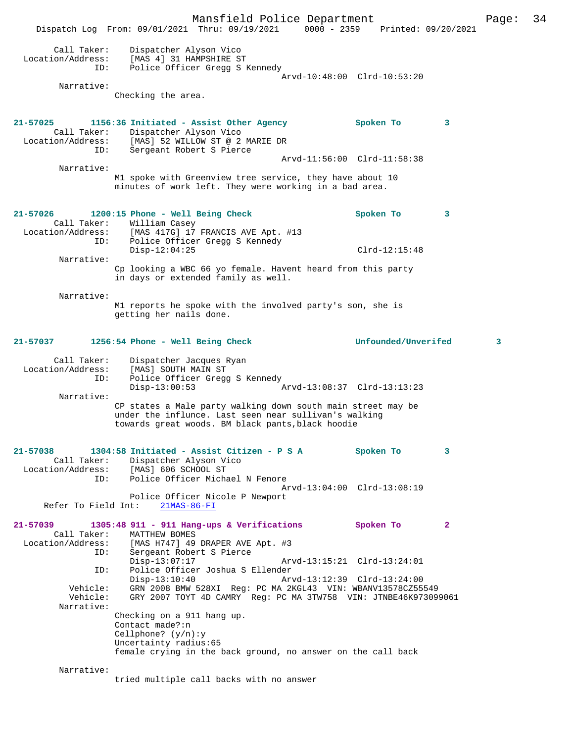Mansfield Police Department Page: 34 Dispatch Log From: 09/01/2021 Thru: 09/19/2021 0000 - 2359 Printed: 09/20/2021 Call Taker: Dispatcher Alyson Vico Location/Address: [MAS 4] 31 HAMPSHIRE ST ID: Police Officer Gregg S Kennedy Arvd-10:48:00 Clrd-10:53:20 Narrative: Checking the area. **21-57025 1156:36 Initiated - Assist Other Agency Spoken To 3**  Call Taker: Dispatcher Alyson Vico Location/Address: [MAS] 52 WILLOW ST @ 2 MARIE DR ID: Sergeant Robert S Pierce Arvd-11:56:00 Clrd-11:58:38 Narrative: M1 spoke with Greenview tree service, they have about 10 minutes of work left. They were working in a bad area. **21-57026 1200:15 Phone - Well Being Check Spoken To 3**  Call Taker: William Casey Location/Address: [MAS 417G] 17 FRANCIS AVE Apt. #13 ID: Police Officer Gregg S Kennedy Disp-12:04:25 Clrd-12:15:48 Narrative: Cp looking a WBC 66 yo female. Havent heard from this party in days or extended family as well. Narrative: M1 reports he spoke with the involved party's son, she is getting her nails done. **21-57037 1256:54 Phone - Well Being Check Unfounded/Unverifed 3** Call Taker: Dispatcher Jacques Ryan Location/Address: [MAS] SOUTH MAIN ST ID: Police Officer Gregg S Kennedy<br>Disp-13:00:53 Disp-13:00:53 Arvd-13:08:37 Clrd-13:13:23 Narrative: CP states a Male party walking down south main street may be under the influnce. Last seen near sullivan's walking towards great woods. BM black pants,black hoodie **21-57038 1304:58 Initiated - Assist Citizen - P S A Spoken To 3**  Call Taker: Dispatcher Alyson Vico Location/Address: [MAS] 606 SCHOOL ST<br>ID: Police Officer Micha Police Officer Michael N Fenore Arvd-13:04:00 Clrd-13:08:19 Police Officer Nicole P Newport Refer To Field Int: 21MAS-86-FI **21-57039 1305:48 911 - 911 Hang-ups & Verifications Spoken To 2**  Call Taker: MATTHEW BOMES Location/Address: [MAS H747] 49 DRAPER AVE Apt. #3 ID: Sergeant Robert S Pierce<br>Disp-13:07:17 Arvd-13:15:21 Clrd-13:24:01 ID: Police Officer Joshua S Ellender<br>Disp-13:10:40 Arvd-13:12:39 Clrd-13:24:00 Disp-13:10:40 Arvd-13:12:39 Clrd-13:24:00 Vehicle: GRN 2008 BMW 528XI Reg: PC MA 2KGL43 VIN: WBANV13578CZ55549 Vehicle: GRY 2007 TOYT 4D CAMRY Reg: PC MA 3TW758 VIN: JTNBE46K973099061 Narrative: Checking on a 911 hang up. Contact made?:n Cellphone? (y/n):y Uncertainty radius:65 female crying in the back ground, no answer on the call back Narrative: tried multiple call backs with no answer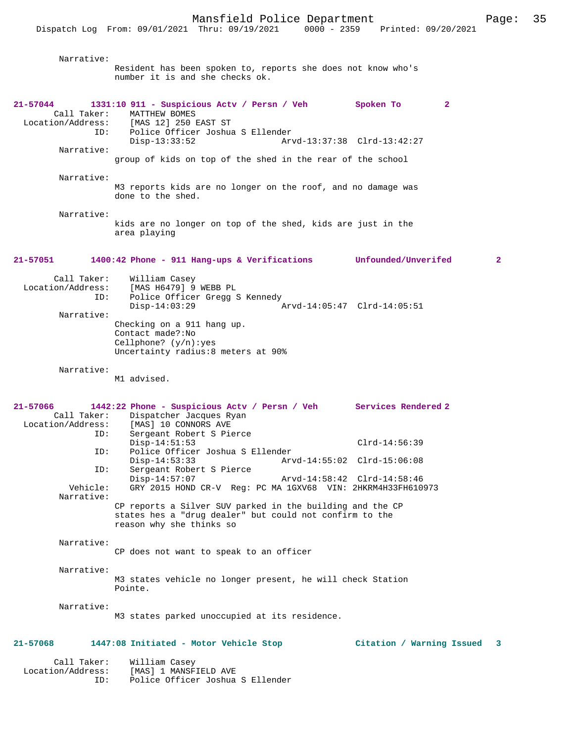| Narrative:                                                        | Resident has been spoken to, reports she does not know who's<br>number it is and she checks ok.                                                       |                                             |
|-------------------------------------------------------------------|-------------------------------------------------------------------------------------------------------------------------------------------------------|---------------------------------------------|
| 21-57044<br>Call Taker:<br>Location/Address:<br>ID:<br>Narrative: | 1331:10 911 - Suspicious Actv / Persn / Veh Spoken To<br>MATTHEW BOMES<br>[MAS 12] 250 EAST ST<br>Police Officer Joshua S Ellender<br>$Disp-13:33:52$ | $\mathbf{2}$<br>Arvd-13:37:38 Clrd-13:42:27 |
|                                                                   | group of kids on top of the shed in the rear of the school                                                                                            |                                             |
| Narrative:                                                        | M3 reports kids are no longer on the roof, and no damage was<br>done to the shed.                                                                     |                                             |
| Narrative:                                                        | kids are no longer on top of the shed, kids are just in the<br>area playing                                                                           |                                             |
| 21-57051                                                          | 1400:42 Phone - 911 Hang-ups & Verifications Unfounded/Unverifed                                                                                      | $\overline{2}$                              |
| Call Taker:<br>Location/Address:<br>ID:<br>Narrative:             | William Casey<br>[MAS H6479] 9 WEBB PL<br>Police Officer Gregg S Kennedy<br>$Disp-14:03:29$<br>Checking on a 911 hang up.<br>Contact made?: No        | Arvd-14:05:47 Clrd-14:05:51                 |
|                                                                   | Cellphone? $(y/n):yes$<br>Uncertainty radius:8 meters at 90%                                                                                          |                                             |
| Narrative:                                                        | M1 advised.                                                                                                                                           |                                             |
| 21-57066<br>Call Taker:<br>Location/Address:                      | 1442:22 Phone - Suspicious Actv / Persn / Veh Services Rendered 2<br>Dispatcher Jacques Ryan<br>[MAS] 10 CONNORS AVE                                  |                                             |
| ID:                                                               | Sergeant Robert S Pierce<br>$Disp-14:51:53$                                                                                                           | $Clrd-14:56:39$                             |
| ID:<br>ID:                                                        | Police Officer Joshua S Ellender<br>$Disp-14:53:33$<br>Sergeant Robert S Pierce                                                                       | Arvd-14:55:02 Clrd-15:06:08                 |
| Vehicle:<br>Narrative:                                            | $Disp-14:57:07$<br>GRY 2015 HOND CR-V Req: PC MA 1GXV68 VIN: 2HKRM4H33FH610973                                                                        | Arvd-14:58:42 Clrd-14:58:46                 |
|                                                                   | CP reports a Silver SUV parked in the building and the CP<br>states hes a "drug dealer" but could not confirm to the<br>reason why she thinks so      |                                             |
| Narrative:                                                        | CP does not want to speak to an officer                                                                                                               |                                             |
| Narrative:                                                        | M3 states vehicle no longer present, he will check Station<br>Pointe.                                                                                 |                                             |
| Narrative:                                                        | M3 states parked unoccupied at its residence.                                                                                                         |                                             |
| 21-57068                                                          | 1447:08 Initiated - Motor Vehicle Stop                                                                                                                | Citation / Warning Issued 3                 |
| Call Taker:<br>Location/Address:<br>ID:                           | William Casey<br>[MAS] 1 MANSFIELD AVE<br>Police Officer Joshua S Ellender                                                                            |                                             |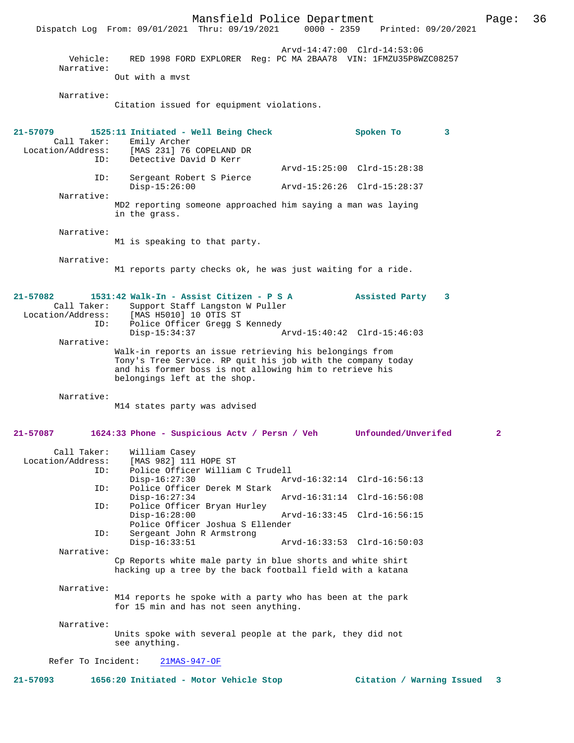Mansfield Police Department Page: 36 Dispatch Log From: 09/01/2021 Thru: 09/19/2021 Arvd-14:47:00 Clrd-14:53:06 Vehicle: RED 1998 FORD EXPLORER Reg: PC MA 2BAA78 VIN: 1FMZU35P8WZC08257 Narrative: Out with a mvst Narrative: Citation issued for equipment violations. **21-57079 1525:11 Initiated - Well Being Check Spoken To 3**  Call Taker: Emily Archer<br>Location/Address: [MAS 231] 76 ess: [MAS 231] 76 COPELAND DR<br>ID: Detective David D Kerr Detective David D Kerr Arvd-15:25:00 Clrd-15:28:38 ID: Sergeant Robert S Pierce Disp-15:26:00 Arvd-15:26:26 Clrd-15:28:37 Narrative: MD2 reporting someone approached him saying a man was laying in the grass. Narrative: M1 is speaking to that party. Narrative: M1 reports party checks ok, he was just waiting for a ride. **21-57082 1531:42 Walk-In - Assist Citizen - P S A Assisted Party 3**  Call Taker: Support Staff Langston W Puller Location/Address: [MAS H5010] 10 OTIS ST<br>ID: Police Officer Gregg S Police Officer Gregg S Kennedy Disp-15:34:37 Arvd-15:40:42 Clrd-15:46:03 Narrative: Walk-in reports an issue retrieving his belongings from Tony's Tree Service. RP quit his job with the company today and his former boss is not allowing him to retrieve his belongings left at the shop. Narrative: M14 states party was advised **21-57087 1624:33 Phone - Suspicious Actv / Persn / Veh Unfounded/Unverifed 2** Call Taker: William Casey Location/Address: [MAS 982] 111 HOPE ST Police Officer William C Trudell<br>Disp-16:27:30 Ar Disp-16:27:30 Arvd-16:32:14 Clrd-16:56:13<br>ID: Police Officer Derek M Stark Police Officer Derek M Stark<br>Disp-16:27:34 Disp-16:27:34 Arvd-16:31:14 Clrd-16:56:08 ID: Police Officer Bryan Hurley<br>Disp-16:28:00 Disp-16:28:00 Arvd-16:33:45 Clrd-16:56:15 Police Officer Joshua S Ellender<br>TD: Sergeant John R Armstrong Sergeant John R Armstrong<br>Disp-16:33:51 Disp-16:33:51 Arvd-16:33:53 Clrd-16:50:03 Narrative: Cp Reports white male party in blue shorts and white shirt hacking up a tree by the back football field with a katana Narrative: M14 reports he spoke with a party who has been at the park for 15 min and has not seen anything. Narrative: Units spoke with several people at the park, they did not see anything. Refer To Incident: 21MAS-947-OF **21-57093 1656:20 Initiated - Motor Vehicle Stop Citation / Warning Issued 3**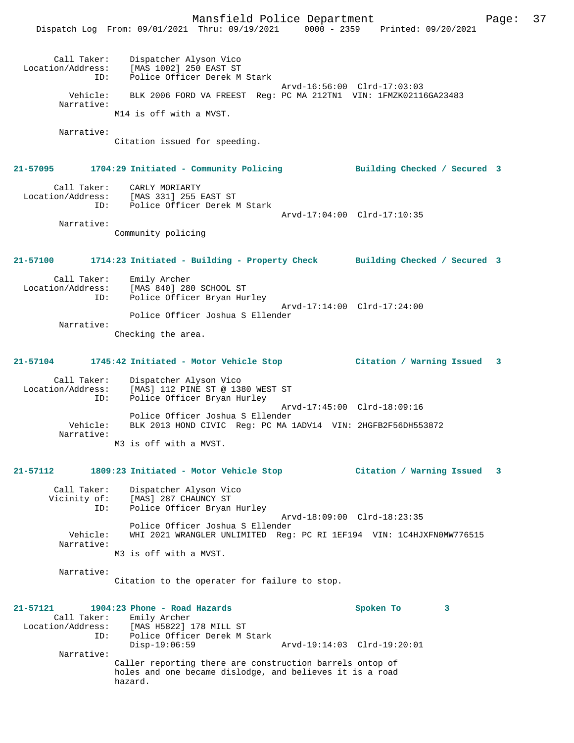Mansfield Police Department Page: 37 Dispatch Log From: 09/01/2021 Thru: 09/19/2021 0000 - 2359 Printed: 09/20/2021 Call Taker: Dispatcher Alyson Vico Location/Address: [MAS 1002] 250 EAST ST ID: Police Officer Derek M Stark Arvd-16:56:00 Clrd-17:03:03 Vehicle: BLK 2006 FORD VA FREEST Reg: PC MA 212TN1 VIN: 1FMZK02116GA23483 Narrative: M14 is off with a MVST. Narrative: Citation issued for speeding. **21-57095 1704:29 Initiated - Community Policing Building Checked / Secured 3** Call Taker: CARLY MORIARTY Location/Address: [MAS 331] 255 EAST ST ID: Police Officer Derek M Stark Arvd-17:04:00 Clrd-17:10:35 Narrative: Community policing **21-57100 1714:23 Initiated - Building - Property Check Building Checked / Secured 3** Call Taker: Emily Archer Location/Address: [MAS 840] 280 SCHOOL ST Police Officer Bryan Hurley Arvd-17:14:00 Clrd-17:24:00 Police Officer Joshua S Ellender Narrative: Checking the area. **21-57104 1745:42 Initiated - Motor Vehicle Stop Citation / Warning Issued 3** Call Taker: Dispatcher Alyson Vico Location/Address: [MAS] 112 PINE ST @ 1380 WEST ST ID: Police Officer Bryan Hurley Arvd-17:45:00 Clrd-18:09:16 Police Officer Joshua S Ellender Vehicle: BLK 2013 HOND CIVIC Reg: PC MA 1ADV14 VIN: 2HGFB2F56DH553872 Narrative: M3 is off with a MVST. **21-57112 1809:23 Initiated - Motor Vehicle Stop Citation / Warning Issued 3** Call Taker: Dispatcher Alyson Vico Vicinity of: [MAS] 287 CHAUNCY ST ID: Police Officer Bryan Hurley Arvd-18:09:00 Clrd-18:23:35 Police Officer Joshua S Ellender<br>Vehicle: WHI 2021 WRANGLER INLIMITED Reg: WHI 2021 WRANGLER UNLIMITED Reg: PC RI 1EF194 VIN: 1C4HJXFN0MW776515 Narrative: M3 is off with a MVST. Narrative: Citation to the operater for failure to stop. **21-57121 1904:23 Phone - Road Hazards Spoken To 3**  Call Taker: Emily Archer<br>Location/Address: [MAS H5822] J Location/Address: [MAS H5822] 178 MILL ST ID: Police Officer Derek M Stark Disp-19:06:59 Arvd-19:14:03 Clrd-19:20:01 Narrative: Caller reporting there are construction barrels ontop of holes and one became dislodge, and believes it is a road hazard.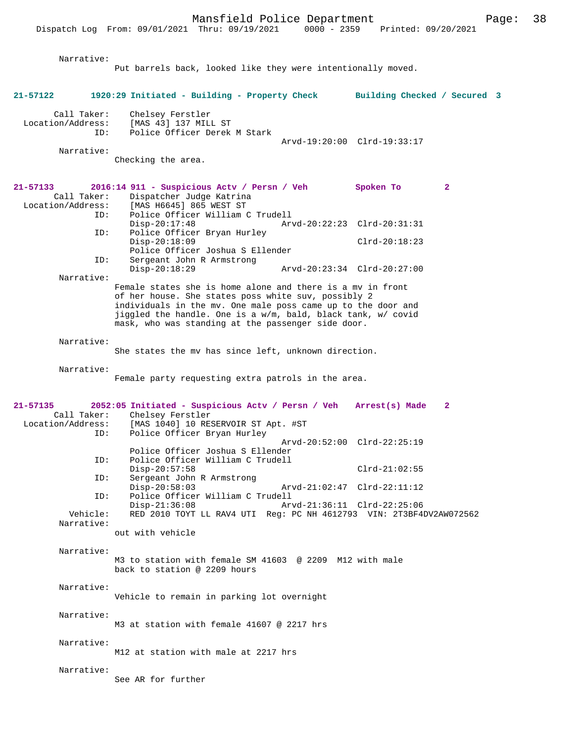Dispatch Log From: 09/01/2021 Thru: 09/19/2021 0000 - 2359 Printed: 09/20/2021

|                               | Narrative:             |                                                                                                                                                                                                                                                                                                         |                                                            |              |  |
|-------------------------------|------------------------|---------------------------------------------------------------------------------------------------------------------------------------------------------------------------------------------------------------------------------------------------------------------------------------------------------|------------------------------------------------------------|--------------|--|
|                               |                        | Put barrels back, looked like they were intentionally moved.                                                                                                                                                                                                                                            |                                                            |              |  |
| 21-57122                      |                        | 1920:29 Initiated - Building - Property Check Building Checked / Secured 3                                                                                                                                                                                                                              |                                                            |              |  |
| Location/Address:             | Call Taker:<br>ID:     | Chelsey Ferstler<br>[MAS 43] 137 MILL ST<br>Police Officer Derek M Stark                                                                                                                                                                                                                                | Arvd-19:20:00 Clrd-19:33:17                                |              |  |
|                               | Narrative:             | Checking the area.                                                                                                                                                                                                                                                                                      |                                                            |              |  |
| 21-57133                      | Call Taker:<br>ID:     | 2016:14 911 - Suspicious Actv / Persn / Veh<br>Dispatcher Judge Katrina<br>Location/Address: [MAS H6645] 865 WEST ST<br>Police Officer William C Trudell                                                                                                                                                | Spoken To                                                  | $\mathbf{2}$ |  |
|                               | ID:                    | $Disp-20:17:48$<br>Police Officer Bryan Hurley                                                                                                                                                                                                                                                          | Arvd-20:22:23 Clrd-20:31:31                                |              |  |
|                               | ID:                    | $Disp-20:18:09$<br>Police Officer Joshua S Ellender<br>Sergeant John R Armstrong                                                                                                                                                                                                                        | $Clrd-20:18:23$                                            |              |  |
|                               | Narrative:             | $Disp-20:18:29$                                                                                                                                                                                                                                                                                         | Arvd-20:23:34 Clrd-20:27:00                                |              |  |
|                               |                        | Female states she is home alone and there is a my in front<br>of her house. She states poss white suv, possibly 2<br>individuals in the mv. One male poss came up to the door and<br>jiggled the handle. One is a w/m, bald, black tank, w/ covid<br>mask, who was standing at the passenger side door. |                                                            |              |  |
|                               | Narrative:             | She states the my has since left, unknown direction.                                                                                                                                                                                                                                                    |                                                            |              |  |
|                               | Narrative:             | Female party requesting extra patrols in the area.                                                                                                                                                                                                                                                      |                                                            |              |  |
| 21-57135<br>Location/Address: | Call Taker:<br>ID:     | 2052:05 Initiated - Suspicious Actv / Persn / Veh Arrest(s) Made<br>Chelsey Ferstler<br>[MAS 1040] 10 RESERVOIR ST Apt. #ST<br>Police Officer Bryan Hurley                                                                                                                                              |                                                            | $\mathbf{2}$ |  |
|                               | ID:                    | Police Officer Joshua S Ellender<br>Police Officer William C Trudell                                                                                                                                                                                                                                    | Arvd-20:52:00 Clrd-22:25:19                                |              |  |
|                               | ID:                    | $Disp-20:57:58$<br>Sergeant John R Armstrong                                                                                                                                                                                                                                                            | $Clrd-21:02:55$                                            |              |  |
|                               | ID:                    | $Disp-20:58:03$<br>Police Officer William C Trudell<br>$Disp-21:36:08$                                                                                                                                                                                                                                  | Arvd-21:02:47 Clrd-22:11:12<br>Arvd-21:36:11 Clrd-22:25:06 |              |  |
|                               | Vehicle:<br>Narrative: | RED 2010 TOYT LL RAV4 UTI Req: PC NH 4612793 VIN: 2T3BF4DV2AW072562                                                                                                                                                                                                                                     |                                                            |              |  |
|                               |                        | out with vehicle                                                                                                                                                                                                                                                                                        |                                                            |              |  |
|                               | Narrative:             | M3 to station with female SM 41603 @ 2209 M12 with male<br>back to station @ 2209 hours                                                                                                                                                                                                                 |                                                            |              |  |
|                               | Narrative:             | Vehicle to remain in parking lot overnight                                                                                                                                                                                                                                                              |                                                            |              |  |
|                               | Narrative:             | M3 at station with female 41607 @ 2217 hrs                                                                                                                                                                                                                                                              |                                                            |              |  |
|                               | Narrative:             | M12 at station with male at 2217 hrs                                                                                                                                                                                                                                                                    |                                                            |              |  |
|                               | Narrative:             | See AR for further                                                                                                                                                                                                                                                                                      |                                                            |              |  |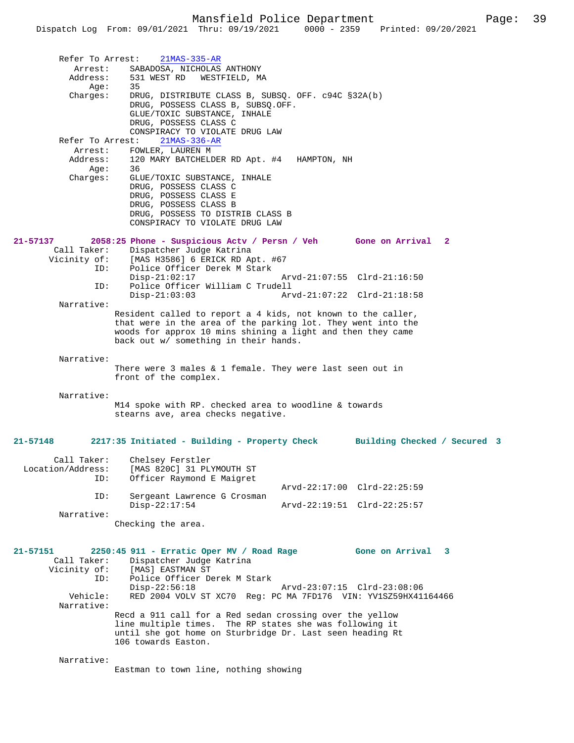|                             | Refer To Arrest: 21MAS-335-AR                                                                                               |                             |  |
|-----------------------------|-----------------------------------------------------------------------------------------------------------------------------|-----------------------------|--|
| Arrest:<br>Address:         | SABADOSA, NICHOLAS ANTHONY<br>531 WEST RD WESTFIELD, MA                                                                     |                             |  |
| Aqe:                        | 35                                                                                                                          |                             |  |
| Charges:                    | DRUG, DISTRIBUTE CLASS B, SUBSQ. OFF. c94C §32A(b)<br>DRUG, POSSESS CLASS B, SUBSQ.OFF.                                     |                             |  |
|                             | GLUE/TOXIC SUBSTANCE, INHALE                                                                                                |                             |  |
|                             | DRUG, POSSESS CLASS C<br>CONSPIRACY TO VIOLATE DRUG LAW                                                                     |                             |  |
| Refer To Arrest:            | $21MAS-336-AR$                                                                                                              |                             |  |
| Arrest:                     | FOWLER, LAUREN M                                                                                                            |                             |  |
| Address:<br>Age:            | 120 MARY BATCHELDER RD Apt. #4 HAMPTON, NH<br>36                                                                            |                             |  |
| Charges:                    | GLUE/TOXIC SUBSTANCE, INHALE                                                                                                |                             |  |
|                             | DRUG, POSSESS CLASS C<br>DRUG, POSSESS CLASS E                                                                              |                             |  |
|                             | DRUG, POSSESS CLASS B                                                                                                       |                             |  |
|                             | DRUG, POSSESS TO DISTRIB CLASS B<br>CONSPIRACY TO VIOLATE DRUG LAW                                                          |                             |  |
|                             |                                                                                                                             |                             |  |
| 21-57137<br>Call Taker:     | 2058:25 Phone - Suspicious Actv / Persn / Veh Gone on Arrival 2<br>Dispatcher Judge Katrina                                 |                             |  |
|                             | Vicinity of: [MAS H3586] 6 ERICK RD Apt. #67                                                                                |                             |  |
| ID:                         | Police Officer Derek M Stark<br>$Disp-21:02:17$                                                                             | Arvd-21:07:55 Clrd-21:16:50 |  |
| ID:                         | Police Officer William C Trudell                                                                                            |                             |  |
| Narrative:                  | $Disp-21:03:03$                                                                                                             |                             |  |
|                             | Resident called to report a 4 kids, not known to the caller,                                                                |                             |  |
|                             | that were in the area of the parking lot. They went into the<br>woods for approx 10 mins shining a light and then they came |                             |  |
|                             | back out w/ something in their hands.                                                                                       |                             |  |
| Narrative:                  |                                                                                                                             |                             |  |
|                             | There were 3 males $\&$ 1 female. They were last seen out in                                                                |                             |  |
|                             | front of the complex.                                                                                                       |                             |  |
| Narrative:                  |                                                                                                                             |                             |  |
|                             | M14 spoke with RP. checked area to woodline & towards<br>stearns ave, area checks negative.                                 |                             |  |
|                             |                                                                                                                             |                             |  |
| 21-57148                    | 2217:35 Initiated - Building - Property Check Building Checked / Secured 3                                                  |                             |  |
| Call Taker:                 | Chelsey Ferstler                                                                                                            |                             |  |
|                             | Location/Address: [MAS 820C] 31 PLYMOUTH ST                                                                                 |                             |  |
| ID:                         | Officer Raymond E Maigret                                                                                                   | Arvd-22:17:00 Clrd-22:25:59 |  |
| ID:                         | Sergeant Lawrence G Crosman                                                                                                 |                             |  |
| Narrative:                  | $Disp-22:17:54$                                                                                                             | Arvd-22:19:51 Clrd-22:25:57 |  |
|                             | Checking the area.                                                                                                          |                             |  |
|                             |                                                                                                                             |                             |  |
| 21-57151                    | 2250:45 911 - Erratic Oper MV / Road Rage                                                                                   | Gone on Arrival 3           |  |
| Call Taker:<br>Vicinity of: | Dispatcher Judge Katrina<br>[MAS] EASTMAN ST                                                                                |                             |  |
| ID:                         | Police Officer Derek M Stark                                                                                                |                             |  |
| Vehicle:                    | $Disp-22:56:18$<br>RED 2004 VOLV ST XC70 Req: PC MA 7FD176 VIN: YV1SZ59HX41164466                                           | Arvd-23:07:15 Clrd-23:08:06 |  |
| Narrative:                  |                                                                                                                             |                             |  |
|                             | Recd a 911 call for a Red sedan crossing over the yellow<br>line multiple times. The RP states she was following it         |                             |  |
|                             | until she got home on Sturbridge Dr. Last seen heading Rt                                                                   |                             |  |
|                             | 106 towards Easton.                                                                                                         |                             |  |
|                             |                                                                                                                             |                             |  |

Narrative:

Eastman to town line, nothing showing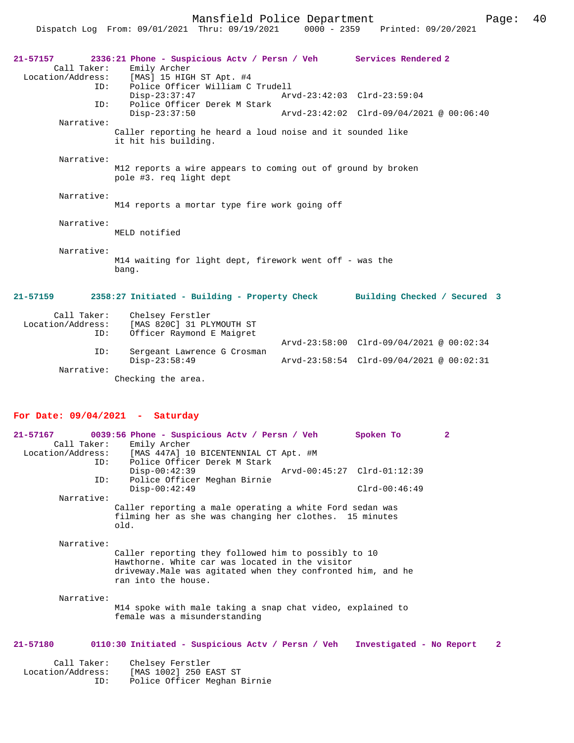Mansfield Police Department Fage: 40

Dispatch Log From: 09/01/2021 Thru: 09/19/2021 0000 - 2359 Printed: 09/20/2021

| $21 - 57157$<br>Call Taker:<br>ID:                          | 2336:21 Phone - Suspicious Actv / Persn / Veh Services Rendered 2<br>Emily Archer<br>Location/Address: [MAS] 15 HIGH ST Apt. #4<br>Police Officer William C Trudell |  |                                                                 |  |
|-------------------------------------------------------------|---------------------------------------------------------------------------------------------------------------------------------------------------------------------|--|-----------------------------------------------------------------|--|
| ID:                                                         | $Disp-23:37:47$<br>Police Officer Derek M Stark                                                                                                                     |  | Arvd-23:42:03 Clrd-23:59:04                                     |  |
|                                                             | $Disp-23:37:50$                                                                                                                                                     |  | Arvd-23:42:02 Clrd-09/04/2021 @ 00:06:40                        |  |
| Narrative:                                                  | Caller reporting he heard a loud noise and it sounded like<br>it hit his building.                                                                                  |  |                                                                 |  |
| Narrative:                                                  | M12 reports a wire appears to coming out of ground by broken<br>pole #3. req light dept                                                                             |  |                                                                 |  |
| Narrative:<br>M14 reports a mortar type fire work going off |                                                                                                                                                                     |  |                                                                 |  |
| Narrative:                                                  | MELD notified                                                                                                                                                       |  |                                                                 |  |
| Narrative:                                                  | M14 waiting for light dept, firework went off - was the<br>bang.                                                                                                    |  |                                                                 |  |
| 21-57159                                                    | 2358:27 Initiated - Building - Property Check Building Checked / Secured 3                                                                                          |  |                                                                 |  |
| Call Taker:<br>ID:                                          | Chelsey Ferstler<br>Location/Address: [MAS 820C] 31 PLYMOUTH ST<br>Officer Raymond E Maigret                                                                        |  |                                                                 |  |
| ID:                                                         | Sergeant Lawrence G Crosman                                                                                                                                         |  | $Arvd - 23:58:00 \text{ Clrd} - 09/04/2021 \text{ @ } 00:02:34$ |  |
|                                                             | $Disp-23:58:49$                                                                                                                                                     |  | Arvd-23:58:54 Clrd-09/04/2021 @ 00:02:31                        |  |
| Narrative:                                                  |                                                                                                                                                                     |  |                                                                 |  |
|                                                             | Checking the area.                                                                                                                                                  |  |                                                                 |  |

## **For Date: 09/04/2021 - Saturday**

| 21-57167<br>Call Taker:<br>TD: | 0039:56 Phone - Suspicious Actv / Persn / Veh<br>Emily Archer<br>Location/Address: [MAS 447A] 10 BICENTENNIAL CT Apt. #M<br>Police Officer Derek M Stark                                       | Spoken To       | 2 |
|--------------------------------|------------------------------------------------------------------------------------------------------------------------------------------------------------------------------------------------|-----------------|---|
|                                | $Disp-00:42:39$<br>Arvd-00:45:27 Clrd-01:12:39                                                                                                                                                 |                 |   |
| ID:                            | Police Officer Meghan Birnie<br>$Disp-00:42:49$                                                                                                                                                | $Clrd-00:46:49$ |   |
| Narrative:                     |                                                                                                                                                                                                |                 |   |
|                                | Caller reporting a male operating a white Ford sedan was<br>filming her as she was changing her clothes. 15 minutes<br>old.                                                                    |                 |   |
| Narrative:                     |                                                                                                                                                                                                |                 |   |
|                                | Caller reporting they followed him to possibly to 10<br>Hawthorne. White car was located in the visitor<br>driveway. Male was agitated when they confronted him, and he<br>ran into the house. |                 |   |
| Narrative:                     | M14 spoke with male taking a snap chat video, explained to<br>female was a misunderstanding                                                                                                    |                 |   |
| 21-57180                       | 0110:30 Initiated - Suspicious Actv / Persn / Veh Investigated - No Report                                                                                                                     |                 | 2 |

| Call Taker:       | Chelsey Ferstler             |
|-------------------|------------------------------|
| Location/Address: | [MAS 1002] 250 EAST ST       |
| TD:               | Police Officer Meghan Birnie |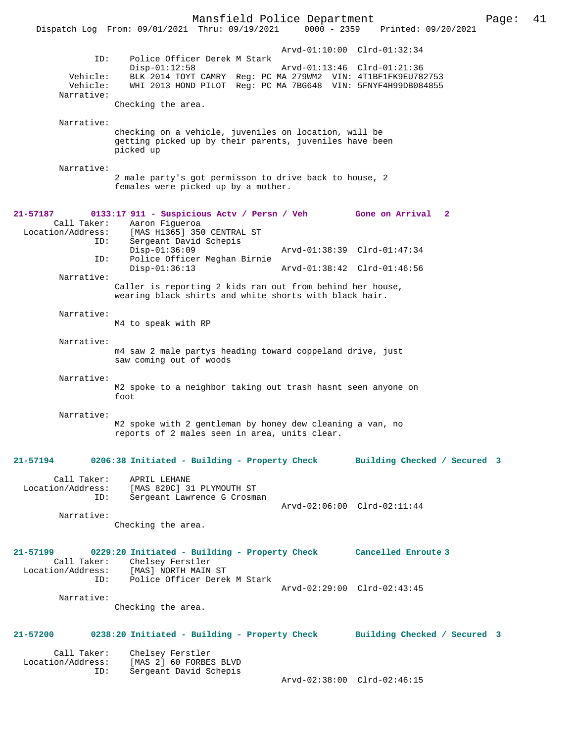Mansfield Police Department Page: 41 Dispatch Log From: 09/01/2021 Thru: 09/19/2021 Arvd-01:10:00 Clrd-01:32:34 ID: Police Officer Derek M Stark Disp-01:12:58 <br>
Disp-01:12:58 Arvd-01:13:46 Clrd-01:21:36<br>
Vehicle: BLK 2014 TOYT CAMRY Reg: PC MA 279WM2 VIN: 4T1BF1FK9EU782 BLK 2014 TOYT CAMRY Reg: PC MA 279WM2 VIN: 4T1BF1FK9EU782753 Vehicle: WHI 2013 HOND PILOT Reg: PC MA 7BG648 VIN: 5FNYF4H99DB084855 Narrative: Checking the area. Narrative: checking on a vehicle, juveniles on location, will be getting picked up by their parents, juveniles have been picked up Narrative: 2 male party's got permisson to drive back to house, 2 females were picked up by a mother. **21-57187 0133:17 911 - Suspicious Actv / Persn / Veh Gone on Arrival 2**  Call Taker: Aaron Figueroa<br>Location/Address: [MAS H1365] 35 ess: [MAS H1365] 350 CENTRAL ST<br>ID: Sergeant David Schepis Sergeant David Schepis Disp-01:36:09 Arvd-01:38:39 Clrd-01:47:34<br>TD: Police Officer Meghan Birnie Police Officer Meghan Birnie<br>Disp-01:36:13 Disp-01:36:13 Arvd-01:38:42 Clrd-01:46:56 Narrative: Caller is reporting 2 kids ran out from behind her house, wearing black shirts and white shorts with black hair. Narrative: M4 to speak with RP Narrative: m4 saw 2 male partys heading toward coppeland drive, just saw coming out of woods Narrative: M2 spoke to a neighbor taking out trash hasnt seen anyone on foot Narrative: M2 spoke with 2 gentleman by honey dew cleaning a van, no reports of 2 males seen in area, units clear. **21-57194 0206:38 Initiated - Building - Property Check Building Checked / Secured 3** Call Taker: APRIL LEHANE Location/Address: [MAS 820C] 31 PLYMOUTH ST ID: Sergeant Lawrence G Crosman Arvd-02:06:00 Clrd-02:11:44 Narrative: Checking the area. **21-57199 0229:20 Initiated - Building - Property Check Cancelled Enroute 3**  Call Taker: Chelsey Ferstler<br>Location/Address: [MAS] NORTH MAIN [MAS] NORTH MAIN ST ID: Police Officer Derek M Stark Arvd-02:29:00 Clrd-02:43:45 Narrative: Checking the area. **21-57200 0238:20 Initiated - Building - Property Check Building Checked / Secured 3** Call Taker: Chelsey Ferstler

 Location/Address: [MAS 2] 60 FORBES BLVD Sergeant David Schepis Arvd-02:38:00 Clrd-02:46:15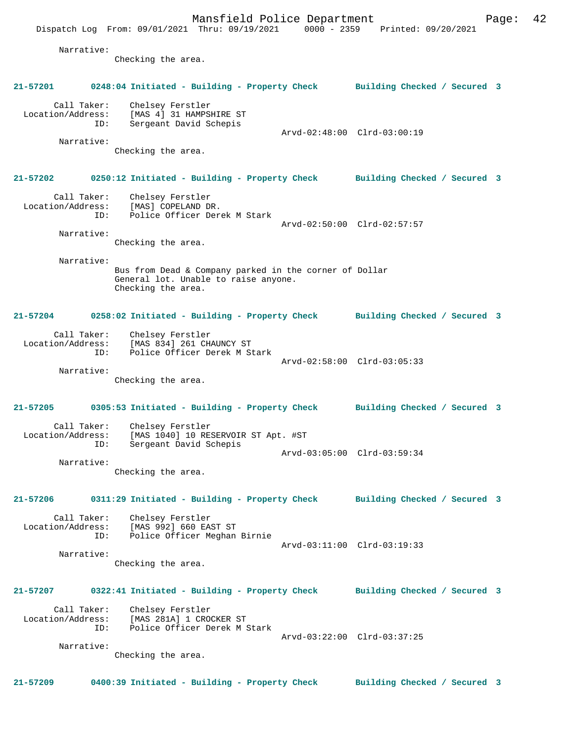Mansfield Police Department Fage: 42 Dispatch Log From: 09/01/2021 Thru: 09/19/2021 0000 - 2359 Printed: 09/20/2021 Narrative: Checking the area. **21-57201 0248:04 Initiated - Building - Property Check Building Checked / Secured 3** Call Taker: Chelsey Ferstler Location/Address: [MAS 4] 31 HAMPSHIRE ST ID: Sergeant David Schepis Arvd-02:48:00 Clrd-03:00:19 Narrative: Checking the area. **21-57202 0250:12 Initiated - Building - Property Check Building Checked / Secured 3** Call Taker: Chelsey Ferstler Location/Address: [MAS] COPELAND DR. ID: Police Officer Derek M Stark Arvd-02:50:00 Clrd-02:57:57 Narrative: Checking the area. Narrative: Bus from Dead & Company parked in the corner of Dollar General lot. Unable to raise anyone. Checking the area. **21-57204 0258:02 Initiated - Building - Property Check Building Checked / Secured 3** Call Taker: Chelsey Ferstler Location/Address: [MAS 834] 261 CHAUNCY ST Police Officer Derek M Stark Arvd-02:58:00 Clrd-03:05:33 Narrative: Checking the area. **21-57205 0305:53 Initiated - Building - Property Check Building Checked / Secured 3** Call Taker: Chelsey Ferstler<br>Location/Address: [MAS 1040] 10 RE: ess: [MAS 1040] 10 RESERVOIR ST Apt. #ST<br>ID: Sergeant David Schepis Sergeant David Schepis Arvd-03:05:00 Clrd-03:59:34 Narrative: Checking the area. **21-57206 0311:29 Initiated - Building - Property Check Building Checked / Secured 3** Call Taker: Chelsey Ferstler<br>Location/Address: [MAS 992] 660 EA ess: [MAS 992] 660 EAST ST<br>ID: Police Officer Meghan Police Officer Meghan Birnie Arvd-03:11:00 Clrd-03:19:33 Narrative: Checking the area. **21-57207 0322:41 Initiated - Building - Property Check Building Checked / Secured 3** Call Taker: Chelsey Ferstler Location/Address: [MAS 281A] 1 CROCKER ST<br>ID: Police Officer Derek M Police Officer Derek M Stark Arvd-03:22:00 Clrd-03:37:25 Narrative: Checking the area. **21-57209 0400:39 Initiated - Building - Property Check Building Checked / Secured 3**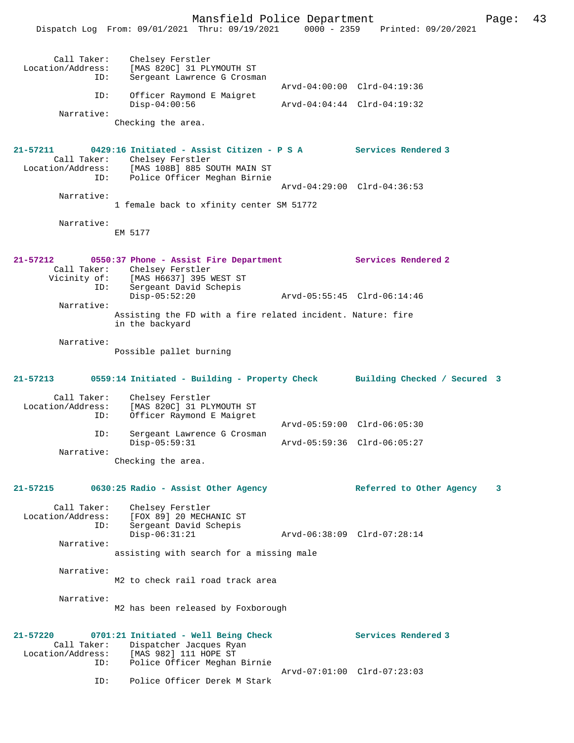Mansfield Police Department Page: 43 Dispatch Log From: 09/01/2021 Thru: 09/19/2021 0000 - 2359 Printed: 09/20/2021 Call Taker: Chelsey Ferstler<br>Location/Address: [MAS 820C] 31 PL ess: [MAS 820C] 31 PLYMOUTH ST<br>ID: Sergeant Lawrence G Crosm Sergeant Lawrence G Crosman Arvd-04:00:00 Clrd-04:19:36 ID: Officer Raymond E Maigret Disp-04:00:56 Arvd-04:04:44 Clrd-04:19:32 Narrative: Checking the area. **21-57211 0429:16 Initiated - Assist Citizen - P S A Services Rendered 3**  Call Taker: Chelsey Ferstler<br>Location/Address: [MAS 108B] 885 S [MAS 108B] 885 SOUTH MAIN ST ID: Police Officer Meghan Birnie Arvd-04:29:00 Clrd-04:36:53 Narrative: 1 female back to xfinity center SM 51772 Narrative: EM 5177 **21-57212 0550:37 Phone - Assist Fire Department Services Rendered 2**  Call Taker: Chelsey Ferstler Vicinity of: [MAS H6637] 395 WEST ST<br>ID: Sergeant David Schepis Sergeant David Schepis<br>Disp-05:52:20 Disp-05:52:20 Arvd-05:55:45 Clrd-06:14:46 Narrative: Assisting the FD with a fire related incident. Nature: fire in the backyard Narrative: Possible pallet burning **21-57213 0559:14 Initiated - Building - Property Check Building Checked / Secured 3** Call Taker: Chelsey Ferstler<br>Location/Address: [MAS 820C] 31 PL ess: [MAS 820C] 31 PLYMOUTH ST<br>ID: Officer Raymond E Maigret Officer Raymond E Maigret Arvd-05:59:00 Clrd-06:05:30<br>TD: Sergeant Lawrence G Crosman Sergeant Lawrence G Crosman<br>Disp-05:59:31 Disp-05:59:31 Arvd-05:59:36 Clrd-06:05:27 Narrative: Checking the area. **21-57215 0630:25 Radio - Assist Other Agency Referred to Other Agency 3** Call Taker: Chelsey Ferstler Location/Address: [FOX 89] 20 MECHANIC ST Sergeant David Schepis Disp-06:31:21 Arvd-06:38:09 Clrd-07:28:14 Narrative: assisting with search for a missing male Narrative: M2 to check rail road track area Narrative: M2 has been released by Foxborough **21-57220 0701:21 Initiated - Well Being Check Services Rendered 3**  Call Taker: Dispatcher Jacques Ryan<br>Location/Address: [MAS 982] 111 HOPE ST ess: [MAS 982] 111 HOPE ST<br>ID: Police Officer Meghan Police Officer Meghan Birnie Arvd-07:01:00 Clrd-07:23:03 ID: Police Officer Derek M Stark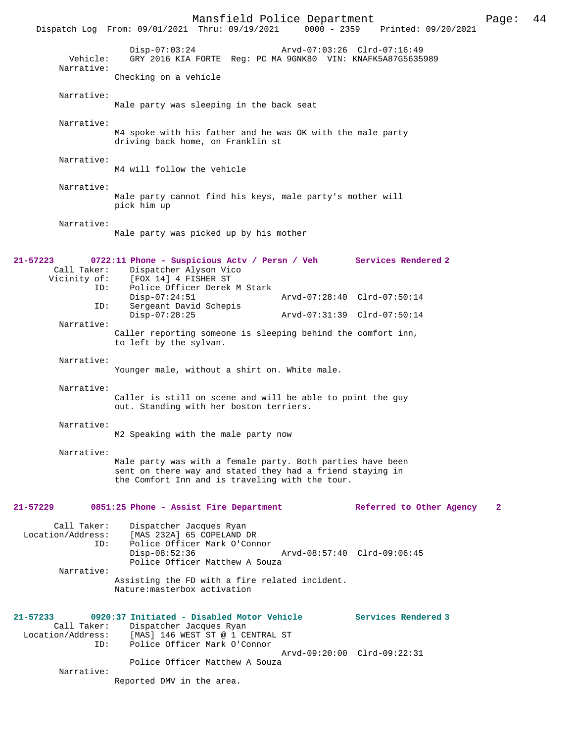|                                                     | Mansfield Police Department<br>Dispatch Log From: 09/01/2021 Thru: 09/19/2021 0000 - 2359                                                                                  |                             | Printed: 09/20/2021      | Page:        | 44 |
|-----------------------------------------------------|----------------------------------------------------------------------------------------------------------------------------------------------------------------------------|-----------------------------|--------------------------|--------------|----|
| Vehicle:<br>Narrative:                              | $Disp-07:03:24$<br>GRY 2016 KIA FORTE Req: PC MA 9GNK80 VIN: KNAFK5A87G5635989                                                                                             | Arvd-07:03:26 Clrd-07:16:49 |                          |              |    |
|                                                     | Checking on a vehicle                                                                                                                                                      |                             |                          |              |    |
| Narrative:                                          | Male party was sleeping in the back seat                                                                                                                                   |                             |                          |              |    |
| Narrative:                                          | M4 spoke with his father and he was OK with the male party<br>driving back home, on Franklin st                                                                            |                             |                          |              |    |
| Narrative:                                          | M4 will follow the vehicle                                                                                                                                                 |                             |                          |              |    |
| Narrative:                                          | Male party cannot find his keys, male party's mother will<br>pick him up                                                                                                   |                             |                          |              |    |
| Narrative:                                          | Male party was picked up by his mother                                                                                                                                     |                             |                          |              |    |
| 21-57223<br>Call Taker:<br>Vicinity of:<br>ID:      | 0722:11 Phone - Suspicious Actv / Persn / Veh Services Rendered 2<br>Dispatcher Alyson Vico<br>[FOX 14] 4 FISHER ST<br>Police Officer Derek M Stark                        |                             |                          |              |    |
| ID:                                                 | $Disp-07:24:51$<br>Sergeant David Schepis                                                                                                                                  | Arvd-07:28:40 Clrd-07:50:14 |                          |              |    |
| Narrative:                                          | $Disp-07:28:25$                                                                                                                                                            | Arvd-07:31:39 Clrd-07:50:14 |                          |              |    |
|                                                     | Caller reporting someone is sleeping behind the comfort inn,<br>to left by the sylvan.                                                                                     |                             |                          |              |    |
| Narrative:                                          | Younger male, without a shirt on. White male.                                                                                                                              |                             |                          |              |    |
| Narrative:                                          | Caller is still on scene and will be able to point the guy<br>out. Standing with her boston terriers.                                                                      |                             |                          |              |    |
| Narrative:                                          | M2 Speaking with the male party now                                                                                                                                        |                             |                          |              |    |
| Narrative:                                          | Male party was with a female party. Both parties have been<br>sent on there way and stated they had a friend staying in<br>the Comfort Inn and is traveling with the tour. |                             |                          |              |    |
| 21-57229                                            | 0851:25 Phone - Assist Fire Department                                                                                                                                     |                             | Referred to Other Agency | $\mathbf{2}$ |    |
| Call Taker:<br>Location/Address:<br>ID:             | Dispatcher Jacques Ryan<br>[MAS 232A] 65 COPELAND DR<br>Police Officer Mark O'Connor<br>$Disp-08:52:36$<br>Police Officer Matthew A Souza                                  | Arvd-08:57:40 Clrd-09:06:45 |                          |              |    |
| Narrative:                                          | Assisting the FD with a fire related incident.<br>Nature: masterbox activation                                                                                             |                             |                          |              |    |
| 21-57233<br>Call Taker:<br>Location/Address:<br>ID: | 0920:37 Initiated - Disabled Motor Vehicle<br>Dispatcher Jacques Ryan<br>[MAS] 146 WEST ST @ 1 CENTRAL ST<br>Police Officer Mark O'Connor                                  |                             | Services Rendered 3      |              |    |
| Narrative:                                          | Police Officer Matthew A Souza<br>Reported DMV in the area.                                                                                                                | Arvd-09:20:00 Clrd-09:22:31 |                          |              |    |
|                                                     |                                                                                                                                                                            |                             |                          |              |    |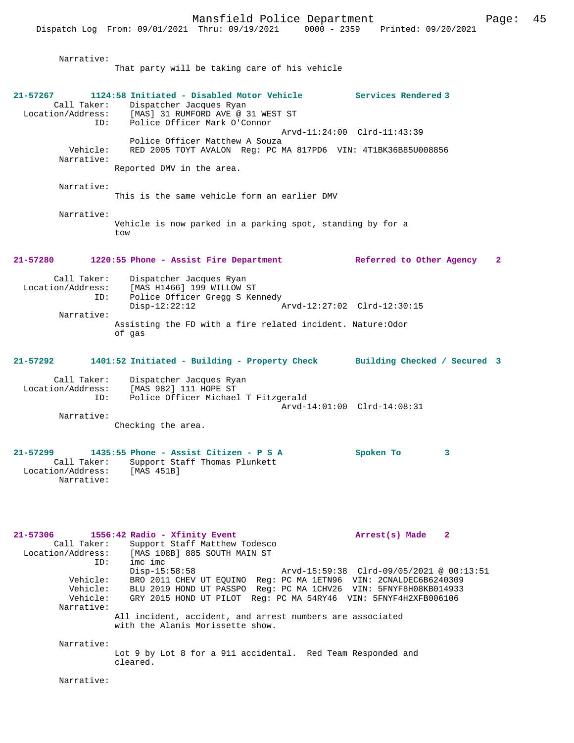Dispatch Log From: 09/01/2021 Thru: 09/19/2021 0000 - 2359 Printed: 09/20/2021

 Narrative: That party will be taking care of his vehicle **21-57267 1124:58 Initiated - Disabled Motor Vehicle Services Rendered 3**  Call Taker: Dispatcher Jacques Ryan<br>Location/Address: [MAS] 31 RUMFORD AVE @ 3 Location/Address: [MAS] 31 RUMFORD AVE @ 31 WEST ST ID: Police Officer Mark O'Connor Arvd-11:24:00 Clrd-11:43:39 Police Officer Matthew A Souza<br>Vehicle: RED 2005 TOYT AVALON Reg: PC M RED 2005 TOYT AVALON Reg: PC MA 817PD6 VIN: 4T1BK36B85U008856 Narrative: Reported DMV in the area. Narrative: This is the same vehicle form an earlier DMV Narrative: Vehicle is now parked in a parking spot, standing by for a tow **21-57280 1220:55 Phone - Assist Fire Department Referred to Other Agency 2** Call Taker: Dispatcher Jacques Ryan<br>Location/Address: [MAS H1466] 199 WILLOW (ID: Police Officer Gregg S H<br>Disp-12:22:12 Location Cacques Ryan<br>[MAS H1466] 199 WILLOW ST Police Officer Gregg S Kennedy Disp-12:22:12 Arvd-12:27:02 Clrd-12:30:15 Narrative: Assisting the FD with a fire related incident. Nature:Odor of gas **21-57292 1401:52 Initiated - Building - Property Check Building Checked / Secured 3** Call Taker: Dispatcher Jacques Ryan<br>Location/Address: [MAS 982] 111 HOPE ST [MAS 982] 111 HOPE ST ID: Police Officer Michael T Fitzgerald Arvd-14:01:00 Clrd-14:08:31 Narrative: Checking the area. **21-57299 1435:55 Phone - Assist Citizen - P S A Spoken To 3**  Call Taker: Support Staff Thomas Plunkett Location/Address: [MAS 451B] Narrative: **21-57306 1556:42 Radio - Xfinity Event Arrest(s) Made 2**  Call Taker: Support Staff Matthew Todesco Location/Address: [MAS 108B] 885 SOUTH MAIN ST ID: imc imc Disp-15:58:58 Arvd-15:59:38 Clrd-09/05/2021 @ 00:13:51 Vehicle: BRO 2011 CHEV UT EQUINO Reg: PC MA 1ETN96 VIN: 2CNALDEC6B6240309 Vehicle: BLU 2019 HOND UT PASSPO Reg: PC MA 1CHV26 VIN: 5FNYF8H08KB014933 Vehicle: GRY 2015 HOND UT PILOT Reg: PC MA 54RY46 VIN: 5FNYF4H2XFB006106 Narrative: All incident, accident, and arrest numbers are associated with the Alanis Morissette show. Narrative: Lot 9 by Lot 8 for a 911 accidental. Red Team Responded and cleared. Narrative: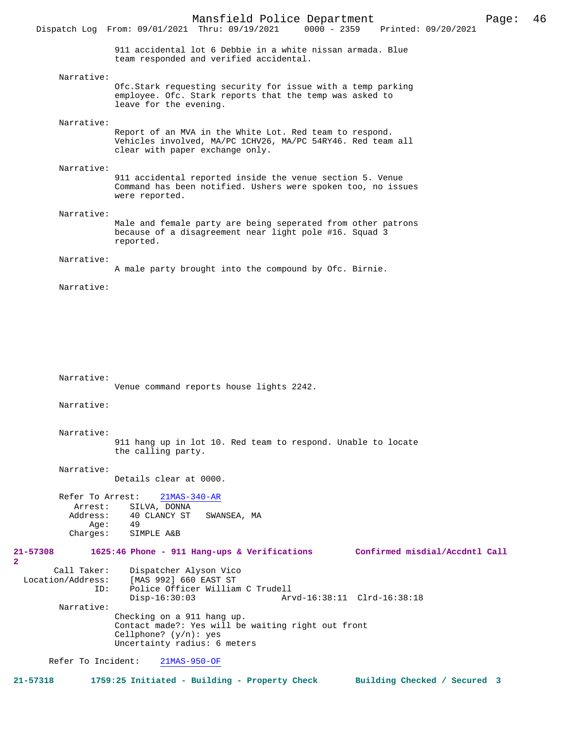911 accidental lot 6 Debbie in a white nissan armada. Blue team responded and verified accidental.

Dispatch Log From: 09/01/2021 Thru: 09/19/2021

 Narrative: Ofc.Stark requesting security for issue with a temp parking employee. Ofc. Stark reports that the temp was asked to leave for the evening. Narrative: Report of an MVA in the White Lot. Red team to respond. Vehicles involved, MA/PC 1CHV26, MA/PC 54RY46. Red team all clear with paper exchange only. Narrative: 911 accidental reported inside the venue section 5. Venue Command has been notified. Ushers were spoken too, no issues were reported. Narrative: Male and female party are being seperated from other patrons

because of a disagreement near light pole #16. Squad 3 reported.

## Narrative:

A male party brought into the compound by Ofc. Birnie.

Narrative:

Narrative:

**2** 

Venue command reports house lights 2242. Narrative: Narrative: 911 hang up in lot 10. Red team to respond. Unable to locate the calling party. Narrative: Details clear at 0000. Refer To Arrest: 21MAS-340-AR Arrest: SILVA, DONNA<br>Address: 40 CLANCY ST 40 CLANCY ST SWANSEA, MA<br>49 Age:<br>:Charges SIMPLE A&B **21-57308 1625:46 Phone - 911 Hang-ups & Verifications Confirmed misdial/Accdntl Call** Call Taker: Dispatcher Alyson Vico<br>Location/Address: [MAS 992] 660 EAST ST ess: [MAS 992] 660 EAST ST<br>ID: Police Officer William Police Officer William C Trudell<br>Disp-16:30:03 Ar Disp-16:30:03 Arvd-16:38:11 Clrd-16:38:18 Narrative: Checking on a 911 hang up. Contact made?: Yes will be waiting right out front Cellphone? (y/n): yes Uncertainty radius: 6 meters Refer To Incident: 21MAS-950-OF

**21-57318 1759:25 Initiated - Building - Property Check Building Checked / Secured 3**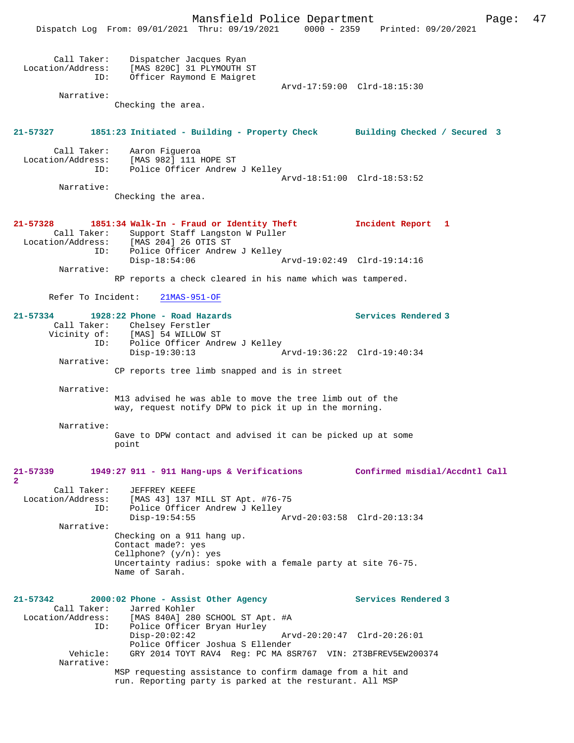Mansfield Police Department Form Page: 47 Dispatch Log From: 09/01/2021 Thru: 09/19/2021 0000 - 2359 Printed: 09/20/2021 Call Taker: Dispatcher Jacques Ryan Location/Address: [MAS 820C] 31 PLYMOUTH ST ID: Officer Raymond E Maigret Arvd-17:59:00 Clrd-18:15:30 Narrative: Checking the area. **21-57327 1851:23 Initiated - Building - Property Check Building Checked / Secured 3** Call Taker: Aaron Figueroa Location/Address: [MAS 982] 111 HOPE ST Police Officer Andrew J Kelley Arvd-18:51:00 Clrd-18:53:52 Narrative: Checking the area. **21-57328 1851:34 Walk-In - Fraud or Identity Theft Incident Report 1**  Call Taker: Support Staff Langston W Puller<br>Location/Address: [MAS 204] 26 OTIS ST ess: [MAS 204] 26 OTIS ST<br>ID: Police Officer Andrey Police Officer Andrew J Kelley<br>Disp-18:54:06 P Disp-18:54:06 Arvd-19:02:49 Clrd-19:14:16 Narrative: RP reports a check cleared in his name which was tampered. Refer To Incident: 21MAS-951-OF **21-57334 1928:22 Phone - Road Hazards Services Rendered 3**  Call Taker: Chelsey Ferstler<br>Vicinity of: [MAS] 54 WILLOW S [MAS] 54 WILLOW ST ID: Police Officer Andrew J Kelley<br>Disp-19:30:13 Disp-19:30:13 Arvd-19:36:22 Clrd-19:40:34 Narrative: CP reports tree limb snapped and is in street Narrative: M13 advised he was able to move the tree limb out of the way, request notify DPW to pick it up in the morning. Narrative: Gave to DPW contact and advised it can be picked up at some point **21-57339 1949:27 911 - 911 Hang-ups & Verifications Confirmed misdial/Accdntl Call 2**  Call Taker: JEFFREY KEEFE<br>Location/Address: [MAS 43] 137 1 ess: [MAS 43] 137 MILL ST Apt. #76-75<br>ID: Police Officer Andrew J Kellev Police Officer Andrew J Kelley<br>Disp-19:54:55 Disp-19:54:55 Arvd-20:03:58 Clrd-20:13:34 Narrative: Checking on a 911 hang up. Contact made?: yes Cellphone? (y/n): yes Uncertainty radius: spoke with a female party at site 76-75. Name of Sarah. **21-57342 2000:02 Phone - Assist Other Agency Services Rendered 3**  Call Taker: Jarred Kohler<br>Location/Address: [MAS 840A] 28 [MAS 840A] 280 SCHOOL ST Apt. #A ID: Police Officer Bryan Hurley Disp-20:02:42 Arvd-20:20:47 Clrd-20:26:01 Police Officer Joshua S Ellender<br>Vehicle: GRY 2014 TOYT RAV4 Reg: PC MA 89 GRY 2014 TOYT RAV4 Reg: PC MA 8SR767 VIN: 2T3BFREV5EW200374 Narrative: MSP requesting assistance to confirm damage from a hit and run. Reporting party is parked at the resturant. All MSP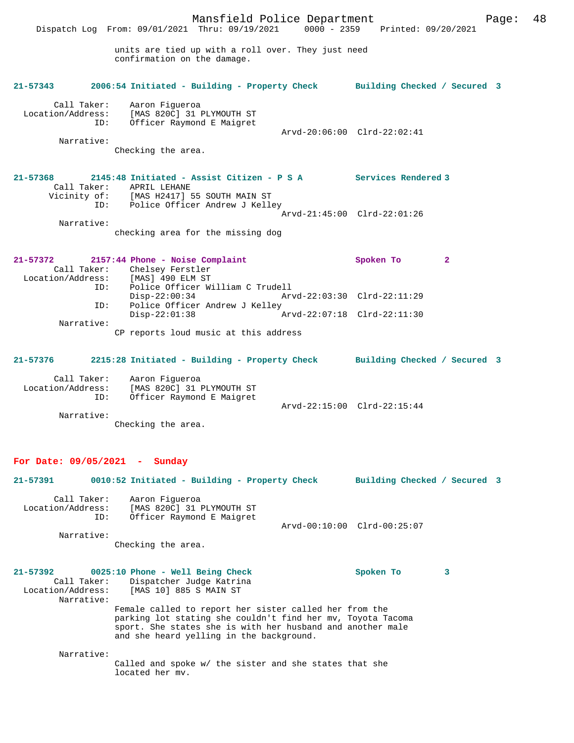Mansfield Police Department Page: 48 Dispatch Log From: 09/01/2021 Thru: 09/19/2021 0000 - 2359 Printed: 09/20/2021 units are tied up with a roll over. They just need confirmation on the damage. **21-57343 2006:54 Initiated - Building - Property Check Building Checked / Secured 3** Call Taker: Aaron Figueroa<br>Location/Address: [MAS 820C] 31 E Location/Address: [MAS 820C] 31 PLYMOUTH ST ID: Officer Raymond E Maigret Arvd-20:06:00 Clrd-22:02:41 Narrative: Checking the area. **21-57368 2145:48 Initiated - Assist Citizen - P S A Services Rendered 3**  Call Taker: APRIL LEHANE Vicinity of: [MAS H2417] 55 SOUTH MAIN ST ID: Police Officer Andrew J Kelley Arvd-21:45:00 Clrd-22:01:26 Narrative: checking area for the missing dog **21-57372 2157:44 Phone - Noise Complaint Spoken To 2**  Call Taker: Chelsey Ferstler Location/Address: [MAS] 490 ELM ST<br>Location/Address: [MAS] 490 ELM ST Police Officer William C Trudell<br>Disp-22:00:34 Arv Disp-22:00:34 Arvd-22:03:30 Clrd-22:11:29 ID: Police Officer Andrew J Kelley<br>Disp-22:01:38 A Disp-22:01:38 Arvd-22:07:18 Clrd-22:11:30 Narrative: CP reports loud music at this address **21-57376 2215:28 Initiated - Building - Property Check Building Checked / Secured 3** Call Taker: Aaron Figueroa Location/Address: [MAS 820C] 31 PLYMOUTH ST ID: Officer Raymond E Maigret Arvd-22:15:00 Clrd-22:15:44 Narrative: Checking the area. **For Date: 09/05/2021 - Sunday 21-57391 0010:52 Initiated - Building - Property Check Building Checked / Secured 3** Call Taker: Aaron Figueroa Location/Address: [MAS 820C] 31 PLYMOUTH ST ID: Officer Raymond E Maigret Arvd-00:10:00 Clrd-00:25:07 Narrative: Checking the area. **21-57392 0025:10 Phone - Well Being Check Spoken To 3**  Call Taker: Dispatcher Judge Katrina<br>Location/Address: [MAS 10] 885 S MAIN ST  $[MAS 10] 885 S MAIN ST$  Narrative: Female called to report her sister called her from the parking lot stating she couldn't find her mv, Toyota Tacoma sport. She states she is with her husband and another male and she heard yelling in the background. Narrative: Called and spoke w/ the sister and she states that she located her mv.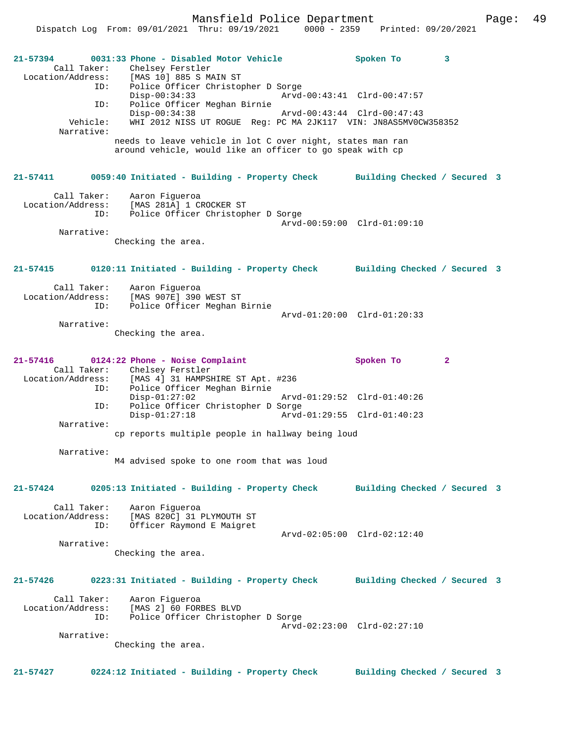Mansfield Police Department Fage: 49

Dispatch Log From: 09/01/2021 Thru: 09/19/2021 0000 - 2359 Printed: 09/20/2021

| $21 - 57394$<br>Call Taker:<br>Vehicle:<br>Narrative: | ID:<br>ID: | 0031:33 Phone - Disabled Motor Vehicle<br>Chelsey Ferstler<br>Location/Address: [MAS 10] 885 S MAIN ST<br>ID: Police Officer Christop<br>Police Officer Christopher D Sorge<br>$Disp-00:34:33$<br>Police Officer Meghan Birnie<br>$Disp-00:34:38$<br>WHI 2012 NISS UT ROGUE Req: PC MA 2JK117 VIN: JN8AS5MV0CW358352<br>needs to leave vehicle in lot C over night, states man ran<br>around vehicle, would like an officer to go speak with cp | Arvd-00:43:41 Clrd-00:47:57<br>Arvd-00:43:44 Clrd-00:47:43 | Spoken To                    | 3            |  |
|-------------------------------------------------------|------------|-------------------------------------------------------------------------------------------------------------------------------------------------------------------------------------------------------------------------------------------------------------------------------------------------------------------------------------------------------------------------------------------------------------------------------------------------|------------------------------------------------------------|------------------------------|--------------|--|
| 21-57411                                              |            | 0059:40 Initiated - Building - Property Check Building Checked / Secured 3                                                                                                                                                                                                                                                                                                                                                                      |                                                            |                              |              |  |
| Call Taker:<br>Location/Address:<br>Narrative:        | ID:        | Aaron Figueroa<br>[MAS 281A] 1 CROCKER ST<br>Police Officer Christopher D Sorge<br>Checking the area.                                                                                                                                                                                                                                                                                                                                           | Arvd-00:59:00 Clrd-01:09:10                                |                              |              |  |
|                                                       |            |                                                                                                                                                                                                                                                                                                                                                                                                                                                 |                                                            |                              |              |  |
| 21-57415                                              |            | 0120:11 Initiated - Building - Property Check                                                                                                                                                                                                                                                                                                                                                                                                   |                                                            | Building Checked / Secured 3 |              |  |
| Call Taker:<br>Location/Address:<br>Narrative:        | ID:        | Aaron Fiqueroa<br>[MAS 907E] 390 WEST ST<br>Police Officer Meghan Birnie<br>Checking the area.                                                                                                                                                                                                                                                                                                                                                  | Arvd-01:20:00 Clrd-01:20:33                                |                              |              |  |
| 21-57416                                              | ID:        | 0124:22 Phone - Noise Complaint<br>Call Taker: Chelsey Ferstler<br>Location/Address: [MAS 4] 31 HAMPSHIRE ST Apt. #236<br>Police Officer Meghan Birnie                                                                                                                                                                                                                                                                                          |                                                            | Spoken To                    | $\mathbf{2}$ |  |
|                                                       | ID:        | $Disp-01:27:02$<br>Police Officer Christopher D Sorge                                                                                                                                                                                                                                                                                                                                                                                           | Arvd-01:29:52 Clrd-01:40:26                                |                              |              |  |
| Narrative:                                            |            | $Disp-01:27:18$<br>cp reports multiple people in hallway being loud                                                                                                                                                                                                                                                                                                                                                                             | Arvd-01:29:55 Clrd-01:40:23                                |                              |              |  |
|                                                       |            |                                                                                                                                                                                                                                                                                                                                                                                                                                                 |                                                            |                              |              |  |
| Narrative:                                            |            | M4 advised spoke to one room that was loud                                                                                                                                                                                                                                                                                                                                                                                                      |                                                            |                              |              |  |
| 21-57424                                              |            | 0205:13 Initiated - Building - Property Check                                                                                                                                                                                                                                                                                                                                                                                                   |                                                            | Building Checked / Secured 3 |              |  |
| Call Taker:<br>Location/Address:                      | ID:        | Aaron Figueroa<br>[MAS 820C] 31 PLYMOUTH ST<br>Officer Raymond E Maigret                                                                                                                                                                                                                                                                                                                                                                        |                                                            |                              |              |  |
| Narrative:                                            |            | Checking the area.                                                                                                                                                                                                                                                                                                                                                                                                                              | Arvd-02:05:00 Clrd-02:12:40                                |                              |              |  |
| 21-57426                                              |            | 0223:31 Initiated - Building - Property Check                                                                                                                                                                                                                                                                                                                                                                                                   |                                                            | Building Checked / Secured 3 |              |  |
| Call Taker:<br>Location/Address:                      | ID:        | Aaron Figueroa<br>[MAS 2] 60 FORBES BLVD<br>Police Officer Christopher D Sorge                                                                                                                                                                                                                                                                                                                                                                  |                                                            |                              |              |  |
| Narrative:                                            |            |                                                                                                                                                                                                                                                                                                                                                                                                                                                 | Arvd-02:23:00 Clrd-02:27:10                                |                              |              |  |
|                                                       |            | Checking the area.                                                                                                                                                                                                                                                                                                                                                                                                                              |                                                            |                              |              |  |
| $21 - 57427$                                          |            | 0224:12 Initiated - Building - Property Check                                                                                                                                                                                                                                                                                                                                                                                                   |                                                            | Building Checked / Secured 3 |              |  |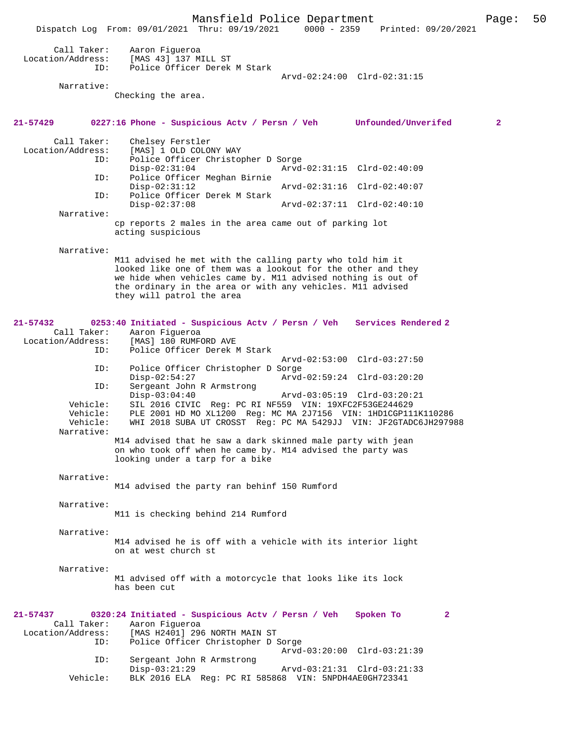Mansfield Police Department Page: 50 Dispatch Log From: 09/01/2021 Thru: 09/19/2021 Call Taker: Aaron Figueroa<br>Location/Address: [MAS 43] 137 M: ess: [MAS 43] 137 MILL ST<br>ID: Police Officer Derek Police Officer Derek M Stark Arvd-02:24:00 Clrd-02:31:15 Narrative: Checking the area. **21-57429 0227:16 Phone - Suspicious Actv / Persn / Veh Unfounded/Unverifed 2** Call Taker: Chelsey Ferstler<br>Location/Address: [MAS] 1 OLD COLO ess: [MAS] 1 OLD COLONY WAY<br>ID: Police Officer Christop Police Officer Christopher D Sorge<br>Disp-02:31:04 Arvd Disp-02:31:04 Arvd-02:31:15 Clrd-02:40:09 ID: Police Officer Meghan Birnie Disp-02:31:12 Arvd-02:31:16 Clrd-02:40:07<br>TD: Police Officer Derek M Stark Police Officer Derek M Stark<br>Disp-02:37:08 Disp-02:37:08 Arvd-02:37:11 Clrd-02:40:10 Narrative: cp reports 2 males in the area came out of parking lot acting suspicious Narrative: M11 advised he met with the calling party who told him it looked like one of them was a lookout for the other and they we hide when vehicles came by. M11 advised nothing is out of the ordinary in the area or with any vehicles. M11 advised they will patrol the area **21-57432 0253:40 Initiated - Suspicious Actv / Persn / Veh Services Rendered 2**  Call Taker: Aaron Figueroa<br>Location/Address: [MAS] 180 RUMF ess: [MAS] 180 RUMFORD AVE<br>ID: Police Officer Derek Police Officer Derek M Stark Arvd-02:53:00 Clrd-03:27:50 ID: Police Officer Christopher D Sorge Disp-02:54:27 Arvd-02:59:24 Clrd-03:20:20<br>TD: Sergeant John R Armstrong Sergeant John R Armstrong<br>Disp-03:04:40 Disp-03:04:40 Arvd-03:05:19 Clrd-03:20:21<br>Vehicle: SIL 2016 CIVIC Reg: PC RI NF559 VIN: 19XFC2F53GE244629 SIL 2016 CIVIC Reg: PC RI NF559 VIN: 19XFC2F53GE244629 Vehicle: PLE 2001 HD MO XL1200 Reg: MC MA 2J7156 VIN: 1HD1CGP111K110286 WHI 2018 SUBA UT CROSST Reg: PC MA 5429JJ VIN: JF2GTADC6JH297988 Narrative: M14 advised that he saw a dark skinned male party with jean on who took off when he came by. M14 advised the party was looking under a tarp for a bike Narrative: M14 advised the party ran behinf 150 Rumford Narrative: M11 is checking behind 214 Rumford Narrative: M14 advised he is off with a vehicle with its interior light on at west church st Narrative: M1 advised off with a motorcycle that looks like its lock has been cut **21-57437 0320:24 Initiated - Suspicious Actv / Persn / Veh Spoken To 2**  Call Taker: Aaron Figueroa Location/Address: [MAS H2401] 296 NORTH MAIN ST Police Officer Christopher D Sorge Arvd-03:20:00 Clrd-03:21:39 ID: Sergeant John R Armstrong Disp-03:21:29 Arvd-03:21:31 Clrd-03:21:33 Vehicle: BLK 2016 ELA Reg: PC RI 585868 VIN: 5NPDH4AE0GH723341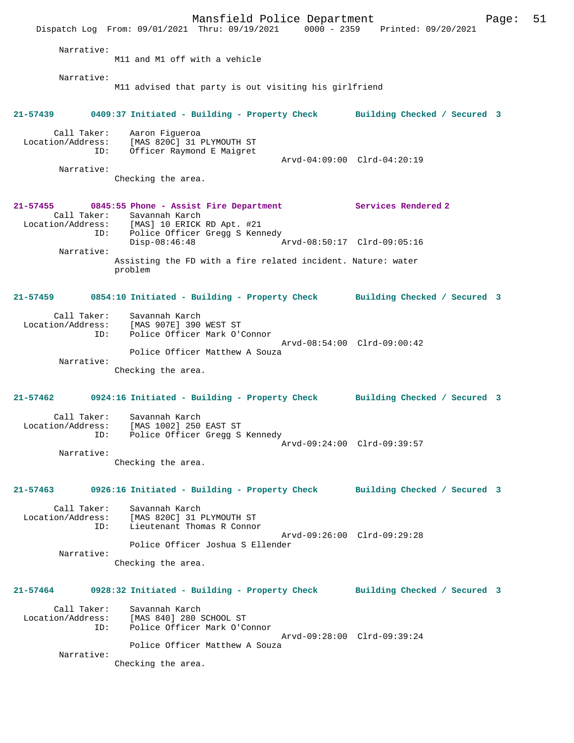|                                                       | Dispatch Log From: 09/01/2021 Thru: 09/19/2021 0000 - 2359 Printed: 09/20/2021                                                                                    | Mansfield Police Department |                     | 51<br>Page: |
|-------------------------------------------------------|-------------------------------------------------------------------------------------------------------------------------------------------------------------------|-----------------------------|---------------------|-------------|
| Narrative:                                            | M11 and M1 off with a vehicle                                                                                                                                     |                             |                     |             |
| Narrative:                                            | M11 advised that party is out visiting his girlfriend                                                                                                             |                             |                     |             |
|                                                       | 21-57439 0409:37 Initiated - Building - Property Check Building Checked / Secured 3                                                                               |                             |                     |             |
| ID:<br>Narrative:                                     | Call Taker: Aaron Figueroa<br>Location/Address: [MAS 820C] 31 PLYMOUTH ST<br>Officer Raymond E Maigret<br>Checking the area.                                      | Arvd-04:09:00 Clrd-04:20:19 |                     |             |
| 21-57455                                              | 0845:55 Phone - Assist Fire Department<br>Call Taker: Savannah Karch<br>Location/Address: [MAS] 10 ERICK RD Apt. #21                                              |                             | Services Rendered 2 |             |
| ID:<br>Narrative:                                     | Police Officer Gregg S Kennedy<br>$Disp-08:46:48$                                                                                                                 | Arvd-08:50:17 Clrd-09:05:16 |                     |             |
|                                                       | Assisting the FD with a fire related incident. Nature: water<br>problem                                                                                           |                             |                     |             |
| 21-57459                                              | 0854:10 Initiated - Building - Property Check Building Checked / Secured 3                                                                                        |                             |                     |             |
| Call Taker:<br>Location/Address:<br>ID:<br>Narrative: | Savannah Karch<br>[MAS 907E] 390 WEST ST<br>Police Officer Mark O'Connor<br>Police Officer Matthew A Souza<br>Checking the area.                                  | Arvd-08:54:00 Clrd-09:00:42 |                     |             |
| 21-57462                                              | 0924:16 Initiated - Building - Property Check Building Checked / Secured 3                                                                                        |                             |                     |             |
| Call Taker:<br>Location/Address:<br>Narrative:        | Savannah Karch<br>[MAS 1002] 250 EAST ST<br>ID: Police Officer Gregg S Kennedy<br>Checking the area.                                                              | Arvd-09:24:00 Clrd-09:39:57 |                     |             |
|                                                       | 21-57463 0926:16 Initiated - Building - Property Check Building Checked / Secured 3                                                                               |                             |                     |             |
| ID:<br>Narrative:                                     | Call Taker: Savannah Karch<br>Location/Address: [MAS 820C] 31 PLYMOUTH ST<br>Lieutenant Thomas R Connor<br>Police Officer Joshua S Ellender<br>Checking the area. | Arvd-09:26:00 Clrd-09:29:28 |                     |             |
|                                                       | 21-57464 0928:32 Initiated - Building - Property Check Building Checked / Secured 3                                                                               |                             |                     |             |
| ID:                                                   | Call Taker: Savannah Karch<br>Location/Address: [MAS 840] 280 SCHOOL ST<br>Police Officer Mark O'Connor                                                           | Arvd-09:28:00 Clrd-09:39:24 |                     |             |
| Narrative:                                            | Police Officer Matthew A Souza<br>Checking the area.                                                                                                              |                             |                     |             |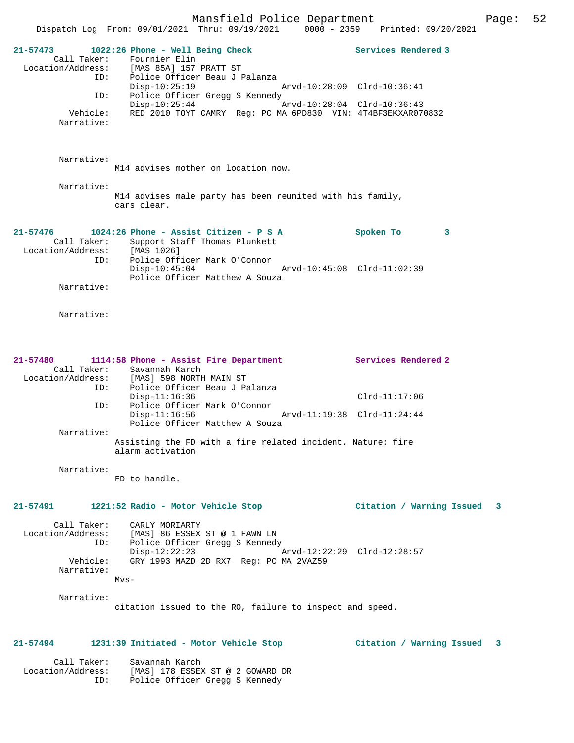Mansfield Police Department Form Page: 52 Dispatch Log From: 09/01/2021 Thru: 09/19/2021 0000 - 2359 Printed: 09/20/2021 **21-57473 1022:26 Phone - Well Being Check Services Rendered 3**  Call Taker: Fournier Elin Location/Address: [MAS 85A] 157 PRATT ST ID: Police Officer Beau J Palanza Disp-10:25:19 Arvd-10:28:09 Clrd-10:36:41 ID: Police Officer Gregg S Kennedy Disp-10:25:44 Arvd-10:28:04 Clrd-10:36:43 Vehicle: RED 2010 TOYT CAMRY Reg: PC MA 6PD830 VIN: 4T4BF3EKXAR070832 Narrative: Narrative: M14 advises mother on location now. Narrative: M14 advises male party has been reunited with his family, cars clear. **21-57476 1024:26 Phone - Assist Citizen - P S A Spoken To 3**  Call Taker: Support Staff Thomas Plunkett Location/Address: [MAS 1026] ID: Police Officer Mark O'Connor Disp-10:45:04 Arvd-10:45:08 Clrd-11:02:39

Narrative:

Narrative:

| 21-57480          |                                                                                 | 1114:58 Phone - Assist Fire Department |  |                             | Services Rendered 2 |
|-------------------|---------------------------------------------------------------------------------|----------------------------------------|--|-----------------------------|---------------------|
|                   |                                                                                 | Call Taker: Savannah Karch             |  |                             |                     |
| Location/Address: |                                                                                 | [MAS] 598 NORTH MAIN ST                |  |                             |                     |
|                   | ID:                                                                             | Police Officer Beau J Palanza          |  |                             |                     |
|                   |                                                                                 | $Disp-11:16:36$                        |  |                             | $Clrd-11:17:06$     |
|                   | ID:                                                                             | Police Officer Mark O'Connor           |  |                             |                     |
|                   |                                                                                 | $Disp-11:16:56$                        |  | Arvd-11:19:38 Clrd-11:24:44 |                     |
|                   |                                                                                 | Police Officer Matthew A Souza         |  |                             |                     |
| Narrative:        |                                                                                 |                                        |  |                             |                     |
|                   | Assisting the FD with a fire related incident. Nature: fire<br>alarm activation |                                        |  |                             |                     |

Police Officer Matthew A Souza

 Narrative: FD to handle.

**21-57491 1221:52 Radio - Motor Vehicle Stop Citation / Warning Issued 3**

 Call Taker: CARLY MORIARTY Location/Address: [MAS] 86 ESSEX ST @ 1 FAWN LN ID: Police Officer Gregg S Kennedy Disp-12:22:23 Arvd-12:22:29 Clrd-12:28:57 Vehicle: GRY 1993 MAZD 2D RX7 Reg: PC MA 2VAZ59 Narrative: Mvs-

Narrative:

citation issued to the RO, failure to inspect and speed.

## **21-57494 1231:39 Initiated - Motor Vehicle Stop Citation / Warning Issued 3**

 Call Taker: Savannah Karch Location/Address: [MAS] 178 ESSEX ST @ 2 GOWARD DR ID: Police Officer Gregg S Kennedy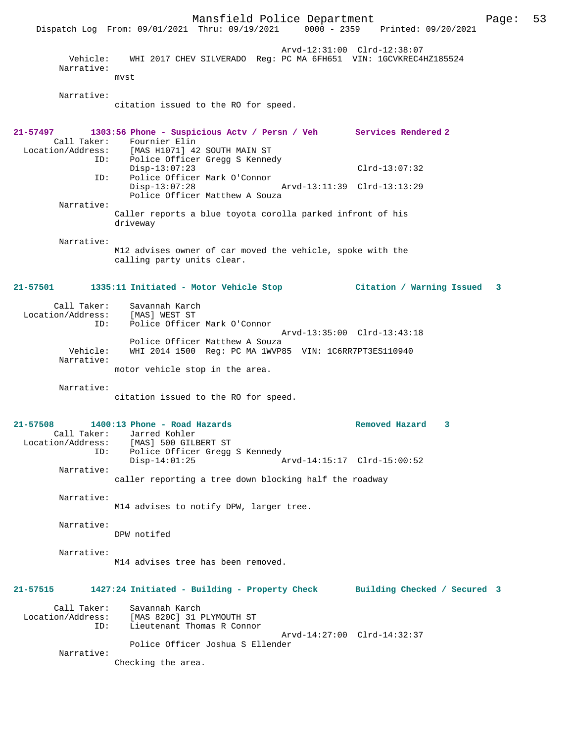Mansfield Police Department Page: 53 Dispatch Log From: 09/01/2021 Thru: 09/19/2021 Arvd-12:31:00 Clrd-12:38:07 Vehicle: WHI 2017 CHEV SILVERADO Reg: PC MA 6FH651 VIN: 1GCVKREC4HZ185524 Narrative: mvst Narrative: citation issued to the RO for speed. **21-57497 1303:56 Phone - Suspicious Actv / Persn / Veh Services Rendered 2**  Call Taker: Fournier Elin<br>Location/Address: [MAS H1071] 42 [MAS H1071] 42 SOUTH MAIN ST ID: Police Officer Gregg S Kennedy Disp-13:07:23 Clrd-13:07:32 ID: Police Officer Mark O'Connor Disp-13:07:28 Arvd-13:11:39 Clrd-13:13:29 Police Officer Matthew A Souza Narrative: Caller reports a blue toyota corolla parked infront of his driveway Narrative: M12 advises owner of car moved the vehicle, spoke with the calling party units clear. **21-57501 1335:11 Initiated - Motor Vehicle Stop Citation / Warning Issued 3** Call Taker: Savannah Karch<br>.on/Address: [MAS] WEST ST Location/Address:<br>TD: Police Officer Mark O'Connor Arvd-13:35:00 Clrd-13:43:18 Police Officer Matthew A Souza<br>Vehicle: WHI 2014 1500 Reg: PC MA 1WVP8 WHI 2014 1500 Reg: PC MA 1WVP85 VIN: 1C6RR7PT3ES110940 Narrative: motor vehicle stop in the area. Narrative: citation issued to the RO for speed. **21-57508 1400:13 Phone - Road Hazards Removed Hazard 3**  Call Taker: Jarred Kohler<br>Location/Address: [MAS] 500 GILE ess: [MAS] 500 GILBERT ST<br>ID: Police Officer Gregg Police Officer Gregg S Kennedy<br>Disp-14:01:25 Disp-14:01:25 Arvd-14:15:17 Clrd-15:00:52 Narrative: caller reporting a tree down blocking half the roadway Narrative: M14 advises to notify DPW, larger tree. Narrative: DPW notifed Narrative: M14 advises tree has been removed. **21-57515 1427:24 Initiated - Building - Property Check Building Checked / Secured 3** Call Taker: Savannah Karch Location/Address: [MAS 820C] 31 PLYMOUTH ST ID: Lieutenant Thomas R Connor Arvd-14:27:00 Clrd-14:32:37 Police Officer Joshua S Ellender Narrative: Checking the area.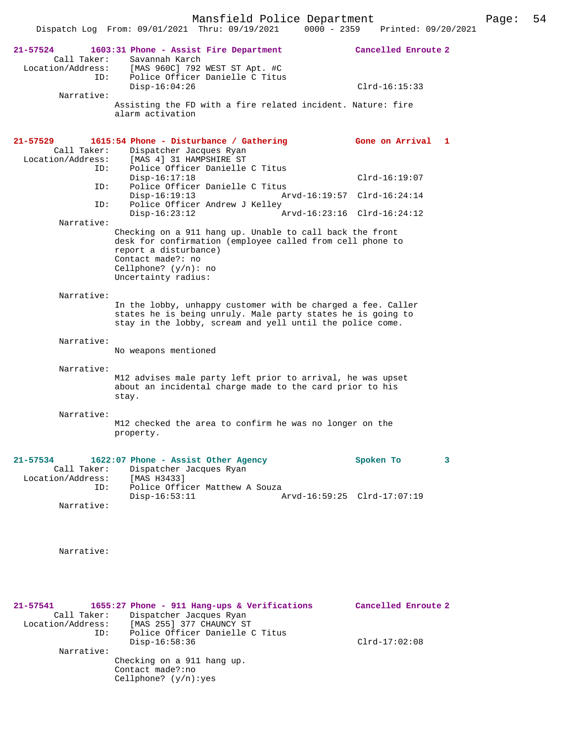|                                                         | Dispatch Log From: 09/01/2021 Thru: 09/19/2021                                                                                                                                           | $0000 - 2359$ | Printed: 09/20/2021                            |   |
|---------------------------------------------------------|------------------------------------------------------------------------------------------------------------------------------------------------------------------------------------------|---------------|------------------------------------------------|---|
| 21-57524<br>Call Taker:<br>Location/Address:<br>ID:     | 1603:31 Phone - Assist Fire Department<br>Savannah Karch<br>[MAS 960C] 792 WEST ST Apt. #C<br>Police Officer Danielle C Titus<br>$Disp-16:04:26$                                         |               | Cancelled Enroute 2<br>$Clrd-16:15:33$         |   |
| Narrative:                                              | Assisting the FD with a fire related incident. Nature: fire<br>alarm activation                                                                                                          |               |                                                |   |
| 21-57529<br>Call Taker:<br>Location/Address:            | 1615:54 Phone - Disturbance / Gathering<br>Dispatcher Jacques Ryan<br>[MAS 4] 31 HAMPSHIRE ST                                                                                            |               | Gone on Arrival                                | 1 |
| ID:<br>ID:<br>ID:                                       | Police Officer Danielle C Titus<br>$Disp-16:17:18$<br>Police Officer Danielle C Titus<br>$Disp-16:19:13$<br>Police Officer Andrew J Kelley                                               |               | $Clrd-16:19:07$<br>Arvd-16:19:57 Clrd-16:24:14 |   |
| Narrative:                                              | $Disp-16:23:12$<br>Checking on a 911 hang up. Unable to call back the front                                                                                                              |               | Arvd-16:23:16 Clrd-16:24:12                    |   |
|                                                         | desk for confirmation (employee called from cell phone to<br>report a disturbance)<br>Contact made?: no<br>Cellphone? $(y/n)$ : no<br>Uncertainty radius:                                |               |                                                |   |
| Narrative:                                              | In the lobby, unhappy customer with be charged a fee. Caller<br>states he is being unruly. Male party states he is going to<br>stay in the lobby, scream and yell until the police come. |               |                                                |   |
| Narrative:                                              | No weapons mentioned                                                                                                                                                                     |               |                                                |   |
| Narrative:                                              | M12 advises male party left prior to arrival, he was upset<br>about an incidental charge made to the card prior to his<br>stay.                                                          |               |                                                |   |
| Narrative:                                              | M12 checked the area to confirm he was no longer on the<br>property.                                                                                                                     |               |                                                |   |
| $21 - 57534$<br>Call Taker:<br>Location/Address:<br>ID: | 1622:07 Phone - Assist Other Agency<br>Dispatcher Jacques Ryan<br>[MAS H3433]<br>Police Officer Matthew A Souza                                                                          |               | Spoken To                                      | 3 |
| Narrative:                                              | $Disp-16:53:11$                                                                                                                                                                          |               | Arvd-16:59:25 Clrd-17:07:19                    |   |
| Narrative:                                              |                                                                                                                                                                                          |               |                                                |   |
| 21-57541<br>Call Taker:<br>Location/Address:<br>ID:     | 1655:27 Phone - 911 Hang-ups & Verifications<br>Dispatcher Jacques Ryan<br>[MAS 255] 377 CHAUNCY ST<br>Police Officer Danielle C Titus                                                   |               | Cancelled Enroute 2                            |   |

Disp-16:58:36 Clrd-17:02:08

Narrative:

Checking on a 911 hang up. Contact made?:no Cellphone? (y/n):yes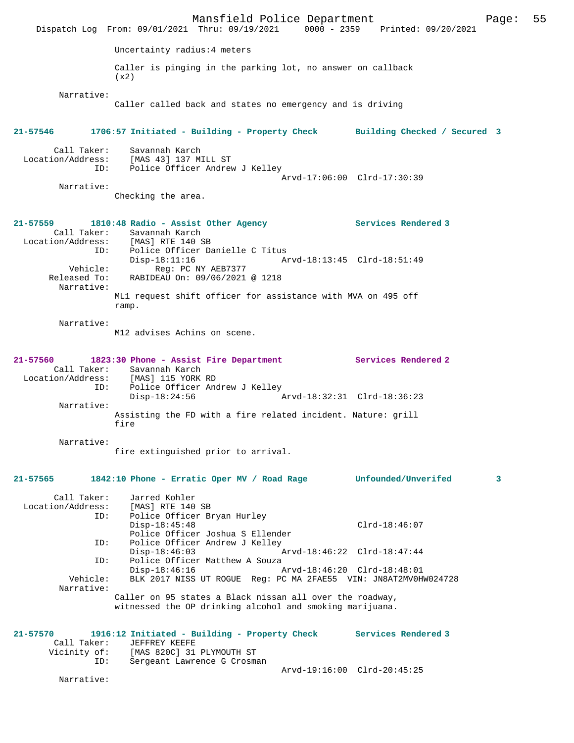|                                         | Dispatch Log From: 09/01/2021 Thru: 09/19/2021 0000 - 2359 Printed: 09/20/2021                                                             | Mansfield Police Department |                             |                     | Page: | 55 |
|-----------------------------------------|--------------------------------------------------------------------------------------------------------------------------------------------|-----------------------------|-----------------------------|---------------------|-------|----|
|                                         | Uncertainty radius: 4 meters                                                                                                               |                             |                             |                     |       |    |
|                                         | Caller is pinging in the parking lot, no answer on callback<br>(x2)                                                                        |                             |                             |                     |       |    |
| Narrative:                              | Caller called back and states no emergency and is driving                                                                                  |                             |                             |                     |       |    |
| 21-57546                                | 1706:57 Initiated - Building - Property Check Building Checked / Secured 3                                                                 |                             |                             |                     |       |    |
| Call Taker:<br>ID:                      | Savannah Karch<br>Location/Address: [MAS 43] 137 MILL ST<br>Police Officer Andrew J Kelley                                                 |                             | Arvd-17:06:00 Clrd-17:30:39 |                     |       |    |
| Narrative:                              | Checking the area.                                                                                                                         |                             |                             |                     |       |    |
| $21 - 57559$<br>ID:                     | 1810:48 Radio - Assist Other Agency<br>Call Taker: Savannah Karch<br>Location/Address: [MAS] RTE 140 SB<br>Police Officer Danielle C Titus |                             |                             | Services Rendered 3 |       |    |
| Released To:<br>Narrative:              | $Disp-18:11:16$<br>Vehicle: Reg: PC NY AEB7377<br>Pased To: RABIDEAU On: 09/06/2021 @ 1218                                                 |                             | Arvd-18:13:45 Clrd-18:51:49 |                     |       |    |
|                                         | ML1 request shift officer for assistance with MVA on 495 off<br>ramp.                                                                      |                             |                             |                     |       |    |
| Narrative:                              | M12 advises Achins on scene.                                                                                                               |                             |                             |                     |       |    |
| 21-57560                                | 1823:30 Phone - Assist Fire Department<br>Call Taker: Savannah Karch<br>Location/Address: [MAS] 115 YORK RD                                |                             |                             | Services Rendered 2 |       |    |
| ID:<br>Narrative:                       | Police Officer Andrew J Kelley<br>$Disp-18:24:56$                                                                                          |                             | Arvd-18:32:31 Clrd-18:36:23 |                     |       |    |
|                                         | Assisting the FD with a fire related incident. Nature: grill<br>fire                                                                       |                             |                             |                     |       |    |
| Narrative:                              | fire extinguished prior to arrival.                                                                                                        |                             |                             |                     |       |    |
| 21-57565                                | 1842:10 Phone - Erratic Oper MV / Road Rage                                                                                                |                             |                             | Unfounded/Unverifed | 3     |    |
| Call Taker:<br>Location/Address:<br>ID: | Jarred Kohler<br>[MAS] RTE 140 SB<br>Police Officer Bryan Hurley<br>$Disp-18:45:48$<br>Police Officer Joshua S Ellender                    |                             |                             | $Clrd-18:46:07$     |       |    |
| ID:<br>ID:                              | Police Officer Andrew J Kelley<br>$Disp-18:46:03$<br>Police Officer Matthew A Souza                                                        |                             | Arvd-18:46:22 Clrd-18:47:44 |                     |       |    |
| Vehicle:<br>Narrative:                  | $Disp-18:46:16$<br>BLK 2017 NISS UT ROGUE Reg: PC MA 2FAE55 VIN: JN8AT2MV0HW024728                                                         |                             | Arvd-18:46:20 Clrd-18:48:01 |                     |       |    |
|                                         | Caller on 95 states a Black nissan all over the roadway,<br>witnessed the OP drinking alcohol and smoking marijuana.                       |                             |                             |                     |       |    |
| $21 - 57570$<br>Call Taker:             | 1916:12 Initiated - Building - Property Check Services Rendered 3<br>JEFFREY KEEFE<br>Vicinity of: [MAS 820C] 31 PLYMOUTH ST               |                             |                             |                     |       |    |
| ID:<br>Narrative:                       | Sergeant Lawrence G Crosman                                                                                                                |                             | Arvd-19:16:00 Clrd-20:45:25 |                     |       |    |
|                                         |                                                                                                                                            |                             |                             |                     |       |    |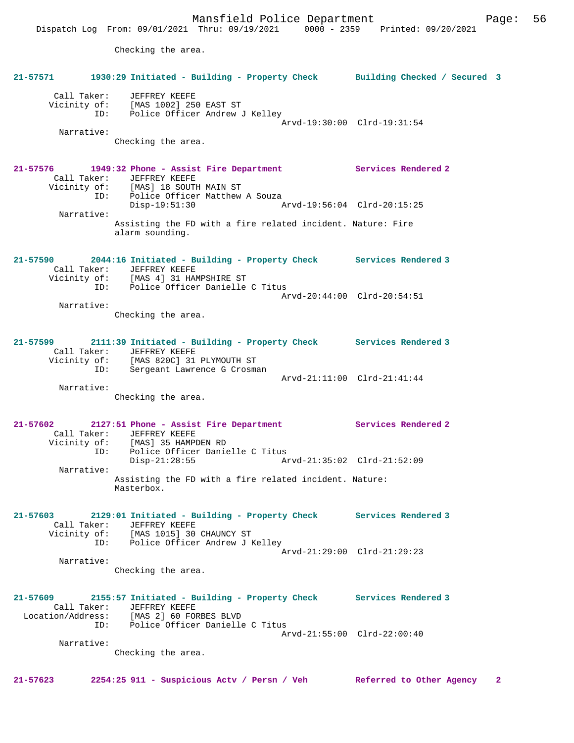Dispatch Log From: 09/01/2021 Thru: 09/19/2021 0000 - 2359 Printed: 09/20/2021

Checking the area.

|              | 21-57571 1930:29 Initiated - Building - Property Check Building Checked / Secured 3                                                                                                    |                             |              |
|--------------|----------------------------------------------------------------------------------------------------------------------------------------------------------------------------------------|-----------------------------|--------------|
| Narrative:   | Call Taker: JEFFREY KEEFE<br>Vicinity of: [MAS 1002] 250 EAST ST<br>ID: Police Officer Andrew J Kelley                                                                                 | Arvd-19:30:00 Clrd-19:31:54 |              |
|              | Checking the area.                                                                                                                                                                     |                             |              |
| 21-57576     | 1949:32 Phone - Assist Fire Department Services Rendered 2<br>Call Taker: JEFFREY KEEFE<br>Vicinity of: [MAS] 18 SOUTH MAIN ST                                                         |                             |              |
| Narrative:   | ID: Police Officer Matthew A Souza<br>$Disp-19:51:30$                                                                                                                                  |                             |              |
|              | Assisting the FD with a fire related incident. Nature: Fire<br>alarm sounding.                                                                                                         |                             |              |
| 21-57590     | 2044:16 Initiated - Building - Property Check Services Rendered 3<br>Call Taker: JEFFREY KEEFE<br>Vicinity of: [MAS 4] 31 HAMPSHIRE ST                                                 |                             |              |
| Narrative:   | ID: Police Officer Danielle C Titus<br>Checking the area.                                                                                                                              | Arvd-20:44:00 Clrd-20:54:51 |              |
|              |                                                                                                                                                                                        |                             |              |
|              | 21-57599 2111:39 Initiated - Building - Property Check Services Rendered 3<br>Call Taker: JEFFREY KEEFE<br>Vicinity of: [MAS 820C] 31 PLYMOUTH ST<br>ID: Sergeant Lawrence G Crosman   |                             |              |
|              |                                                                                                                                                                                        | Arvd-21:11:00 Clrd-21:41:44 |              |
| Narrative:   | Checking the area.                                                                                                                                                                     |                             |              |
| $21 - 57602$ | 2127:51 Phone - Assist Fire Department Services Rendered 2<br>Call Taker: JEFFREY KEEFE<br>Vicinity of: [MAS] 35 HAMPDEN RD                                                            |                             |              |
| Narrative:   | ID: Police Officer Danielle C Titus<br>Disp-21:28:55 Arvd-21:35:02 Clrd-21:52:09                                                                                                       |                             |              |
|              | Assisting the FD with a fire related incident. Nature:<br>Masterbox.                                                                                                                   |                             |              |
|              | 21-57603 2129:01 Initiated - Building - Property Check Services Rendered 3<br>Call Taker: JEFFREY KEEFE<br>Vicinity of: [MAS 1015] 30 CHAUNCY ST<br>ID: Police Officer Andrew J Kelley |                             |              |
|              |                                                                                                                                                                                        | Arvd-21:29:00 Clrd-21:29:23 |              |
| Narrative:   | Checking the area.                                                                                                                                                                     |                             |              |
|              | 21-57609 2155:57 Initiated - Building - Property Check Services Rendered 3<br>Call Taker: JEFFREY KEEFE<br>Location/Address: [MAS 2] 60 FORBES BLVD                                    |                             |              |
|              | ID: Police Officer Danielle C Titus                                                                                                                                                    | Arvd-21:55:00 Clrd-22:00:40 |              |
| Narrative:   | Checking the area.                                                                                                                                                                     |                             |              |
| 21-57623     | 2254:25 911 - Suspicious Actv / Persn / Veh Referred to Other Agency                                                                                                                   |                             | $\mathbf{2}$ |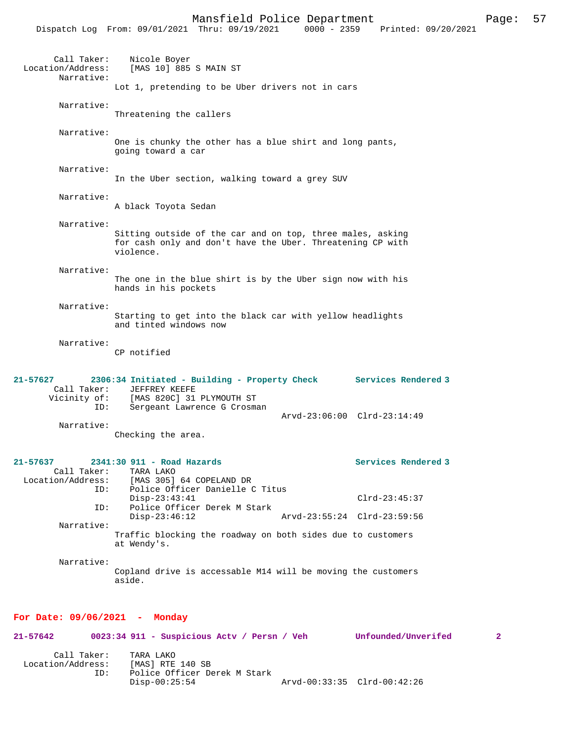|                                                    | PRINTER LOTTEC DOPUL CHICHC<br>Dispatch Log From: 09/01/2021 Thru: 09/19/2021                                                                  | $-0.9$<br>0000 - 2359 Printed: 09/20/2021 |
|----------------------------------------------------|------------------------------------------------------------------------------------------------------------------------------------------------|-------------------------------------------|
| Call Taker:<br>Location/Address:<br>Narrative:     | Nicole Boyer<br>[MAS 10] 885 S MAIN ST                                                                                                         |                                           |
|                                                    | Lot 1, pretending to be Uber drivers not in cars                                                                                               |                                           |
| Narrative:                                         | Threatening the callers                                                                                                                        |                                           |
| Narrative:                                         | One is chunky the other has a blue shirt and long pants,<br>going toward a car                                                                 |                                           |
| Narrative:                                         | In the Uber section, walking toward a grey SUV                                                                                                 |                                           |
| Narrative:                                         | A black Toyota Sedan                                                                                                                           |                                           |
| Narrative:                                         | Sitting outside of the car and on top, three males, asking<br>for cash only and don't have the Uber. Threatening CP with<br>violence.          |                                           |
| Narrative:                                         | The one in the blue shirt is by the Uber sign now with his<br>hands in his pockets                                                             |                                           |
| Narrative:                                         | Starting to get into the black car with yellow headlights<br>and tinted windows now                                                            |                                           |
| Narrative:                                         | CP notified                                                                                                                                    |                                           |
| $21 - 57627$<br>Call Taker:<br>Vicinity of:<br>ID: | 2306:34 Initiated - Building - Property Check Services Rendered 3<br>JEFFREY KEEFE<br>[MAS 820C] 31 PLYMOUTH ST<br>Sergeant Lawrence G Crosman | Arvd-23:06:00 Clrd-23:14:49               |
| Narrative:                                         | Checking the area.                                                                                                                             |                                           |
| 21-57637<br>Call Taker:<br>ID:                     | 2341:30 911 - Road Hazards<br>TARA LAKO<br>Location/Address: [MAS 305] 64 COPELAND DR<br>Police Officer Danielle C Titus                       | Services Rendered 3                       |
| ID:                                                | $Disp-23:43:41$<br>Police Officer Derek M Stark                                                                                                | $Clrd-23:45:37$                           |
| Narrative:                                         | $Disp-23:46:12$                                                                                                                                | Arvd-23:55:24 Clrd-23:59:56               |
|                                                    | Traffic blocking the roadway on both sides due to customers<br>at Wendy's.                                                                     |                                           |
| Narrative:                                         | Copland drive is accessable M14 will be moving the customers<br>aside.                                                                         |                                           |
| For Date: 09/06/2021 - Monday                      |                                                                                                                                                |                                           |

| 21-57642                         |     | 0023:34 911 - Suspicious Acty / Persn / Veh                   |  | Unfounded/Unverifed         | $\overline{2}$ |
|----------------------------------|-----|---------------------------------------------------------------|--|-----------------------------|----------------|
| Call Taker:<br>Location/Address: |     | TARA LAKO<br>[MAS] RTE 140 SB<br>Police Officer Derek M Stark |  |                             |                |
|                                  | ID: | $Disp-00:25:54$                                               |  | Arvd-00:33:35 Clrd-00:42:26 |                |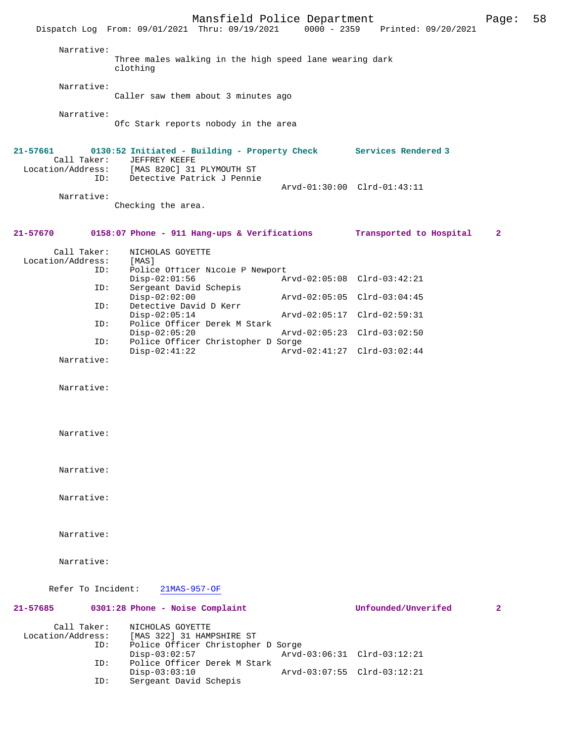|                                              | Mansfield Police Department<br>Dispatch Log From: 09/01/2021 Thru: 09/19/2021                                   | $0000 - 2359$ | Printed: 09/20/2021         | Page:                   | 58 |
|----------------------------------------------|-----------------------------------------------------------------------------------------------------------------|---------------|-----------------------------|-------------------------|----|
| Narrative:                                   | Three males walking in the high speed lane wearing dark<br>clothing                                             |               |                             |                         |    |
| Narrative:                                   | Caller saw them about 3 minutes ago                                                                             |               |                             |                         |    |
| Narrative:                                   | Ofc Stark reports nobody in the area                                                                            |               |                             |                         |    |
| 21-57661<br>Call Taker:<br>Location/Address: | 0130:52 Initiated - Building - Property Check Services Rendered 3<br>JEFFREY KEEFE<br>[MAS 820C] 31 PLYMOUTH ST |               |                             |                         |    |
| ID:                                          | Detective Patrick J Pennie                                                                                      |               | Arvd-01:30:00 Clrd-01:43:11 |                         |    |
| Narrative:                                   | Checking the area.                                                                                              |               |                             |                         |    |
| 21-57670                                     | 0158:07 Phone - 911 Hang-ups & Verifications                                                                    |               | Transported to Hospital     | $\mathbf{2}$            |    |
| Call Taker:<br>Location/Address:<br>ID:      | NICHOLAS GOYETTE<br>[MAS]<br>Police Officer Nicole P Newport                                                    |               |                             |                         |    |
| ID:                                          | $Disp-02:01:56$<br>Sergeant David Schepis                                                                       |               | Arvd-02:05:08 Clrd-03:42:21 |                         |    |
|                                              | $Disp-02:02:00$                                                                                                 |               | Arvd-02:05:05 Clrd-03:04:45 |                         |    |
| ID:                                          | Detective David D Kerr<br>$Disp-02:05:14$                                                                       |               | Arvd-02:05:17 Clrd-02:59:31 |                         |    |
| ID:                                          | Police Officer Derek M Stark<br>$Disp-02:05:20$                                                                 |               | Arvd-02:05:23 Clrd-03:02:50 |                         |    |
| ID:                                          | Police Officer Christopher D Sorge<br>$Disp-02:41:22$                                                           |               | Arvd-02:41:27 Clrd-03:02:44 |                         |    |
| Narrative:                                   |                                                                                                                 |               |                             |                         |    |
| Narrative:                                   |                                                                                                                 |               |                             |                         |    |
| Narrative:                                   |                                                                                                                 |               |                             |                         |    |
| Narrative:                                   |                                                                                                                 |               |                             |                         |    |
| Narrative:                                   |                                                                                                                 |               |                             |                         |    |
| Narrative:                                   |                                                                                                                 |               |                             |                         |    |
| Narrative:                                   |                                                                                                                 |               |                             |                         |    |
| Refer To Incident:                           | $21MAS-957-OF$                                                                                                  |               |                             |                         |    |
| 21-57685                                     | 0301:28 Phone - Noise Complaint                                                                                 |               | Unfounded/Unverifed         | $\overline{\mathbf{2}}$ |    |
| Call Taker:<br>Location/Address:<br>ID:      | NICHOLAS GOYETTE<br>[MAS 322] 31 HAMPSHIRE ST<br>Police Officer Christopher D Sorge                             |               |                             |                         |    |
| ID:                                          | $Disp-03:02:57$<br>Police Officer Derek M Stark                                                                 |               | Arvd-03:06:31 Clrd-03:12:21 |                         |    |
| ID:                                          | $Disp-03:03:10$<br>Sergeant David Schepis                                                                       |               | Arvd-03:07:55 Clrd-03:12:21 |                         |    |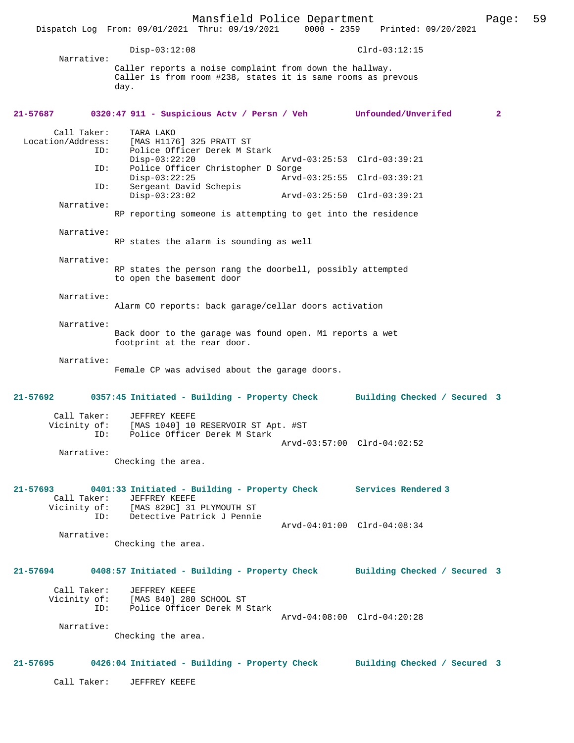Mansfield Police Department Page: 59 Dispatch Log From: 09/01/2021 Thru: 09/19/2021 Disp-03:12:08 Clrd-03:12:15 Narrative: Caller reports a noise complaint from down the hallway. Caller is from room #238, states it is same rooms as prevous day. **21-57687 0320:47 911 - Suspicious Actv / Persn / Veh Unfounded/Unverifed 2** Call Taker: TARA LAKO<br>Location/Address: [MAS H117 Location/Address: [MAS H1176] 325 PRATT ST ID: Police Officer Derek M Stark Disp-03:22:20 Arvd-03:25:53 Clrd-03:39:21<br>ID: Police Officer Christopher D Sorge Police Officer Christopher D Sorge Disp-03:22:25 Arvd-03:25:55 Clrd-03:39:21<br>ID: Sergeant David Schepis Sergeant David Schepis<br>Disp-03:23:02 Disp-03:23:02 Arvd-03:25:50 Clrd-03:39:21 Narrative: RP reporting someone is attempting to get into the residence Narrative: RP states the alarm is sounding as well Narrative: RP states the person rang the doorbell, possibly attempted to open the basement door Narrative: Alarm CO reports: back garage/cellar doors activation Narrative: Back door to the garage was found open. M1 reports a wet footprint at the rear door. Narrative: Female CP was advised about the garage doors. **21-57692 0357:45 Initiated - Building - Property Check Building Checked / Secured 3** Call Taker: JEFFREY KEEFE Vicinity of: [MAS 1040] 10 RESERVOIR ST Apt. #ST<br>TD: Police Officer Derek M Stark Police Officer Derek M Stark Arvd-03:57:00 Clrd-04:02:52 Narrative: Checking the area. **21-57693 0401:33 Initiated - Building - Property Check Services Rendered 3**  Call Taker: JEFFREY KEEFE<br>Vicinity of: [MAS 820C] 31 [MAS 820C] 31 PLYMOUTH ST ID: Detective Patrick J Pennie Arvd-04:01:00 Clrd-04:08:34 Narrative: Checking the area. **21-57694 0408:57 Initiated - Building - Property Check Building Checked / Secured 3** Call Taker: JEFFREY KEEFE Vicinity of: [MAS 840] 280 SCHOOL ST ID: Police Officer Derek M Stark Arvd-04:08:00 Clrd-04:20:28 Narrative: Checking the area. **21-57695 0426:04 Initiated - Building - Property Check Building Checked / Secured 3** Call Taker: JEFFREY KEEFE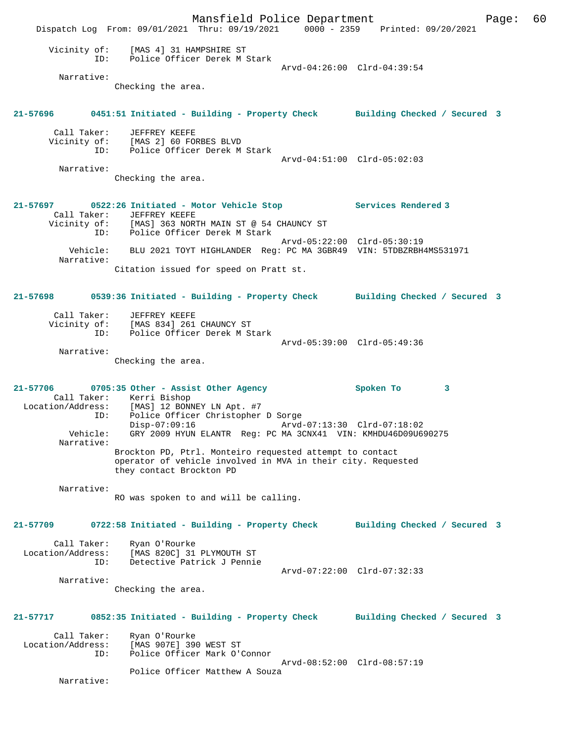Mansfield Police Department Fage: 60 Dispatch Log From: 09/01/2021 Thru: 09/19/2021 0000 - 2359 Printed: 09/20/2021 Vicinity of: [MAS 4] 31 HAMPSHIRE ST<br>TD: Police Officer Derek M S ID: Police Officer Derek M Stark Arvd-04:26:00 Clrd-04:39:54 Narrative: Checking the area. **21-57696 0451:51 Initiated - Building - Property Check Building Checked / Secured 3** Call Taker: JEFFREY KEEFE Vicinity of: [MAS 2] 60 FORBES BLVD ID: Police Officer Derek M Stark Arvd-04:51:00 Clrd-05:02:03 Narrative: Checking the area. **21-57697 0522:26 Initiated - Motor Vehicle Stop Services Rendered 3**  Call Taker: JEFFREY KEEFE<br>Vicinity of: [MAS] 363 NORTH MAIN ST @ 54 CHAUNCY ST Vicinity of: [MAS] 363 NORTH MAIN ST @ 54 CHAUNCY ST ID: Police Officer Derek M Stark Arvd-05:22:00 Clrd-05:30:19 Vehicle: BLU 2021 TOYT HIGHLANDER Reg: PC MA 3GBR49 VIN: 5TDBZRBH4MS531971 Narrative: Citation issued for speed on Pratt st. **21-57698 0539:36 Initiated - Building - Property Check Building Checked / Secured 3** Call Taker: JEFFREY KEEFE Vicinity of: [MAS 834] 261 CHAUNCY ST ID: Police Officer Derek M Stark Arvd-05:39:00 Clrd-05:49:36 Narrative: Checking the area. **21-57706 0705:35 Other - Assist Other Agency Spoken To 3**  Call Taker: Kerri Bishop<br>Location/Address: [MAS] 12 BONI Location/Address: [MAS] 12 BONNEY LN Apt. #7 ID: Police Officer Christopher D Sorge Disp-07:09:16 Arvd-07:13:30 Clrd-07:18:02 Vehicle: GRY 2009 HYUN ELANTR Reg: PC MA 3CNX41 VIN: KMHDU46D09U690275 Narrative: Brockton PD, Ptrl. Monteiro requested attempt to contact operator of vehicle involved in MVA in their city. Requested they contact Brockton PD Narrative: RO was spoken to and will be calling. **21-57709 0722:58 Initiated - Building - Property Check Building Checked / Secured 3** Call Taker: Ryan O'Rourke Location/Address: [MAS 820C] 31 PLYMOUTH ST ID: Detective Patrick J Pennie Arvd-07:22:00 Clrd-07:32:33 Narrative: Checking the area. **21-57717 0852:35 Initiated - Building - Property Check Building Checked / Secured 3** Call Taker: Ryan O'Rourke<br>Location/Address: [MAS 907E] 39 ess: [MAS 907E] 390 WEST ST<br>ID: Police Officer Mark O'O Police Officer Mark O'Connor Arvd-08:52:00 Clrd-08:57:19 Police Officer Matthew A Souza Narrative: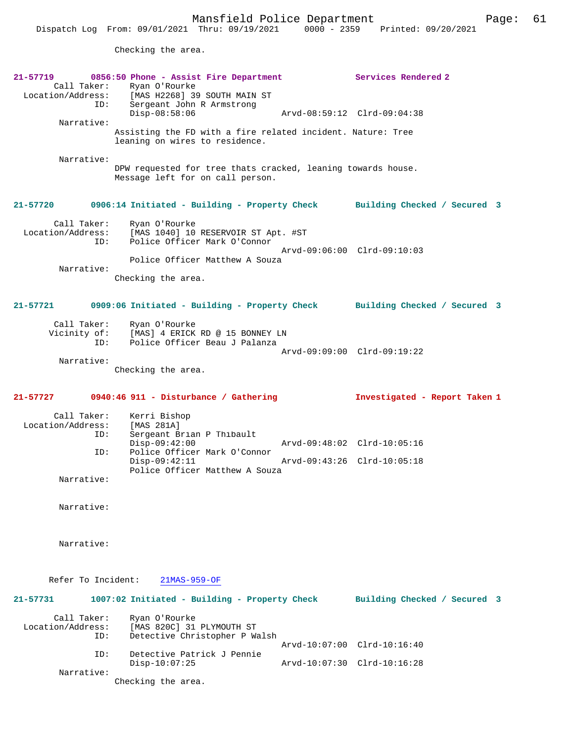Checking the area.

| 21-57719<br>Call Taker:<br>ID:          | 0856:50 Phone - Assist Fire Department<br>Ryan O'Rourke<br>Location/Address: [MAS H2268] 39 SOUTH MAIN ST<br>Sergeant John R Armstrong<br>$Disp-08:58:06$ | Services Rendered 2<br>Arvd-08:59:12 Clrd-09:04:38 |
|-----------------------------------------|-----------------------------------------------------------------------------------------------------------------------------------------------------------|----------------------------------------------------|
| Narrative:                              | Assisting the FD with a fire related incident. Nature: Tree<br>leaning on wires to residence.                                                             |                                                    |
| Narrative:                              | DPW requested for tree thats cracked, leaning towards house.<br>Message left for on call person.                                                          |                                                    |
| 21-57720                                | 0906:14 Initiated - Building - Property Check Building Checked / Secured 3                                                                                |                                                    |
| Call Taker:<br>Location/Address:<br>ID: | Ryan O'Rourke<br>[MAS 1040] 10 RESERVOIR ST Apt. #ST<br>Police Officer Mark O'Connor                                                                      | Arvd-09:06:00 Clrd-09:10:03                        |
| Narrative:                              | Police Officer Matthew A Souza                                                                                                                            |                                                    |
|                                         | Checking the area.                                                                                                                                        |                                                    |
| $21 - 57721$                            | 0909:06 Initiated - Building - Property Check                                                                                                             | Building Checked / Secured 3                       |
| Call Taker:<br>Vicinity of:<br>ID:      | Ryan O'Rourke<br>[MAS] 4 ERICK RD @ 15 BONNEY LN<br>Police Officer Beau J Palanza                                                                         |                                                    |
| Narrative:                              | Checking the area.                                                                                                                                        | Arvd-09:09:00 Clrd-09:19:22                        |
|                                         |                                                                                                                                                           |                                                    |
|                                         |                                                                                                                                                           |                                                    |
| $21 - 57727$                            | 0940:46 911 - Disturbance / Gathering                                                                                                                     | Investigated - Report Taken 1                      |
| Call Taker:<br>Location/Address:<br>ID: | Kerri Bishop<br>[MAS 281A]<br>Sergeant Brian P Thibault                                                                                                   |                                                    |
| ID:                                     | $Disp-09:42:00$<br>Police Officer Mark O'Connor                                                                                                           | Arvd-09:48:02 Clrd-10:05:16                        |
| Narrative:                              | $Disp-09:42:11$<br>Police Officer Matthew A Souza                                                                                                         | Arvd-09:43:26 Clrd-10:05:18                        |
| Narrative:                              |                                                                                                                                                           |                                                    |
|                                         |                                                                                                                                                           |                                                    |
| Narrative:                              |                                                                                                                                                           |                                                    |
| Refer To Incident:                      | $21MAS-959-OF$                                                                                                                                            |                                                    |
| 21-57731                                | 1007:02 Initiated - Building - Property Check                                                                                                             | Building Checked / Secured 3                       |
| Call Taker:<br>Location/Address:<br>ID: | Ryan O'Rourke<br>[MAS 820C] 31 PLYMOUTH ST<br>Detective Christopher P Walsh                                                                               |                                                    |
| ID:                                     | Detective Patrick J Pennie                                                                                                                                | Arvd-10:07:00 Clrd-10:16:40                        |

Checking the area.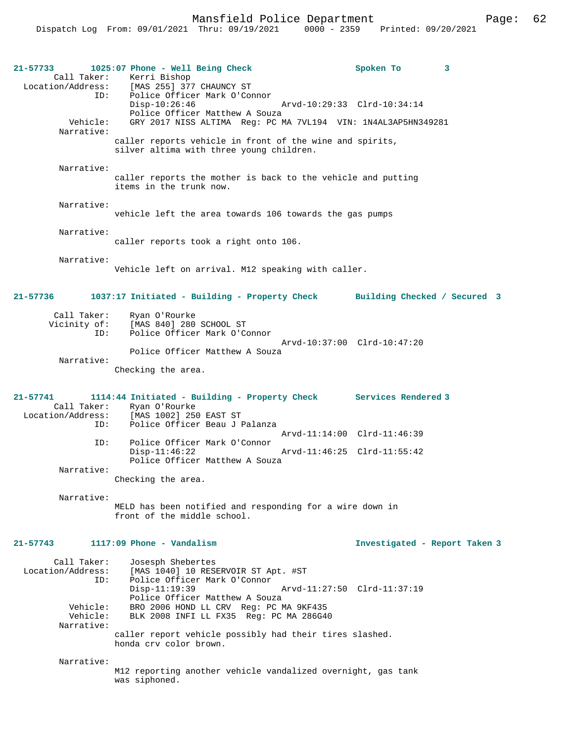Mansfield Police Department Fage: 62

| $21 - 57733$                                     | 1025:07 Phone - Well Being Check<br>Call Taker: Kerri Bishop<br>Location/Address: [MAS 255] 377 CHAUNCY ST                             | Spoken To                     | 3 |
|--------------------------------------------------|----------------------------------------------------------------------------------------------------------------------------------------|-------------------------------|---|
| ID:                                              | Police Officer Mark O'Connor<br>$Disp-10:26:46$<br>Police Officer Matthew A Souza                                                      | Arvd-10:29:33 Clrd-10:34:14   |   |
| Vehicle:<br>Narrative:                           | GRY 2017 NISS ALTIMA Reg: PC MA 7VL194 VIN: 1N4AL3AP5HN349281                                                                          |                               |   |
|                                                  | caller reports vehicle in front of the wine and spirits,<br>silver altima with three young children.                                   |                               |   |
| Narrative:                                       | caller reports the mother is back to the vehicle and putting<br>items in the trunk now.                                                |                               |   |
| Narrative:                                       | vehicle left the area towards 106 towards the gas pumps                                                                                |                               |   |
| Narrative:                                       | caller reports took a right onto 106.                                                                                                  |                               |   |
| Narrative:                                       | Vehicle left on arrival. M12 speaking with caller.                                                                                     |                               |   |
| 21-57736                                         | 1037:17 Initiated - Building - Property Check Building Checked / Secured 3                                                             |                               |   |
| Call Taker:<br>Vicinity of:<br>ID:               | Ryan O'Rourke<br>[MAS 840] 280 SCHOOL ST<br>Police Officer Mark O'Connor                                                               |                               |   |
| Narrative:                                       | Police Officer Matthew A Souza                                                                                                         | Arvd-10:37:00 Clrd-10:47:20   |   |
|                                                  | Checking the area.                                                                                                                     |                               |   |
| $21 - 57741$<br>Call Taker:<br>Location/Address: | 1114:44 Initiated - Building - Property Check Services Rendered 3<br>Ryan O'Rourke<br>[MAS 1002] 250 EAST ST                           |                               |   |
| ID:<br>ID:                                       | Police Officer Beau J Palanza<br>Police Officer Mark O'Connor                                                                          | Arvd-11:14:00 Clrd-11:46:39   |   |
|                                                  | $Disp-11:46:22$<br>Police Officer Matthew A Souza                                                                                      | Arvd-11:46:25 Clrd-11:55:42   |   |
| Narrative:                                       | Checking the area.                                                                                                                     |                               |   |
| Narrative:                                       | MELD has been notified and responding for a wire down in<br>front of the middle school.                                                |                               |   |
| $21 - 57743$                                     | $1117:09$ Phone - Vandalism                                                                                                            | Investigated - Report Taken 3 |   |
| Call Taker:<br>Location/Address:<br>ID:          | Josesph Shebertes<br>[MAS 1040] 10 RESERVOIR ST Apt. #ST<br>Police Officer Mark O'Connor                                               |                               |   |
| Vehicle:<br>Vehicle:<br>Narrative:               | $Disp-11:19:39$<br>Police Officer Matthew A Souza<br>BRO 2006 HOND LL CRV Req: PC MA 9KF435<br>BLK 2008 INFI LL FX35 Req: PC MA 286G40 | Arvd-11:27:50 Clrd-11:37:19   |   |
|                                                  | caller report vehicle possibly had their tires slashed.<br>honda cry color brown.                                                      |                               |   |
| Narrative:                                       | M12 reporting another vehicle vandalized overnight, gas tank                                                                           |                               |   |
|                                                  | was siphoned.                                                                                                                          |                               |   |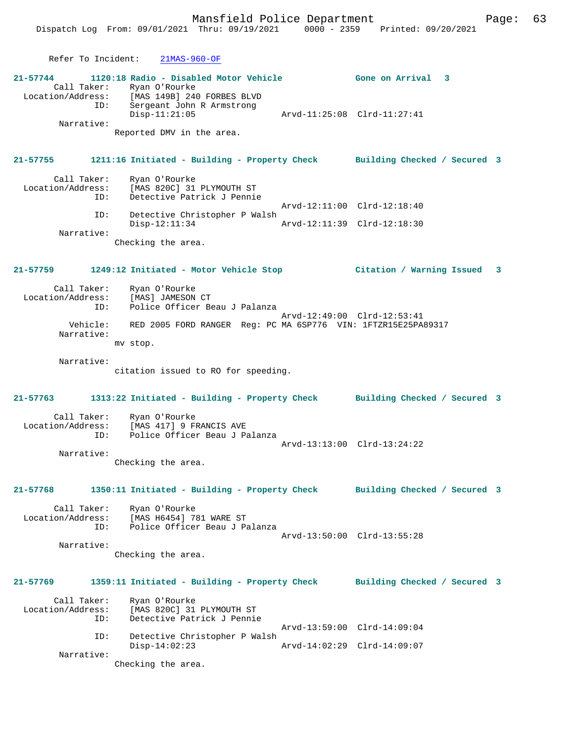Mansfield Police Department Page: 63 Dispatch Log From: 09/01/2021 Thru: 09/19/2021 0000 - 2359 Printed: 09/20/2021 Refer To Incident: 21MAS-960-OF **21-57744 1120:18 Radio - Disabled Motor Vehicle Gone on Arrival 3**  Call Taker: Ryan O'Rourke<br>Location/Address: [MAS 149B] 240 [MAS 149B] 240 FORBES BLVD ID: Sergeant John R Armstrong Disp-11:21:05 Arvd-11:25:08 Clrd-11:27:41 Narrative: Reported DMV in the area. **21-57755 1211:16 Initiated - Building - Property Check Building Checked / Secured 3** Call Taker: Ryan O'Rourke<br>Location/Address: [MAS 820C] 31 [MAS 820C] 31 PLYMOUTH ST ID: Detective Patrick J Pennie Arvd-12:11:00 Clrd-12:18:40 ID: Detective Christopher P Walsh Disp-12:11:34 Arvd-12:11:39 Clrd-12:18:30 Narrative: Checking the area. **21-57759 1249:12 Initiated - Motor Vehicle Stop Citation / Warning Issued 3** Call Taker: Ryan O'Rourke Location/Address: [MAS] JAMESON CT ID: Police Officer Beau J Palanza Arvd-12:49:00 Clrd-12:53:41<br>Vehicle: RED 2005 FORD RANGER Req: PC MA 6SP776 VIN: 1FTZR15E25PA RED 2005 FORD RANGER Reg: PC MA 6SP776 VIN: 1FTZR15E25PA89317 Narrative: mv stop. Narrative: citation issued to RO for speeding. **21-57763 1313:22 Initiated - Building - Property Check Building Checked / Secured 3** Call Taker: Ryan O'Rourke Location/Address: [MAS 417] 9 FRANCIS AVE ID: Police Officer Beau J Palanza Arvd-13:13:00 Clrd-13:24:22 Narrative: Checking the area. **21-57768 1350:11 Initiated - Building - Property Check Building Checked / Secured 3** Call Taker: Ryan O'Rourke Location/Address: [MAS H6454] 781 WARE ST Police Officer Beau J Palanza Arvd-13:50:00 Clrd-13:55:28 Narrative: Checking the area. **21-57769 1359:11 Initiated - Building - Property Check Building Checked / Secured 3** Call Taker: Ryan O'Rourke<br>Location/Address: [MAS 820C] 31 Location/Address: [MAS 820C] 31 PLYMOUTH ST ID: Detective Patrick J Pennie Arvd-13:59:00 Clrd-14:09:04 ID: Detective Christopher P Walsh Disp-14:02:23 Arvd-14:02:29 Clrd-14:09:07 Narrative: Checking the area.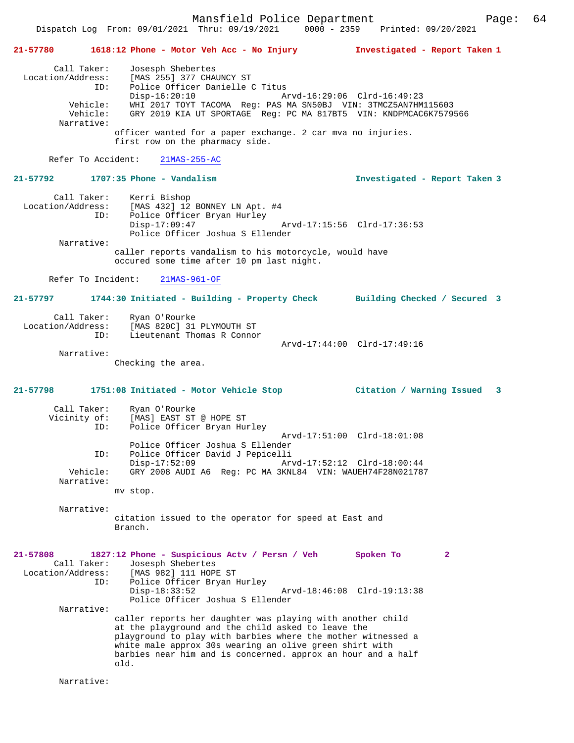Mansfield Police Department Page: 64 Dispatch Log From: 09/01/2021 Thru: 09/19/2021 0000 - 2359

**21-57780 1618:12 Phone - Motor Veh Acc - No Injury Investigated - Report Taken 1** Call Taker: Josesph Shebertes<br>Location/Address: [MAS 255] 377 CHA ress: [MAS 255] 377 CHAUNCY ST<br>ID: Police Officer Danielle C Police Officer Danielle C Titus Disp-16:20:10 Arvd-16:29:06 Clrd-16:49:23<br>Vehicle: WHI 2017 TOYT TACOMA Req: PAS MA SN50BJ VIN: 3TMCZ5AN7HM Vehicle: WHI 2017 TOYT TACOMA Reg: PAS MA SN50BJ VIN: 3TMCZ5AN7HM115603 GRY 2019 KIA UT SPORTAGE Reg: PC MA 817BT5 VIN: KNDPMCAC6K7579566 Narrative: officer wanted for a paper exchange. 2 car mva no injuries. first row on the pharmacy side. Refer To Accident: 21MAS-255-AC **21-57792 1707:35 Phone - Vandalism Investigated - Report Taken 3** Call Taker: Kerri Bishop Location/Address: [MAS 432] 12 BONNEY LN Apt. #4 Police Officer Bryan Hurley Disp-17:09:47 Arvd-17:15:56 Clrd-17:36:53 Police Officer Joshua S Ellender Narrative: caller reports vandalism to his motorcycle, would have occured some time after 10 pm last night. Refer To Incident: 21MAS-961-OF **21-57797 1744:30 Initiated - Building - Property Check Building Checked / Secured 3** Call Taker: Ryan O'Rourke<br>Location/Address: [MAS 820C] 31 ess: [MAS 820C] 31 PLYMOUTH ST<br>ID: Lieutenant Thomas R Connom Iieutenant Thomas R Connor Arvd-17:44:00 Clrd-17:49:16 Narrative: Checking the area. **21-57798 1751:08 Initiated - Motor Vehicle Stop Citation / Warning Issued 3** Call Taker: Ryan O'Rourke Vicinity of: [MAS] EAST ST @ HOPE ST<br>ID: Police Officer Bryan Hu: Police Officer Bryan Hurley Arvd-17:51:00 Clrd-18:01:08 Police Officer Joshua S Ellender ID: Police Officer David J Pepicelli Disp-17:52:09 Arvd-17:52:12 Clrd-18:00:44 Vehicle: GRY 2008 AUDI A6 Reg: PC MA 3KNL84 VIN: WAUEH74F28N021787 Narrative: mv stop. Narrative: citation issued to the operator for speed at East and Branch. **21-57808 1827:12 Phone - Suspicious Actv / Persn / Veh Spoken To 2**  Call Taker: Josesph Shebertes<br>Iocation/Address: [MAS 982] 111 HOPE ess: [MAS 982] 111 HOPE ST<br>TD: Police Officer Brvan B Police Officer Bryan Hurley Disp-18:33:52 Arvd-18:46:08 Clrd-19:13:38 Police Officer Joshua S Ellender Narrative: caller reports her daughter was playing with another child at the playground and the child asked to leave the playground to play with barbies where the mother witnessed a white male approx 30s wearing an olive green shirt with barbies near him and is concerned. approx an hour and a half old.

Narrative: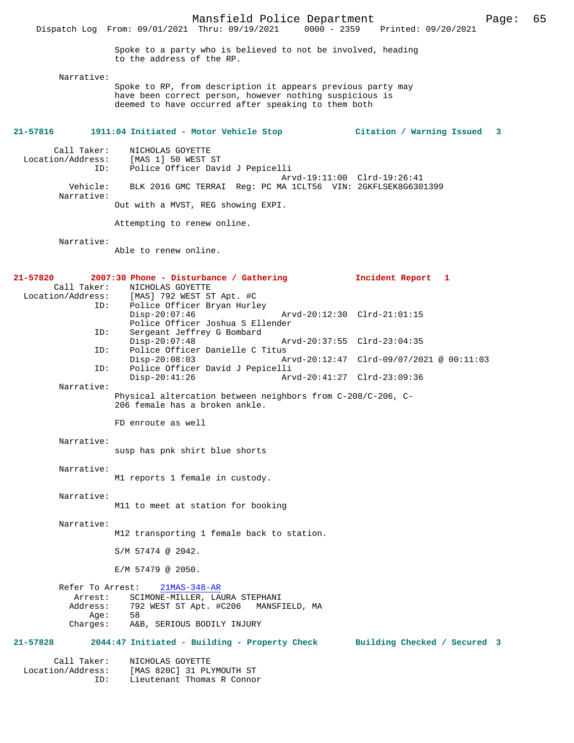Spoke to a party who is believed to not be involved, heading to the address of the RP.

Narrative:

Spoke to RP, from description it appears previous party may have been correct person, however nothing suspicious is deemed to have occurred after speaking to them both

## **21-57816 1911:04 Initiated - Motor Vehicle Stop Citation / Warning Issued 3**

 Call Taker: NICHOLAS GOYETTE Location/Address: [MAS 1] 50 WEST ST<br>ID: Police Officer Dav. Police Officer David J Pepicelli Arvd-19:11:00 Clrd-19:26:41<br>Vehicle: BLK 2016 GMC TERRAI Reg: PC MA 1CLT56 VIN: 2GKFLSEK8G630 BLK 2016 GMC TERRAI Reg: PC MA 1CLT56 VIN: 2GKFLSEK8G6301399 Narrative:

Out with a MVST, REG showing EXPI.

Attempting to renew online.

Narrative:

Able to renew online.

| 21-57820            | 2007:30 Phone - Disturbance / Gathering                                                       | Incident Report 1                        |  |
|---------------------|-----------------------------------------------------------------------------------------------|------------------------------------------|--|
| Call Taker:         | NICHOLAS GOYETTE<br>Location/Address: [MAS] 792 WEST ST Apt. #C                               |                                          |  |
| ID:                 | Police Officer Bryan Hurley<br>$Disp-20:07:46$<br>Police Officer Joshua S Ellender            | Arvd-20:12:30 Clrd-21:01:15              |  |
| ID:                 | Sergeant Jeffrey G Bombard<br>$Disp-20:07:48$                                                 | Arvd-20:37:55 Clrd-23:04:35              |  |
| ID:                 | Police Officer Danielle C Titus<br>$Disp-20:08:03$                                            | Arvd-20:12:47 Clrd-09/07/2021 @ 00:11:03 |  |
| ID:                 | Police Officer David J Pepicelli<br>$Disp-20:41:26$                                           | Arvd-20:41:27 Clrd-23:09:36              |  |
| Narrative:          |                                                                                               |                                          |  |
|                     | Physical altercation between neighbors from C-208/C-206, C-<br>206 female has a broken ankle. |                                          |  |
|                     | FD enroute as well                                                                            |                                          |  |
| Narrative:          |                                                                                               |                                          |  |
|                     | susp has pnk shirt blue shorts                                                                |                                          |  |
| Narrative:          | M1 reports 1 female in custody.                                                               |                                          |  |
| Narrative:          | M11 to meet at station for booking                                                            |                                          |  |
| Narrative:          |                                                                                               |                                          |  |
|                     | M12 transporting 1 female back to station.                                                    |                                          |  |
|                     | S/M 57474 @ 2042.                                                                             |                                          |  |
|                     | $E/M$ 57479 @ 2050.                                                                           |                                          |  |
| Refer To Arrest:    | $21MAS-348-AR$                                                                                |                                          |  |
| Arrest:<br>Address: | SCIMONE-MILLER, LAURA STEPHANI<br>792 WEST ST Apt. #C206 MANSFIELD, MA                        |                                          |  |
| Aqe:                | 58                                                                                            |                                          |  |
| Charges:            | A&B, SERIOUS BODILY INJURY                                                                    |                                          |  |
| $21 - 57828$        | 2044:47 Initiated - Building - Property Check Building Checked / Secured 3                    |                                          |  |
| Call Taker:         | NICHOLAS GOYETTE                                                                              |                                          |  |
| Location/Address:   | [MAS 820C] 31 PLYMOUTH ST                                                                     |                                          |  |
| ID:                 | Lieutenant Thomas R Connor                                                                    |                                          |  |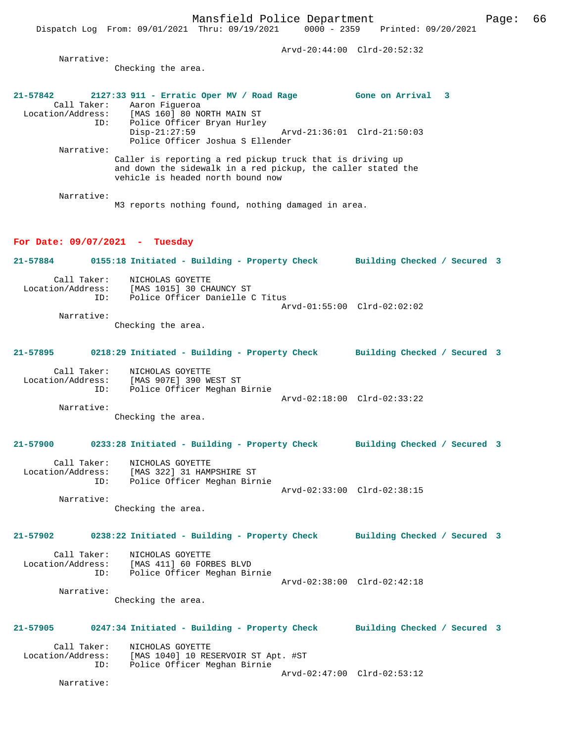Mansfield Police Department Page: 66 Dispatch Log From: 09/01/2021 Thru: 09/19/2021 0000 - 2359 Printed: 09/20/2021 Arvd-20:44:00 Clrd-20:52:32 Narrative: Checking the area. **21-57842 2127:33 911 - Erratic Oper MV / Road Rage Gone on Arrival 3**  Call Taker: Aaron Figueroa<br>Location/Address: [MAS 160] 80 NO Location/Address: [MAS 160] 80 NORTH MAIN ST ID: Police Officer Bryan Hurley Disp-21:27:59 Arvd-21:36:01 Clrd-21:50:03 Police Officer Joshua S Ellender Narrative: Caller is reporting a red pickup truck that is driving up and down the sidewalk in a red pickup, the caller stated the vehicle is headed north bound now Narrative: M3 reports nothing found, nothing damaged in area. **For Date: 09/07/2021 - Tuesday 21-57884 0155:18 Initiated - Building - Property Check Building Checked / Secured 3** Call Taker: NICHOLAS GOYETTE Location/Address: [MAS 1015] 30 CHAUNCY ST Police Officer Danielle C Titus Arvd-01:55:00 Clrd-02:02:02 Narrative: Checking the area. **21-57895 0218:29 Initiated - Building - Property Check Building Checked / Secured 3** Call Taker: NICHOLAS GOYETTE Location/Address: [MAS 907E] 390 WEST ST ID: Police Officer Meghan Birnie Arvd-02:18:00 Clrd-02:33:22 Narrative: Checking the area. **21-57900 0233:28 Initiated - Building - Property Check Building Checked / Secured 3** Call Taker: NICHOLAS GOYETTE Location/Address: [MAS 322] 31 HAMPSHIRE ST ID: Police Officer Meghan Birnie Arvd-02:33:00 Clrd-02:38:15 Narrative: Checking the area. **21-57902 0238:22 Initiated - Building - Property Check Building Checked / Secured 3** Call Taker: NICHOLAS GOYETTE Location/Address: [MAS 411] 60 FORBES BLVD ID: Police Officer Meghan Birnie Arvd-02:38:00 Clrd-02:42:18 Narrative: Checking the area. **21-57905 0247:34 Initiated - Building - Property Check Building Checked / Secured 3**

Call Taker: NICHOLAS GOYETTE<br>Location/Address: [MAS 1040] 10 RE [MAS 1040] 10 RESERVOIR ST Apt. #ST ID: Police Officer Meghan Birnie Arvd-02:47:00 Clrd-02:53:12

Narrative: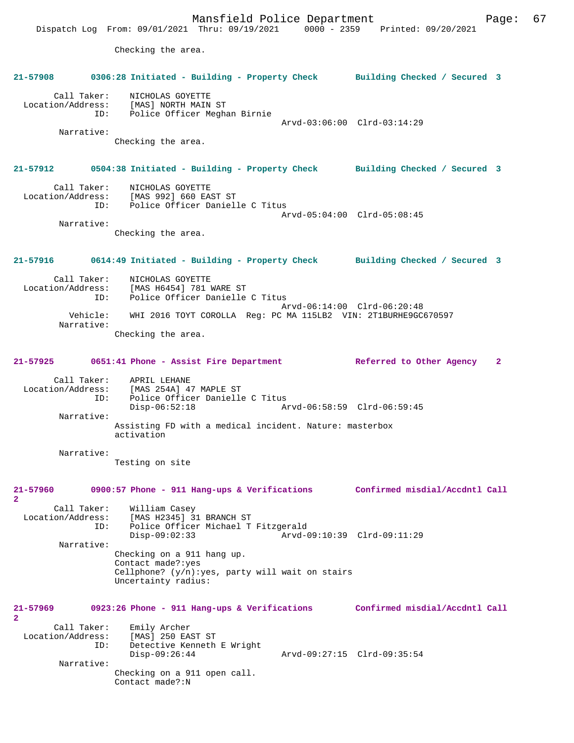Mansfield Police Department Fage: 67 Dispatch Log From: 09/01/2021 Thru: 09/19/2021 0000 - 2359 Printed: 09/20/2021 Checking the area. **21-57908 0306:28 Initiated - Building - Property Check Building Checked / Secured 3** Call Taker: NICHOLAS GOYETTE Location/Address: [MAS] NORTH MAIN ST ID: Police Officer Meghan Birnie Arvd-03:06:00 Clrd-03:14:29 Narrative: Checking the area. **21-57912 0504:38 Initiated - Building - Property Check Building Checked / Secured 3** Call Taker: NICHOLAS GOYETTE Location/Address: [MAS 992] 660 EAST ST ID: Police Officer Danielle C Titus Arvd-05:04:00 Clrd-05:08:45 Narrative: Checking the area. **21-57916 0614:49 Initiated - Building - Property Check Building Checked / Secured 3** Call Taker: NICHOLAS GOYETTE Location/Address: [MAS H6454] 781 WARE ST Police Officer Danielle C Titus Arvd-06:14:00 Clrd-06:20:48<br>Vehicle: WHI 2016 TOYT COROLLA Req: PC MA 115LB2 VIN: 2T1BURHE9GC WHI 2016 TOYT COROLLA Reg: PC MA 115LB2 VIN: 2T1BURHE9GC670597 Narrative: Checking the area. **21-57925 0651:41 Phone - Assist Fire Department Referred to Other Agency 2** Call Taker: APRIL LEHANE Location/Address: [MAS 254A] 47 MAPLE ST ID: Police Officer Danielle C Titus Disp-06:52:18 Arvd-06:58:59 Clrd-06:59:45 Narrative: Assisting FD with a medical incident. Nature: masterbox activation Narrative: Testing on site **21-57960 0900:57 Phone - 911 Hang-ups & Verifications Confirmed misdial/Accdntl Call 2**  Call Taker: William Casey Location/Address: [MAS H2345] 31 BRANCH ST ID: Police Officer Michael T Fitzgerald Disp-09:02:33 Arvd-09:10:39 Clrd-09:11:29 Narrative: Checking on a 911 hang up. Contact made?:yes Cellphone? (y/n):yes, party will wait on stairs Uncertainty radius: **21-57969 0923:26 Phone - 911 Hang-ups & Verifications Confirmed misdial/Accdntl Call 2**  Call Taker: Emily Archer Location/Address: [MAS] 250 EAST ST ID: Detective Kenneth E Wright<br>Disp-09:26:44 Disp-09:26:44 Arvd-09:27:15 Clrd-09:35:54 Narrative: Checking on a 911 open call. Contact made?:N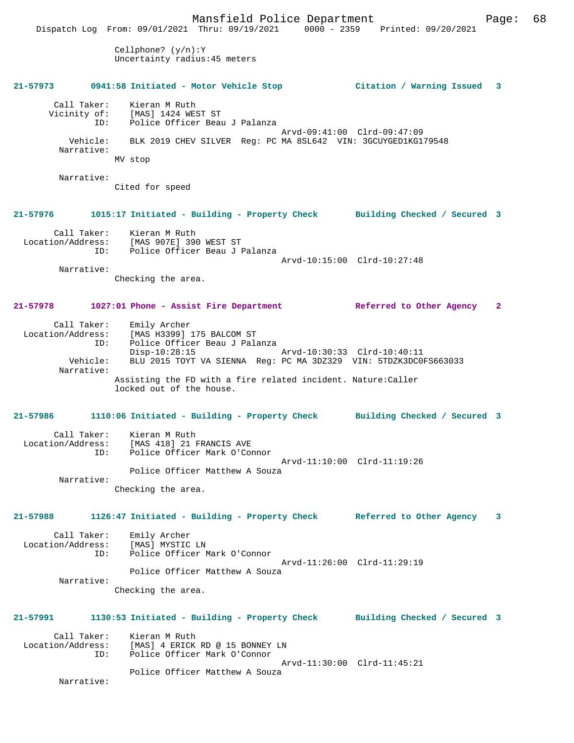Mansfield Police Department Page: 68 Dispatch Log From: 09/01/2021 Thru: 09/19/2021 0000 - 2359 Printed: 09/20/2021 Cellphone? (y/n):Y Uncertainty radius:45 meters **21-57973 0941:58 Initiated - Motor Vehicle Stop Citation / Warning Issued 3** Call Taker: Kieran M Ruth<br>Vicinity of: [MAS] 1424 WES Vicinity of: [MAS] 1424 WEST ST ID: Police Officer Beau J Palanza Arvd-09:41:00 Clrd-09:47:09 Vehicle: BLK 2019 CHEV SILVER Reg: PC MA 8SL642 VIN: 3GCUYGED1KG179548 Narrative: MV stop Narrative: Cited for speed **21-57976 1015:17 Initiated - Building - Property Check Building Checked / Secured 3** Call Taker: Kieran M Ruth<br>Location/Address: [MAS 907E] 390 [MAS 907E] 390 WEST ST ID: Police Officer Beau J Palanza Arvd-10:15:00 Clrd-10:27:48 Narrative: Checking the area. **21-57978 1027:01 Phone - Assist Fire Department Referred to Other Agency 2** Call Taker: Emily Archer Location/Address: [MAS H3399] 175 BALCOM ST ID: Police Officer Beau J Palanza Disp-10:28:15 Arvd-10:30:33 Clrd-10:40:11 Vehicle: BLU 2015 TOYT VA SIENNA Reg: PC MA 3DZ329 VIN: 5TDZK3DC0FS663033 Narrative: Assisting the FD with a fire related incident. Nature:Caller locked out of the house. **21-57986 1110:06 Initiated - Building - Property Check Building Checked / Secured 3** Call Taker: Kieran M Ruth Location/Address: [MAS 418] 21 FRANCIS AVE ID: Police Officer Mark O'Connor Arvd-11:10:00 Clrd-11:19:26 Police Officer Matthew A Souza Narrative: Checking the area. **21-57988 1126:47 Initiated - Building - Property Check Referred to Other Agency 3** Call Taker: Emily Archer<br>ion/Address: [MAS] MYSTIC LN Location/Address: ID: Police Officer Mark O'Connor Arvd-11:26:00 Clrd-11:29:19 Police Officer Matthew A Souza Narrative: Checking the area. **21-57991 1130:53 Initiated - Building - Property Check Building Checked / Secured 3** Call Taker: Kieran M Ruth<br>Location/Address: [MAS] 4 ERICK ess: [MAS] 4 ERICK RD @ 15 BONNEY LN<br>ID: Police Officer Mark O'Connor Police Officer Mark O'Connor Arvd-11:30:00 Clrd-11:45:21 Police Officer Matthew A Souza Narrative: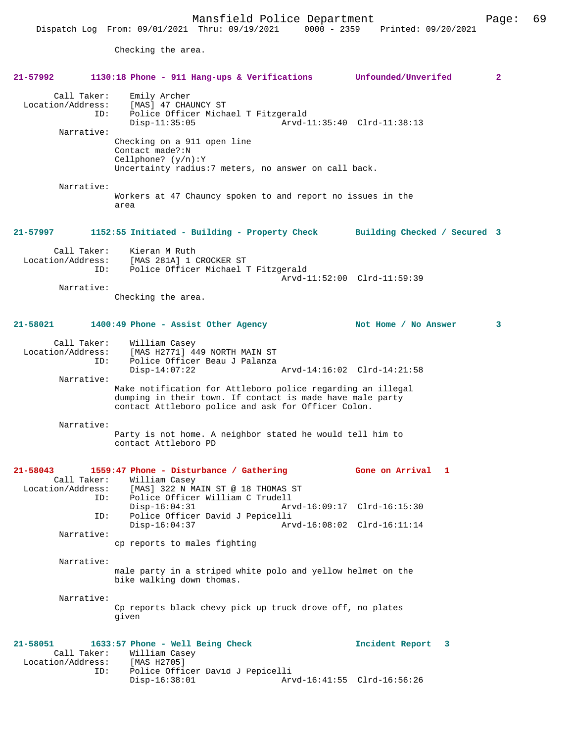Checking the area.

| $21 - 57992$                                   | 1130:18 Phone - 911 Hang-ups & Verifications                                                                                                                                    | Unfounded/Unverifed             | $\mathbf{2}$ |
|------------------------------------------------|---------------------------------------------------------------------------------------------------------------------------------------------------------------------------------|---------------------------------|--------------|
| Call Taker:<br>Location/Address:<br>Narrative: | Emily Archer<br>[MAS] 47 CHAUNCY ST<br>Police Officer Michael T Fitzgerald<br>ID:<br>$Disp-11:35:05$<br>Checking on a 911 open line                                             | Arvd-11:35:40 Clrd-11:38:13     |              |
|                                                | Contact made?:N<br>Cellphone? $(y/n):Y$<br>Uncertainty radius: 7 meters, no answer on call back.                                                                                |                                 |              |
| Narrative:                                     | Workers at 47 Chauncy spoken to and report no issues in the<br>area                                                                                                             |                                 |              |
| 21-57997                                       | 1152:55 Initiated - Building - Property Check Building Checked / Secured 3                                                                                                      |                                 |              |
| Call Taker:<br>Location/Address:               | Kieran M Ruth<br>[MAS 281A] 1 CROCKER ST<br>Police Officer Michael T Fitzgerald<br>ID:                                                                                          | Arvd-11:52:00 Clrd-11:59:39     |              |
| Narrative:                                     |                                                                                                                                                                                 |                                 |              |
|                                                | Checking the area.                                                                                                                                                              |                                 |              |
| 21-58021                                       | 1400:49 Phone - Assist Other Agency                                                                                                                                             | Not Home / No Answer            | 3            |
| Call Taker:<br>Location/Address:               | William Casey<br>[MAS H2771] 449 NORTH MAIN ST                                                                                                                                  |                                 |              |
|                                                | Police Officer Beau J Palanza<br>ID:<br>$Disp-14:07:22$                                                                                                                         | Arvd-14:16:02 Clrd-14:21:58     |              |
| Narrative:                                     |                                                                                                                                                                                 |                                 |              |
|                                                | Make notification for Attleboro police regarding an illegal<br>dumping in their town. If contact is made have male party<br>contact Attleboro police and ask for Officer Colon. |                                 |              |
| Narrative:                                     | Party is not home. A neighbor stated he would tell him to<br>contact Attleboro PD                                                                                               |                                 |              |
| $21 - 58043$                                   | 1559:47 Phone - Disturbance / Gathering<br>Call Taker: William Casey                                                                                                            | Gone on Arrival<br>$\mathbf{1}$ |              |
|                                                | Location/Address: [MAS] 322 N MAIN ST @ 18 THOMAS ST<br>Police Officer William C Trudell<br>ID:                                                                                 |                                 |              |
|                                                | $Disp-16:04:31$<br>Police Officer David J Pepicelli<br>ID:                                                                                                                      | Arvd-16:09:17 Clrd-16:15:30     |              |
| Narrative:                                     | $Disp-16:04:37$                                                                                                                                                                 | Arvd-16:08:02 Clrd-16:11:14     |              |
|                                                | cp reports to males fighting                                                                                                                                                    |                                 |              |
| Narrative:                                     |                                                                                                                                                                                 |                                 |              |
|                                                | male party in a striped white polo and yellow helmet on the<br>bike walking down thomas.                                                                                        |                                 |              |
| Narrative:                                     | Cp reports black chevy pick up truck drove off, no plates<br>given                                                                                                              |                                 |              |
| 21-58051<br>Call Taker:                        | 1633:57 Phone - Well Being Check<br>William Casey<br>Location/Address: [MAS H2705]<br>ID:                                                                                       | Incident Report 3               |              |
|                                                | Police Officer David J Pepicelli<br>$Disp-16:38:01$                                                                                                                             | Arvd-16:41:55 Clrd-16:56:26     |              |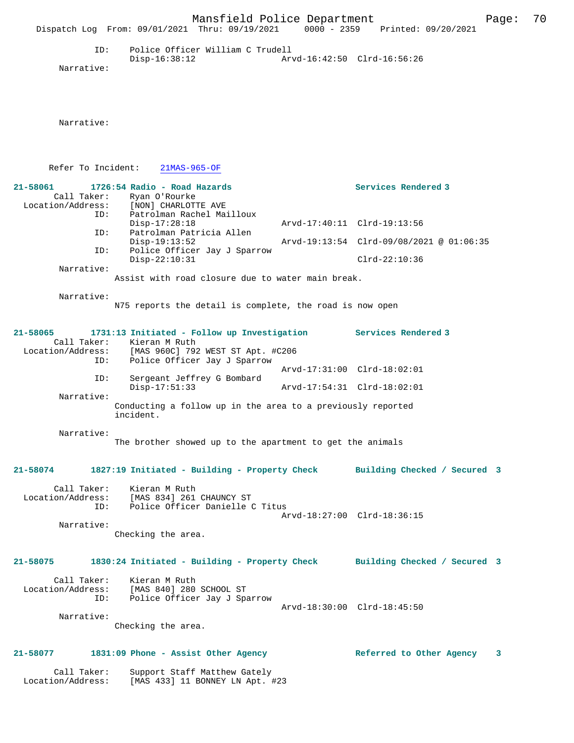|                                                       | Mansfield Police Department<br>Dispatch Log From: 09/01/2021 Thru: 09/19/2021                                                   | 0000 - 2359 Printed: 09/20/2021          | 70<br>Page: |  |
|-------------------------------------------------------|---------------------------------------------------------------------------------------------------------------------------------|------------------------------------------|-------------|--|
| ID:<br>Narrative:                                     | Police Officer William C Trudell<br>$Disp-16:38:12$                                                                             | Arvd-16:42:50 Clrd-16:56:26              |             |  |
| Narrative:                                            |                                                                                                                                 |                                          |             |  |
| Refer To Incident:                                    | $21MAS-965-OF$                                                                                                                  |                                          |             |  |
| $21 - 58061$                                          | 1726:54 Radio - Road Hazards<br>Call Taker: Ryan O'Rourke<br>Location/Address: [NON] CHARLOTTE AVE                              | Services Rendered 3                      |             |  |
| ID:<br>ID:                                            | Patrolman Rachel Mailloux<br>$Disp-17:28:18$<br>Patrolman Patricia Allen                                                        | Arvd-17:40:11 Clrd-19:13:56              |             |  |
| ID:                                                   | $Disp-19:13:52$<br>Police Officer Jay J Sparrow                                                                                 | Arvd-19:13:54 Clrd-09/08/2021 @ 01:06:35 |             |  |
| Narrative:                                            | $Disp-22:10:31$                                                                                                                 | $Clrd-22:10:36$                          |             |  |
|                                                       | Assist with road closure due to water main break.                                                                               |                                          |             |  |
| Narrative:                                            | N75 reports the detail is complete, the road is now open                                                                        |                                          |             |  |
| 21-58065                                              | 1731:13 Initiated - Follow up Investigation<br>Call Taker: Kieran M Ruth<br>Location/Address: [MAS 960C] 792 WEST ST Apt. #C206 | Services Rendered 3                      |             |  |
| ID:                                                   | Police Officer Jay J Sparrow                                                                                                    | Arvd-17:31:00 Clrd-18:02:01              |             |  |
| ID:                                                   | Sergeant Jeffrey G Bombard<br>$Disp-17:51:33$                                                                                   | Arvd-17:54:31 Clrd-18:02:01              |             |  |
| Narrative:                                            | Conducting a follow up in the area to a previously reported<br>incident.                                                        |                                          |             |  |
| Narrative:                                            | The brother showed up to the apartment to get the animals                                                                       |                                          |             |  |
| 21-58074                                              | 1827:19 Initiated - Building - Property Check                                                                                   | Building Checked / Secured 3             |             |  |
| Call Taker:<br>Location/Address:<br>ID:               | Kieran M Ruth<br>[MAS 834] 261 CHAUNCY ST<br>Police Officer Danielle C Titus                                                    | Arvd-18:27:00 Clrd-18:36:15              |             |  |
| Narrative:                                            | Checking the area.                                                                                                              |                                          |             |  |
| 21-58075                                              | 1830:24 Initiated - Building - Property Check Building Checked / Secured 3                                                      |                                          |             |  |
| Call Taker:<br>Location/Address:<br>ID:<br>Narrative: | Kieran M Ruth<br>[MAS 840] 280 SCHOOL ST<br>Police Officer Jay J Sparrow                                                        | Arvd-18:30:00 Clrd-18:45:50              |             |  |
|                                                       | Checking the area.                                                                                                              |                                          |             |  |
| 21-58077                                              | 1831:09 Phone - Assist Other Agency                                                                                             | Referred to Other Agency                 | 3           |  |
| Call Taker:<br>Location/Address:                      | Support Staff Matthew Gately<br>[MAS 433] 11 BONNEY LN Apt. #23                                                                 |                                          |             |  |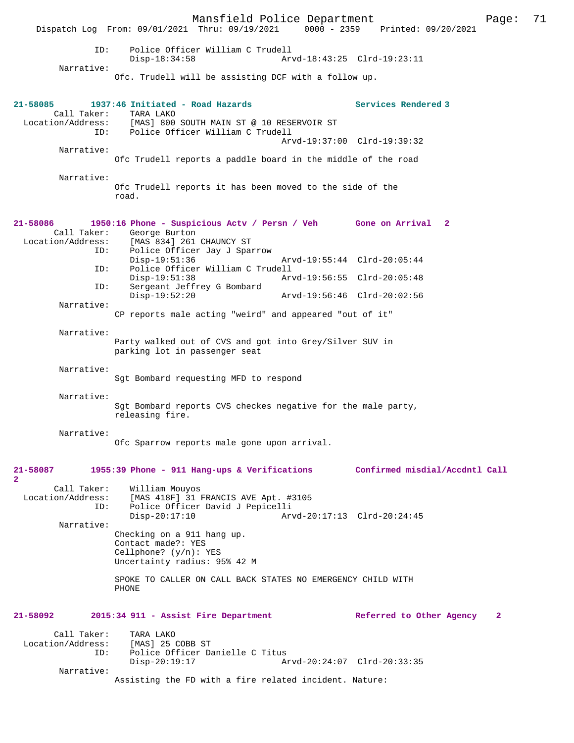Mansfield Police Department Page: 71 Dispatch Log From: 09/01/2021 Thru: 09/19/2021 ID: Police Officer William C Trudell Disp-18:34:58 Arvd-18:43:25 Clrd-19:23:11 Narrative: Ofc. Trudell will be assisting DCF with a follow up. **21-58085 1937:46 Initiated - Road Hazards Services Rendered 3**  Call Taker: TARA LAKO<br>Location/Address: [MAS] 800 ess: [MAS] 800 SOUTH MAIN ST @ 10 RESERVOIR ST<br>ID: Police Officer William C Trudell Police Officer William C Trudell Arvd-19:37:00 Clrd-19:39:32 Narrative: Ofc Trudell reports a paddle board in the middle of the road Narrative: Ofc Trudell reports it has been moved to the side of the road. **21-58086 1950:16 Phone - Suspicious Actv / Persn / Veh Gone on Arrival 2**  George Burton Location/Address: [MAS 834] 261 CHAUNCY ST ID: Police Officer Jay J Sparrow Disp-19:51:36 Arvd-19:55:44 Clrd-20:05:44<br>TD: Police Officer William C Trudell Police Officer William C Trudell<br>Disp-19:51:38 Arv Disp-19:51:38 Arvd-19:56:55 Clrd-20:05:48 ID: Sergeant Jeffrey G Bombard Disp-19:52:20 Arvd-19:56:46 Clrd-20:02:56 Narrative: CP reports male acting "weird" and appeared "out of it" Narrative: Party walked out of CVS and got into Grey/Silver SUV in parking lot in passenger seat Narrative: Sgt Bombard requesting MFD to respond Narrative: Sgt Bombard reports CVS checkes negative for the male party, releasing fire. Narrative: Ofc Sparrow reports male gone upon arrival. **21-58087 1955:39 Phone - 911 Hang-ups & Verifications Confirmed misdial/Accdntl Call 2**  Call Taker: William Mouyos Location/Address: [MAS 418F] 31 FRANCIS AVE Apt. #3105 ID: Police Officer David J Pepicelli Arvd-20:17:13 Clrd-20:24:45 Narrative: Checking on a 911 hang up. Contact made?: YES Cellphone? (y/n): YES Uncertainty radius: 95% 42 M SPOKE TO CALLER ON CALL BACK STATES NO EMERGENCY CHILD WITH PHONE **21-58092 2015:34 911 - Assist Fire Department Referred to Other Agency 2** Call Taker: TARA LAKO<br>.on/Address: [MAS] 25 COBB ST Location/Address: ID: Police Officer Danielle C Titus<br>Disp-20:19:17 Ar Disp-20:19:17 Arvd-20:24:07 Clrd-20:33:35 Narrative:

Assisting the FD with a fire related incident. Nature: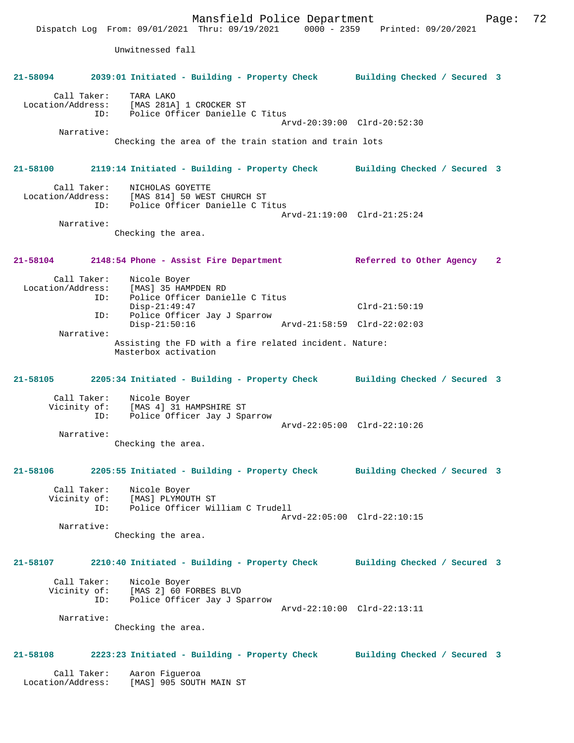Mansfield Police Department Form Page: 72 Dispatch Log From: 09/01/2021 Thru: 09/19/2021 0000 - 2359 Printed: 09/20/2021 Unwitnessed fall **21-58094 2039:01 Initiated - Building - Property Check Building Checked / Secured 3** Call Taker: TARA LAKO Location/Address: [MAS 281A] 1 CROCKER ST ID: Police Officer Danielle C Titus Arvd-20:39:00 Clrd-20:52:30 Narrative: Checking the area of the train station and train lots **21-58100 2119:14 Initiated - Building - Property Check Building Checked / Secured 3** Call Taker: <br>
MICHOLAS GOYETTE<br>
Location/Address: [MAS 814] 50 WES [MAS 814] 50 WEST CHURCH ST ID: Police Officer Danielle C Titus Arvd-21:19:00 Clrd-21:25:24 Narrative: Checking the area. **21-58104 2148:54 Phone - Assist Fire Department Referred to Other Agency 2** Call Taker: Nicole Boyer<br>Location/Address: [MAS] 35 HAM ess: [MAS] 35 HAMPDEN RD<br>ID: Police Officer Danie Police Officer Danielle C Titus Disp-21:49:47 Clrd-21:50:19<br>TD: Police Officer Jav J Sparrow Police Officer Jay J Sparrow<br>Disp-21:50:16 Disp-21:50:16 Arvd-21:58:59 Clrd-22:02:03 Narrative: Assisting the FD with a fire related incident. Nature: Masterbox activation **21-58105 2205:34 Initiated - Building - Property Check Building Checked / Secured 3** Call Taker: Nicole Boyer<br>Vicinity of: [MAS 4] 31 H. of: [MAS 4] 31 HAMPSHIRE ST<br>ID: Police Officer Jay J Spa ID: Police Officer Jay J Sparrow Arvd-22:05:00 Clrd-22:10:26 Narrative: Checking the area. **21-58106 2205:55 Initiated - Building - Property Check Building Checked / Secured 3** Call Taker: Nicole Boyer Vicinity of: [MAS] PLYMOUTH ST ID: Police Officer William C Trudell Arvd-22:05:00 Clrd-22:10:15 Narrative: Checking the area. **21-58107 2210:40 Initiated - Building - Property Check Building Checked / Secured 3** Call Taker: Nicole Boyer Vicinity of: [MAS 2] 60 FORBES BLVD<br>TD: Police Officer Jay J St Police Officer Jay J Sparrow Arvd-22:10:00 Clrd-22:13:11 Narrative: Checking the area. **21-58108 2223:23 Initiated - Building - Property Check Building Checked / Secured 3** Call Taker: Aaron Figueroa Location/Address: [MAS] 905 SOUTH MAIN ST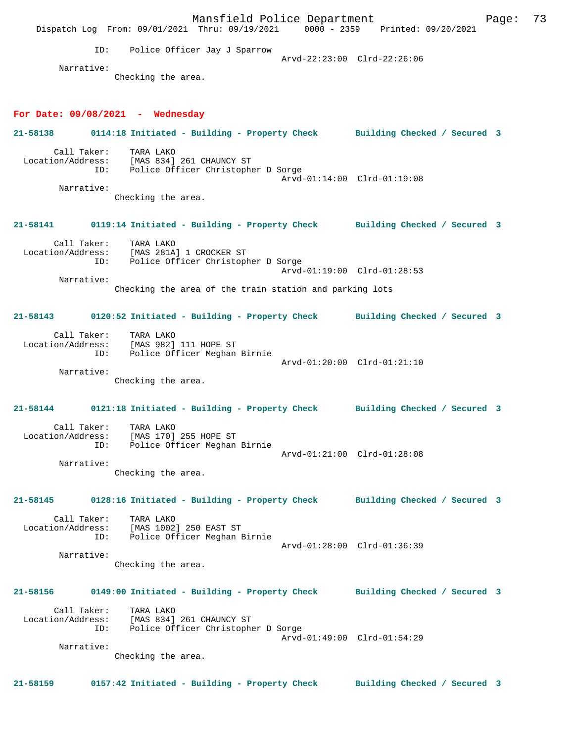Mansfield Police Department Fage: 73 Dispatch Log From: 09/01/2021 Thru: 09/19/2021 0000 - 2359 Printed: 09/20/2021 ID: Police Officer Jay J Sparrow Arvd-22:23:00 Clrd-22:26:06 Narrative: Checking the area. **For Date: 09/08/2021 - Wednesday 21-58138 0114:18 Initiated - Building - Property Check Building Checked / Secured 3** Call Taker: TARA LAKO Location/Address: [MAS 834] 261 CHAUNCY ST ID: Police Officer Christopher D Sorge Arvd-01:14:00 Clrd-01:19:08 Narrative: Checking the area. **21-58141 0119:14 Initiated - Building - Property Check Building Checked / Secured 3** Call Taker: TARA LAKO<br>Location/Address: [MAS 281A Location/Address: [MAS 281A] 1 CROCKER ST ID: Police Officer Christopher D Sorge Arvd-01:19:00 Clrd-01:28:53 Narrative: Checking the area of the train station and parking lots **21-58143 0120:52 Initiated - Building - Property Check Building Checked / Secured 3** Call Taker: TARA LAKO Location/Address: [MAS 982] 111 HOPE ST ID: Police Officer Meghan Birnie Arvd-01:20:00 Clrd-01:21:10 Narrative: Checking the area. **21-58144 0121:18 Initiated - Building - Property Check Building Checked / Secured 3** Call Taker: TARA LAKO Location/Address: [MAS 170] 255 HOPE ST ID: Police Officer Meghan Birnie Arvd-01:21:00 Clrd-01:28:08 Narrative: Checking the area. **21-58145 0128:16 Initiated - Building - Property Check Building Checked / Secured 3** Call Taker: TARA LAKO Location/Address: [MAS 1002] 250 EAST ST ID: Police Officer Meghan Birnie Arvd-01:28:00 Clrd-01:36:39 Narrative: Checking the area. **21-58156 0149:00 Initiated - Building - Property Check Building Checked / Secured 3** Call Taker: TARA LAKO Location/Address: [MAS 834] 261 CHAUNCY ST ID: Police Officer Christopher D Sorge Arvd-01:49:00 Clrd-01:54:29 Narrative: Checking the area. **21-58159 0157:42 Initiated - Building - Property Check Building Checked / Secured 3**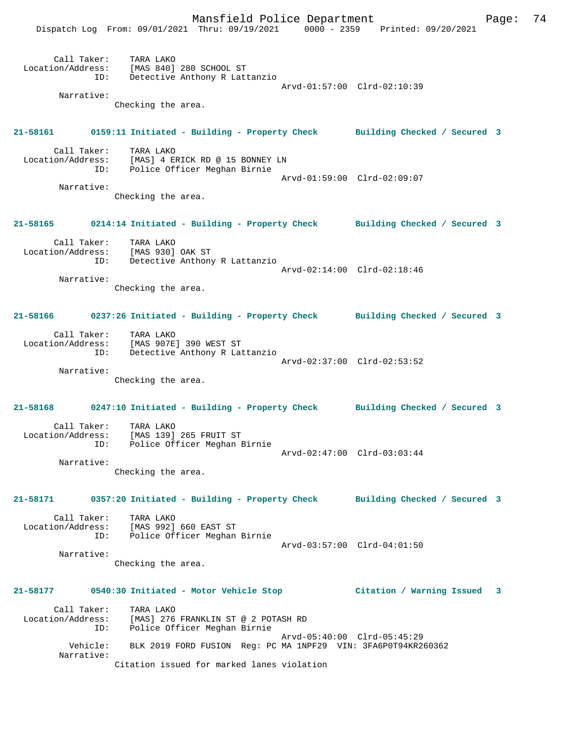Mansfield Police Department Fage: 74 Dispatch Log From: 09/01/2021 Thru: 09/19/2021 0000 - 2359 Printed: 09/20/2021 Call Taker: TARA LAKO Location/Address: [MAS 840] 280 SCHOOL ST ID: Detective Anthony R Lattanzio Arvd-01:57:00 Clrd-02:10:39 Narrative: Checking the area. **21-58161 0159:11 Initiated - Building - Property Check Building Checked / Secured 3** Call Taker: TARA LAKO Location/Address: [MAS] 4 ERICK RD @ 15 BONNEY LN ID: Police Officer Meghan Birnie Arvd-01:59:00 Clrd-02:09:07 Narrative: Checking the area. **21-58165 0214:14 Initiated - Building - Property Check Building Checked / Secured 3** Call Taker: TARA LAKO Location/Address: [MAS 930] OAK ST ID: Detective Anthony R Lattanzio Arvd-02:14:00 Clrd-02:18:46 Narrative: Checking the area. **21-58166 0237:26 Initiated - Building - Property Check Building Checked / Secured 3** Call Taker: TARA LAKO Location/Address: [MAS 907E] 390 WEST ST ID: Detective Anthony R Lattanzio Arvd-02:37:00 Clrd-02:53:52 Narrative: Checking the area. **21-58168 0247:10 Initiated - Building - Property Check Building Checked / Secured 3** Call Taker: TARA LAKO Location/Address: [MAS 139] 265 FRUIT ST ID: Police Officer Meghan Birnie Arvd-02:47:00 Clrd-03:03:44 Narrative: Checking the area. **21-58171 0357:20 Initiated - Building - Property Check Building Checked / Secured 3** Call Taker: TARA LAKO Location/Address: [MAS 992] 660 EAST ST ID: Police Officer Meghan Birnie Arvd-03:57:00 Clrd-04:01:50 Narrative: Checking the area. **21-58177 0540:30 Initiated - Motor Vehicle Stop Citation / Warning Issued 3** Call Taker: TARA LAKO Location/Address: [MAS] 276 FRANKLIN ST @ 2 POTASH RD ID: Police Officer Meghan Birnie Arvd-05:40:00 Clrd-05:45:29 Vehicle: BLK 2019 FORD FUSION Reg: PC MA 1NPF29 VIN: 3FA6P0T94KR260362 Narrative: Citation issued for marked lanes violation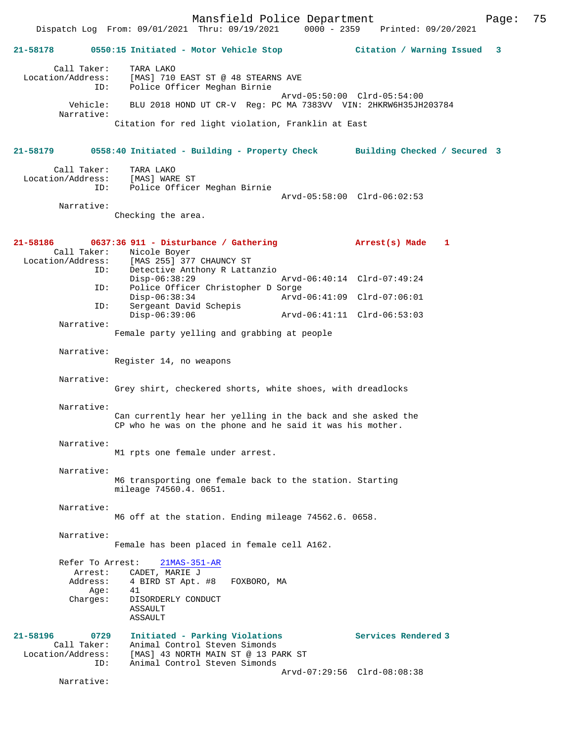Mansfield Police Department Page: 75 Dispatch Log From: 09/01/2021 Thru: 09/19/2021 0000 - 2359 **21-58178 0550:15 Initiated - Motor Vehicle Stop Citation / Warning Issued 3** Call Taker: TARA LAKO Location/Address: [MAS] 710 EAST ST @ 48 STEARNS AVE ID: Police Officer Meghan Birnie Arvd-05:50:00 Clrd-05:54:00 Vehicle: BLU 2018 HOND UT CR-V Reg: PC MA 7383VV VIN: 2HKRW6H35JH203784 Narrative: Citation for red light violation, Franklin at East **21-58179 0558:40 Initiated - Building - Property Check Building Checked / Secured 3** Call Taker: TARA LAKO Location/Address: [MAS] WARE ST<br>ID: Police Office Police Officer Meghan Birnie Arvd-05:58:00 Clrd-06:02:53 Narrative: Checking the area. **21-58186 0637:36 911 - Disturbance / Gathering Arrest(s) Made 1**  Call Taker: Nicole Boyer<br>Location/Address: [MAS 255] 37  $[MAS 255]$  377 CHAUNCY ST ID: Detective Anthony R Lattanzio Disp-06:38:29 Arvd-06:40:14 Clrd-07:49:24<br>ID: Police Officer Christopher D Sorge Police Officer Christopher D Sorge<br>Disp-06:38:34 Arvd Disp-06:38:34 Arvd-06:41:09 Clrd-07:06:01<br>ID: Sergeant David Schepis Sergeant David Schepis<br>Disp-06:39:06 Disp-06:39:06 Arvd-06:41:11 Clrd-06:53:03 Narrative: Female party yelling and grabbing at people Narrative: Register 14, no weapons Narrative: Grey shirt, checkered shorts, white shoes, with dreadlocks Narrative: Can currently hear her yelling in the back and she asked the CP who he was on the phone and he said it was his mother. Narrative: M1 rpts one female under arrest. Narrative: M6 transporting one female back to the station. Starting mileage 74560.4. 0651. Narrative: M6 off at the station. Ending mileage 74562.6. 0658. Narrative: Female has been placed in female cell A162. Refer To Arrest: 21MAS-351-AR Arrest: CADET, MARIE J<br>Address: 4 BIRD ST Apt. # 4 BIRD ST Apt. #8 FOXBORO, MA<br>41 Age:<br>:Charges DISORDERLY CONDUCT ASSAULT ASSAULT **21-58196 0729 Initiated - Parking Violations Services Rendered 3**  Call Taker: Animal Control Steven Simonds<br>Location/Address: [MAS] 43 NORTH MAIN ST @ 13 PA Location Concept Suppleman State of Serven Sumonds<br>Ess: [MAS] 43 NORTH MAIN ST @ 13 PARK ST<br>ID: Animal Control Steven Simonds Animal Control Steven Simonds Arvd-07:29:56 Clrd-08:08:38

Narrative: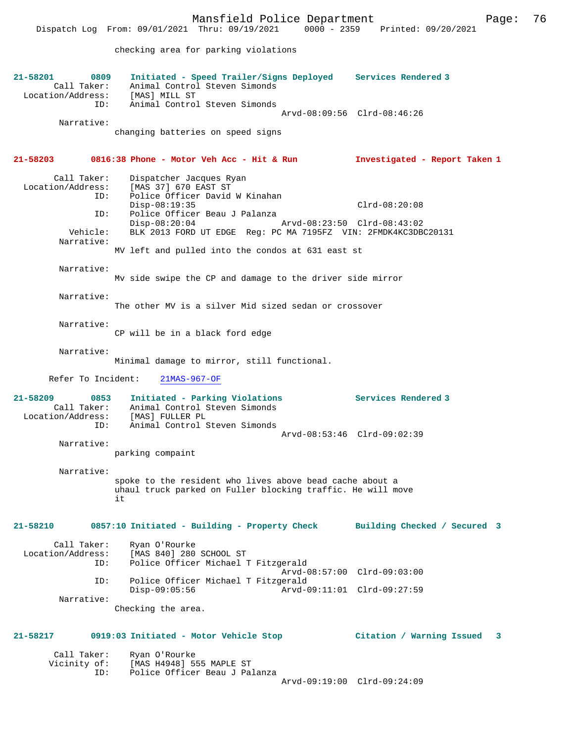Mansfield Police Department Page: 76 Dispatch Log From: 09/01/2021 Thru: 09/19/2021 checking area for parking violations **21-58201 0809 Initiated - Speed Trailer/Signs Deployed Services Rendered 3**  Call Taker: Animal Control Steven Simonds<br>ion/Address: [MAS] MILL ST Location/Address:<br>ID: Animal Control Steven Simonds Arvd-08:09:56 Clrd-08:46:26 Narrative: changing batteries on speed signs **21-58203 0816:38 Phone - Motor Veh Acc - Hit & Run Investigated - Report Taken 1** Call Taker: Dispatcher Jacques Ryan Location/Address: [MAS 37] 670 EAST ST Police Officer David W Kinahan<br>Disp-08:19:35 Disp-08:19:35 Clrd-08:20:08<br>TD: Police Officer Beau J Palanza Police Officer Beau J Palanza<br>Disp-08:20:04 Disp-08:20:04 Arvd-08:23:50 Clrd-08:43:02<br>Vehicle: BLK 2013 FORD UT EDGE Req: PC MA 7195FZ VIN: 2FMDK4KC3DB BLK 2013 FORD UT EDGE Reg: PC MA 7195FZ VIN: 2FMDK4KC3DBC20131 Narrative: MV left and pulled into the condos at 631 east st Narrative: Mv side swipe the CP and damage to the driver side mirror Narrative: The other MV is a silver Mid sized sedan or crossover Narrative: CP will be in a black ford edge Narrative: Minimal damage to mirror, still functional. Refer To Incident: 21MAS-967-OF **21-58209 0853 Initiated - Parking Violations Services Rendered 3**  Call Taker: Animal Control Steven Simonds<br>Location/Address: [MAS] FULLER PL Louit Of Sess: [MAS] FULLER PL<br>ID: Animal Control S Animal Control Steven Simonds Arvd-08:53:46 Clrd-09:02:39 Narrative: parking compaint Narrative: spoke to the resident who lives above bead cache about a uhaul truck parked on Fuller blocking traffic. He will move it **21-58210 0857:10 Initiated - Building - Property Check Building Checked / Secured 3** Call Taker: Ryan O'Rourke Location/Address: [MAS 840] 280 SCHOOL ST<br>ID: Police Officer Michael 1 Police Officer Michael T Fitzgerald Arvd-08:57:00 Clrd-09:03:00 ID: Police Officer Michael T Fitzgerald Disp-09:05:56 Arvd-09:11:01 Clrd-09:27:59 Narrative: Checking the area. **21-58217 0919:03 Initiated - Motor Vehicle Stop Citation / Warning Issued 3** Call Taker: Ryan O'Rourke<br>Vicinity of: [MAS H4948] 5 [MAS H4948] 555 MAPLE ST

> ID: Police Officer Beau J Palanza Arvd-09:19:00 Clrd-09:24:09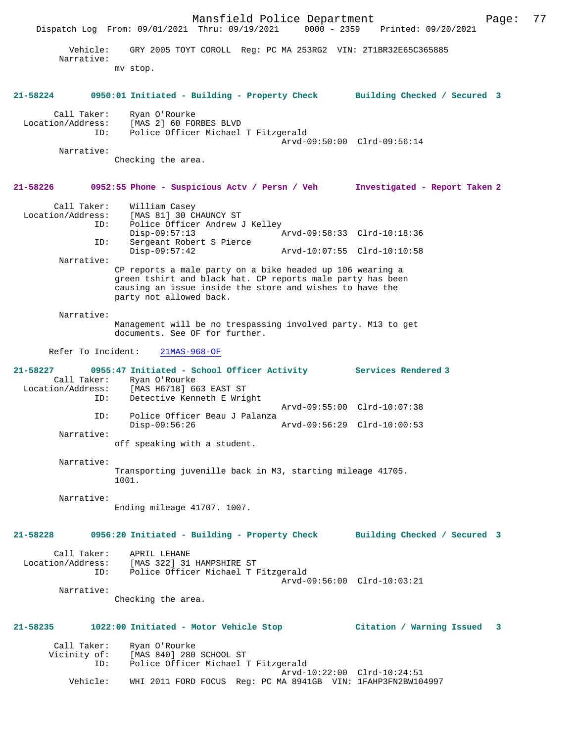Mansfield Police Department Page: 77 Dispatch Log From: 09/01/2021 Thru: 09/19/2021 Vehicle: GRY 2005 TOYT COROLL Reg: PC MA 253RG2 VIN: 2T1BR32E65C365885 Narrative: mv stop. **21-58224 0950:01 Initiated - Building - Property Check Building Checked / Secured 3** Call Taker: Ryan O'Rourke Location/Address: [MAS 2] 60 FORBES BLVD ID: Police Officer Michael T Fitzgerald Arvd-09:50:00 Clrd-09:56:14 Narrative: Checking the area. **21-58226 0952:55 Phone - Suspicious Actv / Persn / Veh Investigated - Report Taken 2** Call Taker: William Casey Location/Address: [MAS 81] 30 CHAUNCY ST ID: Police Officer Andrew J Kelley Disp-09:57:13 Arvd-09:58:33 Clrd-10:18:36<br>ID: Sergeant Robert S Pierce Disp-09:57:13<br>Sergeant Robert S Pierce<br>Disp-09:57:42 Disp-09:57:42 Arvd-10:07:55 Clrd-10:10:58 Narrative: CP reports a male party on a bike headed up 106 wearing a green tshirt and black hat. CP reports male party has been causing an issue inside the store and wishes to have the party not allowed back. Narrative: Management will be no trespassing involved party. M13 to get documents. See OF for further. Refer To Incident: 21MAS-968-OF **21-58227 0955:47 Initiated - School Officer Activity Services Rendered 3**  Call Taker: Ryan O'Rourke<br>Location/Address: [MAS H6718] 6 [MAS H6718] 663 EAST ST ID: Detective Kenneth E Wright Arvd-09:55:00 Clrd-10:07:38<br>TD: Police Officer Beau J Palanza Police Officer Beau J Palanza<br>Disp-09:56:26 Disp-09:56:26 Arvd-09:56:29 Clrd-10:00:53 Narrative: off speaking with a student. Narrative: Transporting juvenille back in M3, starting mileage 41705. 1001. Narrative: Ending mileage 41707. 1007. **21-58228 0956:20 Initiated - Building - Property Check Building Checked / Secured 3** Call Taker: APRIL LEHANE Location/Address: [MAS 322] 31 HAMPSHIRE ST ID: Police Officer Michael T Fitzgerald Arvd-09:56:00 Clrd-10:03:21 Narrative: Checking the area. **21-58235 1022:00 Initiated - Motor Vehicle Stop Citation / Warning Issued 3** Call Taker: Ryan O'Rourke<br>Vicinity of: [MAS 840] 280 of: [MAS 840] 280 SCHOOL ST<br>ID: Police Officer Michael' Police Officer Michael T Fitzgerald Arvd-10:22:00 Clrd-10:24:51<br>Vebicle: WHI 2011 FORD FOCUS Reg: PC MA 8941GB VIN: 1FAHP3FN2BW104 WHI 2011 FORD FOCUS Reg: PC MA 8941GB VIN: 1FAHP3FN2BW104997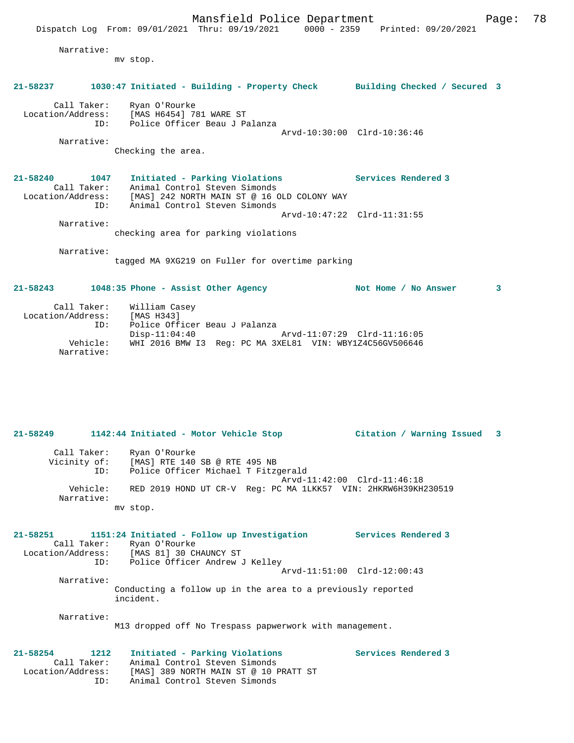Narrative:

mv stop.

## **21-58237 1030:47 Initiated - Building - Property Check Building Checked / Secured 3**

 Call Taker: Ryan O'Rourke Location/Address: [MAS H6454] 781 WARE ST ID: Police Officer Beau J Palanza

Narrative:

Checking the area.

**21-58240 1047 Initiated - Parking Violations Services Rendered 3**  Call Taker: Animal Control Steven Simonds Location/Address: [MAS] 242 NORTH MAIN ST @ 16 OLD COLONY WAY ID: Animal Control Steven Simonds Arvd-10:47:22 Clrd-11:31:55

Arvd-10:30:00 Clrd-10:36:46

checking area for parking violations

Narrative:

Narrative:

tagged MA 9XG219 on Fuller for overtime parking

### **21-58243 1048:35 Phone - Assist Other Agency Not Home / No Answer 3**

| Call Taker:            | William Casey                                                                                            |
|------------------------|----------------------------------------------------------------------------------------------------------|
| Location/Address:      | [MAS H343]                                                                                               |
| TD:                    | Police Officer Beau J Palanza                                                                            |
| Vehicle:<br>Narrative: | Disp-11:04:40<br>Arvd-11:07:29 Clrd-11:16:05<br>WHI 2016 BMW I3 Req: PC MA 3XEL81 VIN: WBY1Z4C56GV506646 |

# **21-58249 1142:44 Initiated - Motor Vehicle Stop Citation / Warning Issued 3** Call Taker: Ryan O'Rourke Vicinity of: [MAS] RTE 140 SB @ RTE 495 NB ID: Police Officer Michael T Fitzgerald Arvd-11:42:00 Clrd-11:46:18 Vehicle: RED 2019 HOND UT CR-V Reg: PC MA 1LKK57 VIN: 2HKRW6H39KH230519 Narrative: mv stop. **21-58251 1151:24 Initiated - Follow up Investigation Services Rendered 3**  Call Taker: Ryan O'Rourke Location/Address: [MAS 81] 30 CHAUNCY ST ID: Police Officer Andrew J Kelley Arvd-11:51:00 Clrd-12:00:43 Narrative: Conducting a follow up in the area to a previously reported incident. Narrative:

M13 dropped off No Trespass papwerwork with management.

#### **21-58254 1212 Initiated - Parking Violations Services Rendered 3**  Call Taker: Animal Control Steven Simonds Location/Address: [MAS] 389 NORTH MAIN ST @ 10 PRATT ST ID: Animal Control Steven Simonds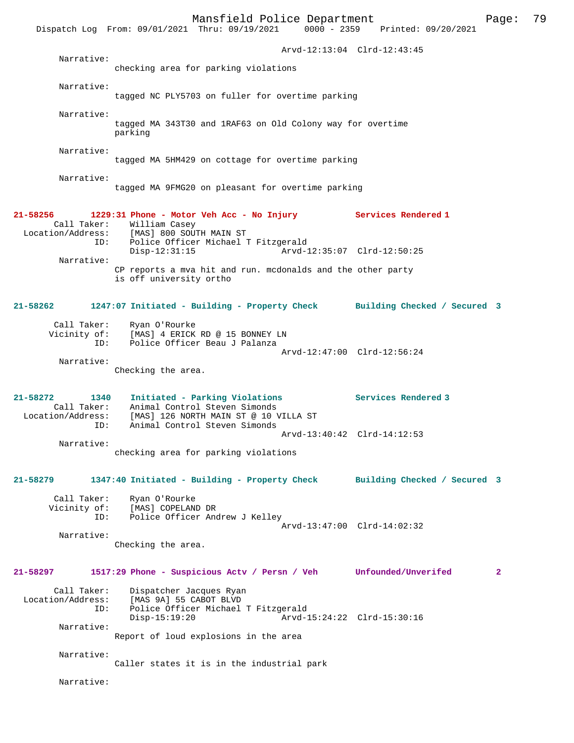Mansfield Police Department Page: 79 Dispatch Log From: 09/01/2021 Thru: 09/19/2021 Arvd-12:13:04 Clrd-12:43:45 Narrative: checking area for parking violations Narrative: tagged NC PLY5703 on fuller for overtime parking Narrative: tagged MA 343T30 and 1RAF63 on Old Colony way for overtime parking Narrative: tagged MA 5HM429 on cottage for overtime parking Narrative: tagged MA 9FMG20 on pleasant for overtime parking **21-58256 1229:31 Phone - Motor Veh Acc - No Injury Services Rendered 1**  Call Taker: William Casey Location/Address: [MAS] 800 SOUTH MAIN ST<br>[MAS] 800 SOUTH MAIN ST . Police Officer Michael T Fitzgerald<br>Disp-12:31:15 Arvd-1 Arvd-12:35:07 Clrd-12:50:25 Narrative: CP reports a mva hit and run. mcdonalds and the other party is off university ortho **21-58262 1247:07 Initiated - Building - Property Check Building Checked / Secured 3** Call Taker: Ryan O'Rourke Vicinity of: [MAS] 4 ERICK RD @ 15 BONNEY LN ID: Police Officer Beau J Palanza Arvd-12:47:00 Clrd-12:56:24 Narrative: Checking the area. **21-58272 1340 Initiated - Parking Violations Services Rendered 3**  Call Taker: Animal Control Steven Simonds<br>Location/Address: [MAS] 126 NORTH MAIN ST @ 10 V [MAS] 126 NORTH MAIN ST @ 10 VILLA ST ID: Animal Control Steven Simonds Arvd-13:40:42 Clrd-14:12:53 Narrative: checking area for parking violations **21-58279 1347:40 Initiated - Building - Property Check Building Checked / Secured 3** Call Taker: Ryan O'Rourke<br>Vicinity of: [MAS] COPELAN [MAS] COPELAND DR ID: Police Officer Andrew J Kelley Arvd-13:47:00 Clrd-14:02:32 Narrative: Checking the area. **21-58297 1517:29 Phone - Suspicious Actv / Persn / Veh Unfounded/Unverifed 2** Call Taker: Dispatcher Jacques Ryan<br>Location/Address: [MAS 9A] 55 CABOT BLVD ess: [MAS 9A] 55 CABOT BLVD<br>ID: Police Officer Michael Police Officer Michael T Fitzgerald<br>Disp-15:19:20 Arvd- Disp-15:19:20 Arvd-15:24:22 Clrd-15:30:16 Narrative: Report of loud explosions in the area Narrative: Caller states it is in the industrial park Narrative: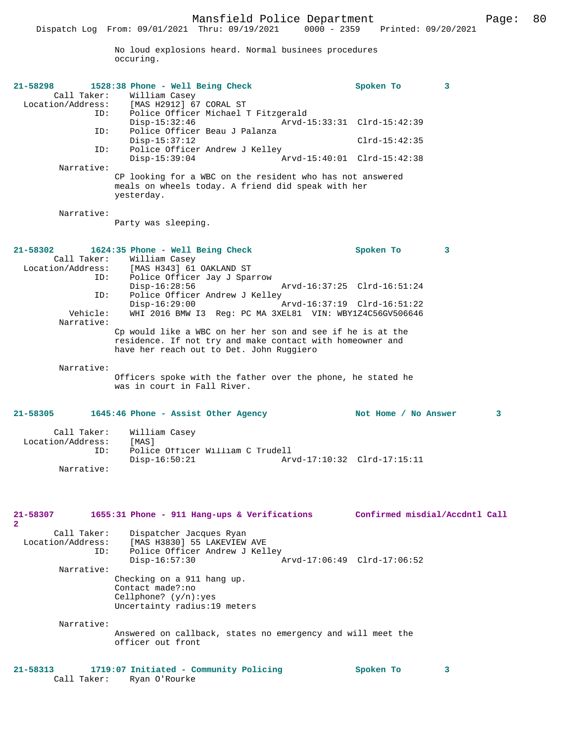No loud explosions heard. Normal businees procedures occuring.

| 21-58298<br>Call Taker:                             | 1528:38 Phone - Well Being Check<br>William Casey<br>Location/Address: [MAS H2912] 67 CORAL ST                                                                      | Spoken To                      | 3 |              |
|-----------------------------------------------------|---------------------------------------------------------------------------------------------------------------------------------------------------------------------|--------------------------------|---|--------------|
| ID:<br>ID:                                          | Police Officer Michael T Fitzgerald<br>Disp-15:32:46<br>Police Officer Beau J Palanza                                                                               | Arvd-15:33:31 Clrd-15:42:39    |   |              |
| ID:                                                 | $Disp-15:37:12$<br>Police Officer Andrew J Kelley                                                                                                                   | $Clrd-15:42:35$                |   |              |
| Narrative:                                          | $Disp-15:39:04$                                                                                                                                                     | Arvd-15:40:01 Clrd-15:42:38    |   |              |
|                                                     | CP looking for a WBC on the resident who has not answered<br>meals on wheels today. A friend did speak with her<br>yesterday.                                       |                                |   |              |
| Narrative:                                          | Party was sleeping.                                                                                                                                                 |                                |   |              |
| 21-58302<br>Call Taker:<br>Location/Address:<br>ID: | 1624:35 Phone - Well Being Check<br>William Casey<br>[MAS H343] 61 OAKLAND ST<br>Police Officer Jay J Sparrow<br>$Disp-16:28:56$<br>Arvd-16:37:25 Clrd-16:51:24     | Spoken To                      | 3 |              |
| ID:<br>Vehicle:                                     | Police Officer Andrew J Kelley<br>$Disp-16:29:00$<br>Arvd-16:37:19 Clrd-16:51:22<br>WHI 2016 BMW I3 Reg: PC MA 3XEL81 VIN: WBY1Z4C56GV506646                        |                                |   |              |
| Narrative:                                          | Cp would like a WBC on her her son and see if he is at the<br>residence. If not try and make contact with homeowner and<br>have her reach out to Det. John Ruggiero |                                |   |              |
| Narrative:                                          | Officers spoke with the father over the phone, he stated he<br>was in court in Fall River.                                                                          |                                |   |              |
| 21-58305                                            | 1645:46 Phone - Assist Other Agency                                                                                                                                 | Not Home / No Answer           |   | $\mathbf{3}$ |
| Call Taker:<br>Location/Address:<br>ID:             | William Casey<br>[MAS]<br>Police Officer William C Trudell<br>$Disp-16:50:21$                                                                                       |                                |   |              |
| Narrative:                                          |                                                                                                                                                                     |                                |   |              |
| 21-58307<br>$\overline{a}$                          | 1655:31 Phone - 911 Hang-ups & Verifications                                                                                                                        | Confirmed misdial/Accdntl Call |   |              |
| Call Taker:<br>Location/Address:<br>ID:             | Dispatcher Jacques Ryan<br>[MAS H3830] 55 LAKEVIEW AVE<br>Police Officer Andrew J Kelley<br>$Disp-16:57:30$                                                         | Arvd-17:06:49 Clrd-17:06:52    |   |              |
| Narrative:                                          | Checking on a 911 hang up.<br>Contact made?:no<br>Cellphone? $(y/n):yes$<br>Uncertainty radius:19 meters                                                            |                                |   |              |
| Narrative:                                          | Answered on callback, states no emergency and will meet the<br>officer out front                                                                                    |                                |   |              |
| $21 - 58313$<br>Call Taker:                         | 1719:07 Initiated - Community Policing<br>Ryan O'Rourke                                                                                                             | Spoken To                      | 3 |              |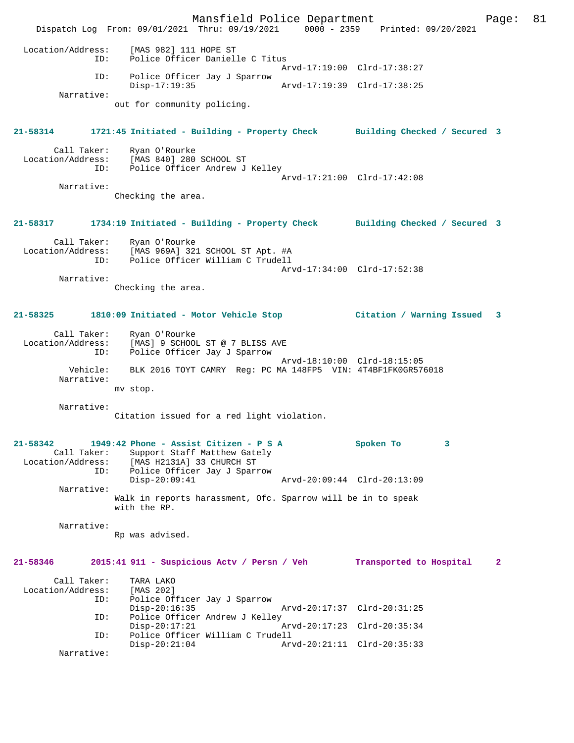Mansfield Police Department Page: 81 Dispatch Log From: 09/01/2021 Thru: 09/19/2021 0000 - 2359 Printed: 09/20/2021 Location/Address: [MAS 982] 111 HOPE ST ID: Police Officer Danielle C Titus Arvd-17:19:00 Clrd-17:38:27 ID: Police Officer Jay J Sparrow Disp-17:19:35 Arvd-17:19:39 Clrd-17:38:25 Narrative: out for community policing. **21-58314 1721:45 Initiated - Building - Property Check Building Checked / Secured 3** Call Taker: Ryan O'Rourke Location/Address: [MAS 840] 280 SCHOOL ST<br>ID: Police Officer Andrew J Police Officer Andrew J Kelley Arvd-17:21:00 Clrd-17:42:08 Narrative: Checking the area. **21-58317 1734:19 Initiated - Building - Property Check Building Checked / Secured 3** Call Taker: Ryan O'Rourke Location/Address: [MAS 969A] 321 SCHOOL ST Apt. #A ID: Police Officer William C Trudell Arvd-17:34:00 Clrd-17:52:38 Narrative: Checking the area. **21-58325 1810:09 Initiated - Motor Vehicle Stop Citation / Warning Issued 3** Call Taker: Ryan O'Rourke Location/Address: [MAS] 9 SCHOOL ST @ 7 BLISS AVE<br>TD: Police Officer Jay J Sparrow Police Officer Jay J Sparrow Arvd-18:10:00 Clrd-18:15:05 Vehicle: BLK 2016 TOYT CAMRY Reg: PC MA 148FP5 VIN: 4T4BF1FK0GR576018 Narrative: mv stop. Narrative: Citation issued for a red light violation. **21-58342 1949:42 Phone - Assist Citizen - P S A Spoken To 3**  Call Taker: Support Staff Matthew Gately<br>Location/Address: [MAS H2131A] 33 CHURCH ST ess: [MAS H2131A] 33 CHURCH ST<br>ID: Police Officer Jay J Sparr Police Officer Jay J Sparrow<br>Disp-20:09:41 Disp-20:09:41 Arvd-20:09:44 Clrd-20:13:09 Narrative: Walk in reports harassment, Ofc. Sparrow will be in to speak with the RP. Narrative: Rp was advised. **21-58346 2015:41 911 - Suspicious Actv / Persn / Veh Transported to Hospital 2** Call Taker: TARA LAKO<br>.on/Address: [MAS 202] Location/Address: ID: Police Officer Jay J Sparrow Disp-20:16:35 Arvd-20:17:37 Clrd-20:31:25<br>ID: Police Officer Andrew J Kelley Police Officer Andrew J Kelley<br>Disp-20:17:21 Disp-20:17:21 Arvd-20:17:23 Clrd-20:35:34 ID: Police Officer William C Trudell Disp-20:21:04 Arvd-20:21:11 Clrd-20:35:33 Narrative: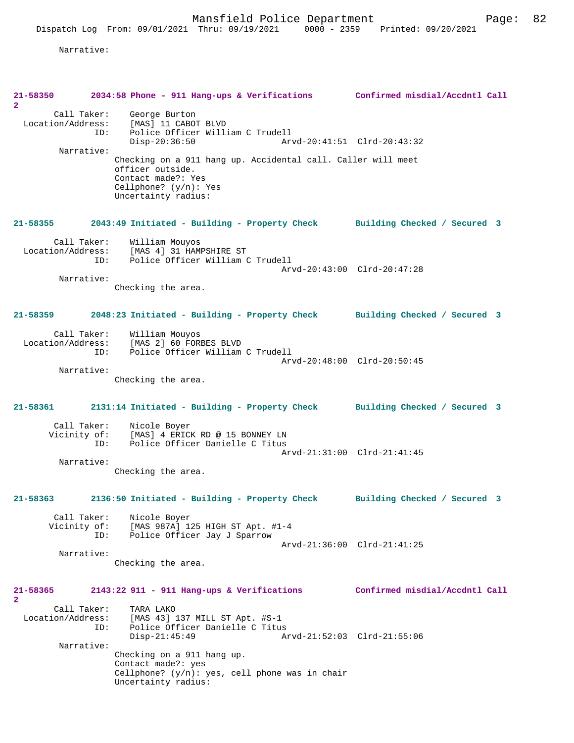Narrative:

| 21-58350<br>$\mathbf{2}^{\circ}$        | 2034:58 Phone - 911 Hang-ups & Verifications Confirmed misdial/Accdntl Call                                                                              |                                |
|-----------------------------------------|----------------------------------------------------------------------------------------------------------------------------------------------------------|--------------------------------|
| Call Taker:<br>Location/Address:<br>ID: | George Burton<br>[MAS] 11 CABOT BLVD<br>Police Officer William C Trudell<br>$Disp-20:36:50$                                                              |                                |
| Narrative:                              | Checking on a 911 hang up. Accidental call. Caller will meet<br>officer outside.<br>Contact made?: Yes<br>Cellphone? $(y/n):$ Yes<br>Uncertainty radius: |                                |
| 21-58355                                | 2043:49 Initiated - Building - Property Check Building Checked / Secured 3                                                                               |                                |
| Call Taker:<br>Location/Address:<br>ID: | William Mouyos<br>[MAS 4] 31 HAMPSHIRE ST<br>Police Officer William C Trudell                                                                            | Arvd-20:43:00 Clrd-20:47:28    |
| Narrative:                              | Checking the area.                                                                                                                                       |                                |
| 21-58359                                | 2048:23 Initiated - Building - Property Check                                                                                                            | Building Checked / Secured 3   |
| Call Taker:<br>Location/Address:<br>ID: | William Mouyos<br>[MAS 2] 60 FORBES BLVD<br>Police Officer William C Trudell                                                                             | Arvd-20:48:00 Clrd-20:50:45    |
| Narrative:                              | Checking the area.                                                                                                                                       |                                |
| 21-58361                                | 2131:14 Initiated - Building - Property Check                                                                                                            | Building Checked / Secured 3   |
| Call Taker:<br>Vicinity of:<br>ID:      | Nicole Boyer<br>[MAS] 4 ERICK RD @ 15 BONNEY LN<br>Police Officer Danielle C Titus                                                                       | Arvd-21:31:00 Clrd-21:41:45    |
| Narrative:                              | Checking the area.                                                                                                                                       |                                |
| 21-58363                                | 2136:50 Initiated - Building - Property Check                                                                                                            | Building Checked / Secured 3   |
| Call Taker:<br>Vicinity of:<br>ID:      | Nicole Boyer<br>[MAS 987A] 125 HIGH ST Apt. #1-4<br>Police Officer Jay J Sparrow                                                                         | Arvd-21:36:00 Clrd-21:41:25    |
| Narrative:                              | Checking the area.                                                                                                                                       |                                |
| 21-58365<br>$\mathbf{2}$                | $2143:22$ 911 - 911 Hang-ups & Verifications                                                                                                             | Confirmed misdial/Accdntl Call |
| Call Taker:<br>Location/Address:<br>ID: | TARA LAKO<br>[MAS 43] 137 MILL ST Apt. #S-1<br>Police Officer Danielle C Titus<br>$Disp-21:45:49$                                                        | Arvd-21:52:03 Clrd-21:55:06    |
| Narrative:                              | Checking on a 911 hang up.<br>Contact made?: yes<br>Cellphone? $(y/n)$ : yes, cell phone was in chair<br>Uncertainty radius:                             |                                |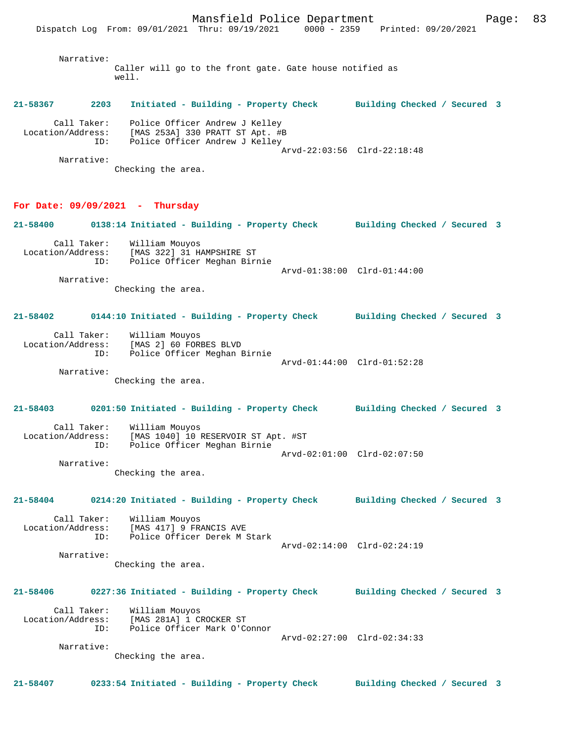Narrative: Caller will go to the front gate. Gate house notified as well.

#### **21-58367 2203 Initiated - Building - Property Check Building Checked / Secured 3**

| Call Taker:<br>Location/Address:<br>ID: | Police Officer Andrew J Kelley<br>[MAS 253A] 330 PRATT ST Apt. #B<br>Police Officer Andrew J Kelley |                             |  |
|-----------------------------------------|-----------------------------------------------------------------------------------------------------|-----------------------------|--|
|                                         |                                                                                                     |                             |  |
|                                         |                                                                                                     | Arvd-22:03:56 Clrd-22:18:48 |  |
| Narrative:                              |                                                                                                     |                             |  |

Checking the area.

#### **For Date: 09/09/2021 - Thursday**

**21-58400 0138:14 Initiated - Building - Property Check Building Checked / Secured 3** Call Taker: William Mouyos<br>Location/Address: [MAS 322] 31 H. Location/Address: [MAS 322] 31 HAMPSHIRE ST ID: Police Officer Meghan Birnie Arvd-01:38:00 Clrd-01:44:00 Narrative:

Checking the area.

#### **21-58402 0144:10 Initiated - Building - Property Check Building Checked / Secured 3**

| Call Taker:       | William Mouyos               |                             |  |
|-------------------|------------------------------|-----------------------------|--|
| Location/Address: | [MAS 2] 60 FORBES BLVD       |                             |  |
| ID:               | Police Officer Meghan Birnie |                             |  |
|                   |                              | Arvd-01:44:00 Clrd-01:52:28 |  |
| Narrative:        |                              |                             |  |

Checking the area.

## **21-58403 0201:50 Initiated - Building - Property Check Building Checked / Secured 3** Call Taker: William Mouyos Location/Address: [MAS 1040] 10 RESERVOIR ST Apt. #ST Police Officer Meghan Birnie Arvd-02:01:00 Clrd-02:07:50

Narrative:

Checking the area.

### **21-58404 0214:20 Initiated - Building - Property Check Building Checked / Secured 3**

 Call Taker: William Mouyos Location/Address: [MAS 417] 9 FRANCIS AVE ID: Police Officer Derek M Stark Arvd-02:14:00 Clrd-02:24:19 Narrative:

Checking the area.

#### **21-58406 0227:36 Initiated - Building - Property Check Building Checked / Secured 3**

 Call Taker: William Mouyos Location/Address: [MAS 281A] 1 CROCKER ST ID: Police Officer Mark O'Connor Arvd-02:27:00 Clrd-02:34:33 Narrative:

Checking the area.

**21-58407 0233:54 Initiated - Building - Property Check Building Checked / Secured 3**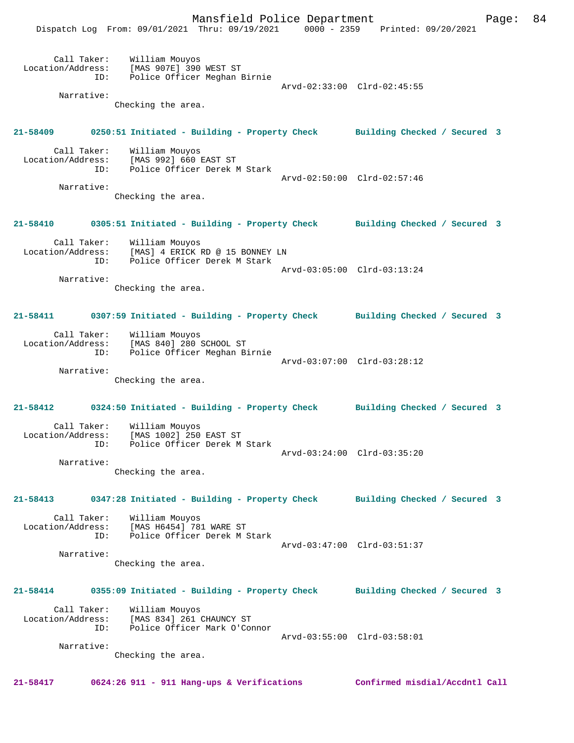Mansfield Police Department Fage: 84

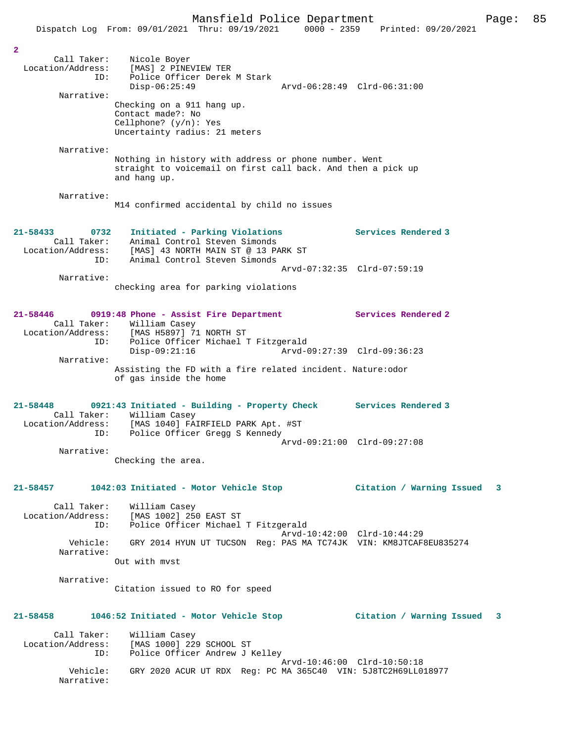|                                                           | Dispatch Log From: 09/01/2021 Thru: 09/19/2021<br>$0000 - 2359$                                                                        | Printed: 09/20/2021         |   |
|-----------------------------------------------------------|----------------------------------------------------------------------------------------------------------------------------------------|-----------------------------|---|
|                                                           |                                                                                                                                        |                             |   |
| $\overline{2}$<br>Call Taker:<br>Location/Address:<br>ID: | Nicole Boyer<br>[MAS] 2 PINEVIEW TER<br>Police Officer Derek M Stark<br>$Disp-06:25:49$                                                | Arvd-06:28:49 Clrd-06:31:00 |   |
| Narrative:                                                |                                                                                                                                        |                             |   |
|                                                           | Checking on a 911 hang up.<br>Contact made?: No<br>Cellphone? $(y/n)$ : Yes<br>Uncertainty radius: 21 meters                           |                             |   |
| Narrative:                                                |                                                                                                                                        |                             |   |
|                                                           | Nothing in history with address or phone number. Went<br>straight to voicemail on first call back. And then a pick up<br>and hang up.  |                             |   |
| Narrative:                                                | M14 confirmed accidental by child no issues                                                                                            |                             |   |
| $21 - 58433$<br>0732<br>Call Taker:<br>Location/Address:  | Initiated - Parking Violations<br>Animal Control Steven Simonds<br>[MAS] 43 NORTH MAIN ST @ 13 PARK ST                                 | Services Rendered 3         |   |
| ID:                                                       | Animal Control Steven Simonds                                                                                                          | Arvd-07:32:35 Clrd-07:59:19 |   |
| Narrative:                                                |                                                                                                                                        |                             |   |
|                                                           | checking area for parking violations                                                                                                   |                             |   |
| 21-58446<br>Call Taker:                                   | 0919:48 Phone - Assist Fire Department<br>William Casey                                                                                | Services Rendered 2         |   |
| ID:                                                       | Location/Address: [MAS H5897] 71 NORTH ST<br>Police Officer Michael T Fitzgerald                                                       |                             |   |
| Narrative:                                                | $Disp-09:21:16$                                                                                                                        | Arvd-09:27:39 Clrd-09:36:23 |   |
|                                                           | Assisting the FD with a fire related incident. Nature: odor<br>of gas inside the home                                                  |                             |   |
| 21-58448<br>Call Taker:<br>Location/Address:<br>ID:       | 0921:43 Initiated - Building - Property Check<br>William Casey<br>[MAS 1040] FAIRFIELD PARK Apt. #ST<br>Police Officer Gregg S Kennedy | Services Rendered 3         |   |
|                                                           |                                                                                                                                        | Arvd-09:21:00 Clrd-09:27:08 |   |
| Narrative:                                                | Checking the area.                                                                                                                     |                             |   |
| 21-58457                                                  | 1042:03 Initiated - Motor Vehicle Stop                                                                                                 | Citation / Warning Issued   | 3 |
| Call Taker:<br>Location/Address:<br>ID:                   | William Casey<br>[MAS 1002] 250 EAST ST<br>Police Officer Michael T Fitzgerald                                                         |                             |   |
| Vehicle:<br>Narrative:                                    | GRY 2014 HYUN UT TUCSON Req: PAS MA TC74JK VIN: KM8JTCAF8EU835274                                                                      | Arvd-10:42:00 Clrd-10:44:29 |   |
|                                                           | Out with myst                                                                                                                          |                             |   |
| Narrative:                                                | Citation issued to RO for speed                                                                                                        |                             |   |
| 21-58458                                                  | 1046:52 Initiated - Motor Vehicle Stop                                                                                                 | Citation / Warning Issued   | 3 |
| Call Taker:<br>Location/Address:<br>ID:                   | William Casey<br>[MAS 1000] 229 SCHOOL ST<br>Police Officer Andrew J Kelley                                                            | Arvd-10:46:00 Clrd-10:50:18 |   |
| Vehicle:<br>Narrative:                                    | GRY 2020 ACUR UT RDX Req: PC MA 365C40 VIN: 5J8TC2H69LL018977                                                                          |                             |   |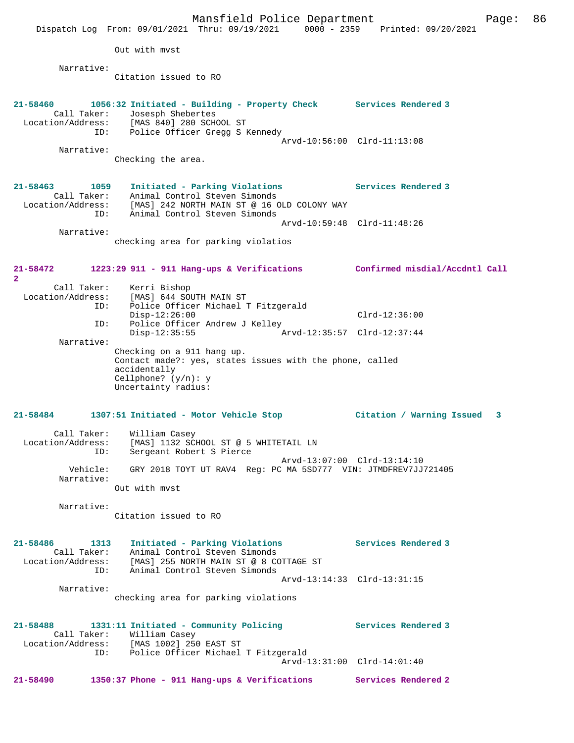|                                                                 | Mansfield Police Department<br>Dispatch Log From: 09/01/2021 Thru: 09/19/2021 0000 - 2359 Printed: 09/20/2021                                                            | 86<br>Page:                    |
|-----------------------------------------------------------------|--------------------------------------------------------------------------------------------------------------------------------------------------------------------------|--------------------------------|
|                                                                 | Out with myst                                                                                                                                                            |                                |
| Narrative:                                                      |                                                                                                                                                                          |                                |
|                                                                 | Citation issued to RO                                                                                                                                                    |                                |
| $21 - 58460$<br>Call Taker:<br>Location/Address:<br>ID:         | 1056:32 Initiated - Building - Property Check Services Rendered 3<br>Josesph Shebertes<br>[MAS 840] 280 SCHOOL ST<br>Police Officer Gregg S Kennedy                      | Arvd-10:56:00 Clrd-11:13:08    |
| Narrative:                                                      |                                                                                                                                                                          |                                |
|                                                                 | Checking the area.                                                                                                                                                       |                                |
| $21 - 58463$<br>1059<br>Call Taker:<br>Location/Address:<br>ID: | Initiated - Parking Violations<br>Animal Control Steven Simonds<br>[MAS] 242 NORTH MAIN ST @ 16 OLD COLONY WAY<br>Animal Control Steven Simonds                          | Services Rendered 3            |
|                                                                 |                                                                                                                                                                          | Arvd-10:59:48 Clrd-11:48:26    |
| Narrative:                                                      | checking area for parking violatios                                                                                                                                      |                                |
| 21-58472<br>$\overline{2}$                                      | 1223:29 911 - 911 Hang-ups & Verifications                                                                                                                               | Confirmed misdial/Accdntl Call |
| Call Taker:<br>Location/Address:<br>ID:                         | Kerri Bishop<br>[MAS] 644 SOUTH MAIN ST<br>Police Officer Michael T Fitzgerald<br>$Disp-12:26:00$                                                                        | $Clrd-12:36:00$                |
| ID:                                                             | Police Officer Andrew J Kelley                                                                                                                                           |                                |
|                                                                 | $Disp-12:35:55$                                                                                                                                                          | Arvd-12:35:57 Clrd-12:37:44    |
| Narrative:                                                      | Checking on a 911 hang up.                                                                                                                                               |                                |
|                                                                 | Contact made?: yes, states issues with the phone, called<br>accidentally<br>Cellphone? $(y/n): y$<br>Uncertainty radius:                                                 |                                |
| $21 - 58484$                                                    | 1307:51 Initiated - Motor Vehicle Stop                                                                                                                                   | Citation / Warning Issued<br>3 |
| Call Taker:<br>Location/Address:<br>ID:                         | William Casey<br>[MAS] 1132 SCHOOL ST @ 5 WHITETAIL LN<br>Sergeant Robert S Pierce                                                                                       |                                |
| Vehicle:<br>Narrative:                                          | GRY 2018 TOYT UT RAV4 Req: PC MA 5SD777 VIN: JTMDFREV7JJ721405                                                                                                           | Arvd-13:07:00 Clrd-13:14:10    |
|                                                                 | Out with myst                                                                                                                                                            |                                |
| Narrative:                                                      | Citation issued to RO                                                                                                                                                    |                                |
| 21-58486<br>1313<br>ID:                                         | Initiated - Parking Violations<br>Call Taker: Animal Control Steven Simonds<br>Location/Address: [MAS] 255 NORTH MAIN ST @ 8 COTTAGE ST<br>Animal Control Steven Simonds | Services Rendered 3            |
| Narrative:                                                      | checking area for parking violations                                                                                                                                     | Arvd-13:14:33 Clrd-13:31:15    |
|                                                                 |                                                                                                                                                                          |                                |
| 21-58488                                                        | 1331:11 Initiated - Community Policing<br>Call Taker: William Casey<br>Location/Address: [MAS 1002] 250 EAST ST                                                          | Services Rendered 3            |
| ID:                                                             | Police Officer Michael T Fitzgerald                                                                                                                                      | Arvd-13:31:00 Clrd-14:01:40    |
| 21-58490                                                        | 1350:37 Phone - 911 Hang-ups & Verifications                                                                                                                             | Services Rendered 2            |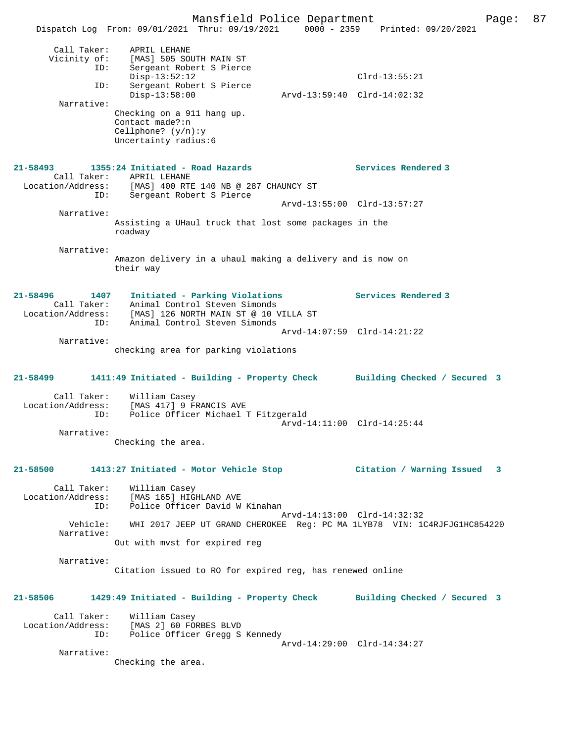Mansfield Police Department Fage: 87 Dispatch Log From: 09/01/2021 Thru: 09/19/2021 0000 - 2359 Printed: 09/20/2021 Call Taker: APRIL LEHANE Vicinity of: [MAS] 505 SOUTH MAIN ST ID: Sergeant Robert S Pierce Disp-13:52:12 Clrd-13:55:21 ID: Sergeant Robert S Pierce Disp-13:58:00 Arvd-13:59:40 Clrd-14:02:32 Narrative: Checking on a 911 hang up. Contact made?:n Cellphone? (y/n):y Uncertainty radius:6 **21-58493 1355:24 Initiated - Road Hazards Services Rendered 3**  Call Taker: APRIL LEHANE Location/Address: [MAS] 400 RTE 140 NB @ 287 CHAUNCY ST ID: Sergeant Robert S Pierce Arvd-13:55:00 Clrd-13:57:27 Narrative: Assisting a UHaul truck that lost some packages in the roadway Narrative: Amazon delivery in a uhaul making a delivery and is now on their way **21-58496 1407 Initiated - Parking Violations Services Rendered 3**  Call Taker: Animal Control Steven Simonds Location/Address: [MAS] 126 NORTH MAIN ST @ 10 VILLA ST ID: Animal Control Steven Simonds Arvd-14:07:59 Clrd-14:21:22 Narrative: checking area for parking violations **21-58499 1411:49 Initiated - Building - Property Check Building Checked / Secured 3** Call Taker: William Casey Location/Address: [MAS 417] 9 FRANCIS AVE ID: Police Officer Michael T Fitzgerald Arvd-14:11:00 Clrd-14:25:44 Narrative: Checking the area. **21-58500 1413:27 Initiated - Motor Vehicle Stop Citation / Warning Issued 3** Call Taker: William Casey Location/Address: [MAS 165] HIGHLAND AVE ID: Police Officer David W Kinahan Arvd-14:13:00 Clrd-14:32:32<br>Vehicle: WHI 2017 JEEP UT GRAND CHEROKEE Req: PC MA 1LYB78 VIN: 10 WHI 2017 JEEP UT GRAND CHEROKEE Reg: PC MA 1LYB78 VIN: 1C4RJFJG1HC854220 Narrative: Out with mvst for expired reg Narrative: Citation issued to RO for expired reg, has renewed online **21-58506 1429:49 Initiated - Building - Property Check Building Checked / Secured 3** Call Taker: William Casey Location/Address: [MAS 2] 60 FORBES BLVD ID: Police Officer Gregg S Kennedy Arvd-14:29:00 Clrd-14:34:27 Narrative: Checking the area.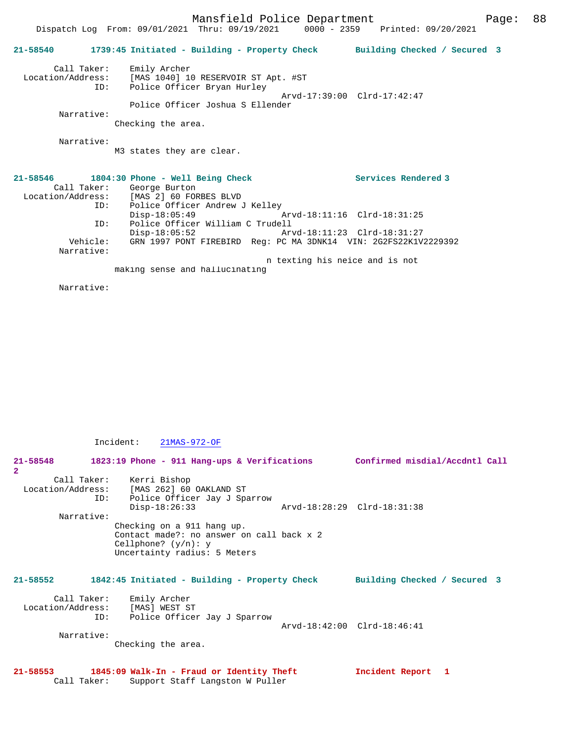Mansfield Police Department Fage: 88 Dispatch Log From: 09/01/2021 Thru: 09/19/2021 0000 - 2359 Printed: 09/20/2021 **21-58540 1739:45 Initiated - Building - Property Check Building Checked / Secured 3** Call Taker: Emily Archer Location/Address: [MAS 1040] 10 RESERVOIR ST Apt. #ST ID: Police Officer Bryan Hurley Arvd-17:39:00 Clrd-17:42:47 Police Officer Joshua S Ellender Narrative: Checking the area. Narrative: M3 states they are clear. **21-58546 1804:30 Phone - Well Being Check Services Rendered 3**  Call Taker: George Burton<br>ion/Address: [MAS 2] 60 FOR Location/Address: [MAS 2] 60 FORBES BLVD ID: Police Officer Andrew J Kelley<br>Disp-18:05:49  $\bar{P}$  Arvd-18:11:16 Clrd-18:31:25 ID: Police Officer William C Trudell Disp-18:05:52 Arvd-18:11:23 Clrd-18:31:27 Vehicle: GRN 1997 PONT FIREBIRD Reg: PC MA 3DNK14 VIN: 2G2FS22K1V2229392 Narrative: n texting his neice and is not making sense and hallucinating

Narrative:

Incident: 21MAS-972-OF

Call Taker: Support Staff Langston W Puller

| $21 - 58548$<br>$\overline{2}$  | 1823:19 Phone - 911 Hang-ups & Verifications                                                                                                                                                                                                                        | Confirmed misdial/Accdntl Call |  |
|---------------------------------|---------------------------------------------------------------------------------------------------------------------------------------------------------------------------------------------------------------------------------------------------------------------|--------------------------------|--|
| Narrative:                      | Call Taker: Kerri Bishop<br>Location/Address: [MAS 262] 60 OAKLAND ST<br>ID:<br>Police Officer Jay J Sparrow<br>$Disp-18:26:33$<br>Checking on a 911 hang up.<br>Contact made?: no answer on call back x 2<br>Cellphone? $(y/n): y$<br>Uncertainty radius: 5 Meters | Arvd-18:28:29 Clrd-18:31:38    |  |
| $21 - 58552$                    | 1842:45 Initiated - Building - Property Check                                                                                                                                                                                                                       | Building Checked / Secured 3   |  |
| Location/Address:<br>Narrative: | Call Taker: Emily Archer<br>[MAS] WEST ST<br>Police Officer Jay J Sparrow<br>ID:<br>Checking the area.                                                                                                                                                              | Arvd-18:42:00 Clrd-18:46:41    |  |
| 21-58553                        | 1845:09 Walk-In - Fraud or Identity Theft                                                                                                                                                                                                                           | Incident Report 1              |  |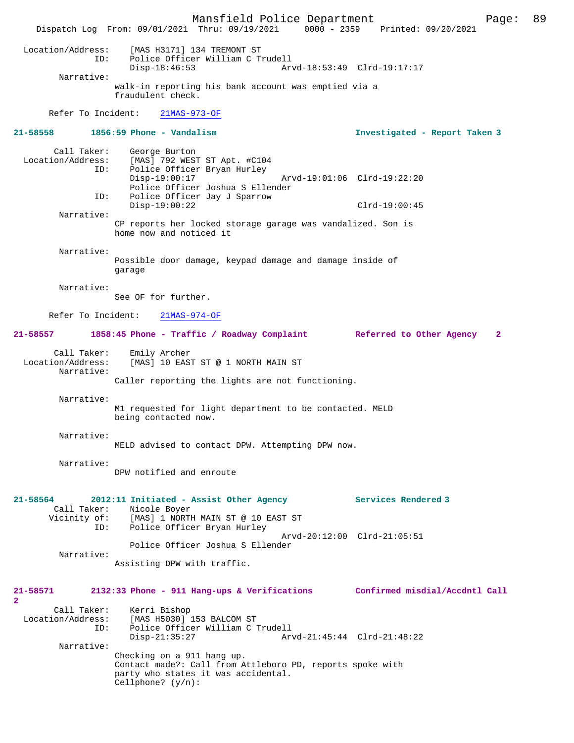Mansfield Police Department Page: 89 Dispatch Log From: 09/01/2021 Thru: 09/19/2021 Location/Address: [MAS H3171] 134 TREMONT ST ID: Police Officer William C Trudell Disp-18:46:53 Arvd-18:53:49 Clrd-19:17:17 Narrative: walk-in reporting his bank account was emptied via a fraudulent check. Refer To Incident: 21MAS-973-OF **21-58558 1856:59 Phone - Vandalism Investigated - Report Taken 3** Call Taker: George Burton<br>Location/Address: [MAS] 792 WEST ess: [MAS] 792 WEST ST Apt. #C104<br>ID: Police Officer Bryan Hurley Police Officer Bryan Hurley Disp-19:00:17 Arvd-19:01:06 Clrd-19:22:20 Police Officer Joshua S Ellender<br>TD: Police Officer Jav J Sparrow Police Officer Jay J Sparrow Disp-19:00:22 Clrd-19:00:45 Narrative: CP reports her locked storage garage was vandalized. Son is home now and noticed it Narrative: Possible door damage, keypad damage and damage inside of garage Narrative: See OF for further. Refer To Incident: 21MAS-974-OF **21-58557 1858:45 Phone - Traffic / Roadway Complaint Referred to Other Agency 2** Call Taker: Emily Archer<br>Location/Address: [MAS] 10 EAS [MAS] 10 EAST ST @ 1 NORTH MAIN ST Narrative: Caller reporting the lights are not functioning. Narrative: M1 requested for light department to be contacted. MELD being contacted now. Narrative: MELD advised to contact DPW. Attempting DPW now. Narrative: DPW notified and enroute **21-58564 2012:11 Initiated - Assist Other Agency Services Rendered 3**  Call Taker: Nicole Boyer<br>Vicinity of: [MAS] 1 NORTI of: [MAS] 1 NORTH MAIN ST @ 10 EAST ST<br>ID: Police Officer Bryan Hurley Police Officer Bryan Hurley Arvd-20:12:00 Clrd-21:05:51 Police Officer Joshua S Ellender Narrative: Assisting DPW with traffic. **21-58571 2132:33 Phone - 911 Hang-ups & Verifications Confirmed misdial/Accdntl Call 2**  Call Taker: Kerri Bishop<br>Location/Address: [MAS H5030] [MAS H5030] 153 BALCOM ST ID: Police Officer William C Trudell Disp-21:35:27 Arvd-21:45:44 Clrd-21:48:22 Narrative: Checking on a 911 hang up. Contact made?: Call from Attleboro PD, reports spoke with party who states it was accidental. Cellphone? (y/n):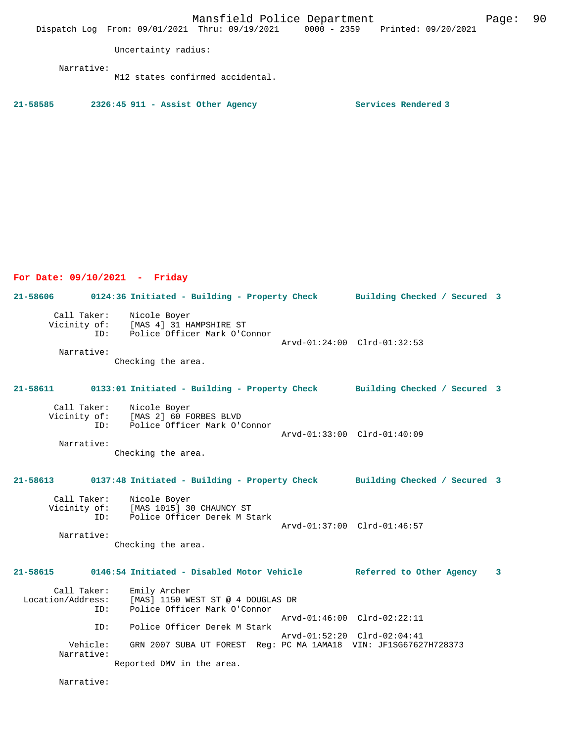Mansfield Police Department Form Page: 90

Uncertainty radius:

Narrative:

M12 states confirmed accidental.

**21-58585 2326:45 911 - Assist Other Agency Services Rendered 3** 

**For Date: 09/10/2021 - Friday**

**21-58606 0124:36 Initiated - Building - Property Check Building Checked / Secured 3** Call Taker: Nicole Boyer Vicinity of: [MAS 4] 31 HAMPSHIRE ST ID: Police Officer Mark O'Connor Arvd-01:24:00 Clrd-01:32:53 Narrative: Checking the area. **21-58611 0133:01 Initiated - Building - Property Check Building Checked / Secured 3** Call Taker: Nicole Boyer Vicinity of: [MAS 2] 60 FORBES BLVD<br>ID: Police Officer Mark O'O Police Officer Mark O'Connor Arvd-01:33:00 Clrd-01:40:09 Narrative: Checking the area. **21-58613 0137:48 Initiated - Building - Property Check Building Checked / Secured 3** Call Taker: Nicole Boyer Vicinity of: [MAS 1015] 30 CHAUNCY ST ID: Police Officer Derek M Stark Arvd-01:37:00 Clrd-01:46:57 Narrative: Checking the area. **21-58615 0146:54 Initiated - Disabled Motor Vehicle Referred to Other Agency 3** Call Taker: Emily Archer<br>Location/Address: [MAS] 1150 WI ess: [MAS] 1150 WEST ST @ 4 DOUGLAS DR<br>ID: Police Officer Mark O'Connor Police Officer Mark O'Connor Arvd-01:46:00 Clrd-02:22:11 ID: Police Officer Derek M Stark Arvd-01:52:20 Clrd-02:04:41<br>Vehicle: GRN 2007 SUBA UT FOREST Reg: PC MA 1AMA18 VIN: JF1SG6762 GRN 2007 SUBA UT FOREST Reg: PC MA 1AMA18 VIN: JF1SG67627H728373 Narrative: Reported DMV in the area.

Narrative: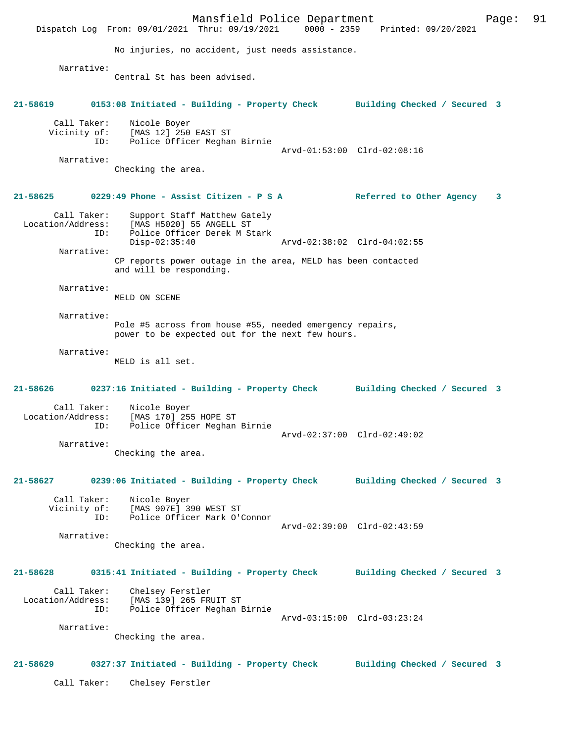Mansfield Police Department Page: 91 Dispatch Log From: 09/01/2021 Thru: 09/19/2021 No injuries, no accident, just needs assistance. Narrative: Central St has been advised. **21-58619 0153:08 Initiated - Building - Property Check Building Checked / Secured 3** Call Taker: Nicole Boyer Vicinity of: [MAS 12] 250 EAST ST ID: Police Officer Meghan Birnie Arvd-01:53:00 Clrd-02:08:16 Narrative: Checking the area. **21-58625 0229:49 Phone - Assist Citizen - P S A Referred to Other Agency 3** Call Taker: Support Staff Matthew Gately Location/Address: [MAS H5020] 55 ANGELL ST ID: Police Officer Derek M Stark Disp-02:35:40 Arvd-02:38:02 Clrd-04:02:55 Narrative: CP reports power outage in the area, MELD has been contacted and will be responding. Narrative: MELD ON SCENE Narrative: Pole #5 across from house #55, needed emergency repairs, power to be expected out for the next few hours. Narrative: MELD is all set. **21-58626 0237:16 Initiated - Building - Property Check Building Checked / Secured 3** Call Taker: Nicole Boyer<br>Location/Address: [MAS 170] 25 ess: [MAS 170] 255 HOPE ST<br>ID: Police Officer Meghan Police Officer Meghan Birnie Arvd-02:37:00 Clrd-02:49:02 Narrative: Checking the area. **21-58627 0239:06 Initiated - Building - Property Check Building Checked / Secured 3** Call Taker: Nicole Boyer<br>Vicinity of: [MAS 907E] 3 [MAS 907E] 390 WEST ST ID: Police Officer Mark O'Connor Arvd-02:39:00 Clrd-02:43:59 Narrative: Checking the area. **21-58628 0315:41 Initiated - Building - Property Check Building Checked / Secured 3** Call Taker: Chelsey Ferstler<br>Location/Address: [MAS 139] 265 FRI ess: [MAS 139] 265 FRUIT ST<br>TD: Police Officer Meghan B Police Officer Meghan Birnie Arvd-03:15:00 Clrd-03:23:24 Narrative: Checking the area. **21-58629 0327:37 Initiated - Building - Property Check Building Checked / Secured 3** Call Taker: Chelsey Ferstler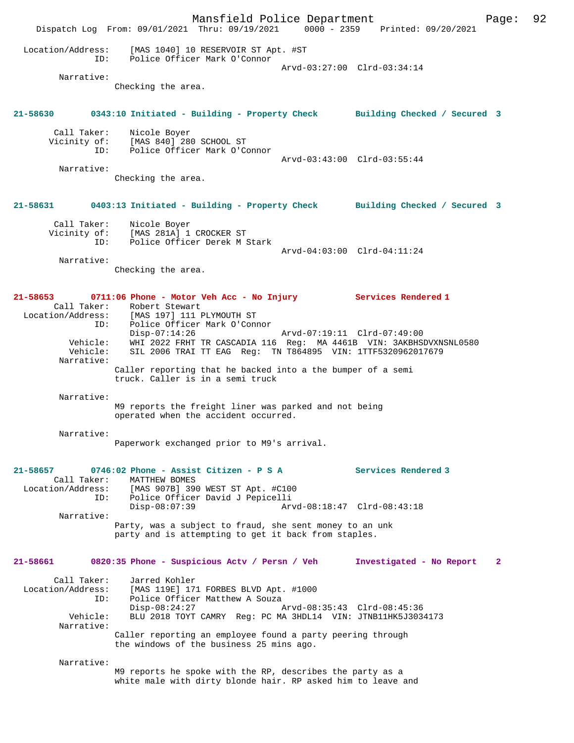Mansfield Police Department Page: 92 Dispatch Log From: 09/01/2021 Thru: 09/19/2021 0000 - 2359 Printed: 09/20/2021 Location/Address: [MAS 1040] 10 RESERVOIR ST Apt. #ST ID: Police Officer Mark O'Connor Arvd-03:27:00 Clrd-03:34:14 Narrative: Checking the area. **21-58630 0343:10 Initiated - Building - Property Check Building Checked / Secured 3** Call Taker: Nicole Boyer Vicinity of: [MAS 840] 280 SCHOOL ST ID: Police Officer Mark O'Connor Arvd-03:43:00 Clrd-03:55:44 Narrative: Checking the area. **21-58631 0403:13 Initiated - Building - Property Check Building Checked / Secured 3** Call Taker: Nicole Boyer Vicinity of: [MAS 281A] 1 CROCKER ST ID: Police Officer Derek M Stark Arvd-04:03:00 Clrd-04:11:24 Narrative: Checking the area. **21-58653 0711:06 Phone - Motor Veh Acc - No Injury Services Rendered 1**  Call Taker: Robert Stewart Location/Address: [MAS 197] 111 PLYMOUTH ST ID: Police Officer Mark O'Connor<br>Disp-07:14:26 Disp-07:14:26 Arvd-07:19:11 Clrd-07:49:00 Vehicle: WHI 2022 FRHT TR CASCADIA 116 Reg: MA 4461B VIN: 3AKBHSDVXNSNL0580 Vehicle: SIL 2006 TRAI TT EAG Reg: TN T864895 VIN: 1TTF5320962017679 Narrative: Caller reporting that he backed into a the bumper of a semi truck. Caller is in a semi truck Narrative: M9 reports the freight liner was parked and not being operated when the accident occurred. Narrative: Paperwork exchanged prior to M9's arrival. **21-58657 0746:02 Phone - Assist Citizen - P S A Services Rendered 3**  Call Taker: MATTHEW BOMES Location/Address: [MAS 907B] 390 WEST ST Apt. #C100 ID: Police Officer David J Pepicelli Disp-08:07:39 Arvd-08:18:47 Clrd-08:43:18 Narrative: Party, was a subject to fraud, she sent money to an unk party and is attempting to get it back from staples. **21-58661 0820:35 Phone - Suspicious Actv / Persn / Veh Investigated - No Report 2** Call Taker: Jarred Kohler<br>Location/Address: [MAS 119E] 171 Location<br>- Location: [MAS 119E] 171 FORBES BLVD Apt. #1000<br>- Police Officer Matthew A Souza Police Officer Matthew A Souza<br>Disp-08:24:27 Disp-08:24:27 Arvd-08:35:43 Clrd-08:45:36 Vehicle: BLU 2018 TOYT CAMRY Reg: PC MA 3HDL14 VIN: JTNB11HK5J3034173 Narrative: Caller reporting an employee found a party peering through the windows of the business 25 mins ago. Narrative: M9 reports he spoke with the RP, describes the party as a white male with dirty blonde hair. RP asked him to leave and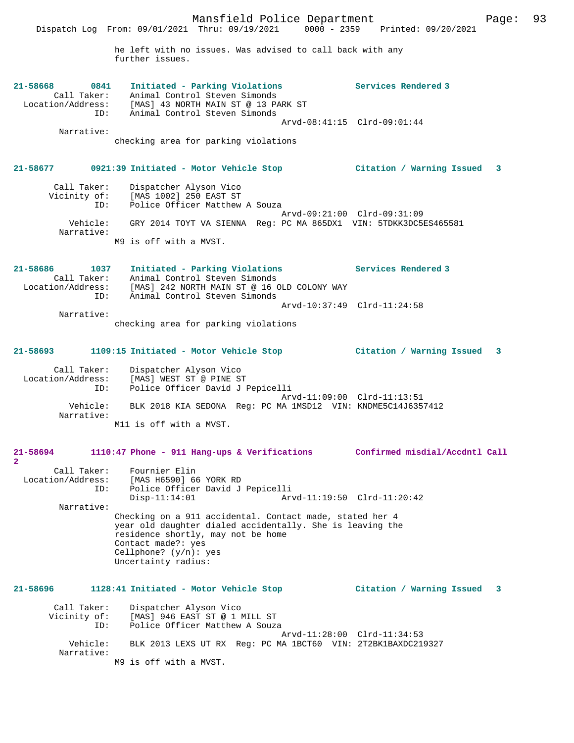Mansfield Police Department Page: 93 Dispatch Log From: 09/01/2021 Thru: 09/19/2021 0000 - 2359 Printed: 09/20/2021 he left with no issues. Was advised to call back with any further issues. **21-58668 0841 Initiated - Parking Violations Services Rendered 3**  Call Taker: Animal Control Steven Simonds Location/Address: [MAS] 43 NORTH MAIN ST @ 13 PARK ST ID: Animal Control Steven Simonds Arvd-08:41:15 Clrd-09:01:44 Narrative: checking area for parking violations **21-58677 0921:39 Initiated - Motor Vehicle Stop Citation / Warning Issued 3** Call Taker: Dispatcher Alyson Vico Vicinity of: [MAS 1002] 250 EAST ST ID: Police Officer Matthew A Souza Arvd-09:21:00 Clrd-09:31:09 Vehicle: GRY 2014 TOYT VA SIENNA Reg: PC MA 865DX1 VIN: 5TDKK3DC5ES465581 Narrative: M9 is off with a MVST. **21-58686 1037 Initiated - Parking Violations Services Rendered 3**  Call Taker: Animal Control Steven Simonds<br>Location/Address: [MAS] 242 NORTH MAIN ST @ 16 O ess: [MAS] 242 NORTH MAIN ST @ 16 OLD COLONY WAY<br>ID: Animal Control Steven Simonds Inne, 2008. Arvd-10:37:49 Clrd-11:24:58 Narrative: checking area for parking violations **21-58693 1109:15 Initiated - Motor Vehicle Stop Citation / Warning Issued 3** Call Taker: Dispatcher Alyson Vico Location/Address: [MAS] WEST ST @ PINE ST

 ID: Police Officer David J Pepicelli Arvd-11:09:00 Clrd-11:13:51<br>Vehicle: BLK 2018 KIA SEDONA Reg: PC MA 1MSD12 VIN: KNDME5C14J635 BLK 2018 KIA SEDONA Reg: PC MA 1MSD12 VIN: KNDME5C14J6357412 Narrative: M11 is off with a MVST.

#### **21-58694 1110:47 Phone - 911 Hang-ups & Verifications Confirmed misdial/Accdntl Call**

**2**  Call Taker: Fournier Elin<br>ion/Address: [MAS H6590] 66 YORK RD Location/Address: ID: Police Officer David J Pepicelli Disp-11:14:01 Arvd-11:19:50 Clrd-11:20:42 Narrative: Checking on a 911 accidental. Contact made, stated her 4 year old daughter dialed accidentally. She is leaving the residence shortly, may not be home Contact made?: yes Cellphone? (y/n): yes Uncertainty radius:

### **21-58696 1128:41 Initiated - Motor Vehicle Stop Citation / Warning Issued 3** Call Taker: Dispatcher Alyson Vico<br>Vicinity of: [MAS] 946 EAST ST @ 1 I of: [MAS] 946 EAST ST @ 1 MILL ST<br>ID: Police Officer Matthew A Souza Police Officer Matthew A Souza Arvd-11:28:00 Clrd-11:34:53<br>Vehicle: BLK 2013 LEXS UT RX Reg: PC MA 1BCT60 VIN: 2T2BK1BAXDC219 BLK 2013 LEXS UT RX Reg: PC MA 1BCT60 VIN: 2T2BK1BAXDC219327 Narrative:

M9 is off with a MVST.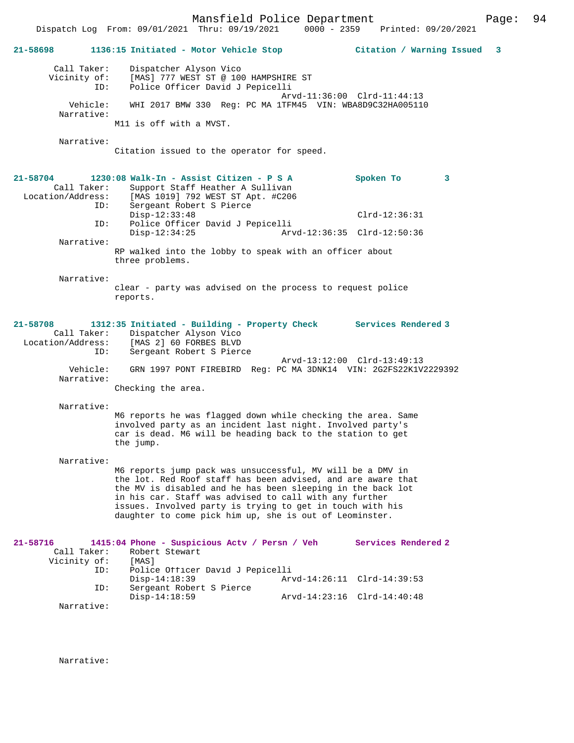Mansfield Police Department Page: 94 Dispatch Log From: 09/01/2021 Thru: 09/19/2021 0000 - 2359 **21-58698 1136:15 Initiated - Motor Vehicle Stop Citation / Warning Issued 3** Call Taker: Dispatcher Alyson Vico Vicinity of: [MAS] 777 WEST ST @ 100 HAMPSHIRE ST ID: Police Officer David J Pepicelli Arvd-11:36:00 Clrd-11:44:13 Vehicle: WHI 2017 BMW 330 Reg: PC MA 1TFM45 VIN: WBA8D9C32HA005110 Narrative: M11 is off with a MVST. Narrative: Citation issued to the operator for speed. **21-58704 1230:08 Walk-In - Assist Citizen - P S A Spoken To 3**  Call Taker: Support Staff Heather A Sullivan<br>Location/Address: [MAS 1019] 792 WEST ST Apt. #C206 ess: [MAS 1019] 792 WEST ST Apt. #C206<br>ID: Sergeant Robert S Pierce Sergeant Robert S Pierce Disp-12:33:48 Clrd-12:36:31<br>TD: Police Officer David J Pepicelli Police Officer David J Pepicelli<br>Disp-12:34:25 Arv Disp-12:34:25 Arvd-12:36:35 Clrd-12:50:36 Narrative: RP walked into the lobby to speak with an officer about three problems. Narrative: clear - party was advised on the process to request police reports. **21-58708 1312:35 Initiated - Building - Property Check Services Rendered 3**  Call Taker: Dispatcher Alyson Vico<br>Location/Address: [MAS 2] 60 FORBES BLVD [MAS 2] 60 FORBES BLVD ID: Sergeant Robert S Pierce Arvd-13:12:00 Clrd-13:49:13<br>Vehicle: GRN 1997 PONT FIREBIRD Reg: PC MA 3DNK14 VIN: 2G2FS22K1V GRN 1997 PONT FIREBIRD Reg: PC MA 3DNK14 VIN: 2G2FS22K1V2229392 Narrative: Checking the area. Narrative: M6 reports he was flagged down while checking the area. Same involved party as an incident last night. Involved party's car is dead. M6 will be heading back to the station to get the jump. Narrative: M6 reports jump pack was unsuccessful, MV will be a DMV in the lot. Red Roof staff has been advised, and are aware that the MV is disabled and he has been sleeping in the back lot in his car. Staff was advised to call with any further issues. Involved party is trying to get in touch with his daughter to come pick him up, she is out of Leominster. **21-58716 1415:04 Phone - Suspicious Actv / Persn / Veh Services Rendered 2**  Robert Stewart<br>[MAS] Vicinity of:<br>ID: Police Officer David J Pepicelli<br>Disp-14:18:39 Ar Disp-14:18:39 Arvd-14:26:11 Clrd-14:39:53<br>ID: Sergeant Robert S Pierce Sergeant Robert S Pierce<br>Disp-14:18:59 Disp-14:18:59 Arvd-14:23:16 Clrd-14:40:48

Narrative:

Narrative: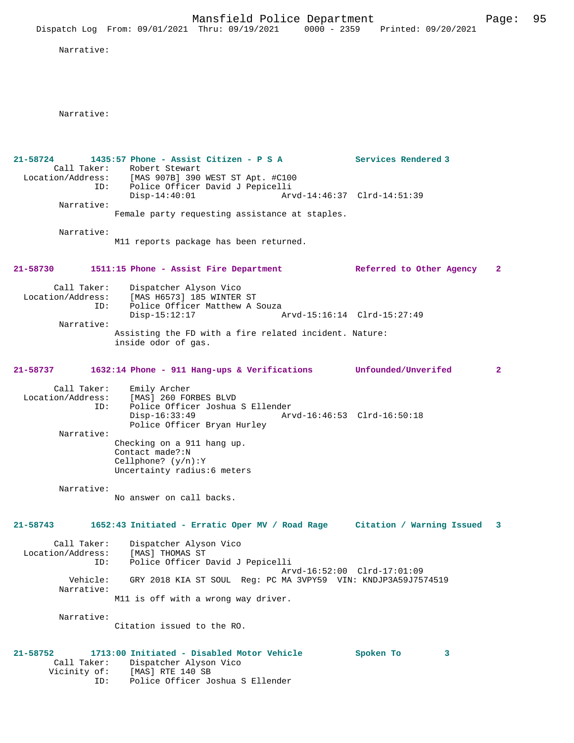Mansfield Police Department Page: 95 Dispatch Log From: 09/01/2021 Thru: 09/19/2021 0000 - 2359 Printed: 09/20/2021 Narrative: Narrative: **21-58724 1435:57 Phone - Assist Citizen - P S A Services Rendered 3**  Call Taker: Robert Stewart Location/Address: [MAS 907B] 390 WEST ST Apt. #C100 ID: Police Officer David J Pepicelli<br>Disp-14:40:01 Arv Disp-14:40:01 Arvd-14:46:37 Clrd-14:51:39 Narrative: Female party requesting assistance at staples. Narrative: M11 reports package has been returned. **21-58730 1511:15 Phone - Assist Fire Department Referred to Other Agency 2** Call Taker: Dispatcher Alyson Vico<br>Location/Address: [MAS H6573] 185 WINTER ST Location/Address: [MAS H6573] 185 WINTER ST ID: Police Officer Matthew A Souza Disp-15:12:17 Arvd-15:16:14 Clrd-15:27:49 Narrative: Assisting the FD with a fire related incident. Nature: inside odor of gas. **21-58737 1632:14 Phone - 911 Hang-ups & Verifications Unfounded/Unverifed 2** Call Taker: Emily Archer<br>Location/Address: [MAS] 260 FO ess: [MAS] 260 FORBES BLVD<br>ID: Police Officer Joshua Police Officer Joshua S Ellender<br>Disp-16:33:49 Ar Arvd-16:46:53 Clrd-16:50:18 Police Officer Bryan Hurley Narrative: Checking on a 911 hang up. Contact made?:N Cellphone? (y/n):Y Uncertainty radius:6 meters Narrative: No answer on call backs. **21-58743 1652:43 Initiated - Erratic Oper MV / Road Rage Citation / Warning Issued 3** Call Taker: Dispatcher Alyson Vico Location/Address: [MAS] THOMAS ST ID: Police Officer David J Pepicelli Arvd-16:52:00 Clrd-17:01:09 Vehicle: GRY 2018 KIA ST SOUL Reg: PC MA 3VPY59 VIN: KNDJP3A59J7574519 Narrative: M11 is off with a wrong way driver. Narrative: Citation issued to the RO. **21-58752 1713:00 Initiated - Disabled Motor Vehicle Spoken To 3**  Call Taker: Dispatcher Alyson Vico

Vicinity of: [MAS] RTE 140 SB

ID: Police Officer Joshua S Ellender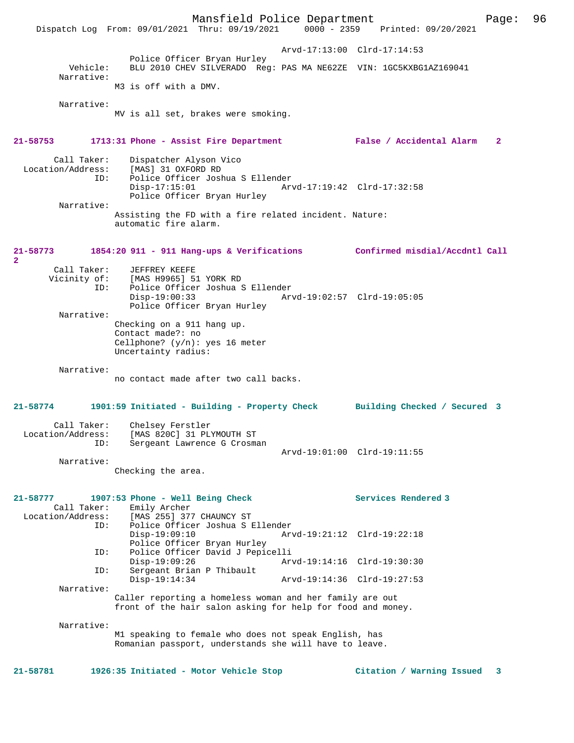Mansfield Police Department Page: 96 Dispatch Log From: 09/01/2021 Thru: 09/19/2021 Arvd-17:13:00 Clrd-17:14:53 Police Officer Bryan Hurley<br>Vehicle: BLU 2010 CHEV SILVERADO Rea BLU 2010 CHEV SILVERADO Reg: PAS MA NE62ZE VIN: 1GC5KXBG1AZ169041 Narrative: M3 is off with a DMV. Narrative: MV is all set, brakes were smoking. **21-58753 1713:31 Phone - Assist Fire Department False / Accidental Alarm 2** Call Taker: Dispatcher Alyson Vico<br>Location/Address: [MAS] 31 OXFORD RD ess: [MAS] 31 OXFORD RD<br>ID: Police Officer Josh Police Officer Joshua S Ellender Disp-17:15:01 Arvd-17:19:42 Clrd-17:32:58 Police Officer Bryan Hurley Narrative: Assisting the FD with a fire related incident. Nature: automatic fire alarm. **21-58773 1854:20 911 - 911 Hang-ups & Verifications Confirmed misdial/Accdntl Call 2**  Call Taker: JEFFREY KEEFE Vicinity of: [MAS H9965] 51 YORK RD<br>ID: Police Officer Joshua S Police Officer Joshua S Ellender<br>Disp-19:00:33 Ar Disp-19:00:33 Arvd-19:02:57 Clrd-19:05:05 Police Officer Bryan Hurley Narrative: Checking on a 911 hang up. Contact made?: no Cellphone? (y/n): yes 16 meter Uncertainty radius: Narrative: no contact made after two call backs. **21-58774 1901:59 Initiated - Building - Property Check Building Checked / Secured 3** Call Taker: Chelsey Ferstler Location/Address: [MAS 820C] 31 PLYMOUTH ST ID: Sergeant Lawrence G Crosman Arvd-19:01:00 Clrd-19:11:55 Narrative: Checking the area. **21-58777 1907:53 Phone - Well Being Check Services Rendered 3**  Call Taker: Emily Archer<br>Location/Address: [MAS 255] 37 ess: [MAS 255] 377 CHAUNCY ST<br>ID: Police Officer Joshua S E Police Officer Joshua S Ellender Disp-19:09:10 Arvd-19:21:12 Clrd-19:22:18 Police Officer Bryan Hurley<br>ID: Police Officer David J Pepic Police Officer David J Pepicelli<br>Disp-19:09:26 Ary Disp-19:09:26 Arvd-19:14:16 Clrd-19:30:30<br>ID: Sergeant Brian P Thibault Sergeant Brian P Thibault<br>Disp-19:14:34 Disp-19:14:34 Arvd-19:14:36 Clrd-19:27:53 Narrative: Caller reporting a homeless woman and her family are out front of the hair salon asking for help for food and money. Narrative: M1 speaking to female who does not speak English, has Romanian passport, understands she will have to leave. **21-58781 1926:35 Initiated - Motor Vehicle Stop Citation / Warning Issued 3**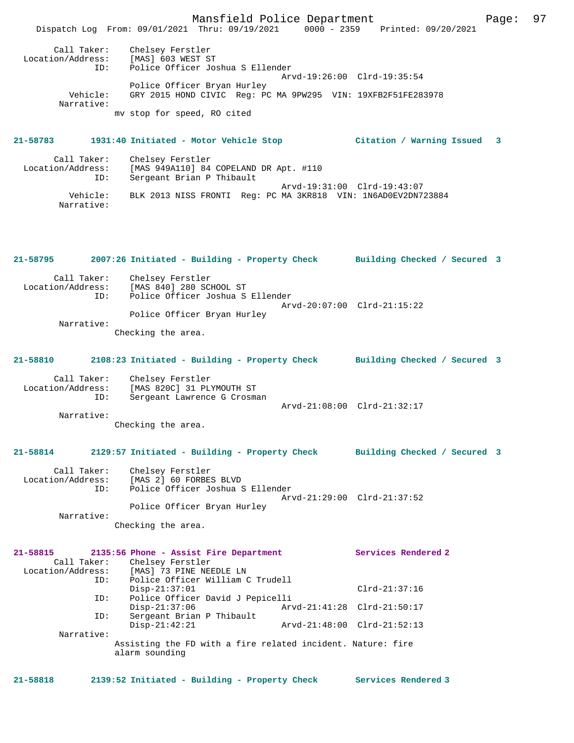Mansfield Police Department Fage: 97 Dispatch Log From: 09/01/2021 Thru: 09/19/2021 0000 - 2359 Printed: 09/20/2021 Call Taker: Chelsey Ferstler Location/Address: [MAS] 603 WEST ST ID: Police Officer Joshua S Ellender Arvd-19:26:00 Clrd-19:35:54 Police Officer Bryan Hurley Vehicle: GRY 2015 HOND CIVIC Reg: PC MA 9PW295 VIN: 19XFB2F51FE283978 Narrative: mv stop for speed, RO cited **21-58783 1931:40 Initiated - Motor Vehicle Stop Citation / Warning Issued 3** Call Taker: Chelsey Ferstler<br>Location/Address: [MAS 949A110] 84 [MAS 949A110] 84 COPELAND DR Apt. #110 ID: Sergeant Brian P Thibault Arvd-19:31:00 Clrd-19:43:07<br>Vehicle: BLK 2013 NISS FRONTI Reg: PC MA 3KR818 VIN: 1N6AD0EV2DN7 BLK 2013 NISS FRONTI Reg: PC MA 3KR818 VIN: 1N6AD0EV2DN723884 Narrative: **21-58795 2007:26 Initiated - Building - Property Check Building Checked / Secured 3** Call Taker: Chelsey Ferstler<br>Location/Address: [MAS 840] 280 SCI [MAS 840] 280 SCHOOL ST ID: Police Officer Joshua S Ellender Arvd-20:07:00 Clrd-21:15:22 Police Officer Bryan Hurley Narrative: Checking the area. **21-58810 2108:23 Initiated - Building - Property Check Building Checked / Secured 3** Call Taker: Chelsey Ferstler Location/Address: [MAS 820C] 31 PLYMOUTH ST<br>TD: Sergeant Lawrence G Crosma Sergeant Lawrence G Crosman Arvd-21:08:00 Clrd-21:32:17 Narrative: Checking the area. **21-58814 2129:57 Initiated - Building - Property Check Building Checked / Secured 3** Call Taker: Chelsey Ferstler Location/Address: [MAS 2] 60 FORBES BLVD Location/Address: [MAS 2] 60 FORBES BLVD<br>ID: Police Officer Joshua S Ellender Arvd-21:29:00 Clrd-21:37:52 Police Officer Bryan Hurley Narrative: Checking the area. **21-58815 2135:56 Phone - Assist Fire Department Services Rendered 2**  Call Taker: Chelsey Ferstler Location/Address: [MAS] 73 PINE NEEDLE LN<br>ID: Police Officer William C Police Officer William C Trudell Disp-21:37:01 Clrd-21:37:16<br>TD: Police Officer David J Pepicelli ID: Police Officer David J Pepicelli Disp-21:37:06 Arvd-21:41:28 Clrd-21:50:17 ID: Sergeant Brian P Thibault Disp-21:42:21 Arvd-21:48:00 Clrd-21:52:13 Narrative: Assisting the FD with a fire related incident. Nature: fire alarm sounding **21-58818 2139:52 Initiated - Building - Property Check Services Rendered 3**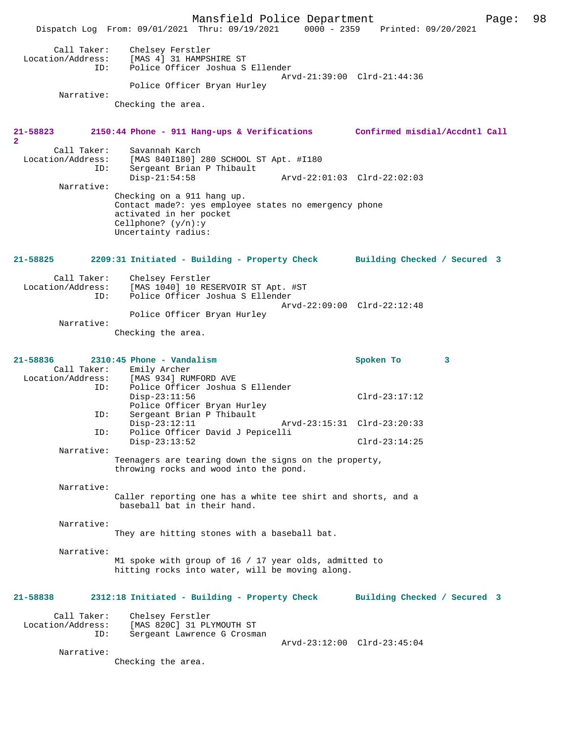Mansfield Police Department Page: 98 Dispatch Log From: 09/01/2021 Thru: 09/19/2021 0000 - 2359 Call Taker: Chelsey Ferstler<br>Location/Address: [MAS 4] 31 HAMPSI [MAS 4] 31 HAMPSHIRE ST ID: Police Officer Joshua S Ellender Arvd-21:39:00 Clrd-21:44:36 Police Officer Bryan Hurley Narrative: Checking the area. **21-58823 2150:44 Phone - 911 Hang-ups & Verifications Confirmed misdial/Accdntl Call 2**  Call Taker: Savannah Karch<br>: Location/Address: [MAS 840I180] ess: [MAS 840I180] 280 SCHOOL ST Apt. #I180<br>ID: Sergeant Brian P Thibault Sergeant Brian P Thibault<br>Disp-21:54:58 Disp-21:54:58 Arvd-22:01:03 Clrd-22:02:03 Narrative: Checking on a 911 hang up. Contact made?: yes employee states no emergency phone activated in her pocket Cellphone? (y/n):y Uncertainty radius: **21-58825 2209:31 Initiated - Building - Property Check Building Checked / Secured 3** Call Taker: Chelsey Ferstler<br>Location/Address: [MAS 1040] 10 RE: [MAS 1040] 10 RESERVOIR ST Apt. #ST ID: Police Officer Joshua S Ellender Arvd-22:09:00 Clrd-22:12:48 Police Officer Bryan Hurley Narrative: Checking the area. **21-58836 2310:45 Phone - Vandalism Spoken To 3**  Call Taker: Emily Archer<br>Location/Address: [MAS 934] RUM ess: [MAS 934] RUMFORD AVE<br>ID: Police Officer Joshua Police Officer Joshua S Ellender Disp-23:11:56 Clrd-23:17:12 Police Officer Bryan Hurley<br>TD: Sergeant Brian P Thibault Sergeant Brian P Thibault<br>Disp-23:12:11 Disp-23:12:11 Arvd-23:15:31 Clrd-23:20:33<br>ID: Police Officer David J Pepicelli Police Officer David J Pepicelli Disp-23:13:52 Clrd-23:14:25 Narrative: Teenagers are tearing down the signs on the property, throwing rocks and wood into the pond. Narrative: Caller reporting one has a white tee shirt and shorts, and a baseball bat in their hand. Narrative: They are hitting stones with a baseball bat. Narrative: M1 spoke with group of 16 / 17 year olds, admitted to hitting rocks into water, will be moving along. **21-58838 2312:18 Initiated - Building - Property Check Building Checked / Secured 3** Call Taker: Chelsey Ferstler<br>Location/Address: [MAS 820C] 31 PL ess: [MAS 820C] 31 PLYMOUTH ST:<br>ID: Sergeant Lawrence G Crosma Sergeant Lawrence G Crosman Arvd-23:12:00 Clrd-23:45:04 Narrative: Checking the area.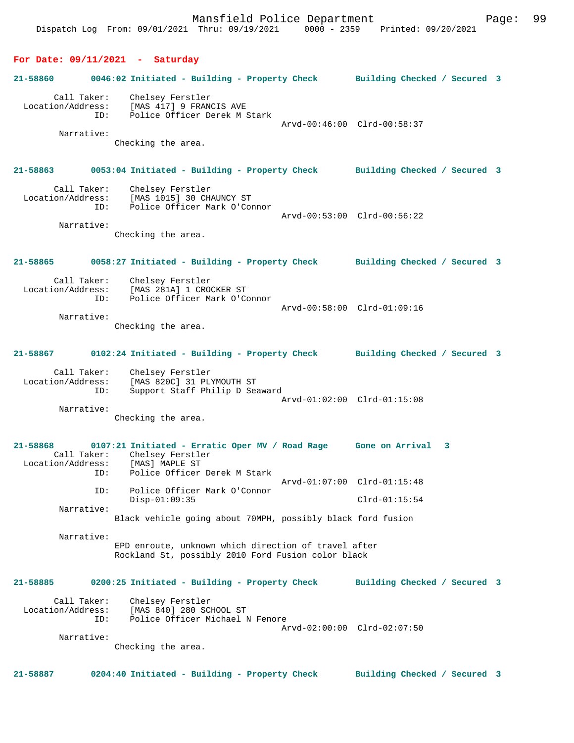Dispatch Log From: 09/01/2021 Thru: 09/19/2021 0000 - 2359 Printed: 09/20/2021 **For Date: 09/11/2021 - Saturday 21-58860 0046:02 Initiated - Building - Property Check Building Checked / Secured 3** Call Taker: Chelsey Ferstler Location/Address: [MAS 417] 9 FRANCIS AVE ID: Police Officer Derek M Stark Arvd-00:46:00 Clrd-00:58:37 Narrative: Checking the area. **21-58863 0053:04 Initiated - Building - Property Check Building Checked / Secured 3** Call Taker: Chelsey Ferstler Location/Address: [MAS 1015] 30 CHAUNCY ST ID: Police Officer Mark O'Connor Arvd-00:53:00 Clrd-00:56:22 Narrative: Checking the area. **21-58865 0058:27 Initiated - Building - Property Check Building Checked / Secured 3** Call Taker: Chelsey Ferstler Location/Address: [MAS 281A] 1 CROCKER ST ID: Police Officer Mark O'Connor Arvd-00:58:00 Clrd-01:09:16 Narrative: Checking the area. **21-58867 0102:24 Initiated - Building - Property Check Building Checked / Secured 3** Call Taker: Chelsey Ferstler<br>Location/Address: [MAS 820C] 31 PLY ess: [MAS 820C] 31 PLYMOUTH ST<br>ID: Support Staff Philip D Sea Support Staff Philip D Seaward Arvd-01:02:00 Clrd-01:15:08 Narrative: Checking the area. **21-58868 0107:21 Initiated - Erratic Oper MV / Road Rage Gone on Arrival 3**  Call Taker: Chelsey Ferstler<br>ion/Address: [MAS] MAPLE ST Location/Address: ID: Police Officer Derek M Stark Arvd-01:07:00 Clrd-01:15:48 ID: Police Officer Mark O'Connor Disp-01:09:35 Clrd-01:15:54 Narrative: Black vehicle going about 70MPH, possibly black ford fusion Narrative: EPD enroute, unknown which direction of travel after Rockland St, possibly 2010 Ford Fusion color black **21-58885 0200:25 Initiated - Building - Property Check Building Checked / Secured 3** Call Taker: Chelsey Ferstler<br>Location/Address: [MAS 840] 280 SCI ess: [MAS 840] 280 SCHOOL ST<br>TD: Police Officer Michael D Police Officer Michael N Fenore Arvd-02:00:00 Clrd-02:07:50 Narrative: Checking the area. **21-58887 0204:40 Initiated - Building - Property Check Building Checked / Secured 3**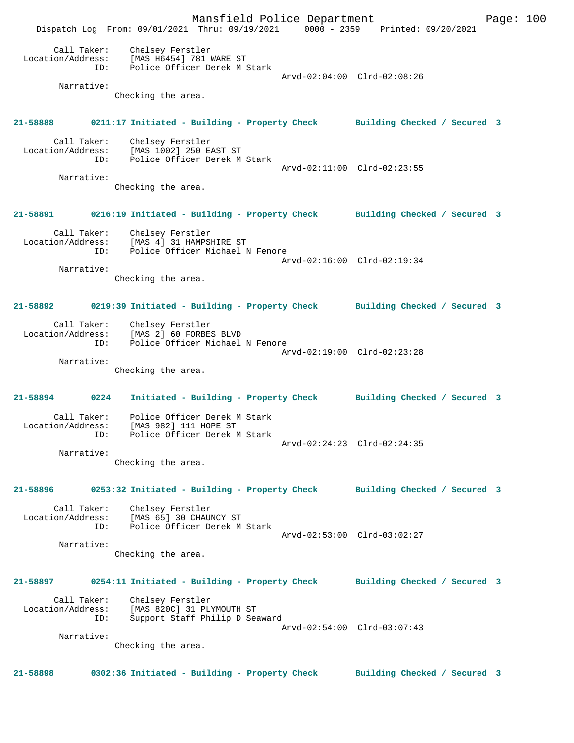Mansfield Police Department Fage: 100 Dispatch Log From: 09/01/2021 Thru: 09/19/2021 0000 - 2359 Printed: 09/20/2021 Call Taker: Chelsey Ferstler Location/Address: [MAS H6454] 781 WARE ST ID: Police Officer Derek M Stark Arvd-02:04:00 Clrd-02:08:26 Narrative: Checking the area. **21-58888 0211:17 Initiated - Building - Property Check Building Checked / Secured 3** Call Taker: Chelsey Ferstler Location/Address: [MAS 1002] 250 EAST ST ID: Police Officer Derek M Stark Arvd-02:11:00 Clrd-02:23:55 Narrative: Checking the area. **21-58891 0216:19 Initiated - Building - Property Check Building Checked / Secured 3** Call Taker: Chelsey Ferstler Location/Address: [MAS 4] 31 HAMPSHIRE ST ID: Police Officer Michael N Fenore Arvd-02:16:00 Clrd-02:19:34 Narrative: Checking the area. **21-58892 0219:39 Initiated - Building - Property Check Building Checked / Secured 3** Call Taker: Chelsey Ferstler Location/Address: [MAS 2] 60 FORBES BLVD ID: Police Officer Michael N Fenore Arvd-02:19:00 Clrd-02:23:28 Narrative: Checking the area. **21-58894 0224 Initiated - Building - Property Check Building Checked / Secured 3** Call Taker: Police Officer Derek M Stark Location/Address: [MAS 982] 111 HOPE ST ID: Police Officer Derek M Stark Arvd-02:24:23 Clrd-02:24:35 Narrative: Checking the area. **21-58896 0253:32 Initiated - Building - Property Check Building Checked / Secured 3** Call Taker: Chelsey Ferstler Location/Address: [MAS 65] 30 CHAUNCY ST ID: Police Officer Derek M Stark Arvd-02:53:00 Clrd-03:02:27 Narrative: Checking the area. **21-58897 0254:11 Initiated - Building - Property Check Building Checked / Secured 3** Call Taker: Chelsey Ferstler Location/Address: [MAS 820C] 31 PLYMOUTH ST ID: Support Staff Philip D Seaward Arvd-02:54:00 Clrd-03:07:43 Narrative: Checking the area. **21-58898 0302:36 Initiated - Building - Property Check Building Checked / Secured 3**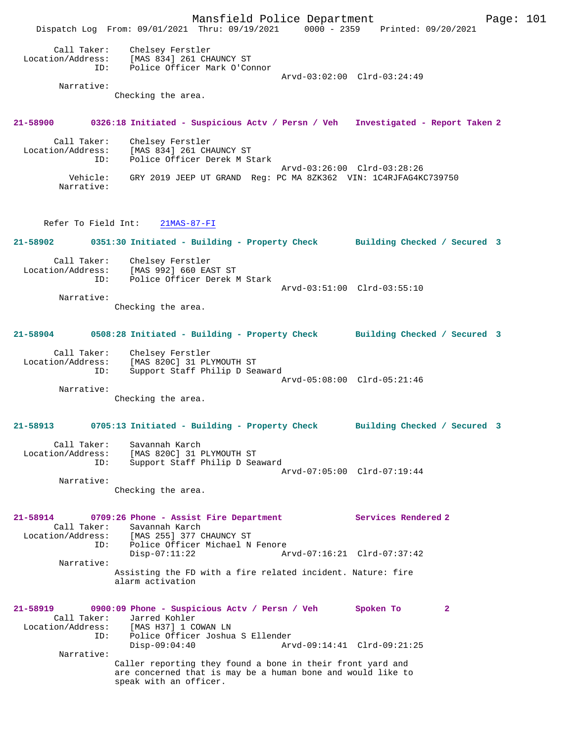Mansfield Police Department Page: 101 Dispatch Log From: 09/01/2021 Thru: 09/19/2021 0000 - 2359 Printed: 09/20/2021 Call Taker: Chelsey Ferstler Location/Address: [MAS 834] 261 CHAUNCY ST ID: Police Officer Mark O'Connor Arvd-03:02:00 Clrd-03:24:49 Narrative: Checking the area. **21-58900 0326:18 Initiated - Suspicious Actv / Persn / Veh Investigated - Report Taken 2** Call Taker: Chelsey Ferstler Location/Address: [MAS 834] 261 CHAUNCY ST ID: Police Officer Derek M Stark Arvd-03:26:00 Clrd-03:28:26<br>Vehicle: GRY 2019 JEEP UT GRAND Reg: PC MA 8ZK362 VIN: 1C4RJFAG4K Vehicle: GRY 2019 JEEP UT GRAND Reg: PC MA 8ZK362 VIN: 1C4RJFAG4KC739750 Narrative: Refer To Field Int: 21MAS-87-FI **21-58902 0351:30 Initiated - Building - Property Check Building Checked / Secured 3** Call Taker: Chelsey Ferstler Location/Address: [MAS 992] 660 EAST ST ID: Police Officer Derek M Stark Arvd-03:51:00 Clrd-03:55:10 Narrative: Checking the area. **21-58904 0508:28 Initiated - Building - Property Check Building Checked / Secured 3** Call Taker: Chelsey Ferstler Location/Address: [MAS 820C] 31 PLYMOUTH ST ID: Support Staff Philip D Seaward Arvd-05:08:00 Clrd-05:21:46 Narrative: Checking the area. **21-58913 0705:13 Initiated - Building - Property Check Building Checked / Secured 3** Call Taker: Savannah Karch Location/Address: [MAS 820C] 31 PLYMOUTH ST ID: Support Staff Philip D Seaward Arvd-07:05:00 Clrd-07:19:44 Narrative: Checking the area. **21-58914 0709:26 Phone - Assist Fire Department Services Rendered 2**  Call Taker: Savannah Karch<br>Location/Address: [MAS 255] 377 ( الله المستقدمات المعدد بين المحمد (MAS 255)<br>ID: Police Officer Michael N Police Officer Michael N Fenore<br>Disp-07:11:22 Ar Arvd-07:16:21 Clrd-07:37:42 Narrative: Assisting the FD with a fire related incident. Nature: fire alarm activation **21-58919 0900:09 Phone - Suspicious Actv / Persn / Veh Spoken To 2**  Call Taker: Jarred Kohler<br>Location/Address: [MAS H37] 1 CO <code>[MAS H37] 1 COWAN LN</code> ID: Police Officer Joshua S Ellender Disp-09:04:40 Arvd-09:14:41 Clrd-09:21:25 Narrative: Caller reporting they found a bone in their front yard and are concerned that is may be a human bone and would like to speak with an officer.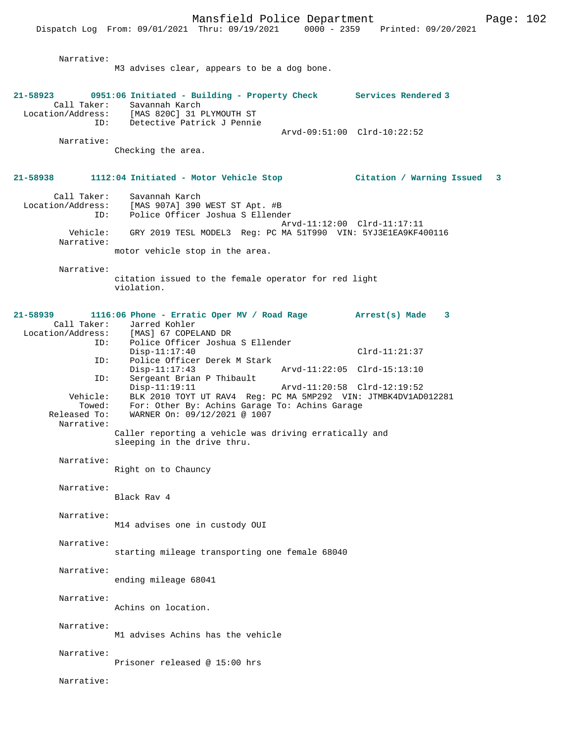Dispatch Log From: 09/01/2021 Thru: 09/19/2021 0000 - 2359 Narrative: M3 advises clear, appears to be a dog bone. **21-58923 0951:06 Initiated - Building - Property Check Services Rendered 3**  Call Taker: Savannah Karch<br>Location/Address: [MAS 820C] 31 I ess: [MAS 820C] 31 PLYMOUTH ST<br>ID: Detective Patrick J Pennie Detective Patrick J Pennie Arvd-09:51:00 Clrd-10:22:52 Narrative: Checking the area. **21-58938 1112:04 Initiated - Motor Vehicle Stop Citation / Warning Issued 3** Call Taker: Savannah Karch<br>Location/Address: [MAS 907A] 390 ess: [MAS 907A] 390 WEST ST Apt. #B<br>ID: Police Officer Joshua S Ellende Police Officer Joshua S Ellender Arvd-11:12:00 Clrd-11:17:11 Vehicle: GRY 2019 TESL MODEL3 Reg: PC MA 51T990 VIN: 5YJ3E1EA9KF400116 Narrative: motor vehicle stop in the area. Narrative: citation issued to the female operator for red light violation. **21-58939 1116:06 Phone - Erratic Oper MV / Road Rage Arrest(s) Made 3**  Call Taker: Jarred Kohler<br>Location/Address: [MAS] 67 COPEI ess: [MAS] 67 COPELAND DR<br>ID: Police Officer Joshua Police Officer Joshua S Ellender Disp-11:17:40 Clrd-11:21:37 ID: Police Officer Derek M Stark<br>Disp-11:17:43 Disp-11:17:43 Arvd-11:22:05 Clrd-15:13:10<br>ID: Sergeant Brian P Thibault Sergeant Brian P Thibault<br>Disp-11:19:11 Disp-11:19:11 Arvd-11:20:58 Clrd-12:19:52 Vehicle: BLK 2010 TOYT UT RAV4 Reg: PC MA 5MP292 VIN: JTMBK4DV1AD012281 Towed: For: Other By: Achins Garage To: Achins Garage Released To: WARNER On: 09/12/2021 @ 1007 WARNER On: 09/12/2021 @ 1007 Narrative: Caller reporting a vehicle was driving erratically and sleeping in the drive thru. Narrative: Right on to Chauncy Narrative: Black Rav 4 Narrative: M14 advises one in custody OUI Narrative: starting mileage transporting one female 68040 Narrative: ending mileage 68041 Narrative: Achins on location. Narrative: M1 advises Achins has the vehicle Narrative: Prisoner released @ 15:00 hrs Narrative: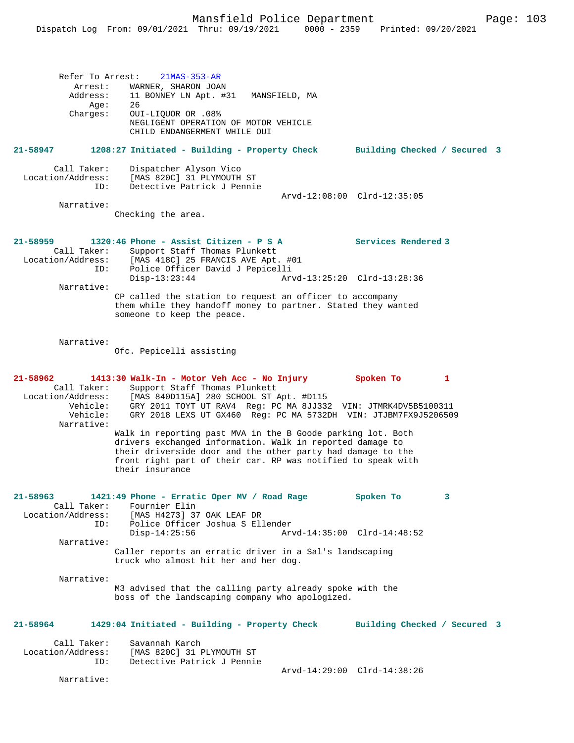|                                                                                    | Refer To Arrest:<br>$21MAS-353-AR$                                                                                                                                                                                                                                         |                                                    |   |  |
|------------------------------------------------------------------------------------|----------------------------------------------------------------------------------------------------------------------------------------------------------------------------------------------------------------------------------------------------------------------------|----------------------------------------------------|---|--|
| Arrest:<br>Address:<br>Aqe:<br>Charges:                                            | WARNER, SHARON JOAN<br>11 BONNEY LN Apt. #31 MANSFIELD, MA<br>26<br>OUI-LIQUOR OR .08%<br>NEGLIGENT OPERATION OF MOTOR VEHICLE<br>CHILD ENDANGERMENT WHILE OUI                                                                                                             |                                                    |   |  |
| 21-58947                                                                           | 1208:27 Initiated - Building - Property Check Building Checked / Secured 3                                                                                                                                                                                                 |                                                    |   |  |
| Call Taker:<br>Location/Address:<br>ID:                                            | Dispatcher Alyson Vico<br>[MAS 820C] 31 PLYMOUTH ST<br>Detective Patrick J Pennie                                                                                                                                                                                          | Arvd-12:08:00 Clrd-12:35:05                        |   |  |
| Narrative:                                                                         | Checking the area.                                                                                                                                                                                                                                                         |                                                    |   |  |
| 21-58959<br>Call Taker:<br>ID:                                                     | $1320:46$ Phone - Assist Citizen - P S A<br>Support Staff Thomas Plunkett<br>Location/Address: [MAS 418C] 25 FRANCIS AVE Apt. #01<br>Police Officer David J Pepicelli<br>$Disp-13:23:44$                                                                                   | Services Rendered 3<br>Arvd-13:25:20 Clrd-13:28:36 |   |  |
| Narrative:                                                                         | CP called the station to request an officer to accompany<br>them while they handoff money to partner. Stated they wanted<br>someone to keep the peace.                                                                                                                     |                                                    |   |  |
| Narrative:                                                                         | Ofc. Pepicelli assisting                                                                                                                                                                                                                                                   |                                                    |   |  |
| 21-58962<br>Call Taker:<br>Location/Address:<br>Vehicle:<br>Vehicle:<br>Narrative: | 1413:30 Walk-In - Motor Veh Acc - No Injury<br>Support Staff Thomas Plunkett<br>[MAS 840D115A] 280 SCHOOL ST Apt. #D115<br>GRY 2011 TOYT UT RAV4 Reg: PC MA 8JJ332 VIN: JTMRK4DV5B5100311<br>GRY 2018 LEXS UT GX460 Req: PC MA 5732DH VIN: JTJBM7FX9J5206509               | Spoken To                                          | 1 |  |
|                                                                                    | Walk in reporting past MVA in the B Goode parking lot. Both<br>drivers exchanged information. Walk in reported damage to<br>their driverside door and the other party had damage to the<br>front right part of their car. RP was notified to speak with<br>their insurance |                                                    |   |  |
| 21-58963<br>Call Taker:<br>Location/Address:<br>ID:                                | 1421:49 Phone - Erratic Oper MV / Road Rage<br>Fournier Elin<br>[MAS H4273] 37 OAK LEAF DR<br>Police Officer Joshua S Ellender<br>$Disp-14:25:56$                                                                                                                          | Spoken To<br>Arvd-14:35:00 Clrd-14:48:52           | 3 |  |
| Narrative:                                                                         | Caller reports an erratic driver in a Sal's landscaping<br>truck who almost hit her and her dog.                                                                                                                                                                           |                                                    |   |  |
| Narrative:                                                                         | M3 advised that the calling party already spoke with the<br>boss of the landscaping company who apologized.                                                                                                                                                                |                                                    |   |  |
| 21-58964                                                                           | 1429:04 Initiated - Building - Property Check                                                                                                                                                                                                                              | Building Checked / Secured 3                       |   |  |
| Call Taker:<br>Location/Address:<br>ID:                                            | Savannah Karch<br>[MAS 820C] 31 PLYMOUTH ST<br>Detective Patrick J Pennie                                                                                                                                                                                                  |                                                    |   |  |
| Narrative:                                                                         |                                                                                                                                                                                                                                                                            | Arvd-14:29:00 Clrd-14:38:26                        |   |  |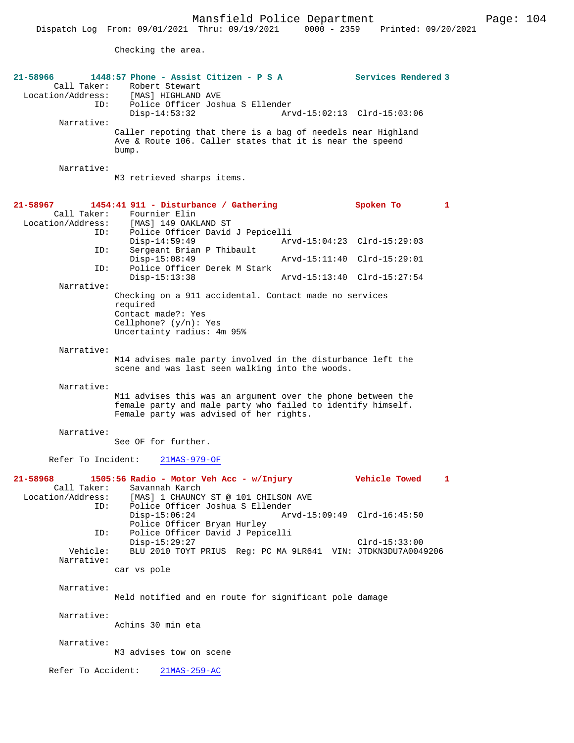Checking the area.

| 21-58966<br>Call Taker:                             | 1448:57 Phone - Assist Citizen - P S A<br>Robert Stewart<br>Location/Address: [MAS] HIGHLAND AVE                                                                      | Services Rendered 3         |
|-----------------------------------------------------|-----------------------------------------------------------------------------------------------------------------------------------------------------------------------|-----------------------------|
| ID:<br>Narrative:                                   | Police Officer Joshua S Ellender<br>$Disp-14:53:32$                                                                                                                   | Arvd-15:02:13 Clrd-15:03:06 |
|                                                     | Caller repoting that there is a bag of needels near Highland<br>Ave & Route 106. Caller states that it is near the speend<br>bump.                                    |                             |
| Narrative:                                          | M3 retrieved sharps items.                                                                                                                                            |                             |
| $21 - 58967$<br>Call Taker:<br>Location/Address:    | 1454:41 911 - Disturbance / Gathering<br>Fournier Elin<br>[MAS] 149 OAKLAND ST                                                                                        | Spoken To<br>$\mathbf{1}$   |
| ID:<br>ID:                                          | Police Officer David J Pepicelli<br>$Disp-14:59:49$<br>Sergeant Brian P Thibault                                                                                      | Arvd-15:04:23 Clrd-15:29:03 |
| ID:                                                 | $Disp-15:08:49$<br>Police Officer Derek M Stark                                                                                                                       | Arvd-15:11:40 Clrd-15:29:01 |
| Narrative:                                          | $Disp-15:13:38$                                                                                                                                                       | Arvd-15:13:40 Clrd-15:27:54 |
|                                                     | Checking on a 911 accidental. Contact made no services<br>required<br>Contact made?: Yes<br>Cellphone? $(y/n): Yes$<br>Uncertainty radius: 4m 95%                     |                             |
| Narrative:                                          | M14 advises male party involved in the disturbance left the<br>scene and was last seen walking into the woods.                                                        |                             |
| Narrative:                                          | M11 advises this was an argument over the phone between the<br>female party and male party who failed to identify himself.<br>Female party was advised of her rights. |                             |
| Narrative:                                          | See OF for further.                                                                                                                                                   |                             |
| Refer To Incident:                                  | $21MAS-979-OF$                                                                                                                                                        |                             |
| 21-58968<br>Call Taker:<br>Location/Address:<br>ID: | 1505:56 Radio - Motor Veh Acc - w/Injury<br>Savannah Karch<br>[MAS] 1 CHAUNCY ST @ 101 CHILSON AVE<br>Police Officer Joshua S Ellender                                | Vehicle Towed<br>1          |
|                                                     | $Disp-15:06:24$<br>Police Officer Bryan Hurley                                                                                                                        | Arvd-15:09:49 Clrd-16:45:50 |
| ID:<br>Vehicle:                                     | Police Officer David J Pepicelli<br>$Disp-15:29:27$<br>BLU 2010 TOYT PRIUS Req: PC MA 9LR641 VIN: JTDKN3DU7A0049206                                                   | $Clrd-15:33:00$             |
| Narrative:                                          | car vs pole                                                                                                                                                           |                             |
| Narrative:                                          | Meld notified and en route for significant pole damage                                                                                                                |                             |
| Narrative:                                          |                                                                                                                                                                       |                             |
| Narrative:                                          | Achins 30 min eta                                                                                                                                                     |                             |
|                                                     | M3 advises tow on scene                                                                                                                                               |                             |
| Refer To Accident:                                  | $21MAS-259-AC$                                                                                                                                                        |                             |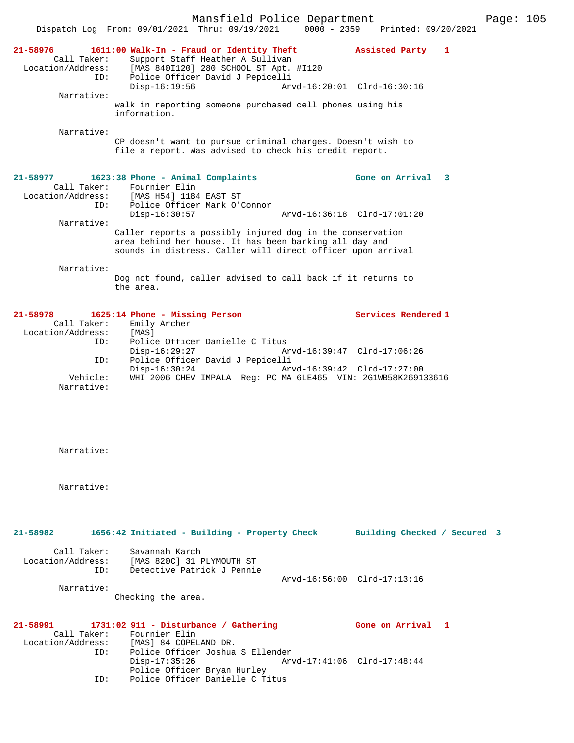|                                                     | Mansfield Police Department<br>$0000 - 2359$                                                                                                                                       |                              | Page: 105 |  |
|-----------------------------------------------------|------------------------------------------------------------------------------------------------------------------------------------------------------------------------------------|------------------------------|-----------|--|
|                                                     | Dispatch Log From: 09/01/2021 Thru: 09/19/2021                                                                                                                                     | Printed: 09/20/2021          |           |  |
| 21-58976<br>Call Taker:<br>Location/Address:<br>ID: | 1611:00 Walk-In - Fraud or Identity Theft<br>Support Staff Heather A Sullivan<br>[MAS 840I120] 280 SCHOOL ST Apt. #I120<br>Police Officer David J Pepicelli                        | Assisted Party 1             |           |  |
| Narrative:                                          | $Disp-16:19:56$                                                                                                                                                                    | Arvd-16:20:01 Clrd-16:30:16  |           |  |
|                                                     | walk in reporting someone purchased cell phones using his<br>information.                                                                                                          |                              |           |  |
| Narrative:                                          | CP doesn't want to pursue criminal charges. Doesn't wish to<br>file a report. Was advised to check his credit report.                                                              |                              |           |  |
| 21-58977<br>Call Taker:                             | 1623:38 Phone - Animal Complaints<br>Fournier Elin<br>Location/Address: [MAS H54] 1184 EAST ST                                                                                     | Gone on Arrival 3            |           |  |
| ID:<br>Narrative:                                   | Police Officer Mark O'Connor<br>Disp-16:30:57                                                                                                                                      | Arvd-16:36:18 Clrd-17:01:20  |           |  |
|                                                     | Caller reports a possibly injured dog in the conservation<br>area behind her house. It has been barking all day and<br>sounds in distress. Caller will direct officer upon arrival |                              |           |  |
| Narrative:                                          | Dog not found, caller advised to call back if it returns to<br>the area.                                                                                                           |                              |           |  |
| 21-58978<br>Call Taker:                             | 1625:14 Phone - Missing Person<br>Emily Archer                                                                                                                                     | Services Rendered 1          |           |  |
| Location/Address:<br>ID:                            | [MAS]<br>Police Officer Danielle C Titus<br>$Disp-16:29:27$                                                                                                                        | Arvd-16:39:47 Clrd-17:06:26  |           |  |
| ID:                                                 | Police Officer David J Pepicelli<br>$Disp-16:30:24$                                                                                                                                | Arvd-16:39:42 Clrd-17:27:00  |           |  |
| Vehicle:<br>Narrative:                              | WHI 2006 CHEV IMPALA Reg: PC MA 6LE465 VIN: 2G1WB58K269133616                                                                                                                      |                              |           |  |
| Narrative:                                          |                                                                                                                                                                                    |                              |           |  |
| Narrative:                                          |                                                                                                                                                                                    |                              |           |  |
| 21-58982                                            | 1656:42 Initiated - Building - Property Check                                                                                                                                      | Building Checked / Secured 3 |           |  |
| Call Taker:<br>ID:                                  | Savannah Karch<br>Location/Address: [MAS 820C] 31 PLYMOUTH ST<br>Detective Patrick J Pennie                                                                                        | Arvd-16:56:00 Clrd-17:13:16  |           |  |
| Narrative:                                          | Checking the area.                                                                                                                                                                 |                              |           |  |
| $21 - 58991$<br>Call Taker:<br>Location/Address:    | $1731:02$ 911 - Disturbance / Gathering<br>Fournier Elin<br>[MAS] 84 COPELAND DR.                                                                                                  | Gone on Arrival 1            |           |  |
| ID:                                                 | Police Officer Joshua S Ellender<br>$Disp-17:35:26$<br>Police Officer Bryan Hurley                                                                                                 | Arvd-17:41:06 Clrd-17:48:44  |           |  |

ID: Police Officer Danielle C Titus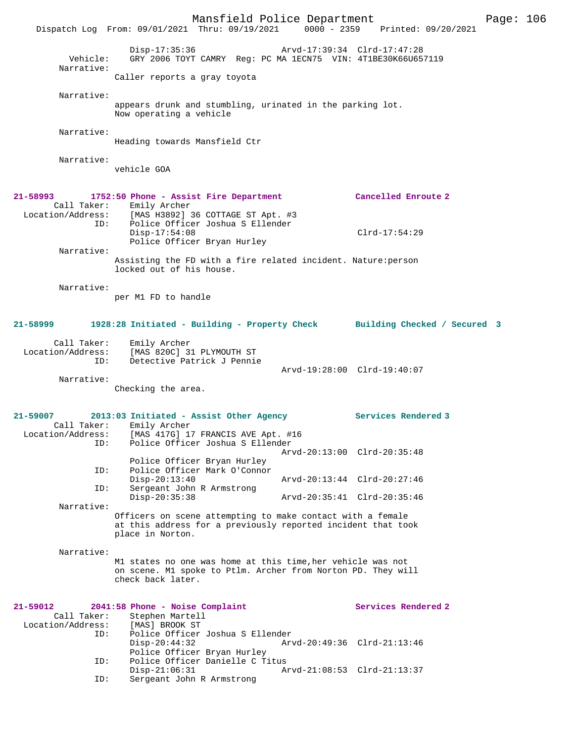|                                         |                                                                                                                                                  | Mansfield Police Department |                             | Page: 106 |  |
|-----------------------------------------|--------------------------------------------------------------------------------------------------------------------------------------------------|-----------------------------|-----------------------------|-----------|--|
|                                         | Dispatch Log From: 09/01/2021 Thru: 09/19/2021 0000 - 2359 Printed: 09/20/2021                                                                   |                             |                             |           |  |
| Vehicle:<br>Narrative:                  | $Disp-17:35:36$<br>GRY 2006 TOYT CAMRY Reg: PC MA 1ECN75 VIN: 4T1BE30K66U657119                                                                  |                             | Arvd-17:39:34 Clrd-17:47:28 |           |  |
|                                         | Caller reports a gray toyota                                                                                                                     |                             |                             |           |  |
| Narrative:                              |                                                                                                                                                  |                             |                             |           |  |
|                                         | appears drunk and stumbling, urinated in the parking lot.<br>Now operating a vehicle                                                             |                             |                             |           |  |
| Narrative:                              | Heading towards Mansfield Ctr                                                                                                                    |                             |                             |           |  |
| Narrative:                              | vehicle GOA                                                                                                                                      |                             |                             |           |  |
| 21–58993                                | 1752:50 Phone - Assist Fire Department                                                                                                           |                             | Cancelled Enroute 2         |           |  |
| ID:                                     | Call Taker: Emily Archer<br>Location/Address: [MAS H3892] 36 COTTAGE ST Apt. #3<br>Police Officer Joshua S Ellender                              |                             |                             |           |  |
| Narrative:                              | $Disp-17:54:08$<br>Police Officer Bryan Hurley                                                                                                   |                             | $Clrd-17:54:29$             |           |  |
|                                         | Assisting the FD with a fire related incident. Nature: person<br>locked out of his house.                                                        |                             |                             |           |  |
| Narrative:                              | per M1 FD to handle                                                                                                                              |                             |                             |           |  |
| 21–58999                                | 1928:28 Initiated - Building - Property Check Building Checked / Secured 3                                                                       |                             |                             |           |  |
| Call Taker:<br>Location/Address:<br>ID: | Emily Archer<br>[MAS 820C] 31 PLYMOUTH ST<br>Detective Patrick J Pennie                                                                          |                             |                             |           |  |
| Narrative:                              |                                                                                                                                                  |                             | Arvd-19:28:00 Clrd-19:40:07 |           |  |
|                                         | Checking the area.                                                                                                                               |                             |                             |           |  |
| 21-59007                                | 2013:03 Initiated - Assist Other Agency                                                                                                          |                             | Services Rendered 3         |           |  |
| Call Taker:<br>ID:                      | Emily Archer<br>Location/Address: [MAS 417G] 17 FRANCIS AVE Apt. #16<br>Police Officer Joshua S Ellender                                         |                             |                             |           |  |
|                                         | Police Officer Bryan Hurley                                                                                                                      |                             | Arvd-20:13:00 Clrd-20:35:48 |           |  |
| ID:<br>ID:                              | Police Officer Mark O'Connor<br>$Disp-20:13:40$<br>Sergeant John R Armstrong                                                                     |                             | Arvd-20:13:44 Clrd-20:27:46 |           |  |
| Narrative:                              | $Disp-20:35:38$                                                                                                                                  |                             | Arvd-20:35:41 Clrd-20:35:46 |           |  |
|                                         | Officers on scene attempting to make contact with a female<br>at this address for a previously reported incident that took<br>place in Norton.   |                             |                             |           |  |
| Narrative:                              |                                                                                                                                                  |                             |                             |           |  |
|                                         | M1 states no one was home at this time, her vehicle was not<br>on scene. M1 spoke to Ptlm. Archer from Norton PD. They will<br>check back later. |                             |                             |           |  |
| 21-59012<br>Call Taker:                 | 2041:58 Phone - Noise Complaint<br>Stephen Martell                                                                                               |                             | Services Rendered 2         |           |  |
| Location/Address:<br>ID:                | [MAS] BROOK ST<br>Police Officer Joshua S Ellender<br>$Disp-20:44:32$<br>Police Officer Bryan Hurley                                             |                             | Arvd-20:49:36 Clrd-21:13:46 |           |  |
| ID:<br>ID:                              | Police Officer Danielle C Titus<br>$Disp-21:06:31$<br>Sergeant John R Armstrong                                                                  |                             | Arvd-21:08:53 Clrd-21:13:37 |           |  |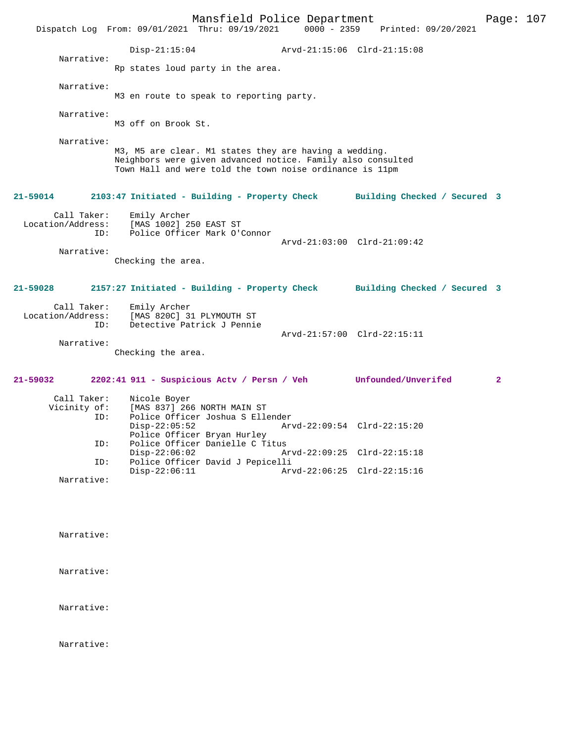|                                                                                                                                                                         | Dispatch Log From: 09/01/2021 Thru: 09/19/2021 0000 - 2359                                                                                                                        | Mansfield Police Department | Printed: 09/20/2021          | Page: 107    |  |
|-------------------------------------------------------------------------------------------------------------------------------------------------------------------------|-----------------------------------------------------------------------------------------------------------------------------------------------------------------------------------|-----------------------------|------------------------------|--------------|--|
|                                                                                                                                                                         | $Disp-21:15:04$                                                                                                                                                                   |                             | Arvd-21:15:06 Clrd-21:15:08  |              |  |
| Narrative:                                                                                                                                                              | Rp states loud party in the area.                                                                                                                                                 |                             |                              |              |  |
| Narrative:                                                                                                                                                              | M3 en route to speak to reporting party.                                                                                                                                          |                             |                              |              |  |
| Narrative:                                                                                                                                                              | M3 off on Brook St.                                                                                                                                                               |                             |                              |              |  |
| Narrative:                                                                                                                                                              | M3, M5 are clear. M1 states they are having a wedding.<br>Neighbors were given advanced notice. Family also consulted<br>Town Hall and were told the town noise ordinance is 11pm |                             |                              |              |  |
| 21-59014                                                                                                                                                                | 2103:47 Initiated - Building - Property Check                                                                                                                                     |                             | Building Checked / Secured 3 |              |  |
| Call Taker:<br>Location/Address:<br>ID:<br>Narrative:                                                                                                                   | Emily Archer<br>[MAS 1002] 250 EAST ST<br>Police Officer Mark O'Connor                                                                                                            |                             | Arvd-21:03:00 Clrd-21:09:42  |              |  |
|                                                                                                                                                                         | Checking the area.                                                                                                                                                                |                             |                              |              |  |
| 21-59028                                                                                                                                                                | 2157:27 Initiated - Building - Property Check Building Checked / Secured 3                                                                                                        |                             |                              |              |  |
| Call Taker:<br>Location/Address:<br>ID:                                                                                                                                 | Emily Archer<br>[MAS 820C] 31 PLYMOUTH ST<br>Detective Patrick J Pennie                                                                                                           |                             | Arvd-21:57:00 Clrd-22:15:11  |              |  |
| Narrative:                                                                                                                                                              | Checking the area.                                                                                                                                                                |                             |                              |              |  |
| 21-59032                                                                                                                                                                | 2202:41 911 - Suspicious Actv / Persn / Veh Unfounded/Unverifed                                                                                                                   |                             |                              | $\mathbf{2}$ |  |
| Call Taker:<br>Nicole Boyer<br>[MAS 837] 266 NORTH MAIN ST<br>Vicinity of:<br>Police Officer Joshua S Ellender<br>ID:<br>$Disp-22:05:52$<br>Police Officer Bryan Hurley |                                                                                                                                                                                   | Arvd-22:09:54 Clrd-22:15:20 |                              |              |  |
| ID:                                                                                                                                                                     | Police Officer Danielle C Titus<br>$Disp-22:06:02$                                                                                                                                |                             | Arvd-22:09:25 Clrd-22:15:18  |              |  |
| ID:                                                                                                                                                                     | Police Officer David J Pepicelli<br>$Disp-22:06:11$                                                                                                                               |                             | Arvd-22:06:25 Clrd-22:15:16  |              |  |
| Narrative:                                                                                                                                                              |                                                                                                                                                                                   |                             |                              |              |  |

Narrative:

Narrative:

Narrative:

Narrative: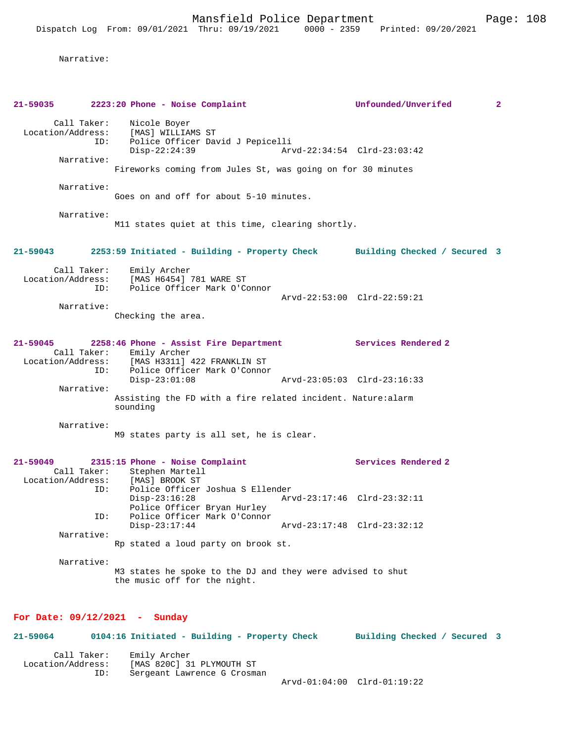Mansfield Police Department Page: 108

Narrative:

| 21-59035                                     | 2223:20 Phone - Noise Complaint                                                                                                                                                        | Unfounded/Unverifed          | $\mathbf{2}$ |
|----------------------------------------------|----------------------------------------------------------------------------------------------------------------------------------------------------------------------------------------|------------------------------|--------------|
| Call Taker:<br>Location/Address:<br>ID:      | Nicole Boyer<br>[MAS] WILLIAMS ST<br>Police Officer David J Pepicelli<br>$Disp-22:24:39$                                                                                               | Arvd-22:34:54 Clrd-23:03:42  |              |
| Narrative:                                   | Fireworks coming from Jules St, was going on for 30 minutes                                                                                                                            |                              |              |
| Narrative:                                   | Goes on and off for about 5-10 minutes.                                                                                                                                                |                              |              |
| Narrative:                                   | M11 states quiet at this time, clearing shortly.                                                                                                                                       |                              |              |
| 21-59043                                     | 2253:59 Initiated - Building - Property Check Building Checked / Secured 3                                                                                                             |                              |              |
| Call Taker:<br>Location/Address:<br>ID:      | Emily Archer<br>[MAS H6454] 781 WARE ST<br>Police Officer Mark O'Connor                                                                                                                | Arvd-22:53:00 Clrd-22:59:21  |              |
| Narrative:                                   | Checking the area.                                                                                                                                                                     |                              |              |
| 21-59045<br>ID:                              | 2258:46 Phone - Assist Fire Department Services Rendered 2<br>Call Taker: Emily Archer<br>Location/Address: [MAS H3311]<br>[MAS H3311] 422 FRANKLIN ST<br>Police Officer Mark O'Connor |                              |              |
| Narrative:                                   | $Disp-23:01:08$                                                                                                                                                                        | Arvd-23:05:03 Clrd-23:16:33  |              |
|                                              | Assisting the FD with a fire related incident. Nature:alarm<br>sounding                                                                                                                |                              |              |
| Narrative:                                   | M9 states party is all set, he is clear.                                                                                                                                               |                              |              |
| 21-59049<br>Call Taker:<br>Location/Address: | 2315:15 Phone - Noise Complaint<br>Stephen Martell<br>[MAS] BROOK ST                                                                                                                   | Services Rendered 2          |              |
| ID:                                          | Police Officer Joshua S Ellender<br>$Disp-23:16:28$<br>Police Officer Bryan Hurley                                                                                                     | Arvd-23:17:46 Clrd-23:32:11  |              |
| ID:<br>Narrative:                            | Police Officer Mark O'Connor<br>$Disp-23:17:44$                                                                                                                                        | Arvd-23:17:48 Clrd-23:32:12  |              |
|                                              | Rp stated a loud party on brook st.                                                                                                                                                    |                              |              |
| Narrative:                                   | M3 states he spoke to the DJ and they were advised to shut<br>the music off for the night.                                                                                             |                              |              |
| For Date: $09/12/2021$ - Sunday              |                                                                                                                                                                                        |                              |              |
| 21-59064                                     | 0104:16 Initiated - Building - Property Check                                                                                                                                          | Building Checked / Secured 3 |              |
| Call Taker:<br>Location/Address:<br>ID:      | Emily Archer<br>[MAS 820C] 31 PLYMOUTH ST<br>Sergeant Lawrence G Crosman                                                                                                               | Arvd-01:04:00 Clrd-01:19:22  |              |
|                                              |                                                                                                                                                                                        |                              |              |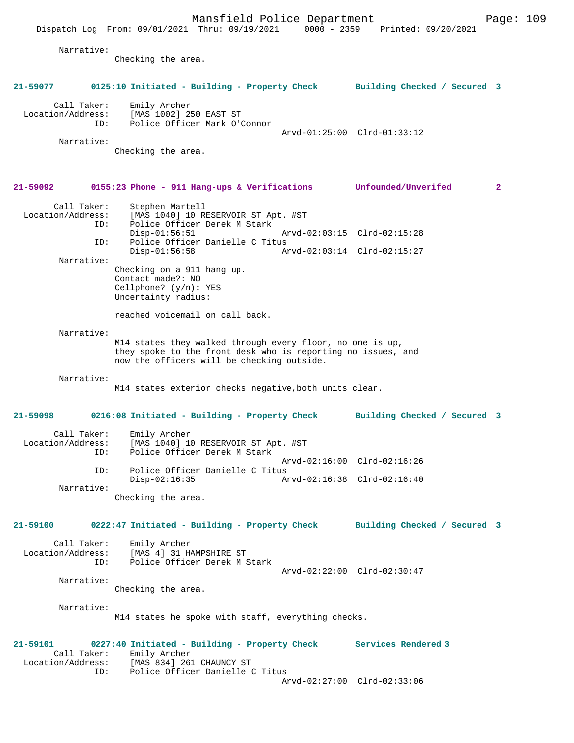Narrative:

Checking the area.

## **21-59092 0155:23 Phone - 911 Hang-ups & Verifications Unfounded/Unverifed 2**

| Call Taker:<br>Location/Address:<br>ID: | Stephen Martell<br>[MAS 1040] 10 RESERVOIR ST Apt. #ST<br>Police Officer Derek M Stark |                             |  |
|-----------------------------------------|----------------------------------------------------------------------------------------|-----------------------------|--|
|                                         |                                                                                        |                             |  |
|                                         | $Disp-01:56:51$                                                                        | Arvd-02:03:15 Clrd-02:15:28 |  |
| ID:                                     | Police Officer Danielle C Titus                                                        |                             |  |
|                                         | $Disp-01:56:58$                                                                        | Arvd-02:03:14 Clrd-02:15:27 |  |
| Narrative:                              |                                                                                        |                             |  |
|                                         | Checking on a 911 hang up.                                                             |                             |  |
|                                         | Contact made?: NO                                                                      |                             |  |
|                                         | Cellphone? $(y/n)$ : YES                                                               |                             |  |

reached voicemail on call back.

Uncertainty radius:

#### Narrative:

M14 states they walked through every floor, no one is up, they spoke to the front desk who is reporting no issues, and now the officers will be checking outside.

#### Narrative:

M14 states exterior checks negative,both units clear.

# **21-59098 0216:08 Initiated - Building - Property Check Building Checked / Secured 3**

| Call Taker:       | Emily Archer                        |                             |  |  |
|-------------------|-------------------------------------|-----------------------------|--|--|
| Location/Address: | [MAS 1040] 10 RESERVOIR ST Apt. #ST |                             |  |  |
| ID:               | Police Officer Derek M Stark        |                             |  |  |
|                   |                                     | Arvd-02:16:00 Clrd-02:16:26 |  |  |
| TD:               | Police Officer Danielle C Titus     |                             |  |  |
|                   | $Disp-02:16:35$                     | Arvd-02:16:38 Clrd-02:16:40 |  |  |
| Narrative:        |                                     |                             |  |  |

Checking the area.

## **21-59100 0222:47 Initiated - Building - Property Check Building Checked / Secured 3**

| Call Taker:<br>Location/Address:<br>TD: | Emily Archer<br>[MAS 4] 31 HAMPSHIRE ST<br>Police Officer Derek M Stark |                             |  |
|-----------------------------------------|-------------------------------------------------------------------------|-----------------------------|--|
|                                         |                                                                         | Arvd-02:22:00 Clrd-02:30:47 |  |
| Narrative:                              |                                                                         |                             |  |

Checking the area.

Narrative:

M14 states he spoke with staff, everything checks.

**21-59101 0227:40 Initiated - Building - Property Check Services Rendered 3**  Call Taker: Emily Archer Location/Address: [MAS 834] 261 CHAUNCY ST Police Officer Danielle C Titus

Arvd-02:27:00 Clrd-02:33:06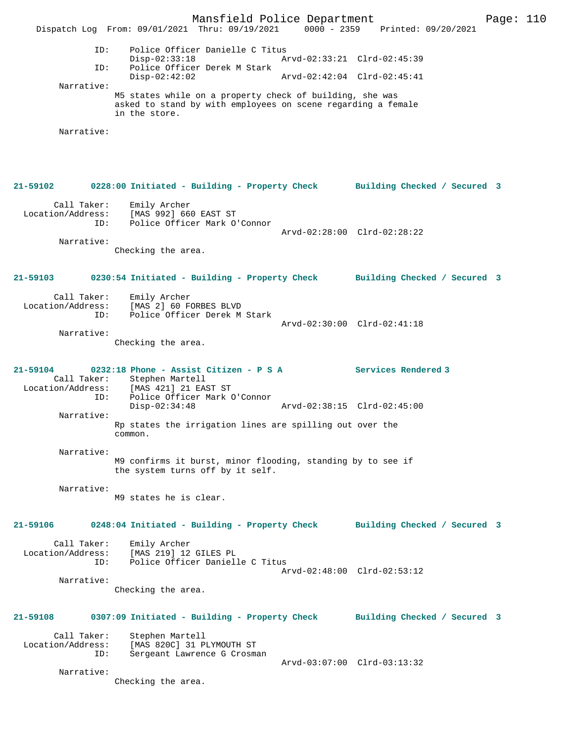Mansfield Police Department Form Page: 110 Dispatch Log From: 09/01/2021 Thru: 09/19/2021 0000 - 2359 Printed: 09/20/2021 ID: Police Officer Danielle C Titus Disp-02:33:18 Arvd-02:33:21 Clrd-02:45:39<br>TD: Police Officer Derek M Stark Police Officer Derek M Stark<br>Disp-02:42:02 Disp-02:42:02 Arvd-02:42:04 Clrd-02:45:41 Narrative: M5 states while on a property check of building, she was asked to stand by with employees on scene regarding a female in the store. Narrative: **21-59102 0228:00 Initiated - Building - Property Check Building Checked / Secured 3** Call Taker: Emily Archer Location/Address: [MAS 992] 660 EAST ST ID: Police Officer Mark O'Connor Arvd-02:28:00 Clrd-02:28:22 Narrative: Checking the area. **21-59103 0230:54 Initiated - Building - Property Check Building Checked / Secured 3** Call Taker: Emily Archer Location/Address: [MAS 2] 60 FORBES BLVD ID: Police Officer Derek M Stark Arvd-02:30:00 Clrd-02:41:18 Narrative: Checking the area. **21-59104 0232:18 Phone - Assist Citizen - P S A Services Rendered 3**  Call Taker: Stephen Martell Location/Address: [MAS 421] 21 EAST ST Police Officer Mark O'Connor<br>Disp-02:34:48 Disp-02:34:48 Arvd-02:38:15 Clrd-02:45:00 Narrative: Rp states the irrigation lines are spilling out over the common. Narrative: M9 confirms it burst, minor flooding, standing by to see if the system turns off by it self. Narrative: M9 states he is clear. **21-59106 0248:04 Initiated - Building - Property Check Building Checked / Secured 3** Call Taker: Emily Archer Location/Address: [MAS 219] 12 GILES PL ID: Police Officer Danielle C Titus Arvd-02:48:00 Clrd-02:53:12 Narrative: Checking the area. **21-59108 0307:09 Initiated - Building - Property Check Building Checked / Secured 3** Call Taker: Stephen Martell<br>Location/Address: [MAS 820C] 31 P ess: [MAS 820C] 31 PLYMOUTH ST<br>ID: Sergeant Lawrence G Crosma Sergeant Lawrence G Crosman Arvd-03:07:00 Clrd-03:13:32 Narrative: Checking the area.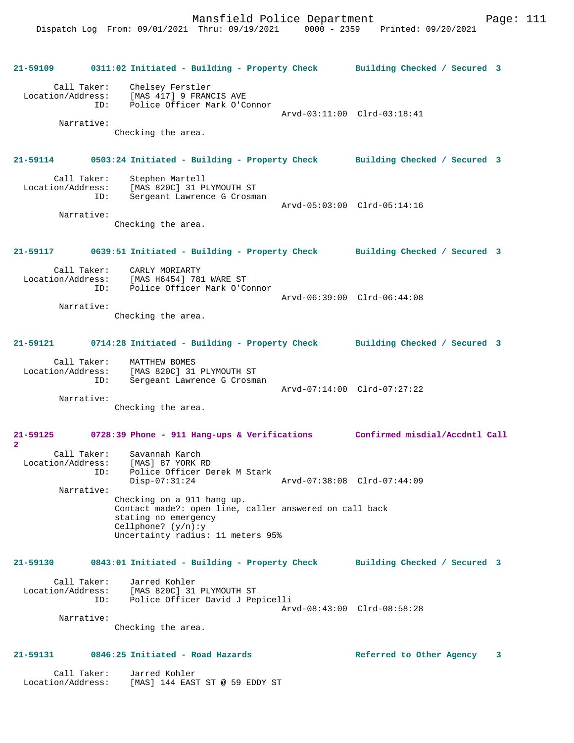Mansfield Police Department Fage: 111

**21-59109 0311:02 Initiated - Building - Property Check Building Checked / Secured 3** Call Taker: Chelsey Ferstler Location/Address: [MAS 417] 9 FRANCIS AVE<br>ID: Police Officer Mark O'Co Police Officer Mark O'Connor Arvd-03:11:00 Clrd-03:18:41 Narrative: Checking the area. **21-59114 0503:24 Initiated - Building - Property Check Building Checked / Secured 3** Call Taker: Stephen Martell<br>Location/Address: [MAS 820C] 31 P [MAS 820C] 31 PLYMOUTH ST ID: Sergeant Lawrence G Crosman Arvd-05:03:00 Clrd-05:14:16 Narrative: Checking the area. **21-59117 0639:51 Initiated - Building - Property Check Building Checked / Secured 3** Call Taker: CARLY MORIARTY Location/Address: [MAS H6454] 781 WARE ST ID: Police Officer Mark O'Connor Arvd-06:39:00 Clrd-06:44:08 Narrative: Checking the area. **21-59121 0714:28 Initiated - Building - Property Check Building Checked / Secured 3** Call Taker: MATTHEW BOMES Location/Address: [MAS 820C] 31 PLYMOUTH ST ID: Sergeant Lawrence G Crosman Arvd-07:14:00 Clrd-07:27:22 Narrative: Checking the area. **21-59125 0728:39 Phone - 911 Hang-ups & Verifications Confirmed misdial/Accdntl Call 2**  Call Taker: Savannah Karch Location/Address: [MAS] 87 YORK RD ID: Police Officer Derek M Stark Disp-07:31:24 Arvd-07:38:08 Clrd-07:44:09 Narrative: Checking on a 911 hang up. Contact made?: open line, caller answered on call back stating no emergency Cellphone? (y/n):y Uncertainty radius: 11 meters 95% **21-59130 0843:01 Initiated - Building - Property Check Building Checked / Secured 3** Call Taker: Jarred Kohler Location/Address: [MAS 820C] 31 PLYMOUTH ST<br>TD: Police Officer David J Per Police Officer David J Pepicelli Arvd-08:43:00 Clrd-08:58:28 Narrative: Checking the area. **21-59131 0846:25 Initiated - Road Hazards Referred to Other Agency 3** Call Taker: Jarred Kohler

Location/Address: [MAS] 144 EAST ST @ 59 EDDY ST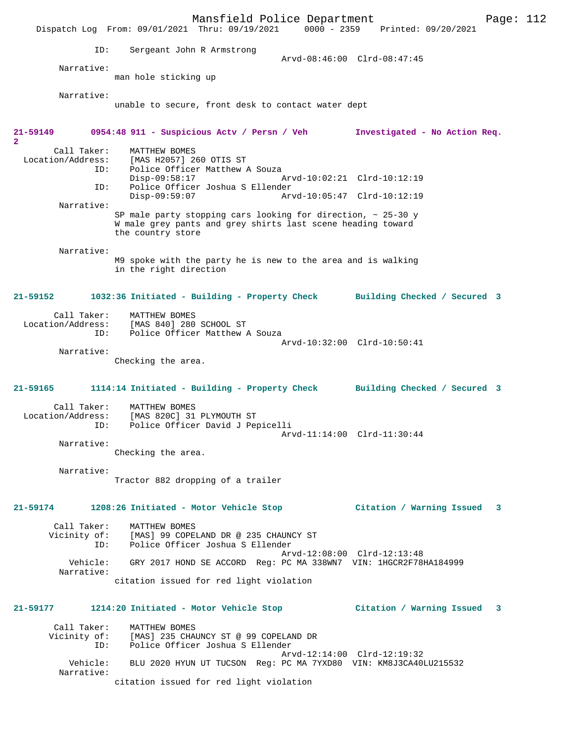|                                  | Mansfield Police Department                                                            |                             |                               | Page: 112 |
|----------------------------------|----------------------------------------------------------------------------------------|-----------------------------|-------------------------------|-----------|
|                                  | Dispatch Log From: 09/01/2021 Thru: 09/19/2021 0000 - 2359                             |                             | Printed: 09/20/2021           |           |
| ID:                              | Sergeant John R Armstrong                                                              |                             |                               |           |
|                                  |                                                                                        | Arvd-08:46:00 Clrd-08:47:45 |                               |           |
| Narrative:                       | man hole sticking up                                                                   |                             |                               |           |
|                                  |                                                                                        |                             |                               |           |
| Narrative:                       | unable to secure, front desk to contact water dept                                     |                             |                               |           |
|                                  |                                                                                        |                             |                               |           |
| $21 - 59149$                     | 0954:48 911 - Suspicious Actv / Persn / Veh                                            |                             | Investigated - No Action Req. |           |
| $\overline{a}$                   |                                                                                        |                             |                               |           |
| Call Taker:<br>Location/Address: | MATTHEW BOMES<br>[MAS H2057] 260 OTIS ST                                               |                             |                               |           |
| ID:                              | Police Officer Matthew A Souza                                                         |                             |                               |           |
| ID:                              | $Disp-09:58:17$<br>Police Officer Joshua S Ellender                                    | Arvd-10:02:21 Clrd-10:12:19 |                               |           |
|                                  | $Disp-09:59:07$                                                                        | Arvd-10:05:47 Clrd-10:12:19 |                               |           |
| Narrative:                       | SP male party stopping cars looking for direction, $\sim$ 25-30 y                      |                             |                               |           |
|                                  | W male grey pants and grey shirts last scene heading toward                            |                             |                               |           |
|                                  | the country store                                                                      |                             |                               |           |
| Narrative:                       |                                                                                        |                             |                               |           |
|                                  | M9 spoke with the party he is new to the area and is walking<br>in the right direction |                             |                               |           |
|                                  |                                                                                        |                             |                               |           |
| $21 - 59152$                     | 1032:36 Initiated - Building - Property Check Building Checked / Secured 3             |                             |                               |           |
| Call Taker:                      |                                                                                        |                             |                               |           |
| Location/Address:                | MATTHEW BOMES<br>[MAS 840] 280 SCHOOL ST                                               |                             |                               |           |
| ID:                              | Police Officer Matthew A Souza                                                         | Arvd-10:32:00 Clrd-10:50:41 |                               |           |
| Narrative:                       |                                                                                        |                             |                               |           |
|                                  | Checking the area.                                                                     |                             |                               |           |
|                                  |                                                                                        |                             |                               |           |
| $21 - 59165$                     | 1114:14 Initiated - Building - Property Check Building Checked / Secured 3             |                             |                               |           |
| Call Taker:                      | MATTHEW BOMES                                                                          |                             |                               |           |
| Location/Address:<br>ID:         | [MAS 820C] 31 PLYMOUTH ST<br>Police Officer David J Pepicelli                          |                             |                               |           |
|                                  |                                                                                        | Arvd-11:14:00 Clrd-11:30:44 |                               |           |
| Narrative:                       | Checking the area.                                                                     |                             |                               |           |
|                                  |                                                                                        |                             |                               |           |
| Narrative:                       | Tractor 882 dropping of a trailer                                                      |                             |                               |           |
|                                  |                                                                                        |                             |                               |           |
| 21-59174                         | 1208:26 Initiated - Motor Vehicle Stop (Citation / Warning Issued 3                    |                             |                               |           |
|                                  |                                                                                        |                             |                               |           |
| Call Taker:                      | MATTHEW BOMES<br>Vicinity of: [MAS] 99 COPELAND DR @ 235 CHAUNCY ST                    |                             |                               |           |
| ID:                              | Police Officer Joshua S Ellender                                                       |                             |                               |           |
| Vehicle:                         | GRY 2017 HOND SE ACCORD Req: PC MA 338WN7 VIN: 1HGCR2F78HA184999                       | Arvd-12:08:00 Clrd-12:13:48 |                               |           |
| Narrative:                       |                                                                                        |                             |                               |           |
|                                  | citation issued for red light violation                                                |                             |                               |           |
| 21-59177                         | 1214:20 Initiated - Motor Vehicle Stop                    Citation / Warning Issued    |                             |                               | 3         |
|                                  |                                                                                        |                             |                               |           |
| Call Taker:<br>Vicinity of:      | MATTHEW BOMES<br>[MAS] 235 CHAUNCY ST @ 99 COPELAND DR                                 |                             |                               |           |
| ID:                              | Police Officer Joshua S Ellender                                                       |                             |                               |           |
| Vehicle:                         | BLU 2020 HYUN UT TUCSON Reg: PC MA 7YXD80 VIN: KM8J3CA40LU215532                       | Arvd-12:14:00 Clrd-12:19:32 |                               |           |
| Narrative:                       |                                                                                        |                             |                               |           |
|                                  | citation issued for red light violation                                                |                             |                               |           |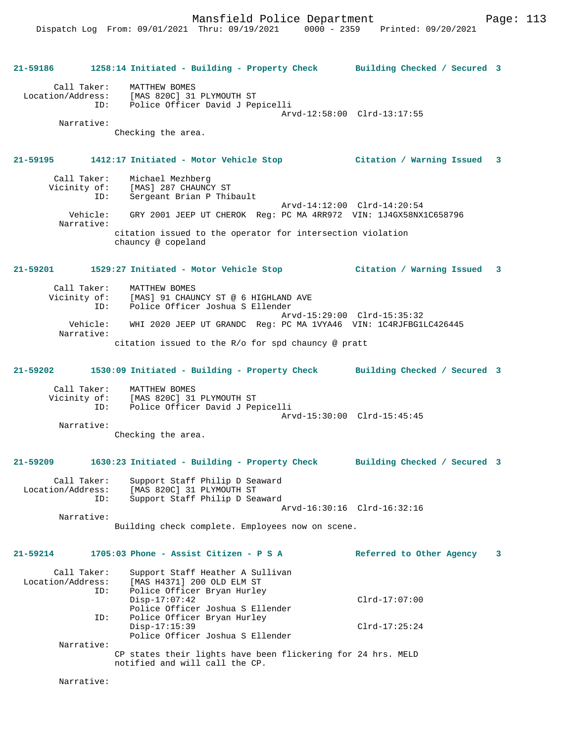**21-59186 1258:14 Initiated - Building - Property Check Building Checked / Secured 3** Call Taker: MATTHEW BOMES Location/Address: [MAS 820C] 31 PLYMOUTH ST Police Officer David J Pepicelli Arvd-12:58:00 Clrd-13:17:55 Narrative: Checking the area. **21-59195 1412:17 Initiated - Motor Vehicle Stop Citation / Warning Issued 3** Call Taker: Michael Mezhberg<br>Vicinity of: [MAS] 287 CHAUNC [MAS] 287 CHAUNCY ST ID: Sergeant Brian P Thibault Arvd-14:12:00 Clrd-14:20:54 Vehicle: GRY 2001 JEEP UT CHEROK Reg: PC MA 4RR972 VIN: 1J4GX58NX1C658796 Narrative: citation issued to the operator for intersection violation chauncy @ copeland **21-59201 1529:27 Initiated - Motor Vehicle Stop Citation / Warning Issued 3** Call Taker: MATTHEW BOMES Vicinity of: [MAS] 91 CHAUNCY ST @ 6 HIGHLAND AVE ID: Police Officer Joshua S Ellender Arvd-15:29:00 Clrd-15:35:32<br>Vehicle: WHI 2020 JEEP UT GRANDC Reg: PC MA 1VYA46 VIN: 1C4RJEBG11 WHI 2020 JEEP UT GRANDC Reg: PC MA 1VYA46 VIN: 1C4RJFBG1LC426445 Narrative: citation issued to the R/o for spd chauncy @ pratt **21-59202 1530:09 Initiated - Building - Property Check Building Checked / Secured 3** Call Taker: MATTHEW BOMES<br>Vicinity of: [MAS 820C] 31 of: [MAS 820C] 31 PLYMOUTH ST<br>ID: Police Officer David J Per Police Officer David J Pepicelli Arvd-15:30:00 Clrd-15:45:45 Narrative: Checking the area. **21-59209 1630:23 Initiated - Building - Property Check Building Checked / Secured 3** Call Taker: Support Staff Philip D Seaward<br>Location/Address: [MAS 820C] 31 PLYMOUTH ST ess: [MAS 820C] 31 PLYMOUTH ST<br>ID: Support Staff Philip D Sea Support Staff Philip D Seaward Arvd-16:30:16 Clrd-16:32:16 Narrative: Building check complete. Employees now on scene. **21-59214 1705:03 Phone - Assist Citizen - P S A Referred to Other Agency 3** Call Taker: Support Staff Heather A Sullivan<br>Location/Address: [MAS H4371] 200 OLD ELM ST [MAS H4371] 200 OLD ELM ST ID: Police Officer Bryan Hurley<br>Disp-17:07:42 Disp-17:07:42 Clrd-17:07:00 Police Officer Joshua S Ellender<br>ID: Police Officer Bryan Hurley Police Officer Bryan Hurley<br>Disp-17:15:39 Disp-17:15:39 Clrd-17:25:24 Police Officer Joshua S Ellender Narrative: CP states their lights have been flickering for 24 hrs. MELD notified and will call the CP.

Narrative: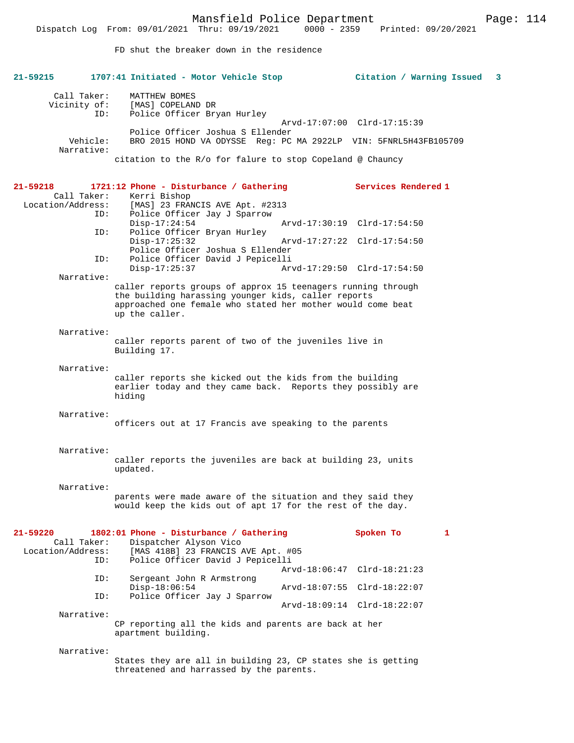FD shut the breaker down in the residence

| 21-59215          |                             | 1707:41 Initiated - Motor Vehicle Stop                                                                              | Citation / Warning Issued   | -3 |
|-------------------|-----------------------------|---------------------------------------------------------------------------------------------------------------------|-----------------------------|----|
|                   | Call Taker:<br>Vicinity of: | MATTHEW BOMES<br>[MAS] COPELAND DR                                                                                  |                             |    |
|                   | ID:                         | Police Officer Bryan Hurley                                                                                         | Arvd-17:07:00 Clrd-17:15:39 |    |
|                   |                             | Police Officer Joshua S Ellender                                                                                    |                             |    |
|                   | Vehicle:<br>Narrative:      | BRO 2015 HOND VA ODYSSE Reg: PC MA 2922LP VIN: 5FNRL5H43FB105709                                                    |                             |    |
|                   |                             | citation to the R/o for falure to stop Copeland @ Chauncy                                                           |                             |    |
| 21-59218          |                             | 1721:12 Phone - Disturbance / Gathering                                                                             | <b>Services Rendered 1</b>  |    |
| Location/Address: | Call Taker:                 | Kerri Bishop                                                                                                        |                             |    |
|                   | ID:                         | [MAS] 23 FRANCIS AVE Apt. #2313<br>Police Officer Jay J Sparrow                                                     |                             |    |
|                   |                             | $Disp-17:24:54$                                                                                                     | Arvd-17:30:19 Clrd-17:54:50 |    |
|                   | ID:                         | Police Officer Bryan Hurley<br>$Disp-17:25:32$                                                                      | Arvd-17:27:22 Clrd-17:54:50 |    |
|                   |                             | Police Officer Joshua S Ellender                                                                                    |                             |    |
|                   | ID:                         | Police Officer David J Pepicelli<br>Disp-17:25:37                                                                   | Arvd-17:29:50 Clrd-17:54:50 |    |
|                   | Narrative:                  |                                                                                                                     |                             |    |
|                   |                             | caller reports groups of approx 15 teenagers running through<br>the building harassing younger kids, caller reports |                             |    |
|                   |                             | approached one female who stated her mother would come beat                                                         |                             |    |
|                   |                             | up the caller.                                                                                                      |                             |    |
|                   | Narrative:                  |                                                                                                                     |                             |    |
|                   |                             | caller reports parent of two of the juveniles live in<br>Building 17.                                               |                             |    |
|                   |                             |                                                                                                                     |                             |    |
|                   | Narrative:                  | caller reports she kicked out the kids from the building                                                            |                             |    |
|                   |                             | earlier today and they came back. Reports they possibly are                                                         |                             |    |
|                   |                             | hiding                                                                                                              |                             |    |
|                   | Narrative:                  |                                                                                                                     |                             |    |
|                   |                             | officers out at 17 Francis ave speaking to the parents                                                              |                             |    |
|                   |                             |                                                                                                                     |                             |    |
|                   | Narrative:                  | caller reports the juveniles are back at building 23, units                                                         |                             |    |
|                   |                             | updated.                                                                                                            |                             |    |
|                   | Narrative:                  |                                                                                                                     |                             |    |
|                   |                             | parents were made aware of the situation and they said they                                                         |                             |    |
|                   |                             | would keep the kids out of apt 17 for the rest of the day.                                                          |                             |    |
|                   |                             |                                                                                                                     |                             |    |
| 21-59220          | Call Taker:                 | 1802:01 Phone - Disturbance / Gathering<br>Dispatcher Alyson Vico                                                   | Spoken To<br>$\mathbf{1}$   |    |
| Location/Address: |                             | [MAS 418B] 23 FRANCIS AVE Apt. #05                                                                                  |                             |    |
|                   | ID:                         | Police Officer David J Pepicelli                                                                                    |                             |    |
|                   | ID:                         | Sergeant John R Armstrong                                                                                           | Arvd-18:06:47 Clrd-18:21:23 |    |
|                   |                             | $Disp-18:06:54$                                                                                                     | Arvd-18:07:55 Clrd-18:22:07 |    |
|                   | ID:                         | Police Officer Jay J Sparrow                                                                                        | Arvd-18:09:14 Clrd-18:22:07 |    |
|                   | Narrative:                  |                                                                                                                     |                             |    |
|                   |                             | CP reporting all the kids and parents are back at her<br>apartment building.                                        |                             |    |
|                   | Narrative:                  |                                                                                                                     |                             |    |
|                   |                             | States they are all in building 23, CP states she is getting                                                        |                             |    |
|                   |                             | threatened and harrassed by the parents.                                                                            |                             |    |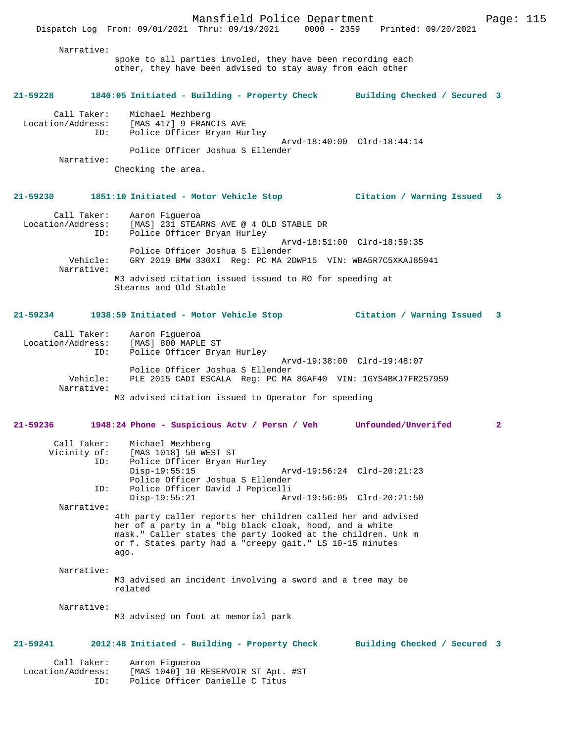# Dispatch Log From: 09/01/2021 Thru: 09/19/2021 0000 - 2359 Printed: 09/20/2021 Narrative: spoke to all parties involed, they have been recording each other, they have been advised to stay away from each other

#### **21-59228 1840:05 Initiated - Building - Property Check Building Checked / Secured 3**

| Call Taker:       | Michael Mezhberg                 |  |
|-------------------|----------------------------------|--|
| Location/Address: | [MAS 417] 9 FRANCIS AVE          |  |
| ID:               | Police Officer Bryan Hurley      |  |
|                   | Arvd-18:40:00 Clrd-18:44:14      |  |
|                   | Police Officer Joshua S Ellender |  |
| Narrative:        |                                  |  |

Checking the area.

## **21-59230 1851:10 Initiated - Motor Vehicle Stop Citation / Warning Issued 3**

| Call Taker:<br>Location/Address:<br>ID: | Aaron Fiqueroa<br>[MAS] 231 STEARNS AVE @ 4 OLD STABLE DR<br>Police Officer Bryan Hurley |
|-----------------------------------------|------------------------------------------------------------------------------------------|
|                                         | Arvd-18:51:00 Clrd-18:59:35                                                              |
|                                         | Police Officer Joshua S Ellender                                                         |
| Vehicle:                                | GRY 2019 BMW 330XI Reg: PC MA 2DWP15 VIN: WBA5R7C5XKAJ85941                              |
| Narrative:                              |                                                                                          |
|                                         | M3 advised citation issued issued to RO for speeding at                                  |
|                                         | Stearns and Old Stable                                                                   |

## **21-59234 1938:59 Initiated - Motor Vehicle Stop Citation / Warning Issued 3**

| Call Taker:       | Aaron Fiqueroa                                                |
|-------------------|---------------------------------------------------------------|
| Location/Address: | [MAS] 800 MAPLE ST                                            |
| ID:               | Police Officer Bryan Hurley                                   |
|                   | Arvd-19:38:00 Clrd-19:48:07                                   |
|                   | Police Officer Joshua S Ellender                              |
| Vehicle:          | PLE 2015 CADI ESCALA Req: PC MA 8GAF40 VIN: 1GYS4BKJ7FR257959 |
| Narrative:        |                                                               |
|                   | M3 advised citation issued to Operator for speeding           |

## **21-59236 1948:24 Phone - Suspicious Actv / Persn / Veh Unfounded/Unverifed 2**

| Call Taker:  | Michael Mezhberg                                        |                                                              |  |  |  |
|--------------|---------------------------------------------------------|--------------------------------------------------------------|--|--|--|
| Vicinity of: | [MAS 1018] 50 WEST ST                                   |                                                              |  |  |  |
| ID:          | Police Officer Bryan Hurley                             |                                                              |  |  |  |
|              | $Disp-19:55:15$                                         | Arvd-19:56:24 Clrd-20:21:23                                  |  |  |  |
|              | Police Officer Joshua S Ellender                        |                                                              |  |  |  |
| ID:          | Police Officer David J Pepicelli                        |                                                              |  |  |  |
|              | $Disp-19:55:21$                                         | Arvd-19:56:05 Clrd-20:21:50                                  |  |  |  |
| Narrative:   |                                                         |                                                              |  |  |  |
|              |                                                         | 4th party caller reports her children called her and advised |  |  |  |
|              | her of a party in a "big black cloak, hood, and a white |                                                              |  |  |  |
|              |                                                         | mask." Caller states the party looked at the children. Unk m |  |  |  |
|              |                                                         | or f. States party had a "creepy gait." LS 10-15 minutes     |  |  |  |
|              | ago.                                                    |                                                              |  |  |  |

#### Narrative:

M3 advised an incident involving a sword and a tree may be related

Narrative:

M3 advised on foot at memorial park

## **21-59241 2012:48 Initiated - Building - Property Check Building Checked / Secured 3**

 Call Taker: Aaron Figueroa Location/Address: [MAS 1040] 10 RESERVOIR ST Apt. #ST ID: Police Officer Danielle C Titus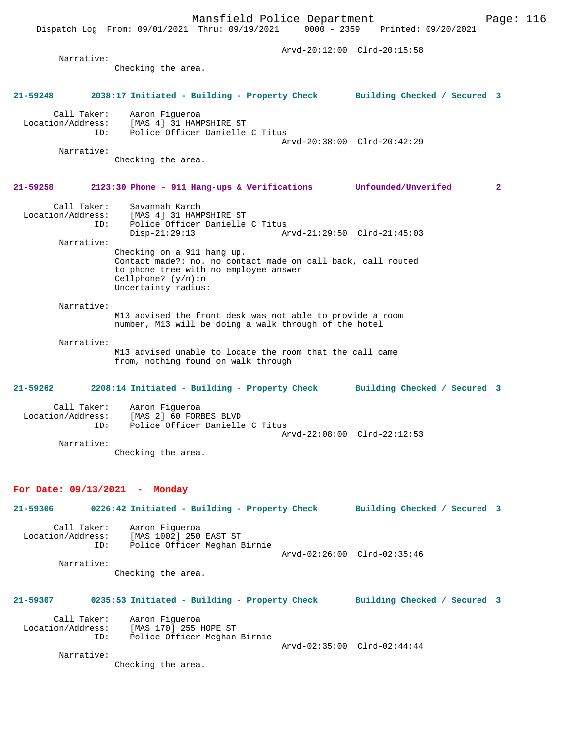Dispatch Log From: 09/01/2021 Thru: 09/19/2021 0000 - 2359 Printed: 09/20/2021 Arvd-20:12:00 Clrd-20:15:58 Narrative: Checking the area. **21-59248 2038:17 Initiated - Building - Property Check Building Checked / Secured 3** Call Taker: Aaron Figueroa Location/Address: [MAS 4] 31 HAMPSHIRE ST ID: Police Officer Danielle C Titus Arvd-20:38:00 Clrd-20:42:29 Narrative: Checking the area. **21-59258 2123:30 Phone - 911 Hang-ups & Verifications Unfounded/Unverifed 2** Call Taker: Savannah Karch Location/Address: [MAS 4] 31 HAMPSHIRE ST ID: Police Officer Danielle C Titus<br>Disp-21:29:13 A Disp-21:29:13 Arvd-21:29:50 Clrd-21:45:03 Narrative: Checking on a 911 hang up. Contact made?: no. no contact made on call back, call routed to phone tree with no employee answer Cellphone? (y/n):n Uncertainty radius: Narrative: M13 advised the front desk was not able to provide a room number, M13 will be doing a walk through of the hotel Narrative: M13 advised unable to locate the room that the call came from, nothing found on walk through **21-59262 2208:14 Initiated - Building - Property Check Building Checked / Secured 3** Call Taker: Aaron Figueroa<br>Location/Address: [MAS 2] 60 FORI Location/Address: [MAS 2] 60 FORBES BLVD ID: Police Officer Danielle C Titus Arvd-22:08:00 Clrd-22:12:53 Narrative: Checking the area. **For Date: 09/13/2021 - Monday 21-59306 0226:42 Initiated - Building - Property Check Building Checked / Secured 3** Call Taker: Aaron Figueroa Location/Address: [MAS 1002] 250 EAST ST Police Officer Meghan Birnie Arvd-02:26:00 Clrd-02:35:46 Narrative: Checking the area. **21-59307 0235:53 Initiated - Building - Property Check Building Checked / Secured 3** Call Taker: Aaron Figueroa<br>Location/Address: [MAS 170] 255 1 [MAS 170] 255 HOPE ST ID: Police Officer Meghan Birnie Arvd-02:35:00 Clrd-02:44:44 Narrative: Checking the area.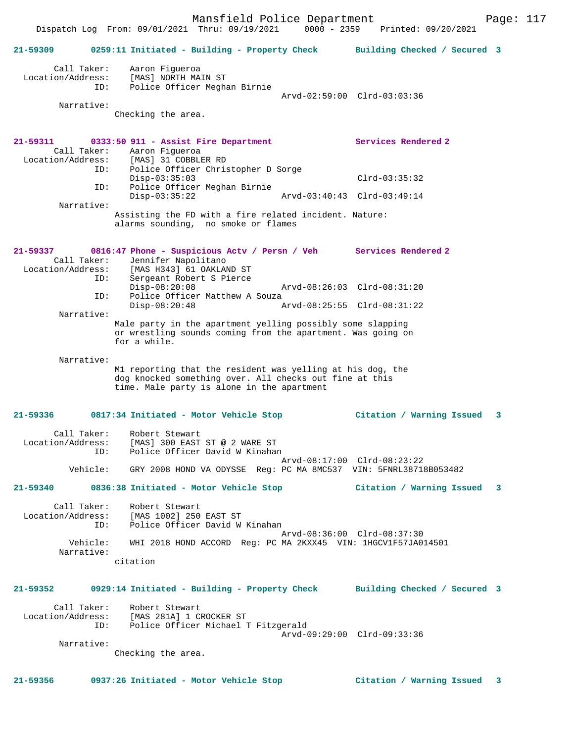|                                                       | Dispatch Log From: 09/01/2021 Thru: 09/19/2021<br>$0000 - 2359$                                                                                                     | Printed: 09/20/2021          |  |
|-------------------------------------------------------|---------------------------------------------------------------------------------------------------------------------------------------------------------------------|------------------------------|--|
| $21 - 59309$                                          | 0259:11 Initiated - Building - Property Check                                                                                                                       | Building Checked / Secured 3 |  |
| Call Taker:<br>Location/Address:<br>ID:<br>Narrative: | Aaron Fiqueroa<br>[MAS] NORTH MAIN ST<br>Police Officer Meghan Birnie                                                                                               | Arvd-02:59:00 Clrd-03:03:36  |  |
|                                                       | Checking the area.                                                                                                                                                  |                              |  |
|                                                       |                                                                                                                                                                     |                              |  |
| 21-59311<br>Call Taker:<br>Location/Address:<br>ID:   | 0333:50 911 - Assist Fire Department<br>Aaron Figueroa<br>[MAS] 31 COBBLER RD<br>Police Officer Christopher D Sorge                                                 | Services Rendered 2          |  |
| ID:                                                   | $Disp-03:35:03$<br>Police Officer Meghan Birnie                                                                                                                     | $Clrd-03:35:32$              |  |
| Narrative:                                            | $Disp-03:35:22$                                                                                                                                                     | Arvd-03:40:43 Clrd-03:49:14  |  |
|                                                       | Assisting the FD with a fire related incident. Nature:<br>alarms sounding, no smoke or flames                                                                       |                              |  |
| $21 - 59337$<br>Call Taker:<br>Location/Address:      | 0816:47 Phone - Suspicious Actv / Persn / Veh Services Rendered 2<br>Jennifer Napolitano<br>[MAS H343] 61 OAKLAND ST                                                |                              |  |
| ID:                                                   | Sergeant Robert S Pierce<br>$Disp-08:20:08$                                                                                                                         | Arvd-08:26:03 Clrd-08:31:20  |  |
| ID:                                                   | Police Officer Matthew A Souza<br>$Disp-08:20:48$                                                                                                                   | Arvd-08:25:55 Clrd-08:31:22  |  |
| Narrative:                                            | Male party in the apartment yelling possibly some slapping                                                                                                          |                              |  |
|                                                       | or wrestling sounds coming from the apartment. Was going on<br>for a while.                                                                                         |                              |  |
| Narrative:                                            | M1 reporting that the resident was yelling at his dog, the<br>dog knocked something over. All checks out fine at this<br>time. Male party is alone in the apartment |                              |  |
| 21-59336                                              | 0817:34 Initiated - Motor Vehicle Stop                                                                                                                              | Citation / Warning Issued 3  |  |
| Call Taker:<br>Location/Address:<br>ID:               | Robert Stewart<br>[MAS] 300 EAST ST @ 2 WARE ST<br>Police Officer David W Kinahan                                                                                   |                              |  |
| Vehicle:                                              | GRY 2008 HOND VA ODYSSE Reg: PC MA 8MC537 VIN: 5FNRL38718B053482                                                                                                    | Arvd-08:17:00 Clrd-08:23:22  |  |
|                                                       | 21-59340 0836:38 Initiated - Motor Vehicle Stop                                                                                                                     | Citation / Warning Issued 3  |  |
| Location/Address:<br>ID:                              | Call Taker: Robert Stewart<br>[MAS 1002] 250 EAST ST<br>Police Officer David W Kinahan                                                                              |                              |  |
| Narrative:                                            | Vehicle: WHI 2018 HOND ACCORD Req: PC MA 2KXX45 VIN: 1HGCV1F57JA014501                                                                                              | Arvd-08:36:00 Clrd-08:37:30  |  |
|                                                       | citation                                                                                                                                                            |                              |  |
| 21-59352                                              | 0929:14 Initiated - Building - Property Check Building Checked / Secured 3                                                                                          |                              |  |
| Location/Address:<br>ID:                              | Call Taker: Robert Stewart<br>[MAS 281A] 1 CROCKER ST<br>Police Officer Michael T Fitzgerald                                                                        |                              |  |
| Narrative:                                            |                                                                                                                                                                     | Arvd-09:29:00 Clrd-09:33:36  |  |
|                                                       | Checking the area.                                                                                                                                                  |                              |  |
| 21-59356                                              | 0937:26 Initiated - Motor Vehicle Stop                                                                                                                              | Citation / Warning Issued 3  |  |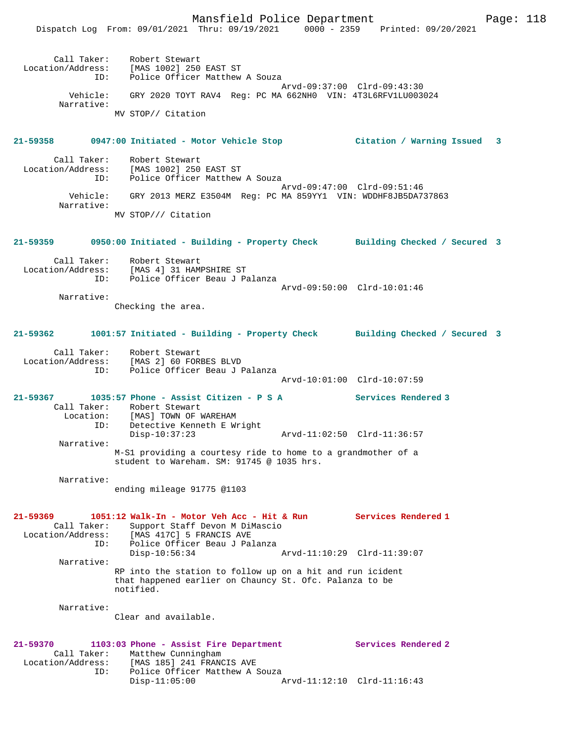|                                              | Dispatch Log From: 09/01/2021 Thru: 09/19/2021 0000 - 2359 Printed: 09/20/2021                                                                                            |                             |  |
|----------------------------------------------|---------------------------------------------------------------------------------------------------------------------------------------------------------------------------|-----------------------------|--|
|                                              | Call Taker: Robert Stewart<br>Location/Address: [MAS 1002] 250 EAST ST<br>ID: Police Officer Matthew A Souza                                                              | Arvd-09:37:00 Clrd-09:43:30 |  |
| Vehicle:<br>Narrative:                       | GRY 2020 TOYT RAV4 Reg: PC MA 662NH0 VIN: 4T3L6RFV1LU003024                                                                                                               |                             |  |
|                                              | MV STOP// Citation                                                                                                                                                        |                             |  |
|                                              | 21-59358 0947:00 Initiated - Motor Vehicle Stop               Citation / Warning Issued   3                                                                               |                             |  |
|                                              | Call Taker: Robert Stewart<br>Location/Address: [MAS 1002] 250 EAST ST<br>ID: Police Officer Matthew A Souza                                                              |                             |  |
|                                              | Vehicle: GRY 2013 MERZ E3504M Reg: PC MA 859YY1 VIN: WDDHF8JB5DA737863                                                                                                    | Arvd-09:47:00 Clrd-09:51:46 |  |
| Narrative:                                   | MV STOP/// Citation                                                                                                                                                       |                             |  |
|                                              | 21-59359 0950:00 Initiated - Building - Property Check Building Checked / Secured 3                                                                                       |                             |  |
|                                              | Call Taker: Robert Stewart<br>Location/Address: [MAS 4] 31 HAMPSHIRE ST<br>ID: Police Officer Beau J Palanza                                                              |                             |  |
|                                              |                                                                                                                                                                           | Arvd-09:50:00 Clrd-10:01:46 |  |
| Narrative:                                   | Checking the area.                                                                                                                                                        |                             |  |
|                                              | 21-59362 1001:57 Initiated - Building - Property Check Building Checked / Secured 3                                                                                       |                             |  |
|                                              | Call Taker: Robert Stewart<br>Location/Address: [MAS 2] 60 FORBES BLVD<br>ID: Police Officer Beau J Palanza                                                               |                             |  |
|                                              |                                                                                                                                                                           | Arvd-10:01:00 Clrd-10:07:59 |  |
|                                              | 21-59367 1035:57 Phone - Assist Citizen - P S A Services Rendered 3<br>Call Taker: Robert Stewart<br>Location: [MAS] TOWN OF WAREHAM<br>Detective Kenneth E Wright<br>ID: |                             |  |
| Narrative:                                   | $Disp-10:37:23$                                                                                                                                                           |                             |  |
|                                              | M-S1 providing a courtesy ride to home to a grandmother of a<br>student to Wareham. SM: 91745 @ 1035 hrs.                                                                 |                             |  |
| Narrative:                                   | ending mileage 91775 @1103                                                                                                                                                |                             |  |
| 21-59369<br>Call Taker:<br>Location/Address: | 1051:12 Walk-In - Motor Veh Acc - Hit & Run<br>Support Staff Devon M DiMascio<br>[MAS 417C] 5 FRANCIS AVE<br>Police Officer Beau J Palanza<br>ID:                         | Services Rendered 1         |  |
| Narrative:                                   | $Disp-10:56:34$                                                                                                                                                           | Arvd-11:10:29 Clrd-11:39:07 |  |
|                                              | RP into the station to follow up on a hit and run icident<br>that happened earlier on Chauncy St. Ofc. Palanza to be<br>notified.                                         |                             |  |
| Narrative:                                   | Clear and available.                                                                                                                                                      |                             |  |
| 21-59370<br>Location/Address:                | 1103:03 Phone - Assist Fire Department<br>Call Taker: Matthew Cunningham<br>[MAS 185] 241 FRANCIS AVE                                                                     | Services Rendered 2         |  |
|                                              | Police Officer Matthew A Souza<br>ID:<br>$Disp-11:05:00$                                                                                                                  | Arvd-11:12:10 Clrd-11:16:43 |  |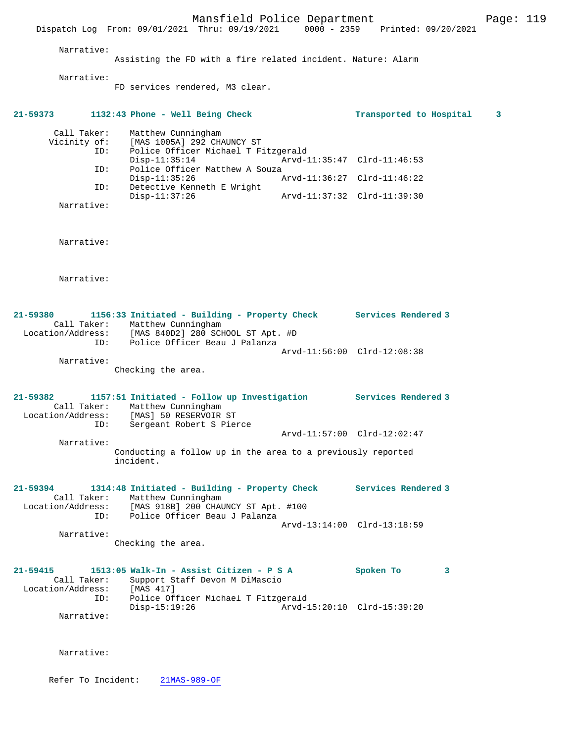Mansfield Police Department Page: 119 Dispatch Log From: 09/01/2021 Thru: 09/19/2021 0000 - 2359 Printed: 09/20/2021 Narrative: Assisting the FD with a fire related incident. Nature: Alarm Narrative: FD services rendered, M3 clear. **21-59373 1132:43 Phone - Well Being Check Transported to Hospital 3** Call Taker: Matthew Cunningham Vicinity of: [MAS 1005A] 292 CHAUNCY ST ID: Police Officer Michael T Fitzgerald Disp-11:35:14 Arvd-11:35:47 Clrd-11:46:53<br>ID: Police Officer Matthew A Souza Police Officer Matthew A Souza<br>Disp-11:35:26 Disp-11:35:26 Arvd-11:36:27 Clrd-11:46:22<br>ID: Detective Kenneth E Wright Detective Kenneth E Wright<br>Disp-11:37:26 Disp-11:37:26 Arvd-11:37:32 Clrd-11:39:30 Narrative: Narrative: Narrative: **21-59380 1156:33 Initiated - Building - Property Check Services Rendered 3**  Call Taker: Matthew Cunningham Location/Address: [MAS 840D2] 280 SCHOOL ST Apt. #D ID: Police Officer Beau J Palanza Arvd-11:56:00 Clrd-12:08:38 Narrative: Checking the area. **21-59382 1157:51 Initiated - Follow up Investigation Services Rendered 3**  Call Taker: Matthew Cunningham<br>Location/Address: [MAS] 50 RESERVOIR Location/Address: [MAS] 50 RESERVOIR ST ID: Sergeant Robert S Pierce Arvd-11:57:00 Clrd-12:02:47 Narrative: Conducting a follow up in the area to a previously reported incident. **21-59394 1314:48 Initiated - Building - Property Check Services Rendered 3**  Call Taker: Matthew Cunningham Location/Address: [MAS 918B] 200 CHAUNCY ST Apt. #100 ID: Police Officer Beau J Palanza Arvd-13:14:00 Clrd-13:18:59 Narrative: Checking the area. **21-59415 1513:05 Walk-In - Assist Citizen - P S A Spoken To 3**  Call Taker: Support Staff Devon M DiMascio<br>ion/Address: [MAS 417] Location/Address:<br>ID: Police Officer Michael T Fitzgerald<br>Disp-15:19:26 Arvd-1 Disp-15:19:26 Arvd-15:20:10 Clrd-15:39:20 Narrative:

Narrative:

Refer To Incident: 21MAS-989-OF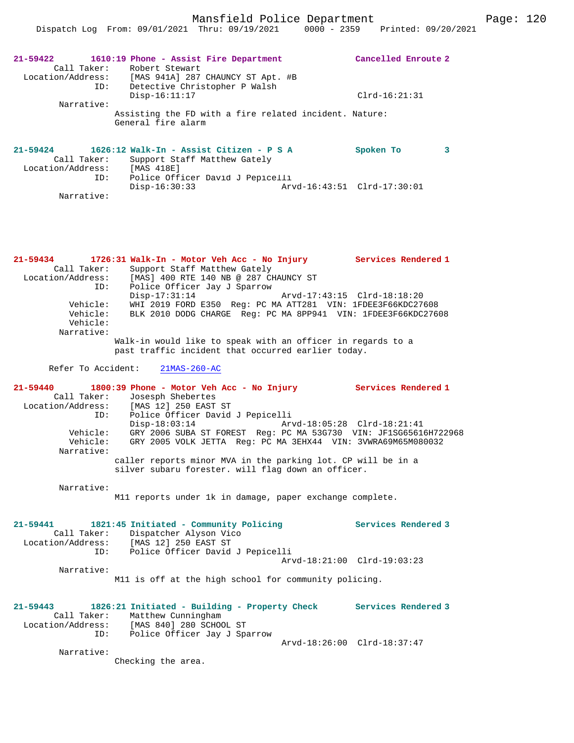| ID:                                                | 21-59422 1610:19 Phone - Assist Fire Department<br>Call Taker: Robert Stewart<br>Location/Address: [MAS 941A] 287 CHAUNCY ST Apt. #B                                 | Cancelled Enroute 2         |  |
|----------------------------------------------------|----------------------------------------------------------------------------------------------------------------------------------------------------------------------|-----------------------------|--|
|                                                    | Detective Christopher P Walsh<br>$Disp-16:11:17$                                                                                                                     | $Clrd-16:21:31$             |  |
| Narrative:                                         |                                                                                                                                                                      |                             |  |
|                                                    | Assisting the FD with a fire related incident. Nature:<br>General fire alarm                                                                                         |                             |  |
| Call Taker:<br>Location/Address: [MAS 418E]<br>ID: | $21-59424$ 1626:12 Walk-In - Assist Citizen - P S A<br>Support Staff Matthew Gately<br>Police Officer David J Pepicelli                                              | Spoken To<br>3              |  |
| Narrative:                                         | $Disp-16:30:33$                                                                                                                                                      | Arvd-16:43:51 Clrd-17:30:01 |  |
|                                                    | 21-59434 1726:31 Walk-In - Motor Veh Acc - No Injury                                                                                                                 | <b>Services Rendered 1</b>  |  |
| Call Taker:<br>ID:                                 | Support Staff Matthew Gately<br>Location/Address: [MAS] 400 RTE 140 NB @ 287 CHAUNCY ST<br>Police Officer Jay J Sparrow<br>Disp-17:31:14 Arvd-17:43:15 Clrd-18:18:20 |                             |  |
| Vehicle:<br>Vehicle:<br>Vehicle:<br>Narrative:     | WHI 2019 FORD E350 Req: PC MA ATT281 VIN: 1FDEE3F66KDC27608<br>BLK 2010 DODG CHARGE Req: PC MA 8PP941 VIN: 1FDEE3F66KDC27608                                         |                             |  |
|                                                    | the set of the set of the set of the set of the set of the set of the set of the set of the set of the set of t                                                      |                             |  |

Walk-in would like to speak with an officer in regards to a past traffic incident that occurred earlier today.

Refer To Accident: 21MAS-260-AC

**21-59440 1800:39 Phone - Motor Veh Acc - No Injury Services Rendered 1**  Call Taker: Josesph Shebertes<br>Location/Address: [MAS 12] 250 EAST Location/Address: [MAS 12] 250 EAST ST ID: Police Officer David J Pepicelli Disp-18:03:14 Arvd-18:05:28 Clrd-18:21:41 Vehicle: GRY 2006 SUBA ST FOREST Reg: PC MA 53G730 VIN: JF1SG65616H722968 Vehicle: GRY 2005 VOLK JETTA Reg: PC MA 3EHX44 VIN: 3VWRA69M65M080032 Narrative: caller reports minor MVA in the parking lot. CP will be in a silver subaru forester. will flag down an officer.

Narrative:

M11 reports under 1k in damage, paper exchange complete.

| 21-59441          |            | 1821:45 Initiated - Community Policing | Services Rendered 3 |
|-------------------|------------|----------------------------------------|---------------------|
|                   |            | Call Taker: Dispatcher Alyson Vico     |                     |
| Location/Address: |            | [MAS 12] 250 EAST ST                   |                     |
|                   | ID:        | Police Officer David J Pepicelli       |                     |
|                   |            | Arvd-18:21:00 Clrd-19:03:23            |                     |
|                   | Narrative: |                                        |                     |

M11 is off at the high school for community policing.

**21-59443 1826:21 Initiated - Building - Property Check Services Rendered 3**  Call Taker: Matthew Cunningham<br>Location/Address: [MAS 840] 280 SCHO ess: [MAS 840] 280 SCHOOL ST<br>ID: Police Officer Jay J Spa Police Officer Jay J Sparrow Arvd-18:26:00 Clrd-18:37:47 Narrative: Checking the area.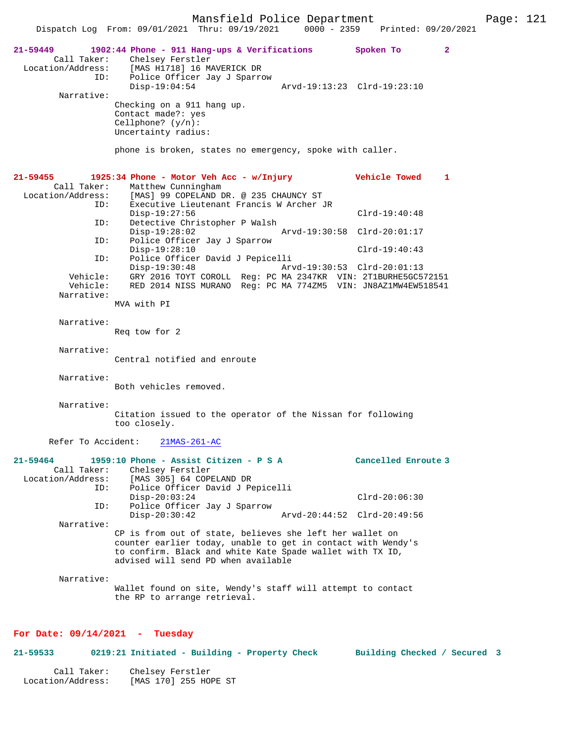Mansfield Police Department Page: 121 Dispatch Log From: 09/01/2021 Thru: 09/19/2021 **21-59449 1902:44 Phone - 911 Hang-ups & Verifications Spoken To 2**  Call Taker: Chelsey Ferstler Location/Address: [MAS H1718] 16 MAVERICK DR ID: Police Officer Jay J Sparrow Arvd-19:13:23 Clrd-19:23:10 Narrative: Checking on a 911 hang up. Contact made?: yes Cellphone? (y/n): Uncertainty radius: phone is broken, states no emergency, spoke with caller. **21-59455 1925:34 Phone - Motor Veh Acc - w/Injury Vehicle Towed 1**  Call Taker: Matthew Cunningham<br>Location/Address: [MAS] 99 COPELAND I ess: [MAS] 99 COPELAND DR. @ 235 CHAUNCY ST<br>ID: Executive Lieutenant Francis W Archer J Executive Lieutenant Francis W Archer JR Disp-19:27:56 Clrd-19:40:48 ID: Detective Christopher P Walsh Disp-19:28:02 Arvd-19:30:58 Clrd-20:01:17 ID: Police Officer Jay J Sparrow Disp-19:28:10 Clrd-19:40:43 ID: Police Officer David J Pepicelli<br>Disp-19:30:48 Art Disp-19:30:48 Arvd-19:30:53 Clrd-20:01:13<br>Vehicle: GRY 2016 TOYT COROLL Reg: PC MA 2347KR VIN: 2T1BURHE5GC5 GRY 2016 TOYT COROLL Reg: PC MA 2347KR VIN: 2T1BURHE5GC572151 Vehicle: RED 2014 NISS MURANO Reg: PC MA 774ZM5 VIN: JN8AZ1MW4EW518541 Narrative: MVA with PI Narrative: Req tow for 2 Narrative: Central notified and enroute Narrative: Both vehicles removed. Narrative: Citation issued to the operator of the Nissan for following too closely. Refer To Accident: 21MAS-261-AC **21-59464 1959:10 Phone - Assist Citizen - P S A Cancelled Enroute 3**  Call Taker: Chelsey Ferstler Location/Address: [MAS 305] 64 COPELAND DR ID: Police Officer David J Pepicelli Disp-20:03:24 Clrd-20:06:30<br>ID: Police Officer Jay J Sparrow Police Officer Jay J Sparrow<br>Disp-20:30:42 Disp-20:30:42 Arvd-20:44:52 Clrd-20:49:56 Narrative: CP is from out of state, believes she left her wallet on counter earlier today, unable to get in contact with Wendy's to confirm. Black and white Kate Spade wallet with TX ID, advised will send PD when available Narrative: Wallet found on site, Wendy's staff will attempt to contact the RP to arrange retrieval.

## **For Date: 09/14/2021 - Tuesday**

**21-59533 0219:21 Initiated - Building - Property Check Building Checked / Secured 3** Call Taker: Chelsey Ferstler Location/Address: [MAS 170] 255 HOPE ST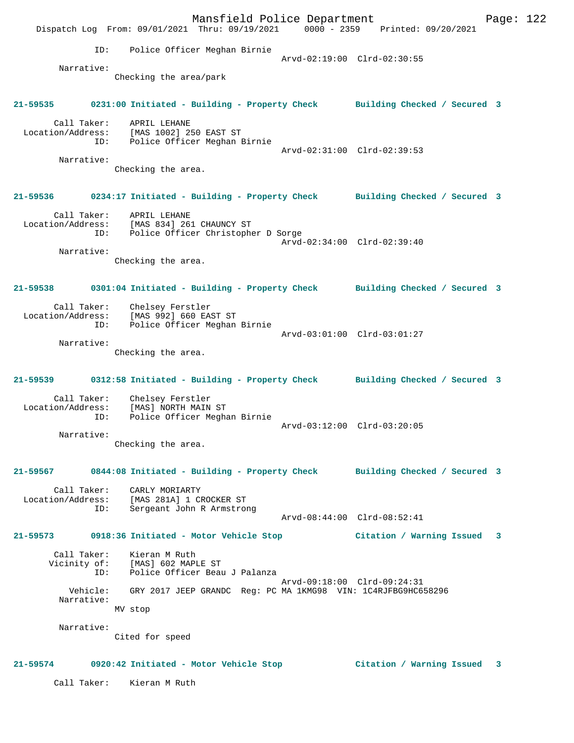Mansfield Police Department Fage: 122 Dispatch Log From: 09/01/2021 Thru: 09/19/2021 0000 - 2359 Printed: 09/20/2021 ID: Police Officer Meghan Birnie Arvd-02:19:00 Clrd-02:30:55 Narrative: Checking the area/park **21-59535 0231:00 Initiated - Building - Property Check Building Checked / Secured 3** Call Taker: APRIL LEHANE Location/Address: [MAS 1002] 250 EAST ST ID: Police Officer Meghan Birnie Arvd-02:31:00 Clrd-02:39:53 Narrative: Checking the area. **21-59536 0234:17 Initiated - Building - Property Check Building Checked / Secured 3** Call Taker: APRIL LEHANE Location/Address: [MAS 834] 261 CHAUNCY ST ID: Police Officer Christopher D Sorge Arvd-02:34:00 Clrd-02:39:40 Narrative: Checking the area. **21-59538 0301:04 Initiated - Building - Property Check Building Checked / Secured 3** Call Taker: Chelsey Ferstler Location/Address: [MAS 992] 660 EAST ST ID: Police Officer Meghan Birnie Arvd-03:01:00 Clrd-03:01:27 Narrative: Checking the area. **21-59539 0312:58 Initiated - Building - Property Check Building Checked / Secured 3** Call Taker: Chelsey Ferstler Location/Address: [MAS] NORTH MAIN ST ID: Police Officer Meghan Birnie Arvd-03:12:00 Clrd-03:20:05 Narrative: Checking the area. **21-59567 0844:08 Initiated - Building - Property Check Building Checked / Secured 3** Call Taker: CARLY MORIARTY Location/Address: [MAS 281A] 1 CROCKER ST ID: Sergeant John R Armstrong Arvd-08:44:00 Clrd-08:52:41 **21-59573 0918:36 Initiated - Motor Vehicle Stop Citation / Warning Issued 3** Call Taker: Kieran M Ruth<br>Vicinity of: [MAS] 602 MAP: [MAS] 602 MAPLE ST ID: Police Officer Beau J Palanza Arvd-09:18:00 Clrd-09:24:31 Vehicle: GRY 2017 JEEP GRANDC Reg: PC MA 1KMG98 VIN: 1C4RJFBG9HC658296 Narrative: MV stop Narrative: Cited for speed **21-59574 0920:42 Initiated - Motor Vehicle Stop Citation / Warning Issued 3** Call Taker: Kieran M Ruth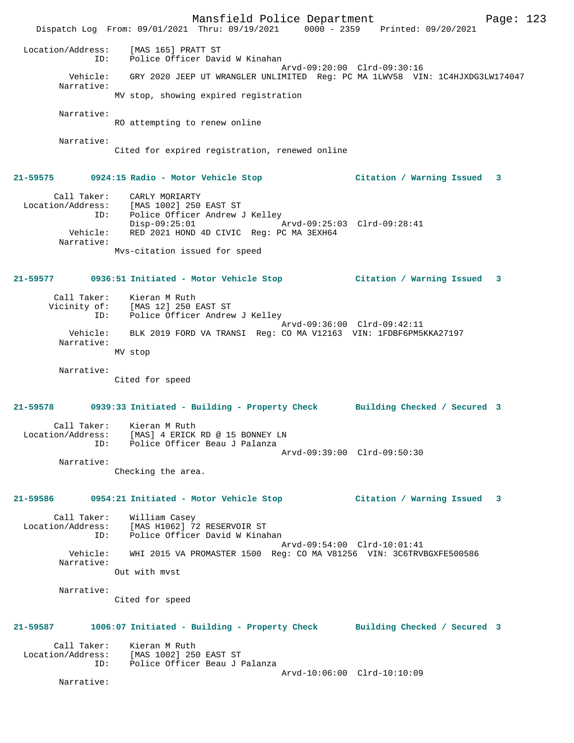Mansfield Police Department Page: 123 Dispatch Log From: 09/01/2021 Thru: 09/19/2021 0000 - 2359 Printed: 09/20/2021 Location/Address: [MAS 165] PRATT ST ID: Police Officer David W Kinahan Arvd-09:20:00 Clrd-09:30:16 Vehicle: GRY 2020 JEEP UT WRANGLER UNLIMITED Reg: PC MA 1LWV58 VIN: 1C4HJXDG3LW174047 Narrative: MV stop, showing expired registration Narrative: RO attempting to renew online Narrative: Cited for expired registration, renewed online **21-59575 0924:15 Radio - Motor Vehicle Stop Citation / Warning Issued 3** Call Taker: CARLY MORIARTY Location/Address: [MAS 1002] 250 EAST ST ID: Police Officer Andrew J Kelley Disp-09:25:01 <br>
Vehicle: RED 2021 HOND 4D CIVIC Reg: PC MA 3EXH64 RED 2021 HOND 4D CIVIC Reg: PC MA 3EXH64 Narrative: Mvs-citation issued for speed **21-59577 0936:51 Initiated - Motor Vehicle Stop Citation / Warning Issued 3** Call Taker: Kieran M Ruth<br>Vicinity of: The Co Vicinity of: [MAS 12] 250 EAST ST ID: Police Officer Andrew J Kelley Arvd-09:36:00 Clrd-09:42:11 Vehicle: BLK 2019 FORD VA TRANSI Reg: CO MA V12163 VIN: 1FDBF6PM5KKA27197 Narrative: MV stop Narrative: Cited for speed **21-59578 0939:33 Initiated - Building - Property Check Building Checked / Secured 3** Call Taker: Kieran M Ruth Location/Address: [MAS] 4 ERICK RD @ 15 BONNEY LN ID: Police Officer Beau J Palanza Arvd-09:39:00 Clrd-09:50:30 Narrative: Checking the area. **21-59586 0954:21 Initiated - Motor Vehicle Stop Citation / Warning Issued 3** Call Taker: William Casey Location/Address: [MAS H1062] 72 RESERVOIR ST<br>Th: Police Officer David W Kinak Police Officer David W Kinahan Arvd-09:54:00 Clrd-10:01:41<br>Vehicle: WHI 2015 VA PROMASTER 1500 Reg: CO MA V81256 VIN: 3C6TRVI WHI 2015 VA PROMASTER 1500 Reg: CO MA V81256 VIN: 3C6TRVBGXFE500586 Narrative: Out with mvst Narrative: Cited for speed **21-59587 1006:07 Initiated - Building - Property Check Building Checked / Secured 3** Call Taker: Kieran M Ruth<br>Location/Address: [MAS 1002] 250 ess: [MAS 1002] 250 EAST ST<br>ID: Police Officer Beau J I Police Officer Beau J Palanza Arvd-10:06:00 Clrd-10:10:09 Narrative: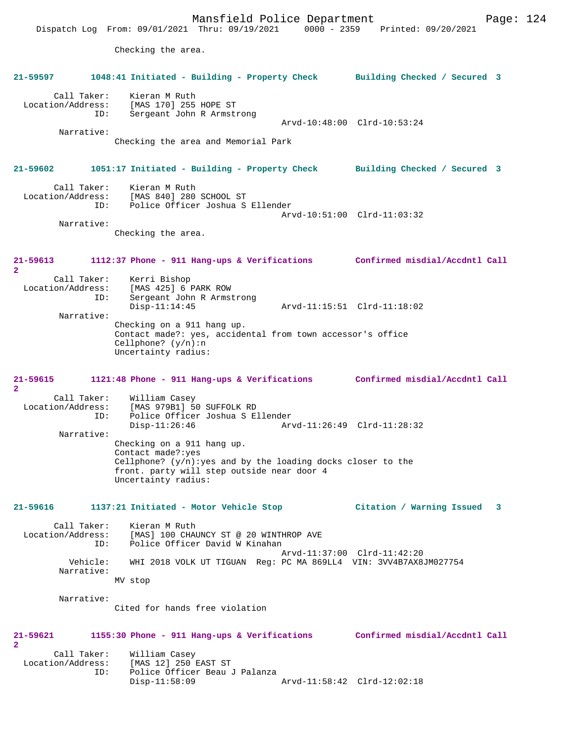Mansfield Police Department Fage: 124 Dispatch Log From: 09/01/2021 Thru: 09/19/2021 0000 - 2359 Printed: 09/20/2021 Checking the area. **21-59597 1048:41 Initiated - Building - Property Check Building Checked / Secured 3** Call Taker: Kieran M Ruth Location/Address: [MAS 170] 255 HOPE ST Sergeant John R Armstrong Arvd-10:48:00 Clrd-10:53:24 Narrative: Checking the area and Memorial Park **21-59602 1051:17 Initiated - Building - Property Check Building Checked / Secured 3** Call Taker: Kieran M Ruth<br>Location/Address: [MAS 840] 280 [MAS 840] 280 SCHOOL ST ID: Police Officer Joshua S Ellender Arvd-10:51:00 Clrd-11:03:32 Narrative: Checking the area. **21-59613 1112:37 Phone - 911 Hang-ups & Verifications Confirmed misdial/Accdntl Call 2**  Call Taker: Kerri Bishop<br>Location/Address: [MAS 425] 6 ess: [MAS 425] 6 PARK ROW<br>ID: Sergeant John R Armst Sergeant John R Armstrong Disp-11:14:45 Arvd-11:15:51 Clrd-11:18:02 Narrative: Checking on a 911 hang up. Contact made?: yes, accidental from town accessor's office Cellphone? (y/n):n Uncertainty radius: **21-59615 1121:48 Phone - 911 Hang-ups & Verifications Confirmed misdial/Accdntl Call 2**  Call Taker: William Casey<br>Location/Address: [MAS 979B1] 5 ess: [MAS 979B1] 50 SUFFOLK RD<br>ID: Police Officer Joshua S E. ID: Police Officer Joshua S Ellender Disp-11:26:46 Arvd-11:26:49 Clrd-11:28:32 Narrative: Checking on a 911 hang up. Contact made?:yes Cellphone?  $(y/n):$ yes and by the loading docks closer to the front. party will step outside near door 4 Uncertainty radius: **21-59616 1137:21 Initiated - Motor Vehicle Stop Citation / Warning Issued 3** Call Taker: Kieran M Ruth<br>Location/Address: [MAS] 100 CHA ess: [MAS] 100 CHAUNCY ST @ 20 WINTHROP AVE<br>ID: Police Officer David W Kinahan IMASI 100 CHACHOL 22 2<br>Police Officer David W Kinahan Arvd-11:37:00 Clrd-11:42:20<br>Vehicle: WHI 2018 VOLK UT TIGUAN Reg: PC MA 869LL4 VIN: 3VV4B7AX8 WHI 2018 VOLK UT TIGUAN Reg: PC MA 869LL4 VIN: 3VV4B7AX8JM027754 Narrative: MV stop Narrative: Cited for hands free violation **21-59621 1155:30 Phone - 911 Hang-ups & Verifications Confirmed misdial/Accdntl Call 2**  Call Taker: William Casey<br>Location/Address: [MAS 12] 250 1 [MAS 12] 250 EAST ST ID: Police Officer Beau J Palanza Disp-11:58:09 Arvd-11:58:42 Clrd-12:02:18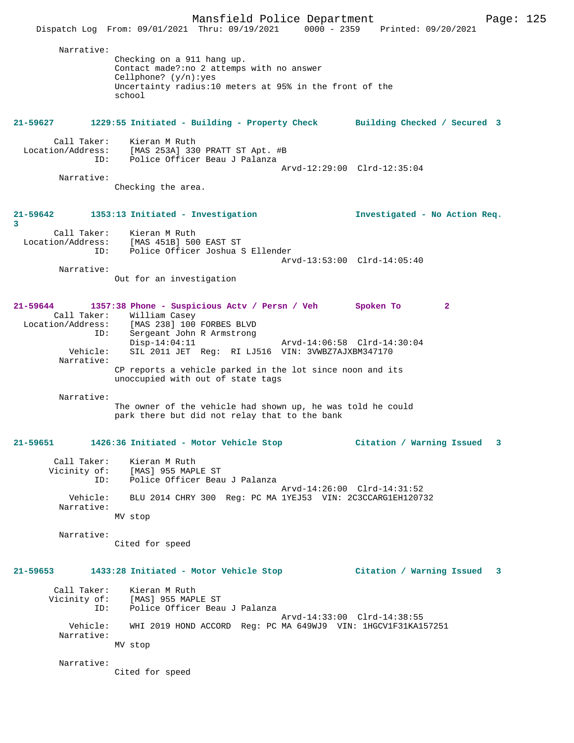Mansfield Police Department Page: 125 Dispatch Log From: 09/01/2021 Thru: 09/19/2021 0000 - 2359 Printed: 09/20/2021 Narrative: Checking on a 911 hang up. Contact made?:no 2 attemps with no answer Cellphone? (y/n):yes Uncertainty radius:10 meters at 95% in the front of the school **21-59627 1229:55 Initiated - Building - Property Check Building Checked / Secured 3** Call Taker: Kieran M Ruth Location/Address: [MAS 253A] 330 PRATT ST Apt. #B ID: Police Officer Beau J Palanza Arvd-12:29:00 Clrd-12:35:04 Narrative: Checking the area. **21-59642 1353:13 Initiated - Investigation Investigated - No Action Req. 3**  Call Taker: Kieran M Ruth Location/Address: [MAS 451B] 500 EAST ST ID: Police Officer Joshua S Ellender Arvd-13:53:00 Clrd-14:05:40 Narrative: Out for an investigation **21-59644 1357:38 Phone - Suspicious Actv / Persn / Veh Spoken To 2**  Call Taker: William Casey Location/Address: [MAS 238] 100 FORBES BLVD ID: Sergeant John R Armstrong Disp-14:04:11 Arvd-14:06:58 Clrd-14:30:04 Vehicle: SIL 2011 JET Reg: RI LJ516 VIN: 3VWBZ7AJXBM347170 Narrative: CP reports a vehicle parked in the lot since noon and its unoccupied with out of state tags Narrative: The owner of the vehicle had shown up, he was told he could park there but did not relay that to the bank **21-59651 1426:36 Initiated - Motor Vehicle Stop Citation / Warning Issued 3** Call Taker: Kieran M Ruth Vicinity of: [MAS] 955 MAPLE ST ID: Police Officer Beau J Palanza Arvd-14:26:00 Clrd-14:31:52 Vehicle: BLU 2014 CHRY 300 Reg: PC MA 1YEJ53 VIN: 2C3CCARG1EH120732 Narrative: MV stop Narrative: Cited for speed **21-59653 1433:28 Initiated - Motor Vehicle Stop Citation / Warning Issued 3** Call Taker: Kieran M Ruth Vicinity of: [MAS] 955 MAPLE ST ID: Police Officer Beau J Palanza ID: Police Officer Beau J Palanza<br>Arvd-14:33:00 Clrd-14:38:55 Vehicle: WHI 2019 HOND ACCORD Reg: PC MA 649WJ9 VIN: 1HGCV1F31KA157251 Narrative: MV stop Narrative: Cited for speed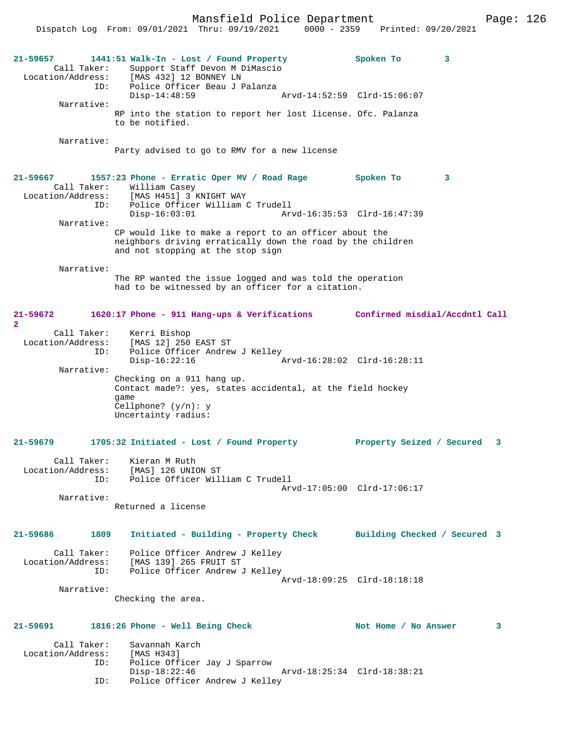Dispatch Log From: 09/01/2021 Thru: 09/19/2021 0000 - 2359 Printed: 09/20/2021 **21-59657 1441:51 Walk-In - Lost / Found Property Spoken To 3**  Call Taker: Support Staff Devon M DiMascio Location/Address: [MAS 432] 12 BONNEY LN ID: Police Officer Beau J Palanza Disp-14:48:59 Arvd-14:52:59 Clrd-15:06:07 Narrative: RP into the station to report her lost license. Ofc. Palanza to be notified. Narrative: Party advised to go to RMV for a new license **21-59667 1557:23 Phone - Erratic Oper MV / Road Rage Spoken To 3**  Call Taker: William Casey Location/Address: [MAS H451] 3 KNIGHT WAY ID: Police Officer William C Trudell Disp-16:03:01 Arvd-16:35:53 Clrd-16:47:39 Narrative: CP would like to make a report to an officer about the neighbors driving erratically down the road by the children and not stopping at the stop sign Narrative: The RP wanted the issue logged and was told the operation had to be witnessed by an officer for a citation. **21-59672 1620:17 Phone - 911 Hang-ups & Verifications Confirmed misdial/Accdntl Call 2**  Call Taker: Kerri Bishop Location/Address: [MAS 12] 250 EAST ST ID: Police Officer Andrew J Kelley Police Officer Andrew J Kelley<br>Disp-16:22:16 Arvd-16:28:02 Clrd-16:28:11 Narrative: Checking on a 911 hang up. Contact made?: yes, states accidental, at the field hockey game Cellphone? (y/n): y Uncertainty radius: **21-59679 1705:32 Initiated - Lost / Found Property Property Seized / Secured 3** Call Taker: Kieran M Ruth Location/Address: [MAS] 126 UNION ST ID: Police Officer William C Trudell Arvd-17:05:00 Clrd-17:06:17 Narrative: Returned a license **21-59686 1809 Initiated - Building - Property Check Building Checked / Secured 3** Call Taker: Police Officer Andrew J Kelley Location/Address: [MAS 139] 265 FRUIT ST ID: Police Officer Andrew J Kelley Arvd-18:09:25 Clrd-18:18:18 Narrative: Checking the area. **21-59691 1816:26 Phone - Well Being Check Not Home / No Answer 3** Call Taker: Savannah Karch<br>ion/Address: [MAS H343] Location/Address:<br>ID: .....<br>Police Officer Jay J Sparrow Disp-18:22:46 Arvd-18:25:34 Clrd-18:38:21 ID: Police Officer Andrew J Kelley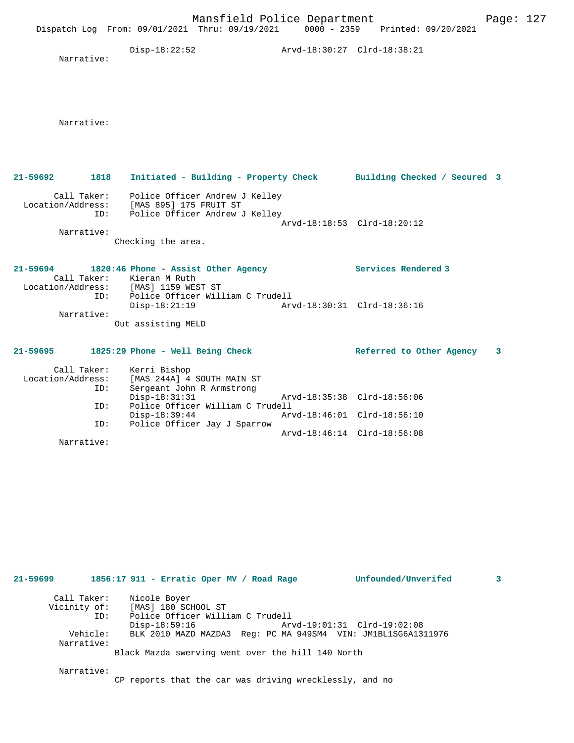|                                  |     | Mansfield Police Department<br>Dispatch Log From: 09/01/2021 Thru: 09/19/2021 0000 - 2359 Printed: 09/20/2021            |                             |                                                            | Page: 127 |  |
|----------------------------------|-----|--------------------------------------------------------------------------------------------------------------------------|-----------------------------|------------------------------------------------------------|-----------|--|
| Narrative:                       |     | $Disp-18:22:52$                                                                                                          |                             |                                                            |           |  |
| Narrative:                       |     |                                                                                                                          |                             |                                                            |           |  |
| 1818<br>21-59692                 |     | Initiated - Building - Property Check Building Checked / Secured 3                                                       |                             |                                                            |           |  |
|                                  | ID: | Call Taker: Police Officer Andrew J Kelley<br>Location/Address: [MAS 895] 175 FRUIT ST<br>Police Officer Andrew J Kelley |                             |                                                            |           |  |
| Narrative:                       |     | Checking the area.                                                                                                       |                             | Arvd-18:18:53 Clrd-18:20:12                                |           |  |
|                                  |     | 21-59694 1820:46 Phone - Assist Other Agency<br>Call Taker: Kieran M Ruth<br>Location/Address: [MAS] 1159 WEST ST        |                             | Services Rendered 3                                        |           |  |
| Narrative:                       | ID: | Police Officer William C Trudell<br>$Disp-18:21:19$                                                                      |                             |                                                            |           |  |
|                                  |     | Out assisting MELD                                                                                                       |                             |                                                            |           |  |
|                                  |     | 21-59695 1825:29 Phone - Well Being Check                                                                                |                             | Referred to Other Agency                                   | 3         |  |
| Call Taker:<br>Location/Address: | ID: | Kerri Bishop<br>[MAS 244A] 4 SOUTH MAIN ST<br>Sergeant John R Armstrong                                                  |                             |                                                            |           |  |
|                                  | ID: | $Disp-18:31:31$<br>Police Officer William C Trudell                                                                      | Arvd-18:35:38 Clrd-18:56:06 |                                                            |           |  |
|                                  | ID: | Disp-18:39:44<br>Police Officer Jay J Sparrow                                                                            |                             | Arvd-18:46:01 Clrd-18:56:10<br>Arvd-18:46:14 Clrd-18:56:08 |           |  |
| Narrative:                       |     |                                                                                                                          |                             |                                                            |           |  |
|                                  |     |                                                                                                                          |                             |                                                            |           |  |
|                                  |     |                                                                                                                          |                             |                                                            |           |  |
|                                  |     |                                                                                                                          |                             |                                                            |           |  |
|                                  |     |                                                                                                                          |                             |                                                            |           |  |
| 21-59699                         |     | 1856:17 911 - Erratic Oper MV / Road Rage                                                                                |                             | Unfounded/Unverifed                                        | 3         |  |
| Call Taker:<br>Vicinity of:      | ID: | Nicole Boyer<br>[MAS] 180 SCHOOL ST<br>Police Officer William C Trudell                                                  |                             |                                                            |           |  |

 Disp-18:59:16 Arvd-19:01:31 Clrd-19:02:08 Vehicle: BLK 2010 MAZD MAZDA3 Reg: PC MA 949SM4 VIN: JM1BL1SG6A1311976 Narrative:

Black Mazda swerving went over the hill 140 North

Narrative:

CP reports that the car was driving wrecklessly, and no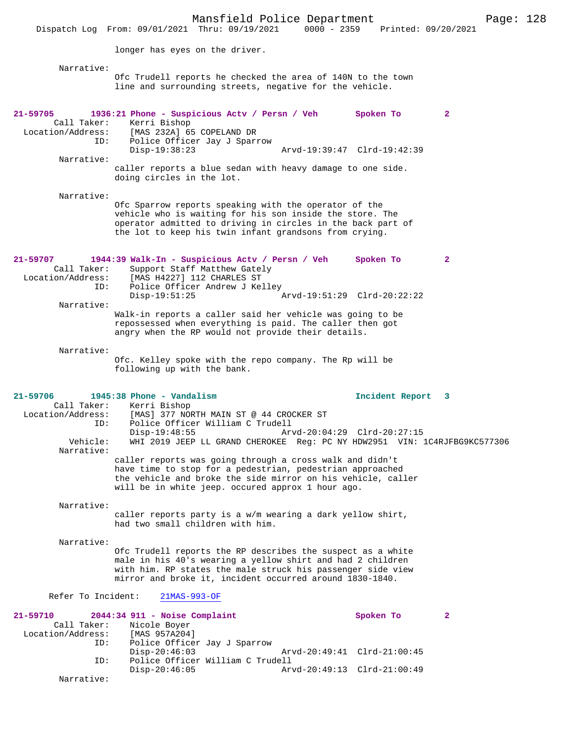Mansfield Police Department Page: 128 Dispatch Log From: 09/01/2021 Thru: 09/19/2021 longer has eyes on the driver. Narrative: Ofc Trudell reports he checked the area of 140N to the town line and surrounding streets, negative for the vehicle. **21-59705 1936:21 Phone - Suspicious Actv / Persn / Veh Spoken To 2**  Call Taker: Kerri Bishop Location/Address: [MAS 232A] 65 COPELAND DR ID: Police Officer Jay J Sparrow Disp-19:38:23 Arvd-19:39:47 Clrd-19:42:39 Narrative: caller reports a blue sedan with heavy damage to one side. doing circles in the lot. Narrative: Ofc Sparrow reports speaking with the operator of the vehicle who is waiting for his son inside the store. The operator admitted to driving in circles in the back part of the lot to keep his twin infant grandsons from crying. **21-59707 1944:39 Walk-In - Suspicious Actv / Persn / Veh Spoken To 2**  Call Taker: Support Staff Matthew Gately<br>Location/Address: [MAS H4227] 112 CHARLES ST [MAS H4227] 112 CHARLES ST ID: Police Officer Andrew J Kelley Disp-19:51:25 Arvd-19:51:29 Clrd-20:22:22 Narrative: Walk-in reports a caller said her vehicle was going to be repossessed when everything is paid. The caller then got angry when the RP would not provide their details. Narrative: Ofc. Kelley spoke with the repo company. The Rp will be following up with the bank. **21-59706 1945:38 Phone - Vandalism Incident Report 3**  Call Taker: Kerri Bishop Location/Address: [MAS] 377 NORTH MAIN ST @ 44 CROCKER ST ID: Police Officer William C Trudell Arvd-20:04:29 Clrd-20:27:15 Vehicle: WHI 2019 JEEP LL GRAND CHEROKEE Reg: PC NY HDW2951 VIN: 1C4RJFBG9KC577306 Narrative: caller reports was going through a cross walk and didn't have time to stop for a pedestrian, pedestrian approached the vehicle and broke the side mirror on his vehicle, caller will be in white jeep. occured approx 1 hour ago. Narrative: caller reports party is a w/m wearing a dark yellow shirt, had two small children with him. Narrative: Ofc Trudell reports the RP describes the suspect as a white male in his 40's wearing a yellow shirt and had 2 children with him. RP states the male struck his passenger side view mirror and broke it, incident occurred around 1830-1840. Refer To Incident: 21MAS-993-OF **21-59710 2044:34 911 - Noise Complaint Spoken To 2**  Call Taker: Nicole Boyer<br>ion/Address: [MAS 957A204] Location/Address:<br>ID: Police Officer Jay J Sparrow<br>Disp-20:46:03 Disp-20:46:03 Arvd-20:49:41 Clrd-21:00:45<br>ID: Police Officer William C Trudell Police Officer William C Trudell<br>Disp-20:46:05 Ary Disp-20:46:05 Arvd-20:49:13 Clrd-21:00:49 Narrative: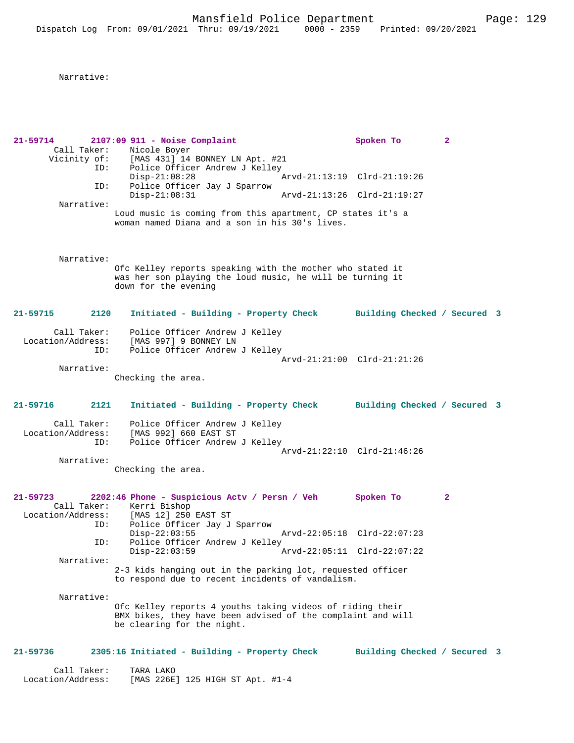Narrative:

**21-59714 2107:09 911 - Noise Complaint Spoken To 2**  Call Taker: Nicole Boyer<br>Vicinity of: [MAS 431] 14 Of: [MAS 431] 14 BONNEY LN Apt. #21<br>ID: Police Officer Andrew J Kelley Police Officer Andrew J Kelley Disp-21:08:28 Arvd-21:13:19 Clrd-21:19:26<br>TD: Police Officer Jav J Sparrow Police Officer Jay J Sparrow<br>Disp-21:08:31 Disp-21:08:31 Arvd-21:13:26 Clrd-21:19:27 Narrative: Loud music is coming from this apartment, CP states it's a woman named Diana and a son in his 30's lives. Narrative: Ofc Kelley reports speaking with the mother who stated it was her son playing the loud music, he will be turning it down for the evening **21-59715 2120 Initiated - Building - Property Check Building Checked / Secured 3** Call Taker: Police Officer Andrew J Kelley Location/Address: [MAS 997] 9 BONNEY LN ID: Police Officer Andrew J Kelley Arvd-21:21:00 Clrd-21:21:26 Narrative: Checking the area. **21-59716 2121 Initiated - Building - Property Check Building Checked / Secured 3** Call Taker: Police Officer Andrew J Kelley Location/Address: [MAS 992] 660 EAST ST Police Officer Andrew J Kelley Arvd-21:22:10 Clrd-21:46:26 Narrative: Checking the area. **21-59723 2202:46 Phone - Suspicious Actv / Persn / Veh Spoken To 2**  Call Taker: Kerri Bishop<br>Location/Address: [MAS 12] 250 ess: [MAS 12] 250 EAST ST<br>ID: Police Officer Jav J Police Officer Jay J Sparrow<br>Disp-22:03:55 Disp-22:03:55 Arvd-22:05:18 Clrd-22:07:23<br>TD: Police Officer Andrew J Kelley Police Officer Andrew J Kelley Disp-22:03:59 Arvd-22:05:11 Clrd-22:07:22 Narrative: 2-3 kids hanging out in the parking lot, requested officer to respond due to recent incidents of vandalism. Narrative: Ofc Kelley reports 4 youths taking videos of riding their BMX bikes, they have been advised of the complaint and will be clearing for the night. **21-59736 2305:16 Initiated - Building - Property Check Building Checked / Secured 3** Call Taker: TARA LAKO<br>Location/Address: [MAS 226E [MAS 226E] 125 HIGH ST Apt. #1-4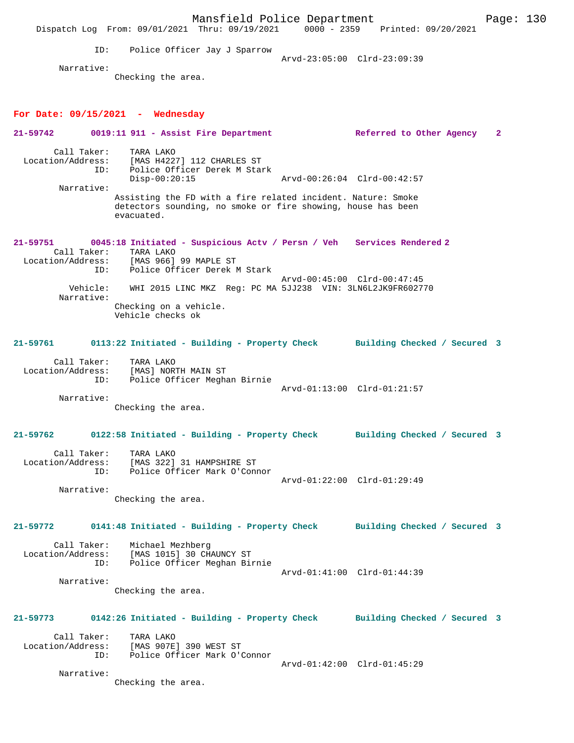Mansfield Police Department Form Page: 130 Dispatch Log From: 09/01/2021 Thru: 09/19/2021 0000 - 2359 Printed: 09/20/2021 ID: Police Officer Jay J Sparrow Arvd-23:05:00 Clrd-23:09:39 Narrative: Checking the area. **For Date: 09/15/2021 - Wednesday 21-59742 0019:11 911 - Assist Fire Department Referred to Other Agency 2** Call Taker: TARA LAKO Location/Address: [MAS H4227] 112 CHARLES ST ID: Police Officer Derek M Stark Disp-00:20:15 Arvd-00:26:04 Clrd-00:42:57 Narrative: Assisting the FD with a fire related incident. Nature: Smoke detectors sounding, no smoke or fire showing, house has been evacuated. **21-59751 0045:18 Initiated - Suspicious Actv / Persn / Veh Services Rendered 2**  Call Taker: TARA LAKO Location/Address: [MAS 966] 99 MAPLE ST ID: Police Officer Derek M Stark Arvd-00:45:00 Clrd-00:47:45<br>778 Vehicle: WHI 2015 LING MKZ Req: PC MA 5.LJ238 VIN: 3LN6L2JK9FR6027 WHI 2015 LINC MKZ Reg: PC MA 5JJ238 VIN: 3LN6L2JK9FR602770 Narrative: Checking on a vehicle. Vehicle checks ok **21-59761 0113:22 Initiated - Building - Property Check Building Checked / Secured 3** Call Taker: TARA LAKO Location/Address: [MAS] NORTH MAIN ST ID: Police Officer Meghan Birnie Arvd-01:13:00 Clrd-01:21:57 Narrative: Checking the area. **21-59762 0122:58 Initiated - Building - Property Check Building Checked / Secured 3** Call Taker: TARA LAKO Location/Address: [MAS 322] 31 HAMPSHIRE ST ID: Police Officer Mark O'Connor Arvd-01:22:00 Clrd-01:29:49 Narrative: Checking the area. **21-59772 0141:48 Initiated - Building - Property Check Building Checked / Secured 3** Call Taker: Michael Mezhberg Location/Address: [MAS 1015] 30 CHAUNCY ST ID: Police Officer Meghan Birnie Arvd-01:41:00 Clrd-01:44:39 Narrative: Checking the area. **21-59773 0142:26 Initiated - Building - Property Check Building Checked / Secured 3** Call Taker: TARA LAKO Location/Address: [MAS 907E] 390 WEST ST ID: Police Officer Mark O'Connor Arvd-01:42:00 Clrd-01:45:29 Narrative: Checking the area.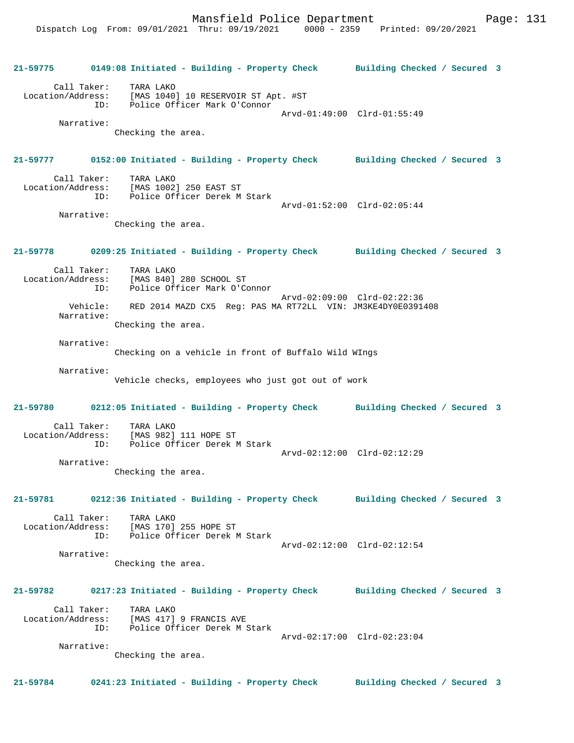|            |            | 21-59775 0149:08 Initiated - Building - Property Check Building Checked / Secured 3                                |                              |  |
|------------|------------|--------------------------------------------------------------------------------------------------------------------|------------------------------|--|
|            |            | Call Taker: TARA LAKO<br>Location/Address: [MAS 1040] 10 RESERVOIR ST Apt. #ST<br>ID: Police Officer Mark O'Connor | Arvd-01:49:00 Clrd-01:55:49  |  |
|            | Narrative: | Checking the area.                                                                                                 |                              |  |
|            |            | 21-59777 0152:00 Initiated - Building - Property Check Building Checked / Secured 3                                |                              |  |
|            |            | Call Taker: TARA LAKO<br>Location/Address: [MAS 1002] 250 EAST ST<br>ID: Police Officer Derek M Stark              | Arvd-01:52:00 Clrd-02:05:44  |  |
|            | Narrative: | Checking the area.                                                                                                 |                              |  |
|            |            | 21-59778 0209:25 Initiated - Building - Property Check Building Checked / Secured 3                                |                              |  |
|            |            | Call Taker: TARA LAKO<br>Location/Address: [MAS 840] 280 SCHOOL ST<br>ID: Police Officer Mark O'Connor             |                              |  |
|            | Narrative: | Vehicle: RED 2014 MAZD CX5 Reg: PAS MA RT72LL VIN: JM3KE4DY0E0391408<br>Checking the area.                         | Arvd-02:09:00 Clrd-02:22:36  |  |
| Narrative: |            | Checking on a vehicle in front of Buffalo Wild WIngs                                                               |                              |  |
| Narrative: |            | Vehicle checks, employees who just got out of work                                                                 |                              |  |
|            |            | 21-59780 0212:05 Initiated - Building - Property Check Building Checked / Secured 3                                |                              |  |
|            |            | Call Taker: TARA LAKO<br>Location/Address: [MAS 982] 111 HOPE ST<br>ID: Police Officer Derek M Stark               | Arvd-02:12:00 Clrd-02:12:29  |  |
|            | Narrative: | Checking the area.                                                                                                 |                              |  |
|            |            | 21-59781 0212:36 Initiated - Building - Property Check Building Checked / Secured 3                                |                              |  |
|            |            | Call Taker: TARA LAKO<br>Location/Address: [MAS 170] 255 HOPE ST<br>ID: Police Officer Derek M Stark               | Arvd-02:12:00 Clrd-02:12:54  |  |
| Narrative: |            | Checking the area.                                                                                                 |                              |  |
| 21-59782   |            | 0217:23 Initiated - Building - Property Check Building Checked / Secured 3                                         |                              |  |
|            |            | Call Taker: TARA LAKO<br>Location/Address: [MAS 417] 9 FRANCIS AVE<br>ID: Police Officer Derek M Stark             |                              |  |
|            | Narrative: | Checking the area.                                                                                                 | Arvd-02:17:00 Clrd-02:23:04  |  |
| 21-59784   |            | 0241:23 Initiated - Building - Property Check                                                                      | Building Checked / Secured 3 |  |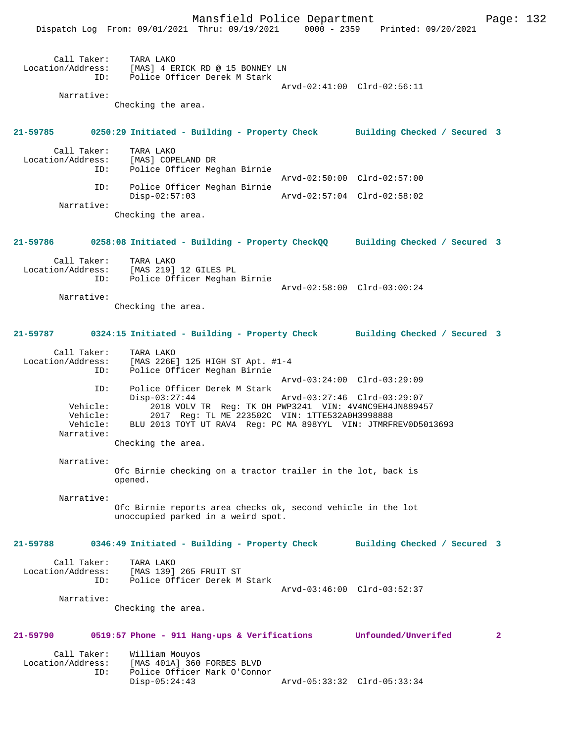Mansfield Police Department Fage: 132

|                                                       | Dispatch Log From: 09/01/2021 Thru: 09/19/2021 0000 - 2359 Printed: 09/20/2021                                                                                                                                                                      |                             |                              |              |
|-------------------------------------------------------|-----------------------------------------------------------------------------------------------------------------------------------------------------------------------------------------------------------------------------------------------------|-----------------------------|------------------------------|--------------|
|                                                       | Call Taker: TARA LAKO<br>Location/Address: [MAS] 4 ERICK RD @ 15 BONNEY LN<br>ID: Police Officer Derek M Stark                                                                                                                                      |                             |                              |              |
|                                                       |                                                                                                                                                                                                                                                     |                             | Arvd-02:41:00 Clrd-02:56:11  |              |
| Narrative:                                            | Checking the area.                                                                                                                                                                                                                                  |                             |                              |              |
|                                                       | 21-59785 0250:29 Initiated - Building - Property Check Building Checked / Secured 3                                                                                                                                                                 |                             |                              |              |
| Call Taker:<br>ID:                                    | TARA LAKO<br>Location/Address: [MAS] COPELAND DR<br>Police Officer Meghan Birnie                                                                                                                                                                    |                             |                              |              |
| ID:                                                   | Police Officer Meghan Birnie<br>$Disp-02:57:03$                                                                                                                                                                                                     | Arvd-02:57:04 Clrd-02:58:02 | Arvd-02:50:00 Clrd-02:57:00  |              |
| Narrative:                                            | Checking the area.                                                                                                                                                                                                                                  |                             |                              |              |
|                                                       | 21-59786 0258:08 Initiated - Building - Property CheckQQ Building Checked / Secured 3                                                                                                                                                               |                             |                              |              |
|                                                       | Call Taker: TARA LAKO<br>Location/Address: [MAS 219] 12 GILES PL<br>ID: Police Officer Meghan Birnie                                                                                                                                                |                             | Arvd-02:58:00 Clrd-03:00:24  |              |
| Narrative:                                            | Checking the area.                                                                                                                                                                                                                                  |                             |                              |              |
|                                                       | 21-59787 0324:15 Initiated - Building - Property Check Building Checked / Secured 3                                                                                                                                                                 |                             |                              |              |
| Call Taker:<br>ID:                                    | TARA LAKO<br>Location/Address: [MAS 226E] 125 HIGH ST Apt. #1-4<br>Police Officer Meghan Birnie                                                                                                                                                     |                             |                              |              |
| ID:<br>Vehicle:<br>Vehicle:<br>Vehicle:<br>Narrative: | Police Officer Derek M Stark<br>$Disp-03:27:44$<br>2018 VOLV TR Reg: TK OH PWP3241 VIN: 4V4NC9EH4JN889457<br>2017 Reg: TL ME 223502C VIN: 1TTE532A0H3998888<br>BLU 2013 TOYT UT RAV4 Reg: PC MA 898YYL VIN: JTMRFREV0D5013693<br>Checking the area. | Arvd-03:27:46 Clrd-03:29:07 | Arvd-03:24:00 Clrd-03:29:09  |              |
| Narrative:                                            | Ofc Birnie checking on a tractor trailer in the lot, back is<br>opened.                                                                                                                                                                             |                             |                              |              |
| Narrative:                                            | Ofc Birnie reports area checks ok, second vehicle in the lot<br>unoccupied parked in a weird spot.                                                                                                                                                  |                             |                              |              |
| 21-59788                                              | 0346:49 Initiated - Building - Property Check                                                                                                                                                                                                       |                             | Building Checked / Secured 3 |              |
| Call Taker:                                           | TARA LAKO<br>Location/Address: [MAS 139] 265 FRUIT ST<br>ID: Police Officer Derek M Stark                                                                                                                                                           |                             | Arvd-03:46:00 Clrd-03:52:37  |              |
| Narrative:                                            | Checking the area.                                                                                                                                                                                                                                  |                             |                              |              |
| 21-59790                                              | 0519:57 Phone - 911 Hang-ups & Verifications Unfounded/Unverifed                                                                                                                                                                                    |                             |                              | $\mathbf{2}$ |
| Call Taker:<br>Location/Address:<br>ID:               | William Mouyos<br>[MAS 401A] 360 FORBES BLVD<br>Police Officer Mark O'Connor<br>$Disp-05:24:43$                                                                                                                                                     |                             | Arvd-05:33:32 Clrd-05:33:34  |              |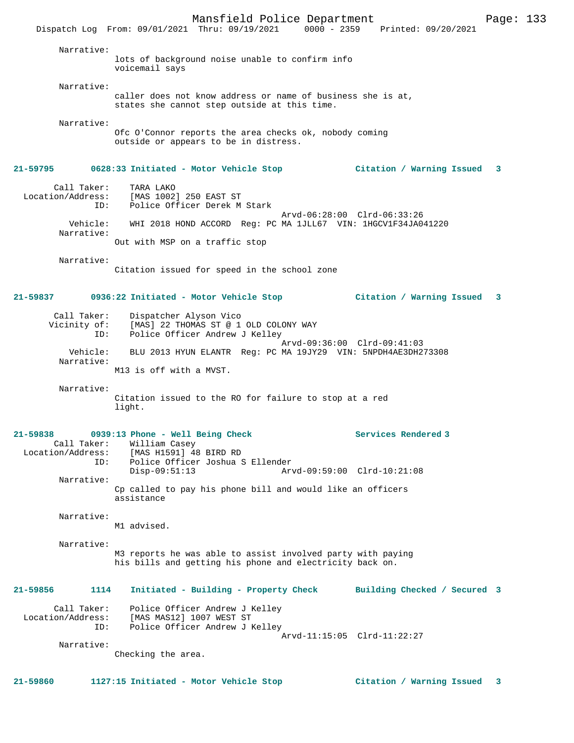Mansfield Police Department Fage: 133 Dispatch Log From: 09/01/2021 Thru: 09/19/2021 0000 - 2359 Printed: 09/20/2021 Narrative: lots of background noise unable to confirm info voicemail says Narrative: caller does not know address or name of business she is at, states she cannot step outside at this time. Narrative: Ofc O'Connor reports the area checks ok, nobody coming outside or appears to be in distress. **21-59795 0628:33 Initiated - Motor Vehicle Stop Citation / Warning Issued 3** Call Taker: TARA LAKO Location/Address: [MAS 1002] 250 EAST ST ID: Police Officer Derek M Stark Arvd-06:28:00 Clrd-06:33:26 Vehicle: WHI 2018 HOND ACCORD Reg: PC MA 1JLL67 VIN: 1HGCV1F34JA041220 Narrative: Out with MSP on a traffic stop Narrative: Citation issued for speed in the school zone **21-59837 0936:22 Initiated - Motor Vehicle Stop Citation / Warning Issued 3** Call Taker: Dispatcher Alyson Vico Vicinity of: [MAS] 22 THOMAS ST @ 1 OLD COLONY WAY ID: Police Officer Andrew J Kelley Arvd-09:36:00 Clrd-09:41:03 Vehicle: BLU 2013 HYUN ELANTR Reg: PC MA 19JY29 VIN: 5NPDH4AE3DH273308 Narrative: M13 is off with a MVST. Narrative: Citation issued to the RO for failure to stop at a red light. **21-59838 0939:13 Phone - Well Being Check Services Rendered 3**  Call Taker: William Casey<br>Location/Address: [MAS H1591] 48 ess: [MAS H1591] 48 BIRD RD<br>TD: Police Officer Joshua S ID: Police Officer Joshua S Ellender Disp-09:51:13 Arvd-09:59:00 Clrd-10:21:08 Narrative: Cp called to pay his phone bill and would like an officers assistance Narrative: M1 advised. Narrative: M3 reports he was able to assist involved party with paying his bills and getting his phone and electricity back on. **21-59856 1114 Initiated - Building - Property Check Building Checked / Secured 3** Call Taker: Police Officer Andrew J Kelley Location/Address: [MAS MAS12] 1007 WEST ST ID: Police Officer Andrew J Kelley Arvd-11:15:05 Clrd-11:22:27 Narrative: Checking the area. **21-59860 1127:15 Initiated - Motor Vehicle Stop Citation / Warning Issued 3**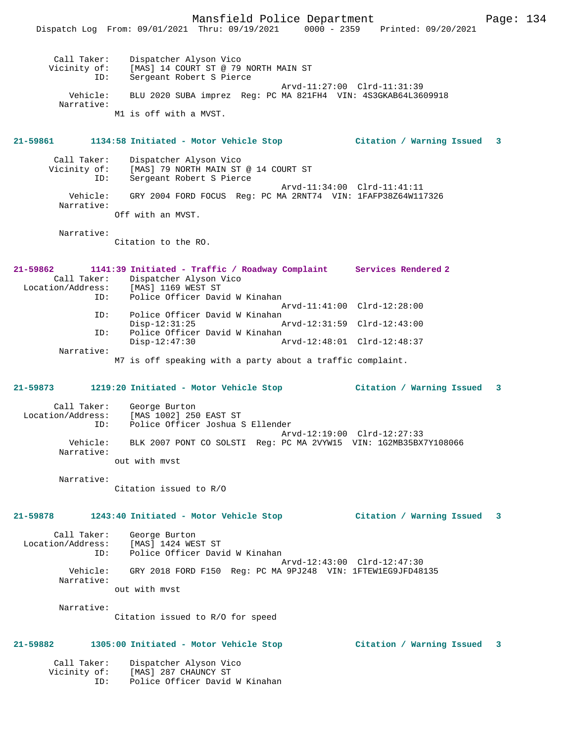Mansfield Police Department Page: 134 Dispatch Log From: 09/01/2021 Thru: 09/19/2021 0000 - 2359 Printed: 09/20/2021 Call Taker: Dispatcher Alyson Vico Vicinity of: [MAS] 14 COURT ST @ 79 NORTH MAIN ST ID: Sergeant Robert S Pierce Arvd-11:27:00 Clrd-11:31:39 Vehicle: BLU 2020 SUBA imprez Reg: PC MA 821FH4 VIN: 4S3GKAB64L3609918 Narrative: M1 is off with a MVST. **21-59861 1134:58 Initiated - Motor Vehicle Stop Citation / Warning Issued 3** Call Taker: Dispatcher Alyson Vico<br>Vicinity of: [MAS] 79 NORTH MAIN ST of: [MAS] 79 NORTH MAIN ST @ 14 COURT ST<br>ID: Sergeant Robert S Pierce Sergeant Robert S Pierce Arvd-11:34:00 Clrd-11:41:11<br>Vehicle: GRY 2004 FORD FOCUS Reg: PC MA 2RNT74 VIN: 1FAFP38Z64W11 GRY 2004 FORD FOCUS Reg: PC MA 2RNT74 VIN: 1FAFP38Z64W117326 Narrative: Off with an MVST. Narrative: Citation to the RO. **21-59862 1141:39 Initiated - Traffic / Roadway Complaint Services Rendered 2**  Call Taker: Dispatcher Alyson Vico<br>Location/Address: [MAS] 1169 WEST ST ess: [MAS] 1169 WEST ST<br>ID: Police Officer Davi Police Officer David W Kinahan Arvd-11:41:00 Clrd-12:28:00 ID: Police Officer David W Kinahan Disp-12:31:25 Arvd-12:31:59 Clrd-12:43:00 ID: Police Officer David W Kinahan<br>Disp-12:47:30 Disp-12:47:30 Arvd-12:48:01 Clrd-12:48:37 Narrative: M7 is off speaking with a party about a traffic complaint. **21-59873 1219:20 Initiated - Motor Vehicle Stop Citation / Warning Issued 3** Call Taker: George Burton Location/Address: [MAS 1002] 250 EAST ST ID: Police Officer Joshua S Ellender Arvd-12:19:00 Clrd-12:27:33 Vehicle: BLK 2007 PONT CO SOLSTI Reg: PC MA 2VYW15 VIN: 1G2MB35BX7Y108066 Narrative: out with mvst Narrative: Citation issued to R/O **21-59878 1243:40 Initiated - Motor Vehicle Stop Citation / Warning Issued 3** Call Taker: George Burton<br>ion/Address: [MAS] 1424 WEST ST Location/Address: ID: Police Officer David W Kinahan Arvd-12:43:00 Clrd-12:47:30 Vehicle: GRY 2018 FORD F150 Reg: PC MA 9PJ248 VIN: 1FTEW1EG9JFD48135 Narrative: out with mvst Narrative: Citation issued to R/O for speed **21-59882 1305:00 Initiated - Motor Vehicle Stop Citation / Warning Issued 3** Call Taker: Dispatcher Alyson Vico Vicinity of: [MAS] 287 CHAUNCY ST

ID: Police Officer David W Kinahan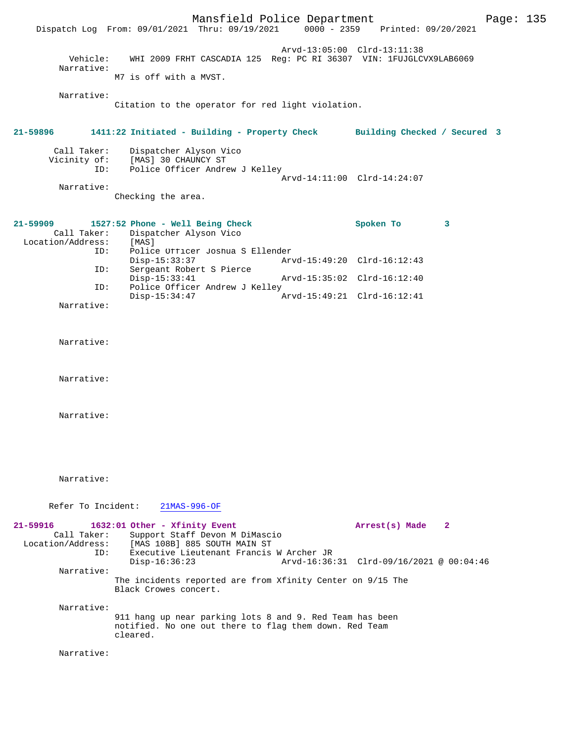|                                              | Dispatch Log From: 09/01/2021 Thru: 09/19/2021 0000 - 2359 Printed: 09/20/2021                                                 | Mansfield Police Department |                                                                    |              | Page: $135$ |  |
|----------------------------------------------|--------------------------------------------------------------------------------------------------------------------------------|-----------------------------|--------------------------------------------------------------------|--------------|-------------|--|
| Vehicle:<br>Narrative:                       |                                                                                                                                | Arvd-13:05:00 Clrd-13:11:38 | WHI 2009 FRHT CASCADIA 125 Reg: PC RI 36307 VIN: 1FUJGLCVX9LAB6069 |              |             |  |
|                                              | M7 is off with a MVST.                                                                                                         |                             |                                                                    |              |             |  |
| Narrative:                                   | Citation to the operator for red light violation.                                                                              |                             |                                                                    |              |             |  |
| 21-59896                                     | 1411:22 Initiated - Building - Property Check                                                                                  |                             | Building Checked / Secured 3                                       |              |             |  |
| Call Taker:<br>Vicinity of:<br>ID:           | Dispatcher Alyson Vico<br>[MAS] 30 CHAUNCY ST<br>Police Officer Andrew J Kelley                                                |                             |                                                                    |              |             |  |
| Narrative:                                   |                                                                                                                                |                             | Arvd-14:11:00 Clrd-14:24:07                                        |              |             |  |
|                                              | Checking the area.                                                                                                             |                             |                                                                    |              |             |  |
| 21-59909<br>Call Taker:<br>Location/Address: | 1527:52 Phone - Well Being Check<br>Dispatcher Alyson Vico<br>[MAS]                                                            |                             | Spoken To                                                          | 3            |             |  |
| ID:                                          | Police Officer Joshua S Ellender<br>$Disp-15:33:37$                                                                            | Arvd-15:49:20 Clrd-16:12:43 |                                                                    |              |             |  |
| ID:                                          | Sergeant Robert S Pierce<br>$Disp-15:33:41$                                                                                    | Arvd-15:35:02 Clrd-16:12:40 |                                                                    |              |             |  |
| ID:                                          | Police Officer Andrew J Kelley<br>$Disp-15:34:47$                                                                              | Arvd-15:49:21 Clrd-16:12:41 |                                                                    |              |             |  |
| Narrative:                                   |                                                                                                                                |                             |                                                                    |              |             |  |
| Narrative:                                   |                                                                                                                                |                             |                                                                    |              |             |  |
| Narrative:                                   |                                                                                                                                |                             |                                                                    |              |             |  |
| Narrative:                                   |                                                                                                                                |                             |                                                                    |              |             |  |
|                                              |                                                                                                                                |                             |                                                                    |              |             |  |
| Narrative:                                   |                                                                                                                                |                             |                                                                    |              |             |  |
| Refer To Incident:                           | $21MAS-996-OF$                                                                                                                 |                             |                                                                    |              |             |  |
| 21-59916<br>Call Taker:<br>Location/Address: | 1632:01 Other - Xfinity Event<br>Support Staff Devon M DiMascio<br>[MAS 108B] 885 SOUTH MAIN ST                                |                             | Arrest(s) Made                                                     | $\mathbf{2}$ |             |  |
| ID:                                          | Executive Lieutenant Francis W Archer JR<br>$Disp-16:36:23$                                                                    |                             | Arvd-16:36:31 Clrd-09/16/2021 @ 00:04:46                           |              |             |  |
| Narrative:                                   | The incidents reported are from Xfinity Center on 9/15 The<br>Black Crowes concert.                                            |                             |                                                                    |              |             |  |
| Narrative:                                   | 911 hang up near parking lots 8 and 9. Red Team has been<br>notified. No one out there to flag them down. Red Team<br>cleared. |                             |                                                                    |              |             |  |
| Narrative:                                   |                                                                                                                                |                             |                                                                    |              |             |  |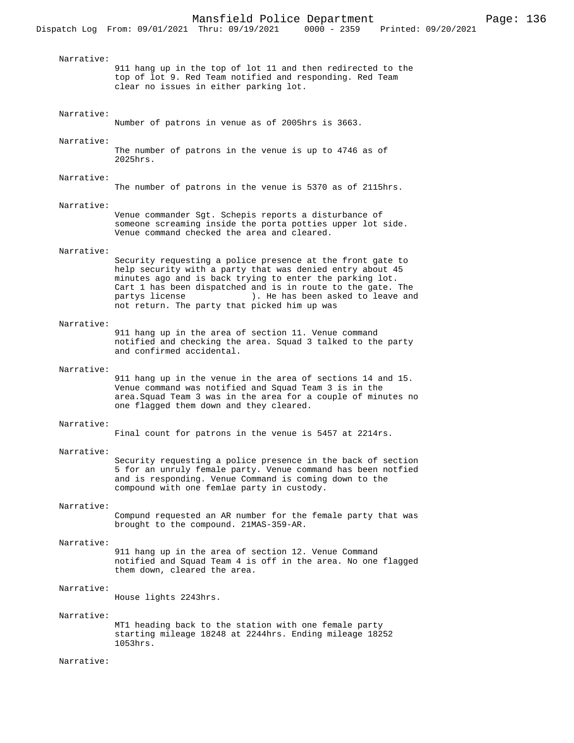Narrative: 911 hang up in the top of lot 11 and then redirected to the top of lot 9. Red Team notified and responding. Red Team clear no issues in either parking lot. Narrative: Number of patrons in venue as of 2005hrs is 3663. Narrative: The number of patrons in the venue is up to 4746 as of 2025hrs. Narrative: The number of patrons in the venue is 5370 as of 2115hrs. Narrative: Venue commander Sgt. Schepis reports a disturbance of someone screaming inside the porta potties upper lot side. Venue command checked the area and cleared. Narrative: Security requesting a police presence at the front gate to help security with a party that was denied entry about 45 minutes ago and is back trying to enter the parking lot. Cart 1 has been dispatched and is in route to the gate. The partys license ). He has been asked to leave and not return. The party that picked him up was Narrative: 911 hang up in the area of section 11. Venue command notified and checking the area. Squad 3 talked to the party and confirmed accidental. Narrative: 911 hang up in the venue in the area of sections 14 and 15. Venue command was notified and Squad Team 3 is in the area.Squad Team 3 was in the area for a couple of minutes no one flagged them down and they cleared. Narrative: Final count for patrons in the venue is 5457 at 2214rs. Narrative: Security requesting a police presence in the back of section 5 for an unruly female party. Venue command has been notfied and is responding. Venue Command is coming down to the compound with one femlae party in custody. Narrative: Compund requested an AR number for the female party that was brought to the compound. 21MAS-359-AR. Narrative: 911 hang up in the area of section 12. Venue Command notified and Squad Team 4 is off in the area. No one flagged them down, cleared the area. Narrative: House lights 2243hrs. Narrative: MT1 heading back to the station with one female party starting mileage 18248 at 2244hrs. Ending mileage 18252 1053hrs. Narrative: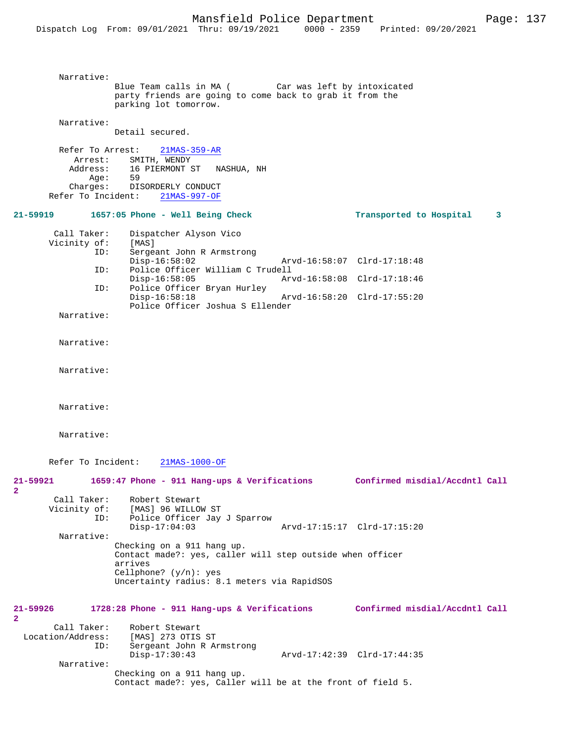```
 Narrative: 
                     Blue Team calls in MA ( Car was left by intoxicated 
                      party friends are going to come back to grab it from the 
                      parking lot tomorrow.
          Narrative: 
                     Detail secured.
          Refer To Arrest: 21MAS-359-AR
            Arrest: SMITH, WENDY<br>Address: 16 PIERMONT S
                         16 PIERMONT ST NASHUA, NH
               Age:
             Charges: DISORDERLY CONDUCT
        Refer To Incident: 21MAS-997-OF
21-59919 1657:05 Phone - Well Being Check Transported to Hospital 3
        Call Taker: Dispatcher Alyson Vico<br>Vicinity of: [MAS]
       Vicinity of:<br>
TD:
                         Sergeant John R Armstrong<br>Disp-16:58:02
                 Disp-16:58:02 Arvd-16:58:07 Clrd-17:18:48<br>ID: Police Officer William C Trudell
                        Police Officer William C Trudell
                  Disp-16:58:05 Arvd-16:58:08 Clrd-17:18:46<br>ID: Police Officer Brvan Hurley
                         Police Officer Bryan Hurley<br>Disp-16:58:18
                                                            Disp-16:58:18 Arvd-16:58:20 Clrd-17:55:20
                          Police Officer Joshua S Ellender
          Narrative: 
          Narrative: 
          Narrative: 
          Narrative: 
          Narrative: 
        Refer To Incident: 21MAS-1000-OF
21-59921 1659:47 Phone - 911 Hang-ups & Verifications Confirmed misdial/Accdntl Call
2 
       Call Taker: Robert Stewart<br>Vicinity of: [MAS] 96 WILLO
                 of: [MAS] 96 WILLOW ST<br>ID: Police Officer Jav
                        Police Officer Jay J Sparrow<br>Disp-17:04:03
                                                            Disp-17:04:03 Arvd-17:15:17 Clrd-17:15:20
          Narrative: 
                      Checking on a 911 hang up.
                      Contact made?: yes, caller will step outside when officer 
                      arrives
                      Cellphone? (y/n): yes
                      Uncertainty radius: 8.1 meters via RapidSOS
21-59926 1728:28 Phone - 911 Hang-ups & Verifications Confirmed misdial/Accdntl Call
2 
        Call Taker: Robert Stewart<br>ion/Address: [MAS] 273 OTIS ST
 Location/Address:<br>ID:
                        Sergeant John R Armstrong<br>Disp-17:30:43
                                                           Arvd-17:42:39 Clrd-17:44:35
          Narrative: 
                      Checking on a 911 hang up.
                      Contact made?: yes, Caller will be at the front of field 5.
```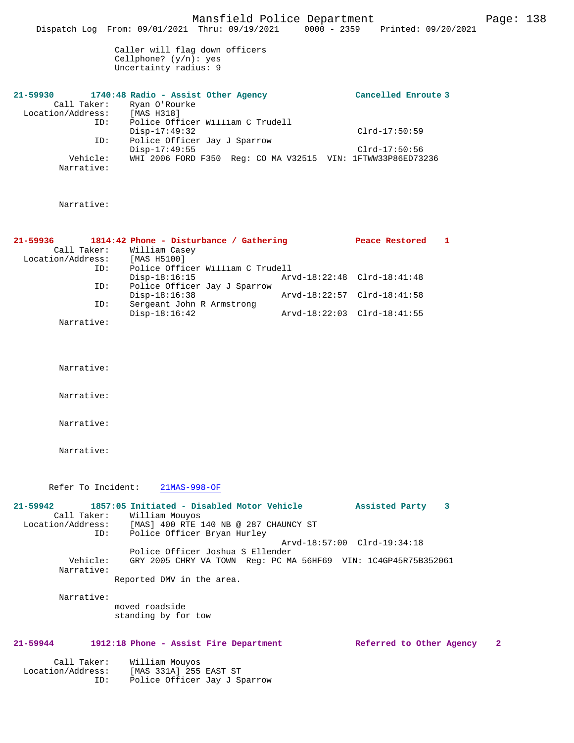Mansfield Police Department Fage: 138

Dispatch Log From: 09/01/2021 Thru: 09/19/2021 0000 - 2359 Printed: 09/20/2021

Caller will flag down officers Cellphone? (y/n): yes Uncertainty radius: 9

| $21 - 59930$      |            | 1740:48 Radio - Assist Other Agency |                                                             | Cancelled Enroute 3 |
|-------------------|------------|-------------------------------------|-------------------------------------------------------------|---------------------|
| Call Taker:       |            | Ryan O'Rourke                       |                                                             |                     |
| Location/Address: |            | [MAS H318]                          |                                                             |                     |
|                   | ID:        |                                     | Police Officer William C Trudell                            |                     |
|                   |            | Disp-17:49:32                       |                                                             | $Clrd-17:50:59$     |
|                   | ID:        | Police Officer Jay J Sparrow        |                                                             |                     |
|                   |            | $Disp-17:49:55$                     |                                                             | $Clrd-17:50:56$     |
|                   | Vehicle:   |                                     | WHI 2006 FORD F350 Req: CO MA V32515 VIN: 1FTWW33P86ED73236 |                     |
|                   | Narrative: |                                     |                                                             |                     |

#### Narrative:

| 21-59936          |     | 1814:42 Phone - Disturbance / Gathering |                             | Peace Restored |  |
|-------------------|-----|-----------------------------------------|-----------------------------|----------------|--|
| Call Taker:       |     | William Casey                           |                             |                |  |
| Location/Address: |     | [MAS H5100]                             |                             |                |  |
|                   | ID: | Police Officer William C Trudell        |                             |                |  |
|                   |     | $Disp-18:16:15$                         | Arvd-18:22:48 Clrd-18:41:48 |                |  |
|                   | ID: | Police Officer Jay J Sparrow            |                             |                |  |
|                   |     | $Disp-18:16:38$                         | Arvd-18:22:57 Clrd-18:41:58 |                |  |
|                   | ID: | Sergeant John R Armstrong               |                             |                |  |
|                   |     | $Disp-18:16:42$                         | Arvd-18:22:03 Clrd-18:41:55 |                |  |
| Narrative:        |     |                                         |                             |                |  |

Narrative:

Narrative:

Narrative:

Narrative:

Refer To Incident: 21MAS-998-OF

**21-59942 1857:05 Initiated - Disabled Motor Vehicle Assisted Party 3**  Call Taker: William Mouyos<br>Location/Address: [MAS] 400 RTE 1 Location/Address: [MAS] 400 RTE 140 NB @ 287 CHAUNCY ST ID: Police Officer Bryan Hurley Arvd-18:57:00 Clrd-19:34:18 Police Officer Joshua S Ellender Vehicle: GRY 2005 CHRY VA TOWN Reg: PC MA 56HF69 VIN: 1C4GP45R75B352061 Narrative: Reported DMV in the area.

Narrative:

moved roadside standing by for tow

#### **21-59944 1912:18 Phone - Assist Fire Department Referred to Other Agency 2**

| Call Taker:       | William Mouyos               |
|-------------------|------------------------------|
| Location/Address: | [MAS 331A] 255 EAST ST       |
| TD:               | Police Officer Jay J Sparrow |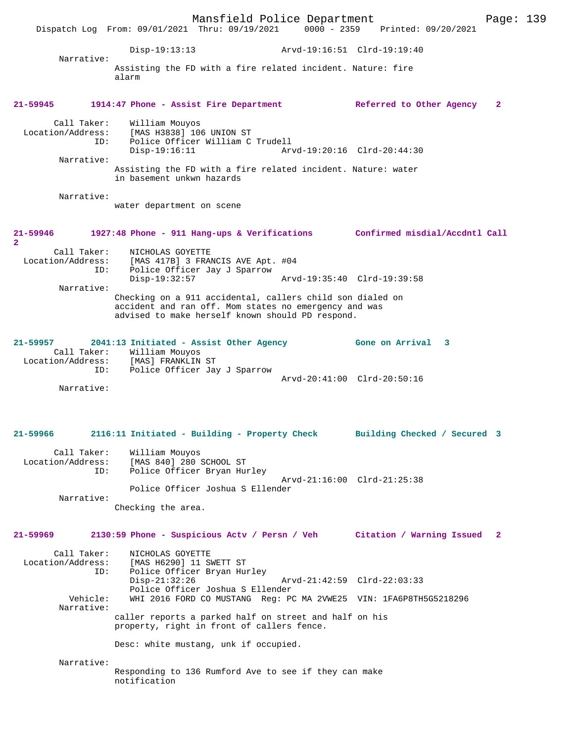Mansfield Police Department Page: 139 Dispatch Log From: 09/01/2021 Thru: 09/19/2021 Disp-19:13:13 Arvd-19:16:51 Clrd-19:19:40 Narrative: Assisting the FD with a fire related incident. Nature: fire alarm **21-59945 1914:47 Phone - Assist Fire Department Referred to Other Agency 2** Call Taker: William Mouyos Location/Address: [MAS H3838] 106 UNION ST ID: Police Officer William C Trudell Arvd-19:20:16 Clrd-20:44:30 Narrative: Assisting the FD with a fire related incident. Nature: water in basement unkwn hazards Narrative: water department on scene **21-59946 1927:48 Phone - 911 Hang-ups & Verifications Confirmed misdial/Accdntl Call 2**  Call Taker: NICHOLAS GOYETTE Location/Address: [MAS 417B] 3 FRANCIS AVE Apt. #04 ID: Police Officer Jay J Sparrow Disp-19:32:57 Arvd-19:35:40 Clrd-19:39:58 Narrative: Checking on a 911 accidental, callers child son dialed on accident and ran off. Mom states no emergency and was advised to make herself known should PD respond. **21-59957 2041:13 Initiated - Assist Other Agency Gone on Arrival 3**  Call Taker: William Mouyos Location/Address: [MAS] FRANKLIN ST ID: Police Officer Jay J Sparrow Arvd-20:41:00 Clrd-20:50:16 Narrative: **21-59966 2116:11 Initiated - Building - Property Check Building Checked / Secured 3** Call Taker: William Mouyos Location/Address: [MAS 840] 280 SCHOOL ST<br>TD: Police Officer Bryan Hu: Police Officer Bryan Hurley Arvd-21:16:00 Clrd-21:25:38 Police Officer Joshua S Ellender Narrative: Checking the area. **21-59969 2130:59 Phone - Suspicious Actv / Persn / Veh Citation / Warning Issued 2** Call Taker: NICHOLAS GOYETTE<br>Location/Address: [MAS H6290] 11 SI [MAS H6290] 11 SWETT ST ID: Police Officer Bryan Hurley<br>Disp-21:32:26 Disp-21:32:26 Arvd-21:42:59 Clrd-22:03:33 Police Officer Joshua S Ellender<br>Vehicle: WHI 2016 FORD CO MUSTANG Req: PO WHI 2016 FORD CO MUSTANG Reg: PC MA 2VWE25 VIN: 1FA6P8TH5G5218296 Narrative: caller reports a parked half on street and half on his property, right in front of callers fence. Desc: white mustang, unk if occupied. Narrative: Responding to 136 Rumford Ave to see if they can make notification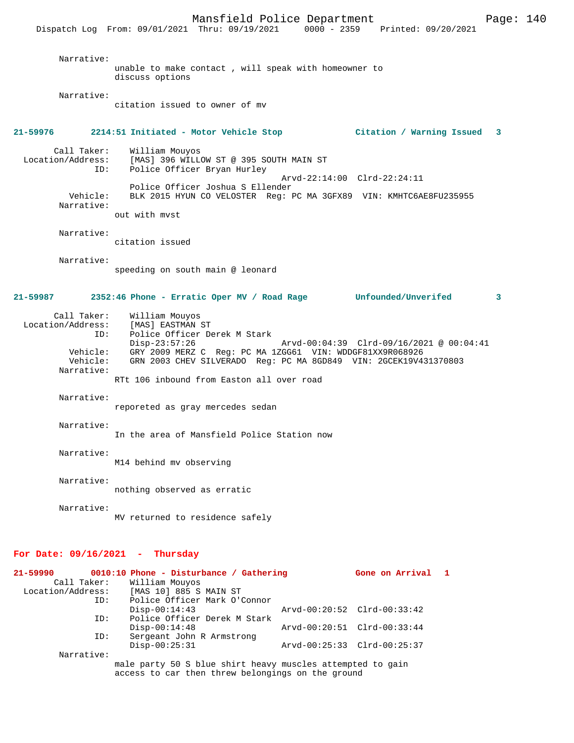Dispatch Log From: 09/01/2021 Thru: 09/19/2021 0000 - 2359

 Narrative: unable to make contact , will speak with homeowner to discuss options Narrative: citation issued to owner of mv **21-59976 2214:51 Initiated - Motor Vehicle Stop Citation / Warning Issued 3** Call Taker: William Mouyos Location/Address: [MAS] 396 WILLOW ST @ 395 SOUTH MAIN ST Police Officer Bryan Hurley Arvd-22:14:00 Clrd-22:24:11 Police Officer Joshua S Ellender<br>Vehicle: BLK 2015 HYUN CO VELOSTER Reg: 1 BLK 2015 HYUN CO VELOSTER Reg: PC MA 3GFX89 VIN: KMHTC6AE8FU235955 Narrative: out with mvst Narrative: citation issued Narrative: speeding on south main @ leonard **21-59987 2352:46 Phone - Erratic Oper MV / Road Rage Unfounded/Unverifed 3** Call Taker: William Mouyos Location/Address: [MAS] EASTMAN ST ID: Police Officer Derek M Stark Disp-23:57:26 Arvd-00:04:39 Clrd-09/16/2021 @ 00:04:41 Vehicle: GRY 2009 MERZ C Reg: PC MA 1ZGG61 VIN: WDDGF81XX9R068926 Vehicle: GRN 2003 CHEV SILVERADO Reg: PC MA 8GD849 VIN: 2GCEK19V431370803 Narrative: RTt 106 inbound from Easton all over road Narrative: reporeted as gray mercedes sedan Narrative: In the area of Mansfield Police Station now Narrative: M14 behind mv observing Narrative: nothing observed as erratic Narrative: MV returned to residence safely **For Date: 09/16/2021 - Thursday 21-59990 0010:10 Phone - Disturbance / Gathering Gone on Arrival 1**  Call Taker: William Mouyos<br>Location/Address: [MAS 10] 885 S ess: [MAS 10] 885 S MAIN ST<br>ID: Police Officer Mark O'O Police Officer Mark O'Connor<br>Disp-00:14:43 Disp-00:14:43 Arvd-00:20:52 Clrd-00:33:42

Police Officer Derek M Stark<br>Disp-00:14:48 Disp-00:14:48 Arvd-00:20:51 Clrd-00:33:44<br>ID: Sergeant John R Armstrong Sergeant John R Armstrong Disp-00:25:31 Arvd-00:25:33 Clrd-00:25:37 Narrative:

male party 50 S blue shirt heavy muscles attempted to gain access to car then threw belongings on the ground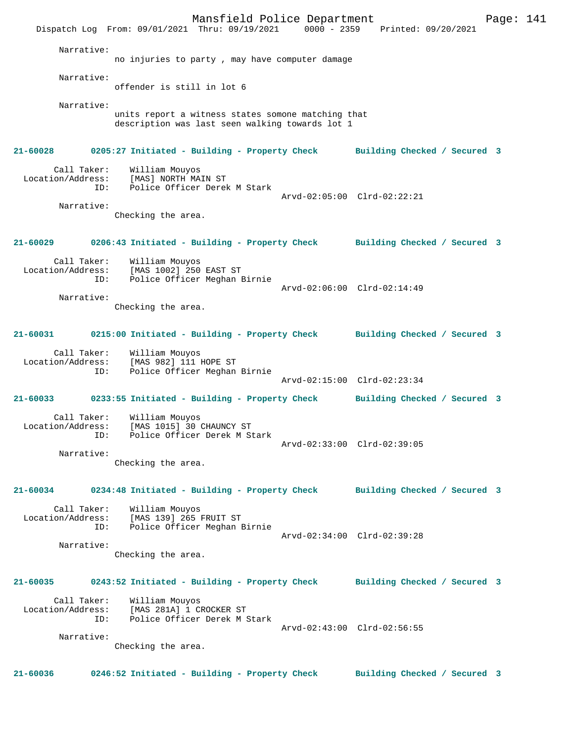Mansfield Police Department Page: 141 Dispatch Log From: 09/01/2021 Thru: 09/19/2021 0000 - 2359 Printed: 09/20/2021 Narrative: no injuries to party , may have computer damage Narrative: offender is still in lot 6 Narrative: units report a witness states somone matching that description was last seen walking towards lot 1 **21-60028 0205:27 Initiated - Building - Property Check Building Checked / Secured 3** Call Taker: William Mouyos Location/Address: [MAS] NORTH MAIN ST ID: Police Officer Derek M Stark Arvd-02:05:00 Clrd-02:22:21 Narrative: Checking the area. **21-60029 0206:43 Initiated - Building - Property Check Building Checked / Secured 3** Call Taker: William Mouyos Location/Address: [MAS 1002] 250 EAST ST ID: Police Officer Meghan Birnie Arvd-02:06:00 Clrd-02:14:49 Narrative: Checking the area. **21-60031 0215:00 Initiated - Building - Property Check Building Checked / Secured 3** Call Taker: William Mouyos Location/Address: [MAS 982] 111 HOPE ST ID: Police Officer Meghan Birnie Arvd-02:15:00 Clrd-02:23:34 **21-60033 0233:55 Initiated - Building - Property Check Building Checked / Secured 3** Call Taker: William Mouyos<br>Location/Address: [MAS 1015] 30 ( لاست المحتجبين المحتجبين ...<br>Ess: [MAS 1015] 30 CHAUNCY ST<br>ID: Police Officer Derek M St ID: Police Officer Derek M Stark Arvd-02:33:00 Clrd-02:39:05 Narrative: Checking the area. **21-60034 0234:48 Initiated - Building - Property Check Building Checked / Secured 3** Call Taker: William Mouyos Location/Address: [MAS 139] 265 FRUIT ST ID: Police Officer Meghan Birnie Arvd-02:34:00 Clrd-02:39:28 Narrative: Checking the area. **21-60035 0243:52 Initiated - Building - Property Check Building Checked / Secured 3** Call Taker: William Mouyos Location/Address: [MAS 281A] 1 CROCKER ST ID: Police Officer Derek M Stark Arvd-02:43:00 Clrd-02:56:55 Narrative: Checking the area. **21-60036 0246:52 Initiated - Building - Property Check Building Checked / Secured 3**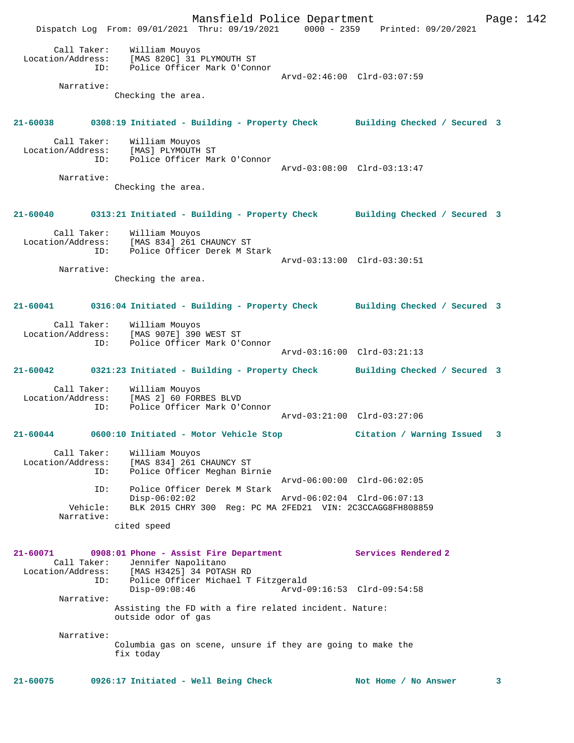Mansfield Police Department Fage: 142 Dispatch Log From: 09/01/2021 Thru: 09/19/2021 0000 - 2359 Printed: 09/20/2021 Call Taker: William Mouyos Location/Address: [MAS 820C] 31 PLYMOUTH ST ID: Police Officer Mark O'Connor Arvd-02:46:00 Clrd-03:07:59 Narrative: Checking the area. **21-60038 0308:19 Initiated - Building - Property Check Building Checked / Secured 3** Call Taker: William Mouyos Location/Address: [MAS] PLYMOUTH ST ID: Police Officer Mark O'Connor Arvd-03:08:00 Clrd-03:13:47 Narrative: Checking the area. **21-60040 0313:21 Initiated - Building - Property Check Building Checked / Secured 3** Call Taker: William Mouyos Location/Address: [MAS 834] 261 CHAUNCY ST ID: Police Officer Derek M Stark Arvd-03:13:00 Clrd-03:30:51 Narrative: Checking the area. **21-60041 0316:04 Initiated - Building - Property Check Building Checked / Secured 3** Call Taker: William Mouyos Location/Address: [MAS 907E] 390 WEST ST ID: Police Officer Mark O'Connor Arvd-03:16:00 Clrd-03:21:13 **21-60042 0321:23 Initiated - Building - Property Check Building Checked / Secured 3** Call Taker: William Mouyos Location/Address: [MAS 2] 60 FORBES BLVD ID: Police Officer Mark O'Connor Arvd-03:21:00 Clrd-03:27:06 **21-60044 0600:10 Initiated - Motor Vehicle Stop Citation / Warning Issued 3** Call Taker: William Mouyos Location/Address: [MAS 834] 261 CHAUNCY ST ID: Police Officer Meghan Birnie Arvd-06:00:00 Clrd-06:02:05 ID: Police Officer Derek M Stark Disp-06:02:02 Arvd-06:02:04 Clrd-06:07:13 Vehicle: BLK 2015 CHRY 300 Reg: PC MA 2FED21 VIN: 2C3CCAGG8FH808859 Narrative: cited speed **21-60071 0908:01 Phone - Assist Fire Department Services Rendered 2**  Call Taker: Jennifer Napolitano<br>Location/Address: [MAS H3425] 34 POTAS [MAS H3425] 34 POTASH RD ID: Police Officer Michael T Fitzgerald Arvd-09:16:53 Clrd-09:54:58 Narrative: Assisting the FD with a fire related incident. Nature: outside odor of gas Narrative: Columbia gas on scene, unsure if they are going to make the fix today

**21-60075 0926:17 Initiated - Well Being Check Not Home / No Answer 3**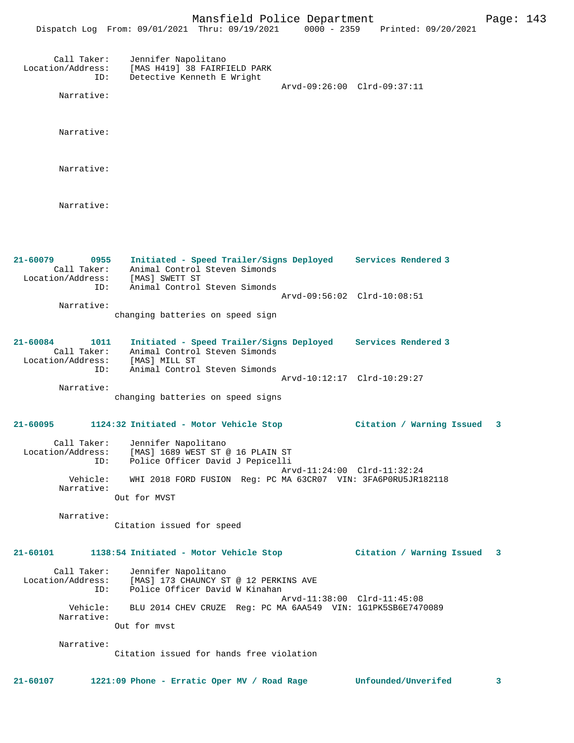|                                                                           | FRIDITIONS I OITCO DOPAL CHICHC<br>Dispatch Log From: 09/01/2021 Thru: 09/19/2021 0000 - 2359 Printed: 09/20/2021                  |                             | r age . |
|---------------------------------------------------------------------------|------------------------------------------------------------------------------------------------------------------------------------|-----------------------------|---------|
| Call Taker:<br>Location/Address:<br>ID:                                   | Jennifer Napolitano<br>[MAS H419] 38 FAIRFIELD PARK<br>Detective Kenneth E Wright                                                  | Arvd-09:26:00 Clrd-09:37:11 |         |
| Narrative:                                                                |                                                                                                                                    |                             |         |
| Narrative:                                                                |                                                                                                                                    |                             |         |
| Narrative:                                                                |                                                                                                                                    |                             |         |
| Narrative:                                                                |                                                                                                                                    |                             |         |
| $21 - 60079$<br>0955<br>Call Taker:<br>Location/Address:                  | Initiated - Speed Trailer/Signs Deployed Services Rendered 3<br>Animal Control Steven Simonds<br>Animal Concrete<br>[MAS] SWETT ST |                             |         |
| ID:<br>Narrative:                                                         | Animal Control Steven Simonds<br>changing batteries on speed sign                                                                  | Arvd-09:56:02 Clrd-10:08:51 |         |
| 21-60084<br>1011<br>Call Taker:<br>Location/Address: [MAS] MILL ST<br>ID: | Initiated - Speed Trailer/Signs Deployed Services Rendered 3<br>Animal Control Steven Simonds<br>Animal Control Steven Simonds     |                             |         |
| Narrative:                                                                | changing batteries on speed signs                                                                                                  | Arvd-10:12:17 Clrd-10:29:27 |         |
| $21 - 60095$                                                              | 1124:32 Initiated - Motor Vehicle Stop                                                                                             | Citation / Warning Issued   | 3       |
| Location/Address:<br>ID:                                                  | Call Taker: Jennifer Napolitano<br>[MAS] 1689 WEST ST @ 16 PLAIN ST<br>Police Officer David J Pepicelli                            | Arvd-11:24:00 Clrd-11:32:24 |         |
| Vehicle:<br>Narrative:                                                    | WHI 2018 FORD FUSION Req: PC MA 63CR07 VIN: 3FA6P0RU5JR182118<br>Out for MVST                                                      |                             |         |
| Narrative:                                                                | Citation issued for speed                                                                                                          |                             |         |
| 21-60101                                                                  | 1138:54 Initiated - Motor Vehicle Stop                                                                                             | Citation / Warning Issued   | 3       |
| Call Taker:<br>Location/Address:<br>ID:                                   | Jennifer Napolitano<br>[MAS] 173 CHAUNCY ST @ 12 PERKINS AVE<br>Police Officer David W Kinahan                                     |                             |         |
| Vehicle:<br>Narrative:                                                    | BLU 2014 CHEV CRUZE Req: PC MA 6AA549 VIN: 1G1PK5SB6E7470089                                                                       | Arvd-11:38:00 Clrd-11:45:08 |         |
|                                                                           | Out for myst                                                                                                                       |                             |         |
| Narrative:                                                                | Citation issued for hands free violation                                                                                           |                             |         |
| $21 - 60107$                                                              | 1221:09 Phone - Erratic Oper MV / Road Rage                                                                                        | Unfounded/Unverifed         | 3       |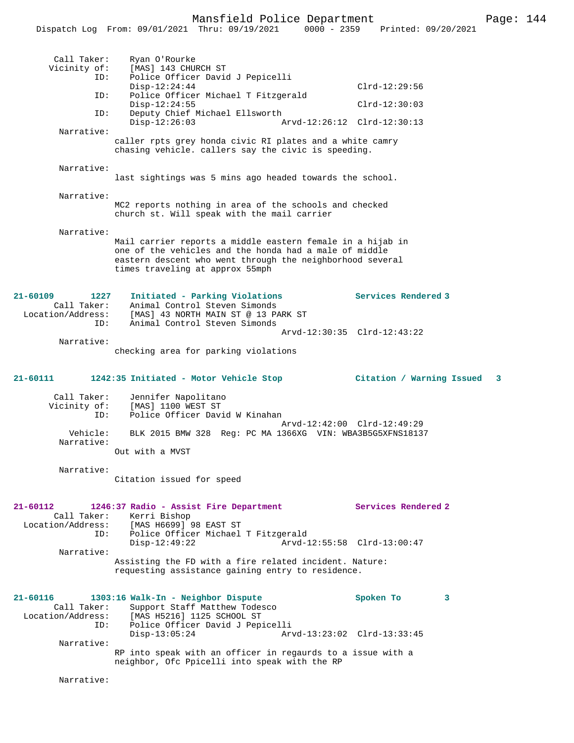|                                     | Dispatch Log From: 09/01/2021 Thru: 09/19/2021                                               | $0000 - 2359$ | Printed: 09/20/2021         |   |
|-------------------------------------|----------------------------------------------------------------------------------------------|---------------|-----------------------------|---|
|                                     |                                                                                              |               |                             |   |
| Call Taker:                         | Ryan O'Rourke                                                                                |               |                             |   |
| Vicinity of:<br>ID:                 | [MAS] 143 CHURCH ST<br>Police Officer David J Pepicelli                                      |               |                             |   |
|                                     | $Disp-12:24:44$                                                                              |               | $Clrd-12:29:56$             |   |
| ID:                                 | Police Officer Michael T Fitzgerald                                                          |               | $Clrd-12:30:03$             |   |
| ID:                                 | $Disp-12:24:55$<br>Deputy Chief Michael Ellsworth                                            |               |                             |   |
|                                     | $Disp-12:26:03$                                                                              |               | Arvd-12:26:12 Clrd-12:30:13 |   |
| Narrative:                          | caller rpts grey honda civic RI plates and a white camry                                     |               |                             |   |
|                                     | chasing vehicle. callers say the civic is speeding.                                          |               |                             |   |
| Narrative:                          |                                                                                              |               |                             |   |
|                                     | last sightings was 5 mins ago headed towards the school.                                     |               |                             |   |
|                                     |                                                                                              |               |                             |   |
| Narrative:                          | MC2 reports nothing in area of the schools and checked                                       |               |                             |   |
|                                     | church st. Will speak with the mail carrier                                                  |               |                             |   |
|                                     |                                                                                              |               |                             |   |
| Narrative:                          | Mail carrier reports a middle eastern female in a hijab in                                   |               |                             |   |
|                                     | one of the vehicles and the honda had a male of middle                                       |               |                             |   |
|                                     | eastern descent who went through the neighborhood several<br>times traveling at approx 55mph |               |                             |   |
|                                     |                                                                                              |               |                             |   |
|                                     |                                                                                              |               |                             |   |
| $21 - 60109$<br>1227<br>Call Taker: | Initiated - Parking Violations<br>Animal Control Steven Simonds                              |               | Services Rendered 3         |   |
| Location/Address:                   | [MAS] 43 NORTH MAIN ST @ 13 PARK ST                                                          |               |                             |   |
| ID:                                 | Animal Control Steven Simonds                                                                |               | Arvd-12:30:35 Clrd-12:43:22 |   |
| Narrative:                          |                                                                                              |               |                             |   |
|                                     | checking area for parking violations                                                         |               |                             |   |
|                                     |                                                                                              |               |                             |   |
| 21-60111                            | 1242:35 Initiated - Motor Vehicle Stop                                                       |               | Citation / Warning Issued   | 3 |
| Call Taker:                         | Jennifer Napolitano                                                                          |               |                             |   |
| Vicinity of:                        | [MAS] 1100 WEST ST                                                                           |               |                             |   |
| ID:                                 | Police Officer David W Kinahan                                                               |               | Arvd-12:42:00 Clrd-12:49:29 |   |
| Vehicle:                            | BLK 2015 BMW 328 Req: PC MA 1366XG VIN: WBA3B5G5XFNS18137                                    |               |                             |   |
| Narrative:                          |                                                                                              |               |                             |   |
|                                     | Out with a MVST                                                                              |               |                             |   |
| Narrative:                          |                                                                                              |               |                             |   |
|                                     | Citation issued for speed                                                                    |               |                             |   |
|                                     |                                                                                              |               |                             |   |
| $21 - 60112$                        | 1246:37 Radio - Assist Fire Department                                                       |               | Services Rendered 2         |   |
| Call Taker:<br>Location/Address:    | Kerri Bishop<br>[MAS H6699] 98 EAST ST                                                       |               |                             |   |
| ID:                                 | Police Officer Michael T Fitzgerald                                                          |               |                             |   |
| Narrative:                          | $Disp-12:49:22$                                                                              |               | Arvd-12:55:58 Clrd-13:00:47 |   |
|                                     | Assisting the FD with a fire related incident. Nature:                                       |               |                             |   |
|                                     | requesting assistance gaining entry to residence.                                            |               |                             |   |
|                                     |                                                                                              |               |                             |   |
| 21-60116                            | 1303:16 Walk-In - Neighbor Dispute                                                           |               | Spoken To<br>3              |   |
| Call Taker:                         | Support Staff Matthew Todesco                                                                |               |                             |   |
| Location/Address:<br>ID:            | [MAS H5216] 1125 SCHOOL ST<br>Police Officer David J Pepicelli                               |               |                             |   |
|                                     | $Disp-13:05:24$                                                                              |               | Arvd-13:23:02 Clrd-13:33:45 |   |
| Narrative:                          | RP into speak with an officer in regaurds to a issue with a                                  |               |                             |   |
|                                     | neighbor, Ofc Ppicelli into speak with the RP                                                |               |                             |   |
|                                     |                                                                                              |               |                             |   |
| Narrative:                          |                                                                                              |               |                             |   |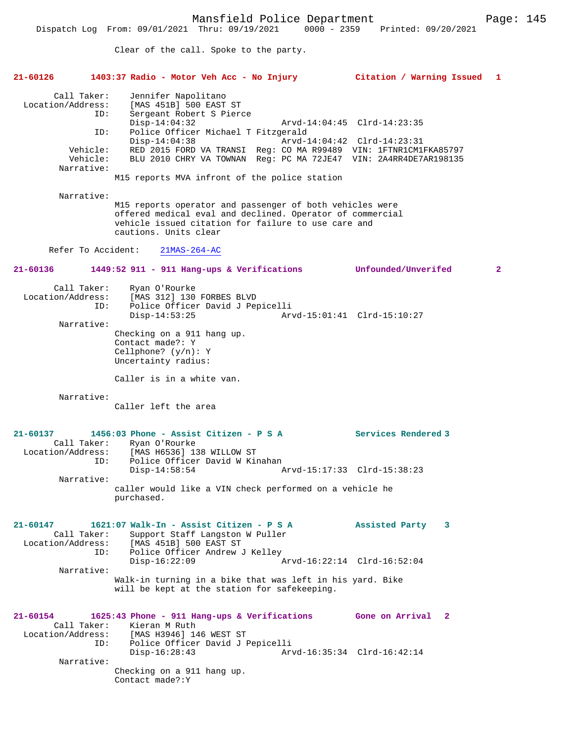Clear of the call. Spoke to the party.

| $21 - 60126$                                                                         | 1403:37 Radio - Motor Veh Acc - No Injury                                                                                                                                                                                                                                                                                                       | Citation / Warning Issued 1                                |   |
|--------------------------------------------------------------------------------------|-------------------------------------------------------------------------------------------------------------------------------------------------------------------------------------------------------------------------------------------------------------------------------------------------------------------------------------------------|------------------------------------------------------------|---|
| Call Taker:<br>Location/Address:<br>ID:<br>ID:<br>Vehicle:<br>Vehicle:<br>Narrative: | Jennifer Napolitano<br>[MAS 451B] 500 EAST ST<br>Sergeant Robert S Pierce<br>$Disp-14:04:32$<br>Police Officer Michael T Fitzgerald<br>$Disp-14:04:38$<br>RED 2015 FORD VA TRANSI Req: CO MA R99489 VIN: 1FTNR1CM1FKA85797<br>BLU 2010 CHRY VA TOWNAN Reg: PC MA 72JE47 VIN: 2A4RR4DE7AR198135<br>M15 reports MVA infront of the police station | Arvd-14:04:45 Clrd-14:23:35<br>Arvd-14:04:42 Clrd-14:23:31 |   |
| Narrative:                                                                           | M15 reports operator and passenger of both vehicles were<br>offered medical eval and declined. Operator of commercial<br>vehicle issued citation for failure to use care and<br>cautions. Units clear                                                                                                                                           |                                                            |   |
| Refer To Accident:                                                                   | $21MAS-264-AC$                                                                                                                                                                                                                                                                                                                                  |                                                            |   |
| $21 - 60136$                                                                         | 1449:52 911 - 911 Hang-ups & Verifications                                                                                                                                                                                                                                                                                                      | Unfounded/Unverifed                                        | 2 |
| Call Taker:<br>Location/Address:<br>ID:<br>Narrative:                                | Ryan O'Rourke<br>[MAS 312] 130 FORBES BLVD<br>Police Officer David J Pepicelli<br>$Disp-14:53:25$<br>Checking on a 911 hang up.<br>Contact made?: Y<br>Cellphone? $(y/n): Y$<br>Uncertainty radius:                                                                                                                                             | Arvd-15:01:41 Clrd-15:10:27                                |   |
|                                                                                      | Caller is in a white van.                                                                                                                                                                                                                                                                                                                       |                                                            |   |
| Narrative:                                                                           | Caller left the area                                                                                                                                                                                                                                                                                                                            |                                                            |   |
| $21 - 60137$<br>Call Taker:<br>Location/Address:<br>ID:<br>Narrative:                | 1456:03 Phone - Assist Citizen - P S A<br>Ryan O'Rourke<br>[MAS H6536] 138 WILLOW ST<br>Police Officer David W Kinahan<br>$Disp-14:58:54$<br>caller would like a VIN check performed on a vehicle he<br>purchased.                                                                                                                              | Services Rendered 3<br>Arvd-15:17:33 Clrd-15:38:23         |   |
| 21-60147<br>Call Taker:<br>ID:<br>Narrative:                                         | 1621:07 Walk-In - Assist Citizen - P S A<br>Support Staff Langston W Puller<br>Location/Address: [MAS 451B] 500 EAST ST<br>Police Officer Andrew J Kelley<br>$Disp-16:22:09$<br>Walk-in turning in a bike that was left in his yard. Bike<br>will be kept at the station for safekeeping.                                                       | Assisted Party 3<br>Arvd-16:22:14 Clrd-16:52:04            |   |
| 21-60154<br>Call Taker:<br>ID:<br>Narrative:                                         | 1625:43 Phone - 911 Hang-ups & Verifications Gone on Arrival 2<br>Kieran M Ruth<br>Location/Address: [MAS H3946] 146 WEST ST<br>Police Officer David J Pepicelli<br>$Disp-16:28:43$<br>Checking on a 911 hang up.<br>Contact made?: Y                                                                                                           | Arvd-16:35:34 Clrd-16:42:14                                |   |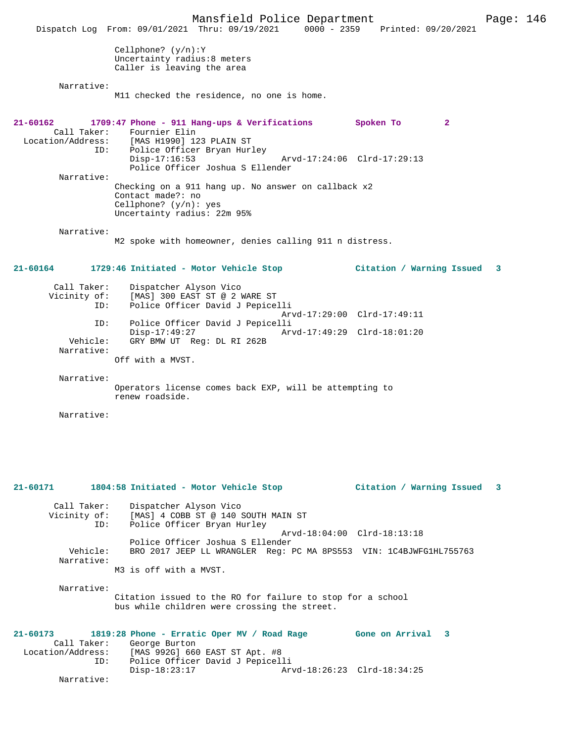Mansfield Police Department Franch Page: 146 Dispatch Log From: 09/01/2021 Thru: 09/19/2021 0000 - 2359 Printed: 09/20/2021 Cellphone? (y/n):Y Uncertainty radius:8 meters Caller is leaving the area Narrative: M11 checked the residence, no one is home. **21-60162 1709:47 Phone - 911 Hang-ups & Verifications Spoken To 2**  Call Taker: Fournier Elin<br>Location/Address: [MAS H1990] 12 ess: [MAS H1990] 123 PLAIN ST<br>ID: Police Officer Bryan Hur Police Officer Bryan Hurley<br>Disp-17:16:53 Arvd-17:24:06 Clrd-17:29:13 Police Officer Joshua S Ellender Narrative: Checking on a 911 hang up. No answer on callback x2 Contact made?: no Cellphone? (y/n): yes Uncertainty radius: 22m 95% Narrative: M2 spoke with homeowner, denies calling 911 n distress. **21-60164 1729:46 Initiated - Motor Vehicle Stop Citation / Warning Issued 3** Call Taker: Dispatcher Alyson Vico Vicinity of: [MAS] 300 EAST ST @ 2 WARE ST ID: Police Officer David J Pepicelli Arvd-17:29:00 Clrd-17:49:11 ID: Police Officer David J Pepicelli Disp-17:49:27 Arvd-17:49:29 Clrd-18:01:20<br>Vehicle: GRY BMW UT Req: DL RI 262B GRY BMW UT Reg: DL RI 262B Narrative: Off with a MVST. Narrative: Operators license comes back EXP, will be attempting to renew roadside. Narrative: **21-60171 1804:58 Initiated - Motor Vehicle Stop Citation / Warning Issued 3** Call Taker: Dispatcher Alyson Vico<br>Vicinity of: [MAS] 4 COBB ST @ 140 : Vicinity of: [MAS] 4 COBB ST @ 140 SOUTH MAIN ST ID: Police Officer Bryan Hurley Arvd-18:04:00 Clrd-18:13:18 Police Officer Joshua S Ellender Vehicle: BRO 2017 JEEP LL WRANGLER Reg: PC MA 8PS553 VIN: 1C4BJWFG1HL755763 Narrative: M3 is off with a MVST. Narrative: Citation issued to the RO for failure to stop for a school bus while children were crossing the street. **21-60173 1819:28 Phone - Erratic Oper MV / Road Rage Gone on Arrival 3**  Call Taker: George Burton<br>Location/Address: [MAS 992G] 660 [MAS 992G] 660 EAST ST Apt. #8 ID: Police Officer David J Pepicelli Disp-18:23:17 Arvd-18:26:23 Clrd-18:34:25 Narrative: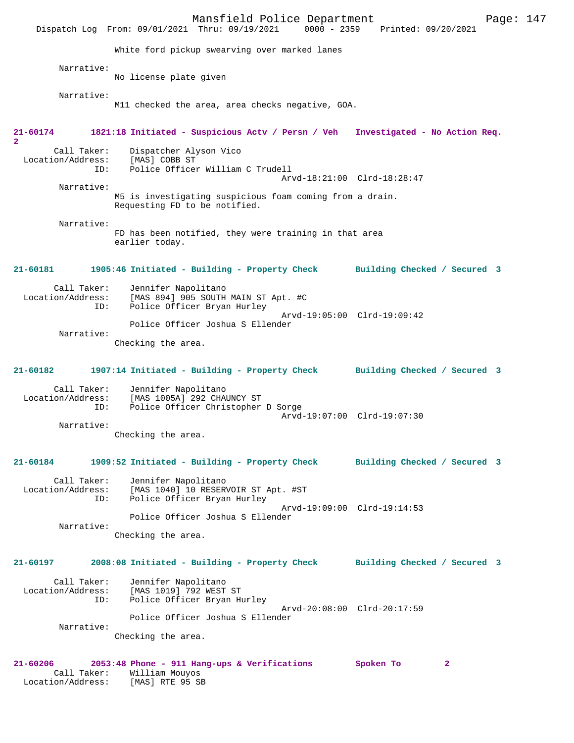Mansfield Police Department Page: 147 Dispatch Log From: 09/01/2021 Thru: 09/19/2021 White ford pickup swearving over marked lanes Narrative: No license plate given Narrative: M11 checked the area, area checks negative, GOA. **21-60174 1821:18 Initiated - Suspicious Actv / Persn / Veh Investigated - No Action Req. 2**  Call Taker: Dispatcher Alyson Vico Location/Address: [MAS] COBB ST Police Officer William C Trudell Arvd-18:21:00 Clrd-18:28:47 Narrative: M5 is investigating suspicious foam coming from a drain. Requesting FD to be notified. Narrative: FD has been notified, they were training in that area earlier today. **21-60181 1905:46 Initiated - Building - Property Check Building Checked / Secured 3** Call Taker: Jennifer Napolitano<br>Location/Address: [MAS 894] 905 SOUTH [MAS 894]  $905$  SOUTH MAIN ST Apt. #C ID: Police Officer Bryan Hurley Arvd-19:05:00 Clrd-19:09:42 Police Officer Joshua S Ellender Narrative: Checking the area. **21-60182 1907:14 Initiated - Building - Property Check Building Checked / Secured 3** Call Taker: Jennifer Napolitano<br>Location/Address: [MAS 1005A] 292 CHA ess: [MAS 1005A] 292 CHAUNCY ST<br>ID: Police Officer Christopher Police Officer Christopher D Sorge Arvd-19:07:00 Clrd-19:07:30 Narrative: Checking the area. **21-60184 1909:52 Initiated - Building - Property Check Building Checked / Secured 3** Call Taker: Jennifer Napolitano<br>Location/Address: [MAS 1040] 10 RESER ess: [MAS 1040] 10 RESERVOIR ST Apt. #ST<br>ID: Police Officer Brvan Hurlev Police Officer Bryan Hurley Arvd-19:09:00 Clrd-19:14:53 Police Officer Joshua S Ellender Narrative: Checking the area. **21-60197 2008:08 Initiated - Building - Property Check Building Checked / Secured 3** Call Taker: Jennifer Napolitano<br>Location/Address: [MAS 1019] 792 WEST ess: [MAS 1019] 792 WEST ST<br>ID: Police Officer Bryan Hy Police Officer Bryan Hurley Arvd-20:08:00 Clrd-20:17:59 Police Officer Joshua S Ellender Narrative: Checking the area. **21-60206 2053:48 Phone - 911 Hang-ups & Verifications Spoken To 2**  Call Taker: William Mouyos Location/Address: [MAS] RTE 95 SB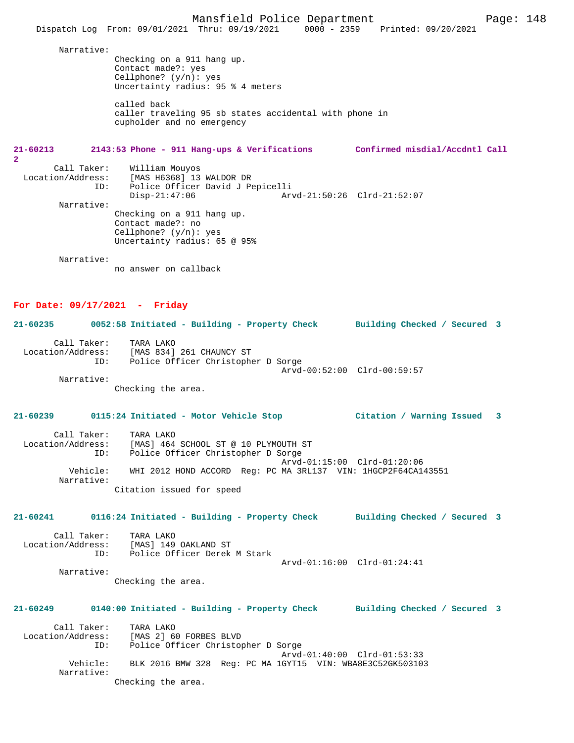Narrative:

Checking on a 911 hang up. Contact made?: yes Cellphone? (y/n): yes Uncertainty radius: 95 % 4 meters

called back caller traveling 95 sb states accidental with phone in cupholder and no emergency

### **21-60213 2143:53 Phone - 911 Hang-ups & Verifications Confirmed misdial/Accdntl Call 2**

 Call Taker: William Mouyos Location/Address: [MAS H6368] 13 WALDOR DR<br>ID: Police Officer David J Pe ID: Police Officer David J Pepicelli Disp-21:47:06 Arvd-21:50:26 Clrd-21:52:07 Narrative: Checking on a 911 hang up. Contact made?: no Cellphone? (y/n): yes Uncertainty radius: 65 @ 95%

Narrative:

no answer on callback

### **For Date: 09/17/2021 - Friday**

**21-60235 0052:58 Initiated - Building - Property Check Building Checked / Secured 3** Call Taker: TARA LAKO<br>Location/Address: [MAS 834] Location/Address: [MAS 834] 261 CHAUNCY ST ID: Police Officer Christopher D Sorge Arvd-00:52:00 Clrd-00:59:57

Narrative:

Narrative:

Checking the area.

# **21-60239 0115:24 Initiated - Motor Vehicle Stop Citation / Warning Issued 3**

| Call Taker:            | TARA LAKO                                                     |
|------------------------|---------------------------------------------------------------|
| Location/Address:      | [MAS] 464 SCHOOL ST @ 10 PLYMOUTH ST                          |
| ID:                    | Police Officer Christopher D Sorge                            |
|                        | Arvd-01:15:00 Clrd-01:20:06                                   |
| Vehicle:<br>Narrative: | WHI 2012 HOND ACCORD Req: PC MA 3RL137 VIN: 1HGCP2F64CA143551 |
|                        | Citation issued for speed                                     |

### **21-60241 0116:24 Initiated - Building - Property Check Building Checked / Secured 3**

| Call Taker:       | TARA LAKO                    |  |
|-------------------|------------------------------|--|
| Location/Address: | [MAS] 149 OAKLAND ST         |  |
| TD:               | Police Officer Derek M Stark |  |
|                   |                              |  |

Checking the area.

# **21-60249 0140:00 Initiated - Building - Property Check Building Checked / Secured 3**

| Call Taker:       | TARA LAKO                                                 |
|-------------------|-----------------------------------------------------------|
| Location/Address: | [MAS 2] 60 FORBES BLVD                                    |
| ID:               | Police Officer Christopher D Sorge                        |
|                   | Arvd-01:40:00 Clrd-01:53:33                               |
| Vehicle:          | BLK 2016 BMW 328 Reg: PC MA 1GYT15 VIN: WBA8E3C52GK503103 |
| Narrative:        |                                                           |
|                   | Checking the area.                                        |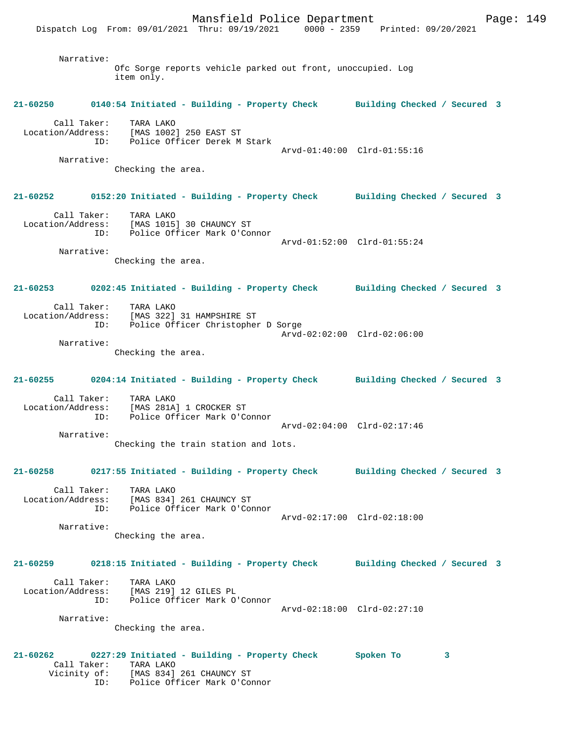Narrative: Ofc Sorge reports vehicle parked out front, unoccupied. Log item only. **21-60250 0140:54 Initiated - Building - Property Check Building Checked / Secured 3** Call Taker: TARA LAKO Location/Address: [MAS 1002] 250 EAST ST ID: Police Officer Derek M Stark Arvd-01:40:00 Clrd-01:55:16 Narrative: Checking the area. **21-60252 0152:20 Initiated - Building - Property Check Building Checked / Secured 3** Call Taker: TARA LAKO Location/Address: [MAS 1015] 30 CHAUNCY ST ID: Police Officer Mark O'Connor Arvd-01:52:00 Clrd-01:55:24 Narrative: Checking the area. **21-60253 0202:45 Initiated - Building - Property Check Building Checked / Secured 3** Call Taker: TARA LAKO Location/Address: [MAS 322] 31 HAMPSHIRE ST ID: Police Officer Christopher D Sorge Arvd-02:02:00 Clrd-02:06:00 Narrative: Checking the area. **21-60255 0204:14 Initiated - Building - Property Check Building Checked / Secured 3** Call Taker: TARA LAKO Location/Address: [MAS 281A] 1 CROCKER ST<br>ID: Police Officer Mark O'Co Police Officer Mark O'Connor Arvd-02:04:00 Clrd-02:17:46 Narrative: Checking the train station and lots. **21-60258 0217:55 Initiated - Building - Property Check Building Checked / Secured 3** Call Taker: TARA LAKO Location/Address: [MAS 834] 261 CHAUNCY ST ID: Police Officer Mark O'Connor Arvd-02:17:00 Clrd-02:18:00 Narrative: Checking the area. **21-60259 0218:15 Initiated - Building - Property Check Building Checked / Secured 3** Call Taker: TARA LAKO Location/Address: [MAS 219] 12 GILES PL ID: Police Officer Mark O'Connor Arvd-02:18:00 Clrd-02:27:10 Narrative: Checking the area. **21-60262 0227:29 Initiated - Building - Property Check Spoken To 3**  Call Taker: TARA LAKO<br>Vicinity of: [MAS 834] [MAS 834] 261 CHAUNCY ST ID: Police Officer Mark O'Connor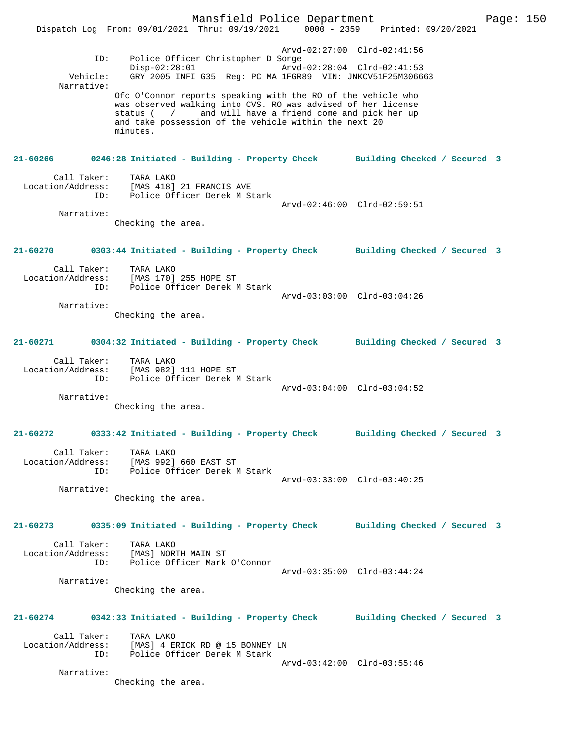Mansfield Police Department Form Page: 150 Dispatch Log From: 09/01/2021 Thru: 09/19/2021 0000 - 2359 Printed: 09/20/2021 Arvd-02:27:00 Clrd-02:41:56 ID: Police Officer Christopher D Sorge Disp-02:28:01 Arvd-02:28:04 Clrd-02:41:53 Vehicle: GRY 2005 INFI G35 Reg: PC MA 1FGR89 VIN: JNKCV51F25M306663 Narrative: Ofc O'Connor reports speaking with the RO of the vehicle who was observed walking into CVS. RO was advised of her license status ( / and will have a friend come and pick her up and take possession of the vehicle within the next 20 minutes. **21-60266 0246:28 Initiated - Building - Property Check Building Checked / Secured 3** Call Taker: TARA LAKO Location/Address: [MAS 418] 21 FRANCIS AVE ID: Police Officer Derek M Stark Arvd-02:46:00 Clrd-02:59:51 Narrative: Checking the area. **21-60270 0303:44 Initiated - Building - Property Check Building Checked / Secured 3** Call Taker: TARA LAKO Location/Address: [MAS 170] 255 HOPE ST ID: Police Officer Derek M Stark Arvd-03:03:00 Clrd-03:04:26 Narrative: Checking the area. **21-60271 0304:32 Initiated - Building - Property Check Building Checked / Secured 3** Call Taker: TARA LAKO Location/Address: [MAS 982] 111 HOPE ST ID: Police Officer Derek M Stark Arvd-03:04:00 Clrd-03:04:52 Narrative: Checking the area. **21-60272 0333:42 Initiated - Building - Property Check Building Checked / Secured 3** Call Taker: TARA LAKO Location/Address: [MAS 992] 660 EAST ST ID: Police Officer Derek M Stark Arvd-03:33:00 Clrd-03:40:25 Narrative: Checking the area. **21-60273 0335:09 Initiated - Building - Property Check Building Checked / Secured 3** Call Taker: TARA LAKO Location/Address: [MAS] NORTH MAIN ST ID: Police Officer Mark O'Connor Arvd-03:35:00 Clrd-03:44:24 Narrative: Checking the area. **21-60274 0342:33 Initiated - Building - Property Check Building Checked / Secured 3** Call Taker: TARA LAKO Location/Address: [MAS] 4 ERICK RD @ 15 BONNEY LN ID: Police Officer Derek M Stark Arvd-03:42:00 Clrd-03:55:46 Narrative: Checking the area.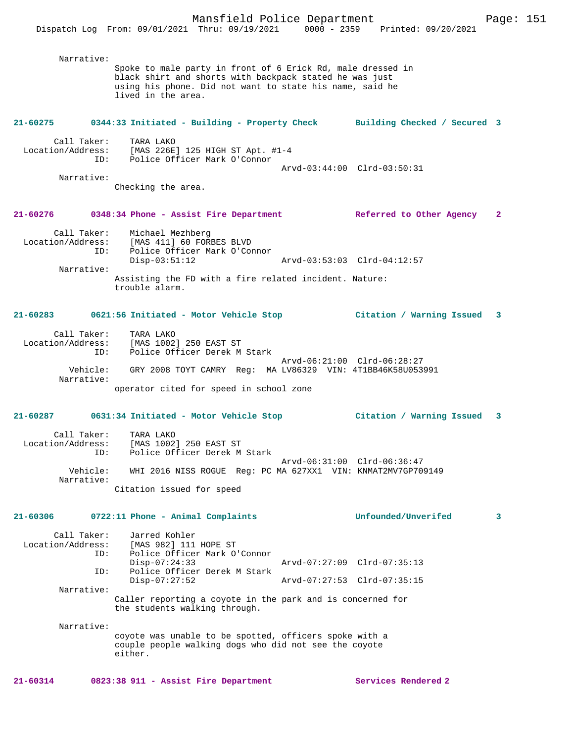Dispatch Log From: 09/01/2021 Thru: 09/19/2021 0000 - 2359 Printed: 09/20/2021

| Narrative:                              | Spoke to male party in front of 6 Erick Rd, male dressed in<br>black shirt and shorts with backpack stated he was just<br>using his phone. Did not want to state his name, said he<br>lived in the area. |                             |              |
|-----------------------------------------|----------------------------------------------------------------------------------------------------------------------------------------------------------------------------------------------------------|-----------------------------|--------------|
| 21-60275                                | 0344:33 Initiated - Building - Property Check Building Checked / Secured 3                                                                                                                               |                             |              |
| Call Taker:                             | TARA LAKO<br>Location/Address: [MAS 226E] 125 HIGH ST Apt. #1-4<br>ID: Police Officer Mark O'Connor                                                                                                      |                             |              |
| Narrative:                              | Checking the area.                                                                                                                                                                                       | Arvd-03:44:00 Clrd-03:50:31 |              |
|                                         |                                                                                                                                                                                                          |                             |              |
|                                         | 21-60276 0348:34 Phone - Assist Fire Department                                                                                                                                                          | Referred to Other Agency    | $\mathbf{2}$ |
| ID:                                     | Call Taker: Michael Mezhberg<br>Location/Address: [MAS 411] 60 FORBES BLVD<br>Police Officer Mark O'Connor<br>$Disp-03:51:12$                                                                            |                             |              |
| Narrative:                              |                                                                                                                                                                                                          |                             |              |
|                                         | Assisting the FD with a fire related incident. Nature:<br>trouble alarm.                                                                                                                                 |                             |              |
|                                         | 21-60283 0621:56 Initiated - Motor Vehicle Stop                                                                                                                                                          | Citation / Warning Issued 3 |              |
| ID:                                     | Call Taker: TARA LAKO<br>Location/Address: [MAS 1002] 250 EAST ST<br>Police Officer Derek M Stark                                                                                                        |                             |              |
| Narrative:                              | Vehicle: GRY 2008 TOYT CAMRY Reg: MA LV86329 VIN: 4T1BB46K58U053991                                                                                                                                      | Arvd-06:21:00 Clrd-06:28:27 |              |
|                                         | operator cited for speed in school zone                                                                                                                                                                  |                             |              |
|                                         |                                                                                                                                                                                                          | Citation / Warning Issued 3 |              |
| Call Taker:<br>Location/Address:<br>ID: | TARA LAKO<br>[MAS 1002] 250 EAST ST<br>Police Officer Derek M Stark                                                                                                                                      |                             |              |
| Vehicle:<br>Narrative:                  | WHI 2016 NISS ROGUE Reg: PC MA 627XX1 VIN: KNMAT2MV7GP709149                                                                                                                                             | Arvd-06:31:00 Clrd-06:36:47 |              |
|                                         | Citation issued for speed                                                                                                                                                                                |                             |              |
| 21-60306                                | 0722:11 Phone - Animal Complaints                                                                                                                                                                        | Unfounded/Unverifed         | 3            |
| Call Taker:<br>Location/Address:<br>ID: | Jarred Kohler<br>[MAS 982] 111 HOPE ST<br>Police Officer Mark O'Connor                                                                                                                                   |                             |              |
| ID:                                     | $Disp-07:24:33$<br>Police Officer Derek M Stark                                                                                                                                                          | Arvd-07:27:09 Clrd-07:35:13 |              |
| Narrative:                              | $Disp-07:27:52$                                                                                                                                                                                          | Arvd-07:27:53 Clrd-07:35:15 |              |
|                                         | Caller reporting a coyote in the park and is concerned for<br>the students walking through.                                                                                                              |                             |              |
| Narrative:                              | coyote was unable to be spotted, officers spoke with a<br>couple people walking dogs who did not see the coyote<br>either.                                                                               |                             |              |

**21-60314 0823:38 911 - Assist Fire Department Services Rendered 2**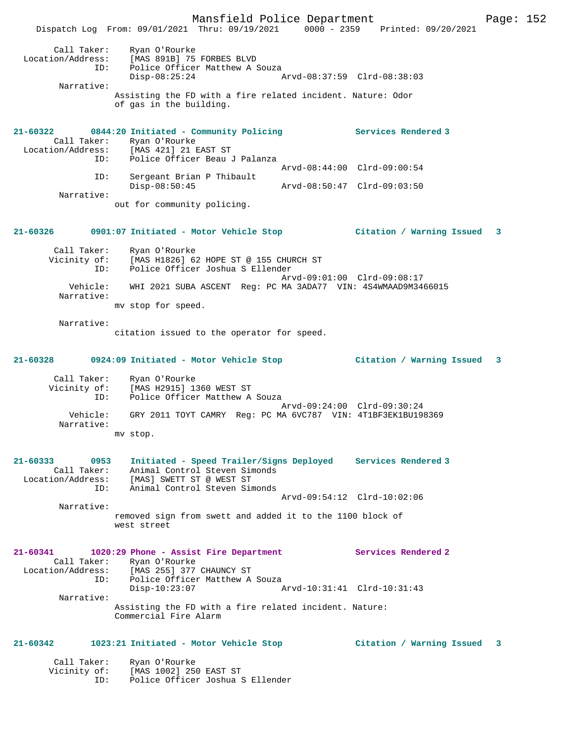Mansfield Police Department Franch Page: 152 Dispatch Log From: 09/01/2021 Thru: 09/19/2021 0000 - 2359 Printed: 09/20/2021 Call Taker: Ryan O'Rourke Location/Address: [MAS 891B] 75 FORBES BLVD ID: Police Officer Matthew A Souza Disp-08:25:24 Arvd-08:37:59 Clrd-08:38:03 Narrative: Assisting the FD with a fire related incident. Nature: Odor of gas in the building. **21-60322 0844:20 Initiated - Community Policing Services Rendered 3**  Call Taker: Ryan O'Rourke Location/Address: [MAS 421] 21 EAST ST<br>ID: Police Officer Beau Police Officer Beau J Palanza Arvd-08:44:00 Clrd-09:00:54 ID: Sergeant Brian P Thibault Disp-08:50:45 Arvd-08:50:47 Clrd-09:03:50 Narrative: out for community policing. **21-60326 0901:07 Initiated - Motor Vehicle Stop Citation / Warning Issued 3** Call Taker: Ryan O'Rourke Vicinity of: [MAS H1826] 62 HOPE ST @ 155 CHURCH ST ID: Police Officer Joshua S Ellender Arvd-09:01:00 Clrd-09:08:17 Vehicle: WHI 2021 SUBA ASCENT Reg: PC MA 3ADA77 VIN: 4S4WMAAD9M3466015 Narrative: mv stop for speed. Narrative: citation issued to the operator for speed. **21-60328 0924:09 Initiated - Motor Vehicle Stop Citation / Warning Issued 3** Call Taker: Ryan O'Rourke Vicinity of: [MAS H2915] 1360 WEST ST<br>ID: Police Officer Matthew A Police Officer Matthew A Souza Arvd-09:24:00 Clrd-09:30:24<br>Vehicle: GRY 2011 TOYT CAMRY Req: PC MA 6VC787 VIN: 4T1BF3EK1BU198 GRY 2011 TOYT CAMRY Reg: PC MA 6VC787 VIN: 4T1BF3EK1BU198369 Narrative: mv stop. **21-60333 0953 Initiated - Speed Trailer/Signs Deployed Services Rendered 3**  Call Taker: Animal Control Steven Simonds Location/Address: [MAS] SWETT ST @ WEST ST ESS: [INIT] SHELF TO STREVEN Simonds Arvd-09:54:12 Clrd-10:02:06 Narrative: removed sign from swett and added it to the 1100 block of west street **21-60341 1020:29 Phone - Assist Fire Department Services Rendered 2**  Call Taker: Ryan O'Rourke<br>Location/Address: [MAS 255] 377 ess: [MAS 255] 377 CHAUNCY ST<br>ID: Police Officer Matthew A ID: Police Officer Matthew A Souza Disp-10:23:07 Arvd-10:31:41 Clrd-10:31:43 Narrative: Assisting the FD with a fire related incident. Nature: Commercial Fire Alarm **21-60342 1023:21 Initiated - Motor Vehicle Stop Citation / Warning Issued 3** Call Taker: Ryan O'Rourke Vicinity of: [MAS 1002] 250 EAST ST ID: Police Officer Joshua S Ellender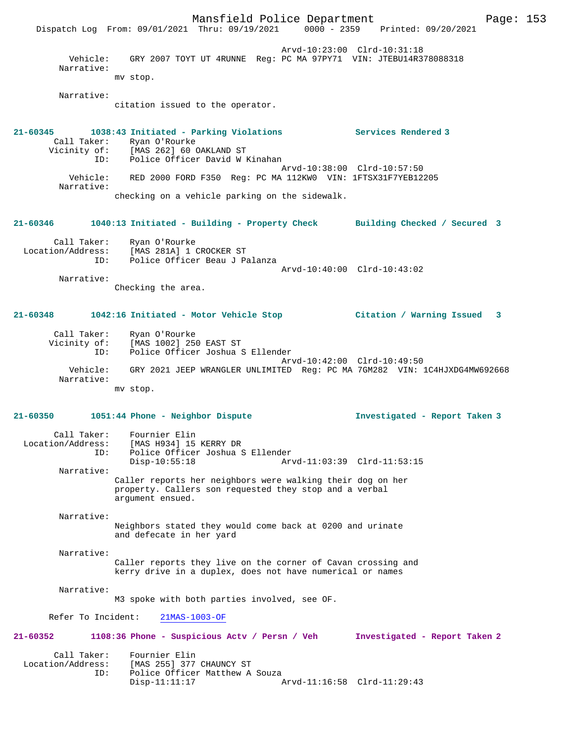Mansfield Police Department Page: 153 Dispatch Log From: 09/01/2021 Thru: 09/19/2021 Arvd-10:23:00 Clrd-10:31:18 Vehicle: GRY 2007 TOYT UT 4RUNNE Reg: PC MA 97PY71 VIN: JTEBU14R378088318 Narrative: mv stop. Narrative: citation issued to the operator. **21-60345 1038:43 Initiated - Parking Violations Services Rendered 3**  Call Taker: Ryan O'Rourke<br>Vicinity of: [MAS 262] 60 of: [MAS 262] 60 OAKLAND ST<br>ID: Police Officer David W] Police Officer David W Kinahan Arvd-10:38:00 Clrd-10:57:50 Vehicle: RED 2000 FORD F350 Reg: PC MA 112KW0 VIN: 1FTSX31F7YEB12205 Narrative: checking on a vehicle parking on the sidewalk. **21-60346 1040:13 Initiated - Building - Property Check Building Checked / Secured 3** Call Taker: Ryan O'Rourke Location/Address: [MAS 281A] 1 CROCKER ST ID: Police Officer Beau J Palanza Arvd-10:40:00 Clrd-10:43:02 Narrative: Checking the area. **21-60348 1042:16 Initiated - Motor Vehicle Stop Citation / Warning Issued 3** Call Taker: Ryan O'Rourke Vicinity of: [MAS 1002] 250 EAST ST<br>TD: Police Officer Joshua S Police Officer Joshua S Ellender Arvd-10:42:00 Clrd-10:49:50 Vehicle: GRY 2021 JEEP WRANGLER UNLIMITED Reg: PC MA 7GM282 VIN: 1C4HJXDG4MW692668 Narrative: mv stop. **21-60350 1051:44 Phone - Neighbor Dispute Investigated - Report Taken 3** Call Taker: Fournier Elin Location/Address: [MAS H934] 15 KERRY DR ID: Police Officer Joshua S Ellender Disp-10:55:18 Arvd-11:03:39 Clrd-11:53:15 Narrative: Caller reports her neighbors were walking their dog on her property. Callers son requested they stop and a verbal argument ensued. Narrative: Neighbors stated they would come back at 0200 and urinate and defecate in her yard Narrative: Caller reports they live on the corner of Cavan crossing and kerry drive in a duplex, does not have numerical or names Narrative: M3 spoke with both parties involved, see OF. Refer To Incident: 21MAS-1003-OF **21-60352 1108:36 Phone - Suspicious Actv / Persn / Veh Investigated - Report Taken 2** Call Taker: Fournier Elin<br>Location/Address: [MAS 255] 377 ess: [MAS 255] 377 CHAUNCY ST<br>ID: Police Officer Matthew A Police Officer Matthew A Souza Disp-11:11:17 Arvd-11:16:58 Clrd-11:29:43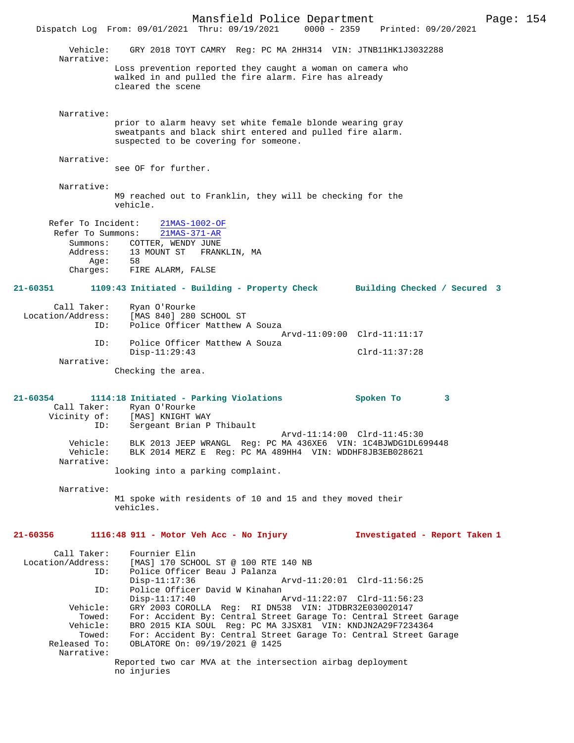Mansfield Police Department Page: 154 Dispatch Log From: 09/01/2021 Thru: 09/19/2021 Vehicle: GRY 2018 TOYT CAMRY Reg: PC MA 2HH314 VIN: JTNB11HK1J3032288 Narrative: Loss prevention reported they caught a woman on camera who walked in and pulled the fire alarm. Fire has already cleared the scene Narrative: prior to alarm heavy set white female blonde wearing gray sweatpants and black shirt entered and pulled fire alarm. suspected to be covering for someone. Narrative: see OF for further. Narrative: M9 reached out to Franklin, they will be checking for the vehicle. Refer To Incident: 21MAS-1002-OF Refer To Summons: 21MAS-371-AR Summons: COTTER, WENDY JUNE<br>Address: 13 MOUNT ST FRAN 13 MOUNT ST FRANKLIN, MA<br>58 Age: Charges: FIRE ALARM, FALSE **21-60351 1109:43 Initiated - Building - Property Check Building Checked / Secured 3** Call Taker: Ryan O'Rourke Location/Address: [MAS 840] 280 SCHOOL ST ID: Police Officer Matthew A Souza Arvd-11:09:00 Clrd-11:11:17 ID: Police Officer Matthew A Souza Disp-11:29:43 Clrd-11:37:28 Narrative: Checking the area. **21-60354 1114:18 Initiated - Parking Violations Spoken To 3**  Call Taker: Ryan O'Rourke<br>Vicinity of: [MAS] KNIGHT V Vicinity of: [MAS] KNIGHT WAY ID: Sergeant Brian P Thibault Arvd-11:14:00 Clrd-11:45:30 Vehicle: BLK 2013 JEEP WRANGL Reg: PC MA 436XE6 VIN: 1C4BJWDG1DL699448<br>Vehicle: BLK 2014 MERZ E Reg: PC MA 489HH4 VIN: WDDHF8JB3EB028621 Vehicle: BLK 2014 MERZ E Reg: PC MA 489HH4 VIN: WDDHF8JB3EB028621 Narrative: looking into a parking complaint. Narrative: M1 spoke with residents of 10 and 15 and they moved their vehicles. **21-60356 1116:48 911 - Motor Veh Acc - No Injury Investigated - Report Taken 1** Call Taker: Fournier Elin<br>Location/Address: [MAS] 170 SCH [MAS] 170 SCHOOL ST @ 100 RTE 140 NB ID: Police Officer Beau J Palanza Arvd-11:20:01 Clrd-11:56:25 ID: Police Officer David W Kinahan<br>Disp-11:17:40 Disp-11:17:40 Arvd-11:22:07 Clrd-11:56:23<br>Vehicle: GRY 2003 COROLLA Reg: RI DN538 VIN: JTDBR32E030020147 GRY 2003 COROLLA Reg: RI DN538 VIN: JTDBR32E030020147 Towed: For: Accident By: Central Street Garage To: Central Street Garage Vehicle: BRO 2015 KIA SOUL Reg: PC MA 3JSX81 VIN: KNDJN2A29F7234364 Towed: For: Accident By: Central Street Garage To: Central Street Garage Released To: 0BLATORE On: 09/19/2021 @ 1425 OBLATORE On: 09/19/2021 @ 1425 Narrative: Reported two car MVA at the intersection airbag deployment no injuries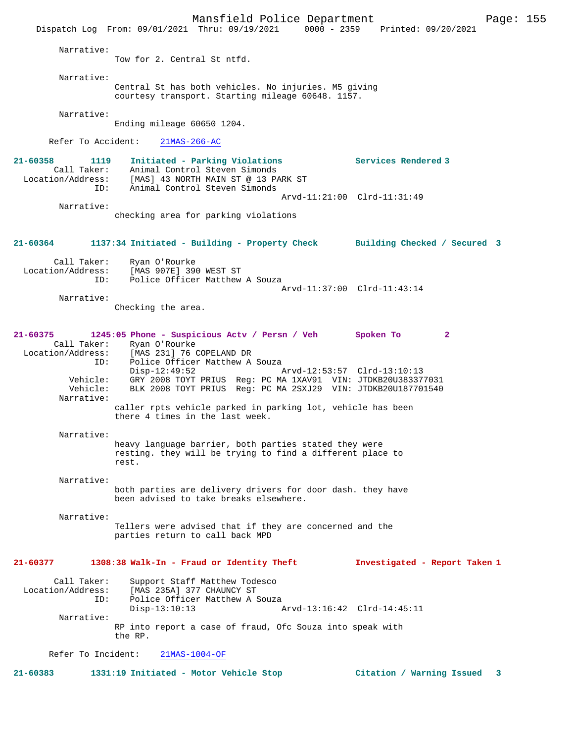Mansfield Police Department Form Page: 155 Dispatch Log From: 09/01/2021 Thru: 09/19/2021 0000 - 2359 Printed: 09/20/2021 Narrative: Tow for 2. Central St ntfd. Narrative: Central St has both vehicles. No injuries. M5 giving courtesy transport. Starting mileage 60648. 1157. Narrative: Ending mileage 60650 1204. Refer To Accident: 21MAS-266-AC **21-60358 1119 Initiated - Parking Violations Services Rendered 3**  Call Taker: Animal Control Steven Simonds Location/Address: [MAS] 43 NORTH MAIN ST @ 13 PARK ST ID: Animal Control Steven Simonds Arvd-11:21:00 Clrd-11:31:49 Narrative: checking area for parking violations **21-60364 1137:34 Initiated - Building - Property Check Building Checked / Secured 3** Call Taker: Ryan O'Rourke Location/Address: [MAS 907E] 390 WEST ST ID: Police Officer Matthew A Souza Arvd-11:37:00 Clrd-11:43:14 Narrative: Checking the area. **21-60375 1245:05 Phone - Suspicious Actv / Persn / Veh Spoken To 2**  Call Taker: Ryan O'Rourke<br>Location/Address: [MAS 231] 76 ( ess: [MAS 231] 76 COPELAND DR<br>TD: Police Officer Matthew A Police Officer Matthew A Souza<br>Disp-12:49:52 Disp-12:49:52 Arvd-12:53:57 Clrd-13:10:13 Vehicle: GRY 2008 TOYT PRIUS Reg: PC MA 1XAV91 VIN: JTDKB20U383377031 Vehicle: BLK 2008 TOYT PRIUS Reg: PC MA 2SXJ29 VIN: JTDKB20U187701540 Narrative: caller rpts vehicle parked in parking lot, vehicle has been there 4 times in the last week. Narrative: heavy language barrier, both parties stated they were resting. they will be trying to find a different place to rest. Narrative: both parties are delivery drivers for door dash. they have been advised to take breaks elsewhere. Narrative: Tellers were advised that if they are concerned and the parties return to call back MPD **21-60377 1308:38 Walk-In - Fraud or Identity Theft Investigated - Report Taken 1** Call Taker: Support Staff Matthew Todesco<br>Location/Address: [MAS 235A] 377 CHAUNCY ST ess: [MAS 235A] 377 CHAUNCY ST<br>TD: Police Officer Matthew AS Police Officer Matthew A Souza<br>Disp-13:10:13  $p$  Disp-13:10:13 Arvd-13:16:42 Clrd-14:45:11 Narrative: RP into report a case of fraud, Ofc Souza into speak with the RP. Refer To Incident: 21MAS-1004-OF **21-60383 1331:19 Initiated - Motor Vehicle Stop Citation / Warning Issued 3**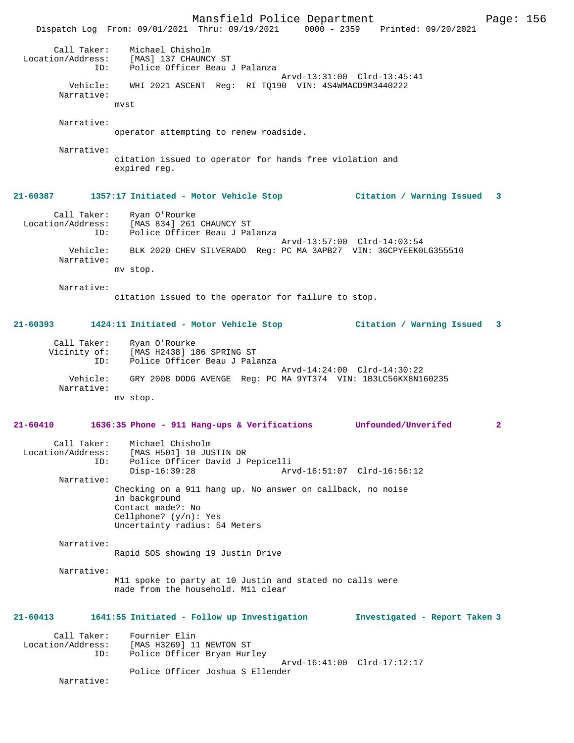Mansfield Police Department Page: 156 Dispatch Log From: 09/01/2021 Thru: 09/19/2021 0000 - 2359 Printed: 09/20/2021 Call Taker: Michael Chisholm Location/Address: [MAS] 137 CHAUNCY ST ID: Police Officer Beau J Palanza Arvd-13:31:00 Clrd-13:45:41 Vehicle: WHI 2021 ASCENT Reg: RI TQ190 VIN: 4S4WMACD9M3440222 Narrative: mvst Narrative: operator attempting to renew roadside. Narrative: citation issued to operator for hands free violation and expired reg. **21-60387 1357:17 Initiated - Motor Vehicle Stop Citation / Warning Issued 3** Call Taker: Ryan O'Rourke Location/Address: [MAS 834] 261 CHAUNCY ST<br>ID: Police Officer Beau J Pa Police Officer Beau J Palanza Arvd-13:57:00 Clrd-14:03:54 Vehicle: BLK 2020 CHEV SILVERADO Reg: PC MA 3APB27 VIN: 3GCPYEEK0LG355510 Narrative: mv stop. Narrative: citation issued to the operator for failure to stop. **21-60393 1424:11 Initiated - Motor Vehicle Stop Citation / Warning Issued 3** Call Taker: Ryan O'Rourke Vicinity of: [MAS H2438] 186 SPRING ST ID: Police Officer Beau J Palanza Arvd-14:24:00 Clrd-14:30:22 Vehicle: GRY 2008 DODG AVENGE Reg: PC MA 9YT374 VIN: 1B3LC56KX8N160235 Narrative: mv stop. **21-60410 1636:35 Phone - 911 Hang-ups & Verifications Unfounded/Unverifed 2** Call Taker: Michael Chisholm Location/Address: [MAS H501] 10 JUSTIN DR<br>ID: Police Officer David J F ID: Police Officer David J Pepicelli Arvd-16:51:07 Clrd-16:56:12 Narrative: Checking on a 911 hang up. No answer on callback, no noise in background Contact made?: No Cellphone? (y/n): Yes Uncertainty radius: 54 Meters Narrative: Rapid SOS showing 19 Justin Drive Narrative: M11 spoke to party at 10 Justin and stated no calls were made from the household. M11 clear **21-60413 1641:55 Initiated - Follow up Investigation Investigated - Report Taken 3** Call Taker: Fournier Elin<br>Location/Address: [MAS H3269] 1 ess: [MAS H3269] 11 NEWTON ST<br>ID: Police Officer Bryan Hur Police Officer Bryan Hurley Arvd-16:41:00 Clrd-17:12:17 Police Officer Joshua S Ellender Narrative: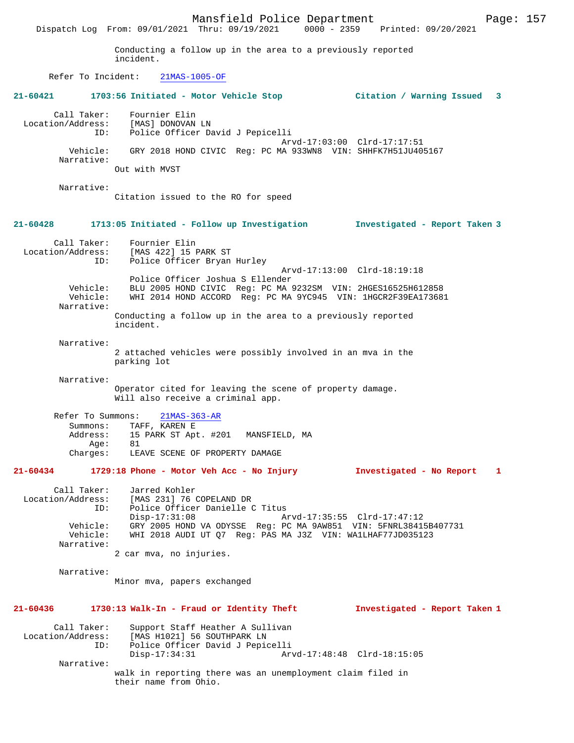Mansfield Police Department Page: 157 Dispatch Log From: 09/01/2021 Thru: 09/19/2021 Conducting a follow up in the area to a previously reported incident. Refer To Incident: 21MAS-1005-OF **21-60421 1703:56 Initiated - Motor Vehicle Stop Citation / Warning Issued 3** Call Taker: Fournier Elin<br>Location/Address: [MAS] DONOVAN Location/Address: [MAS] DONOVAN LN ID: Police Officer David J Pepicelli Arvd-17:03:00 Clrd-17:17:51 Vehicle: GRY 2018 HOND CIVIC Reg: PC MA 933WN8 VIN: SHHFK7H51JU405167 Narrative: Out with MVST Narrative: Citation issued to the RO for speed **21-60428 1713:05 Initiated - Follow up Investigation Investigated - Report Taken 3** Call Taker: Fournier Elin<br>Location/Address: [MAS 422] 15 1 [MAS 422] 15 PARK ST ID: Police Officer Bryan Hurley Arvd-17:13:00 Clrd-18:19:18 Police Officer Joshua S Ellender<br>Vehicle: BLU 2005 HOND CIVIC Reg: PC MA Vehicle: BLU 2005 HOND CIVIC Reg: PC MA 9232SM VIN: 2HGES16525H612858 Vehicle: WHI 2014 HOND ACCORD Reg: PC MA 9YC945 VIN: 1HGCR2F39EA173681 Narrative: Conducting a follow up in the area to a previously reported incident. Narrative: 2 attached vehicles were possibly involved in an mva in the parking lot Narrative: Operator cited for leaving the scene of property damage. Will also receive a criminal app. Refer To Summons: 21MAS-363-AR Summons: TAFF, KAREN E Address: 15 PARK ST Apt. #201 MANSFIELD, MA<br>Ade: 81 Age:<br>:Charges LEAVE SCENE OF PROPERTY DAMAGE **21-60434 1729:18 Phone - Motor Veh Acc - No Injury Investigated - No Report 1** Call Taker: Jarred Kohler Location/Address: [MAS 231] 76 COPELAND DR ID: Police Officer Danielle C Titus<br>Disp-17:31:08 A Disp-17:31:08 Arvd-17:35:55 Clrd-17:47:12 Vehicle: GRY 2005 HOND VA ODYSSE Reg: PC MA 9AW851 VIN: 5FNRL38415B407731 Vehicle: WHI 2018 AUDI UT Q7 Reg: PAS MA J3Z VIN: WA1LHAF77JD035123 Narrative: 2 car mva, no injuries. Narrative: Minor mva, papers exchanged **21-60436 1730:13 Walk-In - Fraud or Identity Theft Investigated - Report Taken 1** Call Taker: Support Staff Heather A Sullivan<br>Location/Address: [MAS H1021] 56 SOUTHPARK LN ess: [MAS H1021] 56 SOUTHPARK LN<br>ID: Police Officer David J Pepio ID: Police Officer David J Pepicelli Disp-17:34:31 Arvd-17:48:48 Clrd-18:15:05 Narrative: walk in reporting there was an unemployment claim filed in their name from Ohio.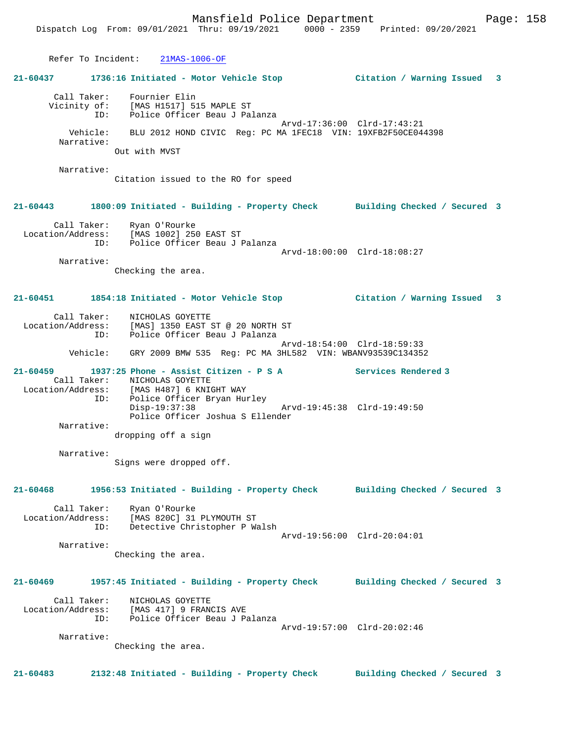Refer To Incident: 21MAS-1006-OF **21-60437 1736:16 Initiated - Motor Vehicle Stop Citation / Warning Issued 3** Call Taker: Fournier Elin Vicinity of: [MAS H1517] 515 MAPLE ST ID: Police Officer Beau J Palanza Arvd-17:36:00 Clrd-17:43:21 Vehicle: BLU 2012 HOND CIVIC Reg: PC MA 1FEC18 VIN: 19XFB2F50CE044398 Narrative: Out with MVST Narrative: Citation issued to the RO for speed **21-60443 1800:09 Initiated - Building - Property Check Building Checked / Secured 3** Call Taker: Ryan O'Rourke Location/Address: [MAS 1002] 250 EAST ST ID: Police Officer Beau J Palanza Arvd-18:00:00 Clrd-18:08:27 Narrative: Checking the area. **21-60451 1854:18 Initiated - Motor Vehicle Stop Citation / Warning Issued 3** Call Taker: <br> NICHOLAS GOYETTE Location/Address: [MAS] 1350 EAST  $[MAS]$  1350 EAST ST @ 20 NORTH ST ID: Police Officer Beau J Palanza Arvd-18:54:00 Clrd-18:59:33 Vehicle: GRY 2009 BMW 535 Reg: PC MA 3HL582 VIN: WBANV93539C134352 **21-60459 1937:25 Phone - Assist Citizen - P S A Services Rendered 3**  Call Taker: NICHOLAS GOYETTE Location/Address: [MAS H487] 6 KNIGHT WAY ID: Police Officer Bryan Hurley<br>Disp-19:37:38 Disp-19:37:38 Arvd-19:45:38 Clrd-19:49:50 Police Officer Joshua S Ellender Narrative: dropping off a sign Narrative: Signs were dropped off. **21-60468 1956:53 Initiated - Building - Property Check Building Checked / Secured 3** Call Taker: Ryan O'Rourke Location/Address: [MAS 820C] 31 PLYMOUTH ST ID: Detective Christopher P Walsh Arvd-19:56:00 Clrd-20:04:01 Narrative: Checking the area. **21-60469 1957:45 Initiated - Building - Property Check Building Checked / Secured 3** Call Taker: NICHOLAS GOYETTE Location/Address: [MAS 417] 9 FRANCIS AVE ID: Police Officer Beau J Palanza Arvd-19:57:00 Clrd-20:02:46 Narrative: Checking the area. **21-60483 2132:48 Initiated - Building - Property Check Building Checked / Secured 3**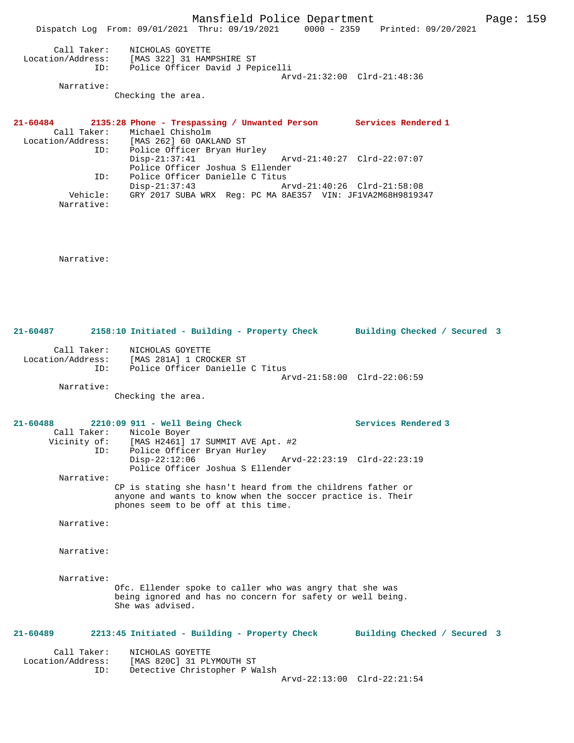Mansfield Police Department Fage: 159 Dispatch Log From: 09/01/2021 Thru: 09/19/2021 0000 - 2359 Printed: 09/20/2021 Call Taker: NICHOLAS GOYETTE Location/Address: [MAS 322] 31 HAMPSHIRE ST ID: Police Officer David J Pepicelli Arvd-21:32:00 Clrd-21:48:36 Narrative: Checking the area. **21-60484 2135:28 Phone - Trespassing / Unwanted Person Services Rendered 1**  Call Taker: Michael Chisholm<br>Location/Address: [MAS 262] 60 OAKI ess: [MAS 262] 60 OAKLAND ST<br>ID: Police Officer Bryan Hum Police Officer Bryan Hurley<br>Disp-21:37:41 Disp-21:37:41 Arvd-21:40:27 Clrd-22:07:07 Police Officer Joshua S Ellender ID: Police Officer Danielle C Titus Disp-21:37:43 Arvd-21:40:26 Clrd-21:58:08 Vehicle: GRY 2017 SUBA WRX Reg: PC MA 8AE357 VIN: JF1VA2M68H9819347 Narrative: Narrative: **21-60487 2158:10 Initiated - Building - Property Check Building Checked / Secured 3** Call Taker: NICHOLAS GOYETTE Location/Address: [MAS 281A] 1 CROCKER ST ID: Police Officer Danielle C Titus Arvd-21:58:00 Clrd-22:06:59 Narrative: Checking the area. **21-60488 2210:09 911 - Well Being Check Services Rendered 3**  Call Taker: Nicole Boyer Vicinity of: [MAS H2461] 17 SUMMIT AVE Apt. #2<br>ID: Police Officer Bryan Hurley Police Officer Bryan Hurley<br>Disp-22:12:06 Disp-22:12:06 Arvd-22:23:19 Clrd-22:23:19 Police Officer Joshua S Ellender Narrative: CP is stating she hasn't heard from the childrens father or anyone and wants to know when the soccer practice is. Their phones seem to be off at this time. Narrative: Narrative:

Narrative:

Ofc. Ellender spoke to caller who was angry that she was being ignored and has no concern for safety or well being. She was advised.

**21-60489 2213:45 Initiated - Building - Property Check Building Checked / Secured 3**

 Call Taker: NICHOLAS GOYETTE Location/Address: [MAS 820C] 31 PLYMOUTH ST Detective Christopher P Walsh Arvd-22:13:00 Clrd-22:21:54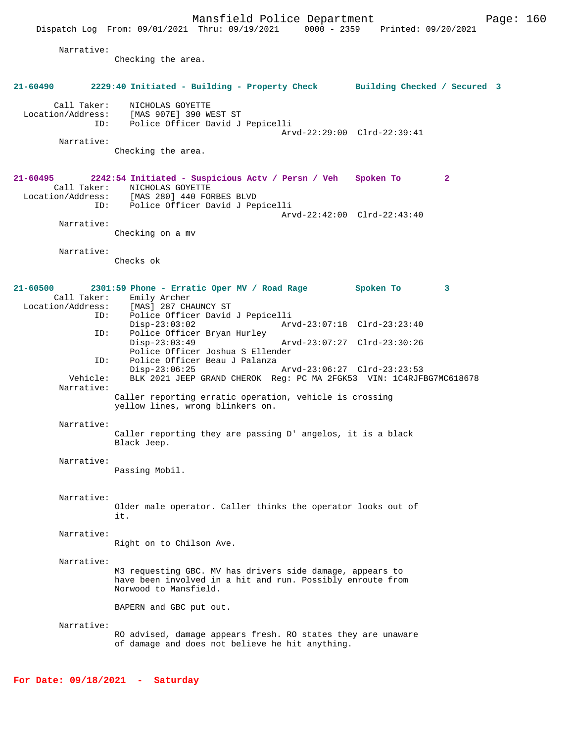Narrative:

Checking the area.

| 21-60490                      | 2229:40 Initiated - Building - Property Check Building Checked / Secured 3                                                                                                         |                                                            |              |
|-------------------------------|------------------------------------------------------------------------------------------------------------------------------------------------------------------------------------|------------------------------------------------------------|--------------|
|                               | Call Taker: NICHOLAS GOYETTE<br>Location/Address: [MAS 907E] 390 WEST ST<br>ID: Police Officer David J Pepicelli                                                                   | Arvd-22:29:00 Clrd-22:39:41                                |              |
| Narrative:                    | Checking the area.                                                                                                                                                                 |                                                            |              |
| 21-60495                      | 2242:54 Initiated - Suspicious Actv / Persn / Veh Spoken To<br>Call Taker: NICHOLAS GOYETTE<br>Location/Address: [MAS 280] 440 FORBES BLVD<br>ID: Police Officer David J Pepicelli |                                                            | $\mathbf{2}$ |
| Narrative:                    | Checking on a mv                                                                                                                                                                   | Arvd-22:42:00 Clrd-22:43:40                                |              |
| Narrative:                    | Checks ok                                                                                                                                                                          |                                                            |              |
| $21 - 60500$                  | 2301:59 Phone - Erratic Oper MV / Road Rage<br>Call Taker: Emily Archer<br>Location/Address: [MAS] 287 CHAUNCY ST<br>ID: Police Officer David J Pepicelli                          | Spoken To                                                  | 3            |
| ID:                           | $Disp-23:03:02$<br>Police Officer Bryan Hurley<br>$Disp-23:03:49$                                                                                                                  | Arvd-23:07:18 Clrd-23:23:40<br>Arvd-23:07:27 Clrd-23:30:26 |              |
| ID:<br>Vehicle:<br>Narrative: | Police Officer Joshua S Ellender<br>Police Officer Beau J Palanza<br>$Disp-23:06:25$<br>BLK 2021 JEEP GRAND CHEROK Reg: PC MA 2FGK53 VIN: 1C4RJFBG7MC618678                        | Arvd-23:06:27 Clrd-23:23:53                                |              |
|                               | Caller reporting erratic operation, vehicle is crossing<br>yellow lines, wrong blinkers on.                                                                                        |                                                            |              |
| Narrative:                    | Caller reporting they are passing D' angelos, it is a black<br>Black Jeep.                                                                                                         |                                                            |              |
| Narrative:                    | Passing Mobil.                                                                                                                                                                     |                                                            |              |
| Narrative:                    | Older male operator. Caller thinks the operator looks out of<br>it.                                                                                                                |                                                            |              |
| Narrative:                    | Right on to Chilson Ave.                                                                                                                                                           |                                                            |              |
| Narrative:                    | M3 requesting GBC. MV has drivers side damage, appears to<br>have been involved in a hit and run. Possibly enroute from<br>Norwood to Mansfield.                                   |                                                            |              |
|                               | BAPERN and GBC put out.                                                                                                                                                            |                                                            |              |
| Narrative:                    | RO advised, damage appears fresh. RO states they are unaware<br>of damage and does not believe he hit anything.                                                                    |                                                            |              |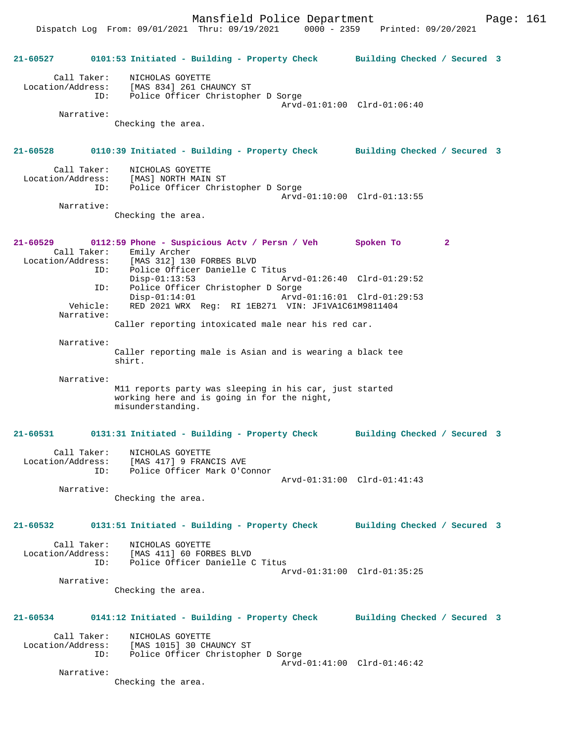Mansfield Police Department Page: 161

Dispatch Log From: 09/01/2021 Thru: 09/19/2021 0000 - 2359 Printed: 09/20/2021

**21-60527 0101:53 Initiated - Building - Property Check Building Checked / Secured 3** Call Taker: NICHOLAS GOYETTE Location/Address: [MAS 834] 261 CHAUNCY ST ID: Police Officer Christopher D Sorge Arvd-01:01:00 Clrd-01:06:40 Narrative: Checking the area. **21-60528 0110:39 Initiated - Building - Property Check Building Checked / Secured 3** Call Taker: NICHOLAS GOYETTE Location/Address: [MAS] NORTH MAIN ST<br>ID: Police Officer Chris Police Officer Christopher D Sorge Arvd-01:10:00 Clrd-01:13:55 Narrative: Checking the area. **21-60529 0112:59 Phone - Suspicious Actv / Persn / Veh Spoken To 2**  Call Taker: Emily Archer Location/Address: [MAS 312] 130 FORBES BLVD ID: Police Officer Danielle C Titus Disp-01:13:53 Arvd-01:26:40 Clrd-01:29:52<br>ID: Police Officer Christopher D Sorge Police Officer Christopher D Sorge<br>Disp-01:14:01 Arvd Arvd-01:16:01 Clrd-01:29:53 Vehicle: RED 2021 WRX Reg: RI 1EB271 VIN: JF1VA1C61M9811404 Narrative: Caller reporting intoxicated male near his red car. Narrative: Caller reporting male is Asian and is wearing a black tee shirt. Narrative: M11 reports party was sleeping in his car, just started working here and is going in for the night, misunderstanding. **21-60531 0131:31 Initiated - Building - Property Check Building Checked / Secured 3** Call Taker: NICHOLAS GOYETTE Location/Address: [MAS 417] 9 FRANCIS AVE ID: Police Officer Mark O'Connor Arvd-01:31:00 Clrd-01:41:43 Narrative: Checking the area. **21-60532 0131:51 Initiated - Building - Property Check Building Checked / Secured 3** Call Taker: NICHOLAS GOYETTE Location/Address: [MAS 411] 60 FORBES BLVD ID: Police Officer Danielle C Titus Arvd-01:31:00 Clrd-01:35:25 Narrative: Checking the area. **21-60534 0141:12 Initiated - Building - Property Check Building Checked / Secured 3** Call Taker: NICHOLAS GOYETTE<br>Location/Address: [MAS 1015] 30 CH. [MAS 1015] 30 CHAUNCY ST ID: Police Officer Christopher D Sorge Arvd-01:41:00 Clrd-01:46:42 Narrative: Checking the area.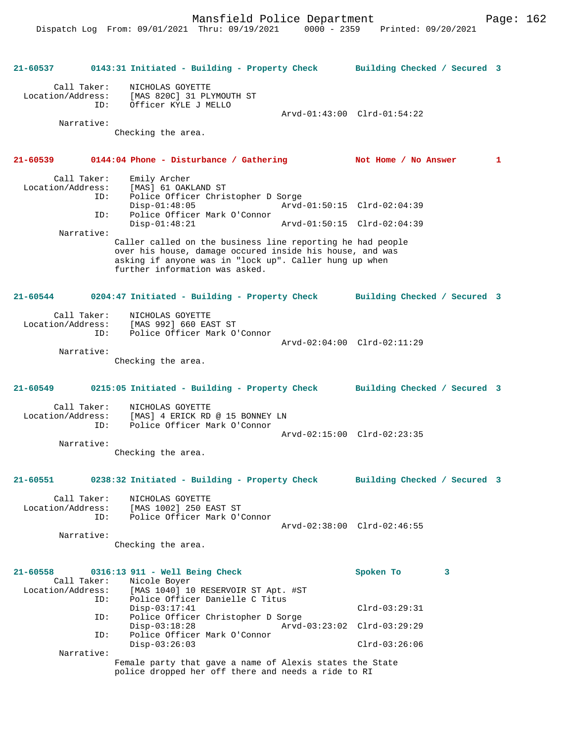Mansfield Police Department Form Page: 162

**21-60537 0143:31 Initiated - Building - Property Check Building Checked / Secured 3** Call Taker: NICHOLAS GOYETTE Location/Address: [MAS 820C] 31 PLYMOUTH ST<br>ID: Officer KYLE J MELLO Officer KYLE J MELLO Arvd-01:43:00 Clrd-01:54:22 Narrative: Checking the area. **21-60539 0144:04 Phone - Disturbance / Gathering Not Home / No Answer 1** Call Taker: Emily Archer Location/Address: [MAS] 61 OAKLAND ST ID: Police Officer Christopher D Sorge Disp-01:48:05 Arvd-01:50:15 Clrd-02:04:39 ID: Police Officer Mark O'Connor Arvd-01:50:15 Clrd-02:04:39 Narrative: Caller called on the business line reporting he had people over his house, damage occured inside his house, and was asking if anyone was in "lock up". Caller hung up when further information was asked. **21-60544 0204:47 Initiated - Building - Property Check Building Checked / Secured 3** Call Taker: NICHOLAS GOYETTE Location/Address: [MAS 992] 660 EAST ST ID: Police Officer Mark O'Connor Arvd-02:04:00 Clrd-02:11:29 Narrative: Checking the area. **21-60549 0215:05 Initiated - Building - Property Check Building Checked / Secured 3** Call Taker: NICHOLAS GOYETTE<br>Location/Address: [MAS] 4 ERICK RD [MAS] 4 ERICK RD @ 15 BONNEY LN ID: Police Officer Mark O'Connor Arvd-02:15:00 Clrd-02:23:35 Narrative: Checking the area. **21-60551 0238:32 Initiated - Building - Property Check Building Checked / Secured 3** Call Taker: NICHOLAS GOYETTE Location/Address: [MAS 1002] 250 EAST ST ID: Police Officer Mark O'Connor Arvd-02:38:00 Clrd-02:46:55 Narrative: Checking the area. **21-60558 0316:13 911 - Well Being Check Spoken To 3**  Call Taker: Nicole Boyer<br>Location/Address: [MAS 1040] 10 [MAS 1040] 10 RESERVOIR ST Apt. #ST ID: Police Officer Danielle C Titus Disp-03:17:41 Clrd-03:29:31<br>TD: Police Officer Christopher D Sorge ID: Police Officer Christopher D Sorge Disp-03:18:28 Arvd-03:23:02 Clrd-03:29:29 ID: Police Officer Mark O'Connor Disp-03:26:03 Clrd-03:26:06 Narrative: Female party that gave a name of Alexis states the State police dropped her off there and needs a ride to RI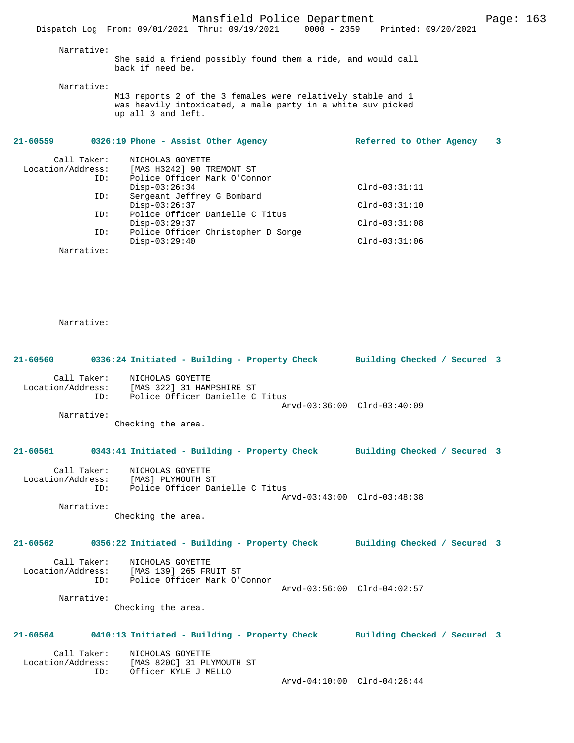### Narrative:

She said a friend possibly found them a ride, and would call back if need be.

Narrative:

M13 reports 2 of the 3 females were relatively stable and 1 was heavily intoxicated, a male party in a white suv picked up all 3 and left.

| $21 - 60559$      |             | 0326:19 Phone - Assist Other Agency | Referred to Other Agency | 3 |
|-------------------|-------------|-------------------------------------|--------------------------|---|
|                   | Call Taker: | NICHOLAS GOYETTE                    |                          |   |
| Location/Address: |             | [MAS H3242] 90 TREMONT ST           |                          |   |
|                   | ID:         | Police Officer Mark O'Connor        |                          |   |
|                   |             | $Disp-03:26:34$                     | $Clrd-03:31:11$          |   |
|                   | ID:         | Sergeant Jeffrey G Bombard          |                          |   |
|                   |             | $Disp-03:26:37$                     | $Clrd-03:31:10$          |   |
|                   | ID:         | Police Officer Danielle C Titus     |                          |   |
|                   |             | $Disp-03:29:37$                     | $Clrd-03:31:08$          |   |
|                   | ID:         | Police Officer Christopher D Sorge  |                          |   |
|                   |             | $Disp-03:29:40$                     | $Clrd-03:31:06$          |   |
|                   | Narrative:  |                                     |                          |   |
|                   |             |                                     |                          |   |

Narrative:

| 21-60560   |             | 0336:24 Initiated - Building - Property Check Building Checked / Secured 3                                                         |                             |  |
|------------|-------------|------------------------------------------------------------------------------------------------------------------------------------|-----------------------------|--|
| Narrative: | Call Taker: | NICHOLAS GOYETTE<br>Location/Address: [MAS 322] 31 HAMPSHIRE ST<br>ID: Police Officer Danielle C Titus<br>Checking the area.       | Arvd-03:36:00 Clrd-03:40:09 |  |
|            |             | 21-60561 0343:41 Initiated - Building - Property Check Building Checked / Secured 3                                                |                             |  |
| Narrative: |             | Call Taker: NICHOLAS GOYETTE<br>Location/Address: [MAS] PLYMOUTH ST<br>ID: Police Officer Danielle C Titus<br>Checking the area.   | Arvd-03:43:00 Clrd-03:48:38 |  |
|            |             | 21-60562 0356:22 Initiated - Building - Property Check Building Checked / Secured 3                                                |                             |  |
| Narrative: |             | Call Taker: NICHOLAS GOYETTE<br>Location/Address: [MAS 139] 265 FRUIT ST<br>ID: Police Officer Mark O'Connor<br>Checking the area. | Arvd-03:56:00 Clrd-04:02:57 |  |
|            |             | 21-60564 0410:13 Initiated - Building - Property Check Building Checked / Secured 3                                                |                             |  |
|            | ID:         | Call Taker: NICHOLAS GOYETTE<br>Location/Address: [MAS 820C] 31 PLYMOUTH ST<br>Officer KYLE J MELLO                                |                             |  |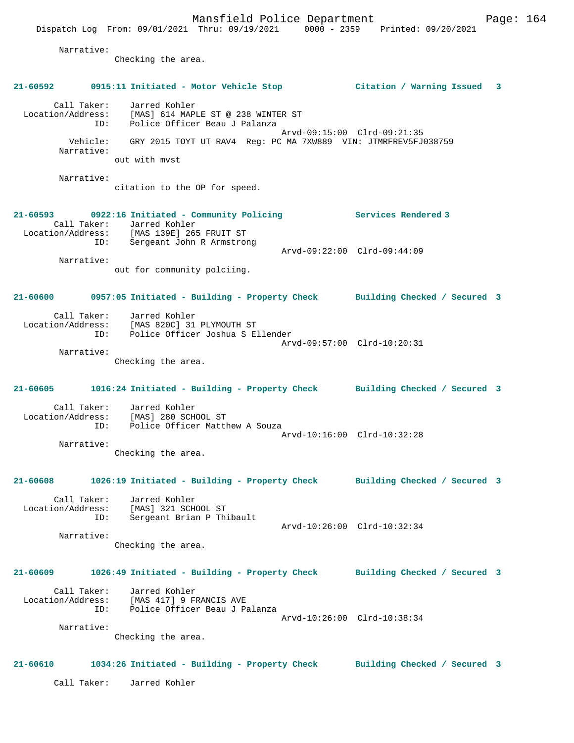Mansfield Police Department Frank Page: 164 Dispatch Log From: 09/01/2021 Thru: 09/19/2021 0000 - 2359 Printed: 09/20/2021 Narrative: Checking the area. **21-60592 0915:11 Initiated - Motor Vehicle Stop Citation / Warning Issued 3** Call Taker: Jarred Kohler Location/Address: [MAS] 614 MAPLE ST @ 238 WINTER ST ID: Police Officer Beau J Palanza Arvd-09:15:00 Clrd-09:21:35 Vehicle: GRY 2015 TOYT UT RAV4 Reg: PC MA 7XW889 VIN: JTMRFREV5FJ038759 Narrative: out with mvst Narrative: citation to the OP for speed. **21-60593 0922:16 Initiated - Community Policing Services Rendered 3**  Call Taker: Jarred Kohler Location/Address: [MAS 139E] 265 FRUIT ST ID: Sergeant John R Armstrong Arvd-09:22:00 Clrd-09:44:09 Narrative: out for community polciing. **21-60600 0957:05 Initiated - Building - Property Check Building Checked / Secured 3** Call Taker: Jarred Kohler Location/Address: [MAS 820C] 31 PLYMOUTH ST ID: Police Officer Joshua S Ellender Arvd-09:57:00 Clrd-10:20:31 Narrative:

Checking the area.

**21-60605 1016:24 Initiated - Building - Property Check Building Checked / Secured 3** Call Taker: Jarred Kohler Location/Address: [MAS] 280 SCHOOL ST ID: Police Officer Matthew A Souza

 Arvd-10:16:00 Clrd-10:32:28 Narrative: Checking the area.

**21-60608 1026:19 Initiated - Building - Property Check Building Checked / Secured 3**

 Call Taker: Jarred Kohler Location/Address: [MAS] 321 SCHOOL ST ID: Sergeant Brian P Thibault Arvd-10:26:00 Clrd-10:32:34 Narrative:

Checking the area.

# **21-60609 1026:49 Initiated - Building - Property Check Building Checked / Secured 3** Call Taker: Jarred Kohler Location/Address: [MAS 417] 9 FRANCIS AVE ID: Police Officer Beau J Palanza Arvd-10:26:00 Clrd-10:38:34

Checking the area.

### **21-60610 1034:26 Initiated - Building - Property Check Building Checked / Secured 3**

Call Taker: Jarred Kohler

Narrative: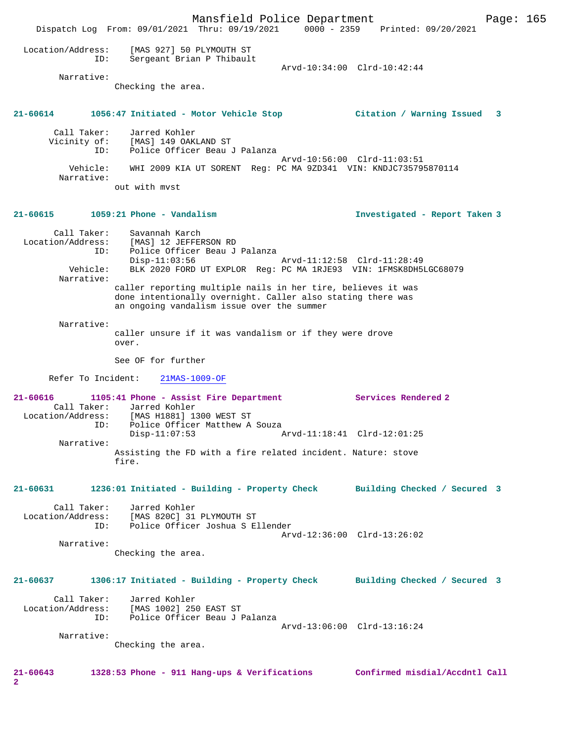Mansfield Police Department Page: 165 Dispatch Log From: 09/01/2021 Thru: 09/19/2021 0000 - 2359 Printed: 09/20/2021 Location/Address: [MAS 927] 50 PLYMOUTH ST ID: Sergeant Brian P Thibault Arvd-10:34:00 Clrd-10:42:44 Narrative: Checking the area. **21-60614 1056:47 Initiated - Motor Vehicle Stop Citation / Warning Issued 3** Call Taker: Jarred Kohler Vicinity of: [MAS] 149 OAKLAND ST ID: Police Officer Beau J Palanza Arvd-10:56:00 Clrd-11:03:51 Vehicle: WHI 2009 KIA UT SORENT Reg: PC MA 9ZD341 VIN: KNDJC735795870114 Narrative: out with mvst **21-60615 1059:21 Phone - Vandalism Investigated - Report Taken 3** Call Taker: Savannah Karch Location/Address: [MAS] 12 JEFFERSON RD ID: Police Officer Beau J Palanza Disp-11:03:56 Arvd-11:12:58 Clrd-11:28:49 Vehicle: BLK 2020 FORD UT EXPLOR Reg: PC MA 1RJE93 VIN: 1FMSK8DH5LGC68079 Narrative: caller reporting multiple nails in her tire, believes it was done intentionally overnight. Caller also stating there was an ongoing vandalism issue over the summer Narrative: caller unsure if it was vandalism or if they were drove over. See OF for further Refer To Incident: 21MAS-1009-OF **21-60616 1105:41 Phone - Assist Fire Department Services Rendered 2**  Call Taker: Jarred Kohler<br>Location/Address: [MAS H1881] 13 Location/Address: [MAS H1881] 1300 WEST ST ID: Police Officer Matthew A Souza Disp-11:07:53 Arvd-11:18:41 Clrd-12:01:25 Narrative: Assisting the FD with a fire related incident. Nature: stove fire. **21-60631 1236:01 Initiated - Building - Property Check Building Checked / Secured 3** Call Taker: Jarred Kohler Location/Address: [MAS 820C] 31 PLYMOUTH ST<br>ID: Police Officer Joshua S E Police Officer Joshua S Ellender Arvd-12:36:00 Clrd-13:26:02 Narrative: Checking the area. **21-60637 1306:17 Initiated - Building - Property Check Building Checked / Secured 3** Call Taker: Jarred Kohler Location/Address: [MAS 1002] 250 EAST ST ID: Police Officer Beau J Palanza Arvd-13:06:00 Clrd-13:16:24 Narrative: Checking the area. **21-60643 1328:53 Phone - 911 Hang-ups & Verifications Confirmed misdial/Accdntl Call 2**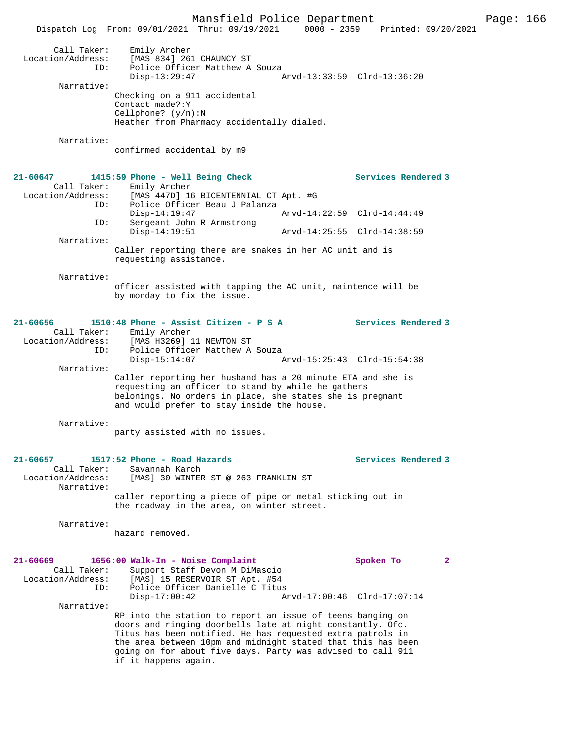Mansfield Police Department Page: 166 Dispatch Log From: 09/01/2021 Thru: 09/19/2021 0000 - 2359 Call Taker: Emily Archer Location/Address: [MAS 834] 261 CHAUNCY ST ID: Police Officer Matthew A Souza<br>Disp-13:29:47 Disp-13:29:47 Arvd-13:33:59 Clrd-13:36:20 Narrative: Checking on a 911 accidental Contact made?:Y Cellphone? (y/n):N Heather from Pharmacy accidentally dialed. Narrative: confirmed accidental by m9 **21-60647 1415:59 Phone - Well Being Check Services Rendered 3**  Call Taker: Emily Archer<br>Location/Address: [MAS 447D] 16 ess: [MAS 447D] 16 BICENTENNIAL CT Apt. #G<br>ID: Police Officer Beau J Palanza Police Officer Beau J Palanza<br>Disp-14:19:47 Disp-14:19:47 Arvd-14:22:59 Clrd-14:44:49<br>ID: Sergeant John R Armstrong Sergeant John R Armstrong<br>Disp-14:19:51 Disp-14:19:51 Arvd-14:25:55 Clrd-14:38:59 Narrative: Caller reporting there are snakes in her AC unit and is requesting assistance. Narrative: officer assisted with tapping the AC unit, maintence will be by monday to fix the issue. **21-60656 1510:48 Phone - Assist Citizen - P S A Services Rendered 3**  Call Taker: Emily Archer<br>Location/Address: [MAS H3269] ess: [MAS H3269] 11 NEWTON ST<br>ID: Police Officer Matthew A Police Officer Matthew A Souza<br>Disp-15:14:07 Arvd-15:25:43 Clrd-15:54:38 Narrative: Caller reporting her husband has a 20 minute ETA and she is requesting an officer to stand by while he gathers belonings. No orders in place, she states she is pregnant and would prefer to stay inside the house. Narrative: party assisted with no issues. **21-60657 1517:52 Phone - Road Hazards Services Rendered 3**  Call Taker: Savannah Karch<br>Location/Address: [MAS] 30 WINTER [MAS] 30 WINTER ST @ 263 FRANKLIN ST Narrative: caller reporting a piece of pipe or metal sticking out in the roadway in the area, on winter street. Narrative: hazard removed. **21-60669 1656:00 Walk-In - Noise Complaint Spoken To 2**  Call Taker: Support Staff Devon M DiMascio<br>Location/Address: [MAS] 15 RESERVOIR ST Apt. #54 [MAS] 15 RESERVOIR ST Apt. #54 ID: Police Officer Danielle C Titus Disp-17:00:42 Arvd-17:00:46 Clrd-17:07:14 Narrative: RP into the station to report an issue of teens banging on doors and ringing doorbells late at night constantly. Ofc. Titus has been notified. He has requested extra patrols in the area between 10pm and midnight stated that this has been going on for about five days. Party was advised to call 911 if it happens again.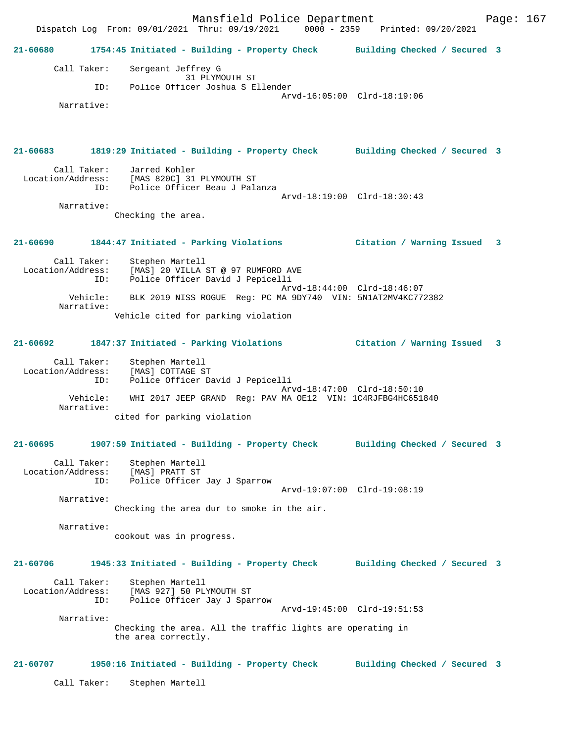Mansfield Police Department Fage: 167 Dispatch Log From: 09/01/2021 Thru: 09/19/2021 0000 - 2359 Printed: 09/20/2021 **21-60680 1754:45 Initiated - Building - Property Check Building Checked / Secured 3** Call Taker: Sergeant Jeffrey G 31 PLYMOUTH ST<br>ID: Police Officer Joshua S El Police Officer Joshua S Ellender Arvd-16:05:00 Clrd-18:19:06 Narrative: **21-60683 1819:29 Initiated - Building - Property Check Building Checked / Secured 3** Call Taker: Jarred Kohler Location/Address: [MAS 820C] 31 PLYMOUTH ST ID: Police Officer Beau J Palanza Arvd-18:19:00 Clrd-18:30:43 Narrative: Checking the area. **21-60690 1844:47 Initiated - Parking Violations Citation / Warning Issued 3** Call Taker: Stephen Martell Location/Address: [MAS] 20 VILLA ST @ 97 RUMFORD AVE ID: Police Officer David J Pepicelli Arvd-18:44:00 Clrd-18:46:07<br>Vehicle: BLK 2019 NISS ROGUE Req: PC MA 9DY740 VIN: 5N1AT2MV4KC77 BLK 2019 NISS ROGUE Reg: PC MA 9DY740 VIN: 5N1AT2MV4KC772382 Narrative: Vehicle cited for parking violation **21-60692 1847:37 Initiated - Parking Violations Citation / Warning Issued 3** Call Taker: Stephen Martell Location/Address: [MAS] COTTAGE ST ID: Police Officer David J Pepicelli Arvd-18:47:00 Clrd-18:50:10 Vehicle: WHI 2017 JEEP GRAND Reg: PAV MA OE12 VIN: 1C4RJFBG4HC651840 Narrative: cited for parking violation **21-60695 1907:59 Initiated - Building - Property Check Building Checked / Secured 3** Call Taker: Stephen Martell Location/Address: [MAS] PRATT ST ID: Police Officer Jay J Sparrow Arvd-19:07:00 Clrd-19:08:19 Narrative: Checking the area dur to smoke in the air. Narrative: cookout was in progress. **21-60706 1945:33 Initiated - Building - Property Check Building Checked / Secured 3** Call Taker: Stephen Martell Location/Address: [MAS 927] 50 PLYMOUTH ST ID: Police Officer Jay J Sparrow Arvd-19:45:00 Clrd-19:51:53 Narrative: Checking the area. All the traffic lights are operating in the area correctly. **21-60707 1950:16 Initiated - Building - Property Check Building Checked / Secured 3** Call Taker: Stephen Martell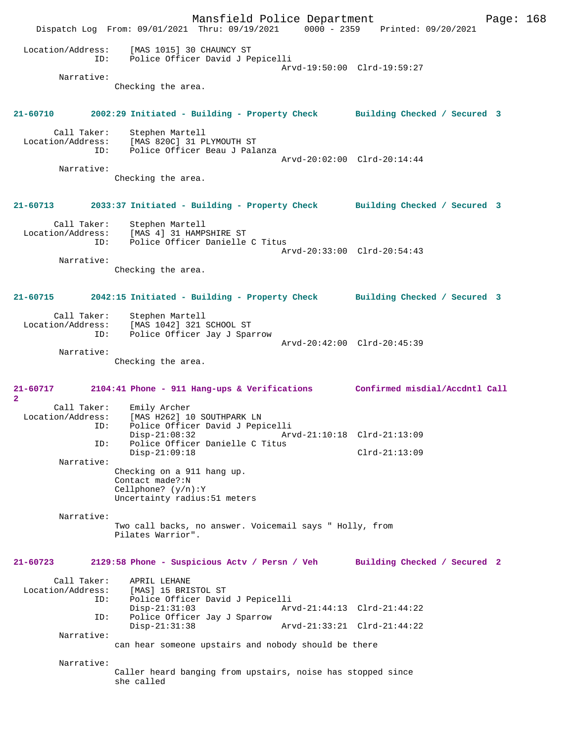Mansfield Police Department Form Page: 168 Dispatch Log From: 09/01/2021 Thru: 09/19/2021 0000 - 2359 Printed: 09/20/2021 Location/Address: [MAS 1015] 30 CHAUNCY ST ID: Police Officer David J Pepicelli Arvd-19:50:00 Clrd-19:59:27 Narrative: Checking the area. **21-60710 2002:29 Initiated - Building - Property Check Building Checked / Secured 3** Call Taker: Stephen Martell Location/Address: [MAS 820C] 31 PLYMOUTH ST ID: Police Officer Beau J Palanza Arvd-20:02:00 Clrd-20:14:44 Narrative: Checking the area. **21-60713 2033:37 Initiated - Building - Property Check Building Checked / Secured 3** Call Taker: Stephen Martell Location/Address: [MAS 4] 31 HAMPSHIRE ST ID: Police Officer Danielle C Titus Arvd-20:33:00 Clrd-20:54:43 Narrative: Checking the area. **21-60715 2042:15 Initiated - Building - Property Check Building Checked / Secured 3** Call Taker: Stephen Martell Location/Address: [MAS 1042] 321 SCHOOL ST ID: Police Officer Jay J Sparrow Arvd-20:42:00 Clrd-20:45:39 Narrative: Checking the area. **21-60717 2104:41 Phone - 911 Hang-ups & Verifications Confirmed misdial/Accdntl Call 2**  Call Taker: Emily Archer<br>Location/Address: [MAS H262] 10 ess: [MAS H262] 10 SOUTHPARK LN<br>ID: Police Officer David J Pep: Police Officer David J Pepicelli Disp-21:08:32 Arvd-21:10:18 Clrd-21:13:09<br>ID: Police Officer Danielle C Titus Police Officer Danielle C Titus Disp-21:09:18 Clrd-21:13:09 Narrative: Checking on a 911 hang up. Contact made?:N Cellphone? (y/n):Y Uncertainty radius:51 meters Narrative: Two call backs, no answer. Voicemail says " Holly, from Pilates Warrior". **21-60723 2129:58 Phone - Suspicious Actv / Persn / Veh Building Checked / Secured 2** Call Taker: APRIL LEHANE<br>Location/Address: [MAS] 15 BRI [MAS] 15 BRISTOL ST ID: Police Officer David J Pepicelli Disp-21:31:03 Arvd-21:44:13 Clrd-21:44:22<br>TD: Police Officer Jav J Sparrow Police Officer Jay J Sparrow Disp-21:31:38 Arvd-21:33:21 Clrd-21:44:22 Narrative: can hear someone upstairs and nobody should be there Narrative: Caller heard banging from upstairs, noise has stopped since she called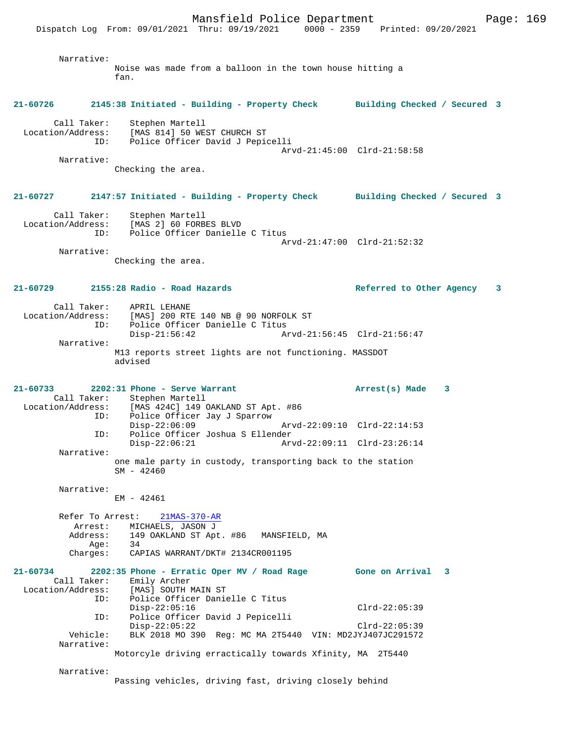Mansfield Police Department Fage: 169 Dispatch Log From: 09/01/2021 Thru: 09/19/2021 0000 - 2359 Printed: 09/20/2021 Narrative: Noise was made from a balloon in the town house hitting a fan. **21-60726 2145:38 Initiated - Building - Property Check Building Checked / Secured 3** Call Taker: Stephen Martell Location/Address: [MAS 814] 50 WEST CHURCH ST ID: Police Officer David J Pepicelli Arvd-21:45:00 Clrd-21:58:58 Narrative: Checking the area. **21-60727 2147:57 Initiated - Building - Property Check Building Checked / Secured 3** Call Taker: Stephen Martell Location/Address: [MAS 2] 60 FORBES BLVD ID: Police Officer Danielle C Titus Arvd-21:47:00 Clrd-21:52:32 Narrative: Checking the area. **21-60729 2155:28 Radio - Road Hazards Referred to Other Agency 3** Call Taker: APRIL LEHANE Location/Address: [MAS] 200 RTE 140 NB @ 90 NORFOLK ST ID: Police Officer Danielle C Titus<br>Disp-21:56:42 Ar Disp-21:56:42 Arvd-21:56:45 Clrd-21:56:47 Narrative: M13 reports street lights are not functioning. MASSDOT advised **21-60733 2202:31 Phone - Serve Warrant Arrest(s) Made 3**  Call Taker: Stephen Martell<br>Location/Address: [MAS 424C] 149 ( ess: [MAS 424C] 149 OAKLAND ST Apt. #86<br>
ID: Police Officer Jay J Sparrow<br>
Disp-22:06:09 Police Officer Jay J Sparrow Disp-22:06:09 Arvd-22:09:10 Clrd-22:14:53<br>ID: Police Officer Joshua S Ellender ID: Police Officer Joshua S Ellender Disp-22:06:21 Arvd-22:09:11 Clrd-23:26:14 Narrative: one male party in custody, transporting back to the station  $SM - 42460$  Narrative: EM - 42461 Refer To Arrest: 21MAS-370-AR Arrest: MICHAELS, JASON J<br>Address: 149 OAKLAND ST Apt 149 OAKLAND ST Apt. #86 MANSFIELD, MA Age: 34<br>Charges: CA Charges: CAPIAS WARRANT/DKT# 2134CR001195 **21-60734 2202:35 Phone - Erratic Oper MV / Road Rage Gone on Arrival 3**  Call Taker: Emily Archer Location/Address: [MAS] SOUTH MAIN ST ID: Police Officer Danielle C Titus Disp-22:05:16 Clrd-22:05:39 ID: Police Officer David J Pepicelli Disp-22:05:22<br>Vehicle: BLK 2018 MO 390 Req: MC MA 2T5440 VIN: MD2JYJ407JC291572 BLK 2018 MO 390 Reg: MC MA 2T5440 VIN: MD2JYJ407JC291572 Narrative: Motorcyle driving erractically towards Xfinity, MA 2T5440 Narrative:

Passing vehicles, driving fast, driving closely behind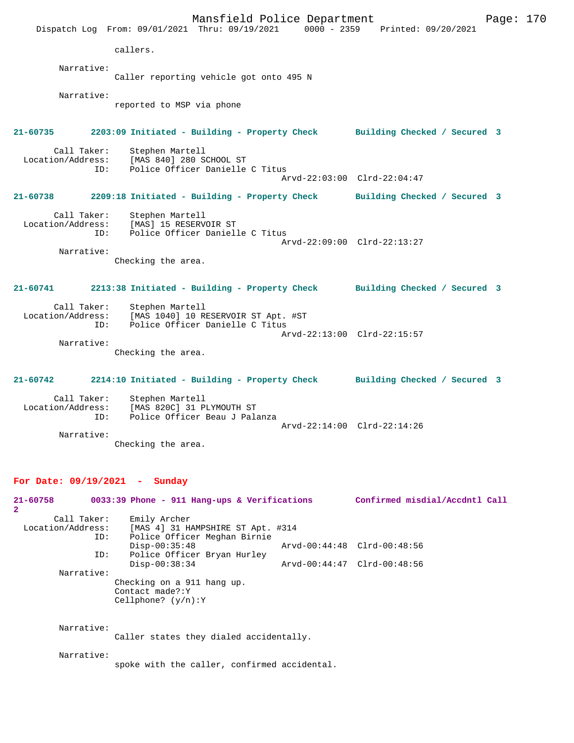Mansfield Police Department Form Page: 170 Dispatch Log From: 09/01/2021 Thru: 09/19/2021 0000 - 2359 Printed: 09/20/2021 callers. Narrative: Caller reporting vehicle got onto 495 N Narrative: reported to MSP via phone **21-60735 2203:09 Initiated - Building - Property Check Building Checked / Secured 3** Call Taker: Stephen Martell Location/Address: [MAS 840] 280 SCHOOL ST Police Officer Danielle C Titus Arvd-22:03:00 Clrd-22:04:47 **21-60738 2209:18 Initiated - Building - Property Check Building Checked / Secured 3** Call Taker: Stephen Martell Location/Address: [MAS] 15 RESERVOIR ST ID: Police Officer Danielle C Titus Arvd-22:09:00 Clrd-22:13:27 Narrative: Checking the area. **21-60741 2213:38 Initiated - Building - Property Check Building Checked / Secured 3** Call Taker: Stephen Martell Location/Address: [MAS 1040] 10 RESERVOIR ST Apt. #ST ID: Police Officer Danielle C Titus Arvd-22:13:00 Clrd-22:15:57 Narrative: Checking the area. **21-60742 2214:10 Initiated - Building - Property Check Building Checked / Secured 3** Call Taker: Stephen Martell Location/Address: [MAS 820C] 31 PLYMOUTH ST Police Officer Beau J Palanza Arvd-22:14:00 Clrd-22:14:26 Narrative:

## Checking the area.

## **For Date: 09/19/2021 - Sunday**

| 21-60758<br>$\mathbf{2}$ | 0033:39 Phone - 911 Hang-ups & Verifications                           | Confirmed misdial/Accdntl Call |  |
|--------------------------|------------------------------------------------------------------------|--------------------------------|--|
| Call Taker:              | Emily Archer                                                           |                                |  |
| Location/Address:        | [MAS 4] 31 HAMPSHIRE ST Apt. #314                                      |                                |  |
| ID:                      | Police Officer Meghan Birnie                                           |                                |  |
|                          | $Disp-00:35:48$                                                        | Arvd-00:44:48 Clrd-00:48:56    |  |
| ID:                      | Police Officer Bryan Hurley                                            |                                |  |
|                          | $Disp-00:38:34$                                                        | Arvd-00:44:47 Clrd-00:48:56    |  |
| Narrative:               |                                                                        |                                |  |
|                          | Checking on a 911 hang up.<br>Contact made?: Y<br>Cellphone? $(y/n):Y$ |                                |  |
|                          |                                                                        |                                |  |

Narrative:

Caller states they dialed accidentally.

Narrative:

spoke with the caller, confirmed accidental.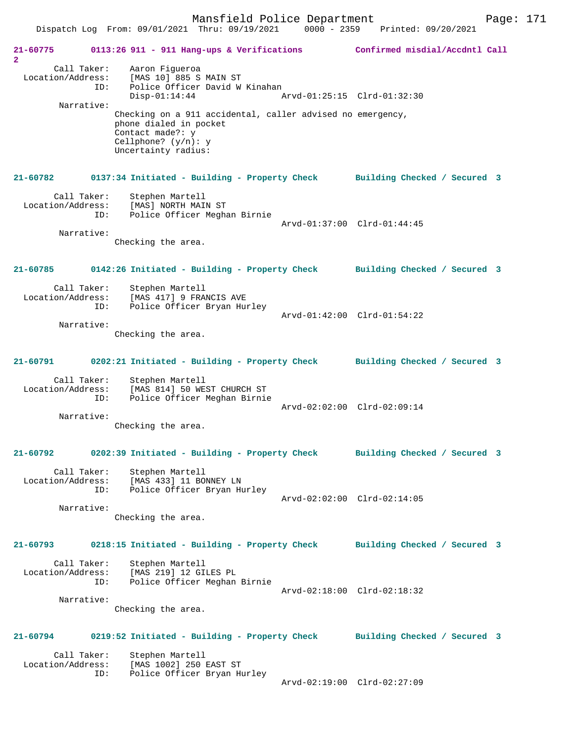Mansfield Police Department Fage: 171

**21-60775 0113:26 911 - 911 Hang-ups & Verifications Confirmed misdial/Accdntl Call 2**  Call Taker: Aaron Figueroa Location/Address: [MAS 10] 885 S MAIN ST ID: Police Officer David W Kinahan Disp-01:14:44 Arvd-01:25:15 Clrd-01:32:30 Narrative: Checking on a 911 accidental, caller advised no emergency, phone dialed in pocket Contact made?: y Cellphone? (y/n): y Uncertainty radius: **21-60782 0137:34 Initiated - Building - Property Check Building Checked / Secured 3** Call Taker: Stephen Martell Location/Address: [MAS] NORTH MAIN ST ID: Police Officer Meghan Birnie Arvd-01:37:00 Clrd-01:44:45 Narrative: Checking the area. **21-60785 0142:26 Initiated - Building - Property Check Building Checked / Secured 3** Call Taker: Stephen Martell Location/Address: [MAS 417] 9 FRANCIS AVE ID: Police Officer Bryan Hurley EXECUTE: 19 FRANCIS ...-<br>Police Officer Bryan Hurley<br>Arvd-01:42:00 Clrd-01:54:22 Narrative: Checking the area. **21-60791 0202:21 Initiated - Building - Property Check Building Checked / Secured 3** Call Taker: Stephen Martell Location/Address: [MAS 814] 50 WEST CHURCH ST ID: Police Officer Meghan Birnie Arvd-02:02:00 Clrd-02:09:14 Narrative: Checking the area. **21-60792 0202:39 Initiated - Building - Property Check Building Checked / Secured 3** Call Taker: Stephen Martell Location/Address: [MAS 433] 11 BONNEY LN ID: Police Officer Bryan Hurley Arvd-02:02:00 Clrd-02:14:05 Narrative: Checking the area. **21-60793 0218:15 Initiated - Building - Property Check Building Checked / Secured 3** Call Taker: Stephen Martell Location/Address: [MAS 219] 12 GILES PL ID: Police Officer Meghan Birnie Arvd-02:18:00 Clrd-02:18:32 Narrative: Checking the area. **21-60794 0219:52 Initiated - Building - Property Check Building Checked / Secured 3** Call Taker: Stephen Martell<br>Location/Address: [MAS 1002] 250 ess: [MAS 1002] 250 EAST ST<br>ID: Police Officer Bryan Hy Police Officer Bryan Hurley Arvd-02:19:00 Clrd-02:27:09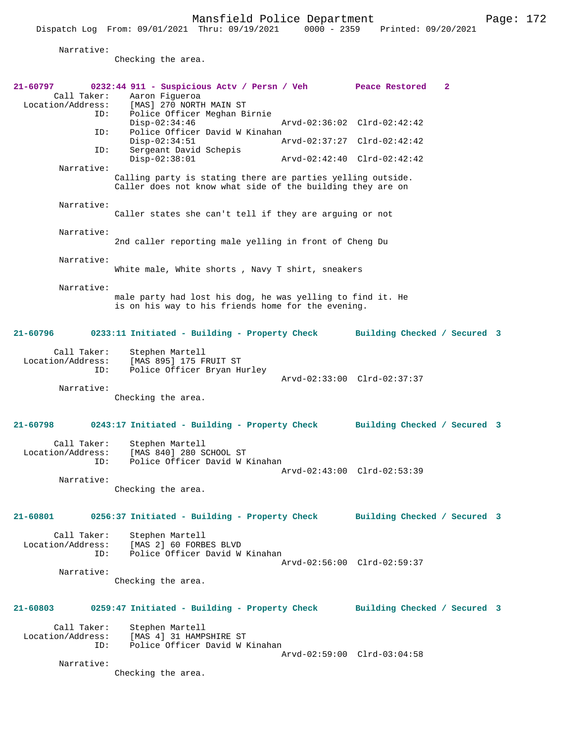Narrative:

Checking the area.

| 21-60797<br>Call Taker:<br>Location/Address: | 0232:44 911 - Suspicious Actv / Persn / Veh Peace Restored<br>Aaron Fiqueroa<br>[MAS] 270 NORTH MAIN ST                   |                              | $\mathbf{2}$ |  |
|----------------------------------------------|---------------------------------------------------------------------------------------------------------------------------|------------------------------|--------------|--|
| ID:<br>ID:                                   | Police Officer Meghan Birnie<br>$Disp-02:34:46$<br>Police Officer David W Kinahan                                         | Arvd-02:36:02 Clrd-02:42:42  |              |  |
| ID:                                          | $Disp-02:34:51$<br>Sergeant David Schepis                                                                                 | Arvd-02:37:27 Clrd-02:42:42  |              |  |
| Narrative:                                   | $Disp-02:38:01$                                                                                                           | Arvd-02:42:40 Clrd-02:42:42  |              |  |
|                                              | Calling party is stating there are parties yelling outside.<br>Caller does not know what side of the building they are on |                              |              |  |
| Narrative:                                   | Caller states she can't tell if they are arquing or not                                                                   |                              |              |  |
| Narrative:                                   | 2nd caller reporting male yelling in front of Cheng Du                                                                    |                              |              |  |
| Narrative:                                   | White male, White shorts, Navy T shirt, sneakers                                                                          |                              |              |  |
| Narrative:                                   | male party had lost his dog, he was yelling to find it. He<br>is on his way to his friends home for the evening.          |                              |              |  |
| 21-60796                                     | 0233:11 Initiated - Building - Property Check                                                                             | Building Checked / Secured 3 |              |  |
| Call Taker:<br>Location/Address:<br>ID:      | Stephen Martell<br>[MAS 895] 175 FRUIT ST<br>Police Officer Bryan Hurley                                                  | Arvd-02:33:00 Clrd-02:37:37  |              |  |
| Narrative:                                   | Checking the area.                                                                                                        |                              |              |  |
| 21-60798                                     | 0243:17 Initiated - Building - Property Check                                                                             | Building Checked / Secured 3 |              |  |
| Call Taker:<br>Location/Address:<br>ID:      | Stephen Martell<br>[MAS 840] 280 SCHOOL ST<br>Police Officer David W Kinahan                                              | Arvd-02:43:00 Clrd-02:53:39  |              |  |
| Narrative:                                   | Checking the area.                                                                                                        |                              |              |  |
| 21-60801                                     | 0256:37 Initiated - Building - Property Check Building Checked / Secured 3                                                |                              |              |  |
| Call Taker:<br>ID:                           | Stephen Martell<br>Location/Address: [MAS 2] 60 FORBES BLVD<br>Police Officer David W Kinahan                             | Arvd-02:56:00 Clrd-02:59:37  |              |  |
| Narrative:                                   | Checking the area.                                                                                                        |                              |              |  |
| 21-60803                                     | 0259:47 Initiated - Building - Property Check                                                                             | Building Checked / Secured 3 |              |  |
| Call Taker:<br>Location/Address:<br>ID:      | Stephen Martell<br>[MAS 4] 31 HAMPSHIRE ST<br>Police Officer David W Kinahan                                              |                              |              |  |
| Narrative:                                   | Checking the area.                                                                                                        | Arvd-02:59:00 Clrd-03:04:58  |              |  |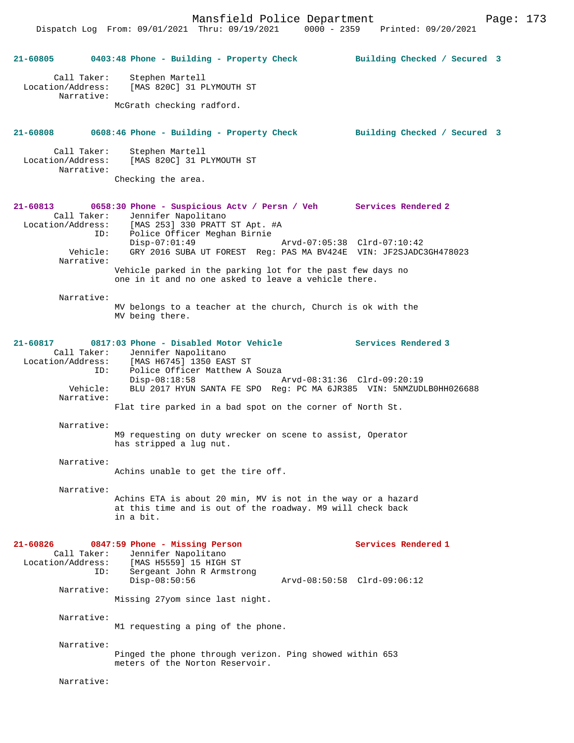Dispatch Log From: 09/01/2021 Thru: 09/19/2021 0000 - 2359 Printed: 09/20/2021

| 21-60805                      |                           | 0403:48 Phone - Building - Property Check                                                                                                                                                | Building Checked / Secured 3 |  |
|-------------------------------|---------------------------|------------------------------------------------------------------------------------------------------------------------------------------------------------------------------------------|------------------------------|--|
| Location/Address:             | Call Taker:<br>Narrative: | Stephen Martell<br>[MAS 820C] 31 PLYMOUTH ST                                                                                                                                             |                              |  |
|                               |                           | McGrath checking radford.                                                                                                                                                                |                              |  |
| 21-60808                      |                           | 0608:46 Phone - Building - Property Check                                                                                                                                                | Building Checked / Secured 3 |  |
| Location/Address:             | Call Taker:<br>Narrative: | Stephen Martell<br>[MAS 820C] 31 PLYMOUTH ST                                                                                                                                             |                              |  |
|                               |                           | Checking the area.                                                                                                                                                                       |                              |  |
| 21-60813                      | ID:                       | 0658:30 Phone - Suspicious Actv / Persn / Veh Services Rendered 2<br>Call Taker: Jennifer Napolitano<br>Location/Address: [MAS 253] 330 PRATT ST Apt. #A<br>Police Officer Meghan Birnie |                              |  |
|                               | Vehicle:<br>Narrative:    | $Disp-07:01:49$<br>Arvd-07:05:38 Clrd-07:10:42<br>GRY 2016 SUBA UT FOREST Reg: PAS MA BV424E VIN: JF2SJADC3GH478023                                                                      |                              |  |
|                               |                           | Vehicle parked in the parking lot for the past few days no<br>one in it and no one asked to leave a vehicle there.                                                                       |                              |  |
|                               | Narrative:                | MV belongs to a teacher at the church, Church is ok with the<br>MV being there.                                                                                                          |                              |  |
| 21-60817                      | ID:                       | 0817:03 Phone - Disabled Motor Vehicle<br>Call Taker: Jennifer Napolitano<br>Location/Address: [MAS H6745] 1350 EAST ST<br>Police Officer Matthew A Souza                                | <b>Services Rendered 3</b>   |  |
|                               | Vehicle:<br>Narrative:    | $Disp-08:18:58$<br>Arvd-08:31:36 Clrd-09:20:19<br>BLU 2017 HYUN SANTA FE SPO Req: PC MA 6JR385 VIN: 5NMZUDLB0HH026688                                                                    |                              |  |
|                               |                           | Flat tire parked in a bad spot on the corner of North St.                                                                                                                                |                              |  |
|                               | Narrative:                | M9 requesting on duty wrecker on scene to assist, Operator<br>has stripped a lug nut.                                                                                                    |                              |  |
|                               | Narrative:                | Achins unable to get the tire off.                                                                                                                                                       |                              |  |
|                               | Narrative:                | Achins ETA is about 20 min, MV is not in the way or a hazard<br>at this time and is out of the roadway. M9 will check back<br>in a bit.                                                  |                              |  |
| 21-60826<br>Location/Address: | Call Taker:               | 0847:59 Phone - Missing Person<br>Jennifer Napolitano<br>[MAS H5559] 15 HIGH ST                                                                                                          | Services Rendered 1          |  |
|                               | ID:                       | Sergeant John R Armstrong<br>$Disp-08:50:56$                                                                                                                                             | Arvd-08:50:58 Clrd-09:06:12  |  |
|                               | Narrative:                | Missing 27yom since last night.                                                                                                                                                          |                              |  |
|                               | Narrative:                | M1 requesting a ping of the phone.                                                                                                                                                       |                              |  |
|                               | Narrative:                | Pinged the phone through verizon. Ping showed within 653<br>meters of the Norton Reservoir.                                                                                              |                              |  |
|                               | Narrative:                |                                                                                                                                                                                          |                              |  |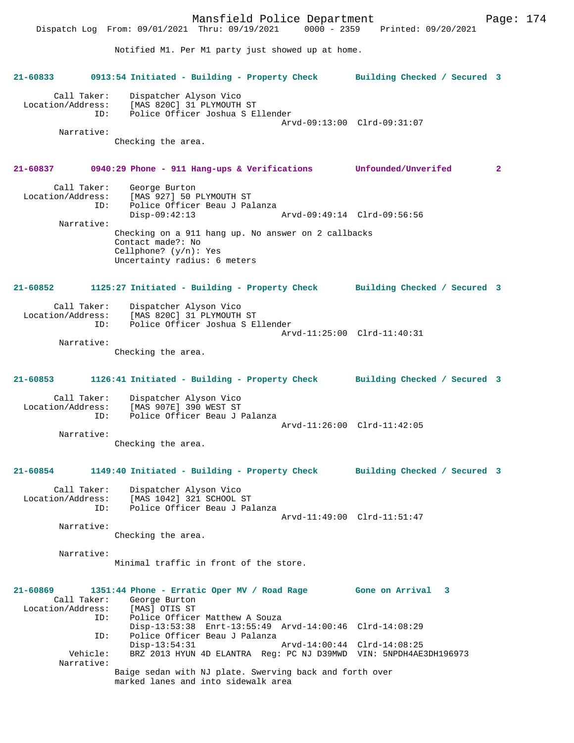Mansfield Police Department Page: 174 Dispatch Log From: 09/01/2021 Thru: 09/19/2021 Notified M1. Per M1 party just showed up at home. **21-60833 0913:54 Initiated - Building - Property Check Building Checked / Secured 3** Call Taker: Dispatcher Alyson Vico Location/Address: [MAS 820C] 31 PLYMOUTH ST<br>TD: Police Officer Joshua S E Police Officer Joshua S Ellender Arvd-09:13:00 Clrd-09:31:07 Narrative: Checking the area. **21-60837 0940:29 Phone - 911 Hang-ups & Verifications Unfounded/Unverifed 2** Call Taker: George Burton Location/Address: [MAS 927] 50 PLYMOUTH ST ID: Police Officer Beau J Palanza Disp-09:42:13 Arvd-09:49:14 Clrd-09:56:56 Narrative: Checking on a 911 hang up. No answer on 2 callbacks Contact made?: No Cellphone? (y/n): Yes Uncertainty radius: 6 meters **21-60852 1125:27 Initiated - Building - Property Check Building Checked / Secured 3** Call Taker: Dispatcher Alyson Vico Location/Address: [MAS 820C] 31 PLYMOUTH ST ID: Police Officer Joshua S Ellender Arvd-11:25:00 Clrd-11:40:31 Narrative: Checking the area. **21-60853 1126:41 Initiated - Building - Property Check Building Checked / Secured 3** Call Taker: Dispatcher Alyson Vico<br>Location/Address: [MAS 907E] 390 WEST ST ess: [MAS 907E] 390 WEST ST<br>ID: Police Officer Beau J J Police Officer Beau J Palanza Arvd-11:26:00 Clrd-11:42:05 Narrative: Checking the area. **21-60854 1149:40 Initiated - Building - Property Check Building Checked / Secured 3** Call Taker: Dispatcher Alyson Vico<br>Location/Address: [MAS 1042] 321 SCHOOL ess: [MAS 1042] 321 SCHOOL ST<br>TD: Police Officer Beau J Pa Police Officer Beau J Palanza Arvd-11:49:00 Clrd-11:51:47 Narrative: Checking the area. Narrative: Minimal traffic in front of the store. **21-60869 1351:44 Phone - Erratic Oper MV / Road Rage Gone on Arrival 3**  Call Taker: George Burton<br>ion/Address: [MAS] OTIS ST Location/Address:<br>ID: Police Officer Matthew A Souza Disp-13:53:38 Enrt-13:55:49 Arvd-14:00:46 Clrd-14:08:29 ID: Police Officer Beau J Palanza Disp-13:54:31 Arvd-14:00:44 Clrd-14:08:25 Vehicle: BRZ 2013 HYUN 4D ELANTRA Reg: PC NJ D39MWD VIN: 5NPDH4AE3DH196973 Narrative: Baige sedan with NJ plate. Swerving back and forth over marked lanes and into sidewalk area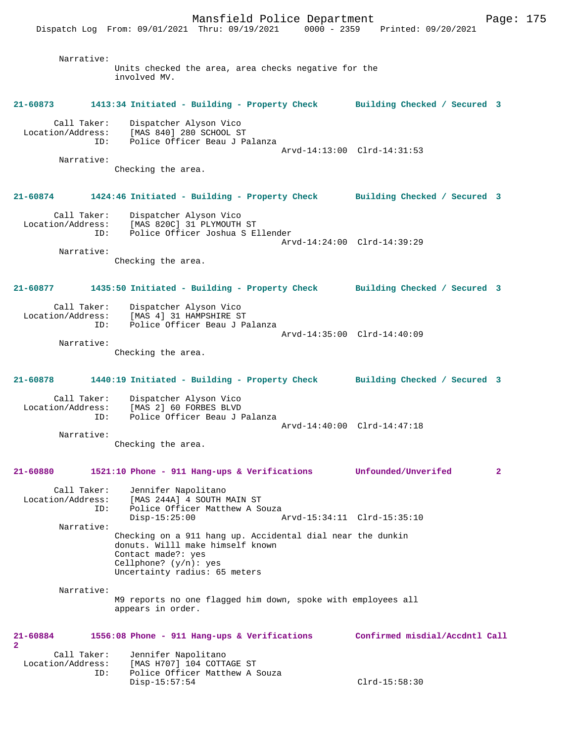Dispatch Log From: 09/01/2021 Thru: 09/19/2021 0000 - 2359 Printed: 09/20/2021

| Narrative:                              |                                                                                                                     |                                |              |
|-----------------------------------------|---------------------------------------------------------------------------------------------------------------------|--------------------------------|--------------|
|                                         | Units checked the area, area checks negative for the<br>involved MV.                                                |                                |              |
| 21-60873                                | 1413:34 Initiated - Building - Property Check Building Checked / Secured 3                                          |                                |              |
| Call Taker:<br>ID:                      | Dispatcher Alyson Vico<br>Location/Address: [MAS 840] 280 SCHOOL ST<br>Police Officer Beau J Palanza                |                                |              |
| Narrative:                              |                                                                                                                     | Arvd-14:13:00 Clrd-14:31:53    |              |
|                                         | Checking the area.                                                                                                  |                                |              |
| 21-60874                                | 1424:46 Initiated - Building - Property Check Building Checked / Secured 3                                          |                                |              |
| Call Taker:                             | Dispatcher Alyson Vico<br>Location/Address: [MAS 820C] 31 PLYMOUTH ST<br>ID: Police Officer Joshua S Ellender       | Arvd-14:24:00 Clrd-14:39:29    |              |
| Narrative:                              | Checking the area.                                                                                                  |                                |              |
|                                         |                                                                                                                     |                                |              |
| 21-60877                                | 1435:50 Initiated - Building - Property Check Building Checked / Secured 3                                          |                                |              |
| Call Taker:<br>Location/Address:<br>ID: | Dispatcher Alyson Vico<br>[MAS 4] 31 HAMPSHIRE ST<br>Police Officer Beau J Palanza                                  |                                |              |
| Narrative:                              | Checking the area.                                                                                                  | Arvd-14:35:00 Clrd-14:40:09    |              |
| 21-60878                                | 1440:19 Initiated - Building - Property Check Building Checked / Secured 3                                          |                                |              |
| Call Taker:<br>Location/Address:<br>ID: | Dispatcher Alyson Vico<br>[MAS 2] 60 FORBES BLVD<br>Police Officer Beau J Palanza                                   |                                |              |
|                                         |                                                                                                                     | Arvd-14:40:00 Clrd-14:47:18    |              |
| Narrative:                              | Checking the area.                                                                                                  |                                |              |
| 21-60880                                | 1521:10 Phone - 911 Hang-ups & Verifications                                                                        | Unfounded/Unverifed            | $\mathbf{2}$ |
| Call Taker:<br>Location/Address:        | Jennifer Napolitano<br>[MAS 244A] 4 SOUTH MAIN ST                                                                   |                                |              |
| ID:                                     | Police Officer Matthew A Souza<br>$Disp-15:25:00$                                                                   | Arvd-15:34:11 Clrd-15:35:10    |              |
| Narrative:                              | Checking on a 911 hang up. Accidental dial near the dunkin                                                          |                                |              |
|                                         | donuts. Willl make himself known<br>Contact made?: yes<br>Cellphone? $(y/n): ye$ s<br>Uncertainty radius: 65 meters |                                |              |
| Narrative:                              | M9 reports no one flagged him down, spoke with employees all<br>appears in order.                                   |                                |              |
| 21-60884<br>2                           | 1556:08 Phone - 911 Hang-ups & Verifications                                                                        | Confirmed misdial/Accdntl Call |              |
| Call Taker:                             | Jennifer Napolitano                                                                                                 |                                |              |
| Location/Address:<br>ID:                | [MAS H707] 104 COTTAGE ST<br>Police Officer Matthew A Souza<br>$Disp-15:57:54$                                      | $Clrd-15:58:30$                |              |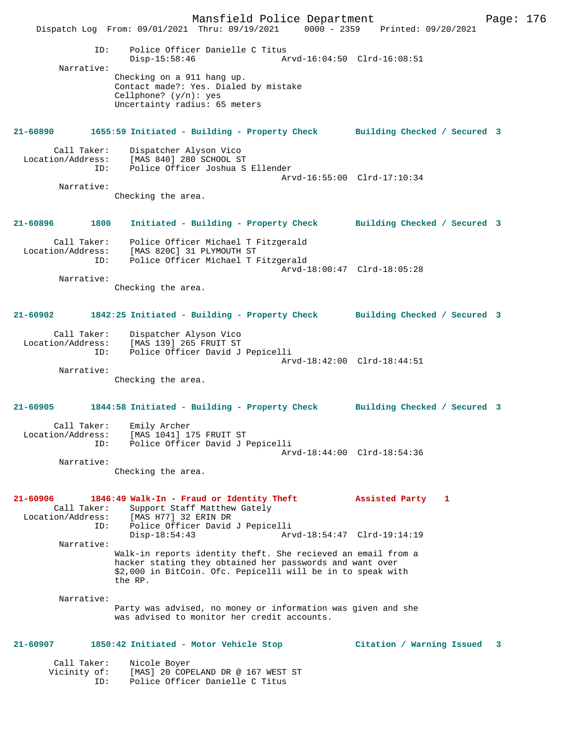Mansfield Police Department Page: 176 Dispatch Log From: 09/01/2021 Thru: 09/19/2021 0000 - 2359 ID: Police Officer Danielle C Titus Disp-15:58:46 Arvd-16:04:50 Clrd-16:08:51 Narrative: Checking on a 911 hang up. Contact made?: Yes. Dialed by mistake Cellphone? (y/n): yes Uncertainty radius: 65 meters **21-60890 1655:59 Initiated - Building - Property Check Building Checked / Secured 3** Call Taker: Dispatcher Alyson Vico Location/Address: [MAS 840] 280 SCHOOL ST Police Officer Joshua S Ellender Arvd-16:55:00 Clrd-17:10:34 Narrative: Checking the area. **21-60896 1800 Initiated - Building - Property Check Building Checked / Secured 3** Call Taker: Police Officer Michael T Fitzgerald Location/Address: [MAS 820C] 31 PLYMOUTH ST ID: Police Officer Michael T Fitzgerald Arvd-18:00:47 Clrd-18:05:28 Narrative: Checking the area. **21-60902 1842:25 Initiated - Building - Property Check Building Checked / Secured 3** Call Taker: Dispatcher Alyson Vico Location/Address: [MAS 139] 265 FRUIT ST Police Officer David J Pepicelli Arvd-18:42:00 Clrd-18:44:51 Narrative: Checking the area. **21-60905 1844:58 Initiated - Building - Property Check Building Checked / Secured 3** Call Taker: Emily Archer Location/Address: [MAS 1041] 175 FRUIT ST ID: Police Officer David J Pepicelli Arvd-18:44:00 Clrd-18:54:36 Narrative: Checking the area. **21-60906 1846:49 Walk-In - Fraud or Identity Theft Assisted Party 1**  Call Taker: Support Staff Matthew Gately<br>Location/Address: [MAS H77] 32 ERIN DR [MAS H77] 32 ERIN DR ID: Police Officer David J Pepicelli Disp-18:54:43 Arvd-18:54:47 Clrd-19:14:19 Narrative: Walk-in reports identity theft. She recieved an email from a hacker stating they obtained her passwords and want over \$2,000 in BitCoin. Ofc. Pepicelli will be in to speak with the RP. Narrative: Party was advised, no money or information was given and she was advised to monitor her credit accounts. **21-60907 1850:42 Initiated - Motor Vehicle Stop Citation / Warning Issued 3** Call Taker: Nicole Boyer<br>Vicinity of: [MAsless] [MAS] 20 COPELAND DR @ 167 WEST ST ID: Police Officer Danielle C Titus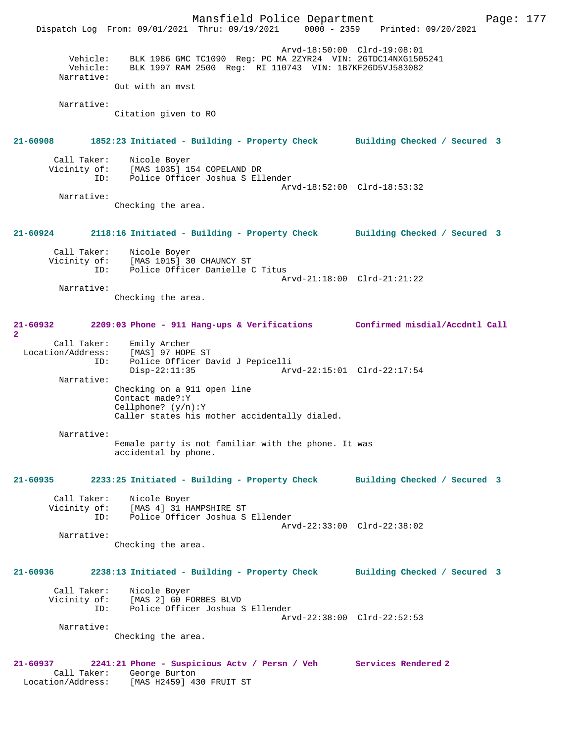Mansfield Police Department Page: 177 Dispatch Log From: 09/01/2021 Thru: 09/19/2021 Arvd-18:50:00 Clrd-19:08:01 Vehicle: BLK 1986 GMC TC1090 Reg: PC MA 2ZYR24 VIN: 2GTDC14NXG1505241 Vehicle: BLK 1997 RAM 2500 Reg: RI 110743 VIN: 1B7KF26D5VJ583082 Narrative: Out with an mvst Narrative: Citation given to RO **21-60908 1852:23 Initiated - Building - Property Check Building Checked / Secured 3** Call Taker: Nicole Boyer<br>Vicinity of: [MAS 1035] 19 CHEROLE DUYEL<br>Of: [MAS 1035] 154 COPELAND DR<br>ID: Police Officer Joshua S Ell Police Officer Joshua S Ellender Arvd-18:52:00 Clrd-18:53:32 Narrative: Checking the area. **21-60924 2118:16 Initiated - Building - Property Check Building Checked / Secured 3** Call Taker: Nicole Boyer Vicinity of: [MAS 1015] 30 CHAUNCY ST ID: Police Officer Danielle C Titus Arvd-21:18:00 Clrd-21:21:22 Narrative: Checking the area. **21-60932 2209:03 Phone - 911 Hang-ups & Verifications Confirmed misdial/Accdntl Call 2**  Call Taker: Emily Archer Location/Address: [MAS] 97 HOPE ST<br>ID: Police Officer Da Police Officer David J Pepicelli<br>Disp-22:11:35 Ar Arvd-22:15:01 Clrd-22:17:54 Narrative: Checking on a 911 open line Contact made?:Y Cellphone? (y/n):Y Caller states his mother accidentally dialed. Narrative: Female party is not familiar with the phone. It was accidental by phone. **21-60935 2233:25 Initiated - Building - Property Check Building Checked / Secured 3** Call Taker: Nicole Boyer Vicinity of: [MAS 4] 31 HAMPSHIRE ST ID: Police Officer Joshua S Ellender Arvd-22:33:00 Clrd-22:38:02 Narrative: Checking the area. **21-60936 2238:13 Initiated - Building - Property Check Building Checked / Secured 3** Call Taker: Nicole Boyer Vicinity of: [MAS 2] 60 FORBES BLVD ID: Police Officer Joshua S Ellender Arvd-22:38:00 Clrd-22:52:53 Narrative: Checking the area. **21-60937 2241:21 Phone - Suspicious Actv / Persn / Veh Services Rendered 2**  Call Taker: George Burton Location/Address: [MAS H2459] 430 FRUIT ST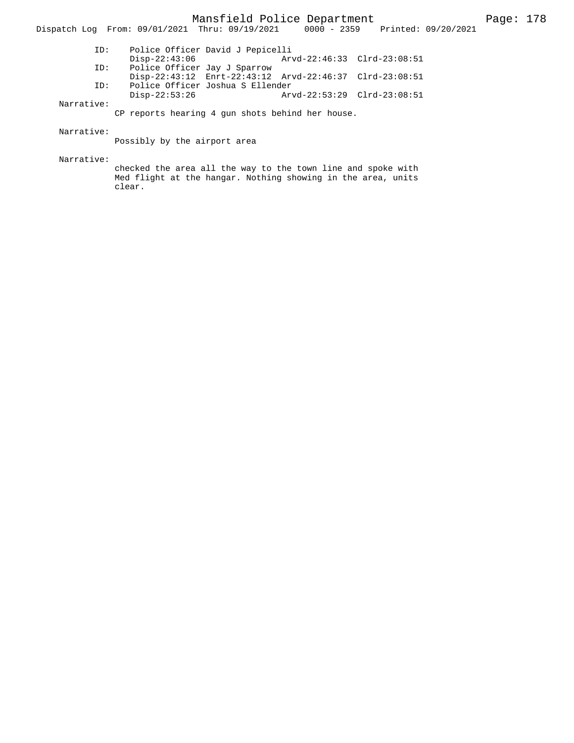Mansfield Police Department Fage: 178

| ID: | Police Officer David J Pepicelli |                                                         |  |
|-----|----------------------------------|---------------------------------------------------------|--|
|     | Disp-22:43:06                    | Arvd-22:46:33 Clrd-23:08:51                             |  |
| ID: | Police Officer Jay J Sparrow     |                                                         |  |
|     |                                  | Disp-22:43:12 Enrt-22:43:12 Arvd-22:46:37 Clrd-23:08:51 |  |
| ID: | Police Officer Joshua S Ellender |                                                         |  |
|     | Disp-22:53:26                    |                                                         |  |

Dispatch Log From: 09/01/2021 Thru: 09/19/2021 0000 - 2359 Printed: 09/20/2021

#### Narrative:

CP reports hearing 4 gun shots behind her house.

## Narrative:

Possibly by the airport area

#### Narrative:

checked the area all the way to the town line and spoke with Med flight at the hangar. Nothing showing in the area, units clear.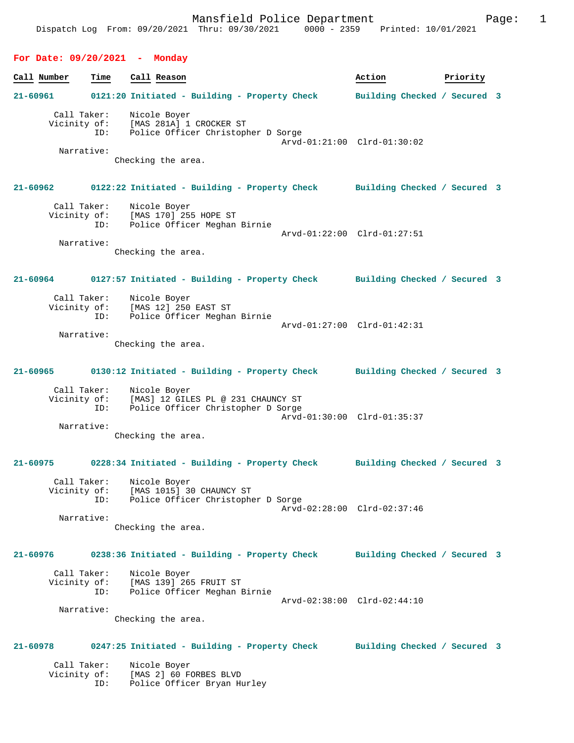# **For Date: 09/20/2021 - Monday**

ID: Police Officer Bryan Hurley

| Call Number                 | Time                             | Call Reason                                                                                                                | Action                       | Priority |  |
|-----------------------------|----------------------------------|----------------------------------------------------------------------------------------------------------------------------|------------------------------|----------|--|
| 21-60961                    |                                  | 0121:20 Initiated - Building - Property Check                                                                              | Building Checked / Secured 3 |          |  |
|                             | Call Taker:<br>ID:<br>Narrative: | Nicole Boyer<br>Vicinity of: [MAS 281A] 1 CROCKER ST<br>ID: Police Officer Christopl<br>Police Officer Christopher D Sorge | Arvd-01:21:00 Clrd-01:30:02  |          |  |
|                             |                                  | Checking the area.                                                                                                         |                              |          |  |
| 21-60962                    |                                  | 0122:22 Initiated - Building - Property Check Building Checked / Secured 3                                                 |                              |          |  |
| Vicinity of:                | Call Taker:<br>ID:               | Nicole Boyer<br>[MAS 170] 255 HOPE ST<br>Police Officer Meghan<br>Police Officer Meghan Birnie                             | Arvd-01:22:00 Clrd-01:27:51  |          |  |
|                             | Narrative:                       | Checking the area.                                                                                                         |                              |          |  |
| 21-60964                    |                                  | 0127:57 Initiated - Building - Property Check Building Checked / Secured 3                                                 |                              |          |  |
| Vicinity of:                | Call Taker:<br>ID:               | Nicole Boyer<br>[MAS 12] 250 EAST ST<br>Police Officer Meghan Birnie                                                       | Arvd-01:27:00 Clrd-01:42:31  |          |  |
|                             | Narrative:                       | Checking the area.                                                                                                         |                              |          |  |
| 21-60965                    |                                  | 0130:12 Initiated - Building - Property Check Building Checked / Secured 3                                                 |                              |          |  |
| Vicinity of:                | Call Taker:<br>ID:               | Nicole Boyer<br>[MAS] 12 GILES PL @ 231 CHAUNCY ST<br>Police Officer Christopher D Sorge                                   | Arvd-01:30:00 Clrd-01:35:37  |          |  |
|                             | Narrative:                       | Checking the area.                                                                                                         |                              |          |  |
|                             |                                  | 21-60975 0228:34 Initiated - Building - Property Check                                                                     | Building Checked / Secured 3 |          |  |
|                             | ID:                              | Call Taker: Nicole Boyer<br>Vicinity of: [MAS 1015] 30 CHAUNCY ST<br>Police Officer Christopher D Sorge                    | Arvd-02:28:00 Clrd-02:37:46  |          |  |
|                             | Narrative:                       | Checking the area.                                                                                                         |                              |          |  |
| 21-60976                    |                                  | 0238:36 Initiated - Building - Property Check                                                                              | Building Checked / Secured 3 |          |  |
| Vicinity of:                | Call Taker:<br>ID:               | Nicole Boyer<br>[MAS 139] 265 FRUIT ST<br>Police Officer Meghan Birnie                                                     | Arvd-02:38:00 Clrd-02:44:10  |          |  |
|                             | Narrative:                       | Checking the area.                                                                                                         |                              |          |  |
| 21-60978                    |                                  | 0247:25 Initiated - Building - Property Check                                                                              | Building Checked / Secured 3 |          |  |
| Call Taker:<br>Vicinity of: |                                  | Nicole Boyer<br>[MAS 2] 60 FORBES BLVD                                                                                     |                              |          |  |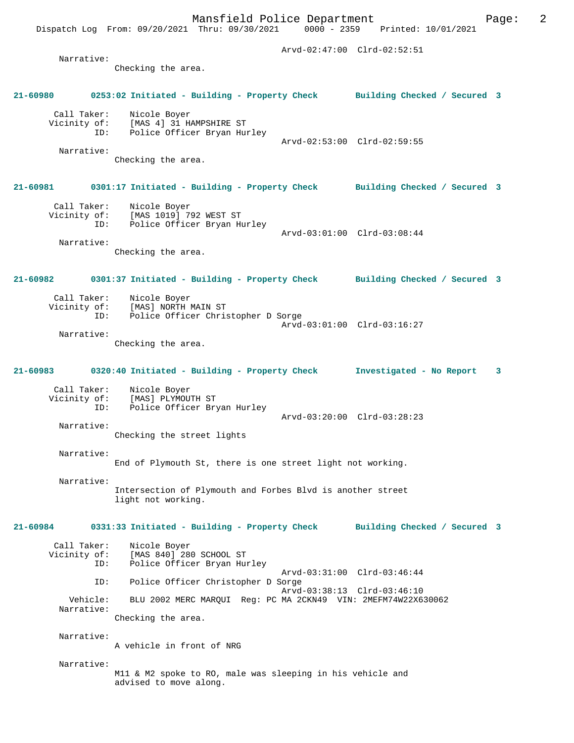Dispatch Log From: 09/20/2021 Thru: 09/30/2021

 Arvd-02:47:00 Clrd-02:52:51 Narrative: Checking the area. **21-60980 0253:02 Initiated - Building - Property Check Building Checked / Secured 3** Call Taker: Nicole Boyer Vicinity of: [MAS 4] 31 HAMPSHIRE ST<br>ID: Police Officer Bryan Hu Police Officer Bryan Hurley Arvd-02:53:00 Clrd-02:59:55 Narrative: Checking the area. **21-60981 0301:17 Initiated - Building - Property Check Building Checked / Secured 3** Call Taker: Nicole Boyer<br>Vicinity of: [MAS 1019] 7 [MAS 1019] 792 WEST ST ID: Police Officer Bryan Hurley Arvd-03:01:00 Clrd-03:08:44 Narrative: Checking the area. **21-60982 0301:37 Initiated - Building - Property Check Building Checked / Secured 3** Call Taker: Nicole Boyer<br>Vicinity of: [MAS] NORTH I [MAS] NORTH MAIN ST ID: Police Officer Christopher D Sorge Arvd-03:01:00 Clrd-03:16:27 Narrative: Checking the area. **21-60983 0320:40 Initiated - Building - Property Check Investigated - No Report 3** Call Taker: Nicole Boyer<br>Vicinity of: [MAS] PLYMOU [MAS] PLYMOUTH ST ID: Police Officer Bryan Hurley Arvd-03:20:00 Clrd-03:28:23 Narrative: Checking the street lights Narrative: End of Plymouth St, there is one street light not working. Narrative: Intersection of Plymouth and Forbes Blvd is another street light not working. **21-60984 0331:33 Initiated - Building - Property Check Building Checked / Secured 3** Call Taker: Nicole Boyer<br>Vicinity of: [MAS 840] 28 [MAS 840] 280 SCHOOL ST ID: Police Officer Bryan Hurley Arvd-03:31:00 Clrd-03:46:44<br>ID: Police Officer Christopher D Sorge Police Officer Christopher D Sorge Arvd-03:38:13 Clrd-03:46:10<br>Vehicle: BLU 2002 MERC MAROUI Reg: PC MA 2CKN49 VIN: 2MEFM74W22X6 BLU 2002 MERC MARQUI Reg: PC MA 2CKN49 VIN: 2MEFM74W22X630062 Narrative: Checking the area. Narrative: A vehicle in front of NRG

> M11 & M2 spoke to RO, male was sleeping in his vehicle and advised to move along.

Narrative: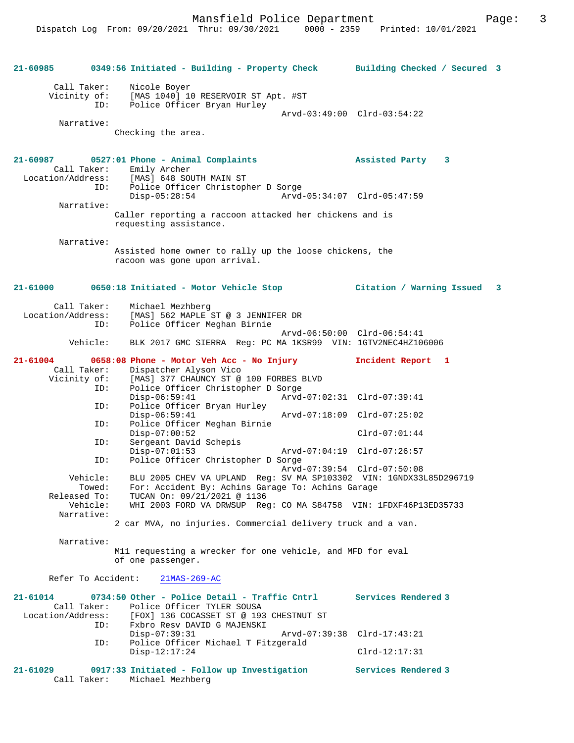| 21-60985                                                            | 0349:56 Initiated - Building - Property Check Building Checked / Secured 3                                                                                                                                                                                                                                                       |                                                    |
|---------------------------------------------------------------------|----------------------------------------------------------------------------------------------------------------------------------------------------------------------------------------------------------------------------------------------------------------------------------------------------------------------------------|----------------------------------------------------|
| Call Taker:<br>Vicinity of:<br>Narrative:                           | Nicole Boyer<br>[MAS 1040] 10 RESERVOIR ST Apt. #ST<br>Police Officer Bryan Hurley<br>ID:<br>Checking the area.                                                                                                                                                                                                                  | Arvd-03:49:00 Clrd-03:54:22                        |
| 21-60987<br>Call Taker:<br>Narrative:                               | 0527:01 Phone - Animal Complaints<br>Emily Archer<br>Location/Address: [MAS] 648 SOUTH MAIN ST<br>ID:<br>Police Officer Christopher D Sorge<br>$Disp-05:28:54$<br>Caller reporting a raccoon attacked her chickens and is                                                                                                        | Assisted Party<br>3<br>Arvd-05:34:07 Clrd-05:47:59 |
| Narrative:                                                          | requesting assistance.<br>Assisted home owner to rally up the loose chickens, the<br>racoon was gone upon arrival.                                                                                                                                                                                                               |                                                    |
| 21-61000                                                            |                                                                                                                                                                                                                                                                                                                                  |                                                    |
| Call Taker:<br>Location/Address:<br>ID:<br>Vehicle:                 | Michael Mezhberg<br>[MAS] 562 MAPLE ST @ 3 JENNIFER DR<br>Police Officer Meghan Birnie<br>BLK 2017 GMC SIERRA Req: PC MA 1KSR99 VIN: 1GTV2NEC4HZ106006                                                                                                                                                                           | Arvd-06:50:00 Clrd-06:54:41                        |
| 21-61004<br>Call Taker:<br>Vicinity of:<br>ID:                      | 0658:08 Phone - Motor Veh Acc - No Injury<br>Dispatcher Alyson Vico<br>[MAS] 377 CHAUNCY ST @ 100 FORBES BLVD<br>Police Officer Christopher D Sorge<br>$Disp-06:59:41$                                                                                                                                                           | Incident Report 1                                  |
| ID:<br>ID:                                                          | Police Officer Bryan Hurley<br>$Disp-06:59:41$<br>Police Officer Meghan Birnie                                                                                                                                                                                                                                                   | Arvd-07:18:09 Clrd-07:25:02                        |
| ID:                                                                 | $Disp-07:00:52$<br>Sergeant David Schepis<br>$Disp-07:01:53$                                                                                                                                                                                                                                                                     | $Clrd-07:01:44$<br>Arvd-07:04:19 Clrd-07:26:57     |
| ID:<br>Vehicle:<br>Towed:<br>Released To:<br>Vehicle:<br>Narrative: | Police Officer Christopher D Sorge<br>BLU 2005 CHEV VA UPLAND Reg: SV MA SP103302 VIN: 1GNDX33L85D296719<br>For: Accident By: Achins Garage To: Achins Garage<br>TUCAN On: 09/21/2021 @ 1136<br>WHI 2003 FORD VA DRWSUP Req: CO MA S84758 VIN: 1FDXF46P13ED35733<br>2 car MVA, no injuries. Commercial delivery truck and a van. | Arvd-07:39:54 Clrd-07:50:08                        |
| Narrative:                                                          | M11 requesting a wrecker for one vehicle, and MFD for eval<br>of one passenger.                                                                                                                                                                                                                                                  |                                                    |
| Refer To Accident:                                                  | $21MAS-269-AC$                                                                                                                                                                                                                                                                                                                   |                                                    |
| $21 - 61014$<br>Call Taker:<br>Location/Address:<br>ID:             | 0734:50 Other - Police Detail - Traffic Cntrl<br>Police Officer TYLER SOUSA<br>[FOX] 136 COCASSET ST @ 193 CHESTNUT ST<br>Fxbro Resv DAVID G MAJENSKI                                                                                                                                                                            | Services Rendered 3                                |
| ID:                                                                 | $Disp-07:39:31$<br>Police Officer Michael T Fitzgerald<br>$Disp-12:17:24$                                                                                                                                                                                                                                                        | Arvd-07:39:38 Clrd-17:43:21<br>$Clrd-12:17:31$     |
| 21-61029<br>Call Taker:                                             | 0917:33 Initiated - Follow up Investigation<br>Michael Mezhberg                                                                                                                                                                                                                                                                  | Services Rendered 3                                |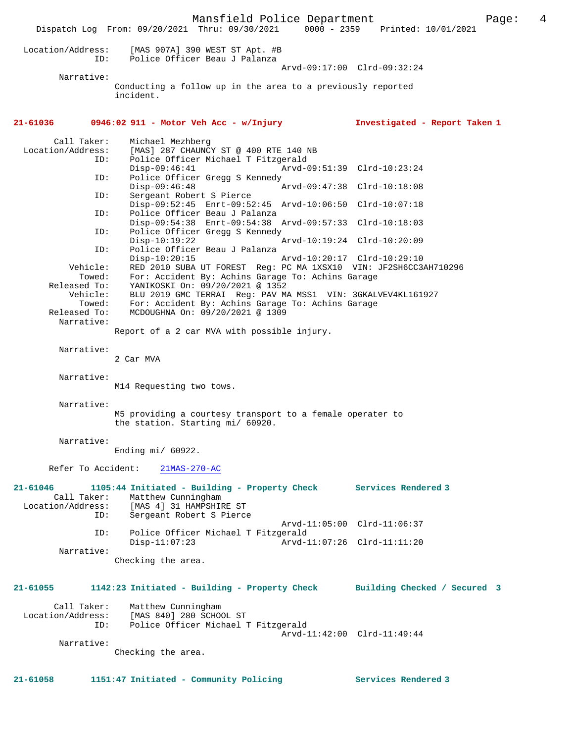Mansfield Police Department Page: 4 Dispatch Log From: 09/20/2021 Thru: 09/30/2021 0000 - 2359 Printed: 10/01/2021 Location/Address: [MAS 907A] 390 WEST ST Apt. #B ID: Police Officer Beau J Palanza Arvd-09:17:00 Clrd-09:32:24 Narrative: Conducting a follow up in the area to a previously reported incident. **21-61036 0946:02 911 - Motor Veh Acc - w/Injury Investigated - Report Taken 1** Call Taker: Michael Mezhberg<br>Location/Address: [MAS] 287 CHAUNC ess: [MAS] 287 CHAUNCY ST @ 400 RTE 140 NB<br>ID: Police Officer Michael T Fitzgerald ID: Police Officer Michael T Fitzgerald Arvd-09:51:39 Clrd-10:23:24 ID: Police Officer Gregg S Kennedy<br>Disp-09:46:48 F Disp-09:46:48 Arvd-09:47:38 Clrd-10:18:08<br>ID: Sergeant Robert S Pierce Sergeant Robert S Pierce Disp-09:52:45 Enrt-09:52:45 Arvd-10:06:50 Clrd-10:07:18 ID: Police Officer Beau J Palanza Disp-09:54:38 Enrt-09:54:38 Arvd-09:57:33 Clrd-10:18:03<br>ID: Police Officer Gregg S Kennedy Police Officer Gregg S Kennedy<br>Disp-10:19:22 Disp-10:19:22 Arvd-10:19:24 Clrd-10:20:09 ID: Police Officer Beau J Palanza Disp-10:20:15 Arvd-10:20:17 Clrd-10:29:10 Vehicle: RED 2010 SUBA UT FOREST Reg: PC MA 1XSX10 VIN: JF2SH6CC3AH710296 Enicie. And avid bound of following the second term of the Towed: For: Accident By: Achins Garage To: Achins Garage Released To: YANIKOSKI On: 09/20/2021 @ 1352 Vehicle: BLU 2019 GMC TERRAI Reg: PAV MA MSS1 VIN: 3GKALVEV4KL161927 Towed: For: Accident By: Achins Garage To: Achins Garage Released To: MCDOUGHNA On:  $09/20/2021 \text{ } \textcircled{} 1309$ MCDOUGHNA On: 09/20/2021 @ 1309 Narrative: Report of a 2 car MVA with possible injury. Narrative: 2 Car MVA Narrative: M14 Requesting two tows. Narrative: M5 providing a courtesy transport to a female operater to the station. Starting mi/ 60920. Narrative: Ending mi/ 60922. Refer To Accident: 21MAS-270-AC **21-61046 1105:44 Initiated - Building - Property Check Services Rendered 3**  Call Taker: Matthew Cunningham<br>Location/Address: [MAS 4] 31 HAMPSHII ess: [MAS 4] 31 HAMPSHIRE ST<br>ID: Sergeant Robert S Pierce Sergeant Robert S Pierce Arvd-11:05:00 Clrd-11:06:37 ID: Police Officer Michael T Fitzgerald Disp-11:07:23 Arvd-11:07:26 Clrd-11:11:20 Narrative: Checking the area. **21-61055 1142:23 Initiated - Building - Property Check Building Checked / Secured 3** Call Taker: Matthew Cunningham Location/Address: [MAS 840] 280 SCHOOL ST Police Officer Michael T Fitzgerald Arvd-11:42:00 Clrd-11:49:44 Narrative: Checking the area. **21-61058 1151:47 Initiated - Community Policing Services Rendered 3**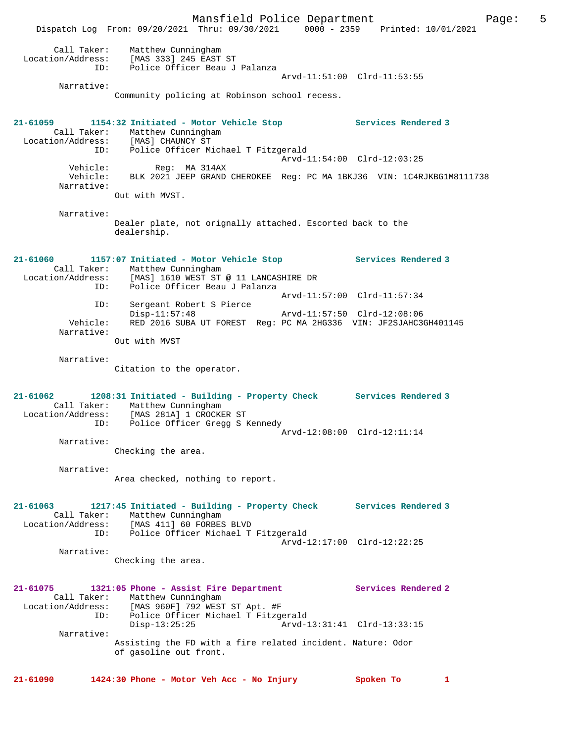Mansfield Police Department Fage: 5 Dispatch Log From: 09/20/2021 Thru: 09/30/2021 0000 - 2359 Printed: 10/01/2021 Call Taker: Matthew Cunningham Location/Address: [MAS 333] 245 EAST ST ID: Police Officer Beau J Palanza Arvd-11:51:00 Clrd-11:53:55 Narrative: Community policing at Robinson school recess. **21-61059 1154:32 Initiated - Motor Vehicle Stop Services Rendered 3**  Call Taker: Matthew Cunningham<br>tion/Address: [MAS] CHAUNCY ST Location/Address:<br>ID: Police Officer Michael T Fitzgerald Reg: MA 314AX<br>
Reg: MA 314AX<br>
Arvd-11:54:00 Clrd-12:03:25 Vehicle: Reg: MA 314AX Vehicle: BLK 2021 JEEP GRAND CHEROKEE Reg: PC MA 1BKJ36 VIN: 1C4RJKBG1M8111738 Narrative: Out with MVST. Narrative: Dealer plate, not orignally attached. Escorted back to the dealership. **21-61060 1157:07 Initiated - Motor Vehicle Stop Services Rendered 3**  Call Taker: Matthew Cunningham Location/Address: [MAS] 1610 WEST ST @ 11 LANCASHIRE DR ID: Police Officer Beau J Palanza Arvd-11:57:00 Clrd-11:57:34 ID: Sergeant Robert S Pierce Arvd-11:57:50 Clrd-12:08:06 Vehicle: RED 2016 SUBA UT FOREST Reg: PC MA 2HG336 VIN: JF2SJAHC3GH401145 Narrative: Out with MVST Narrative: Citation to the operator. **21-61062 1208:31 Initiated - Building - Property Check Services Rendered 3**  Call Taker: Matthew Cunningham Location/Address: [MAS 281A] 1 CROCKER ST ID: Police Officer Gregg S Kennedy Arvd-12:08:00 Clrd-12:11:14 Narrative: Checking the area. Narrative: Area checked, nothing to report. **21-61063 1217:45 Initiated - Building - Property Check Services Rendered 3**  Call Taker: Matthew Cunningham Location/Address: [MAS 411] 60 FORBES BLVD ID: Police Officer Michael T Fitzgerald Arvd-12:17:00 Clrd-12:22:25 Narrative: Checking the area. **21-61075 1321:05 Phone - Assist Fire Department Services Rendered 2**  Call Taker: Matthew Cunningham Location/Address: [MAS 960F] 792 WEST ST Apt. #F ID: Police Officer Michael T Fitzgerald Disp-13:25:25 Arvd-13:31:41 Clrd-13:33:15 Narrative: Assisting the FD with a fire related incident. Nature: Odor of gasoline out front. **21-61090 1424:30 Phone - Motor Veh Acc - No Injury Spoken To 1**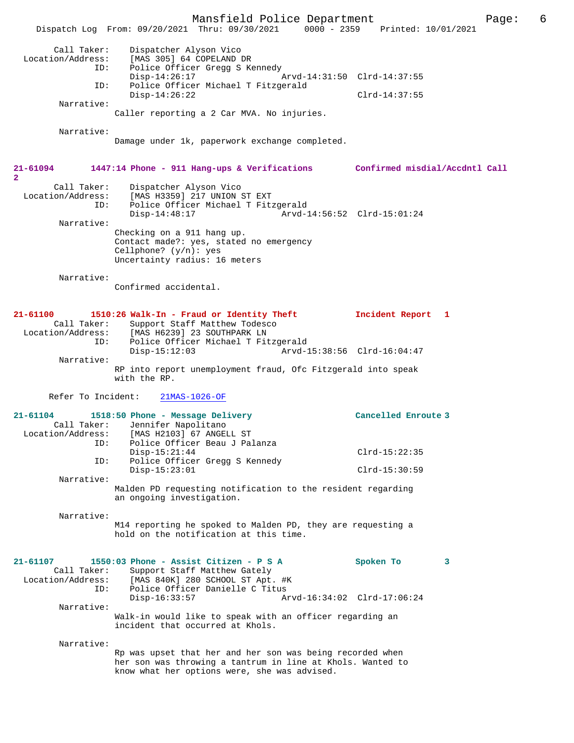Mansfield Police Department Page: 6 Dispatch Log From: 09/20/2021 Thru: 09/30/2021 Call Taker: Dispatcher Alyson Vico Location/Address: [MAS 305] 64 COPELAND DR<br>ID: Police Officer Gread S Ke Police Officer Gregg S Kennedy<br>Disp-14:26:17  $Nrvd-14:31:50$   $Clrd-14:37:55$  ID: Police Officer Michael T Fitzgerald Disp-14:26:22 Clrd-14:37:55 Narrative: Caller reporting a 2 Car MVA. No injuries. Narrative: Damage under 1k, paperwork exchange completed. **21-61094 1447:14 Phone - 911 Hang-ups & Verifications Confirmed misdial/Accdntl Call 2**  Call Taker: Dispatcher Alyson Vico Location/Address: [MAS H3359] 217 UNION ST EXT ID: Police Officer Michael T Fitzgerald  $\bar{P}_{\text{Arvd-14}:56:52}$  Clrd-15:01:24 Narrative: Checking on a 911 hang up. Contact made?: yes, stated no emergency Cellphone?  $(y/n)$ : yes Uncertainty radius: 16 meters Narrative: Confirmed accidental. **21-61100 1510:26 Walk-In - Fraud or Identity Theft Incident Report 1**  Call Taker: Support Staff Matthew Todesco<br>Location/Address: [MAS H6239] 23 SOUTHPARK LN ess: [MAS H6239] 23 SOUTHPARK LN<br>ID: Police Officer Michael T Fit Police Officer Michael T Fitzgerald<br>Disp-15:12:03 Arvd- Disp-15:12:03 Arvd-15:38:56 Clrd-16:04:47 Narrative: RP into report unemployment fraud, Ofc Fitzgerald into speak with the RP. Refer To Incident: 21MAS-1026-OF **21-61104 1518:50 Phone - Message Delivery Cancelled Enroute 3**  Call Taker: Jennifer Napolitano<br>Location/Address: [MAS H2103] 67 ANGEI [MAS H2103] 67 ANGELL ST ID: Police Officer Beau J Palanza Disp-15:21:44 Clrd-15:22:35<br>TD: Police Officer Greaa S Kennedy Police Officer Gregg S Kennedy Disp-15:23:01 Clrd-15:30:59 Narrative: Malden PD requesting notification to the resident regarding an ongoing investigation. Narrative: M14 reporting he spoked to Malden PD, they are requesting a hold on the notification at this time. **21-61107 1550:03 Phone - Assist Citizen - P S A Spoken To 3**  Call Taker: Support Staff Matthew Gately<br>Location/Address: [MAS 840K] 280 SCHOOL ST Apt. ess: [MAS 840K] 280 SCHOOL ST Apt. #K<br>ID: Police Officer Danielle C Titus Police Officer Danielle C Titus Disp-16:33:57 Arvd-16:34:02 Clrd-17:06:24 Narrative: Walk-in would like to speak with an officer regarding an incident that occurred at Khols. Narrative: Rp was upset that her and her son was being recorded when her son was throwing a tantrum in line at Khols. Wanted to know what her options were, she was advised.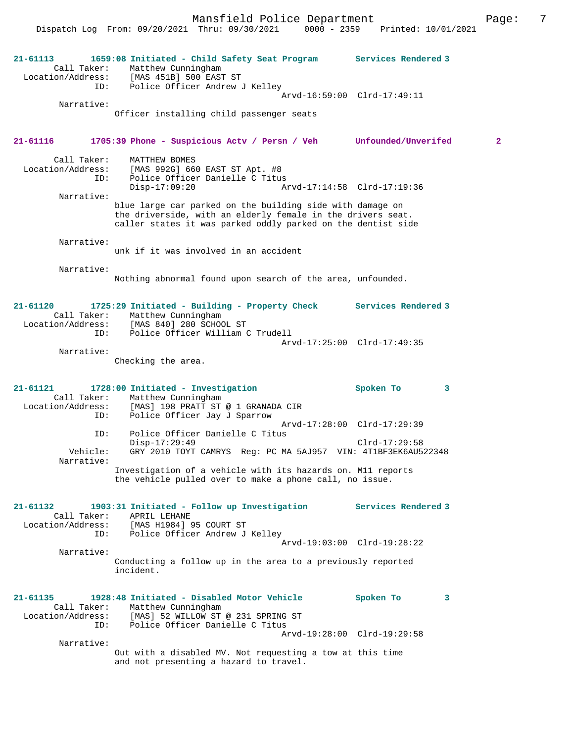Mansfield Police Department Fage: 7

Dispatch Log From: 09/20/2021 Thru: 09/30/2021 0000 - 2359 Printed: 10/01/2021

| 21-61113                                                | 1659:08 Initiated - Child Safety Seat Program Services Rendered 3<br>Call Taker: Matthew Cunningham<br>Location/Address: [MAS 451B] 500 EAST ST<br>ID: Police Officer Andrew J Kelley    | Arvd-16:59:00 Clrd-17:49:11 |
|---------------------------------------------------------|------------------------------------------------------------------------------------------------------------------------------------------------------------------------------------------|-----------------------------|
| Narrative:                                              | Officer installing child passenger seats                                                                                                                                                 |                             |
| 21-61116                                                | 1705:39 Phone - Suspicious Actv / Persn / Veh Unfounded/Unverifed                                                                                                                        | $\overline{\mathbf{2}}$     |
| Call Taker:<br>ID:<br>Narrative:                        | MATTHEW BOMES<br>Location/Address: [MAS 992G] 660 EAST ST Apt. #8<br>Police Officer Danielle C Titus<br>$Disp-17:09:20$<br>Arvd-17:14:58 Clrd-17:19:36                                   |                             |
|                                                         | blue large car parked on the building side with damage on<br>the driverside, with an elderly female in the drivers seat.<br>caller states it was parked oddly parked on the dentist side |                             |
| Narrative:                                              | unk if it was involved in an accident                                                                                                                                                    |                             |
| Narrative:                                              | Nothing abnormal found upon search of the area, unfounded.                                                                                                                               |                             |
| 21-61120<br>ID:                                         | 1725:29 Initiated - Building - Property Check Services Rendered 3<br>Call Taker: Matthew Cunningham<br>Location/Address: [MAS 840] 280 SCHOOL ST<br>Police Officer William C Trudell     |                             |
| Narrative:                                              | Checking the area.                                                                                                                                                                       | Arvd-17:25:00 Clrd-17:49:35 |
| $21 - 61121$<br>ID:                                     | 1728:00 Initiated - Investigation<br>Call Taker: Matthew Cunningham<br>Location/Address: [MAS] 198 PRATT ST @ 1 GRANADA CIR<br>Police Officer Jay J Sparrow                              | Spoken To<br>3              |
| ID:<br>Vehicle:<br>Narrative:                           | Arvd-17:28:00 Clrd-17:29:39<br>Police Officer Danielle C Titus<br>$Disp-17:29:49$<br>GRY 2010 TOYT CAMRYS Req: PC MA 5AJ957 VIN: 4T1BF3EK6AU522348                                       | $Clrd-17:29:58$             |
|                                                         | Investigation of a vehicle with its hazards on. M11 reports<br>the vehicle pulled over to make a phone call, no issue.                                                                   |                             |
| 21-61132<br>Call Taker:<br>Location/Address:<br>ID:     | 1903:31 Initiated - Follow up Investigation<br>APRIL LEHANE<br>[MAS H1984] 95 COURT ST<br>Police Officer Andrew J Kelley                                                                 | <b>Services Rendered 3</b>  |
| Narrative:                                              | Conducting a follow up in the area to a previously reported<br>incident.                                                                                                                 | Arvd-19:03:00 Clrd-19:28:22 |
| $21 - 61135$<br>Call Taker:<br>Location/Address:<br>ID: | 1928:48 Initiated - Disabled Motor Vehicle<br>Matthew Cunningham<br>[MAS] 52 WILLOW ST @ 231 SPRING ST<br>Police Officer Danielle C Titus                                                | Spoken To<br>3              |
| Narrative:                                              | Arvd-19:28:00 Clrd-19:29:58<br>Out with a disabled MV. Not requesting a tow at this time<br>and not presenting a hazard to travel.                                                       |                             |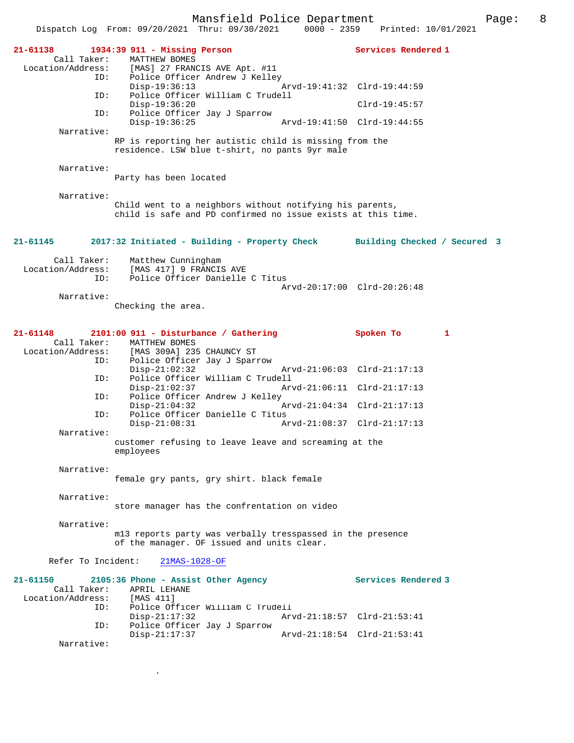|                                                                                                             | Dispatch Log From: $09/20/2021$ Thru: $09/30/2021$<br>$0000 - 2359$                                                                                                                                                                                                                                                                                                                                                                             | Printed: 10/01/2021                                                                                         |
|-------------------------------------------------------------------------------------------------------------|-------------------------------------------------------------------------------------------------------------------------------------------------------------------------------------------------------------------------------------------------------------------------------------------------------------------------------------------------------------------------------------------------------------------------------------------------|-------------------------------------------------------------------------------------------------------------|
| 21-61138<br>Call Taker:<br>Location/Address:<br>ID:<br>ID:<br>ID:<br>Narrative:<br>Narrative:<br>Narrative: | 1934:39 911 - Missing Person<br>MATTHEW BOMES<br>[MAS] 27 FRANCIS AVE Apt. #11<br>Police Officer Andrew J Kelley<br>$Disp-19:36:13$<br>Police Officer William C Trudell<br>$Disp-19:36:20$<br>Police Officer Jay J Sparrow<br>$Disp-19:36:25$<br>RP is reporting her autistic child is missing from the<br>residence. LSW blue t-shirt, no pants 9yr male<br>Party has been located<br>Child went to a neighbors without notifying his parents, | Services Rendered 1<br>Arvd-19:41:32 Clrd-19:44:59<br>$Clrd-19:45:57$<br>Arvd-19:41:50 Clrd-19:44:55        |
|                                                                                                             | child is safe and PD confirmed no issue exists at this time.                                                                                                                                                                                                                                                                                                                                                                                    |                                                                                                             |
| 21-61145<br>Call Taker:                                                                                     | 2017:32 Initiated - Building - Property Check Building Checked / Secured 3<br>Matthew Cunningham                                                                                                                                                                                                                                                                                                                                                |                                                                                                             |
| Location/Address:<br>ID:<br>Narrative:                                                                      | [MAS 417] 9 FRANCIS AVE<br>Police Officer Danielle C Titus<br>Checking the area.                                                                                                                                                                                                                                                                                                                                                                | Arvd-20:17:00 Clrd-20:26:48                                                                                 |
| $21 - 61148$<br>Call Taker:<br>Location/Address:<br>ID:<br>ID:<br>ID:<br>ID:<br>Narrative:                  | $2101:00$ 911 - Disturbance / Gathering<br>MATTHEW BOMES<br>[MAS 309A] 235 CHAUNCY ST<br>Police Officer Jay J Sparrow<br>$Disp-21:02:32$<br>Police Officer William C Trudell<br>$Disp-21:02:37$<br>Police Officer Andrew J Kelley<br>$Disp-21:04:32$<br>Police Officer Danielle C Titus<br>$Disp-21:08:31$<br>Arvd-21:08:37 Clrd-21:17:13<br>customer refusing to leave leave and screaming at the<br>employees                                 | Spoken To<br>1<br>Arvd-21:06:03 Clrd-21:17:13<br>Arvd-21:06:11 Clrd-21:17:13<br>Arvd-21:04:34 Clrd-21:17:13 |
| Narrative:                                                                                                  | female gry pants, gry shirt. black female                                                                                                                                                                                                                                                                                                                                                                                                       |                                                                                                             |
| Narrative:                                                                                                  | store manager has the confrentation on video                                                                                                                                                                                                                                                                                                                                                                                                    |                                                                                                             |
| Narrative:                                                                                                  | ml3 reports party was verbally tresspassed in the presence<br>of the manager. OF issued and units clear.                                                                                                                                                                                                                                                                                                                                        |                                                                                                             |
| Refer To Incident:                                                                                          | 21MAS-1028-OF                                                                                                                                                                                                                                                                                                                                                                                                                                   |                                                                                                             |
| $21 - 61150$<br>Call Taker:<br>Location/Address:<br>ID:<br>ID:<br>Narrative:                                | 2105:36 Phone - Assist Other Agency<br>APRIL LEHANE<br>[MAS 411]<br>Police Officer William C Trudell<br>$Disp-21:17:32$<br>Police Officer Jay J Sparrow<br>$Disp-21:17:37$                                                                                                                                                                                                                                                                      | Services Rendered 3<br>Arvd-21:18:57 Clrd-21:53:41<br>Arvd-21:18:54 Clrd-21:53:41                           |

.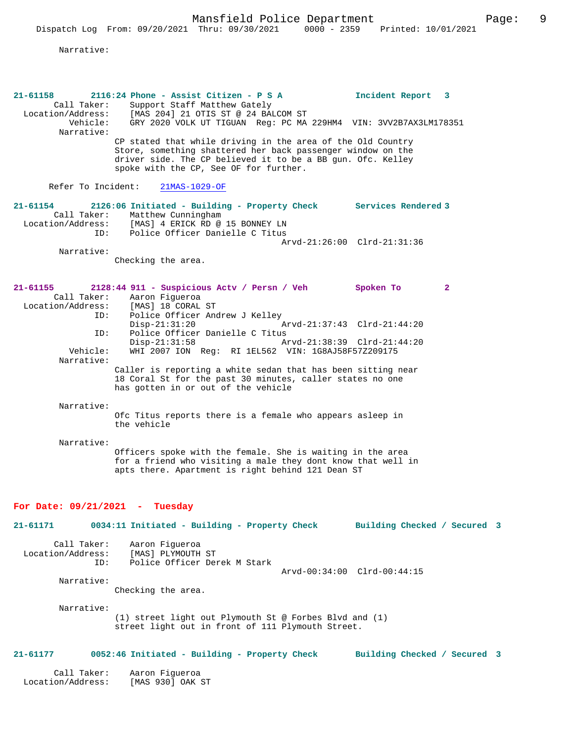Narrative:

| $21 - 61158$<br>Call Taker:             | 2116:24 Phone - Assist Citizen - P S A<br>Support Staff Matthew Gately                                                                                                          | Incident Report 3            |  |
|-----------------------------------------|---------------------------------------------------------------------------------------------------------------------------------------------------------------------------------|------------------------------|--|
| Location/Address:<br>Narrative:         | [MAS 204] 21 OTIS ST @ 24 BALCOM ST<br>Vehicle: GRY 2020 VOLK UT TIGUAN Reg: PC MA 229HM4 VIN: 3VV2B7AX3LM178351                                                                |                              |  |
|                                         | CP stated that while driving in the area of the Old Country<br>Store, something shattered her back passenger window on the                                                      |                              |  |
|                                         | driver side. The CP believed it to be a BB gun. Ofc. Kelley<br>spoke with the CP, See OF for further.                                                                           |                              |  |
| Refer To Incident:                      | 21MAS-1029-OF                                                                                                                                                                   |                              |  |
| 21-61154<br>Call Taker:                 | 2126:06 Initiated - Building - Property Check Services Rendered 3<br>Matthew Cunningham<br>Location/Address: [MAS] 4 ERICK RD @ 15 BONNEY LN                                    |                              |  |
| ID:                                     | Police Officer Danielle C Titus                                                                                                                                                 | Arvd-21:26:00 Clrd-21:31:36  |  |
| Narrative:                              | Checking the area.                                                                                                                                                              |                              |  |
| 21-61155                                | 2128:44 911 - Suspicious Actv / Persn / Veh                                                                                                                                     | Spoken To<br>$\mathbf{2}$    |  |
|                                         | Call Taker: Aaron Fiqueroa<br>Location/Address: [MAS] 18 CORAL ST                                                                                                               |                              |  |
| ID:                                     | Police Officer Andrew J Kelley<br>$Disp-21:31:20$                                                                                                                               | Arvd-21:37:43 Clrd-21:44:20  |  |
| ID:                                     | Police Officer Danielle C Titus<br>$Disp-21:31:58$                                                                                                                              | Arvd-21:38:39 Clrd-21:44:20  |  |
| Vehicle:<br>Narrative:                  | WHI 2007 ION Reg: RI 1EL562 VIN: 1G8AJ58F57Z209175                                                                                                                              |                              |  |
|                                         | Caller is reporting a white sedan that has been sitting near<br>18 Coral St for the past 30 minutes, caller states no one<br>has gotten in or out of the vehicle                |                              |  |
| Narrative:                              |                                                                                                                                                                                 |                              |  |
|                                         | Ofc Titus reports there is a female who appears asleep in<br>the vehicle                                                                                                        |                              |  |
| Narrative:                              |                                                                                                                                                                                 |                              |  |
|                                         | Officers spoke with the female. She is waiting in the area<br>for a friend who visiting a male they dont know that well in<br>apts there. Apartment is right behind 121 Dean ST |                              |  |
|                                         |                                                                                                                                                                                 |                              |  |
| For Date: $09/21/2021 -$<br>21-61171    | Tuesday                                                                                                                                                                         |                              |  |
|                                         | 0034:11 Initiated - Building - Property Check                                                                                                                                   | Building Checked / Secured 3 |  |
| Call Taker:<br>Location/Address:<br>ID: | Aaron Figueroa<br>[MAS] PLYMOUTH ST<br>Police Officer Derek M Stark                                                                                                             |                              |  |
| Narrative:                              |                                                                                                                                                                                 | Arvd-00:34:00 Clrd-00:44:15  |  |
|                                         | Checking the area.                                                                                                                                                              |                              |  |
| Narrative:                              | (1) street light out Plymouth St @ Forbes Blvd and (1)<br>street light out in front of 111 Plymouth Street.                                                                     |                              |  |
| 21-61177                                | 0052:46 Initiated - Building - Property Check                                                                                                                                   | Building Checked / Secured 3 |  |
| Call Taker:<br>Location/Address:        | Aaron Fiqueroa<br>[MAS 930] OAK ST                                                                                                                                              |                              |  |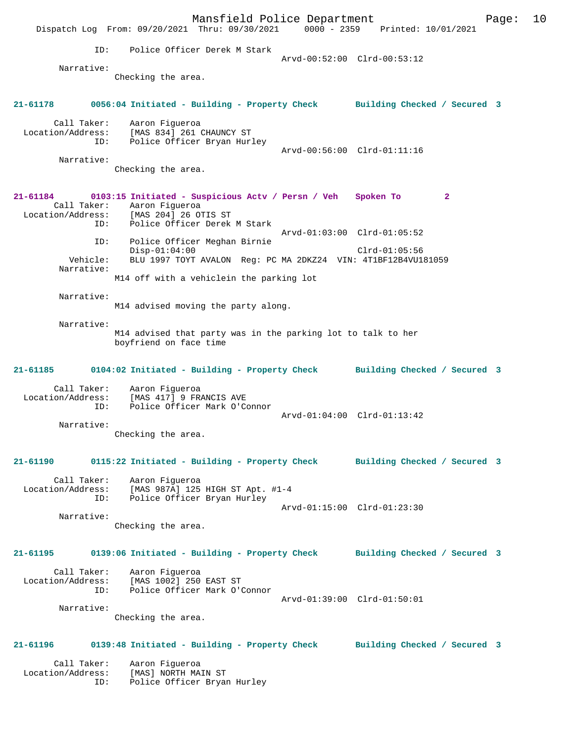Mansfield Police Department Form Page: 10 Dispatch Log From: 09/20/2021 Thru: 09/30/2021 0000 - 2359 Printed: 10/01/2021 ID: Police Officer Derek M Stark Arvd-00:52:00 Clrd-00:53:12 Narrative: Checking the area. **21-61178 0056:04 Initiated - Building - Property Check Building Checked / Secured 3** Call Taker: Aaron Figueroa Location/Address: [MAS 834] 261 CHAUNCY ST ID: Police Officer Bryan Hurley Arvd-00:56:00 Clrd-01:11:16 Narrative: Checking the area. **21-61184 0103:15 Initiated - Suspicious Actv / Persn / Veh Spoken To 2**  Call Taker: Aaron Figueroa<br>Location/Address: [MAS 204] 26 01 ess: [MAS 204] 26 OTIS ST<br>ID: Police Officer Derek Police Officer Derek M Stark Arvd-01:03:00 Clrd-01:05:52 ID: Police Officer Meghan Birnie Disp-01:04:00 Clrd-01:05:56 Vehicle: BLU 1997 TOYT AVALON Reg: PC MA 2DKZ24 VIN: 4T1BF12B4VU181059 Narrative: M14 off with a vehiclein the parking lot Narrative: M14 advised moving the party along. Narrative: M14 advised that party was in the parking lot to talk to her boyfriend on face time **21-61185 0104:02 Initiated - Building - Property Check Building Checked / Secured 3** Call Taker: Aaron Figueroa Location/Address: [MAS 417] 9 FRANCIS AVE<br>ID: Police Officer Mark O'Co Police Officer Mark O'Connor Arvd-01:04:00 Clrd-01:13:42 Narrative: Checking the area. **21-61190 0115:22 Initiated - Building - Property Check Building Checked / Secured 3** Call Taker: Aaron Figueroa Location/Address: [MAS 987A] 125 HIGH ST Apt. #1-4 ess: The Sover Les Hitch Control of the Murley Arvd-01:15:00 Clrd-01:23:30 Narrative: Checking the area. **21-61195 0139:06 Initiated - Building - Property Check Building Checked / Secured 3** Call Taker: Aaron Figueroa Location/Address: [MAS 1002] 250 EAST ST<br>ID: Police Officer Mark O'O Police Officer Mark O'Connor Arvd-01:39:00 Clrd-01:50:01 Narrative: Checking the area. **21-61196 0139:48 Initiated - Building - Property Check Building Checked / Secured 3** Call Taker: Aaron Figueroa Location/Address: [MAS] NORTH MAIN ST ID: Police Officer Bryan Hurley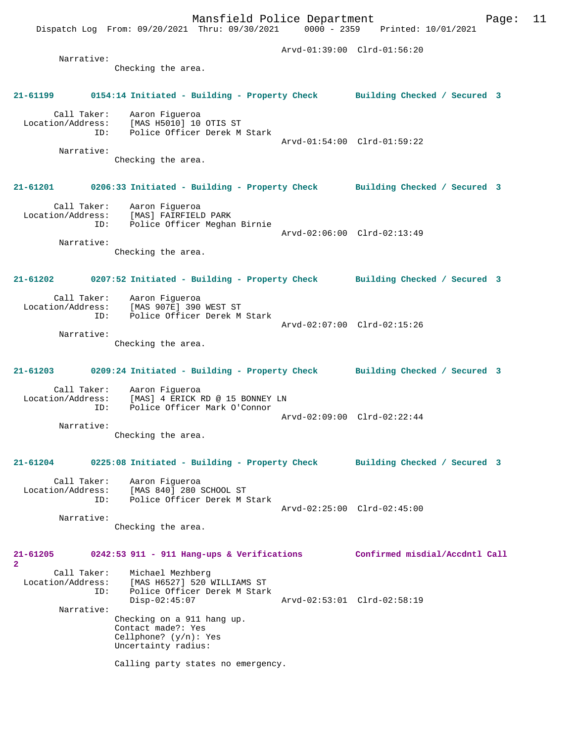Dispatch Log From: 09/20/2021 Thru: 09/30/2021 0000 - 2359 Printed: 10/01/2021 Arvd-01:39:00 Clrd-01:56:20 Narrative: Checking the area. **21-61199 0154:14 Initiated - Building - Property Check Building Checked / Secured 3** Call Taker: Aaron Figueroa Location/Address: [MAS H5010] 10 OTIS ST ID: Police Officer Derek M Stark Arvd-01:54:00 Clrd-01:59:22 Narrative: Checking the area. **21-61201 0206:33 Initiated - Building - Property Check Building Checked / Secured 3** Call Taker: Aaron Figueroa Location/Address: [MAS] FAIRFIELD PARK ID: Police Officer Meghan Birnie Arvd-02:06:00 Clrd-02:13:49 Narrative: Checking the area. **21-61202 0207:52 Initiated - Building - Property Check Building Checked / Secured 3** Call Taker: Aaron Figueroa<br>Location/Address: [MAS 907E] 390 [MAS 907E] 390 WEST ST ID: Police Officer Derek M Stark Arvd-02:07:00 Clrd-02:15:26 Narrative: Checking the area. **21-61203 0209:24 Initiated - Building - Property Check Building Checked / Secured 3** Call Taker: Aaron Figueroa Location/Address: [MAS] 4 ERICK RD @ 15 BONNEY LN ID: Police Officer Mark O'Connor Arvd-02:09:00 Clrd-02:22:44 Narrative: Checking the area. **21-61204 0225:08 Initiated - Building - Property Check Building Checked / Secured 3** Call Taker: Aaron Figueroa<br>Location/Address: [MAS 840] 280 9 Location/Address: [MAS 840] 280 SCHOOL ST ID: Police Officer Derek M Stark Arvd-02:25:00 Clrd-02:45:00 Narrative: Checking the area. **21-61205 0242:53 911 - 911 Hang-ups & Verifications Confirmed misdial/Accdntl Call** Call Taker: Michael Mezhberg<br>Location/Address: [MAS H6527] 520 1 [MAS H6527] 520 WILLIAMS ST ID: Police Officer Derek M Stark<br>Disp-02:45:07 Disp-02:45:07 Arvd-02:53:01 Clrd-02:58:19 Narrative: Checking on a 911 hang up. Contact made?: Yes Cellphone? (y/n): Yes Uncertainty radius:

Calling party states no emergency.

**2** 

Mansfield Police Department Form Page: 11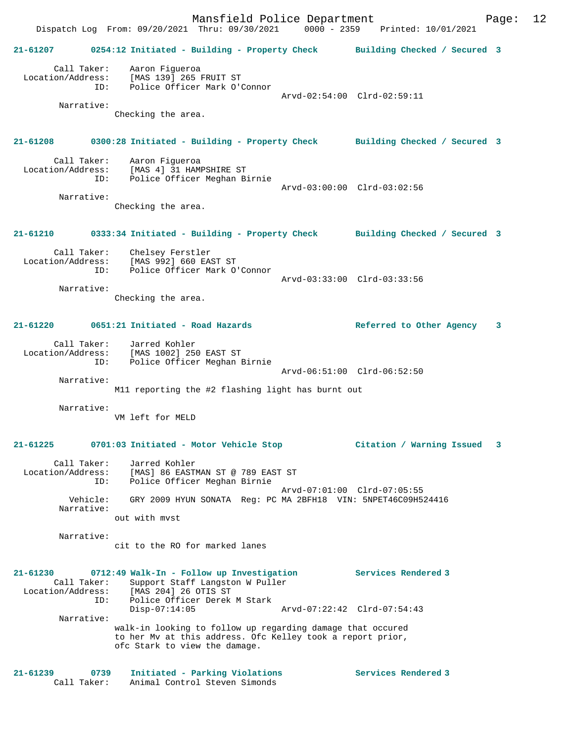Mansfield Police Department Page: 12 Dispatch Log From: 09/20/2021 Thru: 09/30/2021 0000 - 2359 Printed: 10/01/2021 **21-61207 0254:12 Initiated - Building - Property Check Building Checked / Secured 3** Call Taker: Aaron Figueroa Location/Address: [MAS 139] 265 FRUIT ST ID: Police Officer Mark O'Connor Arvd-02:54:00 Clrd-02:59:11 Narrative: Checking the area. **21-61208 0300:28 Initiated - Building - Property Check Building Checked / Secured 3** Call Taker: Aaron Figueroa Location/Address: [MAS 4] 31 HAMPSHIRE ST ID: Police Officer Meghan Birnie Arvd-03:00:00 Clrd-03:02:56 Narrative: Checking the area. **21-61210 0333:34 Initiated - Building - Property Check Building Checked / Secured 3** Call Taker: Chelsey Ferstler Location/Address: [MAS 992] 660 EAST ST ID: Police Officer Mark O'Connor Arvd-03:33:00 Clrd-03:33:56 Narrative: Checking the area. **21-61220 0651:21 Initiated - Road Hazards Referred to Other Agency 3** Call Taker: Jarred Kohler Location/Address: [MAS 1002] 250 EAST ST ID: Police Officer Meghan Birnie Arvd-06:51:00 Clrd-06:52:50 Narrative: M11 reporting the #2 flashing light has burnt out Narrative: VM left for MELD **21-61225 0701:03 Initiated - Motor Vehicle Stop Citation / Warning Issued 3** Call Taker: Jarred Kohler Location/Address: [MAS] 86 EASTMAN ST @ 789 EAST ST ID: Police Officer Meghan Birnie Arvd-07:01:00 Clrd-07:05:55 Vehicle: GRY 2009 HYUN SONATA Reg: PC MA 2BFH18 VIN: 5NPET46C09H524416 Narrative: out with mvst Narrative: cit to the RO for marked lanes **21-61230 0712:49 Walk-In - Follow up Investigation Services Rendered 3**  Call Taker: Support Staff Langston W Puller Location/Address: [MAS 204] 26 OTIS ST Police Officer Derek M Stark<br>Disp-07:14:05 Disp-07:14:05 Arvd-07:22:42 Clrd-07:54:43 Narrative: walk-in looking to follow up regarding damage that occured to her Mv at this address. Ofc Kelley took a report prior, ofc Stark to view the damage. **21-61239 0739 Initiated - Parking Violations Services Rendered 3**  89 0739 Initiated - Parking Violations<br>Call Taker: Animal Control Steven Simonds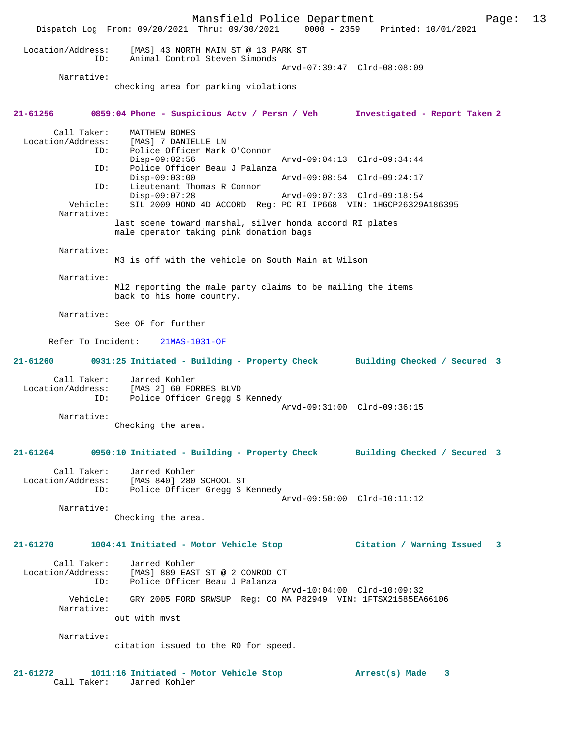Mansfield Police Department Page: 13 Dispatch Log From: 09/20/2021 Thru: 09/30/2021 0000 - 2359 Printed: 10/01/2021 Location/Address: [MAS] 43 NORTH MAIN ST @ 13 PARK ST ID: Animal Control Steven Simonds Arvd-07:39:47 Clrd-08:08:09 Narrative: checking area for parking violations **21-61256 0859:04 Phone - Suspicious Actv / Persn / Veh Investigated - Report Taken 2** Call Taker: MATTHEW BOMES Location/Address: [MAS] 7 DANIELLE LN ID: Police Officer Mark O'Connor Disp-09:02:56 Arvd-09:04:13 Clrd-09:34:44<br>ID: Police Officer Beau J Palanza Police Officer Beau J Palanza<br>Disp-09:03:00 Disp-09:03:00 Arvd-09:08:54 Clrd-09:24:17<br>ID: Lieutenant Thomas R Connor Lieutenant Thomas R Connor<br>Disp-09:07:28 Disp-09:07:28 Arvd-09:07:33 Clrd-09:18:54<br>Vehicle: SIL 2009 HOND 4D ACCORD Reg: PC RI IP668 VIN: 1HGCP26329 SIL 2009 HOND 4D ACCORD Reg: PC RI IP668 VIN: 1HGCP26329A186395 Narrative: last scene toward marshal, silver honda accord RI plates male operator taking pink donation bags Narrative: M3 is off with the vehicle on South Main at Wilson Narrative: Ml2 reporting the male party claims to be mailing the items back to his home country. Narrative: See OF for further Refer To Incident: 21MAS-1031-OF **21-61260 0931:25 Initiated - Building - Property Check Building Checked / Secured 3** Call Taker: Jarred Kohler Location/Address: [MAS 2] 60 FORBES BLVD ID: Police Officer Gregg S Kennedy Arvd-09:31:00 Clrd-09:36:15 Narrative: Checking the area. **21-61264 0950:10 Initiated - Building - Property Check Building Checked / Secured 3** Call Taker: Jarred Kohler Location/Address: [MAS 840] 280 SCHOOL ST ID: Police Officer Gregg S Kennedy Arvd-09:50:00 Clrd-10:11:12 Narrative: Checking the area. **21-61270 1004:41 Initiated - Motor Vehicle Stop Citation / Warning Issued 3** Call Taker: Jarred Kohler Location/Address: [MAS] 889 EAST ST @ 2 CONROD CT ID: Police Officer Beau J Palanza Arvd-10:04:00 Clrd-10:09:32 Vehicle: GRY 2005 FORD SRWSUP Reg: CO MA P82949 VIN: 1FTSX21585EA66106 Narrative: out with mvst Narrative: citation issued to the RO for speed. **21-61272 1011:16 Initiated - Motor Vehicle Stop Arrest(s) Made 3** 

Call Taker: Jarred Kohler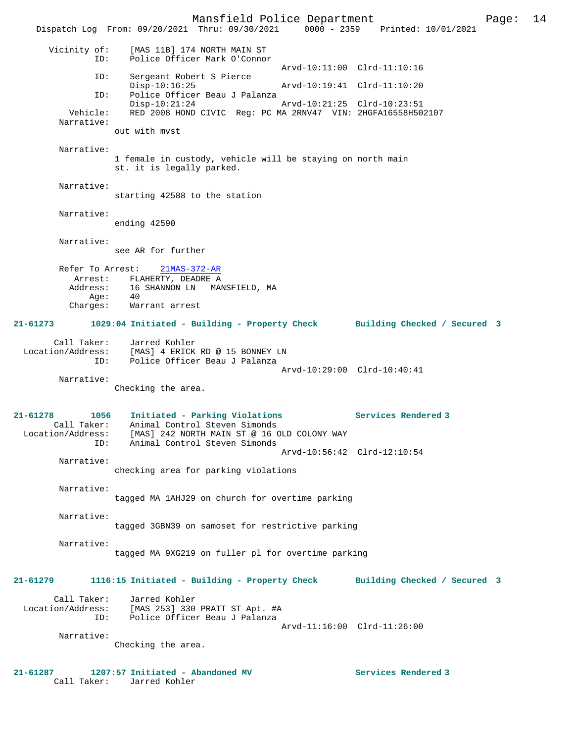Mansfield Police Department Page: 14 Dispatch Log From: 09/20/2021 Thru: 09/30/2021 0000 - 2359 Printed: 10/01/2021 Vicinity of: [MAS 11B] 174 NORTH MAIN ST ID: Police Officer Mark O'Connor Arvd-10:11:00 Clrd-11:10:16<br>TD: Sergeant Robert S Pierce Sergeant Robert S Pierce<br>Disp-10:16:25 Disp-10:16:25 Arvd-10:19:41 Clrd-11:10:20 ID: Police Officer Beau J Palanza Disp-10:21:24 Arvd-10:21:25 Clrd-10:23:51 Vehicle: RED 2008 HOND CIVIC Reg: PC MA 2RNV47 VIN: 2HGFA16558H502107 Narrative: out with mvst Narrative: 1 female in custody, vehicle will be staying on north main st. it is legally parked. Narrative: starting 42588 to the station Narrative: ending 42590 Narrative: see AR for further Refer To Arrest: 21MAS-372-AR Arrest: FLAHERTY, DEADRE A<br>Address: 16 SHANNON LN MAI A<br>16 SHANNON LN MANSFIELD, MA Age: 40 Charges: Warrant arrest **21-61273 1029:04 Initiated - Building - Property Check Building Checked / Secured 3** Call Taker: Jarred Kohler Location/Address: [MAS] 4 ERICK RD @ 15 BONNEY LN ID: Police Officer Beau J Palanza Arvd-10:29:00 Clrd-10:40:41 Narrative: Checking the area. **21-61278 1056 Initiated - Parking Violations Services Rendered 3**  Call Taker: Animal Control Steven Simonds Location/Address: [MAS] 242 NORTH MAIN ST @ 16 OLD COLONY WAY ID: Animal Control Steven Simonds Arvd-10:56:42 Clrd-12:10:54 Narrative: checking area for parking violations Narrative: tagged MA 1AHJ29 on church for overtime parking Narrative: tagged 3GBN39 on samoset for restrictive parking Narrative: tagged MA 9XG219 on fuller pl for overtime parking **21-61279 1116:15 Initiated - Building - Property Check Building Checked / Secured 3** Call Taker: Jarred Kohler Location/Address: [MAS 253] 330 PRATT ST Apt. #A ID: Police Officer Beau J Palanza Arvd-11:16:00 Clrd-11:26:00 Narrative: Checking the area. **21-61287 1207:57 Initiated - Abandoned MV Services Rendered 3**  Call Taker: Jarred Kohler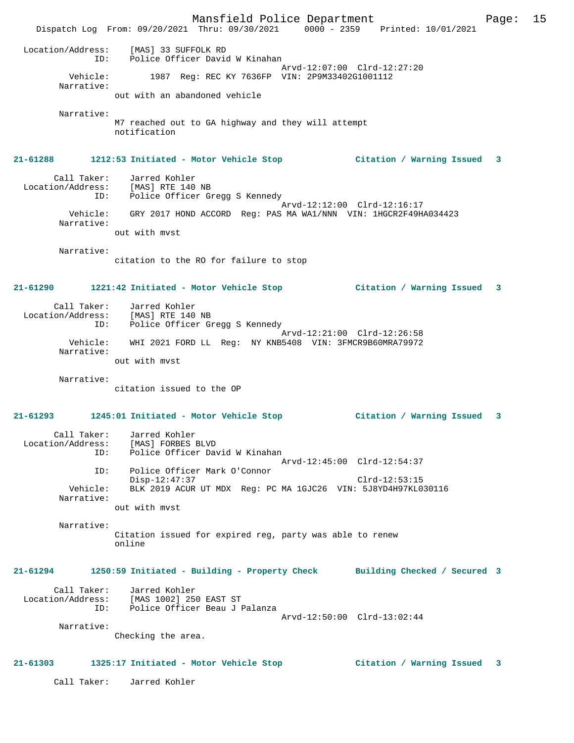Mansfield Police Department Page: 15 Dispatch Log From: 09/20/2021 Thru: 09/30/2021 0000 - 2359 Printed: 10/01/2021 Location/Address: [MAS] 33 SUFFOLK RD ID: Police Officer David W Kinahan Arvd-12:07:00 Clrd-12:27:20<br>Vehicle: 1987 Req: REC KY 7636FP VIN: 2P9M33402G1001112 1987 Reg: REC KY 7636FP VIN: 2P9M33402G1001112 Narrative: out with an abandoned vehicle Narrative: M7 reached out to GA highway and they will attempt notification **21-61288 1212:53 Initiated - Motor Vehicle Stop Citation / Warning Issued 3** Call Taker: Jarred Kohler Location/Address: [MAS] RTE 140 NB ID: Police Officer Gregg S Kennedy Arvd-12:12:00 Clrd-12:16:17 Vehicle: GRY 2017 HOND ACCORD Reg: PAS MA WA1/NNN VIN: 1HGCR2F49HA034423 Narrative: out with mvst Narrative: citation to the RO for failure to stop **21-61290 1221:42 Initiated - Motor Vehicle Stop Citation / Warning Issued 3** Call Taker: Jarred Kohler Location/Address: [MAS] RTE 140 NB ID: Police Officer Gregg S Kennedy Arvd-12:21:00 Clrd-12:26:58 Vehicle: WHI 2021 FORD LL Reg: NY KNB5408 VIN: 3FMCR9B60MRA79972 Narrative: out with mvst Narrative: citation issued to the OP **21-61293 1245:01 Initiated - Motor Vehicle Stop Citation / Warning Issued 3** Call Taker: Jarred Kohler Location/Address: [MAS] FORBES BLVD ID: Police Officer David W Kinahan Arvd-12:45:00 Clrd-12:54:37 ID: Police Officer Mark O'Connor Disp-12:47:37 Clrd-12:53:15 Vehicle: BLK 2019 ACUR UT MDX Reg: PC MA 1GJC26 VIN: 5J8YD4H97KL030116 Narrative: out with mvst Narrative: Citation issued for expired reg, party was able to renew online **21-61294 1250:59 Initiated - Building - Property Check Building Checked / Secured 3** Call Taker: Jarred Kohler Location/Address: [MAS 1002] 250 EAST ST ID: Police Officer Beau J Palanza Arvd-12:50:00 Clrd-13:02:44 Narrative: Checking the area. **21-61303 1325:17 Initiated - Motor Vehicle Stop Citation / Warning Issued 3** Call Taker: Jarred Kohler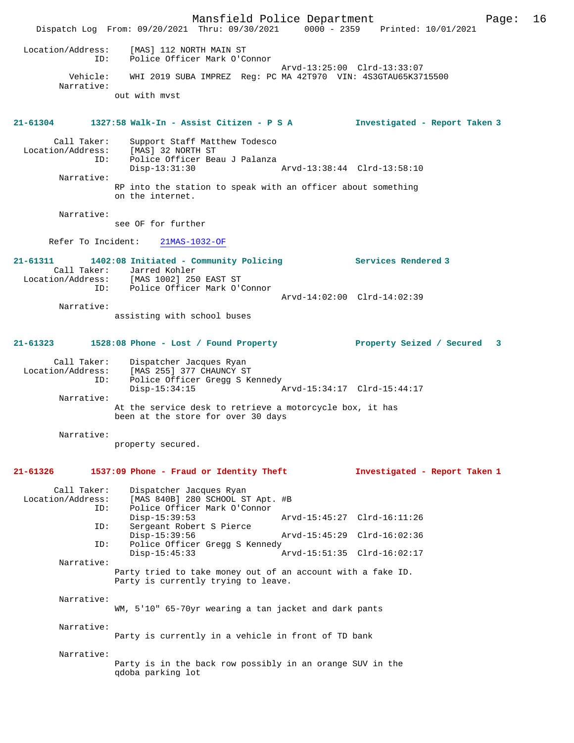|                                         | Mansfield Police Department<br>Dispatch Log From: 09/20/2021 Thru: 09/30/2021 0000 - 2359 Printed: 10/01/2021            |                               | 16<br>Page: |
|-----------------------------------------|--------------------------------------------------------------------------------------------------------------------------|-------------------------------|-------------|
| Location/Address:<br>ID:                | [MAS] 112 NORTH MAIN ST<br>Police Officer Mark O'Connor                                                                  |                               |             |
| Vehicle:                                | WHI 2019 SUBA IMPREZ Reg: PC MA 42T970 VIN: 4S3GTAU65K3715500                                                            | Arvd-13:25:00 Clrd-13:33:07   |             |
| Narrative:                              |                                                                                                                          |                               |             |
|                                         | out with myst                                                                                                            |                               |             |
| 21-61304                                | 1327:58 Walk-In - Assist Citizen - P S A                                                                                 | Investigated - Report Taken 3 |             |
| Call Taker:<br>ID:                      | Support Staff Matthew Todesco<br>Location/Address: [MAS] 32 NORTH ST<br>Police Officer Beau J Palanza<br>$Disp-13:31:30$ |                               |             |
| Narrative:                              |                                                                                                                          | Arvd-13:38:44 Clrd-13:58:10   |             |
|                                         | RP into the station to speak with an officer about something<br>on the internet.                                         |                               |             |
| Narrative:                              | see OF for further                                                                                                       |                               |             |
|                                         | Refer To Incident: 21MAS-1032-OF                                                                                         |                               |             |
|                                         |                                                                                                                          |                               |             |
| $21 - 61311$                            | 1402:08 Initiated - Community Policing<br>Call Taker: Jarred Kohler                                                      | <b>Services Rendered 3</b>    |             |
|                                         | Location/Address: [MAS 1002] 250 EAST ST<br>ID: Police Officer Mark O'Connor                                             |                               |             |
|                                         |                                                                                                                          | Arvd-14:02:00 Clrd-14:02:39   |             |
| Narrative:                              | assisting with school buses                                                                                              |                               |             |
|                                         |                                                                                                                          |                               |             |
| 21-61323                                | 1528:08 Phone - Lost / Found Property                                                                                    | Property Seized / Secured     | -3          |
| Call Taker:<br>Location/Address:<br>ID: | Dispatcher Jacques Ryan<br>[MAS 255] 377 CHAUNCY ST<br>Police Officer Gregg S Kennedy                                    |                               |             |
| Narrative:                              | $Disp-15:34:15$                                                                                                          | Arvd-15:34:17 Clrd-15:44:17   |             |
|                                         | At the service desk to retrieve a motorcycle box, it has<br>been at the store for over 30 days                           |                               |             |
| Narrative:                              | property secured.                                                                                                        |                               |             |
| 21-61326                                | 1537:09 Phone - Fraud or Identity Theft                                                                                  | Investigated - Report Taken 1 |             |
| Call Taker:<br>Location/Address:<br>ID: | Dispatcher Jacques Ryan<br>[MAS 840B] 280 SCHOOL ST Apt. #B<br>Police Officer Mark O'Connor                              |                               |             |
|                                         | $Disp-15:39:53$                                                                                                          | Arvd-15:45:27 Clrd-16:11:26   |             |
| ID:<br>ID:                              | Sergeant Robert S Pierce<br>$Disp-15:39:56$<br>Police Officer Gregg S Kennedy                                            | Arvd-15:45:29 Clrd-16:02:36   |             |
| Narrative:                              | $Disp-15:45:33$                                                                                                          | Arvd-15:51:35 Clrd-16:02:17   |             |
|                                         | Party tried to take money out of an account with a fake ID.<br>Party is currently trying to leave.                       |                               |             |
| Narrative:                              | WM, 5'10" 65-70yr wearing a tan jacket and dark pants                                                                    |                               |             |
|                                         |                                                                                                                          |                               |             |
| Narrative:                              | Party is currently in a vehicle in front of TD bank                                                                      |                               |             |
| Narrative:                              |                                                                                                                          |                               |             |
|                                         | Party is in the back row possibly in an orange SUV in the<br>qdoba parking lot                                           |                               |             |
|                                         |                                                                                                                          |                               |             |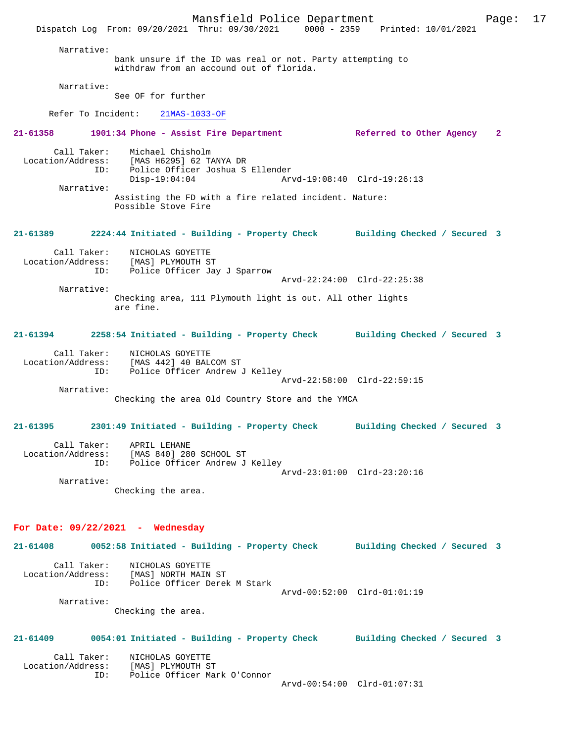Mansfield Police Department Page: 17 Dispatch Log From: 09/20/2021 Thru: 09/30/2021 0000 - 2359 Printed: 10/01/2021 Narrative: bank unsure if the ID was real or not. Party attempting to withdraw from an accound out of florida. Narrative: See OF for further Refer To Incident: 21MAS-1033-OF **21-61358 1901:34 Phone - Assist Fire Department Referred to Other Agency 2** Call Taker: Michael Chisholm Location/Address: [MAS H6295] 62 TANYA DR ID: Police Officer Joshua S Ellender Disp-19:04:04 Arvd-19:08:40 Clrd-19:26:13 Narrative: Assisting the FD with a fire related incident. Nature: Possible Stove Fire **21-61389 2224:44 Initiated - Building - Property Check Building Checked / Secured 3** Call Taker: NICHOLAS GOYETTE Location/Address: [MAS] PLYMOUTH ST ID: Police Officer Jay J Sparrow Arvd-22:24:00 Clrd-22:25:38 Narrative: Checking area, 111 Plymouth light is out. All other lights are fine. **21-61394 2258:54 Initiated - Building - Property Check Building Checked / Secured 3** Call Taker: NICHOLAS GOYETTE Location/Address: [MAS 442] 40 BALCOM ST ID: Police Officer Andrew J Kelley Arvd-22:58:00 Clrd-22:59:15 Narrative: Checking the area Old Country Store and the YMCA **21-61395 2301:49 Initiated - Building - Property Check Building Checked / Secured 3** Call Taker: APRIL LEHANE Location/Address: [MAS 840] 280 SCHOOL ST ID: Police Officer Andrew J Kelley Arvd-23:01:00 Clrd-23:20:16 Narrative: Checking the area. **For Date: 09/22/2021 - Wednesday 21-61408 0052:58 Initiated - Building - Property Check Building Checked / Secured 3** Call Taker: NICHOLAS GOYETTE<br>Location/Address: [MAS] NORTH MAIN [MAS] NORTH MAIN ST ID: Police Officer Derek M Stark Arvd-00:52:00 Clrd-01:01:19 Narrative: Checking the area. **21-61409 0054:01 Initiated - Building - Property Check Building Checked / Secured 3**

 Call Taker: NICHOLAS GOYETTE Location/Address: [MAS] PLYMOUTH ST ID: Police Officer Mark O'Connor

Arvd-00:54:00 Clrd-01:07:31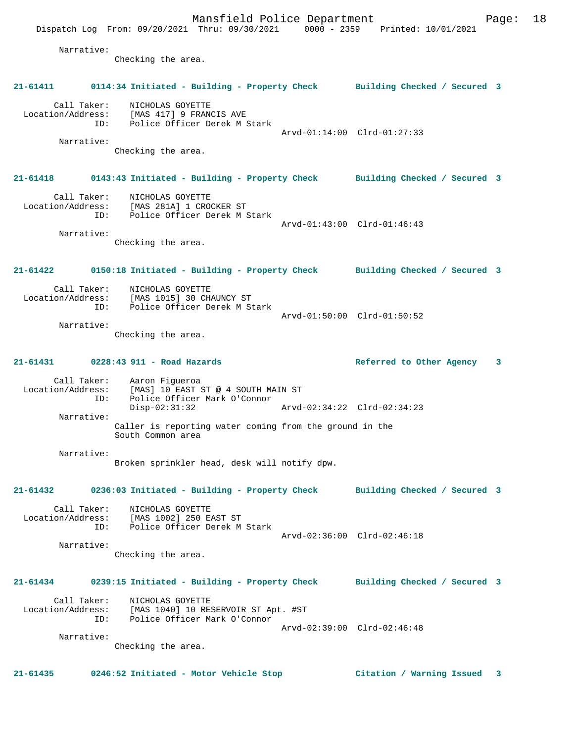Mansfield Police Department Page: 18 Dispatch Log From: 09/20/2021 Thru: 09/30/2021 0000 - 2359 Printed: 10/01/2021 Narrative: Checking the area. **21-61411 0114:34 Initiated - Building - Property Check Building Checked / Secured 3** Call Taker: NICHOLAS GOYETTE Location/Address: [MAS 417] 9 FRANCIS AVE ID: Police Officer Derek M Stark Arvd-01:14:00 Clrd-01:27:33 Narrative: Checking the area. **21-61418 0143:43 Initiated - Building - Property Check Building Checked / Secured 3** Call Taker: NICHOLAS GOYETTE Location/Address: [MAS 281A] 1 CROCKER ST ID: Police Officer Derek M Stark Arvd-01:43:00 Clrd-01:46:43 Narrative: Checking the area. **21-61422 0150:18 Initiated - Building - Property Check Building Checked / Secured 3** Call Taker: NICHOLAS GOYETTE Location/Address: [MAS 1015] 30 CHAUNCY ST ID: Police Officer Derek M Stark Arvd-01:50:00 Clrd-01:50:52 Narrative: Checking the area. **21-61431 0228:43 911 - Road Hazards Referred to Other Agency 3** Call Taker: Aaron Figueroa Location/Address: [MAS] 10 EAST ST @ 4 SOUTH MAIN ST ID: Police Officer Mark O'Connor Disp-02:31:32 Arvd-02:34:22 Clrd-02:34:23 Narrative: Caller is reporting water coming from the ground in the South Common area Narrative: Broken sprinkler head, desk will notify dpw. **21-61432 0236:03 Initiated - Building - Property Check Building Checked / Secured 3** Call Taker: NICHOLAS GOYETTE Location/Address: [MAS 1002] 250 EAST ST ID: Police Officer Derek M Stark Arvd-02:36:00 Clrd-02:46:18 Narrative: Checking the area. **21-61434 0239:15 Initiated - Building - Property Check Building Checked / Secured 3** Call Taker: NICHOLAS GOYETTE Location/Address: [MAS 1040] 10 RESERVOIR ST Apt. #ST ID: Police Officer Mark O'Connor Arvd-02:39:00 Clrd-02:46:48 Narrative: Checking the area.

**21-61435 0246:52 Initiated - Motor Vehicle Stop Citation / Warning Issued 3**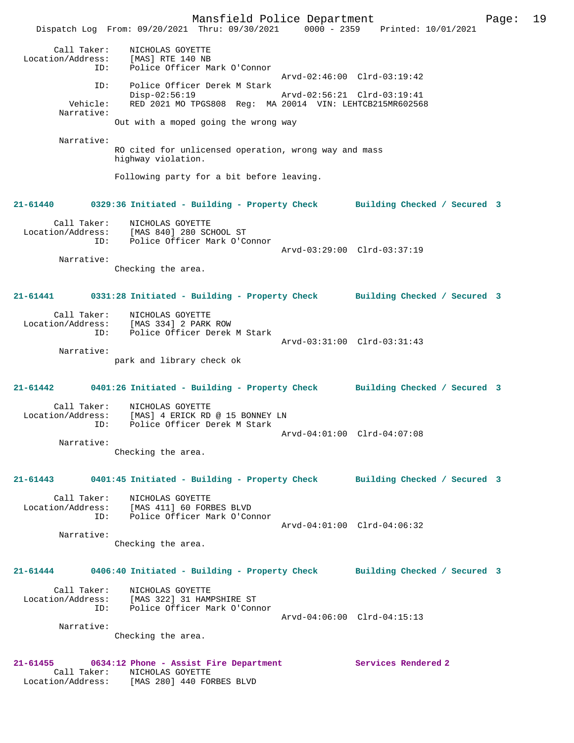Mansfield Police Department Page: 19 Dispatch Log From: 09/20/2021 Thru: 09/30/2021 0000 - 2359 Printed: 10/01/2021 Call Taker: NICHOLAS GOYETTE Location/Address: [MAS] RTE 140 NB ID: Police Officer Mark O'Connor Arvd-02:46:00 Clrd-03:19:42 ID: Police Officer Derek M Stark Disp-02:56:19 Arvd-02:56:21 Clrd-03:19:41 Vehicle: RED 2021 MO TPGS808 Reg: MA 20014 VIN: LEHTCB215MR602568 Narrative: Out with a moped going the wrong way Narrative: RO cited for unlicensed operation, wrong way and mass highway violation. Following party for a bit before leaving. **21-61440 0329:36 Initiated - Building - Property Check Building Checked / Secured 3** Call Taker: NICHOLAS GOYETTE Location/Address: [MAS 840] 280 SCHOOL ST ID: Police Officer Mark O'Connor Arvd-03:29:00 Clrd-03:37:19 Narrative: Checking the area. **21-61441 0331:28 Initiated - Building - Property Check Building Checked / Secured 3** Call Taker: NICHOLAS GOYETTE Location/Address: [MAS 334] 2 PARK ROW ID: Police Officer Derek M Stark Arvd-03:31:00 Clrd-03:31:43 Narrative: park and library check ok **21-61442 0401:26 Initiated - Building - Property Check Building Checked / Secured 3** Call Taker: NICHOLAS GOYETTE Location/Address: [MAS] 4 ERICK RD @ 15 BONNEY LN ID: Police Officer Derek M Stark Arvd-04:01:00 Clrd-04:07:08 Narrative: Checking the area. **21-61443 0401:45 Initiated - Building - Property Check Building Checked / Secured 3** Call Taker: NICHOLAS GOYETTE Location/Address: [MAS 411] 60 FORBES BLVD ID: Police Officer Mark O'Connor Arvd-04:01:00 Clrd-04:06:32 Narrative: Checking the area. **21-61444 0406:40 Initiated - Building - Property Check Building Checked / Secured 3** Call Taker: NICHOLAS GOYETTE Location/Address: [MAS 322] 31 HAMPSHIRE ST ID: Police Officer Mark O'Connor Arvd-04:06:00 Clrd-04:15:13 Narrative: Checking the area. **21-61455 0634:12 Phone - Assist Fire Department Services Rendered 2**  Call Taker: NICHOLAS GOYETTE Location/Address: [MAS 280] 440 FORBES BLVD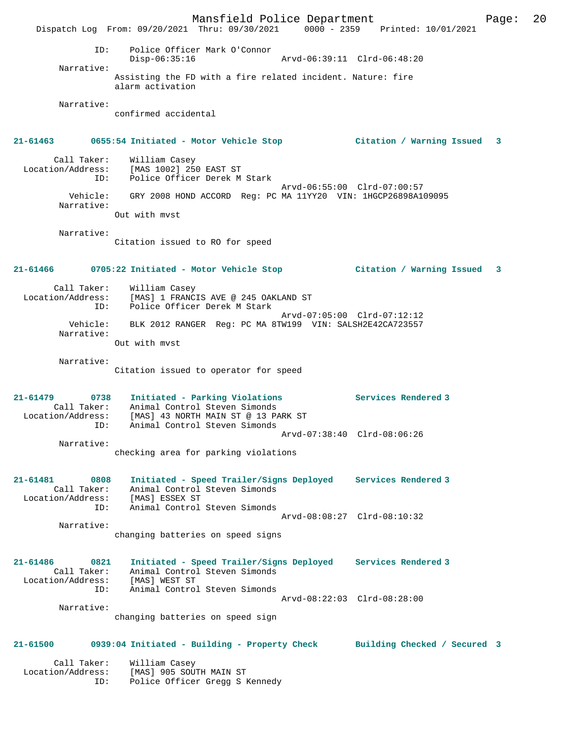Mansfield Police Department Page: 20 Dispatch Log From: 09/20/2021 Thru: 09/30/2021 0000 - 2359 Printed: 10/01/2021 ID: Police Officer Mark O'Connor Disp-06:35:16 Arvd-06:39:11 Clrd-06:48:20 Narrative: Assisting the FD with a fire related incident. Nature: fire alarm activation Narrative: confirmed accidental **21-61463 0655:54 Initiated - Motor Vehicle Stop Citation / Warning Issued 3** Call Taker: William Casey Location/Address: [MAS 1002] 250 EAST ST ID: Police Officer Derek M Stark Arvd-06:55:00 Clrd-07:00:57 Vehicle: GRY 2008 HOND ACCORD Reg: PC MA 11YY20 VIN: 1HGCP26898A109095 Narrative: Out with mvst Narrative: Citation issued to RO for speed **21-61466 0705:22 Initiated - Motor Vehicle Stop Citation / Warning Issued 3** Call Taker: William Casey Location/Address: [MAS] 1 FRANCIS AVE @ 245 OAKLAND ST ID: Police Officer Derek M Stark Arvd-07:05:00 Clrd-07:12:12 Vehicle: BLK 2012 RANGER Reg: PC MA 8TW199 VIN: SALSH2E42CA723557 Narrative: Out with mvst Narrative: Citation issued to operator for speed **21-61479 0738 Initiated - Parking Violations Services Rendered 3**  Call Taker: Animal Control Steven Simonds Location/Address: [MAS] 43 NORTH MAIN ST @ 13 PARK ST ID: Animal Control Steven Simonds Arvd-07:38:40 Clrd-08:06:26 Narrative: checking area for parking violations **21-61481 0808 Initiated - Speed Trailer/Signs Deployed Services Rendered 3**  Call Taker: Animal Control Steven Simonds Location/Address: [MAS] ESSEX ST ID: Animal Control Steven Simonds Arvd-08:08:27 Clrd-08:10:32 Narrative: changing batteries on speed signs **21-61486 0821 Initiated - Speed Trailer/Signs Deployed Services Rendered 3**  Call Taker: Animal Control Steven Simonds Location/Address: [MAS] WEST ST ID: Animal Control Steven Simonds Arvd-08:22:03 Clrd-08:28:00 Narrative: changing batteries on speed sign **21-61500 0939:04 Initiated - Building - Property Check Building Checked / Secured 3** Call Taker: William Casey Location/Address: [MAS] 905 SOUTH MAIN ST ID: Police Officer Gregg S Kennedy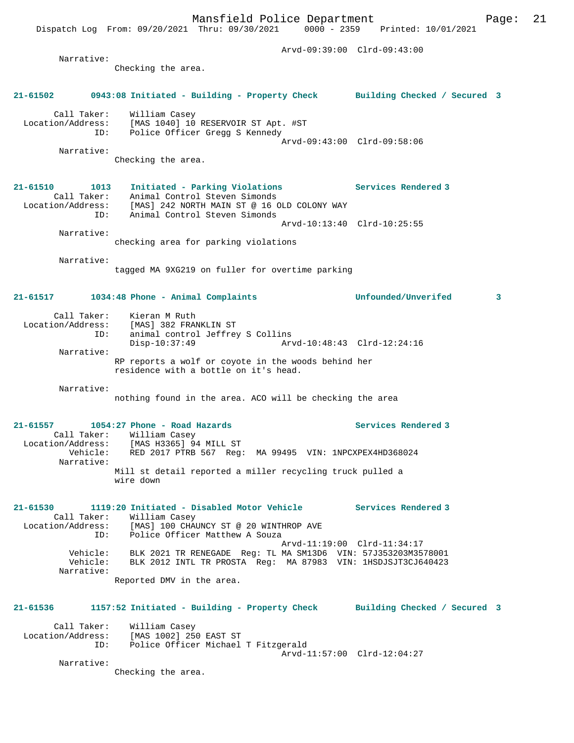Arvd-09:39:00 Clrd-09:43:00 Narrative: Checking the area. **21-61502 0943:08 Initiated - Building - Property Check Building Checked / Secured 3** Call Taker: William Casey Location/Address: [MAS 1040] 10 RESERVOIR ST Apt. #ST ID: Police Officer Gregg S Kennedy Arvd-09:43:00 Clrd-09:58:06 Narrative: Checking the area. **21-61510 1013 Initiated - Parking Violations Services Rendered 3**  Call Taker: Animal Control Steven Simonds Location/Address: [MAS] 242 NORTH MAIN ST @ 16 OLD COLONY WAY ID: Animal Control Steven Simonds Arvd-10:13:40 Clrd-10:25:55 Narrative: checking area for parking violations Narrative: tagged MA 9XG219 on fuller for overtime parking **21-61517 1034:48 Phone - Animal Complaints Unfounded/Unverifed 3** Call Taker: Kieran M Ruth Location/Address: [MAS] 382 FRANKLIN ST ID: animal control Jeffrey S Collins Disp-10:37:49 Arvd-10:48:43 Clrd-12:24:16 Narrative: RP reports a wolf or coyote in the woods behind her residence with a bottle on it's head. Narrative: nothing found in the area. ACO will be checking the area **21-61557 1054:27 Phone - Road Hazards Services Rendered 3**  Call Taker: William Casey Location/Address: [MAS H3365] 94 MILL ST Vehicle: RED 2017 PTRB 567 Reg: MA 99495 VIN: 1NPCXPEX4HD368024 Narrative: Mill st detail reported a miller recycling truck pulled a wire down **21-61530 1119:20 Initiated - Disabled Motor Vehicle Services Rendered 3**  Call Taker: William Casey Location/Address: [MAS] 100 CHAUNCY ST @ 20 WINTHROP AVE ID: Police Officer Matthew A Souza Arvd-11:19:00 Clrd-11:34:17 Vehicle: BLK 2021 TR RENEGADE Reg: TL MA SM13D6 VIN: 57J353203M3578001 Vehicle: BLK 2012 INTL TR PROSTA Reg: MA 87983 VIN: 1HSDJSJT3CJ640423 Narrative: Reported DMV in the area. **21-61536 1157:52 Initiated - Building - Property Check Building Checked / Secured 3** Call Taker: William Casey

 Location/Address: [MAS 1002] 250 EAST ST ID: Police Officer Michael T Fitzgerald Arvd-11:57:00 Clrd-12:04:27

Narrative:

Checking the area.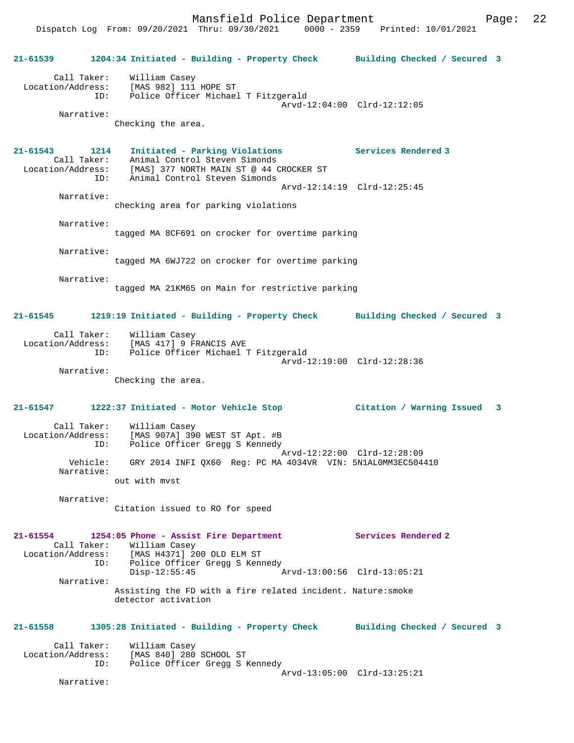Dispatch Log From: 09/20/2021 Thru: 09/30/2021 0000 - 2359 Printed: 10/01/2021

**21-61539 1204:34 Initiated - Building - Property Check Building Checked / Secured 3** Call Taker: William Casey Location/Address: [MAS 982] 111 HOPE ST ID: Police Officer Michael T Fitzgerald Arvd-12:04:00 Clrd-12:12:05 Narrative: Checking the area. **21-61543 1214 Initiated - Parking Violations Services Rendered 3**  Call Taker: Animal Control Steven Simonds<br>Location/Address: [MAS] 377 NORTH MAIN ST @ 44 C ess: [MAS] 377 NORTH MAIN ST @ 44 CROCKER ST<br>ID: Animal Control Steven Simonds Animal Control Steven Simonds Arvd-12:14:19 Clrd-12:25:45 Narrative: checking area for parking violations Narrative: tagged MA 8CF691 on crocker for overtime parking Narrative: tagged MA 6WJ722 on crocker for overtime parking Narrative: tagged MA 21KM65 on Main for restrictive parking **21-61545 1219:19 Initiated - Building - Property Check Building Checked / Secured 3** Call Taker: William Casey Location/Address: [MAS 417] 9 FRANCIS AVE Police Officer Michael T Fitzgerald Arvd-12:19:00 Clrd-12:28:36 Narrative: Checking the area. **21-61547 1222:37 Initiated - Motor Vehicle Stop Citation / Warning Issued 3** Call Taker: William Casey Location/Address: [MAS 907A] 390 WEST ST Apt. #B ID: Police Officer Gregg S Kennedy Arvd-12:22:00 Clrd-12:28:09 Vehicle: GRY 2014 INFI QX60 Reg: PC MA 4034VR VIN: 5N1AL0MM3EC504410 Narrative: out with mvst Narrative: Citation issued to RO for speed **21-61554 1254:05 Phone - Assist Fire Department Services Rendered 2**  Call Taker: William Casey<br>Location/Address: [MAS H4371] 2 ess: [MAS H4371] 200 OLD ELM ST<br>ID: Police Officer Greaa S Ken Police Officer Gregg S Kennedy<br>Disp-12:55:45  $Arvd-13:00:56$  Clrd-13:05:21 Narrative: Assisting the FD with a fire related incident. Nature:smoke detector activation **21-61558 1305:28 Initiated - Building - Property Check Building Checked / Secured 3** Call Taker: William Casey<br>Location/Address: [MAS 840] 280 ess: [MAS 840] 280 SCHOOL ST<br>ID: Police Officer Gregg S 1 Police Officer Gregg S Kennedy Arvd-13:05:00 Clrd-13:25:21 Narrative: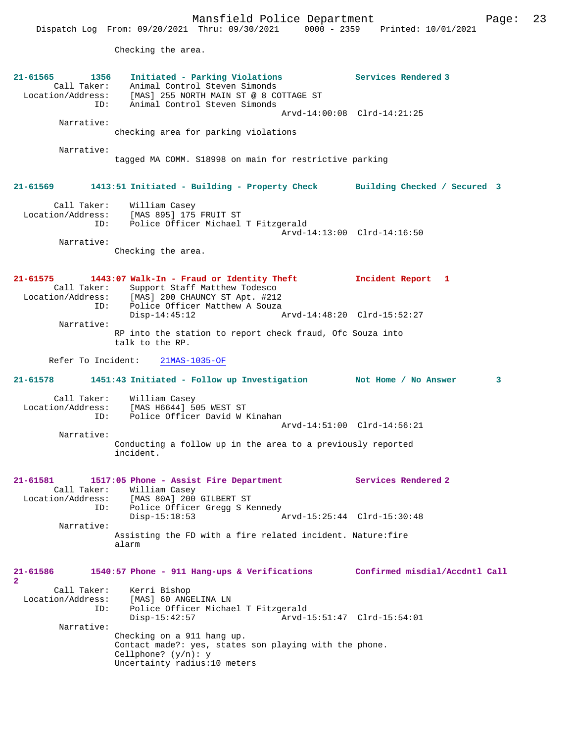Mansfield Police Department Fage: 23

Dispatch Log From: 09/20/2021 Thru: 09/30/2021 0000 - 2359 Printed: 10/01/2021

Checking the area.

| 21-61565<br>1356<br>Call Taker:<br>Location/Address:<br>ID: | Initiated - Parking Violations<br>Animal Control Steven Simonds<br>[MAS] 255 NORTH MAIN ST @ 8 COTTAGE ST<br>Animal Control Steven Simonds     | Services Rendered 3            |
|-------------------------------------------------------------|------------------------------------------------------------------------------------------------------------------------------------------------|--------------------------------|
|                                                             | Arvd-14:00:08 Clrd-14:21:25                                                                                                                    |                                |
| Narrative:                                                  | checking area for parking violations                                                                                                           |                                |
| Narrative:                                                  | tagged MA COMM. S18998 on main for restrictive parking                                                                                         |                                |
| 21-61569                                                    | 1413:51 Initiated - Building - Property Check                                                                                                  | Building Checked / Secured 3   |
| Call Taker:<br>Location/Address:<br>ID:                     | William Casey<br>[MAS 895] 175 FRUIT ST<br>Police Officer Michael T Fitzgerald<br>Arvd-14:13:00 Clrd-14:16:50                                  |                                |
| Narrative:                                                  | Checking the area.                                                                                                                             |                                |
| 21-61575<br>Call Taker:<br>Location/Address:<br>ID:         | 1443:07 Walk-In - Fraud or Identity Theft<br>Support Staff Matthew Todesco<br>[MAS] 200 CHAUNCY ST Apt. #212<br>Police Officer Matthew A Souza | Incident Report 1              |
|                                                             | $Disp-14:45:12$<br>Arvd-14:48:20 Clrd-15:52:27                                                                                                 |                                |
| Narrative:                                                  | RP into the station to report check fraud, Ofc Souza into<br>talk to the RP.                                                                   |                                |
| Refer To Incident:                                          | $21MAS-1035-OF$                                                                                                                                |                                |
| $21 - 61578$                                                | 1451:43 Initiated - Follow up Investigation Not Home / No Answer                                                                               | 3                              |
| Call Taker:<br>Location/Address:<br>ID:                     | William Casey<br>[MAS H6644] 505 WEST ST<br>Police Officer David W Kinahan                                                                     |                                |
| Narrative:                                                  |                                                                                                                                                | Arvd-14:51:00 Clrd-14:56:21    |
|                                                             | Conducting a follow up in the area to a previously reported<br>incident.                                                                       |                                |
| 21-61581<br>Location/Address:<br>ID:                        | 1517:05 Phone - Assist Fire Department<br>Call Taker: William Casey<br>[MAS 80A] 200 GILBERT ST<br>Police Officer Gregg S Kennedy              | Services Rendered 2            |
|                                                             | $Disp-15:18:53$<br>Arvd-15:25:44 Clrd-15:30:48                                                                                                 |                                |
| Narrative:                                                  | Assisting the FD with a fire related incident. Nature: fire<br>alarm                                                                           |                                |
| 21-61586<br>$\mathbf{2}$                                    | 1540:57 Phone - 911 Hang-ups & Verifications                                                                                                   | Confirmed misdial/Accdntl Call |
| Call Taker:<br>Location/Address:<br>ID:                     | Kerri Bishop<br>[MAS] 60 ANGELINA LN<br>Police Officer Michael T Fitzgerald<br>Disp-15:42:57<br>Arvd-15:51:47 Clrd-15:54:01                    |                                |
| Narrative:                                                  | Checking on a 911 hang up.<br>Contact made?: yes, states son playing with the phone.<br>Cellphone? $(y/n): y$<br>Uncertainty radius:10 meters  |                                |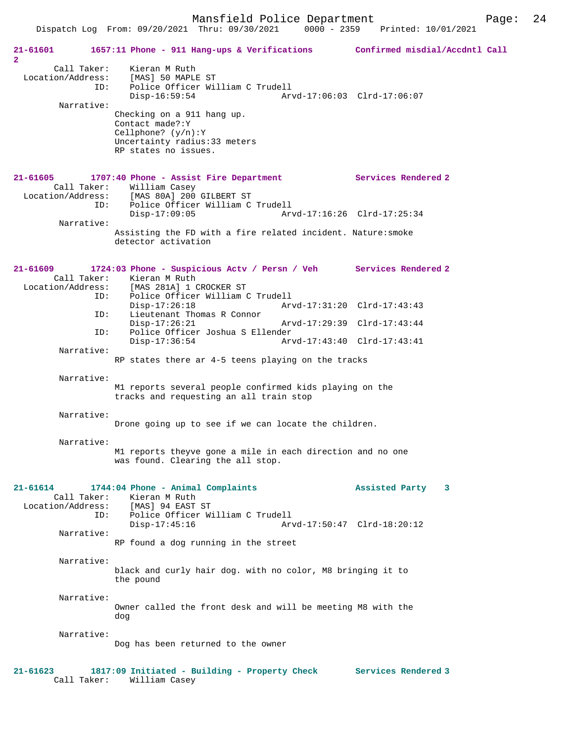|                                                       | Dispatch Log From: 09/20/2021 Thru: 09/30/2021 0000 - 2359                                                                                            | Printed: 10/01/2021         |  |
|-------------------------------------------------------|-------------------------------------------------------------------------------------------------------------------------------------------------------|-----------------------------|--|
| 21-61601<br>$\overline{2}$                            | 1657:11 Phone - 911 Hang-ups & Verifications Confirmed misdial/Accdntl Call                                                                           |                             |  |
| Call Taker:<br>Location/Address:<br>ID:<br>Narrative: | Kieran M Ruth<br>[MAS] 50 MAPLE ST<br>Police Officer William C Trudell<br>$Disp-16:59:54$                                                             | Arvd-17:06:03 Clrd-17:06:07 |  |
|                                                       | Checking on a 911 hang up.<br>Contact made?: Y<br>Cellphone? $(y/n):Y$<br>Uncertainty radius: 33 meters<br>RP states no issues.                       |                             |  |
| 21-61605<br>ID:                                       | 1707:40 Phone - Assist Fire Department<br>Call Taker: William Casey<br>Location/Address: [MAS 80A] 200 GILBERT ST<br>Police Officer William C Trudell | Services Rendered 2         |  |
| Narrative:                                            | $Disp-17:09:05$                                                                                                                                       | Arvd-17:16:26 Clrd-17:25:34 |  |
|                                                       | Assisting the FD with a fire related incident. Nature: smoke<br>detector activation                                                                   |                             |  |
| 21-61609                                              | 1724:03 Phone - Suspicious Actv / Persn / Veh Services Rendered 2<br>Call Taker: Kieran M Ruth<br>Location/Address: [MAS 281A] 1 CROCKER ST           |                             |  |
| ID:<br>ID:                                            | Police Officer William C Trudell<br>$Disp-17:26:18$<br>Lieutenant Thomas R Connor                                                                     | Arvd-17:31:20 Clrd-17:43:43 |  |
| ID:                                                   | $Disp-17:26:21$<br>Police Officer Joshua S Ellender                                                                                                   | Arvd-17:29:39 Clrd-17:43:44 |  |
| Narrative:                                            | Disp-17:36:54                                                                                                                                         | Arvd-17:43:40 Clrd-17:43:41 |  |
|                                                       | RP states there ar 4-5 teens playing on the tracks                                                                                                    |                             |  |
| Narrative:                                            | M1 reports several people confirmed kids playing on the<br>tracks and requesting an all train stop                                                    |                             |  |
| Narrative:                                            | Drone going up to see if we can locate the children.                                                                                                  |                             |  |
| Narrative:                                            | M1 reports theyve gone a mile in each direction and no one<br>was found. Clearing the all stop.                                                       |                             |  |
| 21-61614<br>Call Taker:                               | 1744:04 Phone - Animal Complaints<br>Kieran M Ruth<br>Location/Address: [MAS] 94 EAST ST                                                              | Assisted Party 3            |  |
| ID:<br>Narrative:                                     | Police Officer William C Trudell<br>$Disp-17:45:16$                                                                                                   | Arvd-17:50:47 Clrd-18:20:12 |  |
|                                                       | RP found a dog running in the street                                                                                                                  |                             |  |
| Narrative:                                            | black and curly hair dog. with no color, M8 bringing it to<br>the pound                                                                               |                             |  |
| Narrative:                                            | Owner called the front desk and will be meeting M8 with the<br>dog                                                                                    |                             |  |
| Narrative:                                            | Dog has been returned to the owner                                                                                                                    |                             |  |
| 21-61623                                              | 1817:09 Initiated - Building - Property Check                                                                                                         | Services Rendered 3         |  |

Call Taker: William Casey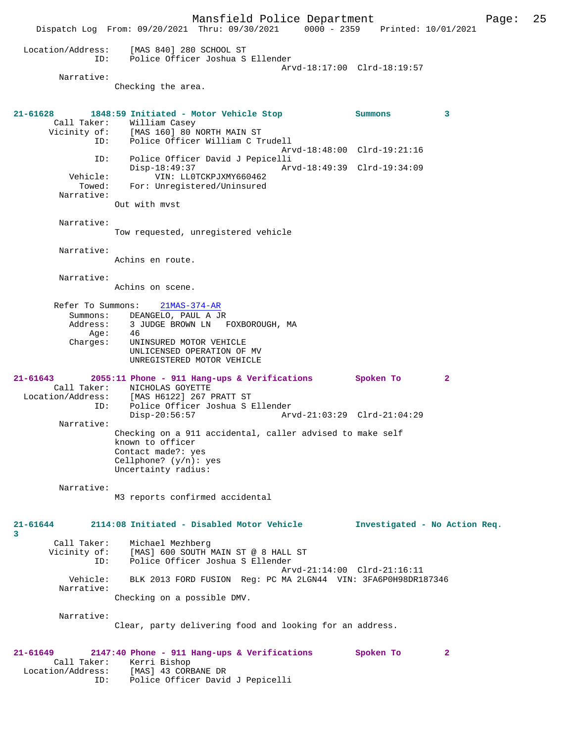Mansfield Police Department Page: 25 Dispatch Log From: 09/20/2021 Thru: 09/30/2021 0000 - 2359 Printed: 10/01/2021 Location/Address: [MAS 840] 280 SCHOOL ST ID: Police Officer Joshua S Ellender Arvd-18:17:00 Clrd-18:19:57 Narrative: Checking the area. **21-61628 1848:59 Initiated - Motor Vehicle Stop Summons 3**  Call Taker: William Casey Vicinity of: [MAS 160] 80 NORTH MAIN ST Vicinity of: [MAS 160] 80 NORTH MAIN ST<br>ID: Police Officer William C Trudell Arvd-18:48:00 Clrd-19:21:16 ID: Police Officer David J Pepicelli Disp-18:49:37 Arvd-18:49:39 Clrd-19:34:09 Vehicle: VIN: LL0TCKPJXMY660462 Towed: For: Unregistered/Uninsured Narrative: Out with mvst Narrative: Tow requested, unregistered vehicle Narrative: Achins en route. Narrative: Achins on scene. Refer To Summons: 21MAS-374-AR Summons: DEANGELO, PAUL A JR<br>Address: 3 JUDGE BROWN LN 3 JUDGE BROWN LN FOXBOROUGH, MA Age: 46<br>Charges: UNI UNINSURED MOTOR VEHICLE UNLICENSED OPERATION OF MV UNREGISTERED MOTOR VEHICLE **21-61643 2055:11 Phone - 911 Hang-ups & Verifications Spoken To 2**  Call Taker: NICHOLAS GOYETTE<br>Location/Address: [MAS H6122] 267 I Location/Address: [MAS H6122] 267 PRATT ST ID: Police Officer Joshua S Ellender Disp-20:56:57 Arvd-21:03:29 Clrd-21:04:29 Narrative: Checking on a 911 accidental, caller advised to make self known to officer Contact made?: yes Cellphone? (y/n): yes Uncertainty radius: Narrative: M3 reports confirmed accidental **21-61644 2114:08 Initiated - Disabled Motor Vehicle Investigated - No Action Req. 3**  Call Taker: Michael Mezhberg Vicinity of: [MAS] 600 SOUTH MAIN ST @ 8 HALL ST ID: Police Officer Joshua S Ellender Arvd-21:14:00 Clrd-21:16:11 Vehicle: BLK 2013 FORD FUSION Reg: PC MA 2LGN44 VIN: 3FA6P0H98DR187346 Narrative: Checking on a possible DMV. Narrative: Clear, party delivering food and looking for an address. **21-61649 2147:40 Phone - 911 Hang-ups & Verifications Spoken To 2**  Call Taker: Kerri Bishop<br>Location/Address: [MAS] 43 CORI ess: [MAS] 43 CORBANE DR<br>ID: Police Officer David

Police Officer David J Pepicelli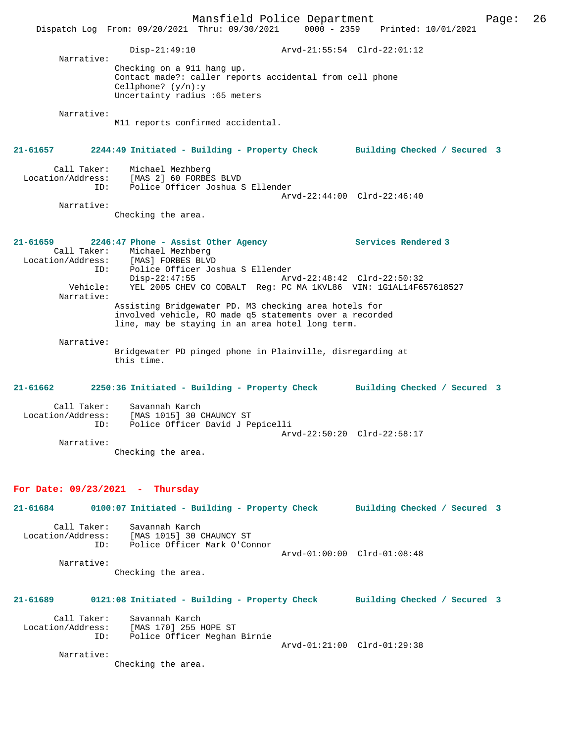Mansfield Police Department Page: 26 Dispatch Log From: 09/20/2021 Thru: 09/30/2021 0000 - 2359 Disp-21:49:10 Arvd-21:55:54 Clrd-22:01:12 Narrative: Checking on a 911 hang up. Contact made?: caller reports accidental from cell phone Cellphone? (y/n):y Uncertainty radius :65 meters Narrative: M11 reports confirmed accidental. **21-61657 2244:49 Initiated - Building - Property Check Building Checked / Secured 3** Call Taker: Michael Mezhberg Location/Address: [MAS 2] 60 FORBES BLVD ID: Police Officer Joshua S Ellender Arvd-22:44:00 Clrd-22:46:40 Narrative: Checking the area. **21-61659 2246:47 Phone - Assist Other Agency Services Rendered 3**  Call Taker: Michael Mezhberg<br>Location/Address: [MAS] FORBES BLVI ess: [MAS] FORBES BLVD<br>ID: Police Officer Jo: Police Officer Joshua S Ellender Disp-22:47:55 Arvd-22:48:42 Clrd-22:50:32<br>Vehicle: YEL 2005 CHEV CO COBALT Reg: PC MA 1KVL86 VIN: 1G1AL14F6 Vehicle: YEL 2005 CHEV CO COBALT Reg: PC MA 1KVL86 VIN: 1G1AL14F657618527 Narrative: Assisting Bridgewater PD. M3 checking area hotels for involved vehicle, RO made q5 statements over a recorded line, may be staying in an area hotel long term. Narrative: Bridgewater PD pinged phone in Plainville, disregarding at this time. **21-61662 2250:36 Initiated - Building - Property Check Building Checked / Secured 3** Call Taker: Savannah Karch Location/Address: [MAS 1015] 30 CHAUNCY ST ID: Police Officer David J Pepicelli Arvd-22:50:20 Clrd-22:58:17 Narrative: Checking the area. **For Date: 09/23/2021 - Thursday 21-61684 0100:07 Initiated - Building - Property Check Building Checked / Secured 3** Call Taker: Savannah Karch Location/Address: [MAS 1015] 30 CHAUNCY ST<br>ID: Police Officer Mark O'Com Police Officer Mark O'Connor Arvd-01:00:00 Clrd-01:08:48 Narrative: Checking the area. **21-61689 0121:08 Initiated - Building - Property Check Building Checked / Secured 3** Call Taker: Savannah Karch Location/Address: [MAS 170] 255 HOPE ST ID: Police Officer Meghan Birnie Arvd-01:21:00 Clrd-01:29:38 Narrative: Checking the area.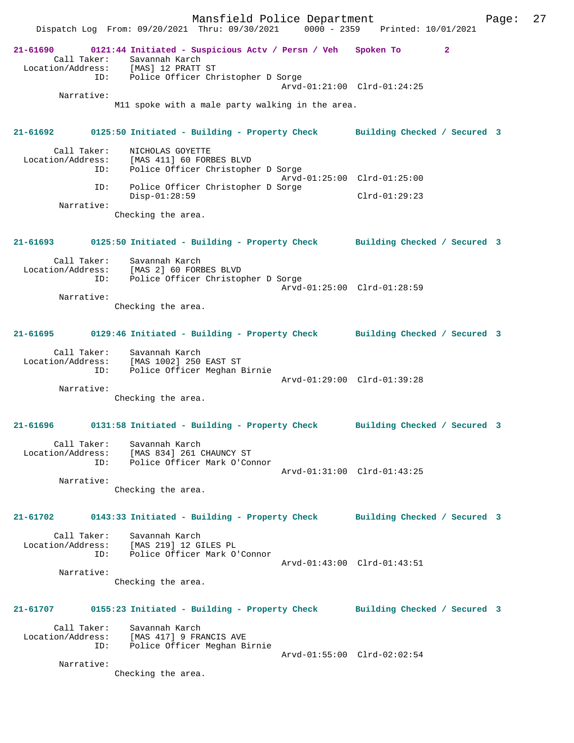Mansfield Police Department Fage: 27 Dispatch Log From: 09/20/2021 Thru: 09/30/2021 0000 - 2359 Printed: 10/01/2021 **21-61690 0121:44 Initiated - Suspicious Actv / Persn / Veh Spoken To 2**  Call Taker: Savannah Karch Location/Address: [MAS] 12 PRATT ST ID: Police Officer Christopher D Sorge Arvd-01:21:00 Clrd-01:24:25 Narrative: M11 spoke with a male party walking in the area. **21-61692 0125:50 Initiated - Building - Property Check Building Checked / Secured 3** Call Taker: NICHOLAS GOYETTE Location/Address: [MAS 411] 60 FORBES BLVD Police Officer Christopher D Sorge Arvd-01:25:00 Clrd-01:25:00 ID: Police Officer Christopher D Sorge Disp-01:28:59 Clrd-01:29:23 Narrative: Checking the area. **21-61693 0125:50 Initiated - Building - Property Check Building Checked / Secured 3** Call Taker: Savannah Karch Location/Address: [MAS 2] 60 FORBES BLVD ID: Police Officer Christopher D Sorge Arvd-01:25:00 Clrd-01:28:59 Narrative: Checking the area. **21-61695 0129:46 Initiated - Building - Property Check Building Checked / Secured 3** Call Taker: Savannah Karch Location/Address: [MAS 1002] 250 EAST ST ID: Police Officer Meghan Birnie Arvd-01:29:00 Clrd-01:39:28 Narrative: Checking the area. **21-61696 0131:58 Initiated - Building - Property Check Building Checked / Secured 3** Call Taker: Savannah Karch Location/Address: [MAS 834] 261 CHAUNCY ST ID: Police Officer Mark O'Connor Arvd-01:31:00 Clrd-01:43:25 Narrative: Checking the area. **21-61702 0143:33 Initiated - Building - Property Check Building Checked / Secured 3** Call Taker: Savannah Karch Location/Address: [MAS 219] 12 GILES PL ID: Police Officer Mark O'Connor Arvd-01:43:00 Clrd-01:43:51 Narrative: Checking the area. **21-61707 0155:23 Initiated - Building - Property Check Building Checked / Secured 3** Call Taker: Savannah Karch Location/Address: [MAS 417] 9 FRANCIS AVE ID: Police Officer Meghan Birnie Arvd-01:55:00 Clrd-02:02:54 Narrative: Checking the area.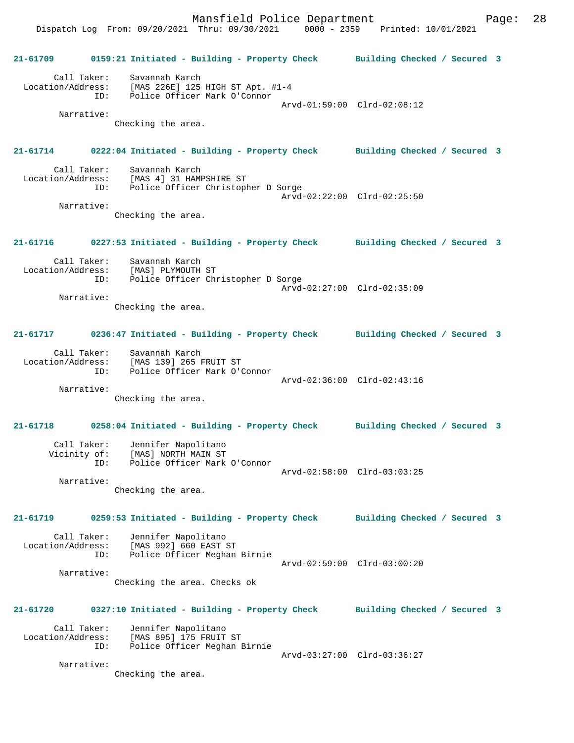**21-61709 0159:21 Initiated - Building - Property Check Building Checked / Secured 3** Call Taker: Savannah Karch Location/Address: [MAS 226E] 125 HIGH ST Apt. #1-4 ID: Police Officer Mark O'Connor Arvd-01:59:00 Clrd-02:08:12 Narrative: Checking the area. **21-61714 0222:04 Initiated - Building - Property Check Building Checked / Secured 3** Call Taker: Savannah Karch Location/Address: [MAS 4] 31 HAMPSHIRE ST ID: Police Officer Christopher D Sorge Arvd-02:22:00 Clrd-02:25:50 Narrative: Checking the area. **21-61716 0227:53 Initiated - Building - Property Check Building Checked / Secured 3** Call Taker: Savannah Karch Location/Address: [MAS] PLYMOUTH ST ID: Police Officer Christopher D Sorge Arvd-02:27:00 Clrd-02:35:09 Narrative: Checking the area. **21-61717 0236:47 Initiated - Building - Property Check Building Checked / Secured 3** Call Taker: Savannah Karch Location/Address: [MAS 139] 265 FRUIT ST ID: Police Officer Mark O'Connor Arvd-02:36:00 Clrd-02:43:16 Narrative: Checking the area. **21-61718 0258:04 Initiated - Building - Property Check Building Checked / Secured 3** Call Taker: Jennifer Napolitano Vicinity of: [MAS] NORTH MAIN ST ID: Police Officer Mark O'Connor Arvd-02:58:00 Clrd-03:03:25 Narrative: Checking the area. **21-61719 0259:53 Initiated - Building - Property Check Building Checked / Secured 3** Call Taker: Jennifer Napolitano Location/Address: [MAS 992] 660 EAST ST ID: Police Officer Meghan Birnie Arvd-02:59:00 Clrd-03:00:20 Narrative: Checking the area. Checks ok **21-61720 0327:10 Initiated - Building - Property Check Building Checked / Secured 3** Call Taker: Jennifer Napolitano Location/Address: [MAS 895] 175 FRUIT ST ID: Police Officer Meghan Birnie Arvd-03:27:00 Clrd-03:36:27 Narrative:

Checking the area.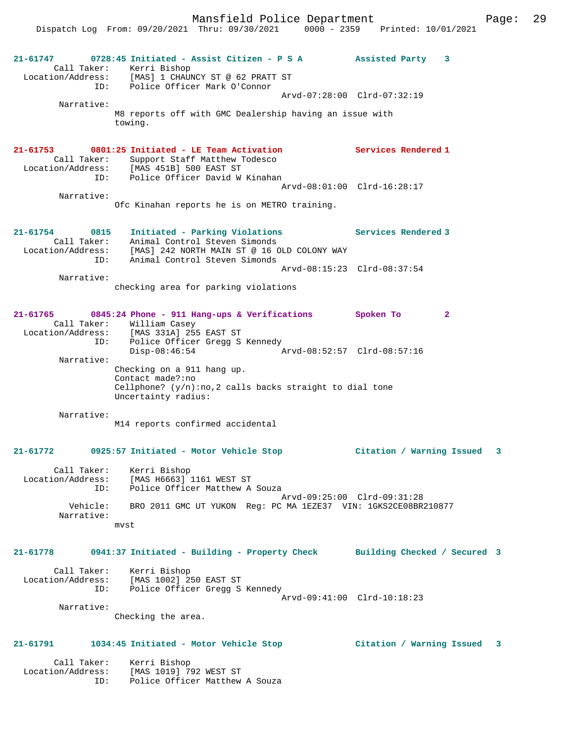Mansfield Police Department Page: 29 Dispatch Log From: 09/20/2021 Thru: 09/30/2021 0000 - 2359 Printed: 10/01/2021 **21-61747 0728:45 Initiated - Assist Citizen - P S A Assisted Party 3**  Call Taker: Kerri Bishop Location/Address: [MAS] 1 CHAUNCY ST @ 62 PRATT ST ID: Police Officer Mark O'Connor Arvd-07:28:00 Clrd-07:32:19 Narrative: M8 reports off with GMC Dealership having an issue with towing. **21-61753 0801:25 Initiated - LE Team Activation Services Rendered 1**  Call Taker: Support Staff Matthew Todesco<br>Location/Address: [MAS 451B] 500 EAST ST Location/Address: [MAS 451B] 500 EAST ST ID: Police Officer David W Kinahan Arvd-08:01:00 Clrd-16:28:17 Narrative: Ofc Kinahan reports he is on METRO training. **21-61754 0815 Initiated - Parking Violations Services Rendered 3**  Call Taker: Animal Control Steven Simonds Location/Address: [MAS] 242 NORTH MAIN ST @ 16 OLD COLONY WAY ID: Animal Control Steven Simonds Arvd-08:15:23 Clrd-08:37:54 Narrative: checking area for parking violations **21-61765 0845:24 Phone - 911 Hang-ups & Verifications Spoken To 2**  Call Taker: William Casey<br>Location/Address: [MAS 331A] 255 ess: [MAS 331A] 255 EAST ST<br>TD: Police Officer Grega S ID: Police Officer Gregg S Kennedy Disp-08:46:54 Arvd-08:52:57 Clrd-08:57:16 Narrative: Checking on a 911 hang up. Contact made?:no Cellphone?  $(y/n)$ :no,2 calls backs straight to dial tone Uncertainty radius: Narrative: M14 reports confirmed accidental **21-61772 0925:57 Initiated - Motor Vehicle Stop Citation / Warning Issued 3** Call Taker: Kerri Bishop Location/Address: [MAS H6663] 1161 WEST ST ID: Police Officer Matthew A Souza Arvd-09:25:00 Clrd-09:31:28 Vehicle: BRO 2011 GMC UT YUKON Reg: PC MA 1EZE37 VIN: 1GKS2CE08BR210877 Narrative: mvst **21-61778 0941:37 Initiated - Building - Property Check Building Checked / Secured 3** Call Taker: Kerri Bishop Location/Address: [MAS 1002] 250 EAST ST ID: Police Officer Gregg S Kennedy Arvd-09:41:00 Clrd-10:18:23 Narrative: Checking the area. **21-61791 1034:45 Initiated - Motor Vehicle Stop Citation / Warning Issued 3** Call Taker: Kerri Bishop

Location/Address: [MAS 1019] 792 WEST ST

ID: Police Officer Matthew A Souza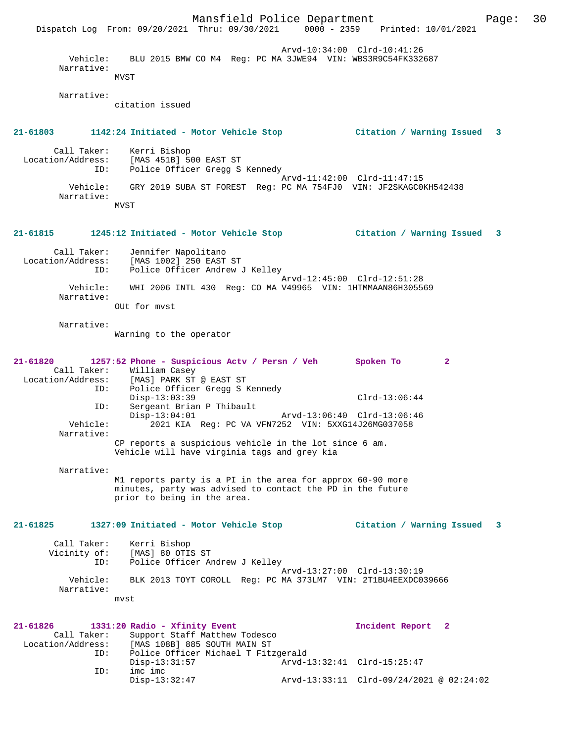|                                              | Dispatch Log From: 09/20/2021 Thru: 09/30/2021 0000 - 2359 Printed: 10/01/2021                                                                          | Mansfield Police Department |                                          | Page: | 30 |
|----------------------------------------------|---------------------------------------------------------------------------------------------------------------------------------------------------------|-----------------------------|------------------------------------------|-------|----|
| Vehicle:<br>Narrative:                       | BLU 2015 BMW CO M4 Req: PC MA 3JWE94 VIN: WBS3R9C54FK332687<br>MVST                                                                                     | Arvd-10:34:00 Clrd-10:41:26 |                                          |       |    |
| Narrative:                                   | citation issued                                                                                                                                         |                             |                                          |       |    |
|                                              | 21-61803                     1142:24 Initiated - Motor Vehicle Stop                                                                                     |                             | Citation / Warning Issued                | 3     |    |
| Call Taker:<br>Location/Address:<br>ID:      | Kerri Bishop<br>[MAS 451B] 500 EAST ST<br>Police Officer Gregg S Kennedy                                                                                |                             |                                          |       |    |
| Vehicle:<br>Narrative:                       | GRY 2019 SUBA ST FOREST Reg: PC MA 754FJ0 VIN: JF2SKAGC0KH542438                                                                                        | Arvd-11:42:00 Clrd-11:47:15 |                                          |       |    |
|                                              | MVST                                                                                                                                                    |                             |                                          |       |    |
|                                              | 21-61815 1245:12 Initiated - Motor Vehicle Stop                                                                                                         |                             | Citation / Warning Issued                | 3     |    |
| Call Taker:<br>Location/Address:<br>ID:      | Jennifer Napolitano<br>[MAS 1002] 250 EAST ST<br>Police Officer Andrew J Kelley                                                                         |                             |                                          |       |    |
| Vehicle:<br>Narrative:                       | WHI 2006 INTL 430 Req: CO MA V49965 VIN: 1HTMMAAN86H305569                                                                                              | Arvd-12:45:00 Clrd-12:51:28 |                                          |       |    |
|                                              | OUt for myst                                                                                                                                            |                             |                                          |       |    |
| Narrative:                                   | Warning to the operator                                                                                                                                 |                             |                                          |       |    |
| 21-61820<br>Call Taker:<br>Location/Address: | 1257:52 Phone - Suspicious Actv / Persn / Veh<br>William Casey<br>[MAS] PARK ST @ EAST ST                                                               |                             | Spoken To<br>$\mathbf{2}$                |       |    |
| ID:<br>ID:                                   | Police Officer Gregg S Kennedy<br>$Disp-13:03:39$<br>Sergeant Brian P Thibault                                                                          |                             | $Clrd-13:06:44$                          |       |    |
| Vehicle:<br>Narrative:                       | $Disp-13:04:01$<br>2021 KIA Req: PC VA VFN7252 VIN: 5XXG14J26MG037058                                                                                   | Arvd-13:06:40 Clrd-13:06:46 |                                          |       |    |
|                                              | CP reports a suspicious vehicle in the lot since 6 am.<br>Vehicle will have virginia tags and grey kia                                                  |                             |                                          |       |    |
| Narrative:                                   | M1 reports party is a PI in the area for approx 60-90 more<br>minutes, party was advised to contact the PD in the future<br>prior to being in the area. |                             |                                          |       |    |
| $21 - 61825$                                 | 1327:09 Initiated - Motor Vehicle Stop                                                                                                                  |                             | Citation / Warning Issued                | 3     |    |
| Call Taker:<br>Vicinity of:<br>ID:           | Kerri Bishop<br>[MAS] 80 OTIS ST<br>Police Officer Andrew J Kelley                                                                                      |                             |                                          |       |    |
| Vehicle:<br>Narrative:                       | BLK 2013 TOYT COROLL Req: PC MA 373LM7 VIN: 2T1BU4EEXDC039666<br>mvst                                                                                   | Arvd-13:27:00 Clrd-13:30:19 |                                          |       |    |
|                                              |                                                                                                                                                         |                             |                                          |       |    |
| 21-61826<br>Call Taker:<br>Location/Address: | 1331:20 Radio - Xfinity Event<br>Support Staff Matthew Todesco<br>[MAS 108B] 885 SOUTH MAIN ST                                                          |                             | Incident Report 2                        |       |    |
| ID:<br>ID:                                   | Police Officer Michael T Fitzgerald<br>$Disp-13:31:57$<br>imc imc                                                                                       | Arvd-13:32:41 Clrd-15:25:47 |                                          |       |    |
|                                              | $Disp-13:32:47$                                                                                                                                         |                             | Arvd-13:33:11 Clrd-09/24/2021 @ 02:24:02 |       |    |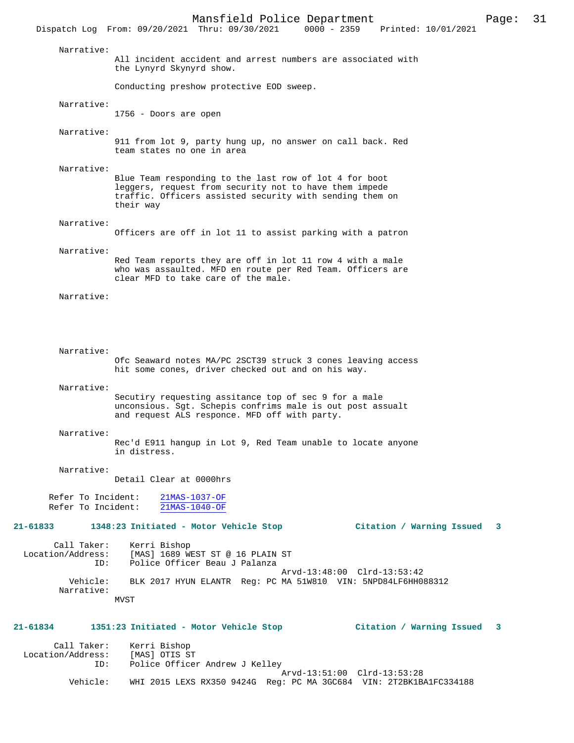Mansfield Police Department Page: 31 Dispatch Log From: 09/20/2021 Thru: 09/30/2021 Narrative: All incident accident and arrest numbers are associated with the Lynyrd Skynyrd show. Conducting preshow protective EOD sweep. Narrative: 1756 - Doors are open Narrative: 911 from lot 9, party hung up, no answer on call back. Red team states no one in area Narrative: Blue Team responding to the last row of lot 4 for boot leggers, request from security not to have them impede traffic. Officers assisted security with sending them on their way Narrative: Officers are off in lot 11 to assist parking with a patron Narrative: Red Team reports they are off in lot 11 row 4 with a male who was assaulted. MFD en route per Red Team. Officers are clear MFD to take care of the male. Narrative: Narrative: Ofc Seaward notes MA/PC 2SCT39 struck 3 cones leaving access hit some cones, driver checked out and on his way. Narrative: Secutiry requesting assitance top of sec 9 for a male unconsious. Sgt. Schepis confrims male is out post assualt and request ALS responce. MFD off with party. Narrative: Rec'd E911 hangup in Lot 9, Red Team unable to locate anyone in distress. Narrative: Detail Clear at 0000hrs Refer To Incident: 21MAS-1037-OF Refer To Incident: 21MAS-1040-OF **21-61833 1348:23 Initiated - Motor Vehicle Stop Citation / Warning Issued 3** Call Taker: Kerri Bishop Location/Address: [MAS] 1689 WEST ST @ 16 PLAIN ST ID: Police Officer Beau J Palanza Arvd-13:48:00 Clrd-13:53:42<br>Vehicle: BLK 2017 HYUN ELANTR Req: PC MA 51W810 VIN: 5NPD84LF6HH0 BLK 2017 HYUN ELANTR Reg: PC MA 51W810 VIN: 5NPD84LF6HH088312 Narrative: MVST **21-61834 1351:23 Initiated - Motor Vehicle Stop Citation / Warning Issued 3** Call Taker: Kerri Bishop<br>.on/Address: [MAS] OTIS ST Location/Address:<br>ID: Police Officer Andrew J Kelley Arvd-13:51:00 Clrd-13:53:28<br>Vehicle: WHI 2015 LEXS RX350 9424G Reg: PC MA 3GC684 VIN: 2T2RK1B Vehicle: WHI 2015 LEXS RX350 9424G Reg: PC MA 3GC684 VIN: 2T2BK1BA1FC334188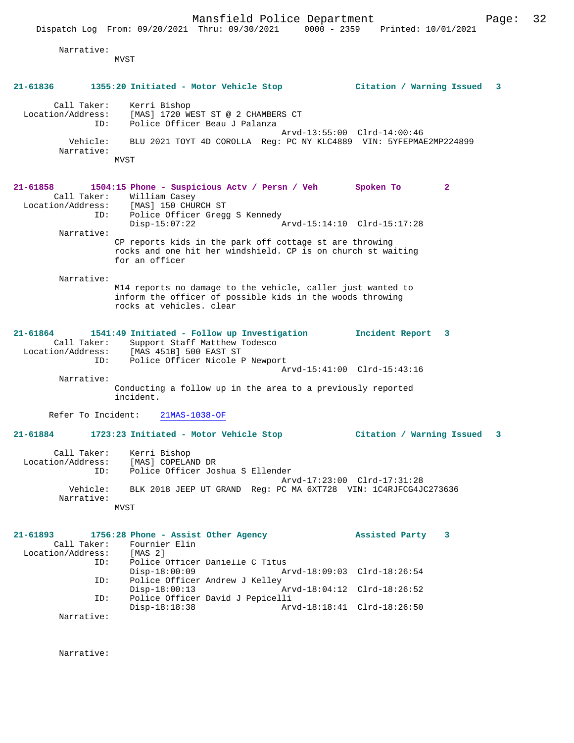Narrative:

MVST

| $21 - 61836$      |                    | 1355:20 Initiated - Motor Vehicle Stop                                                                                                               | Citation / Warning Issued   | 3            |
|-------------------|--------------------|------------------------------------------------------------------------------------------------------------------------------------------------------|-----------------------------|--------------|
| Location/Address: | Call Taker:<br>ID: | Kerri Bishop<br>[MAS] 1720 WEST ST @ 2 CHAMBERS CT<br>Police Officer Beau J Palanza                                                                  |                             |              |
|                   | Vehicle:           | BLU 2021 TOYT 4D COROLLA Req: PC NY KLC4889 VIN: 5YFEPMAE2MP224899                                                                                   | Arvd-13:55:00 Clrd-14:00:46 |              |
|                   | Narrative:         | MVST                                                                                                                                                 |                             |              |
|                   |                    |                                                                                                                                                      |                             |              |
| 21-61858          | Call Taker:        | 1504:15 Phone - Suspicious Actv / Persn / Veh Spoken To<br>William Casey<br>Location/Address: [MAS] 150 CHURCH ST                                    |                             | $\mathbf{2}$ |
|                   | ID:                | Police Officer Gregg S Kennedy<br>$Disp-15:07:22$                                                                                                    | Arvd-15:14:10 Clrd-15:17:28 |              |
|                   | Narrative:         | CP reports kids in the park off cottage st are throwing<br>rocks and one hit her windshield. CP is on church st waiting<br>for an officer            |                             |              |
|                   | Narrative:         | M14 reports no damage to the vehicle, caller just wanted to<br>inform the officer of possible kids in the woods throwing<br>rocks at vehicles, clear |                             |              |
| $21 - 61864$      | Call Taker:<br>ID: | 1541:49 Initiated - Follow up Investigation<br>Support Staff Matthew Todesco<br>Location/Address: [MAS 451B] 500 EAST ST                             | Incident Report 3           |              |
|                   |                    | Police Officer Nicole P Newport                                                                                                                      | Arvd-15:41:00 Clrd-15:43:16 |              |
|                   | Narrative:         | Conducting a follow up in the area to a previously reported<br>incident.                                                                             |                             |              |
|                   | Refer To Incident: | 21MAS-1038-OF                                                                                                                                        |                             |              |
| 21-61884          |                    | 1723:23 Initiated - Motor Vehicle Stop                                                                                                               | Citation / Warning Issued   | -3           |
| Location/Address: | Call Taker:<br>ID: | Kerri Bishop<br>[MAS] COPELAND DR<br>Police Officer Joshua S Ellender                                                                                |                             |              |
|                   | Vehicle:           | BLK 2018 JEEP UT GRAND Req: PC MA 6XT728 VIN: 1C4RJFCG4JC273636                                                                                      | Arvd-17:23:00 Clrd-17:31:28 |              |
|                   | Narrative:         | MVST                                                                                                                                                 |                             |              |
|                   |                    |                                                                                                                                                      |                             |              |
| 21-61893          | Call Taker:        | 1756:28 Phone - Assist Other Agency<br>Fournier Elin                                                                                                 | Assisted Party              | 3            |
| Location/Address: | ID:                | [MAS <sub>2</sub> ]<br>Police Officer Danielle C Titus<br>$Disp-18:00:09$                                                                            | Arvd-18:09:03 Clrd-18:26:54 |              |
|                   | ID:                | Police Officer Andrew J Kelley<br>$Disp-18:00:13$                                                                                                    | Arvd-18:04:12 Clrd-18:26:52 |              |
|                   | ID:                | Police Officer David J Pepicelli<br>$Disp-18:18:38$                                                                                                  | Arvd-18:18:41 Clrd-18:26:50 |              |
|                   | Narrative:         |                                                                                                                                                      |                             |              |
|                   |                    |                                                                                                                                                      |                             |              |

Narrative: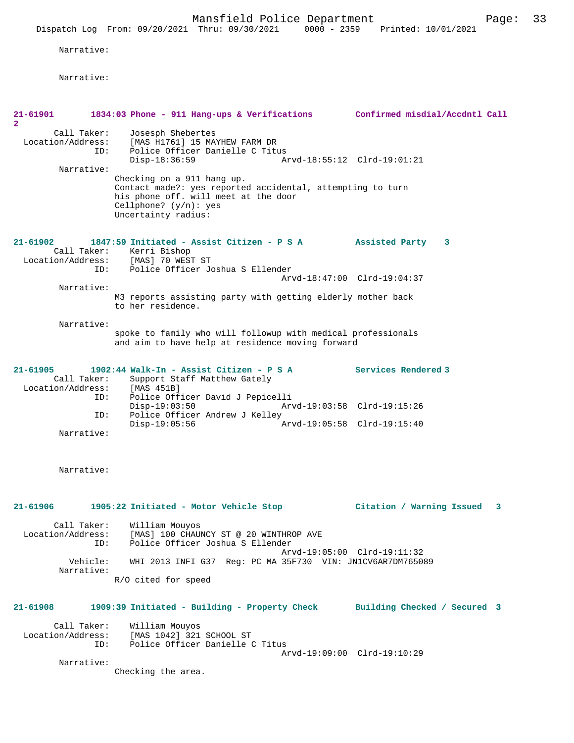Narrative:

Narrative:

| 21-61901                                                           | 1834:03 Phone - 911 Hang-ups & Verifications                                                                                                                                        | Confirmed misdial/Accdntl Call |
|--------------------------------------------------------------------|-------------------------------------------------------------------------------------------------------------------------------------------------------------------------------------|--------------------------------|
| $\overline{\mathbf{2}}$<br>Call Taker:<br>Location/Address:<br>ID: | Josesph Shebertes<br>[MAS H1761] 15 MAYHEW FARM DR<br>Police Officer Danielle C Titus                                                                                               |                                |
| Narrative:                                                         | $Disp-18:36:59$                                                                                                                                                                     | Arvd-18:55:12 Clrd-19:01:21    |
|                                                                    | Checking on a 911 hang up.<br>Contact made?: yes reported accidental, attempting to turn<br>his phone off. will meet at the door<br>Cellphone? $(y/n)$ : yes<br>Uncertainty radius: |                                |
| 21-61902                                                           | 1847:59 Initiated - Assist Citizen - P S A<br>Call Taker: Kerri Bishop<br>Location/Address: [MAS] 70 WEST ST<br>Police Officer Joshua S Ellender<br>ID:                             | Assisted Party<br>3            |
| Narrative:                                                         |                                                                                                                                                                                     | Arvd-18:47:00 Clrd-19:04:37    |
|                                                                    | M3 reports assisting party with getting elderly mother back<br>to her residence.                                                                                                    |                                |
| Narrative:                                                         | spoke to family who will followup with medical professionals<br>and aim to have help at residence moving forward                                                                    |                                |
| $21 - 61905$<br>Call Taker:<br>Location/Address:                   | 1902:44 Walk-In - Assist Citizen - P S A<br>Support Staff Matthew Gately<br>[MAS 451B]                                                                                              | Services Rendered 3            |
| ID:<br>ID:                                                         | Police Officer David J Pepicelli<br>$Disp-19:03:50$<br>Police Officer Andrew J Kelley                                                                                               | Arvd-19:03:58 Clrd-19:15:26    |
| Narrative:                                                         | $Disp-19:05:56$                                                                                                                                                                     | Arvd-19:05:58 Clrd-19:15:40    |
| Narrative:                                                         |                                                                                                                                                                                     |                                |
| 21-61906                                                           | 1905:22 Initiated - Motor Vehicle Stop                                                                                                                                              | Citation / Warning Issued<br>3 |
| Call Taker:<br>Location/Address:<br>ID:                            | William Mouyos<br>[MAS] 100 CHAUNCY ST @ 20 WINTHROP AVE<br>Police Officer Joshua S Ellender                                                                                        | Arvd-19:05:00 Clrd-19:11:32    |
| Vehicle:<br>Narrative:                                             | WHI 2013 INFI G37 Req: PC MA 35F730 VIN: JN1CV6AR7DM765089                                                                                                                          |                                |
|                                                                    | R/O cited for speed                                                                                                                                                                 |                                |
| 21-61908                                                           | 1909:39 Initiated - Building - Property Check                                                                                                                                       | Building Checked / Secured 3   |
| Call Taker:<br>Location/Address:<br>ID:                            | William Mouyos<br>[MAS 1042] 321 SCHOOL ST<br>Police Officer Danielle C Titus                                                                                                       |                                |
| Narrative:                                                         | Checking the area.                                                                                                                                                                  | Arvd-19:09:00 Clrd-19:10:29    |
|                                                                    |                                                                                                                                                                                     |                                |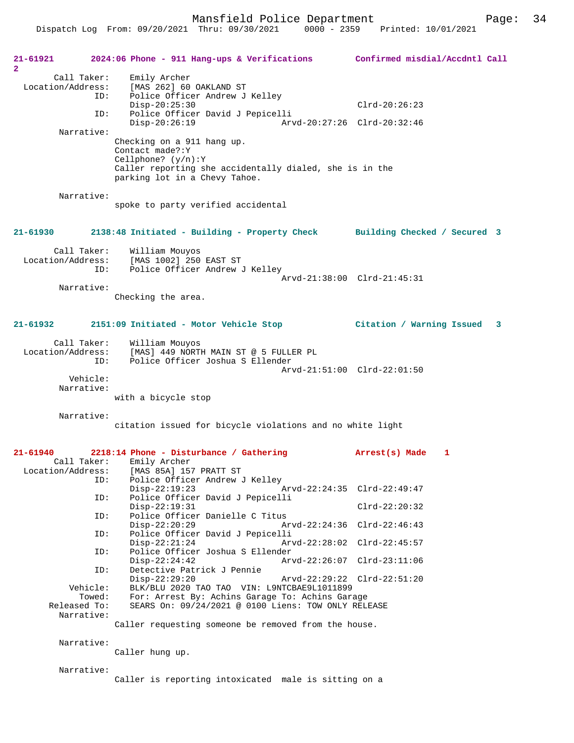Dispatch Log From: 09/20/2021 Thru: 09/30/2021 0000 - 2359 Printed: 10/01/2021

| 21-61921<br>2     |                                    | 2024:06 Phone - 911 Hang-ups & Verifications                                                                                                                         | Confirmed misdial/Accdntl Call |
|-------------------|------------------------------------|----------------------------------------------------------------------------------------------------------------------------------------------------------------------|--------------------------------|
| Location/Address: | Call Taker:<br>ID:                 | Emily Archer<br>[MAS 262] 60 OAKLAND ST<br>Police Officer Andrew J Kelley<br>$Disp-20:25:30$                                                                         | $Clrd-20:26:23$                |
|                   | ID:                                | Police Officer David J Pepicelli                                                                                                                                     |                                |
|                   | Narrative:                         | $Disp-20:26:19$<br>Arvd-20:27:26 Clrd-20:32:46                                                                                                                       |                                |
|                   |                                    | Checking on a 911 hang up.<br>Contact made?: Y<br>$Cellphone?$ $(y/n):Y$<br>Caller reporting she accidentally dialed, she is in the<br>parking lot in a Chevy Tahoe. |                                |
|                   | Narrative:                         | spoke to party verified accidental                                                                                                                                   |                                |
| 21-61930          |                                    | 2138:48 Initiated - Building - Property Check Building Checked / Secured 3                                                                                           |                                |
| Location/Address: | Call Taker:<br>ID:                 | William Mouyos<br>[MAS 1002] 250 EAST ST<br>[MAS 1002] 250 EAST ST<br>Police Officer Andrew J Kelley                                                                 |                                |
|                   | Narrative:                         |                                                                                                                                                                      | Arvd-21:38:00 Clrd-21:45:31    |
|                   |                                    | Checking the area.                                                                                                                                                   |                                |
| 21-61932          |                                    | 2151:09 Initiated - Motor Vehicle Stop                                                                                                                               | Citation / Warning Issued 3    |
| Location/Address: | Call Taker:<br>ID:                 | William Mouyos<br>[MAS] 449 NORTH MAIN ST @ 5 FULLER PL<br>Police Officer Joshua S Ellender                                                                          |                                |
|                   | Vehicle:<br>Narrative:             | Arvd-21:51:00 Clrd-22:01:50<br>with a bicycle stop                                                                                                                   |                                |
|                   | Narrative:                         | citation issued for bicycle violations and no white light                                                                                                            |                                |
| 21-61940          |                                    | 2218:14 Phone - Disturbance / Gathering                                                                                                                              | Arrest(s) Made<br>1            |
|                   | Call Taker:                        | Emily Archer<br>Location/Address: [MAS 85A] 157 PRATT ST                                                                                                             |                                |
|                   | ID:                                | Police Officer Andrew J Kelley<br>$Disp-22:19:23$                                                                                                                    | Arvd-22:24:35 Clrd-22:49:47    |
|                   | ID:                                | Police Officer David J Pepicelli<br>$Disp-22:19:31$                                                                                                                  | $Clrd-22:20:32$                |
|                   | ID:                                | Police Officer Danielle C Titus<br>$Disp-22:20:29$<br>Arvd-22:24:36                                                                                                  | $Clrd-22:46:43$                |
|                   | ID:                                | Police Officer David J Pepicelli<br>Arvd-22:28:02<br>$Disp-22:21:24$                                                                                                 | Clrd-22:45:57                  |
|                   | ID:                                | Police Officer Joshua S Ellender<br>$Disp-22:24:42$                                                                                                                  | Arvd-22:26:07 Clrd-23:11:06    |
|                   | ID:                                | Detective Patrick J Pennie<br>$Disp-22:29:20$<br>Arvd-22:29:22 Clrd-22:51:20                                                                                         |                                |
|                   | Vehicle:<br>Towed:<br>Released To: | BLK/BLU 2020 TAO TAO VIN: L9NTCBAE9L1011899<br>For: Arrest By: Achins Garage To: Achins Garage<br>SEARS On: 09/24/2021 @ 0100 Liens: TOW ONLY RELEASE                |                                |
|                   | Narrative:                         | Caller requesting someone be removed from the house.                                                                                                                 |                                |
|                   | Narrative:                         | Caller hung up.                                                                                                                                                      |                                |
|                   |                                    |                                                                                                                                                                      |                                |
|                   | Narrative:                         | Caller is reporting intoxicated male is sitting on a                                                                                                                 |                                |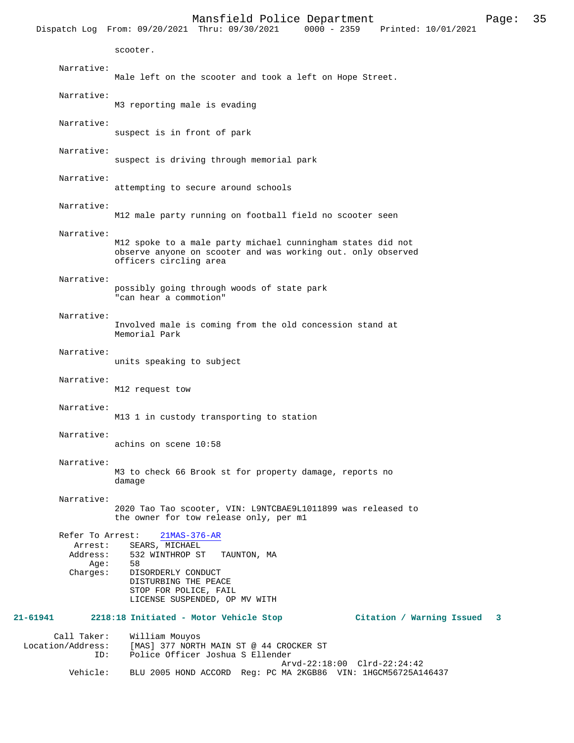Dispatch Log From: 09/20/2021 Thru: 09/30/2021 scooter. Narrative: Male left on the scooter and took a left on Hope Street. Narrative: M3 reporting male is evading Narrative: suspect is in front of park Narrative: suspect is driving through memorial park Narrative: attempting to secure around schools Narrative: M12 male party running on football field no scooter seen Narrative: M12 spoke to a male party michael cunningham states did not observe anyone on scooter and was working out. only observed officers circling area Narrative: possibly going through woods of state park "can hear a commotion" Narrative: Involved male is coming from the old concession stand at Memorial Park Narrative: units speaking to subject Narrative: M12 request tow Narrative: M13 1 in custody transporting to station Narrative: achins on scene 10:58 Narrative: M3 to check 66 Brook st for property damage, reports no damage Narrative: 2020 Tao Tao scooter, VIN: L9NTCBAE9L1011899 was released to the owner for tow release only, per m1 Refer To Arrest: 21MAS-376-AR Arrest: SEARS, MICHAEL Address: 532 WINTHROP ST TAUNTON, MA Age: 58 Charges: DISORDERLY CONDUCT DISTURBING THE PEACE STOP FOR POLICE, FAIL LICENSE SUSPENDED, OP MV WITH **21-61941 2218:18 Initiated - Motor Vehicle Stop Citation / Warning Issued 3** Call Taker: William Mouyos Location/Address: [MAS] 377 NORTH MAIN ST @ 44 CROCKER ST Police Officer Joshua S Ellender Arvd-22:18:00 Clrd-22:24:42

Vehicle: BLU 2005 HOND ACCORD Reg: PC MA 2KGB86 VIN: 1HGCM56725A146437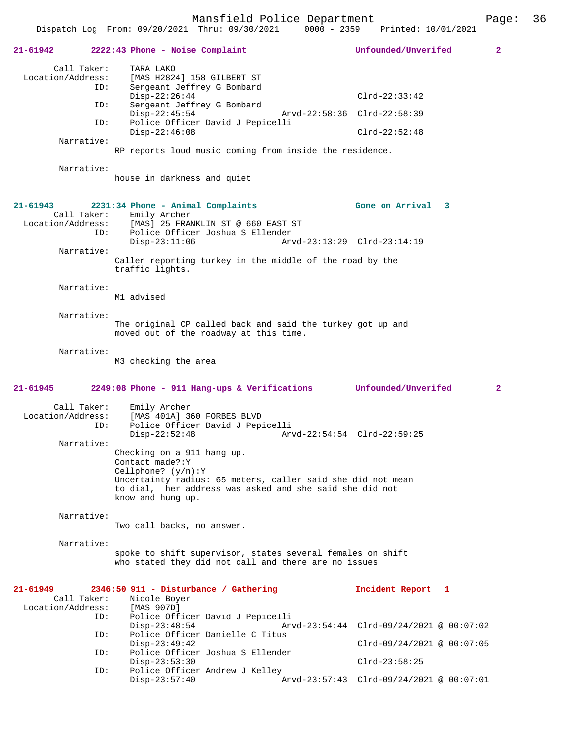Dispatch Log From: 09/20/2021 Thru: 09/30/2021 0000 - 2359 Printed: 10/01/2021

|                   |             | $21-61942$ 2222:43 Phone - Noise Complaint                                                                         | Unfounded/Unverifed                                         | 2 |
|-------------------|-------------|--------------------------------------------------------------------------------------------------------------------|-------------------------------------------------------------|---|
| Location/Address: | Call Taker: | TARA LAKO<br>[MAS H2824] 158 GILBERT ST                                                                            |                                                             |   |
|                   | ID:         | Sergeant Jeffrey G Bombard                                                                                         |                                                             |   |
|                   | ID:         | $Disp-22:26:44$<br>Sergeant Jeffrey G Bombard                                                                      | $Clrd-22:33:42$                                             |   |
|                   | ID:         | $Disp-22:45:54$<br>Police Officer David J Pepicelli                                                                | Arvd-22:58:36 Clrd-22:58:39                                 |   |
|                   |             | $Disp-22:46:08$                                                                                                    | $Clrd-22:52:48$                                             |   |
|                   | Narrative:  | RP reports loud music coming from inside the residence.                                                            |                                                             |   |
|                   |             |                                                                                                                    |                                                             |   |
|                   | Narrative:  | house in darkness and quiet                                                                                        |                                                             |   |
| 21-61943          |             | 2231:34 Phone - Animal Complaints                                                                                  | Gone on Arrival 3                                           |   |
|                   |             | Call Taker: Emily Archer                                                                                           |                                                             |   |
|                   | ID:         | Location/Address: [MAS] 25 FRANKLIN ST @ 660 EAST ST<br>Police Officer Joshua S Ellender                           |                                                             |   |
|                   |             | $Disp-23:11:06$                                                                                                    | Arvd-23:13:29 Clrd-23:14:19                                 |   |
|                   | Narrative:  |                                                                                                                    |                                                             |   |
|                   |             | Caller reporting turkey in the middle of the road by the<br>traffic lights.                                        |                                                             |   |
|                   | Narrative:  |                                                                                                                    |                                                             |   |
|                   |             | M1 advised                                                                                                         |                                                             |   |
|                   | Narrative:  |                                                                                                                    |                                                             |   |
|                   |             | The original CP called back and said the turkey got up and<br>moved out of the roadway at this time.               |                                                             |   |
|                   | Narrative:  |                                                                                                                    |                                                             |   |
|                   |             | M3 checking the area                                                                                               |                                                             |   |
|                   |             |                                                                                                                    |                                                             |   |
| 21-61945          |             | 2249:08 Phone - 911 Hang-ups & Verifications Unfounded/Unverifed                                                   |                                                             | 2 |
|                   | Call Taker: | Emily Archer                                                                                                       |                                                             |   |
| Location/Address: |             | [MAS 401A] 360 FORBES BLVD                                                                                         |                                                             |   |
|                   | ID:         | Police Officer David J Pepicelli<br>$Disp-22:52:48$                                                                | Arvd-22:54:54 Clrd-22:59:25                                 |   |
|                   | Narrative:  |                                                                                                                    |                                                             |   |
|                   |             | Checking on a 911 hang up.<br>Contact made?: Y                                                                     |                                                             |   |
|                   |             | Cellphone? $(y/n):Y$                                                                                               |                                                             |   |
|                   |             | Uncertainty radius: 65 meters, caller said she did not mean                                                        |                                                             |   |
|                   |             | to dial, her address was asked and she said she did not<br>know and hung up.                                       |                                                             |   |
|                   |             |                                                                                                                    |                                                             |   |
|                   | Narrative:  | Two call backs, no answer.                                                                                         |                                                             |   |
|                   |             |                                                                                                                    |                                                             |   |
|                   | Narrative:  |                                                                                                                    |                                                             |   |
|                   |             | spoke to shift supervisor, states several females on shift<br>who stated they did not call and there are no issues |                                                             |   |
| 21-61949          |             | $2346:50$ 911 - Disturbance / Gathering                                                                            | Incident Report 1                                           |   |
|                   | Call Taker: | Nicole Boyer                                                                                                       |                                                             |   |
| Location/Address: |             | [MAS 907D]                                                                                                         |                                                             |   |
|                   | ID:         | Police Officer David J Pepicelli<br>$Disp-23:48:54$                                                                | $Arvd-23:54:44 \text{ Clrd}-09/24/2021 \text{ @ } 00:07:02$ |   |
|                   | ID:         | Police Officer Danielle C Titus                                                                                    |                                                             |   |
|                   | ID:         | $Disp-23:49:42$<br>Police Officer Joshua S Ellender                                                                | $Clrd-09/24/2021$ @ $00:07:05$                              |   |
|                   |             | $Disp-23:53:30$                                                                                                    | $Clrd-23:58:25$                                             |   |
|                   | ID:         | Police Officer Andrew J Kelley<br>$Disp-23:57:40$                                                                  | Arvd-23:57:43 Clrd-09/24/2021 @ 00:07:01                    |   |
|                   |             |                                                                                                                    |                                                             |   |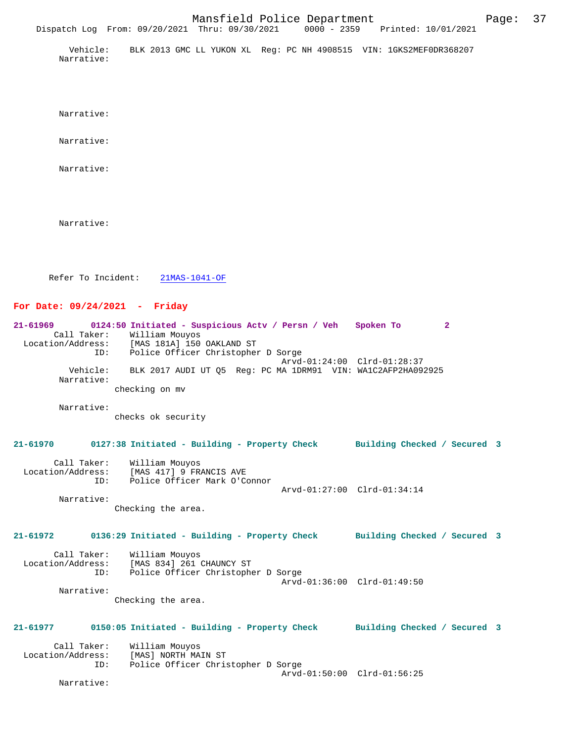Vehicle: BLK 2013 GMC LL YUKON XL Reg: PC NH 4908515 VIN: 1GKS2MEF0DR368207 Narrative:

Dispatch Log From: 09/20/2021 Thru: 09/30/2021 0000 - 2359 Printed: 10/01/2021

Narrative:

Narrative:

Narrative:

Narrative:

Refer To Incident: 21MAS-1041-OF

## **For Date: 09/24/2021 - Friday**

**21-61969 0124:50 Initiated - Suspicious Actv / Persn / Veh Spoken To 2**  Call Taker: William Mouyos Location/Address: [MAS 181A] 150 OAKLAND ST ID: Police Officer Christopher D Sorge Arvd-01:24:00 Clrd-01:28:37 Vehicle: BLK 2017 AUDI UT Q5 Reg: PC MA 1DRM91 VIN: WA1C2AFP2HA092925 Narrative: checking on mv

 Narrative: checks ok security

## **21-61970 0127:38 Initiated - Building - Property Check Building Checked / Secured 3**

| Call Taker:<br>Location/Address:<br>TD: | William Mouvos<br>[MAS 417] 9 FRANCIS AVE<br>Police Officer Mark O'Connor |                             |  |
|-----------------------------------------|---------------------------------------------------------------------------|-----------------------------|--|
|                                         |                                                                           | Arvd-01:27:00 Clrd-01:34:14 |  |

Narrative:

Checking the area.

## **21-61972 0136:29 Initiated - Building - Property Check Building Checked / Secured 3**

| Call Taker:       | William Mouyos                     |  |
|-------------------|------------------------------------|--|
| Location/Address: | [MAS 834] 261 CHAUNCY ST           |  |
| ID:               | Police Officer Christopher D Sorge |  |
|                   | Arvd-01:36:00 Clrd-01:49:50        |  |
| Narrative:        |                                    |  |
|                   |                                    |  |

Checking the area.

## **21-61977 0150:05 Initiated - Building - Property Check Building Checked / Secured 3**

| Call Taker:       | William Mouyos                     |  |
|-------------------|------------------------------------|--|
| Location/Address: | [MAS] NORTH MAIN ST                |  |
| ID:               | Police Officer Christopher D Sorge |  |
|                   | Arvd-01:50:00 Clrd-01:56:25        |  |

Narrative: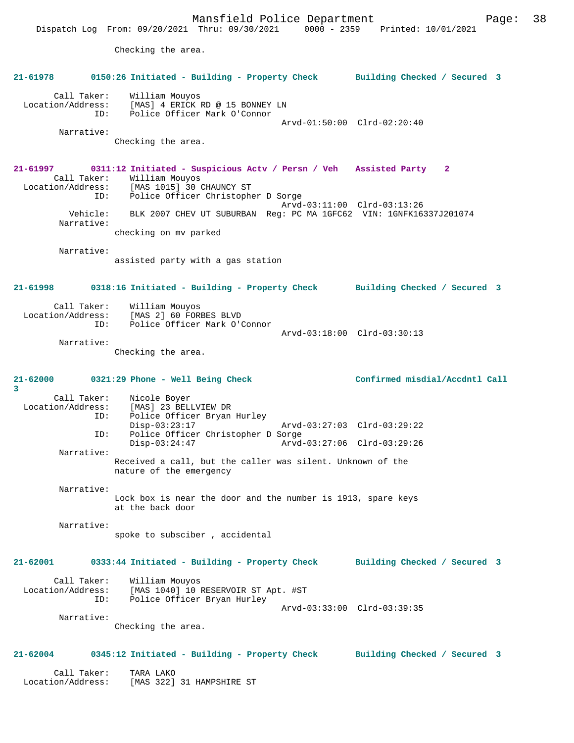Mansfield Police Department Page: 38 Dispatch Log From: 09/20/2021 Thru: 09/30/2021 0000 - 2359 Printed: 10/01/2021 Checking the area. **21-61978 0150:26 Initiated - Building - Property Check Building Checked / Secured 3** Call Taker: William Mouyos Location/Address: [MAS] 4 ERICK RD @ 15 BONNEY LN ID: Police Officer Mark O'Connor Arvd-01:50:00 Clrd-02:20:40 Narrative: Checking the area. **21-61997 0311:12 Initiated - Suspicious Actv / Persn / Veh Assisted Party 2**  Call Taker: William Mouyos Location/Address: [MAS 1015] 30 CHAUNCY ST ID: Police Officer Christopher D Sorge Arvd-03:11:00 Clrd-03:13:26 Vehicle: BLK 2007 CHEV UT SUBURBAN Reg: PC MA 1GFC62 VIN: 1GNFK16337J201074 Narrative: checking on mv parked Narrative: assisted party with a gas station **21-61998 0318:16 Initiated - Building - Property Check Building Checked / Secured 3** Call Taker: William Mouyos Location/Address: [MAS 2] 60 FORBES BLVD ID: Police Officer Mark O'Connor Arvd-03:18:00 Clrd-03:30:13 Narrative: Checking the area. **21-62000 0321:29 Phone - Well Being Check Confirmed misdial/Accdntl Call 3**  Call Taker: Nicole Boyer<br>Location/Address: [MAS] 23 BEL ess: [MAS] 23 BELLVIEW DR<br>ID: Police Officer Bryan Police Officer Bryan Hurley<br>Disp-03:23:17 Disp-03:23:17 Arvd-03:27:03 Clrd-03:29:22 ID: Police Officer Christopher D Sorge<br>Disp-03:24:47 Arvd- Disp-03:24:47 Arvd-03:27:06 Clrd-03:29:26 Narrative: Received a call, but the caller was silent. Unknown of the nature of the emergency Narrative: Lock box is near the door and the number is 1913, spare keys at the back door Narrative: spoke to subsciber , accidental **21-62001 0333:44 Initiated - Building - Property Check Building Checked / Secured 3** Call Taker: William Mouyos Location/Address: [MAS 1040] 10 RESERVOIR ST Apt. #ST ID: Police Officer Bryan Hurley Arvd-03:33:00 Clrd-03:39:35 Narrative: Checking the area. **21-62004 0345:12 Initiated - Building - Property Check Building Checked / Secured 3** Call Taker: TARA LAKO

Location/Address: [MAS 322] 31 HAMPSHIRE ST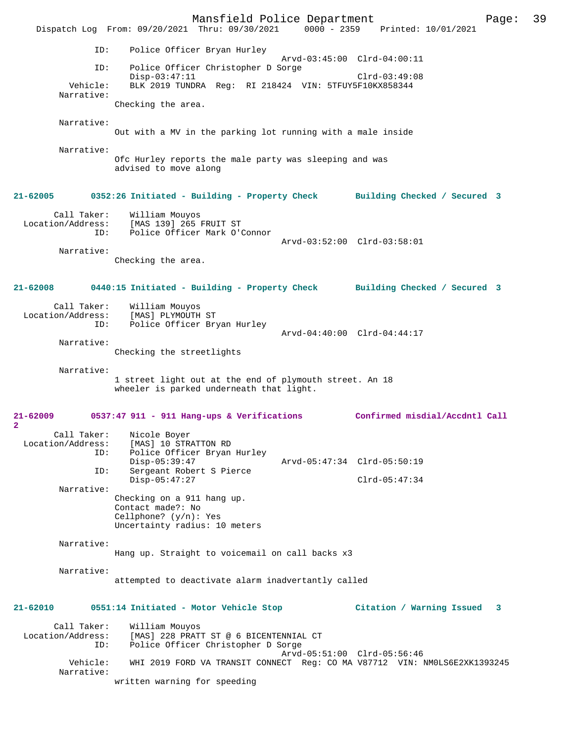Mansfield Police Department Page: 39 Dispatch Log From: 09/20/2021 Thru: 09/30/2021 ID: Police Officer Bryan Hurley Arvd-03:45:00 Clrd-04:00:11 ID: Police Officer Christopher D Sorge Disp-03:47:11 Clrd-03:49:08<br>Vehicle: BLK 2019 TUNDRA Req: RI 218424 VIN: 5TFUY5F10KX858344 BLK 2019 TUNDRA Reg: RI 218424 VIN: 5TFUY5F10KX858344 Narrative: Checking the area. Narrative: Out with a MV in the parking lot running with a male inside Narrative: Ofc Hurley reports the male party was sleeping and was advised to move along **21-62005 0352:26 Initiated - Building - Property Check Building Checked / Secured 3** Call Taker: William Mouyos Location/Address: [MAS 139] 265 FRUIT ST<br>ID: Police Officer Mark O'O Police Officer Mark O'Connor Arvd-03:52:00 Clrd-03:58:01 Narrative: Checking the area. **21-62008 0440:15 Initiated - Building - Property Check Building Checked / Secured 3** Call Taker: William Mouyos<br>Location/Address: [MAS] PLYMOUTH ess: [MAS] PLYMOUTH ST<br>ID: Police Officer Bry Police Officer Bryan Hurley Arvd-04:40:00 Clrd-04:44:17 Narrative: Checking the streetlights Narrative: 1 street light out at the end of plymouth street. An 18 wheeler is parked underneath that light. **21-62009 0537:47 911 - 911 Hang-ups & Verifications Confirmed misdial/Accdntl Call 2**  Call Taker: Nicole Boyer<br>Location/Address: [MAS] 10 STR [MAS] 10 STRATTON RD ID: Police Officer Bryan Hurley Disp-05:39:47 <br>
Disp-05:39:47 Arvd-05:47:34 Clrd-05:50:19<br>
Disp-organt Robert S Pierce Sergeant Robert S Pierce Disp-05:47:27 Clrd-05:47:34 Narrative: Checking on a 911 hang up. Contact made?: No Cellphone? (y/n): Yes Uncertainty radius: 10 meters Narrative: Hang up. Straight to voicemail on call backs x3 Narrative: attempted to deactivate alarm inadvertantly called **21-62010 0551:14 Initiated - Motor Vehicle Stop Citation / Warning Issued 3** Call Taker: William Mouyos<br>Location/Address: [MAS] 228 PRAT ess: [MAS] 228 PRATT ST @ 6 BICENTENNIAL CT<br>ID: Police Officer Christopher D Sorge Police Officer Christopher D Sorge Arvd-05:51:00 Clrd-05:56:46 Vehicle: WHI 2019 FORD VA TRANSIT CONNECT Reg: CO MA V87712 VIN: NM0LS6E2XK1393245 Narrative: written warning for speeding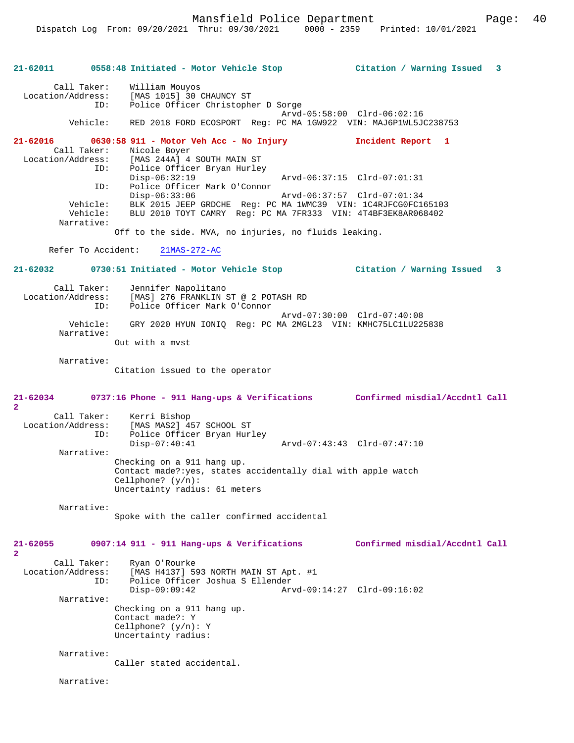Mansfield Police Department Form Page: 40

**21-62011 0558:48 Initiated - Motor Vehicle Stop Citation / Warning Issued 3** Call Taker: William Mouyos Location/Address: [MAS 1015] 30 CHAUNCY ST Police Officer Christopher D Sorge Arvd-05:58:00 Clrd-06:02:16 Vehicle: RED 2018 FORD ECOSPORT Reg: PC MA 1GW922 VIN: MAJ6P1WL5JC238753 **21-62016 0630:58 911 - Motor Veh Acc - No Injury Incident Report 1**  Call Taker: Nicole Boyer<br>Location/Address: [MAS 244A] 4 ess: [MAS 244A] 4 SOUTH MAIN ST<br>ID: Police Officer Bryan Hurley Police Officer Bryan Hurley<br>Disp-06:32:19 Disp-06:32:19 Arvd-06:37:15 Clrd-07:01:31<br>ID: Police Officer Mark O'Connor Police Officer Mark O'Connor<br>Disp-06:33:06 Disp-06:33:06 Arvd-06:37:57 Clrd-07:01:34 Vehicle: BLK 2015 JEEP GRDCHE Reg: PC MA 1WMC39 VIN: 1C4RJFCG0FC165103<br>Vehicle: BLU 2010 TOYT CAMRY Reg: PC MA 7FR333 VIN: 4T4BF3EK8AR068402 BLU 2010 TOYT CAMRY Reg: PC MA 7FR333 VIN: 4T4BF3EK8AR068402 Narrative: Off to the side. MVA, no injuries, no fluids leaking. Refer To Accident: 21MAS-272-AC **21-62032 0730:51 Initiated - Motor Vehicle Stop Citation / Warning Issued 3** Call Taker: Jennifer Napolitano<br>Location/Address: [MAS] 276 FRANKLIN 9 [MAS] 276 FRANKLIN ST @ 2 POTASH RD ID: Police Officer Mark O'Connor Arvd-07:30:00 Clrd-07:40:08 Vehicle: GRY 2020 HYUN IONIQ Reg: PC MA 2MGL23 VIN: KMHC75LC1LU225838 Narrative: Out with a mvst Narrative: Citation issued to the operator **21-62034 0737:16 Phone - 911 Hang-ups & Verifications Confirmed misdial/Accdntl Call 2**  Call Taker: Kerri Bishop<br>Location/Address: [MAS MAS2] 49 ess: [MAS MAS2] 457 SCHOOL ST<br>ID: Police Officer Bryan Hur Police Officer Bryan Hurley<br>Disp-07:40:41 Disp-07:40:41 Arvd-07:43:43 Clrd-07:47:10 Narrative: Checking on a 911 hang up. Contact made?:yes, states accidentally dial with apple watch Cellphone? (y/n): Uncertainty radius: 61 meters Narrative: Spoke with the caller confirmed accidental **21-62055 0907:14 911 - 911 Hang-ups & Verifications Confirmed misdial/Accdntl Call 2**  Call Taker: Ryan O'Rourke Location/Address: [MAS H4137] 593 NORTH MAIN ST Apt. #1 ID: Police Officer Joshua S Ellender Disp-09:09:42 Arvd-09:14:27 Clrd-09:16:02 Narrative: Checking on a 911 hang up. Contact made?: Y Cellphone? (y/n): Y Uncertainty radius: Narrative: Caller stated accidental.

Narrative: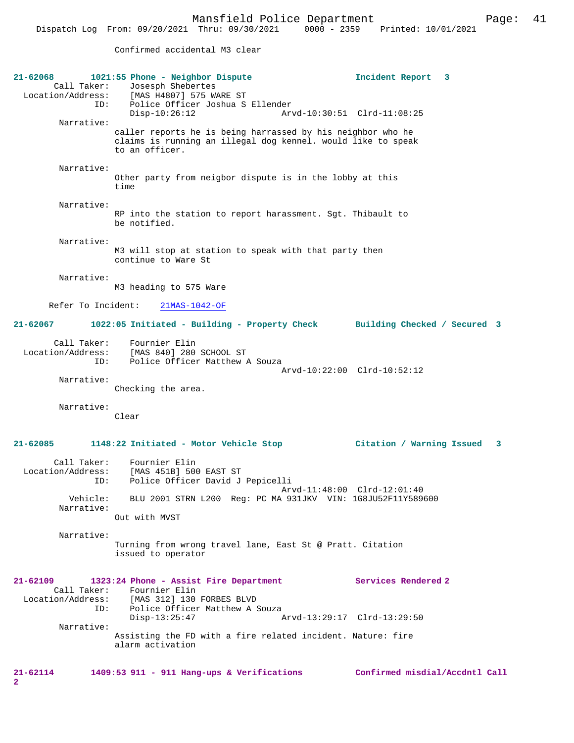Mansfield Police Department Fage: 41

Confirmed accidental M3 clear

| 21-62068                                | 1021:55 Phone - Neighbor Dispute<br>Call Taker: Josesph Shebertes<br>Location/Address: [MAS H4807] 575 WARE ST                                | Incident Report 3              |
|-----------------------------------------|-----------------------------------------------------------------------------------------------------------------------------------------------|--------------------------------|
| ID:<br>Narrative:                       | Police Officer Joshua S Ellender<br>$Disp-10:26:12$                                                                                           | Arvd-10:30:51 Clrd-11:08:25    |
|                                         | caller reports he is being harrassed by his neighbor who he<br>claims is running an illegal dog kennel. would like to speak<br>to an officer. |                                |
| Narrative:                              | Other party from neigbor dispute is in the lobby at this<br>time                                                                              |                                |
| Narrative:                              | RP into the station to report harassment. Sgt. Thibault to<br>be notified.                                                                    |                                |
| Narrative:                              | M3 will stop at station to speak with that party then<br>continue to Ware St                                                                  |                                |
| Narrative:                              | M3 heading to 575 Ware                                                                                                                        |                                |
|                                         | Refer To Incident: 21MAS-1042-OF                                                                                                              |                                |
| $21 - 62067$                            | 1022:05 Initiated - Building - Property Check Building Checked / Secured 3                                                                    |                                |
| Call Taker:<br>Location/Address:<br>ID: | Fournier Elin<br>[MAS 840] 280 SCHOOL ST<br>Police Officer Matthew A Souza                                                                    |                                |
| Narrative:                              | Checking the area.                                                                                                                            | Arvd-10:22:00 Clrd-10:52:12    |
| Narrative:                              | Clear                                                                                                                                         |                                |
| $21 - 62085$                            | 1148:22 Initiated - Motor Vehicle Stop                                                                                                        | Citation / Warning Issued 3    |
| Call Taker:<br>Location/Address:<br>ID: | Fournier Elin<br>[MAS 451B] 500 EAST ST<br>Police Officer David J Pepicelli                                                                   |                                |
| Vehicle:<br>Narrative:                  | BLU 2001 STRN L200 Req: PC MA 931JKV VIN: 1G8JU52F11Y589600                                                                                   | Arvd-11:48:00 Clrd-12:01:40    |
|                                         | Out with MVST                                                                                                                                 |                                |
| Narrative:                              | Turning from wrong travel lane, East St @ Pratt. Citation<br>issued to operator                                                               |                                |
| $21 - 62109$<br>Location/Address:       | 1323:24 Phone - Assist Fire Department<br>Call Taker: Fournier Elin<br>[MAS 312] 130 FORBES BLVD                                              | Services Rendered 2            |
| ID:                                     | Police Officer Matthew A Souza<br>$Disp-13:25:47$                                                                                             | Arvd-13:29:17 Clrd-13:29:50    |
| Narrative:                              | Assisting the FD with a fire related incident. Nature: fire<br>alarm activation                                                               |                                |
| 21-62114<br>2                           | 1409:53 911 - 911 Hang-ups & Verifications                                                                                                    | Confirmed misdial/Accdntl Call |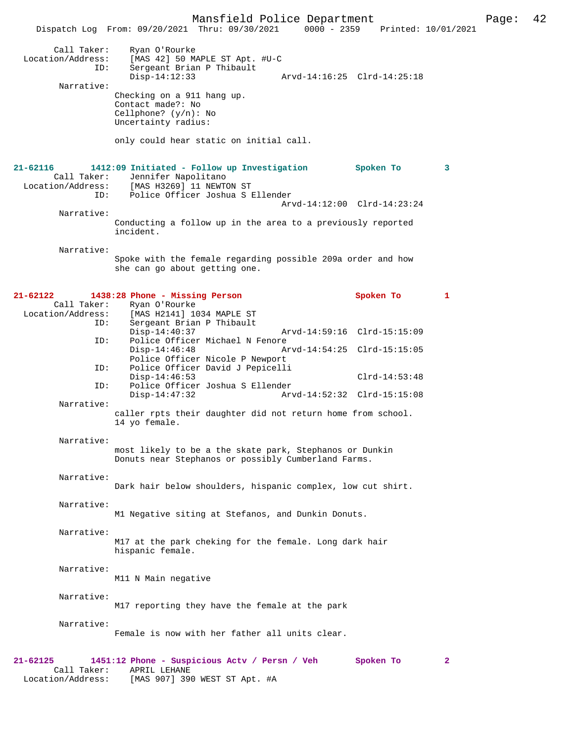Mansfield Police Department Page: 42 Dispatch Log From: 09/20/2021 Thru: 09/30/2021 Call Taker: Ryan O'Rourke Location/Address: [MAS 42] 50 MAPLE ST Apt. #U-C Sergeant Brian P Thibault<br>Disp-14:12:33 Disp-14:12:33 Arvd-14:16:25 Clrd-14:25:18 Narrative: Checking on a 911 hang up. Contact made?: No Cellphone? (y/n): No Uncertainty radius: only could hear static on initial call. **21-62116 1412:09 Initiated - Follow up Investigation Spoken To 3**  Call Taker: Jennifer Napolitano<br>Location/Address: [MAS H3269] 11 NEWTO ess: [MAS H3269] 11 NEWTON ST<br>ID: Police Officer Joshua S I Police Officer Joshua S Ellender Arvd-14:12:00 Clrd-14:23:24 Narrative: Conducting a follow up in the area to a previously reported incident. Narrative: Spoke with the female regarding possible 209a order and how she can go about getting one. **21-62122 1438:28 Phone - Missing Person Spoken To 1**  Call Taker: Ryan O'Rourke<br>Location/Address: [MAS H2141] 10 ess: [MAS H2141] 1034 MAPLE ST<br>ID: Sergeant Brian P Thibault Sergeant Brian P Thibault Disp-14:40:37 Arvd-14:59:16 Clrd-15:15:09<br>TD: Police Officer Michael N Fenore Police Officer Michael N Fenore<br>Disp-14:46:48 A Arvd-14:54:25 Clrd-15:15:05 Police Officer Nicole P Newport ID: Police Officer David J Pepicelli Disp-14:46:53<br>ID: Police Officer Joshua S Ellender<br>D: Police Officer Joshua S Ellender Police Officer Joshua S Ellender Disp-14:47:32 Arvd-14:52:32 Clrd-15:15:08 Narrative: caller rpts their daughter did not return home from school. 14 yo female. Narrative: most likely to be a the skate park, Stephanos or Dunkin Donuts near Stephanos or possibly Cumberland Farms. Narrative: Dark hair below shoulders, hispanic complex, low cut shirt. Narrative: M1 Negative siting at Stefanos, and Dunkin Donuts. Narrative: M17 at the park cheking for the female. Long dark hair hispanic female. Narrative: M11 N Main negative Narrative: M17 reporting they have the female at the park Narrative: Female is now with her father all units clear. **21-62125 1451:12 Phone - Suspicious Actv / Persn / Veh Spoken To 2**  Call Taker: APRIL LEHANE<br>Location/Address: [MAS 907] 390

[MAS 907] 390 WEST ST Apt. #A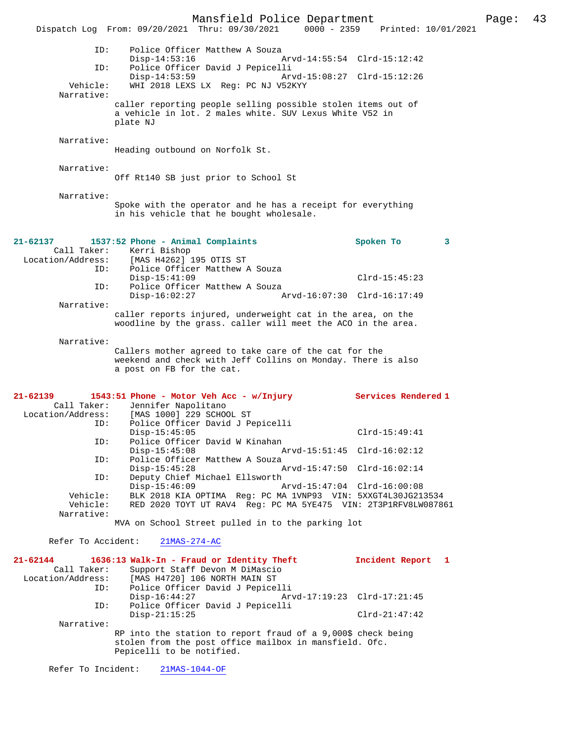Mansfield Police Department Page: 43 Dispatch Log From: 09/20/2021 Thru: 09/30/2021 0000 - 2359 ID: Police Officer Matthew A Souza Disp-14:53:16 Arvd-14:55:54 Clrd-15:12:42<br>TD: Police Officer David J Pepicelli Police Officer David J Pepicelli<br>Disp-14:53:59 Arv Disp-14:53:59 Arvd-15:08:27 Clrd-15:12:26<br>Vehicle: WHI 2018 LEXS LX Reg: PC NJ V52KYY WHI 2018 LEXS LX Reg: PC NJ V52KYY Narrative: caller reporting people selling possible stolen items out of a vehicle in lot. 2 males white. SUV Lexus White V52 in plate NJ Narrative: Heading outbound on Norfolk St. Narrative: Off Rt140 SB just prior to School St Narrative: Spoke with the operator and he has a receipt for everything in his vehicle that he bought wholesale. **21-62137 1537:52 Phone - Animal Complaints Spoken To 3**  Call Taker: Kerri Bishop<br>Location/Address: [MAS H4262] ess: [MAS H4262] 195 OTIS ST<br>ID: Police Officer Matthew 2 Police Officer Matthew A Souza Disp-15:41:09 Clrd-15:45:23 ID: Police Officer Matthew A Souza Disp-16:02:27 Arvd-16:07:30 Clrd-16:17:49 Narrative: caller reports injured, underweight cat in the area, on the woodline by the grass. caller will meet the ACO in the area. Narrative: Callers mother agreed to take care of the cat for the weekend and check with Jeff Collins on Monday. There is also a post on FB for the cat. **21-62139 1543:51 Phone - Motor Veh Acc - w/Injury Services Rendered 1**  Call Taker: Jennifer Napolitano<br>Location/Address: [MAS 1000] 229 SCHO ess: [MAS 1000] 229 SCHOOL ST<br>TD: Police Officer David J P Police Officer David J Pepicelli Disp-15:45:05 Clrd-15:49:41 ID: Police Officer David W Kinahan Disp-15:45:08 Arvd-15:51:45 Clrd-16:02:12<br>ID: Police Officer Matthew A Souza Police Officer Matthew A Souza<br>Disp-15:45:28  $\frac{1}{2}$ Disp-15:45:28 Arvd-15:47:50 Clrd-16:02:14<br>ID: Deputy Chief Michael Ellsworth Deputy Chief Michael Ellsworth Disp-15:46:09 Arvd-15:47:04 Clrd-16:00:08 Vehicle: BLK 2018 KIA OPTIMA Reg: PC MA 1VNP93 VIN: 5XXGT4L30JG213534 Vehicle: RED 2020 TOYT UT RAV4 Reg: PC MA 5YE475 VIN: 2T3P1RFV8LW087861 Narrative: MVA on School Street pulled in to the parking lot Refer To Accident: 21MAS-274-AC **21-62144 1636:13 Walk-In - Fraud or Identity Theft Incident Report 1**  Call Taker: Support Staff Devon M DiMascio Location/Address: [MAS H4720] 106 NORTH MAIN ST ID: Police Officer David J Pepicelli Arvd-17:19:23 Clrd-17:21:45 ID: Police Officer David J Pepicelli Disp-21:15:25 Clrd-21:47:42 Narrative: RP into the station to report fraud of a 9,000\$ check being stolen from the post office mailbox in mansfield. Ofc. Pepicelli to be notified. Refer To Incident: 21MAS-1044-OF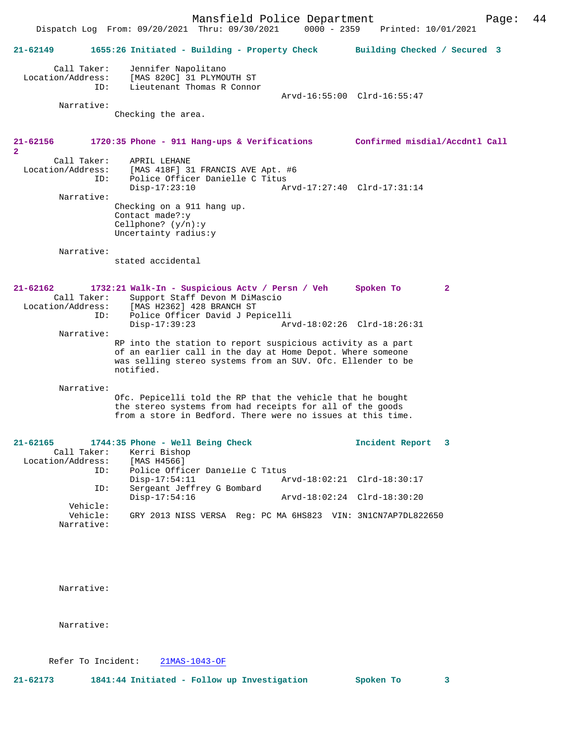Mansfield Police Department Page: 44 Dispatch Log From: 09/20/2021 Thru: 09/30/2021 **21-62149 1655:26 Initiated - Building - Property Check Building Checked / Secured 3** Call Taker: Jennifer Napolitano<br>Location/Address: [MAS 820C] 31 PLYMO [MAS 820C] 31 PLYMOUTH ST ID: Lieutenant Thomas R Connor Arvd-16:55:00 Clrd-16:55:47 Narrative: Checking the area. **21-62156 1720:35 Phone - 911 Hang-ups & Verifications Confirmed misdial/Accdntl Call 2**  Call Taker: APRIL LEHANE<br>Location/Address: [MAS 418F] 3 ess: [MAS 418F] 31 FRANCIS AVE Apt. #6<br>ID: Police Officer Danielle C Titus Police Officer Danielle C Titus<br>Disp-17:23:10 Ar Disp-17:23:10 Arvd-17:27:40 Clrd-17:31:14 Narrative: Checking on a 911 hang up. Contact made?:y Cellphone? (y/n):y Uncertainty radius:y Narrative: stated accidental **21-62162 1732:21 Walk-In - Suspicious Actv / Persn / Veh Spoken To 2**  Call Taker: Support Staff Devon M DiMascio Location/Address: [MAS H2362] 428 BRANCH ST<br>ID: Police Officer David J Per ID: Police Officer David J Pepicelli Disp-17:39:23 Arvd-18:02:26 Clrd-18:26:31 Narrative: RP into the station to report suspicious activity as a part of an earlier call in the day at Home Depot. Where someone was selling stereo systems from an SUV. Ofc. Ellender to be notified. Narrative: Ofc. Pepicelli told the RP that the vehicle that he bought the stereo systems from had receipts for all of the goods from a store in Bedford. There were no issues at this time. **21-62165 1744:35 Phone - Well Being Check Incident Report 3**  Call Taker: Kerri Bishop<br>.on/Address: [MAS H4566] Location/Address:<br>ID: Police Officer Danielle C Titus<br>Disp-17:54:11 A Disp-17:54:11 Arvd-18:02:21 Clrd-18:30:17<br>ID: Sergeant Jeffrey G Bombard Sergeant Jeffrey G Bombard<br>Disp-17:54:16 Disp-17:54:16 Arvd-18:02:24 Clrd-18:30:20 Vehicle:<br>Vehicle: GRY 2013 NISS VERSA Reg: PC MA 6HS823 VIN: 3N1CN7AP7DL822650 Narrative:

Narrative:

Narrative:

Refer To Incident: 21MAS-1043-OF

**21-62173 1841:44 Initiated - Follow up Investigation Spoken To 3**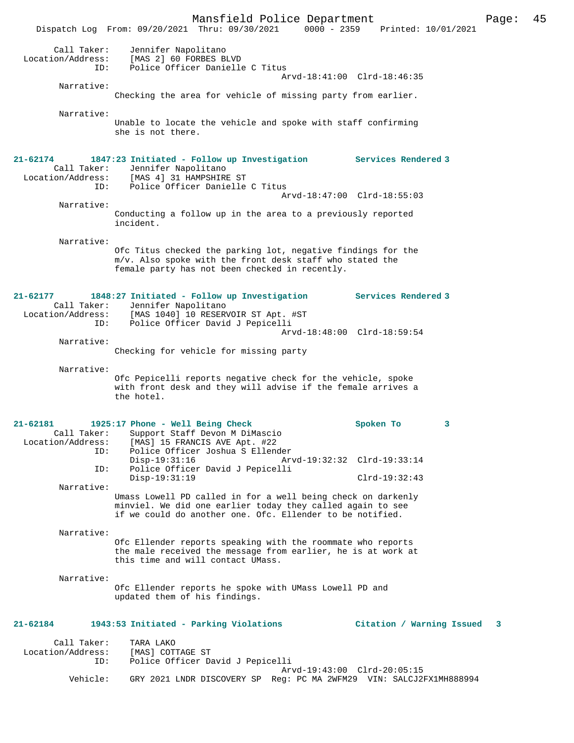Mansfield Police Department Page: 45 Dispatch Log From: 09/20/2021 Thru: 09/30/2021 0000 - 2359 Call Taker: Jennifer Napolitano Location/Address: [MAS 2] 60 FORBES BLVD Police Officer Danielle C Titus Arvd-18:41:00 Clrd-18:46:35 Narrative: Checking the area for vehicle of missing party from earlier. Narrative: Unable to locate the vehicle and spoke with staff confirming she is not there. **21-62174 1847:23 Initiated - Follow up Investigation Services Rendered 3**  Call Taker: Jennifer Napolitano Location/Address: [MAS 4] 31 HAMPSHIRE ST ID: Police Officer Danielle C Titus Arvd-18:47:00 Clrd-18:55:03 Narrative: Conducting a follow up in the area to a previously reported incident. Narrative: Ofc Titus checked the parking lot, negative findings for the m/v. Also spoke with the front desk staff who stated the female party has not been checked in recently. **21-62177 1848:27 Initiated - Follow up Investigation Services Rendered 3**  Call Taker: Jennifer Napolitano Location/Address: [MAS 1040] 10 RESERVOIR ST Apt. #ST ID: Police Officer David J Pepicelli Arvd-18:48:00 Clrd-18:59:54 Narrative: Checking for vehicle for missing party Narrative: Ofc Pepicelli reports negative check for the vehicle, spoke with front desk and they will advise if the female arrives a the hotel. **21-62181 1925:17 Phone - Well Being Check Spoken To 3**  Call Taker: Support Staff Devon M DiMascio<br>Location/Address: [MAS] 15 FRANCIS AVE Apt. #22 ess: [MAS] 15 FRANCIS AVE Apt. #22<br>ID: Police Officer Joshua S Ellend ID: Police Officer Joshua S Ellender Disp-19:31:16 Arvd-19:32:32 Clrd-19:33:14<br>ID: Police Officer David J Pepicelli Police Officer David J Pepicelli Disp-19:31:19 Clrd-19:32:43 Narrative: Umass Lowell PD called in for a well being check on darkenly minviel. We did one earlier today they called again to see if we could do another one. Ofc. Ellender to be notified. Narrative: Ofc Ellender reports speaking with the roommate who reports the male received the message from earlier, he is at work at this time and will contact UMass. Narrative: Ofc Ellender reports he spoke with UMass Lowell PD and updated them of his findings. **21-62184 1943:53 Initiated - Parking Violations Citation / Warning Issued 3** Call Taker: TARA LAKO<br>.on/Address: [MAS] COTTAGE ST Location/Address: ID: Police Officer David J Pepicelli Arvd-19:43:00 Clrd-20:05:15 Vehicle: GRY 2021 LNDR DISCOVERY SP Reg: PC MA 2WFM29 VIN: SALCJ2FX1MH888994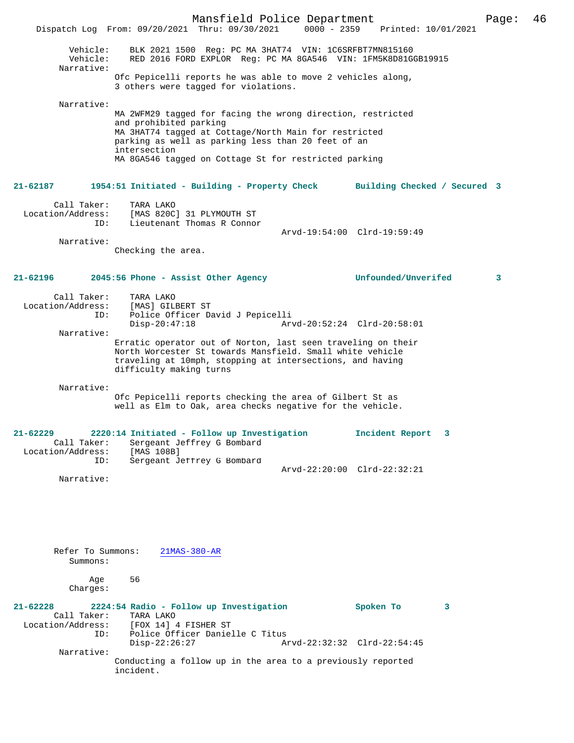Mansfield Police Department Page: 46 Dispatch Log From: 09/20/2021 Thru: 09/30/2021 Vehicle: BLK 2021 1500 Reg: PC MA 3HAT74 VIN: 1C6SRFBT7MN815160 Vehicle: RED 2016 FORD EXPLOR Reg: PC MA 8GA546 VIN: 1FM5K8D81GGB19915 Narrative: Ofc Pepicelli reports he was able to move 2 vehicles along, 3 others were tagged for violations. Narrative: MA 2WFM29 tagged for facing the wrong direction, restricted and prohibited parking MA 3HAT74 tagged at Cottage/North Main for restricted parking as well as parking less than 20 feet of an intersection MA 8GA546 tagged on Cottage St for restricted parking **21-62187 1954:51 Initiated - Building - Property Check Building Checked / Secured 3** Call Taker: TARA LAKO Location/Address: [MAS 820C] 31 PLYMOUTH ST Lieutenant Thomas R Connor Arvd-19:54:00 Clrd-19:59:49 Narrative: Checking the area. **21-62196 2045:56 Phone - Assist Other Agency Unfounded/Unverifed 3** Call Taker: TARA LAKO<br>ion/Address: [MAS] GILBERT ST Location/Address: ID: Police Officer David J Pepicelli Disp-20:47:18 Arvd-20:52:24 Clrd-20:58:01 Narrative: Erratic operator out of Norton, last seen traveling on their North Worcester St towards Mansfield. Small white vehicle traveling at 10mph, stopping at intersections, and having difficulty making turns Narrative: Ofc Pepicelli reports checking the area of Gilbert St as well as Elm to Oak, area checks negative for the vehicle. **21-62229 2220:14 Initiated - Follow up Investigation Incident Report 3**  Call Taker: Sergeant Jeffrey G Bombard<br>.on/Address: [MAS 108B] Location/Address:<br>ID: Sergeant Jeffrey G Bombard Arvd-22:20:00 Clrd-22:32:21 Narrative: Refer To Summons: 21MAS-380-AR Summons: Age 56 Charges: **21-62228 2224:54 Radio - Follow up Investigation Spoken To 3**  Call Taker: TARA LAKO<br>Location/Address: [FOX 14] SS: [FOX 14] 4 FISHER ST:<br>ID: Police Officer Daniel Police Officer Danielle C Titus<br>Disp-22:26:27 Am Arvd-22:32:32 Clrd-22:54:45 Narrative: Conducting a follow up in the area to a previously reported incident.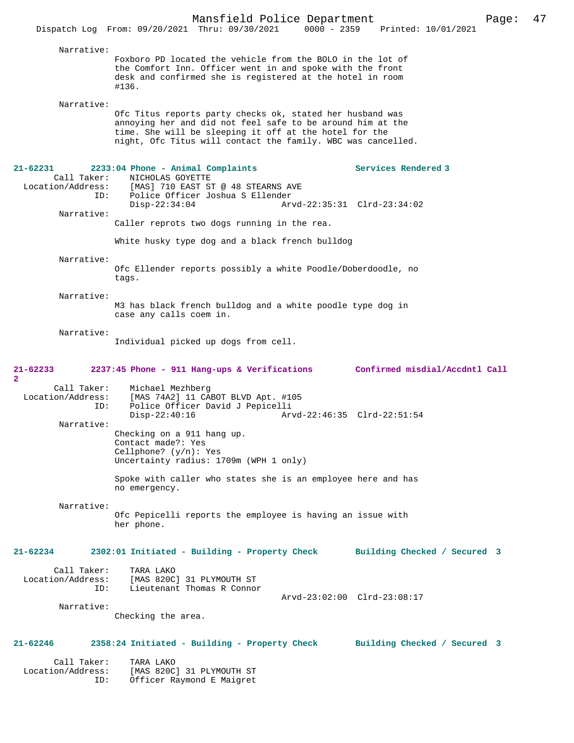| Narrative:                                   | Foxboro PD located the vehicle from the BOLO in the lot of<br>the Comfort Inn. Officer went in and spoke with the front<br>desk and confirmed she is registered at the hotel in room<br>#136.                                                     |                              |
|----------------------------------------------|---------------------------------------------------------------------------------------------------------------------------------------------------------------------------------------------------------------------------------------------------|------------------------------|
| Narrative:                                   | Ofc Titus reports party checks ok, stated her husband was<br>annoying her and did not feel safe to be around him at the<br>time. She will be sleeping it off at the hotel for the<br>night, Ofc Titus will contact the family. WBC was cancelled. |                              |
| 21-62231<br>Call Taker:<br>Location/Address: | 2233:04 Phone - Animal Complaints<br>NICHOLAS GOYETTE<br>[MAS] 710 EAST ST @ 48 STEARNS AVE                                                                                                                                                       | Services Rendered 3          |
|                                              | ID: Police Officer Joshua S Ellender<br>$Disp-22:34:04$                                                                                                                                                                                           | Arvd-22:35:31 Clrd-23:34:02  |
| Narrative:                                   | Caller reprots two dogs running in the rea.                                                                                                                                                                                                       |                              |
|                                              | White husky type dog and a black french bulldog                                                                                                                                                                                                   |                              |
| Narrative:                                   | Ofc Ellender reports possibly a white Poodle/Doberdoodle, no<br>tags.                                                                                                                                                                             |                              |
| Narrative:                                   | M3 has black french bulldog and a white poodle type dog in<br>case any calls coem in.                                                                                                                                                             |                              |
| Narrative:                                   | Individual picked up dogs from cell.                                                                                                                                                                                                              |                              |
| 21-62233<br>$\overline{a}$                   | 2237:45 Phone - 911 Hang-ups & Verifications Confirmed misdial/Accdntl Call                                                                                                                                                                       |                              |
| Call Taker:<br>ID:                           | Michael Mezhberg<br>Location/Address: [MAS 74A2] 11 CABOT BLVD Apt. #105<br>Police Officer David J Pepicelli<br>$Disp-22:40:16$                                                                                                                   | Arvd-22:46:35 Clrd-22:51:54  |
| Narrative:                                   | Checking on a 911 hang up.<br>Contact made?: Yes<br>Cellphone? $(y/n)$ : Yes<br>Uncertainty radius: 1709m (WPH 1 only)                                                                                                                            |                              |
|                                              | Spoke with caller who states she is an employee here and has<br>no emergency.                                                                                                                                                                     |                              |
| Narrative:                                   | Ofc Pepicelli reports the employee is having an issue with<br>her phone.                                                                                                                                                                          |                              |
| 21-62234                                     | 2302:01 Initiated - Building - Property Check                                                                                                                                                                                                     | Building Checked / Secured 3 |
| Call Taker:<br>Location/Address:<br>ID:      | TARA LAKO<br>[MAS 820C] 31 PLYMOUTH ST<br>Lieutenant Thomas R Connor                                                                                                                                                                              |                              |
| Narrative:                                   |                                                                                                                                                                                                                                                   | Arvd-23:02:00 Clrd-23:08:17  |
|                                              | Checking the area.                                                                                                                                                                                                                                |                              |
| 21-62246                                     | 2358:24 Initiated - Building - Property Check                                                                                                                                                                                                     | Building Checked / Secured 3 |
| Call Taker:<br>Location/Address:<br>ID:      | TARA LAKO<br>[MAS 820C] 31 PLYMOUTH ST<br>Officer Raymond E Maigret                                                                                                                                                                               |                              |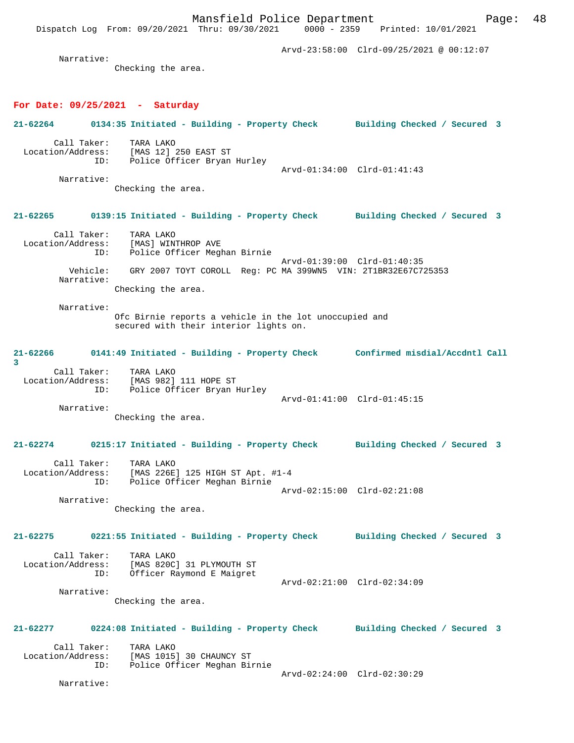Mansfield Police Department Fage: 48 Dispatch Log From: 09/20/2021 Thru: 09/30/2021 0000 - 2359 Printed: 10/01/2021 Arvd-23:58:00 Clrd-09/25/2021 @ 00:12:07 Narrative: Checking the area. **For Date: 09/25/2021 - Saturday 21-62264 0134:35 Initiated - Building - Property Check Building Checked / Secured 3** Call Taker: TARA LAKO Location/Address: [MAS 12] 250 EAST ST ID: Police Officer Bryan Hurley Arvd-01:34:00 Clrd-01:41:43 Narrative: Checking the area. **21-62265 0139:15 Initiated - Building - Property Check Building Checked / Secured 3** Call Taker: TARA LAKO Location/Address: [MAS] WINTHROP AVE ID: Police Officer Meghan Birnie Arvd-01:39:00 Clrd-01:40:35 Vehicle: GRY 2007 TOYT COROLL Reg: PC MA 399WN5 VIN: 2T1BR32E67C725353 Narrative: Checking the area. Narrative: Ofc Birnie reports a vehicle in the lot unoccupied and secured with their interior lights on. **21-62266 0141:49 Initiated - Building - Property Check Confirmed misdial/Accdntl Call 3**  Call Taker: TARA LAKO Location/Address: [MAS 982] 111 HOPE ST ID: Police Officer Bryan Hurley Arvd-01:41:00 Clrd-01:45:15 Narrative: Checking the area. **21-62274 0215:17 Initiated - Building - Property Check Building Checked / Secured 3** Call Taker: TARA LAKO Location/Address: [MAS 226E] 125 HIGH ST Apt. #1-4 ID: Police Officer Meghan Birnie Arvd-02:15:00 Clrd-02:21:08 Narrative: Checking the area. **21-62275 0221:55 Initiated - Building - Property Check Building Checked / Secured 3** Call Taker: TARA LAKO<br>Location/Address: [MAS 820C Location/Address: [MAS 820C] 31 PLYMOUTH ST ID: Officer Raymond E Maigret Arvd-02:21:00 Clrd-02:34:09 Narrative: Checking the area. **21-62277 0224:08 Initiated - Building - Property Check Building Checked / Secured 3** Call Taker: TARA LAKO<br>Location/Address: [MAS 1015 [MAS 1015] 30 CHAUNCY ST ID: Police Officer Meghan Birnie Arvd-02:24:00 Clrd-02:30:29 Narrative: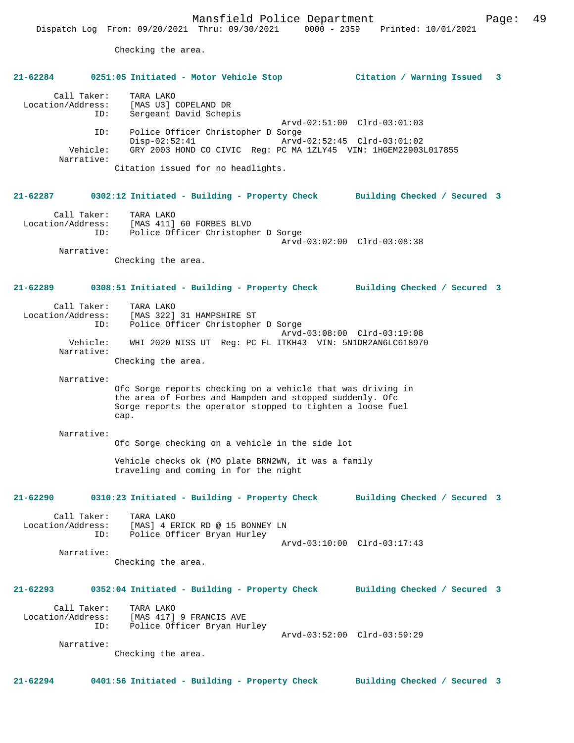Checking the area.

| $21 - 62284$                     |                               | 0251:05 Initiated - Motor Vehicle Stop                                                                                                                                                        | Citation / Warning Issued    | $\overline{\mathbf{3}}$ |
|----------------------------------|-------------------------------|-----------------------------------------------------------------------------------------------------------------------------------------------------------------------------------------------|------------------------------|-------------------------|
| Call Taker:<br>Location/Address: | ID:                           | TARA LAKO<br>[MAS U3] COPELAND DR<br>Sergeant David Schepis                                                                                                                                   | Arvd-02:51:00 Clrd-03:01:03  |                         |
|                                  | ID:<br>Vehicle:<br>Narrative: | Police Officer Christopher D Sorge<br>$Disp-02:52:41$<br>GRY 2003 HOND CO CIVIC Reg: PC MA 1ZLY45 VIN: 1HGEM22903L017855                                                                      | Arvd-02:52:45 Clrd-03:01:02  |                         |
|                                  |                               | Citation issued for no headlights.                                                                                                                                                            |                              |                         |
| 21-62287                         |                               | 0302:12 Initiated - Building - Property Check Building Checked / Secured 3                                                                                                                    |                              |                         |
| Call Taker:<br>Location/Address: | ID:                           | TARA LAKO<br>[MAS 411] 60 FORBES BLVD<br>Police Officer Christopher D Sorge                                                                                                                   | Arvd-03:02:00 Clrd-03:08:38  |                         |
|                                  | Narrative:                    |                                                                                                                                                                                               |                              |                         |
|                                  |                               | Checking the area.                                                                                                                                                                            |                              |                         |
| 21-62289                         |                               | 0308:51 Initiated - Building - Property Check Building Checked / Secured 3                                                                                                                    |                              |                         |
| Call Taker:<br>Location/Address: | ID:                           | TARA LAKO<br>[MAS 322] 31 HAMPSHIRE ST<br>Police Officer Christopher D Sorge                                                                                                                  | Arvd-03:08:00 Clrd-03:19:08  |                         |
|                                  | Vehicle:<br>Narrative:        | WHI 2020 NISS UT Reg: PC FL ITKH43 VIN: 5N1DR2AN6LC618970                                                                                                                                     |                              |                         |
|                                  |                               | Checking the area.                                                                                                                                                                            |                              |                         |
|                                  | Narrative:                    |                                                                                                                                                                                               |                              |                         |
|                                  |                               | Ofc Sorge reports checking on a vehicle that was driving in<br>the area of Forbes and Hampden and stopped suddenly. Ofc<br>Sorge reports the operator stopped to tighten a loose fuel<br>cap. |                              |                         |
|                                  | Narrative:                    | Ofc Sorge checking on a vehicle in the side lot                                                                                                                                               |                              |                         |
|                                  |                               | Vehicle checks ok (MO plate BRN2WN, it was a family<br>traveling and coming in for the night                                                                                                  |                              |                         |
| 21-62290                         |                               | 0310:23 Initiated - Building - Property Check                                                                                                                                                 | Building Checked / Secured 3 |                         |
| Call Taker:                      | ID:                           | TARA LAKO<br>Location/Address: [MAS] 4 ERICK RD @ 15 BONNEY LN<br>Police Officer Bryan Hurley                                                                                                 |                              |                         |
|                                  | Narrative:                    |                                                                                                                                                                                               | Arvd-03:10:00 Clrd-03:17:43  |                         |
|                                  |                               | Checking the area.                                                                                                                                                                            |                              |                         |
| 21-62293                         |                               | 0352:04 Initiated - Building - Property Check                                                                                                                                                 | Building Checked / Secured 3 |                         |
| Call Taker:                      | ID:                           | TARA LAKO<br>Location/Address: [MAS 417] 9 FRANCIS AVE<br>Police Officer Bryan Hurley                                                                                                         |                              |                         |
|                                  | Narrative:                    | Checking the area.                                                                                                                                                                            | Arvd-03:52:00 Clrd-03:59:29  |                         |
|                                  |                               |                                                                                                                                                                                               |                              |                         |
| $21 - 62294$                     |                               | 0401:56 Initiated - Building - Property Check                                                                                                                                                 | Building Checked / Secured 3 |                         |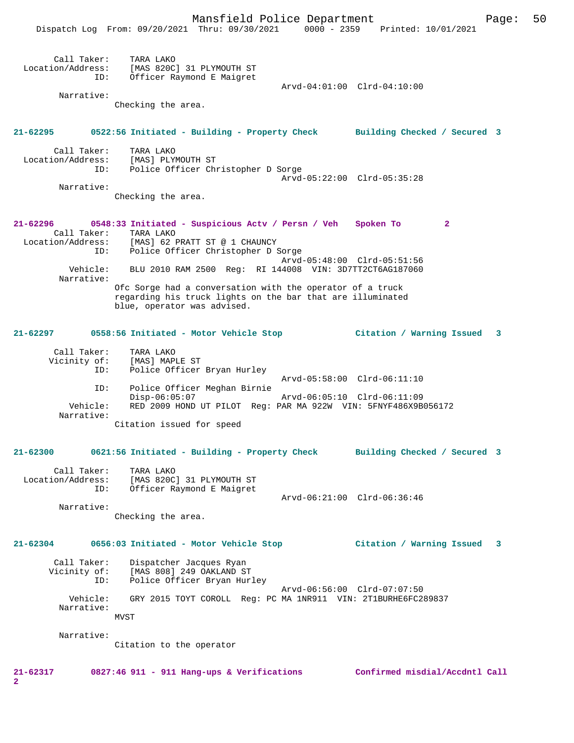|                                         | Mansfield Police Department<br>$0000 - 2359$<br>Dispatch Log From: 09/20/2021 Thru: 09/30/2021 | Page:<br>Printed: 10/01/2021   | 50 |
|-----------------------------------------|------------------------------------------------------------------------------------------------|--------------------------------|----|
|                                         |                                                                                                |                                |    |
| Call Taker:<br>Location/Address:<br>ID: | TARA LAKO<br>[MAS 820C] 31 PLYMOUTH ST<br>Officer Raymond E Maigret                            |                                |    |
|                                         |                                                                                                | Arvd-04:01:00 Clrd-04:10:00    |    |
| Narrative:                              | Checking the area.                                                                             |                                |    |
| 21-62295                                |                                                                                                |                                |    |
|                                         | 0522:56 Initiated - Building - Property Check                                                  | Building Checked / Secured 3   |    |
| Call Taker:<br>Location/Address:        | TARA LAKO<br>[MAS] PLYMOUTH ST                                                                 |                                |    |
| ID:                                     | Police Officer Christopher D Sorge                                                             | Arvd-05:22:00 Clrd-05:35:28    |    |
| Narrative:                              |                                                                                                |                                |    |
|                                         | Checking the area.                                                                             |                                |    |
| $21 - 62296$                            | 0548:33 Initiated - Suspicious Actv / Persn / Veh Spoken To                                    | $\mathbf{2}$                   |    |
| Call Taker:                             | TARA LAKO<br>Location/Address: [MAS] 62 PRATT ST @ 1 CHAUNCY                                   |                                |    |
| ID:                                     | Police Officer Christopher D Sorge                                                             |                                |    |
| Vehicle:                                | BLU 2010 RAM 2500 Req: RI 144008 VIN: 3D7TT2CT6AG187060                                        | Arvd-05:48:00 Clrd-05:51:56    |    |
| Narrative:                              | Ofc Sorge had a conversation with the operator of a truck                                      |                                |    |
|                                         | regarding his truck lights on the bar that are illuminated<br>blue, operator was advised.      |                                |    |
| $21 - 62297$                            | 0558:56 Initiated - Motor Vehicle Stop                                                         | Citation / Warning Issued<br>3 |    |
| Call Taker:                             | TARA LAKO                                                                                      |                                |    |
| Vicinity of:<br>ID:                     | [MAS] MAPLE ST<br>Police Officer Bryan Hurley                                                  |                                |    |
|                                         |                                                                                                | Arvd-05:58:00 Clrd-06:11:10    |    |
| ID:                                     | Police Officer Meghan Birnie<br>$Disp-06:05:07$                                                | Arvd-06:05:10 Clrd-06:11:09    |    |
| Vehicle:                                | RED 2009 HOND UT PILOT Req: PAR MA 922W VIN: 5FNYF486X9B056172                                 |                                |    |
| Narrative:                              | Citation issued for speed                                                                      |                                |    |
| $21 - 62300$                            | 0621:56 Initiated - Building - Property Check                                                  | Building Checked / Secured 3   |    |
|                                         |                                                                                                |                                |    |
| Call Taker:<br>Location/Address:        | TARA LAKO<br>[MAS 820C] 31 PLYMOUTH ST                                                         |                                |    |
| ID:                                     | Officer Raymond E Maigret                                                                      |                                |    |
|                                         |                                                                                                | Arvd-06:21:00 Clrd-06:36:46    |    |
| Narrative:                              | Checking the area.                                                                             |                                |    |
| 21-62304                                | 0656:03 Initiated - Motor Vehicle Stop                                                         | 3                              |    |
|                                         |                                                                                                | Citation / Warning Issued      |    |
| Call Taker:<br>Vicinity of:<br>ID:      | Dispatcher Jacques Ryan<br>[MAS 808] 249 OAKLAND ST<br>Police Officer Bryan Hurley             |                                |    |
| Vehicle:                                | GRY 2015 TOYT COROLL Reg: PC MA 1NR911 VIN: 2T1BURHE6FC289837                                  | Arvd-06:56:00 Clrd-07:07:50    |    |
| Narrative:                              | MVST                                                                                           |                                |    |
| Narrative:                              |                                                                                                |                                |    |
|                                         | Citation to the operator                                                                       |                                |    |
| $21 - 62317$                            | 0827:46 911 - 911 Hang-ups & Verifications                                                     | Confirmed misdial/Accdntl Call |    |

**2**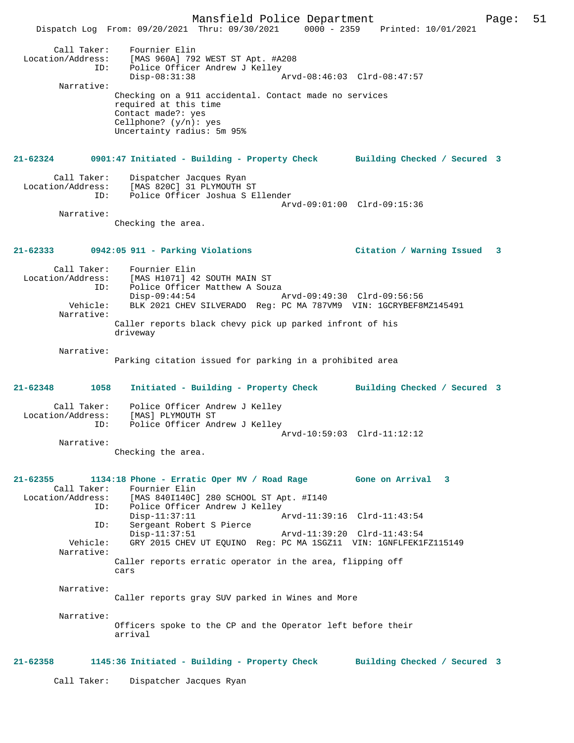Mansfield Police Department Page: 51 Dispatch Log From: 09/20/2021 Thru: 09/30/2021 0000 - 2359 Printed: 10/01/2021 Call Taker: Fournier Elin Location/Address: [MAS 960A] 792 WEST ST Apt. #A208 ID: Police Officer Andrew J Kelley<br>Disp-08:31:38 Arvd-08:46:03 Clrd-08:47:57 Narrative: Checking on a 911 accidental. Contact made no services required at this time Contact made?: yes Cellphone? (y/n): yes Uncertainty radius: 5m 95% **21-62324 0901:47 Initiated - Building - Property Check Building Checked / Secured 3** Call Taker: Dispatcher Jacques Ryan Location/Address: [MAS 820C] 31 PLYMOUTH ST ID: Police Officer Joshua S Ellender Arvd-09:01:00 Clrd-09:15:36 Narrative: Checking the area. **21-62333 0942:05 911 - Parking Violations Citation / Warning Issued 3** Call Taker: Fournier Elin Location/Address: [MAS H1071] 42 SOUTH MAIN ST Police Officer Matthew A Souza Disp-09:44:54 Arvd-09:49:30 Clrd-09:56:56<br>Vehicle: BLK 2021 CHEV SILVERADO Reg: PC MA 787VM9 VIN: 1GCRYBEE8 BLK 2021 CHEV SILVERADO Reg: PC MA 787VM9 VIN: 1GCRYBEF8MZ145491 Narrative: Caller reports black chevy pick up parked infront of his driveway Narrative: Parking citation issued for parking in a prohibited area **21-62348 1058 Initiated - Building - Property Check Building Checked / Secured 3** Call Taker: Police Officer Andrew J Kelley Location/Address: [MAS] PLYMOUTH ST ID: Police Officer Andrew J Kelley Arvd-10:59:03 Clrd-11:12:12 Narrative: Checking the area. **21-62355 1134:18 Phone - Erratic Oper MV / Road Rage Gone on Arrival 3**  Call Taker: Fournier Elin Location/Address: [MAS 840I140C] 280 SCHOOL ST Apt. #I140 ID: Police Officer Andrew J Kelley<br>Disp-11:37:11 P Disp-11:37:11 <br>Th: Sergeant Robert S Pierce <br>Displacement Robert S Pierce Sergeant Robert S Pierce Disp-11:37:51 Arvd-11:39:20 Clrd-11:43:54 Vehicle: GRY 2015 CHEV UT EQUINO Reg: PC MA 1SGZ11 VIN: 1GNFLFEK1FZ115149 Narrative: Caller reports erratic operator in the area, flipping off cars Narrative: Caller reports gray SUV parked in Wines and More Narrative: Officers spoke to the CP and the Operator left before their arrival **21-62358 1145:36 Initiated - Building - Property Check Building Checked / Secured 3** Call Taker: Dispatcher Jacques Ryan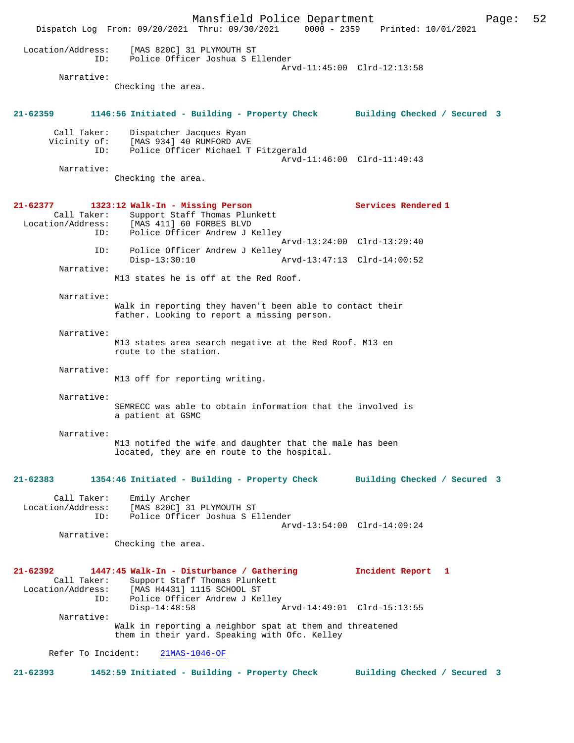Mansfield Police Department Page: 52 Dispatch Log From: 09/20/2021 Thru: 09/30/2021 0000 - 2359 Printed: 10/01/2021 Location/Address: [MAS 820C] 31 PLYMOUTH ST ID: Police Officer Joshua S Ellender Arvd-11:45:00 Clrd-12:13:58 Narrative: Checking the area. **21-62359 1146:56 Initiated - Building - Property Check Building Checked / Secured 3** Call Taker: Dispatcher Jacques Ryan Vicinity of: [MAS 934] 40 RUMFORD AVE ID: Police Officer Michael T Fitzgerald Arvd-11:46:00 Clrd-11:49:43 Narrative: Checking the area. **21-62377 1323:12 Walk-In - Missing Person Services Rendered 1**  Call Taker: Support Staff Thomas Plunkett<br>Location/Address: [MAS 411] 60 FORBES BLVD ess: [MAS 411] 60 FORBES BLVD<br>ID: Police Officer Andrew J P Police Officer Andrew J Kelley Arvd-13:24:00 Clrd-13:29:40 ID: Police Officer Andrew J Kelley<br>Disp-13:30:10 Arvd-13:47:13 Clrd-14:00:52 Narrative: M13 states he is off at the Red Roof. Narrative: Walk in reporting they haven't been able to contact their father. Looking to report a missing person. Narrative: M13 states area search negative at the Red Roof. M13 en route to the station. Narrative: M13 off for reporting writing. Narrative: SEMRECC was able to obtain information that the involved is a patient at GSMC Narrative: M13 notifed the wife and daughter that the male has been located, they are en route to the hospital. **21-62383 1354:46 Initiated - Building - Property Check Building Checked / Secured 3** Call Taker: Emily Archer Location/Address: [MAS 820C] 31 PLYMOUTH ST ID: Police Officer Joshua S Ellender Arvd-13:54:00 Clrd-14:09:24 Narrative: Checking the area. **21-62392 1447:45 Walk-In - Disturbance / Gathering Incident Report 1**  Call Taker: Support Staff Thomas Plunkett<br>Location/Address: [MAS H4431] 1115 SCHOOL ST ess: [MAS H4431] 1115 SCHOOL ST<br>ID: Police Officer Andrew J Kel Police Officer Andrew J Kelley Disp-14:48:58 Arvd-14:49:01 Clrd-15:13:55 Narrative: Walk in reporting a neighbor spat at them and threatened them in their yard. Speaking with Ofc. Kelley Refer To Incident: 21MAS-1046-OF **21-62393 1452:59 Initiated - Building - Property Check Building Checked / Secured 3**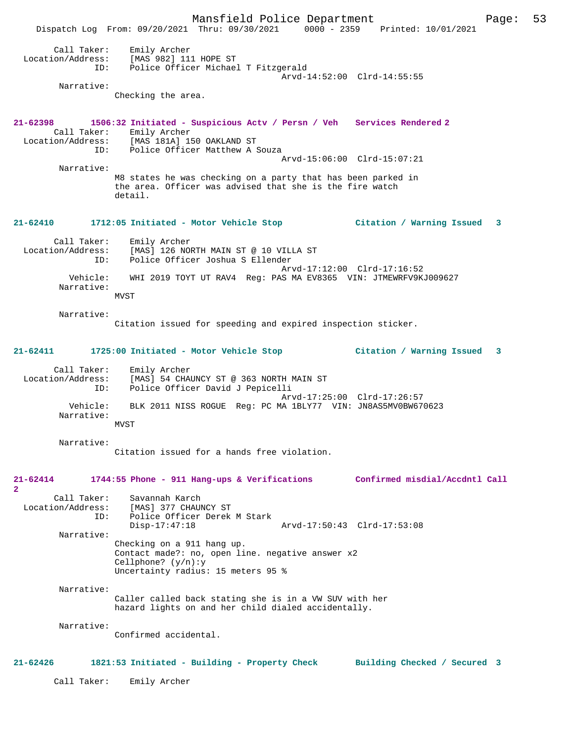Mansfield Police Department Page: 53 Dispatch Log From: 09/20/2021 Thru: 09/30/2021 0000 - 2359 Printed: 10/01/2021 Call Taker: Emily Archer Location/Address: [MAS 982] 111 HOPE ST ID: Police Officer Michael T Fitzgerald Arvd-14:52:00 Clrd-14:55:55 Narrative: Checking the area. **21-62398 1506:32 Initiated - Suspicious Actv / Persn / Veh Services Rendered 2**  Call Taker: Emily Archer<br>Location/Address: [MAS 181A] 19 ess: [MAS 181A] 150 OAKLAND ST<br>TD: Police Officer Matthew A : Police Officer Matthew A Souza Arvd-15:06:00 Clrd-15:07:21 Narrative: M8 states he was checking on a party that has been parked in the area. Officer was advised that she is the fire watch detail. **21-62410 1712:05 Initiated - Motor Vehicle Stop Citation / Warning Issued 3** Call Taker: Emily Archer Location/Address: [MAS] 126 NORTH MAIN ST @ 10 VILLA ST ID: Police Officer Joshua S Ellender Arvd-17:12:00 Clrd-17:16:52 Vehicle: WHI 2019 TOYT UT RAV4 Reg: PAS MA EV8365 VIN: JTMEWRFV9KJ009627 Narrative: MVST Narrative: Citation issued for speeding and expired inspection sticker. **21-62411 1725:00 Initiated - Motor Vehicle Stop Citation / Warning Issued 3** Call Taker: Emily Archer Location/Address: [MAS] 54 CHAUNCY ST @ 363 NORTH MAIN ST ID: Police Officer David J Pepicelli Arvd-17:25:00 Clrd-17:26:57<br>Vehicle: BLK 2011 NISS ROGUE Reg: PC MA 1BLY77 VIN: JN8AS5MV0BW670 BLK 2011 NISS ROGUE Reg: PC MA 1BLY77 VIN: JN8AS5MV0BW670623 Narrative: MVST Narrative: Citation issued for a hands free violation. **21-62414 1744:55 Phone - 911 Hang-ups & Verifications Confirmed misdial/Accdntl Call 2**  Call Taker: Savannah Karch Location/Address: [MAS] 377 CHAUNCY ST ID: Police Officer Derek M Stark Disp-17:47:18 Arvd-17:50:43 Clrd-17:53:08 Narrative: Checking on a 911 hang up. Contact made?: no, open line. negative answer x2 Cellphone? (y/n):y Uncertainty radius: 15 meters 95 % Narrative: Caller called back stating she is in a VW SUV with her hazard lights on and her child dialed accidentally. Narrative: Confirmed accidental. **21-62426 1821:53 Initiated - Building - Property Check Building Checked / Secured 3** Call Taker: Emily Archer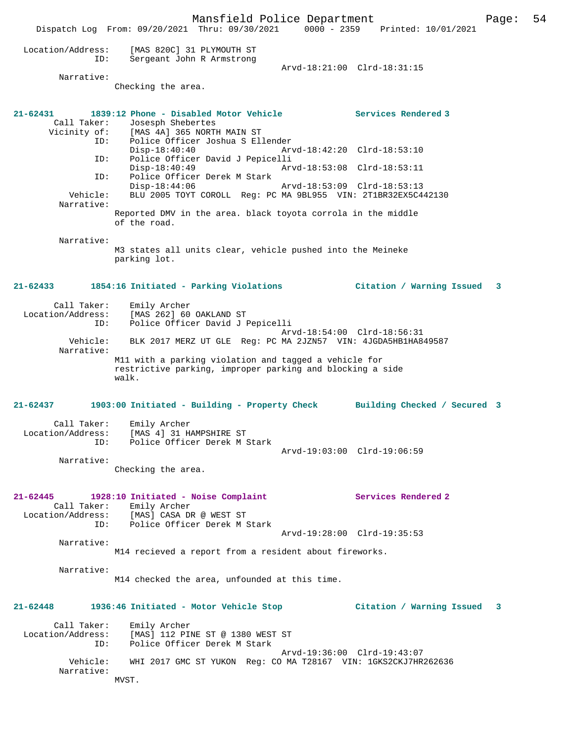Mansfield Police Department Page: 54 Dispatch Log From: 09/20/2021 Thru: 09/30/2021 0000 - 2359 Printed: 10/01/2021 Location/Address: [MAS 820C] 31 PLYMOUTH ST ID: Sergeant John R Armstrong Arvd-18:21:00 Clrd-18:31:15 Narrative: Checking the area. **21-62431 1839:12 Phone - Disabled Motor Vehicle Services Rendered 3**  Call Taker: Josesph Shebertes Vicinity of: [MAS 4A] 365 NORTH MAIN ST ID: Police Officer Joshua S Ellender Disp-18:40:40 Arvd-18:42:20 Clrd-18:53:10<br>ID: Police Officer David J Pepicelli Police Officer David J Pepicelli<br>Disp-18:40:49 Arv Arvd-18:53:08 Clrd-18:53:11 ID: Police Officer Derek M Stark Disp-18:44:06 Arvd-18:53:09 Clrd-18:53:13<br>Vehicle: BLU 2005 TOYT COROLL Req: PC MA 9BL955 VIN: 2T1BR32EX5C4 BLU 2005 TOYT COROLL Reg: PC MA 9BL955 VIN: 2T1BR32EX5C442130 Narrative: Reported DMV in the area. black toyota corrola in the middle of the road. Narrative: M3 states all units clear, vehicle pushed into the Meineke parking lot. **21-62433 1854:16 Initiated - Parking Violations Citation / Warning Issued 3** Call Taker: Emily Archer Location/Address: [MAS 262] 60 OAKLAND ST ID: Police Officer David J Pepicelli Arvd-18:54:00 Clrd-18:56:31 Vehicle: BLK 2017 MERZ UT GLE Reg: PC MA 2JZN57 VIN: 4JGDA5HB1HA849587 Narrative: M11 with a parking violation and tagged a vehicle for restrictive parking, improper parking and blocking a side walk. **21-62437 1903:00 Initiated - Building - Property Check Building Checked / Secured 3** Call Taker: Emily Archer Location/Address: [MAS 4] 31 HAMPSHIRE ST Police Officer Derek M Stark Arvd-19:03:00 Clrd-19:06:59 Narrative: Checking the area. **21-62445 1928:10 Initiated - Noise Complaint Services Rendered 2**  Call Taker: Emily Archer<br>Location/Address: [MAS] CASA DE ess: [MAS] CASA DR @ WEST ST<br>TD: Police Officer Derek M : Police Officer Derek M Stark Arvd-19:28:00 Clrd-19:35:53 Narrative: M14 recieved a report from a resident about fireworks. Narrative: M14 checked the area, unfounded at this time. **21-62448 1936:46 Initiated - Motor Vehicle Stop Citation / Warning Issued 3** Call Taker: Emily Archer<br>Location/Address: [MAS] 112 PII ess: [MAS] 112 PINE ST @ 1380 WEST ST<br>ID: Police Officer Derek M Stark Police Officer Derek M Stark Arvd-19:36:00 Clrd-19:43:07<br>Vebicle: WHI 2017 GMC ST YUKON Req: CO MA T28167 VIN: 1GKS2CKJ7HR WHI 2017 GMC ST YUKON Reg: CO MA T28167 VIN: 1GKS2CKJ7HR262636 Narrative: MVST.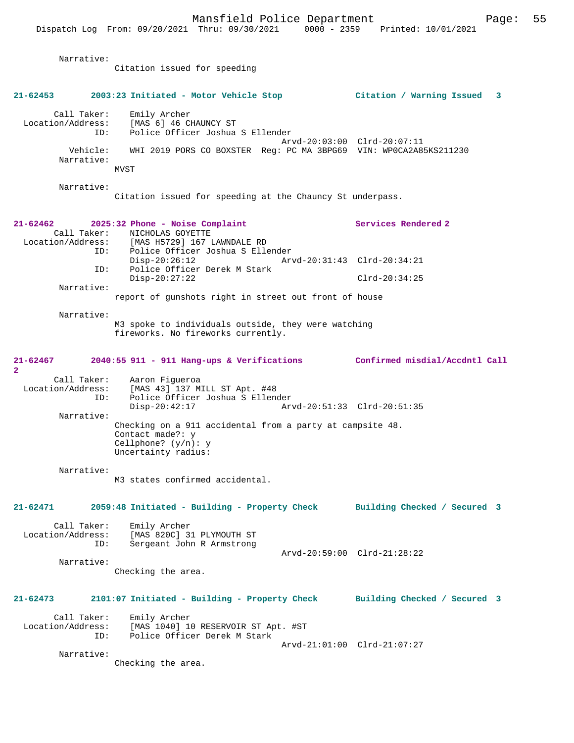Narrative: Citation issued for speeding **21-62453 2003:23 Initiated - Motor Vehicle Stop Citation / Warning Issued 3** Call Taker: Emily Archer Location/Address: [MAS 6] 46 CHAUNCY ST Police Officer Joshua S Ellender Arvd-20:03:00 Clrd-20:07:11 Vehicle: WHI 2019 PORS CO BOXSTER Reg: PC MA 3BPG69 VIN: WP0CA2A85KS211230 Narrative: MVST Narrative: Citation issued for speeding at the Chauncy St underpass. **21-62462 2025:32 Phone - Noise Complaint Services Rendered 2**  Call Taker: NICHOLAS GOYETTE<br>Location/Address: [MAS H5729] 167 I ess: [MAS H5729] 167 LAWNDALE RD<br>ID: Police Officer Joshua S Elle ID: Police Officer Joshua S Ellender Disp-20:26:12 Arvd-20:31:43 Clrd-20:34:21<br>ID: Police Officer Derek M Stark Police Officer Derek M Stark Disp-20:27:22 Clrd-20:34:25 Narrative: report of gunshots right in street out front of house Narrative: M3 spoke to individuals outside, they were watching fireworks. No fireworks currently. **21-62467 2040:55 911 - 911 Hang-ups & Verifications Confirmed misdial/Accdntl Call**  $\mathbf{2}$ Call Taker: Aaron Figueroa<br>Location/Address: [MAS 43] 137 M ess: [MAS 43] 137 MILL ST Apt. #48<br>ID: Police Officer Joshua S Ellen Police Officer Joshua S Ellender<br>Disp-20:42:17 Arv Disp-20:42:17 Arvd-20:51:33 Clrd-20:51:35 Narrative: Checking on a 911 accidental from a party at campsite 48. Contact made?: y Cellphone? (y/n): y Uncertainty radius: Narrative: M3 states confirmed accidental. **21-62471 2059:48 Initiated - Building - Property Check Building Checked / Secured 3** Call Taker: Emily Archer<br>Location/Address: [MAS 820C] 3 [MAS 820C] 31 PLYMOUTH ST ID: Sergeant John R Armstrong Arvd-20:59:00 Clrd-21:28:22 Narrative: Checking the area. **21-62473 2101:07 Initiated - Building - Property Check Building Checked / Secured 3** Call Taker: Emily Archer<br>Location/Address: [MAS 1040] 1 [MAS 1040] 10 RESERVOIR ST Apt. #ST ID: Police Officer Derek M Stark Arvd-21:01:00 Clrd-21:07:27 Narrative: Checking the area.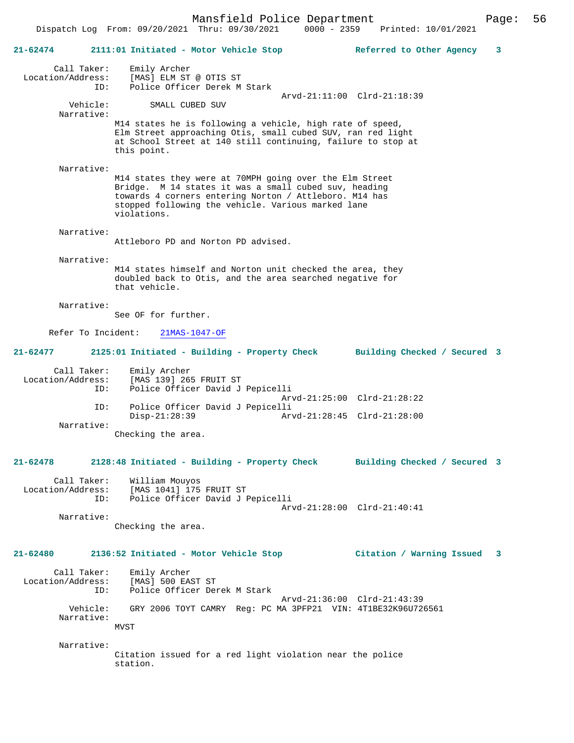Mansfield Police Department Page: 56 Dispatch Log From: 09/20/2021 Thru: 09/30/2021 0000 - 2359 **21-62474 2111:01 Initiated - Motor Vehicle Stop Referred to Other Agency 3** Call Taker: Emily Archer Location/Address: [MAS] ELM ST @ OTIS ST ID: Police Officer Derek M Stark Arvd-21:11:00 Clrd-21:18:39 SMALL CUBED SUV Narrative: M14 states he is following a vehicle, high rate of speed, Elm Street approaching Otis, small cubed SUV, ran red light at School Street at 140 still continuing, failure to stop at this point. Narrative: M14 states they were at 70MPH going over the Elm Street Bridge. M 14 states it was a small cubed suv, heading towards 4 corners entering Norton / Attleboro. M14 has stopped following the vehicle. Various marked lane violations. Narrative: Attleboro PD and Norton PD advised. Narrative: M14 states himself and Norton unit checked the area, they doubled back to Otis, and the area searched negative for that vehicle. Narrative: See OF for further. Refer To Incident: 21MAS-1047-OF **21-62477 2125:01 Initiated - Building - Property Check Building Checked / Secured 3** Call Taker: Emily Archer<br>Location/Address: [MAS 139] 26 ess: [MAS 139] 265 FRUIT ST<br>ID: Police Officer David J Police Officer David J Pepicelli Arvd-21:25:00 Clrd-21:28:22<br>ID: Police Officer David J Pepicelli Police Officer David J Pepicelli<br>Disp-21:28:39 Arv Disp-21:28:39 Arvd-21:28:45 Clrd-21:28:00 Narrative: Checking the area. **21-62478 2128:48 Initiated - Building - Property Check Building Checked / Secured 3** Call Taker: William Mouyos<br>Location/Address: [MAS 1041] 175 ess: [MAS 1041] 175 FRUIT ST:<br>ID: Police Officer David JJ Police Officer David J Pepicelli Arvd-21:28:00 Clrd-21:40:41 Narrative: Checking the area.

**21-62480 2136:52 Initiated - Motor Vehicle Stop Citation / Warning Issued 3**

Call Taker: Emily Archer<br>ion/Address: [MAS] 500 EAST ST Location/Address:<br>TD: Police Officer Derek M Stark Arvd-21:36:00 Clrd-21:43:39<br>Vehicle: GRY 2006 TOYT CAMRY Req: PC MA 3PFP21 VIN: 4T1BE32K96U72 GRY 2006 TOYT CAMRY Reg: PC MA 3PFP21 VIN: 4T1BE32K96U726561 Narrative: MVST

 Narrative: Citation issued for a red light violation near the police station.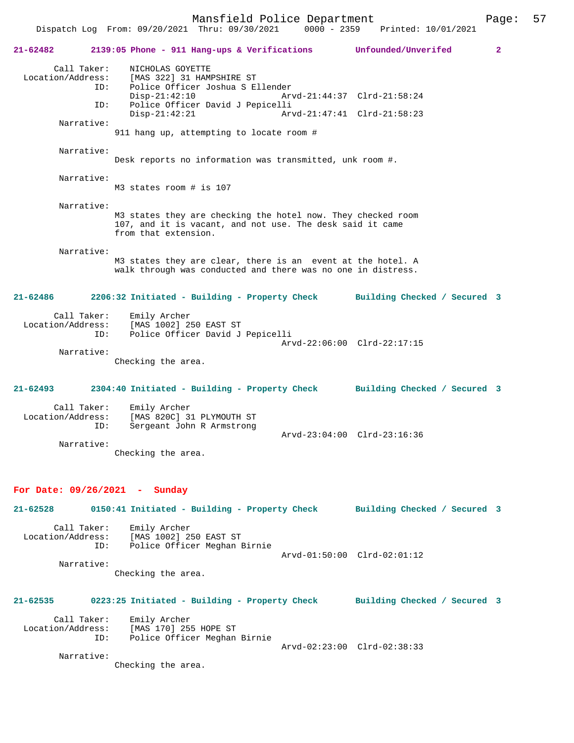Mansfield Police Department Form Page: 57

 Dispatch Log From: 09/20/2021 Thru: 09/30/2021 0000 - 2359 Printed: 10/01/2021 **21-62482 2139:05 Phone - 911 Hang-ups & Verifications Unfounded/Unverifed 2** Call Taker: <br> NICHOLAS GOYETTE<br>
Location/Address: [MAS 322] 31 HAM ess: [MAS 322] 31 HAMPSHIRE ST<br>ID: Police Officer Joshua S E] Police Officer Joshua S Ellender Disp-21:42:10 Arvd-21:44:37 Clrd-21:58:24<br>TD: Police Officer David J Pepicelli ID: Police Officer David J Pepicelli Disp-21:42:21 Arvd-21:47:41 Clrd-21:58:23 Narrative: 911 hang up, attempting to locate room # Narrative: Desk reports no information was transmitted, unk room #. Narrative: M3 states room # is 107 Narrative: M3 states they are checking the hotel now. They checked room 107, and it is vacant, and not use. The desk said it came from that extension. Narrative: M3 states they are clear, there is an event at the hotel. A walk through was conducted and there was no one in distress. **21-62486 2206:32 Initiated - Building - Property Check Building Checked / Secured 3** Call Taker: Emily Archer Location/Address: [MAS 1002] 250 EAST ST ID: Police Officer David J Pepicelli Arvd-22:06:00 Clrd-22:17:15 Narrative: Checking the area. **21-62493 2304:40 Initiated - Building - Property Check Building Checked / Secured 3** Call Taker: Emily Archer<br>Location/Address: [MAS 820C] 3 Location/Address: [MAS 820C] 31 PLYMOUTH ST Sergeant John R Armstrong Arvd-23:04:00 Clrd-23:16:36 Narrative: Checking the area. **For Date: 09/26/2021 - Sunday 21-62528 0150:41 Initiated - Building - Property Check Building Checked / Secured 3** Call Taker: Emily Archer<br>Location/Address: [MAS 1002] 29 ess: [MAS 1002] 250 EAST ST<br>ID: Police Officer Meghan I Police Officer Meghan Birnie Arvd-01:50:00 Clrd-02:01:12 Narrative: Checking the area. **21-62535 0223:25 Initiated - Building - Property Check Building Checked / Secured 3** Call Taker: Emily Archer Location/Address: [MAS 170] 255 HOPE ST Police Officer Meghan Birnie Arvd-02:23:00 Clrd-02:38:33

Narrative:

Checking the area.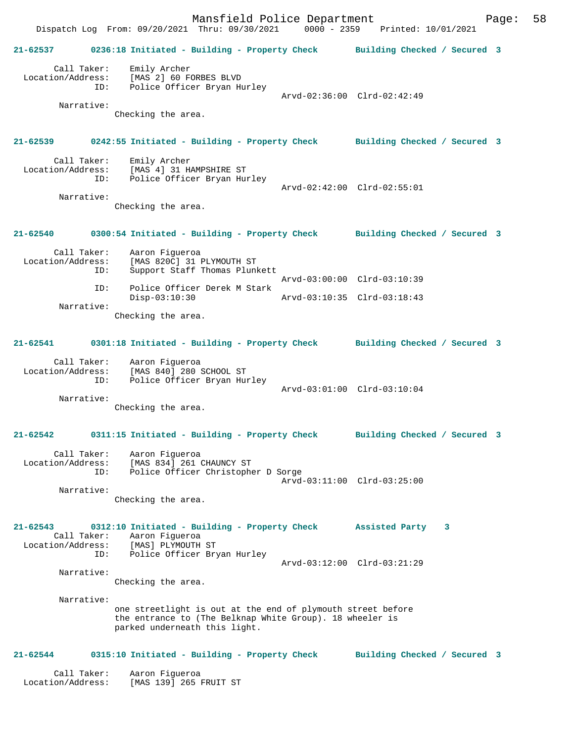Mansfield Police Department Fage: 58 Dispatch Log From: 09/20/2021 Thru: 09/30/2021 0000 - 2359 Printed: 10/01/2021 **21-62537 0236:18 Initiated - Building - Property Check Building Checked / Secured 3** Call Taker: Emily Archer Location/Address: [MAS 2] 60 FORBES BLVD ESS: ITHER 21 SO FOREZO ----<br>ID: Police Officer Bryan Hurley Arvd-02:36:00 Clrd-02:42:49 Narrative: Checking the area. **21-62539 0242:55 Initiated - Building - Property Check Building Checked / Secured 3** Call Taker: Emily Archer<br>Location/Address: [MAS 4] 31 H ess: [MAS 4] 31 HAMPSHIRE ST<br>ID: Police Officer Bryan Hu: Police Officer Bryan Hurley Arvd-02:42:00 Clrd-02:55:01 Narrative: Checking the area. **21-62540 0300:54 Initiated - Building - Property Check Building Checked / Secured 3** Call Taker: Aaron Figueroa Location/Address: [MAS 820C] 31 PLYMOUTH ST Support Staff Thomas Plunkett Arvd-03:00:00 Clrd-03:10:39 ID: Police Officer Derek M Stark Disp-03:10:30 Arvd-03:10:35 Clrd-03:18:43 Narrative: Checking the area. **21-62541 0301:18 Initiated - Building - Property Check Building Checked / Secured 3** Call Taker: Aaron Figueroa Location/Address: [MAS 840] 280 SCHOOL ST ID: Police Officer Bryan Hurley Arvd-03:01:00 Clrd-03:10:04 Narrative: Checking the area. **21-62542 0311:15 Initiated - Building - Property Check Building Checked / Secured 3** Call Taker: Aaron Figueroa Location/Address: [MAS 834] 261 CHAUNCY ST ID: Police Officer Christopher D Sorge Arvd-03:11:00 Clrd-03:25:00 Narrative: Checking the area. **21-62543 0312:10 Initiated - Building - Property Check Assisted Party 3**  Call Taker: Aaron Figueroa<br>Location/Address: [MAS] PLYMOUTH Location/Address: [MAS] PLYMOUTH ST ID: Police Officer Bryan Hurley Arvd-03:12:00 Clrd-03:21:29 Narrative: Checking the area. Narrative: one streetlight is out at the end of plymouth street before the entrance to (The Belknap White Group). 18 wheeler is parked underneath this light. **21-62544 0315:10 Initiated - Building - Property Check Building Checked / Secured 3** Call Taker: Aaron Figueroa

Location/Address: [MAS 139] 265 FRUIT ST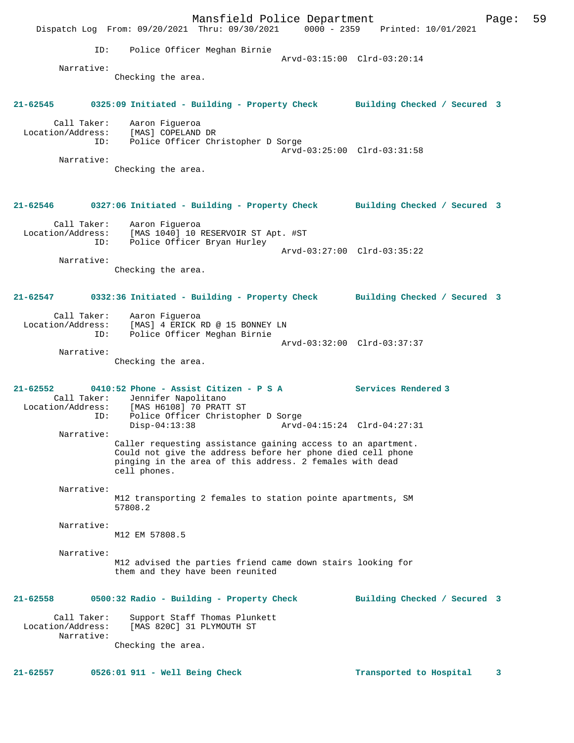Mansfield Police Department Fage: 59 Dispatch Log From: 09/20/2021 Thru: 09/30/2021 0000 - 2359 Printed: 10/01/2021 ID: Police Officer Meghan Birnie Arvd-03:15:00 Clrd-03:20:14 Narrative: Checking the area. **21-62545 0325:09 Initiated - Building - Property Check Building Checked / Secured 3** Call Taker: Aaron Figueroa Location/Address: [MAS] COPELAND DR ID: Police Officer Christopher D Sorge Arvd-03:25:00 Clrd-03:31:58 Narrative: Checking the area. **21-62546 0327:06 Initiated - Building - Property Check Building Checked / Secured 3** Call Taker: Aaron Figueroa Location/Address: [MAS 1040] 10 RESERVOIR ST Apt. #ST ID: Police Officer Bryan Hurley Arvd-03:27:00 Clrd-03:35:22 Narrative: Checking the area. **21-62547 0332:36 Initiated - Building - Property Check Building Checked / Secured 3** Call Taker: Aaron Figueroa Location/Address: [MAS] 4 ERICK RD @ 15 BONNEY LN ID: Police Officer Meghan Birnie Arvd-03:32:00 Clrd-03:37:37 Narrative: Checking the area. **21-62552 0410:52 Phone - Assist Citizen - P S A Services Rendered 3**  Call Taker: Jennifer Napolitano<br>Location/Address: [MAS H6108] 70 PRAT ess: [MAS H6108] 70 PRATT ST<br>ID: Police Officer Christoph Police Officer Christopher D Sorge<br>Disp-04:13:38 Arvd- Disp-04:13:38 Arvd-04:15:24 Clrd-04:27:31 Narrative: Caller requesting assistance gaining access to an apartment. Could not give the address before her phone died cell phone pinging in the area of this address. 2 females with dead cell phones. Narrative: M12 transporting 2 females to station pointe apartments, SM 57808.2 Narrative: M12 EM 57808.5 Narrative: M12 advised the parties friend came down stairs looking for them and they have been reunited **21-62558 0500:32 Radio - Building - Property Check Building Checked / Secured 3** Call Taker: Support Staff Thomas Plunkett<br>Location/Address: [MAS 820C] 31 PLYMOUTH ST [MAS 820C] 31 PLYMOUTH ST Narrative: Checking the area.

**21-62557 0526:01 911 - Well Being Check Transported to Hospital 3**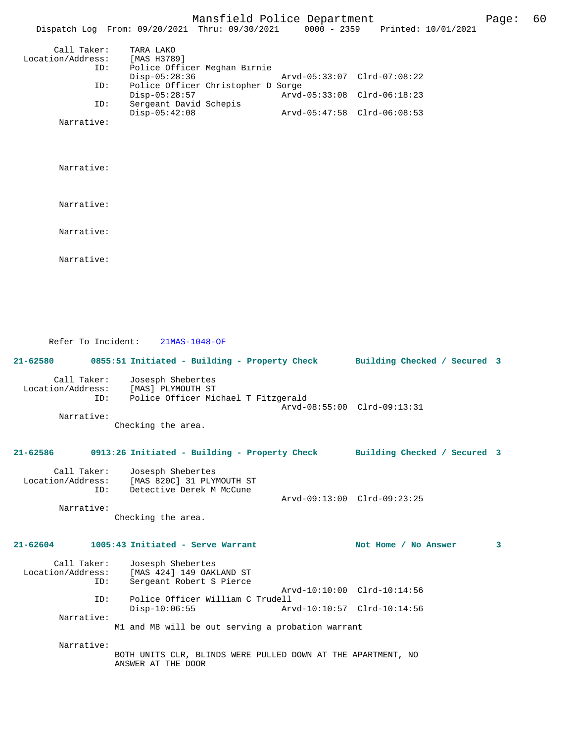|                                         | Mansfield Police Department<br>Dispatch Log From: 09/20/2021 Thru: 09/30/2021       | 0000 - 2359 Printed: 10/01/2021                            | Page: | 60 |
|-----------------------------------------|-------------------------------------------------------------------------------------|------------------------------------------------------------|-------|----|
| Call Taker:<br>Location/Address:<br>ID: | TARA LAKO<br>[MAS H3789]<br>Police Officer Meghan Birnie<br>$Disp-05:28:36$         | Arvd-05:33:07 Clrd-07:08:22                                |       |    |
| ID:                                     | Police Officer Christopher D Sorge                                                  |                                                            |       |    |
| ID:                                     | $Disp-05:28:57$<br>Sergeant David Schepis                                           | Arvd-05:33:08 Clrd-06:18:23                                |       |    |
| Narrative:                              | $Disp-05:42:08$                                                                     | Arvd-05:47:58 Clrd-06:08:53                                |       |    |
|                                         |                                                                                     |                                                            |       |    |
| Narrative:                              |                                                                                     |                                                            |       |    |
| Narrative:                              |                                                                                     |                                                            |       |    |
| Narrative:                              |                                                                                     |                                                            |       |    |
| Narrative:                              |                                                                                     |                                                            |       |    |
| Refer To Incident:                      | $21MAS-1048-OF$                                                                     |                                                            |       |    |
| 21-62580                                | 0855:51 Initiated - Building - Property Check                                       | Building Checked / Secured 3                               |       |    |
| Call Taker:<br>Location/Address:<br>ID: | Josesph Shebertes<br>[MAS] PLYMOUTH ST<br>Police Officer Michael T Fitzgerald       | Arvd-08:55:00 Clrd-09:13:31                                |       |    |
| Narrative:                              | Checking the area.                                                                  |                                                            |       |    |
|                                         | 21-62586 0913:26 Initiated - Building - Property Check Building Checked / Secured 3 |                                                            |       |    |
| Call Taker:<br>Location/Address:<br>ID: | Josesph Shebertes<br>[MAS 820C] 31 PLYMOUTH ST<br>Detective Derek M McCune          | Arvd-09:13:00 Clrd-09:23:25                                |       |    |
| Narrative:                              | Checking the area.                                                                  |                                                            |       |    |
| 21-62604                                | 1005:43 Initiated - Serve Warrant                                                   | Not Home / No Answer                                       | 3     |    |
| Call Taker:<br>Location/Address:<br>ID: | Josesph Shebertes<br>[MAS 424] 149 OAKLAND ST<br>Sergeant Robert S Pierce           |                                                            |       |    |
| ID:                                     | Police Officer William C Trudell                                                    | Arvd-10:10:00 Clrd-10:14:56<br>Arvd-10:10:57 Clrd-10:14:56 |       |    |
| Narrative:                              | $Disp-10:06:55$<br>M1 and M8 will be out serving a probation warrant                |                                                            |       |    |
|                                         |                                                                                     |                                                            |       |    |

BOTH UNITS CLR, BLINDS WERE PULLED DOWN AT THE APARTMENT, NO ANSWER AT THE DOOR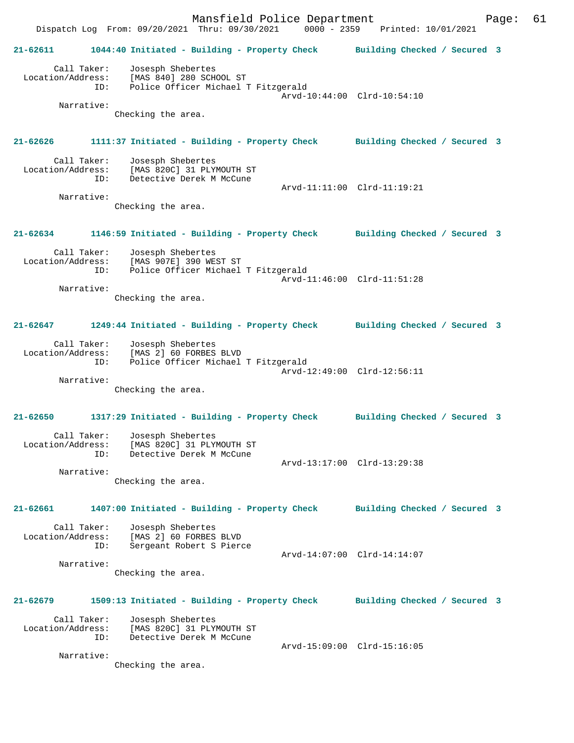Mansfield Police Department Form Page: 61 Dispatch Log From: 09/20/2021 Thru: 09/30/2021 0000 - 2359 Printed: 10/01/2021 **21-62611 1044:40 Initiated - Building - Property Check Building Checked / Secured 3** Call Taker: Josesph Shebertes Location/Address: [MAS 840] 280 SCHOOL ST ID: Police Officer Michael T Fitzgerald Arvd-10:44:00 Clrd-10:54:10 Narrative: Checking the area. **21-62626 1111:37 Initiated - Building - Property Check Building Checked / Secured 3** Call Taker: Josesph Shebertes<br>Location/Address: [MAS 820C] 31 PLY ess: [MAS 820C] 31 PLYMOUTH ST<br>ID: Detective Derek M McCune Detective Derek M McCune Arvd-11:11:00 Clrd-11:19:21 Narrative: Checking the area. **21-62634 1146:59 Initiated - Building - Property Check Building Checked / Secured 3** Call Taker: Josesph Shebertes Location/Address: [MAS 907E] 390 WEST ST ID: Police Officer Michael T Fitzgerald Arvd-11:46:00 Clrd-11:51:28 Narrative: Checking the area. **21-62647 1249:44 Initiated - Building - Property Check Building Checked / Secured 3** Call Taker: Josesph Shebertes Location/Address: [MAS 2] 60 FORBES BLVD ID: Police Officer Michael T Fitzgerald Arvd-12:49:00 Clrd-12:56:11 Narrative: Checking the area. **21-62650 1317:29 Initiated - Building - Property Check Building Checked / Secured 3** Call Taker: Josesph Shebertes Location/Address: [MAS 820C] 31 PLYMOUTH ST ID: Detective Derek M McCune Arvd-13:17:00 Clrd-13:29:38 Narrative: Checking the area. **21-62661 1407:00 Initiated - Building - Property Check Building Checked / Secured 3** Call Taker: Josesph Shebertes Location/Address: [MAS 2] 60 FORBES BLVD ID: Sergeant Robert S Pierce Arvd-14:07:00 Clrd-14:14:07 Narrative: Checking the area. **21-62679 1509:13 Initiated - Building - Property Check Building Checked / Secured 3** Call Taker: Josesph Shebertes Location/Address: [MAS 820C] 31 PLYMOUTH ST ID: Detective Derek M McCune Arvd-15:09:00 Clrd-15:16:05 Narrative: Checking the area.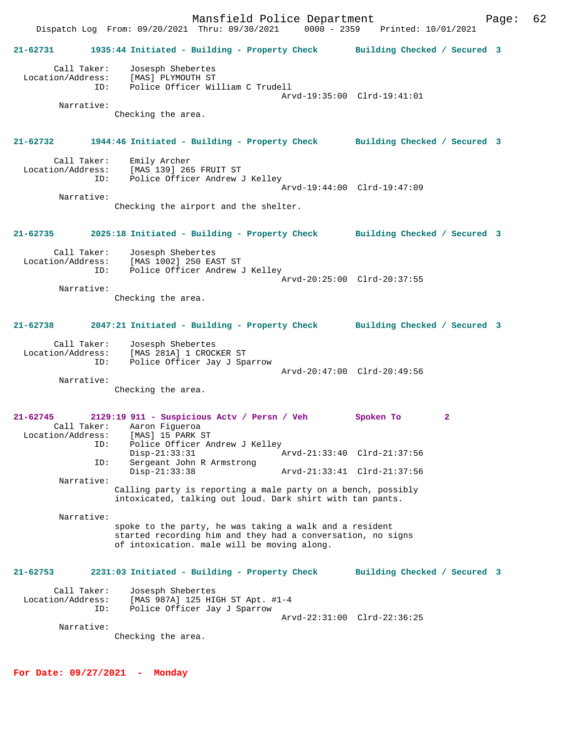Mansfield Police Department Form Page: 62 Dispatch Log From: 09/20/2021 Thru: 09/30/2021 0000 - 2359 Printed: 10/01/2021 **21-62731 1935:44 Initiated - Building - Property Check Building Checked / Secured 3** Call Taker: Josesph Shebertes Location/Address: [MAS] PLYMOUTH ST ID: Police Officer William C Trudell Arvd-19:35:00 Clrd-19:41:01 Narrative: Checking the area. **21-62732 1944:46 Initiated - Building - Property Check Building Checked / Secured 3** Call Taker: Emily Archer<br>Location/Address: [MAS 139] 26! ess: [MAS<sup>'</sup>139] 265 FRUIT ST<br>ID: Police Officer Andrew Police Officer Andrew J Kelley Arvd-19:44:00 Clrd-19:47:09 Narrative: Checking the airport and the shelter. **21-62735 2025:18 Initiated - Building - Property Check Building Checked / Secured 3** Call Taker: Josesph Shebertes Location/Address: [MAS 1002] 250 EAST ST ID: Police Officer Andrew J Kelley Arvd-20:25:00 Clrd-20:37:55 Narrative: Checking the area. **21-62738 2047:21 Initiated - Building - Property Check Building Checked / Secured 3** Call Taker: Josesph Shebertes Location/Address: [MAS 281A] 1 CROCKER ST ID: Police Officer Jay J Sparrow Arvd-20:47:00 Clrd-20:49:56 Narrative: Checking the area. **21-62745 2129:19 911 - Suspicious Actv / Persn / Veh Spoken To 2**  Call Taker: Aaron Figueroa Location/Address:<br>ID: Police Officer Andrew J Kelley<br>Disp-21:33:31 1 Disp-21:33:31 Arvd-21:33:40 Clrd-21:37:56 ID: Sergeant John R Armstrong Disp-21:33:38 Arvd-21:33:41 Clrd-21:37:56 Narrative: Calling party is reporting a male party on a bench, possibly intoxicated, talking out loud. Dark shirt with tan pants. Narrative: spoke to the party, he was taking a walk and a resident started recording him and they had a conversation, no signs of intoxication. male will be moving along. **21-62753 2231:03 Initiated - Building - Property Check Building Checked / Secured 3** Call Taker: Josesph Shebertes Location/Address: [MAS 987A] 125 HIGH ST Apt. #1-4 ID: Police Officer Jay J Sparrow Arvd-22:31:00 Clrd-22:36:25 Narrative: Checking the area.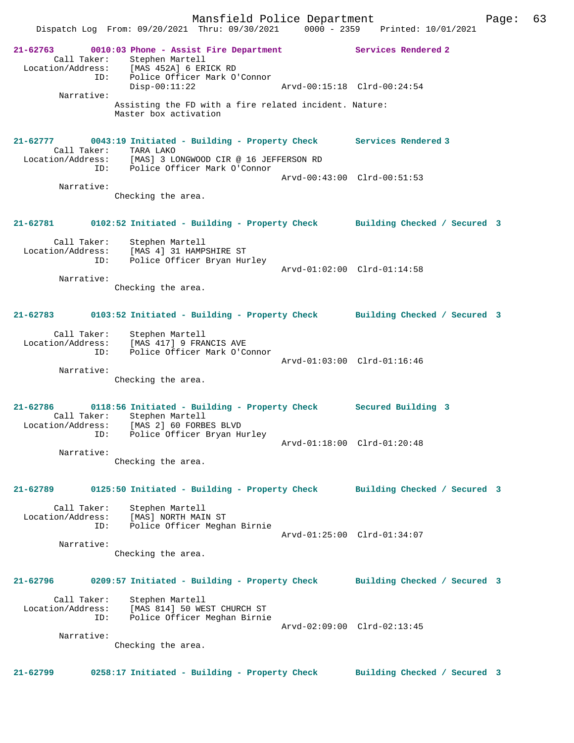Dispatch Log From: 09/20/2021 Thru: 09/30/2021 0000 - 2359 Printed: 10/01/2021 **21-62763 0010:03 Phone - Assist Fire Department Services Rendered 2**  Call Taker: Stephen Martell<br>ion/Address: [MAS 4521] 6 EDI Location/Address: [MAS 452A] 6 ERICK RD ID: Police Officer Mark O'Connor Arvd-00:15:18 Clrd-00:24:54 Narrative: Assisting the FD with a fire related incident. Nature: Master box activation **21-62777 0043:19 Initiated - Building - Property Check Services Rendered 3**  Call Taker: TARA LAKO Location/Address: [MAS] 3 LONGWOOD CIR @ 16 JEFFERSON RD ID: Police Officer Mark O'Connor Arvd-00:43:00 Clrd-00:51:53 Narrative: Checking the area. **21-62781 0102:52 Initiated - Building - Property Check Building Checked / Secured 3** Call Taker: Stephen Martell Location/Address: [MAS 4] 31 HAMPSHIRE ST ID: Police Officer Bryan Hurley Arvd-01:02:00 Clrd-01:14:58 Narrative: Checking the area. **21-62783 0103:52 Initiated - Building - Property Check Building Checked / Secured 3** Call Taker: Stephen Martell Location/Address: [MAS 417] 9 FRANCIS AVE ID: Police Officer Mark O'Connor Arvd-01:03:00 Clrd-01:16:46 Narrative: Checking the area. **21-62786 0118:56 Initiated - Building - Property Check Secured Building 3**  Call Taker: Stephen Martell Location/Address: [MAS 2] 60 FORBES BLVD ID: Police Officer Bryan Hurley Arvd-01:18:00 Clrd-01:20:48 Narrative: Checking the area. **21-62789 0125:50 Initiated - Building - Property Check Building Checked / Secured 3** Call Taker: Stephen Martell Location/Address: [MAS] NORTH MAIN ST ID: Police Officer Meghan Birnie Arvd-01:25:00 Clrd-01:34:07 Narrative: Checking the area. **21-62796 0209:57 Initiated - Building - Property Check Building Checked / Secured 3** Call Taker: Stephen Martell Location/Address: [MAS 814] 50 WEST CHURCH ST ID: Police Officer Meghan Birnie Arvd-02:09:00 Clrd-02:13:45 Narrative: Checking the area. **21-62799 0258:17 Initiated - Building - Property Check Building Checked / Secured 3**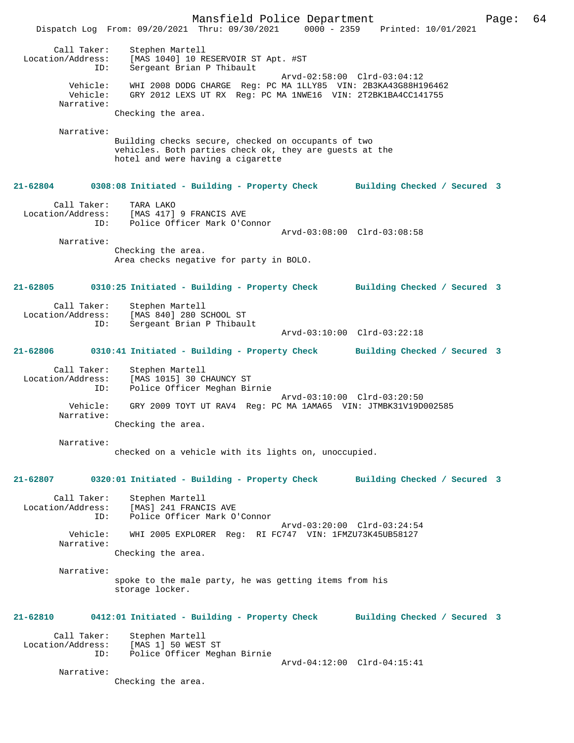Mansfield Police Department Page: 64 Dispatch Log From: 09/20/2021 Thru: 09/30/2021 0000 - 2359 Printed: 10/01/2021 Call Taker: Stephen Martell Location/Address: [MAS 1040] 10 RESERVOIR ST Apt. #ST ID: Sergeant Brian P Thibault Arvd-02:58:00 Clrd-03:04:12 Vehicle: WHI 2008 DODG CHARGE Reg: PC MA 1LLY85 VIN: 2B3KA43G88H196462 Vehicle: GRY 2012 LEXS UT RX Reg: PC MA 1NWE16 VIN: 2T2BK1BA4CC141755 Narrative: Checking the area. Narrative: Building checks secure, checked on occupants of two vehicles. Both parties check ok, they are guests at the hotel and were having a cigarette **21-62804 0308:08 Initiated - Building - Property Check Building Checked / Secured 3** Call Taker: TARA LAKO Location/Address: [MAS 417] 9 FRANCIS AVE ID: Police Officer Mark O'Connor Arvd-03:08:00 Clrd-03:08:58 Narrative: Checking the area. Area checks negative for party in BOLO. **21-62805 0310:25 Initiated - Building - Property Check Building Checked / Secured 3** Call Taker: Stephen Martell Location/Address: [MAS 840] 280 SCHOOL ST ID: Sergeant Brian P Thibault Arvd-03:10:00 Clrd-03:22:18 **21-62806 0310:41 Initiated - Building - Property Check Building Checked / Secured 3** Call Taker: Stephen Martell Location/Address: [MAS 1015] 30 CHAUNCY ST ID: Police Officer Meghan Birnie Arvd-03:10:00 Clrd-03:20:50<br>Vehicle: GRY 2009 TOYT UT RAV4 Req: PC MA 1AMA65 VIN: JTMBK31V19D0 GRY 2009 TOYT UT RAV4 Reg: PC MA 1AMA65 VIN: JTMBK31V19D002585 Narrative: Checking the area. Narrative: checked on a vehicle with its lights on, unoccupied. **21-62807 0320:01 Initiated - Building - Property Check Building Checked / Secured 3** Call Taker: Stephen Martell Location/Address: [MAS] 241 FRANCIS AVE ID: Police Officer Mark O'Connor Arvd-03:20:00 Clrd-03:24:54 Vehicle: WHI 2005 EXPLORER Reg: RI FC747 VIN: 1FMZU73K45UB58127 Narrative: Checking the area. Narrative: spoke to the male party, he was getting items from his storage locker. **21-62810 0412:01 Initiated - Building - Property Check Building Checked / Secured 3** Call Taker: Stephen Martell<br>Location/Address: [MAS 1] 50 WEST ess: [MAS 1] 50 WEST ST<br>TD: Police Officer Megl Police Officer Meghan Birnie Arvd-04:12:00 Clrd-04:15:41 Narrative: Checking the area.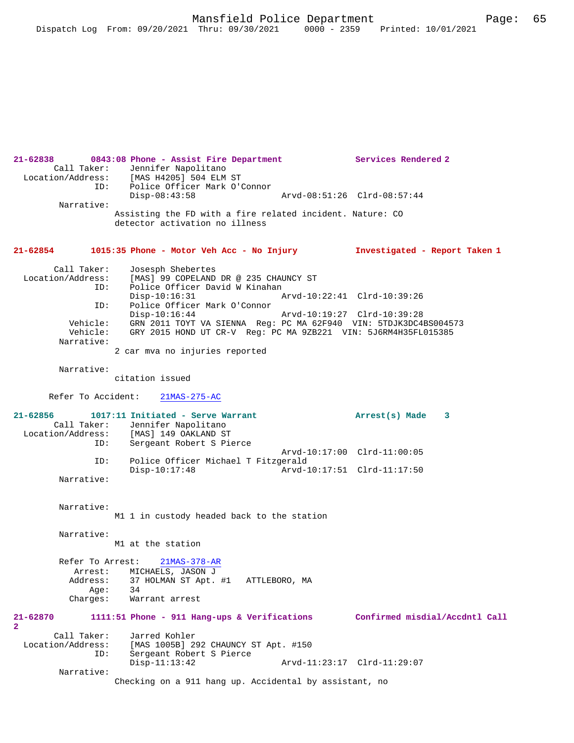```
21-62838 0843:08 Phone - Assist Fire Department Services Rendered 2 
        Call Taker: Jennifer Napolitano
   Location/Address: [MAS H4205] 504 ELM ST
                ID: Police Officer Mark O'Connor
                                                         Disp-08:43:58 Arvd-08:51:26 Clrd-08:57:44
          Narrative: 
                     Assisting the FD with a fire related incident. Nature: CO 
                     detector activation no illness
21-62854 1015:35 Phone - Motor Veh Acc - No Injury Investigated - Report Taken 1
         Call Taker: Josesph Shebertes
  Location/Address: [MAS] 99 COPELAND DR @ 235 CHAUNCY ST<br>TD: Police Officer David W Kinahan
                        Police Officer David W Kinahan
                 Disp-10:16:31 Arvd-10:22:41 Clrd-10:39:26<br>TD: Police Officer Mark O'Connor
                       Police Officer Mark O'Connor<br>Disp-10:16:44
                                                         Disp-10:16:44 Arvd-10:19:27 Clrd-10:39:28
            Vehicle: GRN 2011 TOYT VA SIENNA Reg: PC MA 62F940 VIN: 5TDJK3DC4BS004573
                       GRY 2015 HOND UT CR-V Reg: PCMA 9ZB221 VIN: 5J6RM4H35FL015385 Narrative: 
                    2 car mva no injuries reported
          Narrative: 
                     citation issued
        Refer To Accident: 21MAS-275-AC
21-62856 1017:11 Initiated - Serve Warrant Arrest(s) Made 3 
 Call Taker: Jennifer Napolitano<br>Location/Address: [MAS] 149 OAKLAND ST
                        [MAS] 149 OAKLAND ST
                 ID: Sergeant Robert S Pierce
                 Arvd-10:17:00 Clrd-11:00:05<br>TD: Police Officer Michael T Fitzgerald
                       Police Officer Michael T Fitzgerald<br>Disp-10:17:48 Arvd-1
                                                         Disp-10:17:48 Arvd-10:17:51 Clrd-11:17:50
          Narrative: 
          Narrative: 
                    M1 1 in custody headed back to the station
          Narrative: 
                    M1 at the station
          Refer To Arrest: 21MAS-378-AR
           Arrest: MICHAELS, JASON J<br>Address: 37 HOLMAN ST Apt.
                        37 HOLMAN ST Apt. #1 ATTLEBORO, MA
           Age:<br>:Charges
                        Warrant arrest
21-62870 1111:51 Phone - 911 Hang-ups & Verifications Confirmed misdial/Accdntl Call
2 
 Call Taker: Jarred Kohler<br>Location/Address: [MAS 1005B] 2
                 ess: [MAS 1005B] 292 CHAUNCY ST Apt. #150<br>ID: Sergeant Robert S Pierce
                        Sergeant Robert S Pierce
                         Disp-11:13:42 Arvd-11:23:17 Clrd-11:29:07
          Narrative: 
                     Checking on a 911 hang up. Accidental by assistant, no
```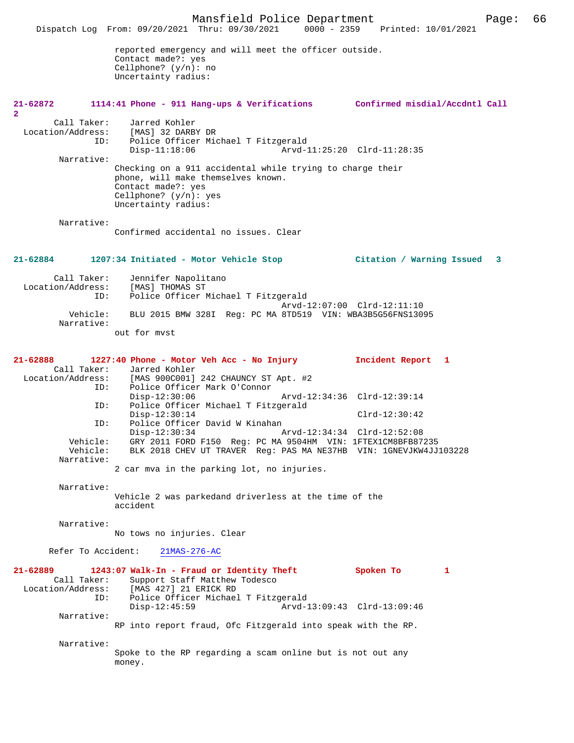Mansfield Police Department Page: 66 Dispatch Log From: 09/20/2021 Thru: 09/30/2021 reported emergency and will meet the officer outside. Contact made?: yes Cellphone? (y/n): no Uncertainty radius: **21-62872 1114:41 Phone - 911 Hang-ups & Verifications Confirmed misdial/Accdntl Call 2**  Call Taker: Jarred Kohler<br>.on/Address: [MAS] 32 DARBY DR Location/Address: ID: Police Officer Michael T Fitzgerald Disp-11:18:06 Arvd-11:25:20 Clrd-11:28:35 Narrative: Checking on a 911 accidental while trying to charge their phone, will make themselves known. Contact made?: yes Cellphone? (y/n): yes Uncertainty radius: Narrative: Confirmed accidental no issues. Clear **21-62884 1207:34 Initiated - Motor Vehicle Stop Citation / Warning Issued 3** Call Taker: Jennifer Napolitano<br>.on/Address: [MAS] THOMAS ST Location/Address: ID: Police Officer Michael T Fitzgerald Arvd-12:07:00 Clrd-12:11:10<br>Vehicle: BLU 2015 BMW 328I Reg: PC MA 8TD519 VIN: WBA3B5G56FNS1309 BLU 2015 BMW 328I Reg: PC MA 8TD519 VIN: WBA3B5G56FNS13095 Narrative: out for mvst **21-62888 1227:40 Phone - Motor Veh Acc - No Injury Incident Report 1**  Call Taker: Jarred Kohler<br>Location/Address: [MAS 900C001] [MAS 900C001] 242 CHAUNCY ST Apt. #2 ID: Police Officer Mark O'Connor Disp-12:30:06 Arvd-12:34:36 Clrd-12:39:14 ID: Police Officer Michael T Fitzgerald Disp-12:30:14 Clrd-12:30:42<br>TD: Police Officer David W Kinahan ID: Police Officer David W Kinahan Disp-12:30:34 Arvd-12:34:34 Clrd-12:52:08 Vehicle: GRY 2011 FORD F150 Reg: PC MA 9504HM VIN: 1FTEX1CM8BFB87235 Vehicle: BLK 2018 CHEV UT TRAVER Reg: PAS MA NE37HB VIN: 1GNEVJKW4JJ103228 Narrative: 2 car mva in the parking lot, no injuries. Narrative: Vehicle 2 was parkedand driverless at the time of the accident Narrative: No tows no injuries. Clear Refer To Accident: 21MAS-276-AC **21-62889 1243:07 Walk-In - Fraud or Identity Theft Spoken To 1**  Call Taker: Support Staff Matthew Todesco<br>Location/Address: [MAS 427] 21 ERICK RD [MAS 427] 21 ERICK RD ID: Police Officer Michael T Fitzgerald Disp-12:45:59 Arvd-13:09:43 Clrd-13:09:46 Narrative: RP into report fraud, Ofc Fitzgerald into speak with the RP. Narrative: Spoke to the RP regarding a scam online but is not out any money.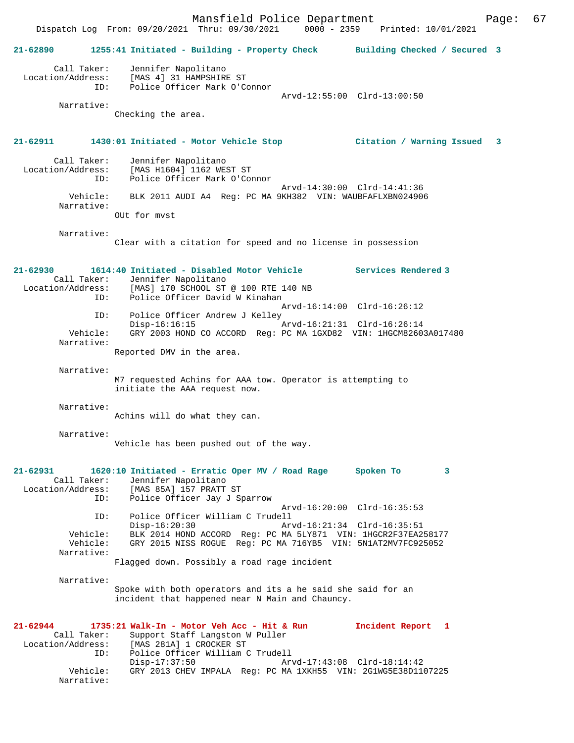Mansfield Police Department Fage: 67 Dispatch Log From: 09/20/2021 Thru: 09/30/2021 0000 - 2359 Printed: 10/01/2021 **21-62890 1255:41 Initiated - Building - Property Check Building Checked / Secured 3** Call Taker: Jennifer Napolitano Location/Address: [MAS 4] 31 HAMPSHIRE ST ID: Police Officer Mark O'Connor Arvd-12:55:00 Clrd-13:00:50 Narrative: Checking the area. **21-62911 1430:01 Initiated - Motor Vehicle Stop Citation / Warning Issued 3** Call Taker: Jennifer Napolitano Location/Address: [MAS H1604] 1162 WEST ST<br>Dolice Officer Mark O'Con Police Officer Mark O'Connor Arvd-14:30:00 Clrd-14:41:36 Vehicle: BLK 2011 AUDI A4 Reg: PC MA 9KH382 VIN: WAUBFAFLXBN024906 Narrative: OUt for mvst Narrative: Clear with a citation for speed and no license in possession **21-62930 1614:40 Initiated - Disabled Motor Vehicle Services Rendered 3**  Call Taker: Jennifer Napolitano<br>Location/Address: [MAS] 170 SCHOOL ST ess: [MAS] 170 SCHOOL ST @ 100 RTE 140 NB<br>TD: Police Officer David W Kinaban Police Officer David W Kinahan Arvd-16:14:00 Clrd-16:26:12 ID: Police Officer Andrew J Kelley<br>Disp-16:16:15 Arvd-16:21:31 Clrd-16:26:14 Vehicle: GRY 2003 HOND CO ACCORD Reg: PC MA 1GXD82 VIN: 1HGCM82603A017480 Narrative: Reported DMV in the area. Narrative: M7 requested Achins for AAA tow. Operator is attempting to initiate the AAA request now. Narrative: Achins will do what they can. Narrative: Vehicle has been pushed out of the way. **21-62931 1620:10 Initiated - Erratic Oper MV / Road Rage Spoken To 3**  Call Taker: Jennifer Napolitano Location/Address: [MAS 85A] 157 PRATT ST ID: Police Officer Jay J Sparrow Arvd-16:20:00 Clrd-16:35:53 ID: Police Officer William C Trudell Disp-16:20:30 Arvd-16:21:34 Clrd-16:35:51 Vehicle: BLK 2014 HOND ACCORD Reg: PC MA 5LY871 VIN: 1HGCR2F37EA258177 Vehicle: GRY 2015 NISS ROGUE Reg: PC MA 716YB5 VIN: 5N1AT2MV7FC925052 Narrative: Flagged down. Possibly a road rage incident Narrative: Spoke with both operators and its a he said she said for an incident that happened near N Main and Chauncy. **21-62944 1735:21 Walk-In - Motor Veh Acc - Hit & Run Incident Report 1**  Call Taker: Support Staff Langston W Puller Location/Address: [MAS 281A] 1 CROCKER ST ID: Police Officer William C Trudell ID: Police Officer William C Trudell<br>Disp-17:37:50 Arvd-17:43:08 Clrd-18:14:42<br>Vehicle: GRY 2013 CHEV IMPALA Reg: PC MA 1XKH55 VIN: 2GlWG5E38D110 GRY 2013 CHEV IMPALA Reg: PC MA 1XKH55 VIN: 2G1WG5E38D1107225 Narrative: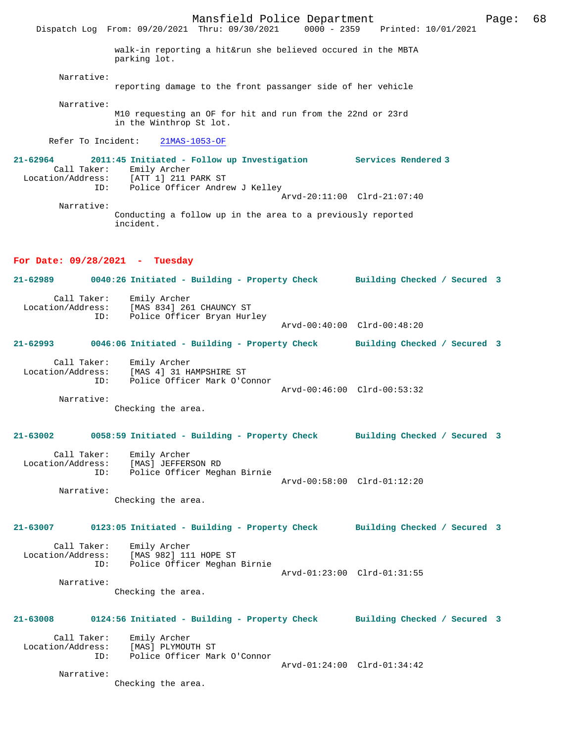Dispatch Log From: 09/20/2021 Thru: 09/30/2021 walk-in reporting a hit&run she believed occured in the MBTA parking lot. Narrative: reporting damage to the front passanger side of her vehicle Narrative: M10 requesting an OF for hit and run from the 22nd or 23rd in the Winthrop St lot.

Refer To Incident: 21MAS-1053-OF

**21-62964 2011:45 Initiated - Follow up Investigation Services Rendered 3**  Call Taker: Emily Archer Location/Address: [ATT 1] 211 PARK ST ID: Police Officer Andrew J Kelley Arvd-20:11:00 Clrd-21:07:40 Narrative:

Conducting a follow up in the area to a previously reported incident.

# **For Date: 09/28/2021 - Tuesday**

**21-62989 0040:26 Initiated - Building - Property Check Building Checked / Secured 3** Call Taker: Emily Archer<br>Location/Address: [MAS 834] 263 ess: [MAS 834] 261 CHAUNCY ST<br>ID: Police Officer Brvan Hur Police Officer Bryan Hurley Arvd-00:40:00 Clrd-00:48:20 **21-62993 0046:06 Initiated - Building - Property Check Building Checked / Secured 3** Call Taker: Emily Archer<br>Location/Address: [MAS 4] 31 H Location/Address: [MAS 4] 31 HAMPSHIRE ST ID: Police Officer Mark O'Connor Arvd-00:46:00 Clrd-00:53:32 Narrative: Checking the area. **21-63002 0058:59 Initiated - Building - Property Check Building Checked / Secured 3** Call Taker: Emily Archer Location/Address: [MAS] JEFFERSON RD ID: Police Officer Meghan Birnie Arvd-00:58:00 Clrd-01:12:20 Narrative: Checking the area. **21-63007 0123:05 Initiated - Building - Property Check Building Checked / Secured 3** Call Taker: Emily Archer<br>Location/Address: [MAS 982] 111 ess: [MAS<sup>^</sup>982] 111 HOPE ST<br>ID: Police Officer Meghan Police Officer Meghan Birnie Arvd-01:23:00 Clrd-01:31:55 Narrative: Checking the area. **21-63008 0124:56 Initiated - Building - Property Check Building Checked / Secured 3** Call Taker: Emily Archer Location/Address: [MAS] PLYMOUTH ST ID: Police Officer Mark O'Connor Arvd-01:24:00 Clrd-01:34:42 Narrative: Checking the area.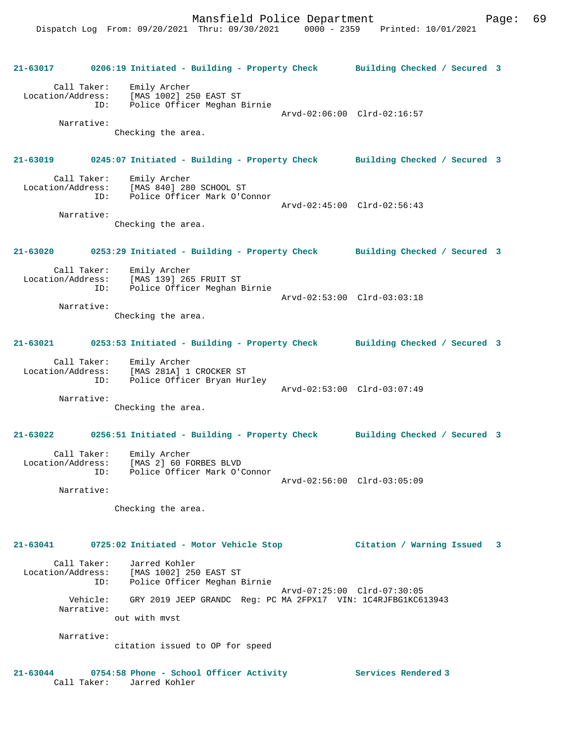**21-63017 0206:19 Initiated - Building - Property Check Building Checked / Secured 3** Call Taker: Emily Archer Location/Address: [MAS 1002] 250 EAST ST ID: Police Officer Meghan Birnie Arvd-02:06:00 Clrd-02:16:57 Narrative: Checking the area. **21-63019 0245:07 Initiated - Building - Property Check Building Checked / Secured 3** Call Taker: Emily Archer<br>Location/Address: [MAS 840] 280 ess: [MAS 840] 280 SCHOOL ST<br>ID: Police Officer Mark O'C .<br>Police Officer Mark O'Connor Arvd-02:45:00 Clrd-02:56:43 Narrative: Checking the area. **21-63020 0253:29 Initiated - Building - Property Check Building Checked / Secured 3** Call Taker: Emily Archer Location/Address: [MAS 139] 265 FRUIT ST ID: Police Officer Meghan Birnie Arvd-02:53:00 Clrd-03:03:18 Narrative: Checking the area. **21-63021 0253:53 Initiated - Building - Property Check Building Checked / Secured 3** Call Taker: Emily Archer Location/Address: [MAS 281A] 1 CROCKER ST ID: Police Officer Bryan Hurley Arvd-02:53:00 Clrd-03:07:49 Narrative: Checking the area. **21-63022 0256:51 Initiated - Building - Property Check Building Checked / Secured 3** Call Taker: Emily Archer Location/Address: [MAS 2] 60 FORBES BLVD ID: Police Officer Mark O'Connor Arvd-02:56:00 Clrd-03:05:09 Narrative: Checking the area. **21-63041 0725:02 Initiated - Motor Vehicle Stop Citation / Warning Issued 3** Call Taker: Jarred Kohler Location/Address: [MAS 1002] 250 EAST ST ID: Police Officer Meghan Birnie Arvd-07:25:00 Clrd-07:30:05 Vehicle: GRY 2019 JEEP GRANDC Reg: PC MA 2FPX17 VIN: 1C4RJFBG1KC613943 Narrative: out with mvst Narrative: citation issued to OP for speed **21-63044 0754:58 Phone - School Officer Activity Services Rendered 3** 

Call Taker: Jarred Kohler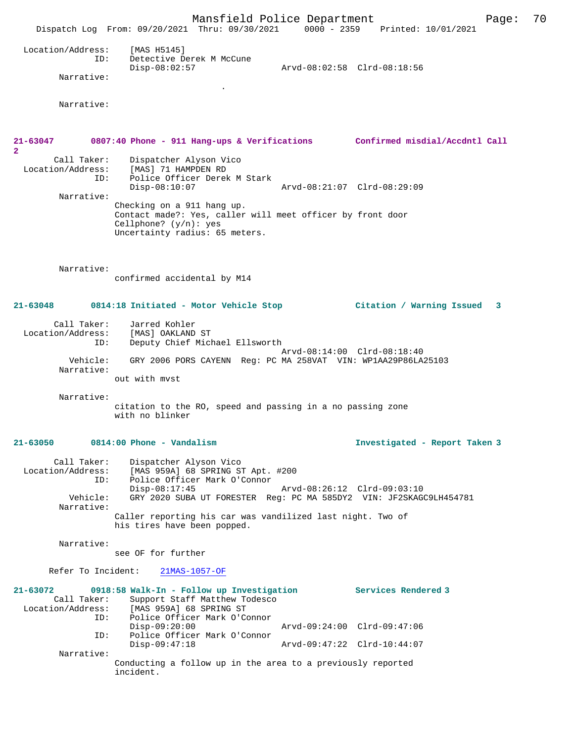Mansfield Police Department Page: 70 Dispatch Log From: 09/20/2021 Thru: 09/30/2021 0000 - 2359 Printed: 10/01/2021 Location/Address: [MAS H5145] ID: Detective Derek M McCune<br>Disp-08:02:57 Disp-08:02:57 Arvd-08:02:58 Clrd-08:18:56 Narrative: . Narrative: **21-63047 0807:40 Phone - 911 Hang-ups & Verifications Confirmed misdial/Accdntl Call 2**  Call Taker: Dispatcher Alyson Vico<br>Location/Address: [MAS] 71 HAMPDEN RD ess: [MAS] 71 HAMPDEN RD<br>ID: Police Officer Derek Police Officer Derek M Stark<br>Disp-08:10:07 Disp-08:10:07 Arvd-08:21:07 Clrd-08:29:09 Narrative: Checking on a 911 hang up. Contact made?: Yes, caller will meet officer by front door Cellphone? (y/n): yes Uncertainty radius: 65 meters. Narrative: confirmed accidental by M14 **21-63048 0814:18 Initiated - Motor Vehicle Stop Citation / Warning Issued 3** Call Taker: Jarred Kohler Location/Address: [MAS] OAKLAND ST ID: Deputy Chief Michael Ellsworth Arvd-08:14:00 Clrd-08:18:40 Vehicle: GRY 2006 PORS CAYENN Reg: PC MA 258VAT VIN: WP1AA29P86LA25103 Narrative: out with mvst Narrative: citation to the RO, speed and passing in a no passing zone with no blinker **21-63050 0814:00 Phone - Vandalism Investigated - Report Taken 3** Call Taker: Dispatcher Alyson Vico<br>Location/Address: [MAS 959A] 68 SPRING ST لاعداد الموردة المحمودة العدد ----<br>SS: [MAS 959A] 68 SPRING ST Apt. #200<br>TD: Police Officer Mark O'Connor Police Officer Mark O'Connor<br>Disp-08:17:45 Arvd-08:26:12 Clrd-09:03:10 Vehicle: GRY 2020 SUBA UT FORESTER Reg: PC MA 585DY2 VIN: JF2SKAGC9LH454781 Narrative: Caller reporting his car was vandilized last night. Two of his tires have been popped. Narrative: see OF for further Refer To Incident: 21MAS-1057-OF **21-63072 0918:58 Walk-In - Follow up Investigation Services Rendered 3**  Call Taker: Support Staff Matthew Todesco<br>Location/Address: [MAS 959A] 68 SPRING ST [MAS 959A] 68 SPRING ST ID: Police Officer Mark O'Connor Disp-09:20:00 Arvd-09:24:00 Clrd-09:47:06 ID: Police Officer Mark O'Connor Disp-09:47:18 Arvd-09:47:22 Clrd-10:44:07 Narrative: Conducting a follow up in the area to a previously reported incident.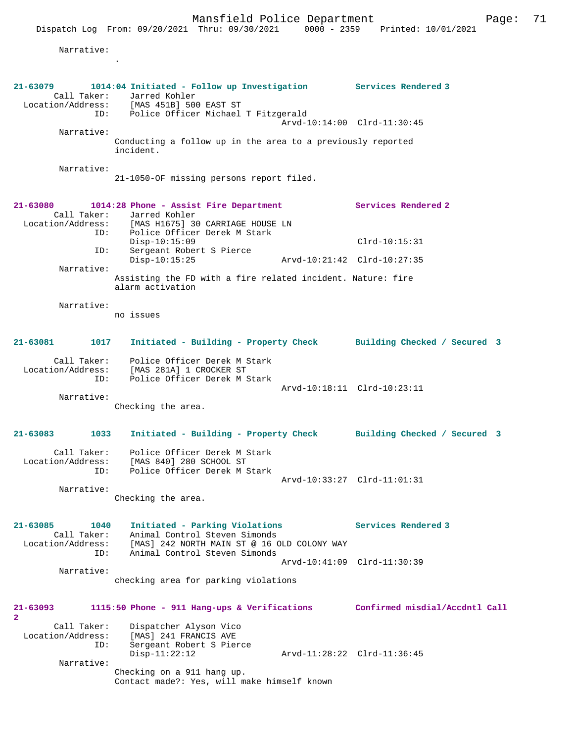Dispatch Log From: 09/20/2021 Thru: 09/30/2021 0000 - 2359 Printed: 10/01/2021 Narrative: . **21-63079 1014:04 Initiated - Follow up Investigation Services Rendered 3**  Call Taker: Jarred Kohler<br>.on/Address: [MAS 451B] 500 EAST ST Call iddiess:<br>Location/Address:<br>TD: Police Officer Michael T Fitzgerald Arvd-10:14:00 Clrd-11:30:45 Narrative: Conducting a follow up in the area to a previously reported incident. Narrative: 21-1050-OF missing persons report filed. **21-63080 1014:28 Phone - Assist Fire Department Services Rendered 2**  Call Taker: Jarred Kohler<br>Location/Address: [MAS H1675] 30 ess: [MAS H1675] 30 CARRIAGE HOUSE LN<br>ID: Police Officer Derek M Stark .<br>Police Officer Derek M Stark Disp-10:15:09 Clrd-10:15:31 ID: Sergeant Robert S Pierce Disp-10:15:25 Arvd-10:21:42 Clrd-10:27:35 Narrative: Assisting the FD with a fire related incident. Nature: fire alarm activation Narrative: no issues **21-63081 1017 Initiated - Building - Property Check Building Checked / Secured 3** Call Taker: Police Officer Derek M Stark Location/Address: [MAS 281A] 1 CROCKER ST ID: Police Officer Derek M Stark Arvd-10:18:11 Clrd-10:23:11 Narrative: Checking the area. **21-63083 1033 Initiated - Building - Property Check Building Checked / Secured 3** Call Taker: Police Officer Derek M Stark Location/Address: [MAS 840] 280 SCHOOL ST ID: Police Officer Derek M Stark Arvd-10:33:27 Clrd-11:01:31 Narrative: Checking the area. **21-63085 1040 Initiated - Parking Violations Services Rendered 3**  Call Taker: Animal Control Steven Simonds Location/Address: [MAS] 242 NORTH MAIN ST @ 16 OLD COLONY WAY ID: Animal Control Steven Simonds Arvd-10:41:09 Clrd-11:30:39 Narrative: checking area for parking violations **21-63093 1115:50 Phone - 911 Hang-ups & Verifications Confirmed misdial/Accdntl Call 2**  Call Taker: Dispatcher Alyson Vico Location/Address: [MAS] 241 FRANCIS AVE Sergeant Robert S Pierce<br>Disp-11:22:12 Disp-11:22:12 Arvd-11:28:22 Clrd-11:36:45 Narrative: Checking on a 911 hang up. Contact made?: Yes, will make himself known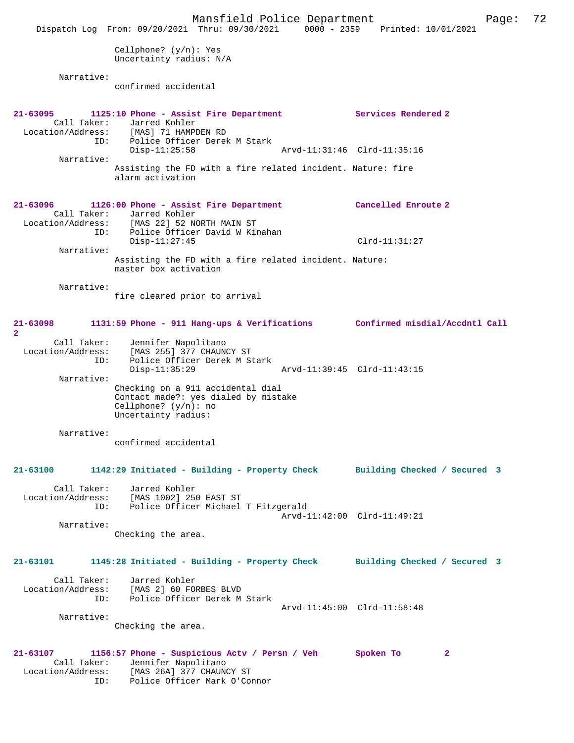Mansfield Police Department Page: 72 Dispatch Log From: 09/20/2021 Thru: 09/30/2021 0000 - 2359 Printed: 10/01/2021 Cellphone? (y/n): Yes Uncertainty radius: N/A Narrative: confirmed accidental **21-63095 1125:10 Phone - Assist Fire Department Services Rendered 2**  Call Taker: Jarred Kohler Location/Address: [MAS] 71 HAMPDEN RD ID: Police Officer Derek M Stark Disp-11:25:58 Arvd-11:31:46 Clrd-11:35:16 Narrative: Assisting the FD with a fire related incident. Nature: fire alarm activation **21-63096 1126:00 Phone - Assist Fire Department Cancelled Enroute 2**  Call Taker: Jarred Kohler<br>Location/Address: [MAS 22] 52 NO ess: [MAS 22] 52 NORTH MAIN ST<br>ID: Police Officer David W Ki ID: Police Officer David W Kinahan Disp-11:27:45 Clrd-11:31:27 Narrative: Assisting the FD with a fire related incident. Nature: master box activation Narrative: fire cleared prior to arrival **21-63098 1131:59 Phone - 911 Hang-ups & Verifications Confirmed misdial/Accdntl Call 2**  Call Taker: Jennifer Napolitano Location/Address: [MAS 255] 377 CHAUNCY ST ID: Police Officer Derek M Stark ID: Police Officer Derek M Stark<br>Disp-11:35:29 Arvd-11:39:45 Clrd-11:43:15 Narrative: Checking on a 911 accidental dial Contact made?: yes dialed by mistake Cellphone? (y/n): no Uncertainty radius: Narrative: confirmed accidental **21-63100 1142:29 Initiated - Building - Property Check Building Checked / Secured 3** Call Taker: Jarred Kohler Location/Address: [MAS 1002] 250 EAST ST ID: Police Officer Michael T Fitzgerald Arvd-11:42:00 Clrd-11:49:21 Narrative: Checking the area. **21-63101 1145:28 Initiated - Building - Property Check Building Checked / Secured 3** Call Taker: Jarred Kohler<br>Location/Address: [MAS 2] 60 FOI Location/Address: [MAS 2] 60 FORBES BLVD ID: Police Officer Derek M Stark Arvd-11:45:00 Clrd-11:58:48 Narrative: Checking the area. **21-63107 1156:57 Phone - Suspicious Actv / Persn / Veh Spoken To 2**  Call Taker: Jennifer Napolitano Location/Address: [MAS 26A] 377 CHAUNCY ST ID: Police Officer Mark O'Connor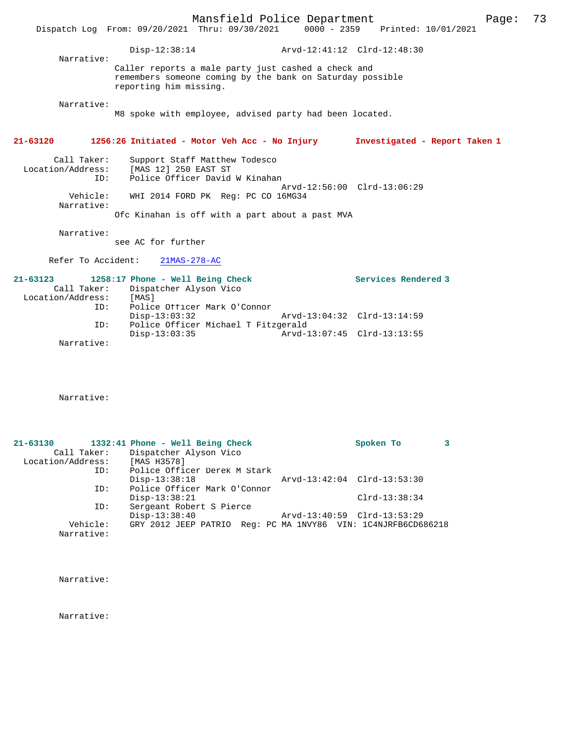|                                                         | Dispatch Log From: 09/20/2021 Thru: 09/30/2021 0000 - 2359 Printed: 10/01/2021                                                             | Mansfield Police Department |                               | 73<br>Page: |  |
|---------------------------------------------------------|--------------------------------------------------------------------------------------------------------------------------------------------|-----------------------------|-------------------------------|-------------|--|
| Narrative:                                              | Disp-12:38:14 Arvd-12:41:12 Clrd-12:48:30                                                                                                  |                             |                               |             |  |
|                                                         | Caller reports a male party just cashed a check and<br>remembers someone coming by the bank on Saturday possible<br>reporting him missing. |                             |                               |             |  |
| Narrative:                                              | M8 spoke with employee, advised party had been located.                                                                                    |                             |                               |             |  |
| $21 - 63120$                                            | 1256:26 Initiated - Motor Veh Acc - No Injury                                                                                              |                             | Investigated - Report Taken 1 |             |  |
| Call Taker:<br>ID:                                      | Support Staff Matthew Todesco<br>Location/Address: [MAS 12] 250 EAST ST<br>Police Officer David W Kinahan                                  |                             |                               |             |  |
| Vehicle:<br>Narrative:                                  | WHI 2014 FORD PK Req: PC CO 16MG34<br>Ofc Kinahan is off with a part about a past MVA                                                      |                             | Arvd-12:56:00 Clrd-13:06:29   |             |  |
| Narrative:                                              | see AC for further                                                                                                                         |                             |                               |             |  |
| Refer To Accident:                                      | $21MAS-278-AC$                                                                                                                             |                             |                               |             |  |
| $21 - 63123$<br>Call Taker:<br>Location/Address:<br>ID: | 1258:17 Phone - Well Being Check<br>Dispatcher Alyson Vico<br>[MAS]<br>Police Officer Mark O'Connor                                        |                             | Services Rendered 3           |             |  |
| ID:                                                     | $Disp-13:03:32$<br>Police Officer Michael T Fitzgerald                                                                                     |                             | Arvd-13:04:32 Clrd-13:14:59   |             |  |
| Narrative:                                              | $Disp-13:03:35$                                                                                                                            |                             | Arvd-13:07:45 Clrd-13:13:55   |             |  |

Narrative:

| $21 - 63130$      |             | 1332:41 Phone - Well Being Check                              | Spoken To                   |  |
|-------------------|-------------|---------------------------------------------------------------|-----------------------------|--|
|                   | Call Taker: | Dispatcher Alyson Vico                                        |                             |  |
| Location/Address: |             | [MAS H3578]                                                   |                             |  |
|                   | ID:         | Police Officer Derek M Stark                                  |                             |  |
|                   |             | $Disp-13:38:18$                                               | Arvd-13:42:04 Clrd-13:53:30 |  |
|                   | ID:         | Police Officer Mark O'Connor                                  |                             |  |
|                   |             | $Disp-13:38:21$                                               | $Clrd-13:38:34$             |  |
|                   | ID:         | Sergeant Robert S Pierce                                      |                             |  |
|                   |             | $Disp-13:38:40$                                               | Arvd-13:40:59 Clrd-13:53:29 |  |
|                   | Vehicle:    | GRY 2012 JEEP PATRIO Req: PC MA 1NVY86 VIN: 1C4NJRFB6CD686218 |                             |  |
|                   | Narrative:  |                                                               |                             |  |

Narrative:

Narrative: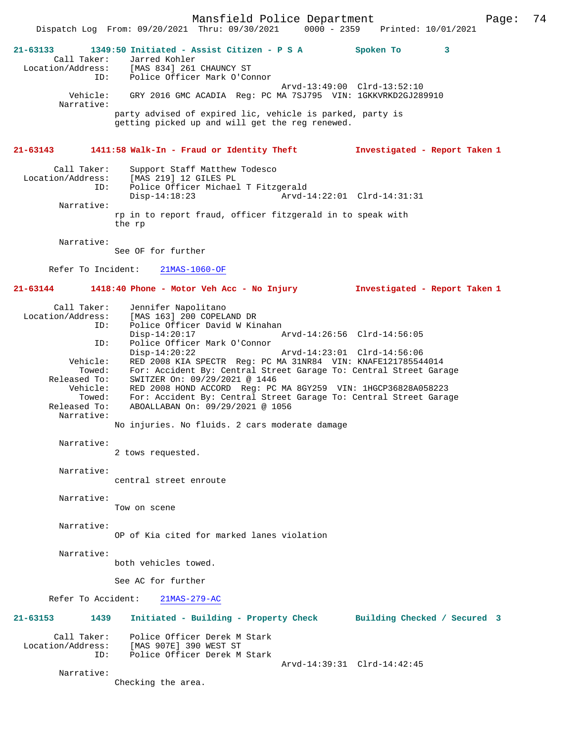**21-63133 1349:50 Initiated - Assist Citizen - P S A Spoken To 3**  Call Taker: Jarred Kohler<br>Location/Address: [MAS 834] 261 [MAS 834] 261 CHAUNCY ST ID: Police Officer Mark O'Connor Arvd-13:49:00 Clrd-13:52:10 Vehicle: GRY 2016 GMC ACADIA Reg: PC MA 7SJ795 VIN: 1GKKVRKD2GJ289910 Narrative: party advised of expired lic, vehicle is parked, party is getting picked up and will get the reg renewed.

## **21-63143 1411:58 Walk-In - Fraud or Identity Theft Investigated - Report Taken 1**

| Call Taker:       | Support Staff Matthew Todesco                                        |                             |  |
|-------------------|----------------------------------------------------------------------|-----------------------------|--|
| Location/Address: | [MAS 219] 12 GILES PL                                                |                             |  |
| ID:               | Police Officer Michael T Fitzgerald                                  |                             |  |
|                   | $Disp-14:18:23$                                                      | Arvd-14:22:01 Clrd-14:31:31 |  |
| Narrative:        |                                                                      |                             |  |
|                   | rp in to report fraud, officer fitzgerald in to speak with<br>the rp |                             |  |

Dispatch Log From: 09/20/2021 Thru: 09/30/2021 0000 - 2359

Narrative:

See OF for further

Refer To Incident: 21MAS-1060-OF

## **21-63144 1418:40 Phone - Motor Veh Acc - No Injury Investigated - Report Taken 1**

| Call Taker:       | Jennifer Napolitano                                               |  |  |
|-------------------|-------------------------------------------------------------------|--|--|
| Location/Address: | [MAS 163] 200 COPELAND DR                                         |  |  |
| ID:               | Police Officer David W Kinahan                                    |  |  |
|                   | Arvd-14:26:56 Clrd-14:56:05<br>$Disp-14:20:17$                    |  |  |
| ID:               | Police Officer Mark O'Connor                                      |  |  |
|                   | $Disp-14:20:22$<br>Arvd-14:23:01 Clrd-14:56:06                    |  |  |
| Vehicle:          | RED 2008 KIA SPECTR Req: PC MA 31NR84 VIN: KNAFE121785544014      |  |  |
| Towed:            | For: Accident By: Central Street Garage To: Central Street Garage |  |  |
| Released To:      | SWITZER On: 09/29/2021 @ 1446                                     |  |  |
| Vehicle:          | RED 2008 HOND ACCORD Req: PC MA 8GY259 VIN: 1HGCP36828A058223     |  |  |
| Towed:            | For: Accident By: Central Street Garage To: Central Street Garage |  |  |
| Released To:      | ABOALLABAN On: 09/29/2021 @ 1056                                  |  |  |
| Narrative:        |                                                                   |  |  |
|                   | No injuries. No fluids. 2 cars moderate damage                    |  |  |

### Narrative:

2 tows requested.

## Narrative:

central street enroute

- Narrative:
	- Tow on scene
- Narrative:

Narrative:

OP of Kia cited for marked lanes violation

Narrative:

both vehicles towed.

See AC for further

Refer To Accident: 21MAS-279-AC

**21-63153 1439 Initiated - Building - Property Check Building Checked / Secured 3** Call Taker: Police Officer Derek M Stark

 Location/Address: [MAS 907E] 390 WEST ST Police Officer Derek M Stark

Arvd-14:39:31 Clrd-14:42:45

Checking the area.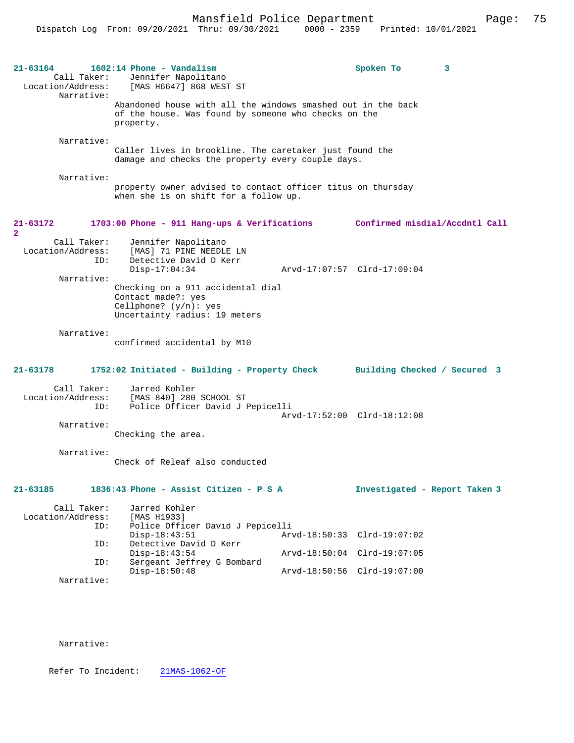| 21-63164<br>Call Taker:<br>Location/Address:<br>Narrative: | $1602:14$ Phone - Vandalism<br>Jennifer Napolitano<br>[MAS H6647] 868 WEST ST                                                     |                                | Spoken To                          | 3 |  |
|------------------------------------------------------------|-----------------------------------------------------------------------------------------------------------------------------------|--------------------------------|------------------------------------|---|--|
|                                                            | Abandoned house with all the windows smashed out in the back<br>of the house. Was found by someone who checks on the<br>property. |                                |                                    |   |  |
| Narrative:                                                 | Caller lives in brookline. The caretaker just found the<br>damage and checks the property every couple days.                      |                                |                                    |   |  |
| Narrative:                                                 | property owner advised to contact officer titus on thursday<br>when she is on shift for a follow up.                              |                                |                                    |   |  |
| 21-63172<br>$\overline{a}$                                 | 1703:00 Phone - 911 Hang-ups & Verifications                                                                                      |                                | Confirmed misdial/Accdntl Call     |   |  |
| Call Taker:<br>Location/Address:<br>ID:<br>Narrative:      | Jennifer Napolitano<br>[MAS] 71 PINE NEEDLE LN<br>Detective David D Kerr<br>$Disp-17:04:34$                                       |                                | Arvd-17:07:57 Clrd-17:09:04        |   |  |
|                                                            | Checking on a 911 accidental dial<br>Contact made?: yes<br>Cellphone? $(y/n):$ yes<br>Uncertainty radius: 19 meters               |                                |                                    |   |  |
| Narrative:                                                 | confirmed accidental by M10                                                                                                       |                                |                                    |   |  |
| 21-63178                                                   | 1752:02 Initiated - Building - Property Check                                                                                     |                                | Building Checked / Secured 3       |   |  |
| Call Taker:<br>Location/Address:<br>ID:                    | Jarred Kohler<br>[MAS 840] 280 SCHOOL ST<br>Police Officer David J Pepicelli                                                      |                                | Arvd-17:52:00 Clrd-18:12:08        |   |  |
| Narrative:                                                 | Checking the area.                                                                                                                |                                |                                    |   |  |
| Narrative:                                                 | Check of Releaf also conducted                                                                                                    |                                |                                    |   |  |
| 21-63185                                                   | 1836:43 Phone - Assist Citizen - P S A                                                                                            |                                | Investigated - Report Taken 3      |   |  |
| Call Taker:<br>Location/Address:<br>ID:                    | Jarred Kohler<br>[MAS H1933]<br>Police Officer David J Pepicelli                                                                  |                                |                                    |   |  |
| ID:                                                        | $Disp-18:43:51$<br>Detective David D Kerr<br>$Disp-18:43:54$                                                                      | Arvd-18:50:33<br>Arvd-18:50:04 | $Clrd-19:07:02$<br>$Clrd-19:07:05$ |   |  |
| ID:                                                        | Sergeant Jeffrey G Bombard<br>$Disp-18:50:48$                                                                                     |                                | Arvd-18:50:56 Clrd-19:07:00        |   |  |
| Narrative:                                                 |                                                                                                                                   |                                |                                    |   |  |

Refer To Incident: 21MAS-1062-OF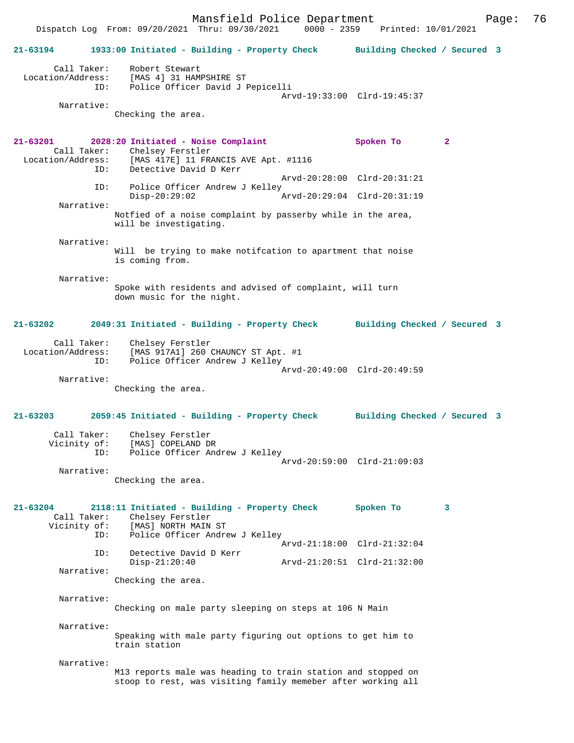Mansfield Police Department Page: 76 Dispatch Log From: 09/20/2021 Thru: 09/30/2021 **21-63194 1933:00 Initiated - Building - Property Check Building Checked / Secured 3** Call Taker: Robert Stewart Location/Address: [MAS 4] 31 HAMPSHIRE ST ID: Police Officer David J Pepicelli Arvd-19:33:00 Clrd-19:45:37 Narrative: Checking the area. **21-63201 2028:20 Initiated - Noise Complaint Spoken To 2**  Call Taker: Chelsey Ferstler Location/Address: [MAS 417E] 11 FRANCIS AVE Apt. #1116 Detective David D Kerr Arvd-20:28:00 Clrd-20:31:21 ID: Police Officer Andrew J Kelley<br>Disp-20:29:02 A Disp-20:29:02 Arvd-20:29:04 Clrd-20:31:19 Narrative: Notfied of a noise complaint by passerby while in the area, will be investigating. Narrative: Will be trying to make notifcation to apartment that noise is coming from. Narrative: Spoke with residents and advised of complaint, will turn down music for the night. **21-63202 2049:31 Initiated - Building - Property Check Building Checked / Secured 3** Call Taker: Chelsey Ferstler<br>Location/Address: [MAS 917A1] 260 0 Location/Address: [MAS 917A1] 260 CHAUNCY ST Apt. #1 ID: Police Officer Andrew J Kelley Arvd-20:49:00 Clrd-20:49:59 Narrative: Checking the area. **21-63203 2059:45 Initiated - Building - Property Check Building Checked / Secured 3** Call Taker: Chelsey Ferstler Vicinity of: [MAS] COPELAND DR ID: Police Officer Andrew J Kelley Arvd-20:59:00 Clrd-21:09:03 Narrative: Checking the area. **21-63204 2118:11 Initiated - Building - Property Check Spoken To 3**  Call Taker: Chelsey Ferstler Vicinity of: [MAS] NORTH MAIN ST<br>TD: Police Officer Andre Police Officer Andrew J Kelley Arvd-21:18:00 Clrd-21:32:04<br>TD: Detective David D Kerr Detective David D Kerr<br>Disp-21:20:40 Disp-21:20:40 Arvd-21:20:51 Clrd-21:32:00 Narrative: Checking the area. Narrative: Checking on male party sleeping on steps at 106 N Main Narrative: Speaking with male party figuring out options to get him to train station Narrative: M13 reports male was heading to train station and stopped on stoop to rest, was visiting family memeber after working all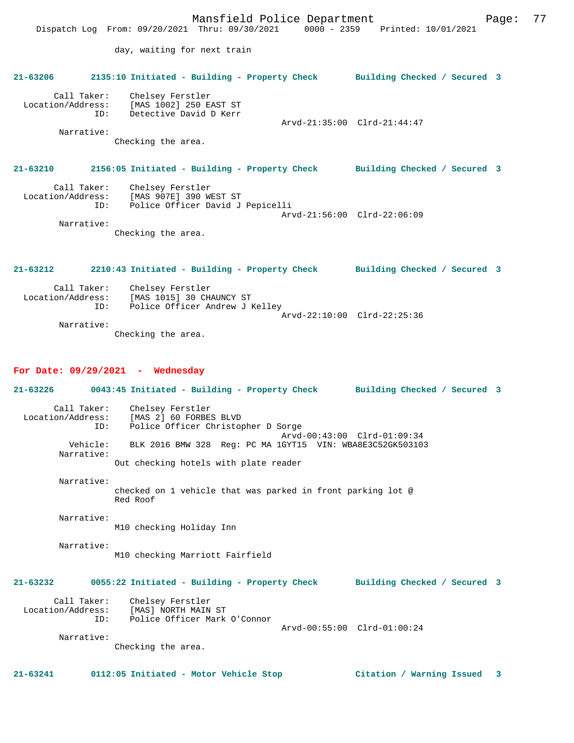|                   | Dispatch Log From: 09/20/2021 Thru: 09/30/2021 0000 - 2359 Printed: 10/01/2021                                                     | Mansfield Police Department | Page: | 77 |
|-------------------|------------------------------------------------------------------------------------------------------------------------------------|-----------------------------|-------|----|
|                   | day, waiting for next train                                                                                                        |                             |       |    |
|                   | 21-63206 2135:10 Initiated - Building - Property Check Building Checked / Secured 3                                                |                             |       |    |
| Narrative:        | Call Taker: Chelsey Ferstler<br>Location/Address: [MAS 1002] 250 EAST ST<br>ID: Detective David D Kerr<br>Checking the area.       | Arvd-21:35:00 Clrd-21:44:47 |       |    |
|                   | 21-63210 2156:05 Initiated - Building - Property Check Building Checked / Secured 3                                                |                             |       |    |
| ID:<br>Narrative: | Call Taker: Chelsey Ferstler<br>Location/Address: [MAS 907E] 390 WEST ST<br>Police Officer David J Pepicelli<br>Checking the area. | Arvd-21:56:00 Clrd-22:06:09 |       |    |

**21-63212 2210:43 Initiated - Building - Property Check Building Checked / Secured 3** Call Taker: Chelsey Ferstler<br>Location/Address: [MAS 1015] 30 CH  $[MAS 1015]$  30 CHAUNCY ST ID: Police Officer Andrew J Kelley Arvd-22:10:00 Clrd-22:25:36 Narrative:

Checking the area.

#### **For Date: 09/29/2021 - Wednesday**

**21-63226 0043:45 Initiated - Building - Property Check Building Checked / Secured 3** Call Taker: Chelsey Ferstler Location/Address: [MAS 2] 60 FORBES BLVD Police Officer Christopher D Sorge Arvd-00:43:00 Clrd-01:09:34<br>Vehicle: BLK 2016 BMW 328 Reg: PC MA 1GYT15 VIN: WBA8E3C52GK50310 BLK 2016 BMW 328 Reg: PC MA 1GYT15 VIN: WBA8E3C52GK503103 Narrative: Out checking hotels with plate reader Narrative: checked on 1 vehicle that was parked in front parking lot @ Red Roof Narrative: M10 checking Holiday Inn Narrative: M10 checking Marriott Fairfield **21-63232 0055:22 Initiated - Building - Property Check Building Checked / Secured 3** Call Taker: Chelsey Ferstler<br>Location/Address: [MAS] NORTH MAIN ess: [MAS] NORTH MAIN ST<br>ID: Police Officer Mark Police Officer Mark O'Connor Arvd-00:55:00 Clrd-01:00:24 Narrative: Checking the area. **21-63241 0112:05 Initiated - Motor Vehicle Stop Citation / Warning Issued 3**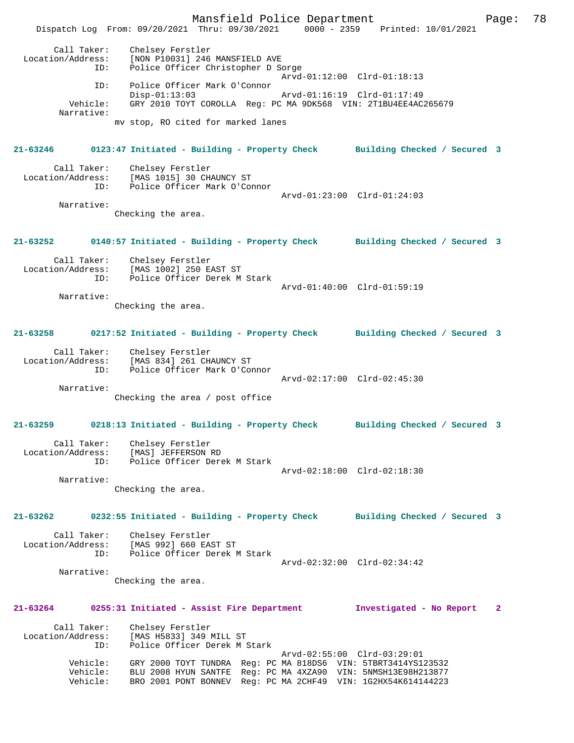Mansfield Police Department Page: 78 Dispatch Log From: 09/20/2021 Thru: 09/30/2021 0000 - 2359 Printed: 10/01/2021 Call Taker: Chelsey Ferstler Location/Address: [NON P10031] 246 MANSFIELD AVE ID: Police Officer Christopher D Sorge Arvd-01:12:00 Clrd-01:18:13 ID: Police Officer Mark O'Connor Disp-01:13:03 Arvd-01:16:19 Clrd-01:17:49 Vehicle: GRY 2010 TOYT COROLLA Reg: PC MA 9DK568 VIN: 2T1BU4EE4AC265679 Narrative: mv stop, RO cited for marked lanes **21-63246 0123:47 Initiated - Building - Property Check Building Checked / Secured 3** Call Taker: Chelsey Ferstler Location/Address: [MAS 1015] 30 CHAUNCY ST ID: Police Officer Mark O'Connor Arvd-01:23:00 Clrd-01:24:03 Narrative: Checking the area. **21-63252 0140:57 Initiated - Building - Property Check Building Checked / Secured 3** Call Taker: Chelsey Ferstler Location/Address: [MAS 1002] 250 EAST ST ID: Police Officer Derek M Stark Arvd-01:40:00 Clrd-01:59:19 Narrative: Checking the area. **21-63258 0217:52 Initiated - Building - Property Check Building Checked / Secured 3** Call Taker: Chelsey Ferstler Location/Address: [MAS 834] 261 CHAUNCY ST ID: Police Officer Mark O'Connor Arvd-02:17:00 Clrd-02:45:30 Narrative: Checking the area / post office **21-63259 0218:13 Initiated - Building - Property Check Building Checked / Secured 3** Call Taker: Chelsey Ferstler Location/Address: [MAS] JEFFERSON RD ID: Police Officer Derek M Stark Arvd-02:18:00 Clrd-02:18:30 Narrative: Checking the area. **21-63262 0232:55 Initiated - Building - Property Check Building Checked / Secured 3** Call Taker: Chelsey Ferstler Location/Address: [MAS 992] 660 EAST ST ID: Police Officer Derek M Stark Arvd-02:32:00 Clrd-02:34:42 Narrative: Checking the area. **21-63264 0255:31 Initiated - Assist Fire Department Investigated - No Report 2** Call Taker: Chelsey Ferstler Location/Address: [MAS H5833] 349 MILL ST ID: Police Officer Derek M Stark Arvd-02:55:00 Clrd-03:29:01 Vehicle: GRY 2000 TOYT TUNDRA Reg: PC MA 818DS6 VIN: 5TBRT3414YS123532 Vehicle: BLU 2008 HYUN SANTFE Reg: PC MA 4XZA90 VIN: 5NMSH13E98H213877 Vehicle: BRO 2001 PONT BONNEV Reg: PC MA 2CHF49 VIN: 1G2HX54K614144223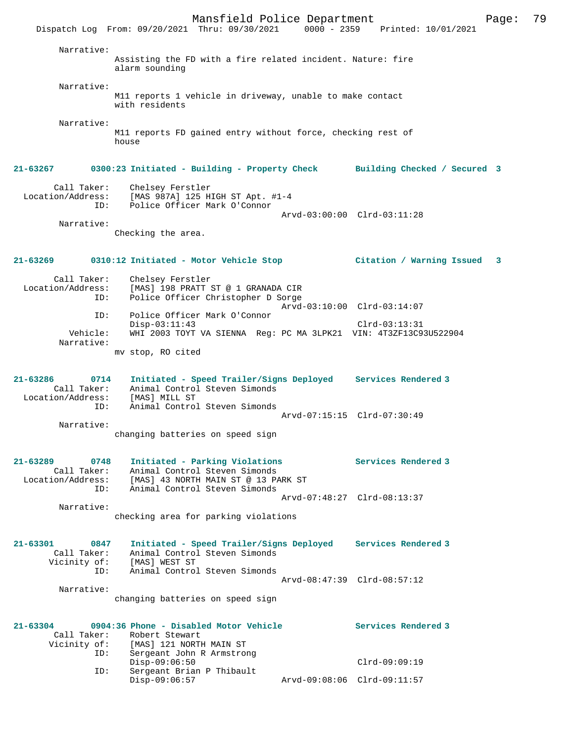Mansfield Police Department Fage: 79 Dispatch Log From: 09/20/2021 Thru: 09/30/2021 0000 - 2359 Printed: 10/01/2021 Narrative: Assisting the FD with a fire related incident. Nature: fire alarm sounding Narrative: M11 reports 1 vehicle in driveway, unable to make contact with residents Narrative: M11 reports FD gained entry without force, checking rest of house **21-63267 0300:23 Initiated - Building - Property Check Building Checked / Secured 3** Call Taker: Chelsey Ferstler Location/Address: [MAS 987A] 125 HIGH ST Apt. #1-4 ID: Police Officer Mark O'Connor Arvd-03:00:00 Clrd-03:11:28 Narrative: Checking the area. **21-63269 0310:12 Initiated - Motor Vehicle Stop Citation / Warning Issued 3** Call Taker: Chelsey Ferstler<br>Location/Address: [MAS] 198 PRATT : ess: [MAS] 198 PRATT ST @ 1 GRANADA CIR<br>ID: Police Officer Christopher D Sorge Police Officer Christopher D Sorge Arvd-03:10:00 Clrd-03:14:07<br>TD: Police Officer Mark O'Connor Police Officer Mark O'Connor Disp-03:11:43 Clrd-03:13:31<br>Vehicle: WHI 2003 TOYT VA SIENNA Reg: PC MA 3LPK21 VIN: 4T3ZE13C9 WHI 2003 TOYT VA SIENNA Reg: PC MA 3LPK21 VIN: 4T3ZF13C93U522904 Narrative: mv stop, RO cited **21-63286 0714 Initiated - Speed Trailer/Signs Deployed Services Rendered 3**  Call Taker: Animal Control Steven Simonds Location/Address: [MAS] MILL ST ID: Animal Control Steven Simonds Arvd-07:15:15 Clrd-07:30:49 Narrative: changing batteries on speed sign **21-63289 0748 Initiated - Parking Violations Services Rendered 3**  Call Taker: Animal Control Steven Simonds Location/Address: [MAS] 43 NORTH MAIN ST @ 13 PARK ST ID: Animal Control Steven Simonds Arvd-07:48:27 Clrd-08:13:37 Narrative: checking area for parking violations **21-63301 0847 Initiated - Speed Trailer/Signs Deployed Services Rendered 3**  Call Taker: Animal Control Steven Simonds Vicinity of: [MAS] WEST ST ID: Animal Control Steven Simonds Arvd-08:47:39 Clrd-08:57:12 Narrative: changing batteries on speed sign **21-63304 0904:36 Phone - Disabled Motor Vehicle Services Rendered 3**  Call Taker: Robert Stewart<br>Vicinity of: [MAS] 121 NORTH [MAS] 121 NORTH MAIN ST ID: Sergeant John R Armstrong Disp-09:06:50 Clrd-09:09:19<br>TD: Sergeant Brian P Thibault Sergeant Brian P Thibault<br>Disp-09:06:57 Disp-09:06:57 Arvd-09:08:06 Clrd-09:11:57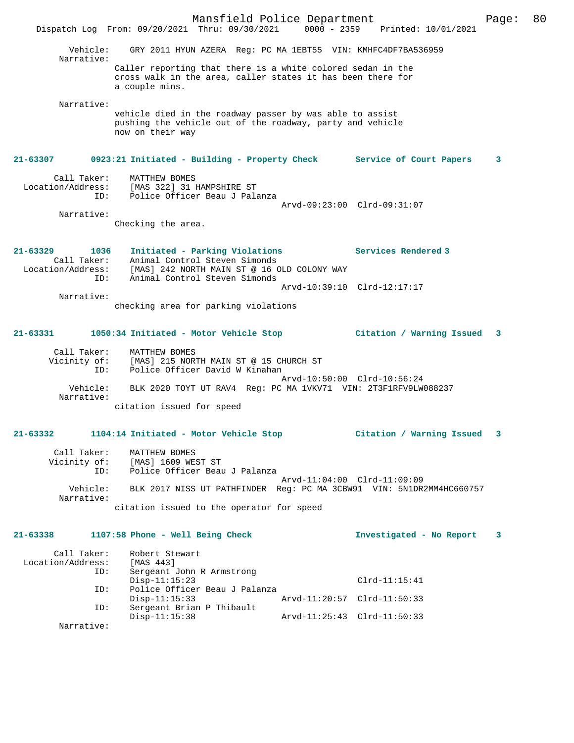Mansfield Police Department Page: 80 Dispatch Log From: 09/20/2021 Thru: 09/30/2021 0000 - 2359 Printed: 10/01/2021 Vehicle: GRY 2011 HYUN AZERA Reg: PC MA 1EBT55 VIN: KMHFC4DF7BA536959 Narrative: Caller reporting that there is a white colored sedan in the cross walk in the area, caller states it has been there for a couple mins. Narrative: vehicle died in the roadway passer by was able to assist pushing the vehicle out of the roadway, party and vehicle now on their way **21-63307 0923:21 Initiated - Building - Property Check Service of Court Papers 3** Call Taker: MATTHEW BOMES<br>Location/Address: [MAS 322] 31 [MAS 322] 31 HAMPSHIRE ST ID: Police Officer Beau J Palanza Arvd-09:23:00 Clrd-09:31:07 Narrative: Checking the area. **21-63329 1036 Initiated - Parking Violations Services Rendered 3**  Call Taker: Animal Control Steven Simonds Location/Address: [MAS] 242 NORTH MAIN ST @ 16 OLD COLONY WAY ID: Animal Control Steven Simonds Arvd-10:39:10 Clrd-12:17:17 Narrative: checking area for parking violations **21-63331 1050:34 Initiated - Motor Vehicle Stop Citation / Warning Issued 3** Call Taker: MATTHEW BOMES<br>Vicinity of: [MAS] 215 NOR' [MAS] 215 NORTH MAIN ST @ 15 CHURCH ST ID: Police Officer David W Kinahan Arvd-10:50:00 Clrd-10:56:24 Vehicle: BLK 2020 TOYT UT RAV4 Reg: PC MA 1VKV71 VIN: 2T3F1RFV9LW088237 Narrative: citation issued for speed **21-63332 1104:14 Initiated - Motor Vehicle Stop Citation / Warning Issued 3** Call Taker: MATTHEW BOMES Vicinity of: [MAS] 1609 WEST ST ID: Police Officer Beau J Palanza Arvd-11:04:00 Clrd-11:09:09 Vehicle: BLK 2017 NISS UT PATHFINDER Reg: PC MA 3CBW91 VIN: 5N1DR2MM4HC660757 Narrative: citation issued to the operator for speed **21-63338 1107:58 Phone - Well Being Check Investigated - No Report 3** Call Taker: Robert Stewart<br>ion/Address: [MAS 443] Location/Address:<br>ID: Sergeant John R Armstrong Disp-11:15:23 Clrd-11:15:41<br>TD: Police Officer Beau J Palanza Police Officer Beau J Palanza<br>Disp-11:15:33 Arvd-11:20:57 Clrd-11:50:33 ID: Sergeant Brian P Thibault Disp-11:15:38 Arvd-11:25:43 Clrd-11:50:33 Narrative: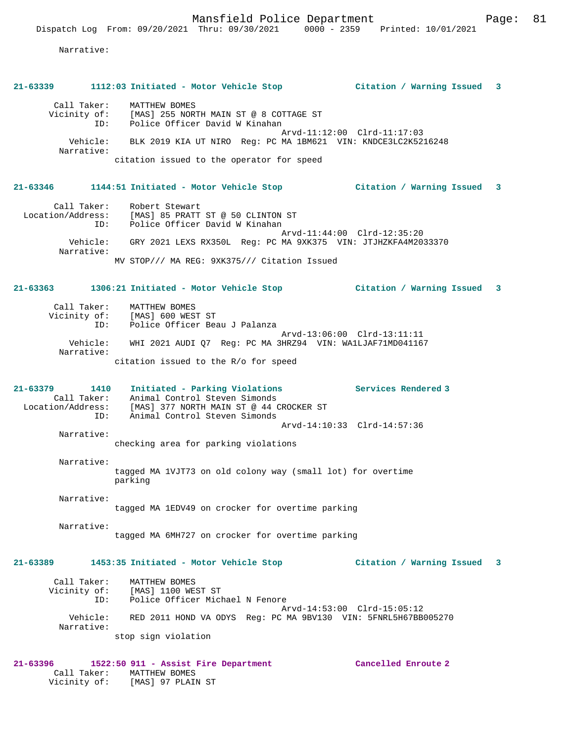# **21-63339 1112:03 Initiated - Motor Vehicle Stop Citation / Warning Issued 3**

| Call Taker:  | MATTHEW BOMES                                                 |
|--------------|---------------------------------------------------------------|
| Vicinity of: | [MAS] 255 NORTH MAIN ST @ 8 COTTAGE ST                        |
| ID:          | Police Officer David W Kinahan                                |
| Vehicle:     | Arvd-11:12:00 Clrd-11:17:03                                   |
| Narrative:   | BLK 2019 KIA UT NIRO Reg: PC MA 1BM621 VIN: KNDCE3LC2K5216248 |
|              | citation issued to the operator for speed                     |

#### **21-63346 1144:51 Initiated - Motor Vehicle Stop Citation / Warning Issued 3**

 Call Taker: Robert Stewart Location/Address: [MAS] 85 PRATT ST @ 50 CLINTON ST ID: Police Officer David W Kinahan Arvd-11:44:00 Clrd-12:35:20 Vehicle: GRY 2021 LEXS RX350L Reg: PC MA 9XK375 VIN: JTJHZKFA4M2033370 Narrative: MV STOP/// MA REG: 9XK375/// Citation Issued

#### **21-63363 1306:21 Initiated - Motor Vehicle Stop Citation / Warning Issued 3**

| Call Taker:  | MATTHEW BOMES                                             |
|--------------|-----------------------------------------------------------|
| Vicinity of: | [MAS] 600 WEST ST                                         |
| ID:          | Police Officer Beau J Palanza                             |
|              | Arvd-13:06:00 Clrd-13:11:11                               |
| Vehicle:     | WHI 2021 AUDI 07 Reg: PC MA 3HRZ94 VIN: WA1LJAF71MD041167 |
| Narrative:   |                                                           |
|              | citation issued to the R/o for speed                      |

**21-63379 1410 Initiated - Parking Violations Services Rendered 3**  Call Taker: Animal Control Steven Simonds Location/Address: [MAS] 377 NORTH MAIN ST @ 44 CROCKER ST ID: Animal Control Steven Simonds Arvd-14:10:33 Clrd-14:57:36 Narrative:

checking area for parking violations

 Narrative: tagged MA 1VJT73 on old colony way (small lot) for overtime parking

 Narrative: tagged MA 1EDV49 on crocker for overtime parking

Narrative:

tagged MA 6MH727 on crocker for overtime parking

### **21-63389 1453:35 Initiated - Motor Vehicle Stop Citation / Warning Issued 3**

| Call Taker:<br>Vicinity of: | MATTHEW BOMES<br>[MAS] 1100 WEST ST                            |
|-----------------------------|----------------------------------------------------------------|
| ID:                         | Police Officer Michael N Fenore                                |
|                             | Arvd-14:53:00 Clrd-15:05:12                                    |
| Vehicle:<br>Narrative:      | RED 2011 HOND VA ODYS Req: PC MA 9BV130 VIN: 5FNRL5H67BB005270 |
|                             | stop sign violation                                            |

#### **21-63396 1522:50 911 - Assist Fire Department Cancelled Enroute 2**  Call Taker: MATTHEW BOMES Vicinity of: [MAS] 97 PLAIN ST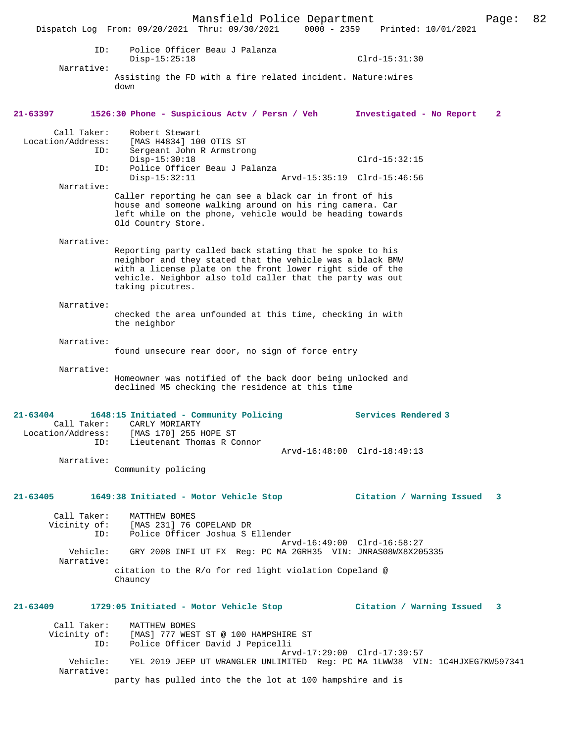Mansfield Police Department Page: 82 Dispatch Log From: 09/20/2021 Thru: 09/30/2021 0000 - 2359 Printed: 10/01/2021 ID: Police Officer Beau J Palanza Disp-15:25:18 Clrd-15:31:30 Narrative: Assisting the FD with a fire related incident. Nature:wires down **21-63397 1526:30 Phone - Suspicious Actv / Persn / Veh Investigated - No Report 2** Call Taker: Robert Stewart Location/Address: [MAS H4834] 100 OTIS ST ID: Sergeant John R Armstrong Disp-15:30:18 Clrd-15:32:15<br>ID: Police Officer Beau J Palanza Police Officer Beau J Palanza Disp-15:32:11 Arvd-15:35:19 Clrd-15:46:56 Narrative: Caller reporting he can see a black car in front of his house and someone walking around on his ring camera. Car left while on the phone, vehicle would be heading towards Old Country Store. Narrative: Reporting party called back stating that he spoke to his neighbor and they stated that the vehicle was a black BMW with a license plate on the front lower right side of the vehicle. Neighbor also told caller that the party was out taking picutres. Narrative: checked the area unfounded at this time, checking in with the neighbor Narrative: found unsecure rear door, no sign of force entry Narrative: Homeowner was notified of the back door being unlocked and declined M5 checking the residence at this time **21-63404 1648:15 Initiated - Community Policing Services Rendered 3**  Call Taker: CARLY MORIARTY Location/Address: [MAS 170] 255 HOPE ST Lieutenant Thomas R Connor Arvd-16:48:00 Clrd-18:49:13 Narrative: Community policing **21-63405 1649:38 Initiated - Motor Vehicle Stop Citation / Warning Issued 3** Call Taker: MATTHEW BOMES<br>Vicinity of: [MAS 231] 76 [MAS 231] 76 COPELAND DR ID: Police Officer Joshua S Ellender Arvd-16:49:00 Clrd-16:58:27 Vehicle: GRY 2008 INFI UT FX Reg: PC MA 2GRH35 VIN: JNRAS08WX8X205335 Narrative: citation to the R/o for red light violation Copeland @ Chauncy **21-63409 1729:05 Initiated - Motor Vehicle Stop Citation / Warning Issued 3** Call Taker: MATTHEW BOMES<br>Vicinity of: [MAS] 777 WEST of: [MAS] 777 WEST ST @ 100 HAMPSHIRE ST<br>ID: Police Officer David J Pepicelli Police Officer David J Pepicelli Arvd-17:29:00 Clrd-17:39:57<br>Vebicle: YEL 2019 JEEP IT WRANGLER INLIMITED Reg: PC MA 1LWW38 VID Vehicle: YEL 2019 JEEP UT WRANGLER UNLIMITED Reg: PC MA 1LWW38 VIN: 1C4HJXEG7KW597341 Narrative: party has pulled into the the lot at 100 hampshire and is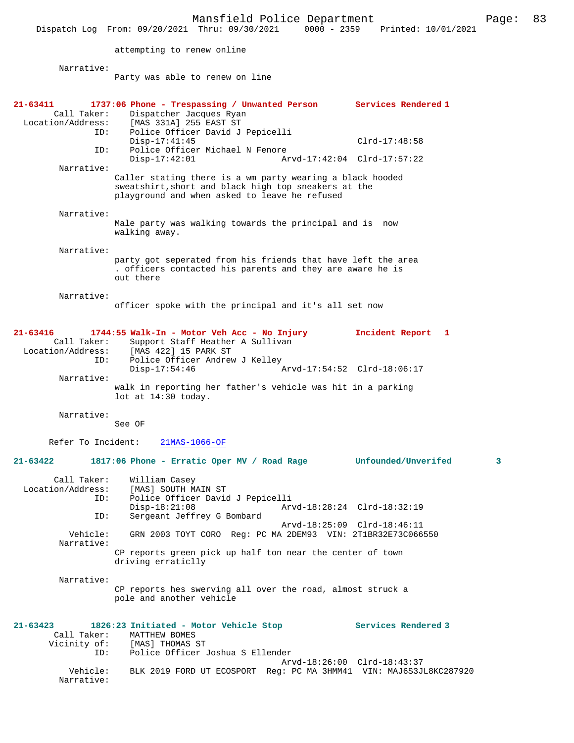Mansfield Police Department Page: 83 Dispatch Log From: 09/20/2021 Thru: 09/30/2021 attempting to renew online Narrative: Party was able to renew on line **21-63411 1737:06 Phone - Trespassing / Unwanted Person Services Rendered 1**  Call Taker: Dispatcher Jacques Ryan<br>Location/Address: [MAS 331A] 255 EAST ST ess: [MAS 331A] 255 EAST ST<br>ID: Police Officer David J Police Officer David J Pepicelli Disp-17:41:45 Clrd-17:48:58<br>TD: Police Officer Michael N Fenore Police Officer Michael N Fenore<br>Disp-17:42:01 Ar Disp-17:42:01 Arvd-17:42:04 Clrd-17:57:22 Narrative: Caller stating there is a wm party wearing a black hooded sweatshirt,short and black high top sneakers at the playground and when asked to leave he refused Narrative: Male party was walking towards the principal and is now walking away. Narrative: party got seperated from his friends that have left the area . officers contacted his parents and they are aware he is out there Narrative: officer spoke with the principal and it's all set now **21-63416 1744:55 Walk-In - Motor Veh Acc - No Injury Incident Report 1**  Call Taker: Support Staff Heather A Sullivan<br>Location/Address: [MAS 422] 15 PARK ST ess: [MAS 422] 15 PARK ST<br>ID: Police Officer Andrew ID: Police Officer Andrew J Kelley Disp-17:54:46 Arvd-17:54:52 Clrd-18:06:17 Narrative: walk in reporting her father's vehicle was hit in a parking lot at 14:30 today. Narrative: See OF Refer To Incident: 21MAS-1066-OF **21-63422 1817:06 Phone - Erratic Oper MV / Road Rage Unfounded/Unverifed 3** Call Taker: William Casey<br>Location/Address: [MAS] SOUTH M ess: [MAS] SOUTH MAIN ST<br>ID: Police Officer David ID: Police Officer David J Pepicelli Arvd-18:28:24 Clrd-18:32:19 ID: Sergeant Jeffrey G Bombard Arvd-18:25:09 Clrd-18:46:11 Vehicle: GRN 2003 TOYT CORO Reg: PC MA 2DEM93 VIN: 2T1BR32E73C066550 Narrative: CP reports green pick up half ton near the center of town driving erraticlly Narrative: CP reports hes swerving all over the road, almost struck a pole and another vehicle **21-63423 1826:23 Initiated - Motor Vehicle Stop Services Rendered 3**  Call Taker: MATTHEW BOMES<br>Vicinity of: [MAS] THOMAS : [MAS] THOMAS ST ID: Police Officer Joshua S Ellender Arvd-18:26:00 Clrd-18:43:37 Vehicle: BLK 2019 FORD UT ECOSPORT Reg: PC MA 3HMM41 VIN: MAJ6S3JL8KC287920 Narrative: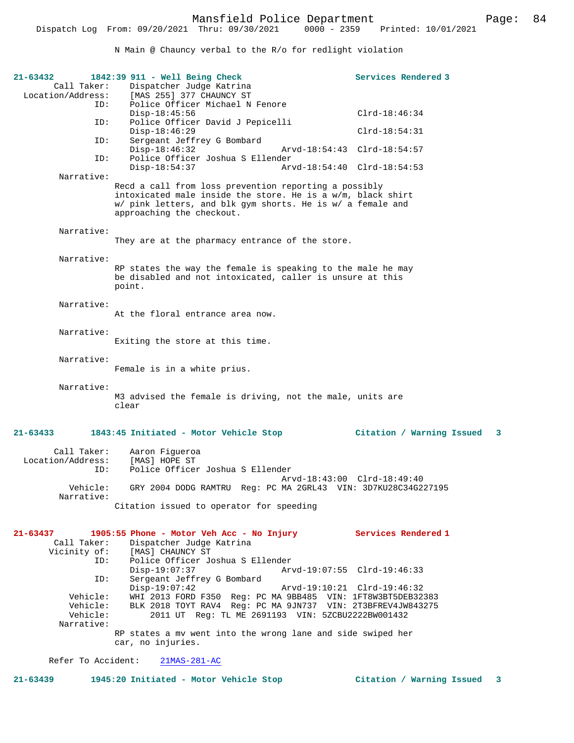N Main @ Chauncy verbal to the R/o for redlight violation

| 21-63432<br>Call Taker:<br>Location/Address:          | 1842:39 911 - Well Being Check<br>Dispatcher Judge Katrina<br>[MAS 255] 377 CHAUNCY ST                                                                                                                                           |                             | Services Rendered 3         |
|-------------------------------------------------------|----------------------------------------------------------------------------------------------------------------------------------------------------------------------------------------------------------------------------------|-----------------------------|-----------------------------|
| ID:                                                   | Police Officer Michael N Fenore<br>$Disp-18:45:56$                                                                                                                                                                               |                             | $Clrd-18:46:34$             |
| ID:                                                   | Police Officer David J Pepicelli<br>$Disp-18:46:29$                                                                                                                                                                              |                             | $Clrd-18:54:31$             |
| ID:                                                   | Sergeant Jeffrey G Bombard<br>$Disp-18:46:32$                                                                                                                                                                                    | Arvd-18:54:43 Clrd-18:54:57 |                             |
| ID:                                                   | Police Officer Joshua S Ellender<br>$Disp-18:54:37$                                                                                                                                                                              | Arvd-18:54:40 Clrd-18:54:53 |                             |
| Narrative:                                            | Recd a call from loss prevention reporting a possibly<br>intoxicated male inside the store. He is a w/m, black shirt<br>w/ pink letters, and blk gym shorts. He is w/ a female and<br>approaching the checkout.                  |                             |                             |
| Narrative:                                            | They are at the pharmacy entrance of the store.                                                                                                                                                                                  |                             |                             |
| Narrative:                                            | RP states the way the female is speaking to the male he may<br>be disabled and not intoxicated, caller is unsure at this<br>point.                                                                                               |                             |                             |
| Narrative:                                            | At the floral entrance area now.                                                                                                                                                                                                 |                             |                             |
| Narrative:                                            | Exiting the store at this time.                                                                                                                                                                                                  |                             |                             |
| Narrative:                                            | Female is in a white prius.                                                                                                                                                                                                      |                             |                             |
| Narrative:                                            | M3 advised the female is driving, not the male, units are<br>clear                                                                                                                                                               |                             |                             |
| 21-63433                                              | 1843:45 Initiated - Motor Vehicle Stop                                                                                                                                                                                           |                             | Citation / Warning Issued 3 |
| Call Taker:<br>Location/Address:<br>ID:               | Aaron Fiqueroa<br>[MAS] HOPE ST<br>Police Officer Joshua S Ellender                                                                                                                                                              |                             |                             |
| Narrative:                                            | Vehicle: GRY 2004 DODG RAMTRU Reg: PC MA 2GRL43 VIN: 3D7KU28C34G227195                                                                                                                                                           | Arvd-18:43:00 Clrd-18:49:40 |                             |
|                                                       | Citation issued to operator for speeding                                                                                                                                                                                         |                             |                             |
| 21-63437<br>Call Taker:<br>Vicinity of:               | 1905:55 Phone - Motor Veh Acc - No Injury<br>Dispatcher Judge Katrina<br>[MAS] CHAUNCY ST                                                                                                                                        |                             | Services Rendered 1         |
| ID:                                                   | Police Officer Joshua S Ellender<br>$Disp-19:07:37$                                                                                                                                                                              | Arvd-19:07:55 Clrd-19:46:33 |                             |
| ID:<br>Vehicle:<br>Vehicle:<br>Vehicle:<br>Narrative: | Sergeant Jeffrey G Bombard<br>$Disp-19:07:42$<br>WHI 2013 FORD F350 Req: PC MA 9BB485 VIN: 1FT8W3BT5DEB32383<br>BLK 2018 TOYT RAV4 Req: PC MA 9JN737 VIN: 2T3BFREV4JW843275<br>2011 UT Reg: TL ME 2691193 VIN: 5ZCBU2222BW001432 | Arvd-19:10:21 Clrd-19:46:32 |                             |
|                                                       | RP states a mv went into the wrong lane and side swiped her<br>car, no injuries.                                                                                                                                                 |                             |                             |
| Refer To Accident:                                    | $21MAS-281-AC$                                                                                                                                                                                                                   |                             |                             |

**21-63439 1945:20 Initiated - Motor Vehicle Stop Citation / Warning Issued 3**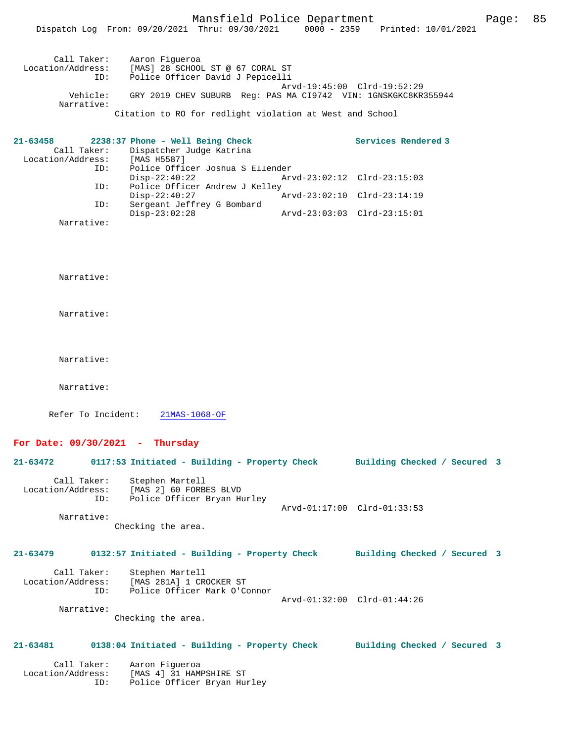|                                              | Mansfield Police Department<br>Dispatch Log From: 09/20/2021 Thru: 09/30/2021 0000 - 2359 Printed: 10/01/2021 |                             |                             | Page: | 85 |
|----------------------------------------------|---------------------------------------------------------------------------------------------------------------|-----------------------------|-----------------------------|-------|----|
| Call Taker:<br>ID:                           | Aaron Figueroa<br>Location/Address: [MAS] 28 SCHOOL ST @ 67 CORAL ST<br>Police Officer David J Pepicelli      |                             |                             |       |    |
| Vehicle:                                     | GRY 2019 CHEV SUBURB Req: PAS MA C19742 VIN: 1GNSKGKC8KR355944                                                |                             | Arvd-19:45:00 Clrd-19:52:29 |       |    |
| Narrative:                                   | Citation to RO for redlight violation at West and School                                                      |                             |                             |       |    |
| 21-63458<br>Call Taker:<br>Location/Address: | 2238:37 Phone - Well Being Check<br>Dispatcher Judge Katrina<br>[MAS H5587]                                   |                             | Services Rendered 3         |       |    |
| ID:                                          | Police Officer Joshua S Ellender<br>$Disp-22:40:22$                                                           | Arvd-23:02:12 Clrd-23:15:03 |                             |       |    |
| ID:                                          | Police Officer Andrew J Kelley<br>$Disp-22:40:27$                                                             |                             | Arvd-23:02:10 Clrd-23:14:19 |       |    |
| ID:                                          | Sergeant Jeffrey G Bombard<br>$Disp-23:02:28$                                                                 | Arvd-23:03:03 Clrd-23:15:01 |                             |       |    |
| Narrative:                                   |                                                                                                               |                             |                             |       |    |
| Narrative:<br>Narrative:                     |                                                                                                               |                             |                             |       |    |
| Narrative:                                   |                                                                                                               |                             |                             |       |    |
| Narrative:                                   |                                                                                                               |                             |                             |       |    |
| Refer To Incident:                           | $21MAS-1068-OF$                                                                                               |                             |                             |       |    |
| For Date: $09/30/2021$ - Thursday            |                                                                                                               |                             |                             |       |    |
| 21-63472                                     | 0117:53 Initiated - Building - Property Check Building Checked / Secured 3                                    |                             |                             |       |    |
| Call Taker:<br>Location/Address:<br>ID:      | Stephen Martell<br>[MAS 2] 60 FORBES BLVD<br>Police Officer Bryan Hurley                                      |                             | Arvd-01:17:00 Clrd-01:33:53 |       |    |
| Narrative:                                   | Checking the area.                                                                                            |                             |                             |       |    |
| 21-63479                                     | 0132:57 Initiated - Building - Property Check Building Checked / Secured 3                                    |                             |                             |       |    |
| Call Taker:<br>Location/Address:<br>ID:      | Stephen Martell<br>[MAS 281A] 1 CROCKER ST<br>Police Officer Mark O'Connor                                    |                             |                             |       |    |
| Narrative:                                   |                                                                                                               | Arvd-01:32:00 Clrd-01:44:26 |                             |       |    |

Checking the area.

## **21-63481 0138:04 Initiated - Building - Property Check Building Checked / Secured 3**

 Call Taker: Aaron Figueroa Location/Address: [MAS 4] 31 HAMPSHIRE ST ID: Police Officer Bryan Hurley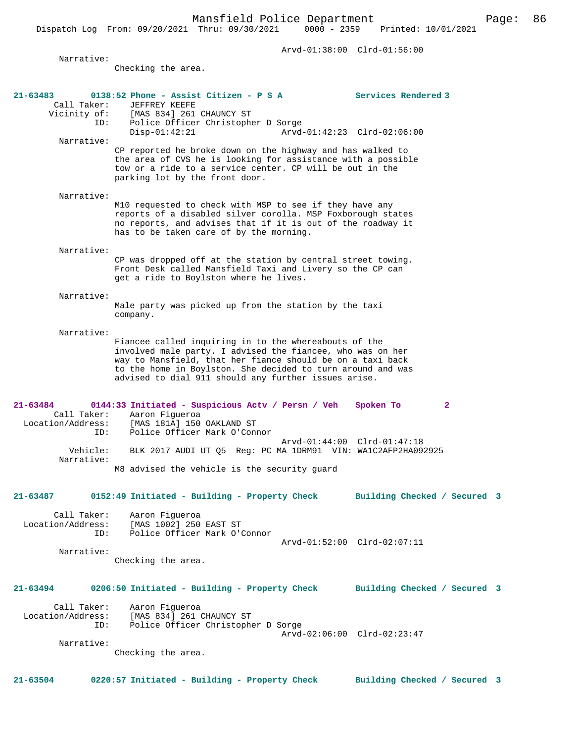Arvd-01:38:00 Clrd-01:56:00 Narrative: Checking the area. **21-63483 0138:52 Phone - Assist Citizen - P S A Services Rendered 3**  Call Taker: JEFFREY KEEFE<br>Vicinity of: [MAS 834] 261 Vicinity of: [MAS 834] 261 CHAUNCY ST ID: Police Officer Christopher D Sorge Disp-01:42:21 Arvd-01:42:23 Clrd-02:06:00 Narrative: CP reported he broke down on the highway and has walked to the area of CVS he is looking for assistance with a possible tow or a ride to a service center. CP will be out in the parking lot by the front door. Narrative: M10 requested to check with MSP to see if they have any reports of a disabled silver corolla. MSP Foxborough states no reports, and advises that if it is out of the roadway it has to be taken care of by the morning. Narrative: CP was dropped off at the station by central street towing. Front Desk called Mansfield Taxi and Livery so the CP can get a ride to Boylston where he lives. Narrative: Male party was picked up from the station by the taxi company. Narrative: Fiancee called inquiring in to the whereabouts of the involved male party. I advised the fiancee, who was on her way to Mansfield, that her fiance should be on a taxi back to the home in Boylston. She decided to turn around and was advised to dial 911 should any further issues arise. **21-63484 0144:33 Initiated - Suspicious Actv / Persn / Veh Spoken To 2**  Call Taker: Aaron Figueroa<br>Location/Address: [MAS 181A] 150 [MAS 181A] 150 OAKLAND ST ID: Police Officer Mark O'Connor Arvd-01:44:00 Clrd-01:47:18 Vehicle: BLK 2017 AUDI UT Q5 Reg: PC MA 1DRM91 VIN: WA1C2AFP2HA092925 Narrative: M8 advised the vehicle is the security guard **21-63487 0152:49 Initiated - Building - Property Check Building Checked / Secured 3** Call Taker: Aaron Figueroa<br>Location/Address: [MAS 1002] 250 [MAS 1002] 250 EAST ST ID: Police Officer Mark O'Connor Arvd-01:52:00 Clrd-02:07:11 Narrative: Checking the area. **21-63494 0206:50 Initiated - Building - Property Check Building Checked / Secured 3** Call Taker: Aaron Figueroa Location/Address: [MAS 834] 261 CHAUNCY ST Police Officer Christopher D Sorge Arvd-02:06:00 Clrd-02:23:47 Narrative: Checking the area. **21-63504 0220:57 Initiated - Building - Property Check Building Checked / Secured 3**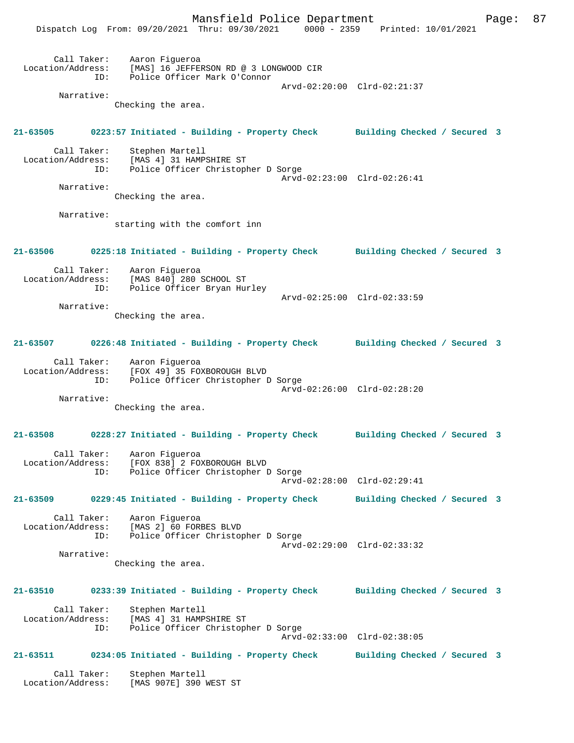Mansfield Police Department Fage: 87 Dispatch Log From: 09/20/2021 Thru: 09/30/2021 0000 - 2359 Printed: 10/01/2021 Call Taker: Aaron Figueroa Location/Address: [MAS] 16 JEFFERSON RD @ 3 LONGWOOD CIR ID: Police Officer Mark O'Connor Arvd-02:20:00 Clrd-02:21:37 Narrative: Checking the area. **21-63505 0223:57 Initiated - Building - Property Check Building Checked / Secured 3** Call Taker: Stephen Martell Location/Address: [MAS 4] 31 HAMPSHIRE ST Police Officer Christopher D Sorge Arvd-02:23:00 Clrd-02:26:41 Narrative: Checking the area. Narrative: starting with the comfort inn **21-63506 0225:18 Initiated - Building - Property Check Building Checked / Secured 3** Call Taker: Aaron Figueroa Location/Address: [MAS 840] 280 SCHOOL ST ID: Police Officer Bryan Hurley Arvd-02:25:00 Clrd-02:33:59 Narrative: Checking the area. **21-63507 0226:48 Initiated - Building - Property Check Building Checked / Secured 3** Call Taker: Aaron Figueroa Location/Address: [FOX 49] 35 FOXBOROUGH BLVD ID: Police Officer Christopher D Sorge Arvd-02:26:00 Clrd-02:28:20 Narrative: Checking the area. **21-63508 0228:27 Initiated - Building - Property Check Building Checked / Secured 3** Call Taker: Aaron Figueroa Location/Address: [FOX 838] 2 FOXBOROUGH BLVD ID: Police Officer Christopher D Sorge Arvd-02:28:00 Clrd-02:29:41 **21-63509 0229:45 Initiated - Building - Property Check Building Checked / Secured 3** Call Taker: Aaron Figueroa<br>Location/Address: [MAS 2] 60 FOR [MAS 2] 60 FORBES BLVD ID: Police Officer Christopher D Sorge Arvd-02:29:00 Clrd-02:33:32 Narrative: Checking the area. **21-63510 0233:39 Initiated - Building - Property Check Building Checked / Secured 3** Call Taker: Stephen Martell Location/Address: [MAS 4] 31 HAMPSHIRE ST Police Officer Christopher D Sorge Arvd-02:33:00 Clrd-02:38:05 **21-63511 0234:05 Initiated - Building - Property Check Building Checked / Secured 3** Call Taker: Stephen Martell Location/Address: [MAS 907E] 390 WEST ST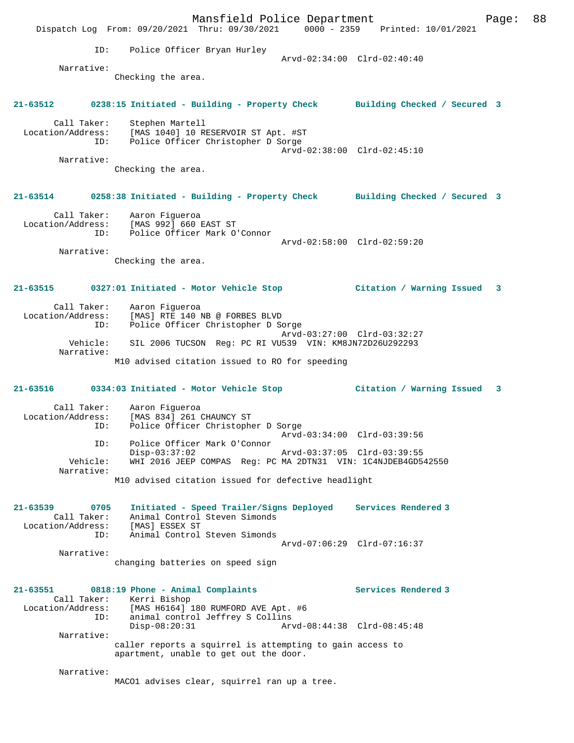| Police Officer Bryan Hurley<br>ID:<br>Arvd-02:34:00 Clrd-02:40:40<br>Narrative:<br>Checking the area.<br>21-63512 0238:15 Initiated - Building - Property Check Building Checked / Secured 3<br>Call Taker:<br>Stephen Martell<br>Location/Address: [MAS 1040] 10 RESERVOIR ST Apt. #ST<br>Police Officer Christopher D Sorge<br>ID:<br>Arvd-02:38:00 Clrd-02:45:10<br>Narrative:<br>Checking the area.<br>21-63514 0258:38 Initiated - Building - Property Check Building Checked / Secured 3 |   |  |
|------------------------------------------------------------------------------------------------------------------------------------------------------------------------------------------------------------------------------------------------------------------------------------------------------------------------------------------------------------------------------------------------------------------------------------------------------------------------------------------------|---|--|
|                                                                                                                                                                                                                                                                                                                                                                                                                                                                                                |   |  |
|                                                                                                                                                                                                                                                                                                                                                                                                                                                                                                |   |  |
|                                                                                                                                                                                                                                                                                                                                                                                                                                                                                                |   |  |
|                                                                                                                                                                                                                                                                                                                                                                                                                                                                                                |   |  |
|                                                                                                                                                                                                                                                                                                                                                                                                                                                                                                |   |  |
|                                                                                                                                                                                                                                                                                                                                                                                                                                                                                                |   |  |
|                                                                                                                                                                                                                                                                                                                                                                                                                                                                                                |   |  |
| Call Taker: Aaron Figueroa<br>Location/Address: [MAS 992] 660 EAST ST<br>Police Officer Mark O'Connor<br>ID:<br>Arvd-02:58:00 Clrd-02:59:20                                                                                                                                                                                                                                                                                                                                                    |   |  |
| Narrative:<br>Checking the area.                                                                                                                                                                                                                                                                                                                                                                                                                                                               |   |  |
| 21-63515 0327:01 Initiated - Motor Vehicle Stop<br>Citation / Warning Issued                                                                                                                                                                                                                                                                                                                                                                                                                   | 3 |  |
| Call Taker: Aaron Figueroa<br>Location/Address:<br>[MAS] RTE 140 NB @ FORBES BLVD<br>Police Officer Christopher D Sorge<br>ID:<br>Arvd-03:27:00 Clrd-03:32:27                                                                                                                                                                                                                                                                                                                                  |   |  |
| Vehicle:<br>SIL 2006 TUCSON Reg: PC RI VU539 VIN: KM8JN72D26U292293                                                                                                                                                                                                                                                                                                                                                                                                                            |   |  |
| Narrative:<br>M10 advised citation issued to RO for speeding                                                                                                                                                                                                                                                                                                                                                                                                                                   |   |  |
| 21-63516          0334:03    Initiated - Motor Vehicle Stop<br>Citation / Warning Issued                                                                                                                                                                                                                                                                                                                                                                                                       | 3 |  |
| Call Taker:<br>Aaron Figueroa<br>Location/Address:<br>[MAS 834] 261 CHAUNCY ST<br>Police Officer Christopher D Sorge<br>ID:<br>Arvd-03:34:00 Clrd-03:39:56                                                                                                                                                                                                                                                                                                                                     |   |  |
| Police Officer Mark O'Connor<br>ID:<br>$Disp-03:37:02$<br>Arvd-03:37:05 Clrd-03:39:55                                                                                                                                                                                                                                                                                                                                                                                                          |   |  |
| WHI 2016 JEEP COMPAS Reg: PC MA 2DTN31 VIN: 1C4NJDEB4GD542550<br>Vehicle:<br>Narrative:<br>M10 advised citation issued for defective headlight                                                                                                                                                                                                                                                                                                                                                 |   |  |
|                                                                                                                                                                                                                                                                                                                                                                                                                                                                                                |   |  |
| Initiated - Speed Trailer/Signs Deployed Services Rendered 3<br>21-63539<br>0705<br>Call Taker:<br>Animal Control Steven Simonds<br>Location/Address:<br>[MAS] ESSEX ST                                                                                                                                                                                                                                                                                                                        |   |  |
| Animal Control Steven Simonds<br>ID:<br>Arvd-07:06:29 Clrd-07:16:37                                                                                                                                                                                                                                                                                                                                                                                                                            |   |  |
| Narrative:<br>changing batteries on speed sign                                                                                                                                                                                                                                                                                                                                                                                                                                                 |   |  |
| 21-63551<br>0818:19 Phone - Animal Complaints<br>Services Rendered 3<br>Call Taker:<br>Kerri Bishop<br>Location/Address: [MAS H6164] 180 RUMFORD AVE Apt. #6                                                                                                                                                                                                                                                                                                                                   |   |  |
| animal control Jeffrey S Collins<br>ID:<br>$Disp-08:20:31$<br>Arvd-08:44:38 Clrd-08:45:48                                                                                                                                                                                                                                                                                                                                                                                                      |   |  |
| Narrative:<br>caller reports a squirrel is attempting to gain access to<br>apartment, unable to get out the door.                                                                                                                                                                                                                                                                                                                                                                              |   |  |
| Narrative:<br>MACO1 advises clear, squirrel ran up a tree.                                                                                                                                                                                                                                                                                                                                                                                                                                     |   |  |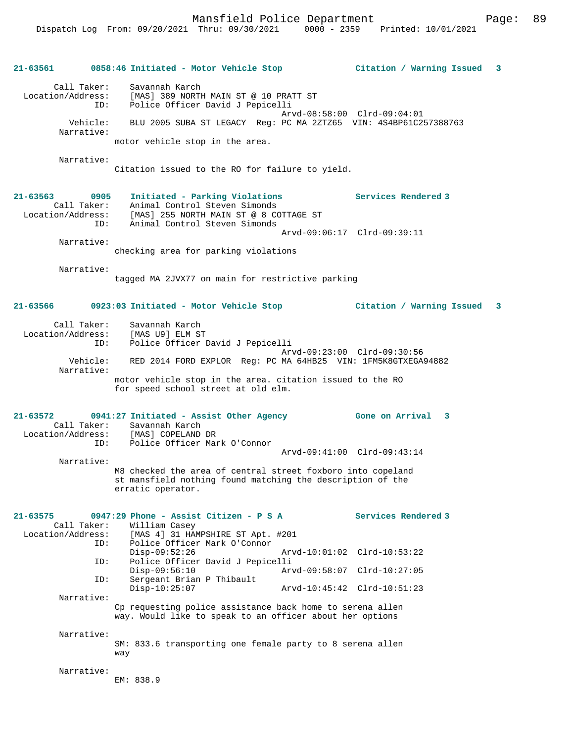**21-63561 0858:46 Initiated - Motor Vehicle Stop Citation / Warning Issued 3** Call Taker: Savannah Karch Location/Address: [MAS] 389 NORTH MAIN ST @ 10 PRATT ST ID: Police Officer David J Pepicelli Arvd-08:58:00 Clrd-09:04:01 Vehicle: BLU 2005 SUBA ST LEGACY Reg: PC MA 2ZTZ65 VIN: 4S4BP61C257388763 Narrative: motor vehicle stop in the area. Narrative: Citation issued to the RO for failure to yield. **21-63563 0905 Initiated - Parking Violations Services Rendered 3**  Call Taker: Animal Control Steven Simonds Location/Address: [MAS] 255 NORTH MAIN ST @ 8 COTTAGE ST ID: Animal Control Steven Simonds Arvd-09:06:17 Clrd-09:39:11 Narrative: checking area for parking violations Narrative: tagged MA 2JVX77 on main for restrictive parking **21-63566 0923:03 Initiated - Motor Vehicle Stop Citation / Warning Issued 3** Call Taker: Savannah Karch Location/Address: [MAS U9] ELM ST ID: Police Officer David J Pepicelli Arvd-09:23:00 Clrd-09:30:56 Vehicle: RED 2014 FORD EXPLOR Reg: PC MA 64HB25 VIN: 1FM5K8GTXEGA94882 Narrative:

> motor vehicle stop in the area. citation issued to the RO for speed school street at old elm.

**21-63572 0941:27 Initiated - Assist Other Agency Gone on Arrival 3**  Call Taker: Savannah Karch Location/Address: [MAS] COPELAND DR ID: Police Officer Mark O'Connor Arvd-09:41:00 Clrd-09:43:14

> Narrative: M8 checked the area of central street foxboro into copeland st mansfield nothing found matching the description of the erratic operator.

|            | $21-63575$ 0947:29 Phone - Assist Citizen - P S A<br>Call Taker: William Casey                                        |                             | Services Rendered 3 |
|------------|-----------------------------------------------------------------------------------------------------------------------|-----------------------------|---------------------|
|            | Location/Address: [MAS 4] 31 HAMPSHIRE ST Apt. #201                                                                   |                             |                     |
| ID:        | Police Officer Mark O'Connor                                                                                          |                             |                     |
|            | $Disp-09:52:26$                                                                                                       | Arvd-10:01:02 Clrd-10:53:22 |                     |
| ID:        | Police Officer David J Pepicelli                                                                                      |                             |                     |
|            | $Disp-09:56:10$                                                                                                       | Arvd-09:58:07 Clrd-10:27:05 |                     |
| ID:        | Sergeant Brian P Thibault                                                                                             |                             |                     |
|            | $Disp-10:25:07$                                                                                                       | Arvd-10:45:42 Clrd-10:51:23 |                     |
| Narrative: |                                                                                                                       |                             |                     |
|            | Cp requesting police assistance back home to serena allen<br>way. Would like to speak to an officer about her options |                             |                     |
| Narrative: | SM: 833.6 transporting one female party to 8 serena allen<br>way                                                      |                             |                     |
| Narrative: | EM: 838.9                                                                                                             |                             |                     |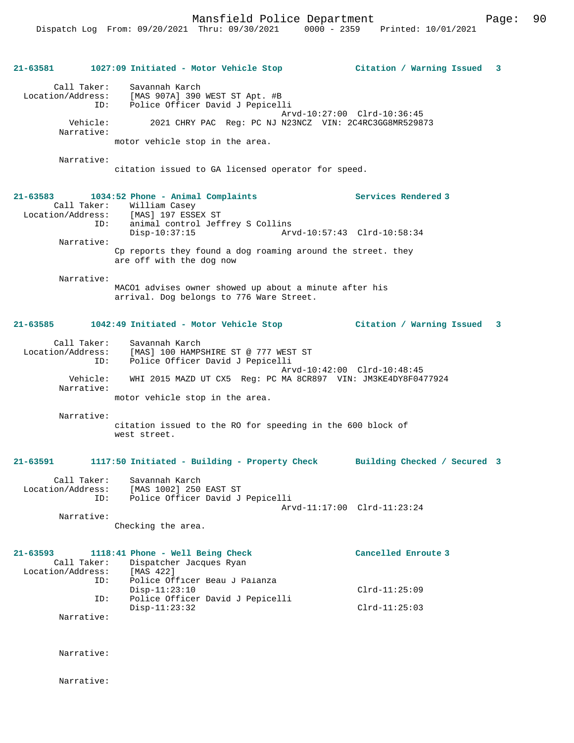| 21-63581 |                                  | 1027:09 Initiated - Motor Vehicle Stop                                                                                   | Citation / Warning Issued 3 |  |
|----------|----------------------------------|--------------------------------------------------------------------------------------------------------------------------|-----------------------------|--|
|          | Call Taker:                      | Savannah Karch<br>Location/Address: [MAS 907A] 390 WEST ST Apt. #B<br>Police Officer David J Pepicelli<br>ID:            | Arvd-10:27:00 Clrd-10:36:45 |  |
|          | Vehicle:<br>Narrative:           | 2021 CHRY PAC Reg: PC NJ N23NCZ VIN: 2C4RC3GG8MR529873                                                                   |                             |  |
|          |                                  | motor vehicle stop in the area.                                                                                          |                             |  |
|          | Narrative:                       | citation issued to GA licensed operator for speed.                                                                       |                             |  |
| 21-63583 |                                  | 1034:52 Phone - Animal Complaints                                                                                        | Services Rendered 3         |  |
|          | ID:                              | Call Taker: William Casey<br>Location/Address: [MAS] 197 ESSEX ST<br>animal control Jeffrey S Collins<br>$Disp-10:37:15$ | Arvd-10:57:43 Clrd-10:58:34 |  |
|          | Narrative:                       | Cp reports they found a dog roaming around the street. they<br>are off with the dog now                                  |                             |  |
|          | Narrative:                       | MACO1 advises owner showed up about a minute after his<br>arrival. Dog belongs to 776 Ware Street.                       |                             |  |
| 21-63585 |                                  | 1042:49 Initiated - Motor Vehicle Stop                                                                                   | Citation / Warning Issued 3 |  |
|          | Call Taker:<br>ID:               | Savannah Karch<br>Location/Address: [MAS] 100 HAMPSHIRE ST @ 777 WEST ST<br>Police Officer David J Pepicelli             |                             |  |
|          | Vehicle:<br>Narrative:           | WHI 2015 MAZD UT CX5 Reg: PC MA 8CR897 VIN: JM3KE4DY8F0477924                                                            | Arvd-10:42:00 Clrd-10:48:45 |  |
|          |                                  | motor vehicle stop in the area.                                                                                          |                             |  |
|          | Narrative:                       | citation issued to the RO for speeding in the 600 block of<br>west street.                                               |                             |  |
| 21-63591 |                                  | 1117:50 Initiated - Building - Property Check Building Checked / Secured 3                                               |                             |  |
|          | Location/Address:<br>ID:         | Call Taker: Savannah Karch<br>[MAS 1002] 250 EAST ST<br>Police Officer David J Pepicelli                                 | Arvd-11:17:00 Clrd-11:23:24 |  |
|          | Narrative:                       | Checking the area.                                                                                                       |                             |  |
| 21-63593 | Call Taker:<br>Location/Address: | 1118:41 Phone - Well Being Check<br>Dispatcher Jacques Ryan<br>[MAS 422]                                                 | Cancelled Enroute 3         |  |
|          | ID:                              | Police Officer Beau J Palanza<br>$Disp-11:23:10$                                                                         | $Clrd-11:25:09$             |  |
|          | ID:<br>Narrative:                | Police Officer David J Pepicelli<br>$Disp-11:23:32$                                                                      | $Clrd-11:25:03$             |  |
|          |                                  |                                                                                                                          |                             |  |
|          | Narrative:                       |                                                                                                                          |                             |  |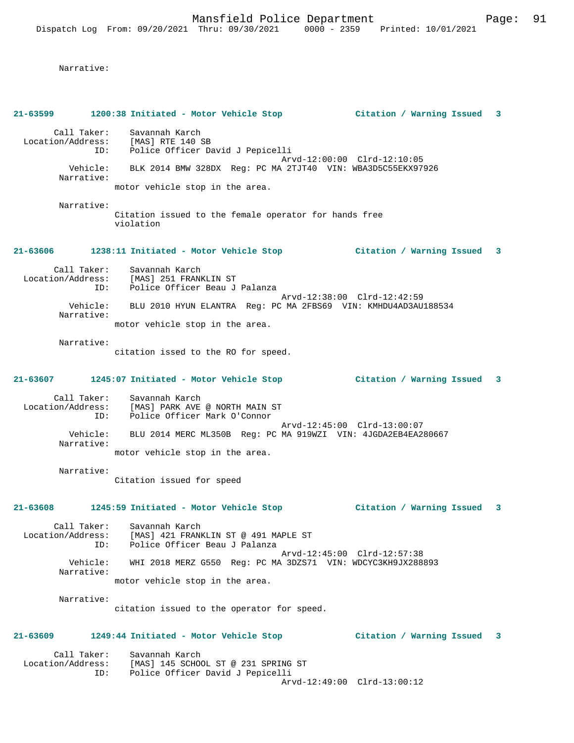|                   |                        | 21-63599 1200:38 Initiated - Motor Vehicle Stop                                                                    | Citation / Warning Issued 3 |                           |                         |
|-------------------|------------------------|--------------------------------------------------------------------------------------------------------------------|-----------------------------|---------------------------|-------------------------|
|                   |                        | Call Taker: Savannah Karch<br>Location/Address: [MAS] RTE 140 SB<br>ID: Police Officer David J Pepicelli           |                             |                           |                         |
|                   | Narrative:             | Arvd-12:00:00 Clrd-12:10:05<br>Vehicle: BLK 2014 BMW 328DX Reg: PC MA 2TJT40 VIN: WBA3D5C55EKX97926                |                             |                           |                         |
|                   |                        | motor vehicle stop in the area.                                                                                    |                             |                           |                         |
|                   | Narrative:             | Citation issued to the female operator for hands free<br>violation                                                 |                             |                           |                         |
|                   |                        | 21-63606 1238:11 Initiated - Motor Vehicle Stop 6 (Citation / Warning Issued 3                                     |                             |                           |                         |
|                   |                        | Call Taker: Savannah Karch<br>Location/Address: [MAS] 251 FRANKLIN ST<br>ID: Police Officer Beau J Palanza         |                             |                           |                         |
|                   | Narrative:             | Arvd-12:38:00 Clrd-12:42:59<br>Vehicle: BLU 2010 HYUN ELANTRA Reg: PC MA 2FBS69 VIN: KMHDU4AD3AU188534             |                             |                           |                         |
|                   |                        | motor vehicle stop in the area.                                                                                    |                             |                           |                         |
|                   | Narrative:             | citation issed to the RO for speed.                                                                                |                             |                           |                         |
|                   |                        | 21-63607 1245:07 Initiated - Motor Vehicle Stop                                                                    | Citation / Warning Issued 3 |                           |                         |
|                   |                        | Call Taker: Savannah Karch<br>Location/Address: [MAS] PARK AVE @ NORTH MAIN ST<br>ID: Police Officer Mark O'Connor |                             |                           |                         |
|                   | Narrative:             | Arvd-12:45:00 Clrd-13:00:07<br>Vehicle: BLU 2014 MERC ML350B Reg: PC MA 919WZI VIN: 4JGDA2EB4EA280667              |                             |                           |                         |
|                   |                        | motor vehicle stop in the area.                                                                                    |                             |                           |                         |
|                   | Narrative:             | Citation issued for speed                                                                                          |                             |                           |                         |
| 21-63608          |                        | 1245:59 Initiated - Motor Vehicle Stop                                                                             | Citation / Warning Issued 3 |                           |                         |
| Location/Address: | Call Taker:<br>ID:     | Savannah Karch<br>[MAS] 421 FRANKLIN ST @ 491 MAPLE ST<br>Police Officer Beau J Palanza                            |                             |                           |                         |
|                   | Vehicle:<br>Narrative: | Arvd-12:45:00 Clrd-12:57:38<br>WHI 2018 MERZ G550 Req: PC MA 3DZS71 VIN: WDCYC3KH9JX288893                         |                             |                           |                         |
|                   |                        | motor vehicle stop in the area.                                                                                    |                             |                           |                         |
|                   | Narrative:             | citation issued to the operator for speed.                                                                         |                             |                           |                         |
| $21 - 63609$      |                        | 1249:44 Initiated - Motor Vehicle Stop                                                                             |                             | Citation / Warning Issued | $\overline{\mathbf{3}}$ |
| Location/Address: | Call Taker:<br>ID:     | Savannah Karch<br>[MAS] 145 SCHOOL ST @ 231 SPRING ST<br>Police Officer David J Pepicelli                          |                             |                           |                         |
|                   |                        | Arvd-12:49:00 Clrd-13:00:12                                                                                        |                             |                           |                         |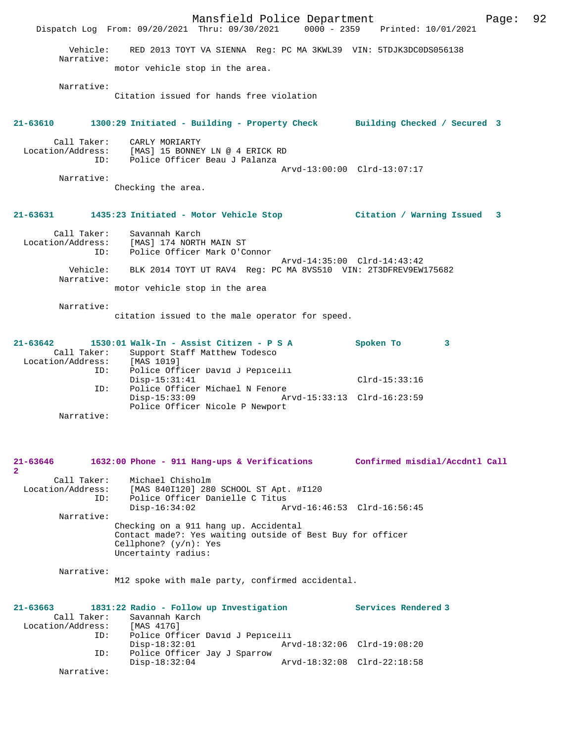Mansfield Police Department Form Page: 92 Dispatch Log From: 09/20/2021 Thru: 09/30/2021 0000 - 2359 Printed: 10/01/2021 Vehicle: RED 2013 TOYT VA SIENNA Reg: PC MA 3KWL39 VIN: 5TDJK3DC0DS056138 Narrative: motor vehicle stop in the area. Narrative: Citation issued for hands free violation **21-63610 1300:29 Initiated - Building - Property Check Building Checked / Secured 3** Call Taker: CARLY MORIARTY Location/Address: [MAS] 15 BONNEY LN @ 4 ERICK RD ID: Police Officer Beau J Palanza Arvd-13:00:00 Clrd-13:07:17 Narrative: Checking the area. **21-63631 1435:23 Initiated - Motor Vehicle Stop Citation / Warning Issued 3** Call Taker: Savannah Karch<br>Location/Address: [MAS] 174 NORTH Location/Address: [MAS] 174 NORTH MAIN ST ID: Police Officer Mark O'Connor Arvd-14:35:00 Clrd-14:43:42 Vehicle: BLK 2014 TOYT UT RAV4 Reg: PC MA 8VS510 VIN: 2T3DFREV9EW175682 Narrative: motor vehicle stop in the area Narrative: citation issued to the male operator for speed. **21-63642 1530:01 Walk-In - Assist Citizen - P S A Spoken To 3**  Call Taker: Support Staff Matthew Todesco<br>ion/Address: [MAS 1019] Location/Address:<br>ID: ID: Police Officer David J Pepicelli Disp-15:31:41 Clrd-15:33:16 ID: Police Officer Michael N Fenore<br>Disp-15:33:09 Art Disp-15:33:09 Arvd-15:33:13 Clrd-16:23:59 Police Officer Nicole P Newport Narrative: **21-63646 1632:00 Phone - 911 Hang-ups & Verifications Confirmed misdial/Accdntl Call 2**  Call Taker: Michael Chisholm Location/Address: [MAS 840I120] 280 SCHOOL ST Apt. #I120 ID: Police Officer Danielle C Titus Disp-16:34:02 Arvd-16:46:53 Clrd-16:56:45 Narrative: Checking on a 911 hang up. Accidental Contact made?: Yes waiting outside of Best Buy for officer Cellphone? (y/n): Yes Uncertainty radius: Narrative: M12 spoke with male party, confirmed accidental. **21-63663 1831:22 Radio - Follow up Investigation Services Rendered 3**  Call Taker: Savannah Karch<br>cion/Address: [MAS 417G] Location/Address: ID: Police Officer David J Pepicelli<br>Disp-18:32:01 Ary Disp-18:32:01 Arvd-18:32:06 Clrd-19:08:20<br>ID: Police Officer Jay J Sparrow Police Officer Jay J Sparrow<br>Disp-18:32:04 Disp-18:32:04 Arvd-18:32:08 Clrd-22:18:58 Narrative: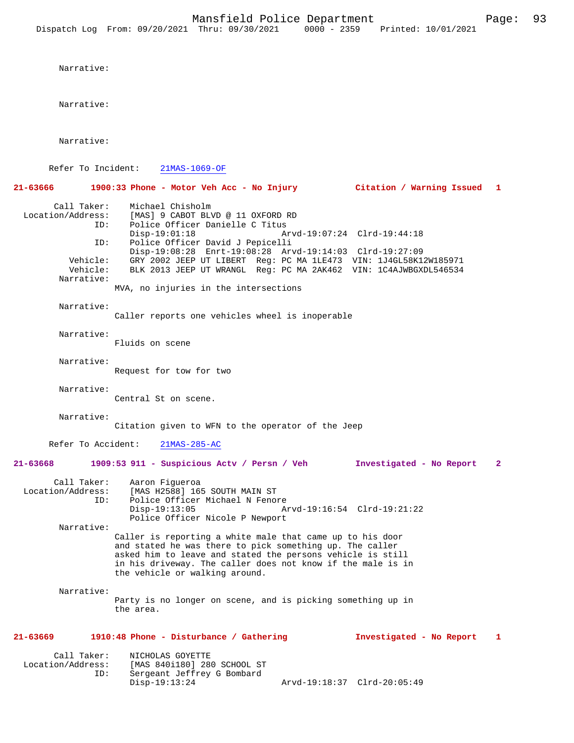Narrative:

Narrative:

Refer To Incident: 21MAS-1069-OF

**21-63666 1900:33 Phone - Motor Veh Acc - No Injury Citation / Warning Issued 1** Call Taker: Michael Chisholm<br>Location/Address: [MAS] 9 CABOT BLV [MAS] 9 CABOT BLVD @ 11 OXFORD RD ID: Police Officer Danielle C Titus<br>Disp-19:01:18 Mrvd-19:07:24 Clrd-19:44:18 Disp-19:01:18 Arvd-19:07:24 Clrd-19:44:18 ID: Police Officer David J Pepicelli Disp-19:08:28 Enrt-19:08:28 Arvd-19:14:03 Clrd-19:27:09 Vehicle: GRY 2002 JEEP UT LIBERT Reg: PC MA 1LE473 VIN: 1J4GL58K12W185971 Vehicle: BLK 2013 JEEP UT WRANGL Reg: PC MA 2AK462 VIN: 1C4AJWBGXDL546534 Narrative: MVA, no injuries in the intersections Narrative: Caller reports one vehicles wheel is inoperable Narrative: Fluids on scene Narrative: Request for tow for two Narrative: Central St on scene. Narrative: Citation given to WFN to the operator of the Jeep Refer To Accident: 21MAS-285-AC **21-63668 1909:53 911 - Suspicious Actv / Persn / Veh Investigated - No Report 2** Call Taker: Aaron Figueroa<br>Location/Address: [MAS H2588] 16! ess: [MAS H2588] 165 SOUTH MAIN ST<br>ID: Police Officer Michael N Fenor Police Officer Michael N Fenore<br>Disp-19:13:05 A Disp-19:13:05 Arvd-19:16:54 Clrd-19:21:22 Police Officer Nicole P Newport Narrative: Caller is reporting a white male that came up to his door and stated he was there to pick something up. The caller asked him to leave and stated the persons vehicle is still in his driveway. The caller does not know if the male is in the vehicle or walking around. Narrative: Party is no longer on scene, and is picking something up in the area. **21-63669 1910:48 Phone - Disturbance / Gathering Investigated - No Report 1** Call Taker: NICHOLAS GOYETTE Location/Address: [MAS 840i180] 280 SCHOOL ST ID: Sergeant Jeffrey G Bombard<br>Disp-19:13:24 Disp-19:13:24 Arvd-19:18:37 Clrd-20:05:49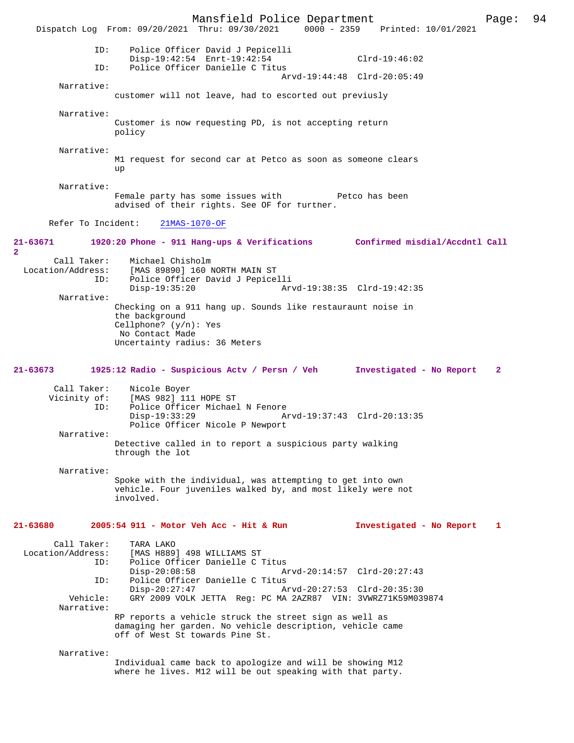Mansfield Police Department Page: 94 Dispatch Log From: 09/20/2021 Thru: 09/30/2021 ID: Police Officer David J Pepicelli Disp-19:42:54 Enrt-19:42:54 Clrd-19:46:02 ID: Police Officer Danielle C Titus Arvd-19:44:48 Clrd-20:05:49 Narrative: customer will not leave, had to escorted out previusly Narrative: Customer is now requesting PD, is not accepting return policy Narrative: M1 request for second car at Petco as soon as someone clears up Narrative: Female party has some issues with Petco has been advised of their rights. See OF for further. Refer To Incident: 21MAS-1070-OF **21-63671 1920:20 Phone - 911 Hang-ups & Verifications Confirmed misdial/Accdntl Call 2**  Call Taker: Michael Chisholm Location/Address: [MAS 89890] 160 NORTH MAIN ST ID: Police Officer David J Pepicelli Disp-19:35:20 Arvd-19:38:35 Clrd-19:42:35 Narrative: Checking on a 911 hang up. Sounds like restauraunt noise in the background Cellphone? (y/n): Yes No Contact Made Uncertainty radius: 36 Meters **21-63673 1925:12 Radio - Suspicious Actv / Persn / Veh Investigated - No Report 2** Call Taker: Nicole Boyer Vicinity of: [MAS 982] 111 HOPE ST<br>ID: Police Officer Michael Police Officer Michael N Fenore<br>Disp-19:33:29 A Disp-19:33:29 Arvd-19:37:43 Clrd-20:13:35 Police Officer Nicole P Newport Narrative: Detective called in to report a suspicious party walking through the lot Narrative: Spoke with the individual, was attempting to get into own vehicle. Four juveniles walked by, and most likely were not involved. **21-63680 2005:54 911 - Motor Veh Acc - Hit & Run Investigated - No Report 1** Call Taker: TARA LAKO<br>Location/Address: [MAS H889 ess: [MAS H889] 498 WILLIAMS ST<br>TD: Police Officer Danielle C. ID: Police Officer Danielle C Titus Arvd-20:14:57 Clrd-20:27:43 ID: Police Officer Danielle C Titus Disp-20:27:47 Arvd-20:27:53 Clrd-20:35:30 Vehicle: GRY 2009 VOLK JETTA Reg: PC MA 2AZR87 VIN: 3VWRZ71K59M039874 Narrative: RP reports a vehicle struck the street sign as well as damaging her garden. No vehicle description, vehicle came off of West St towards Pine St. Narrative: Individual came back to apologize and will be showing M12 where he lives. M12 will be out speaking with that party.